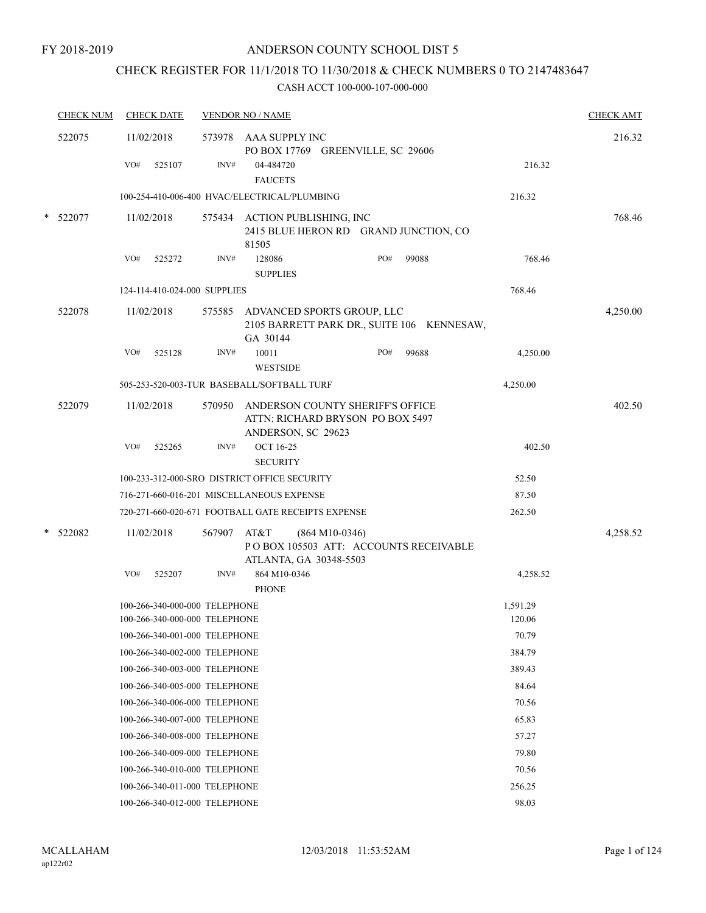# CHECK REGISTER FOR 11/1/2018 TO 11/30/2018 & CHECK NUMBERS 0 TO 2147483647

|        | <b>CHECK NUM</b> |     | <b>CHECK DATE</b>                                              |        | <b>VENDOR NO / NAME</b>                                                                     |                  |       |                    | <b>CHECK AMT</b> |
|--------|------------------|-----|----------------------------------------------------------------|--------|---------------------------------------------------------------------------------------------|------------------|-------|--------------------|------------------|
|        | 522075           |     | 11/02/2018                                                     |        | 573978 AAA SUPPLY INC<br>PO BOX 17769 GREENVILLE, SC 29606                                  |                  |       |                    | 216.32           |
|        |                  | VO# | 525107                                                         | INV#   | 04-484720<br><b>FAUCETS</b>                                                                 |                  |       | 216.32             |                  |
|        |                  |     |                                                                |        | 100-254-410-006-400 HVAC/ELECTRICAL/PLUMBING                                                |                  |       | 216.32             |                  |
|        | $*$ 522077       |     | 11/02/2018                                                     |        | 575434 ACTION PUBLISHING, INC<br>2415 BLUE HERON RD GRAND JUNCTION, CO<br>81505             |                  |       |                    | 768.46           |
|        |                  | VO# | 525272                                                         | INV#   | 128086<br><b>SUPPLIES</b>                                                                   | PO#              | 99088 | 768.46             |                  |
|        |                  |     | 124-114-410-024-000 SUPPLIES                                   |        |                                                                                             |                  |       | 768.46             |                  |
|        | 522078           |     | 11/02/2018                                                     |        | 575585 ADVANCED SPORTS GROUP, LLC<br>2105 BARRETT PARK DR., SUITE 106 KENNESAW,<br>GA 30144 |                  |       |                    | 4,250.00         |
|        |                  | VO# | 525128                                                         | INV#   | 10011<br><b>WESTSIDE</b>                                                                    | PO#              | 99688 | 4,250.00           |                  |
|        |                  |     |                                                                |        | 505-253-520-003-TUR BASEBALL/SOFTBALL TURF                                                  |                  |       | 4,250.00           |                  |
|        | 522079           |     | 11/02/2018                                                     | 570950 | ANDERSON COUNTY SHERIFF'S OFFICE<br>ATTN: RICHARD BRYSON PO BOX 5497<br>ANDERSON, SC 29623  |                  |       |                    | 402.50           |
|        |                  | VO# | 525265                                                         | INV#   | <b>OCT 16-25</b><br><b>SECURITY</b>                                                         |                  |       | 402.50             |                  |
|        |                  |     |                                                                |        | 100-233-312-000-SRO DISTRICT OFFICE SECURITY                                                |                  |       | 52.50              |                  |
|        |                  |     |                                                                |        | 716-271-660-016-201 MISCELLANEOUS EXPENSE                                                   |                  |       | 87.50              |                  |
|        |                  |     |                                                                |        | 720-271-660-020-671 FOOTBALL GATE RECEIPTS EXPENSE                                          |                  |       | 262.50             |                  |
| $\ast$ | 522082           |     | 11/02/2018                                                     | 567907 | AT&T<br>POBOX 105503 ATT: ACCOUNTS RECEIVABLE<br>ATLANTA, GA 30348-5503                     | $(864 M10-0346)$ |       |                    | 4,258.52         |
|        |                  | VO# | 525207                                                         | INV#   | 864 M10-0346<br><b>PHONE</b>                                                                |                  |       | 4,258.52           |                  |
|        |                  |     | 100-266-340-000-000 TELEPHONE<br>100-266-340-000-000 TELEPHONE |        |                                                                                             |                  |       | 1,591.29<br>120.06 |                  |
|        |                  |     | 100-266-340-001-000 TELEPHONE                                  |        |                                                                                             |                  |       | 70.79              |                  |
|        |                  |     | 100-266-340-002-000 TELEPHONE                                  |        |                                                                                             |                  |       | 384.79             |                  |
|        |                  |     | 100-266-340-003-000 TELEPHONE                                  |        |                                                                                             |                  |       | 389.43             |                  |
|        |                  |     | 100-266-340-005-000 TELEPHONE                                  |        |                                                                                             |                  |       | 84.64              |                  |
|        |                  |     | 100-266-340-006-000 TELEPHONE                                  |        |                                                                                             |                  |       | 70.56              |                  |
|        |                  |     | 100-266-340-007-000 TELEPHONE                                  |        |                                                                                             |                  |       | 65.83              |                  |
|        |                  |     | 100-266-340-008-000 TELEPHONE                                  |        |                                                                                             |                  |       | 57.27              |                  |
|        |                  |     | 100-266-340-009-000 TELEPHONE                                  |        |                                                                                             |                  |       | 79.80              |                  |
|        |                  |     | 100-266-340-010-000 TELEPHONE                                  |        |                                                                                             |                  |       | 70.56              |                  |
|        |                  |     | 100-266-340-011-000 TELEPHONE                                  |        |                                                                                             |                  |       | 256.25             |                  |
|        |                  |     | 100-266-340-012-000 TELEPHONE                                  |        |                                                                                             |                  |       | 98.03              |                  |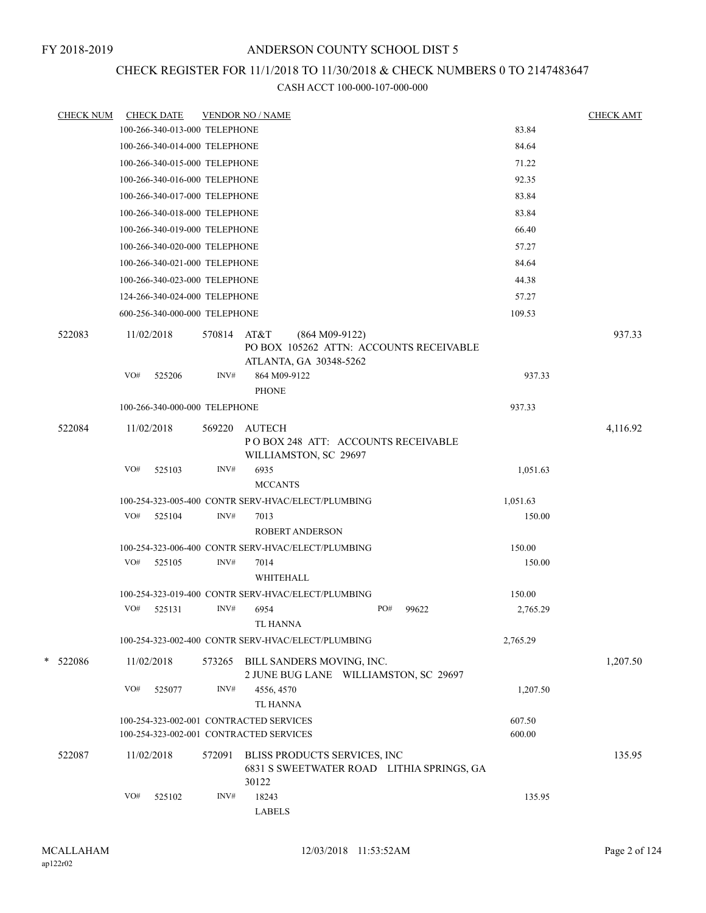## CHECK REGISTER FOR 11/1/2018 TO 11/30/2018 & CHECK NUMBERS 0 TO 2147483647

| <b>CHECK NUM</b> |     | <b>CHECK DATE</b>                                  |        | <b>VENDOR NO / NAME</b>       |                                                                           |              |                                           |          | <b>CHECK AMT</b> |
|------------------|-----|----------------------------------------------------|--------|-------------------------------|---------------------------------------------------------------------------|--------------|-------------------------------------------|----------|------------------|
|                  |     | 100-266-340-013-000 TELEPHONE                      |        |                               |                                                                           |              |                                           | 83.84    |                  |
|                  |     | 100-266-340-014-000 TELEPHONE                      |        |                               |                                                                           |              |                                           | 84.64    |                  |
|                  |     | 100-266-340-015-000 TELEPHONE                      |        |                               |                                                                           |              |                                           | 71.22    |                  |
|                  |     | 100-266-340-016-000 TELEPHONE                      |        |                               |                                                                           |              |                                           | 92.35    |                  |
|                  |     | 100-266-340-017-000 TELEPHONE                      |        |                               |                                                                           |              |                                           | 83.84    |                  |
|                  |     | 100-266-340-018-000 TELEPHONE                      |        |                               |                                                                           |              |                                           | 83.84    |                  |
|                  |     | 100-266-340-019-000 TELEPHONE                      |        |                               |                                                                           |              |                                           | 66.40    |                  |
|                  |     | 100-266-340-020-000 TELEPHONE                      |        |                               |                                                                           |              |                                           | 57.27    |                  |
|                  |     | 100-266-340-021-000 TELEPHONE                      |        |                               |                                                                           |              |                                           | 84.64    |                  |
|                  |     | 100-266-340-023-000 TELEPHONE                      |        |                               |                                                                           |              |                                           | 44.38    |                  |
|                  |     | 124-266-340-024-000 TELEPHONE                      |        |                               |                                                                           |              |                                           | 57.27    |                  |
|                  |     | 600-256-340-000-000 TELEPHONE                      |        |                               |                                                                           |              |                                           | 109.53   |                  |
| 522083           |     | 11/02/2018                                         | 570814 | AT&T                          | $(864 M09-9122)$                                                          |              | PO BOX 105262 ATTN: ACCOUNTS RECEIVABLE   |          | 937.33           |
|                  | VO# | 525206                                             | INV#   | 864 M09-9122<br><b>PHONE</b>  | ATLANTA, GA 30348-5262                                                    |              |                                           | 937.33   |                  |
|                  |     | 100-266-340-000-000 TELEPHONE                      |        |                               |                                                                           |              |                                           | 937.33   |                  |
| 522084           |     | 11/02/2018                                         | 569220 | AUTECH                        |                                                                           |              |                                           |          | 4,116.92         |
|                  |     |                                                    |        |                               | POBOX 248 ATT: ACCOUNTS RECEIVABLE<br>WILLIAMSTON, SC 29697               |              |                                           |          |                  |
|                  | VO# | 525103                                             | INV#   | 6935<br><b>MCCANTS</b>        |                                                                           |              |                                           | 1,051.63 |                  |
|                  |     | 100-254-323-005-400 CONTR SERV-HVAC/ELECT/PLUMBING |        |                               |                                                                           |              |                                           | 1,051.63 |                  |
|                  | VO# | 525104                                             | INV#   | 7013                          | <b>ROBERT ANDERSON</b>                                                    |              |                                           | 150.00   |                  |
|                  |     | 100-254-323-006-400 CONTR SERV-HVAC/ELECT/PLUMBING |        |                               |                                                                           |              |                                           | 150.00   |                  |
|                  | VO# | 525105                                             | INV#   | 7014<br>WHITEHALL             |                                                                           |              |                                           | 150.00   |                  |
|                  |     | 100-254-323-019-400 CONTR SERV-HVAC/ELECT/PLUMBING |        |                               |                                                                           |              |                                           | 150.00   |                  |
|                  | VO# | 525131                                             | INV#   | 6954<br>TL HANNA              |                                                                           | PO#<br>99622 |                                           | 2,765.29 |                  |
|                  |     | 100-254-323-002-400 CONTR SERV-HVAC/ELECT/PLUMBING |        |                               |                                                                           |              |                                           | 2,765.29 |                  |
| * 522086         |     | 11/02/2018                                         |        |                               | 573265 BILL SANDERS MOVING, INC.<br>2 JUNE BUG LANE WILLIAMSTON, SC 29697 |              |                                           |          | 1,207.50         |
|                  | VO# | 525077                                             | INV#   | 4556, 4570<br><b>TL HANNA</b> |                                                                           |              |                                           | 1,207.50 |                  |
|                  |     | 100-254-323-002-001 CONTRACTED SERVICES            |        |                               |                                                                           |              |                                           | 607.50   |                  |
|                  |     | 100-254-323-002-001 CONTRACTED SERVICES            |        |                               |                                                                           |              |                                           | 600.00   |                  |
| 522087           |     | 11/02/2018                                         | 572091 | 30122                         | BLISS PRODUCTS SERVICES, INC                                              |              | 6831 S SWEETWATER ROAD LITHIA SPRINGS, GA |          | 135.95           |
|                  | VO# | 525102                                             | INV#   | 18243<br>${\rm LABELS}$       |                                                                           |              |                                           | 135.95   |                  |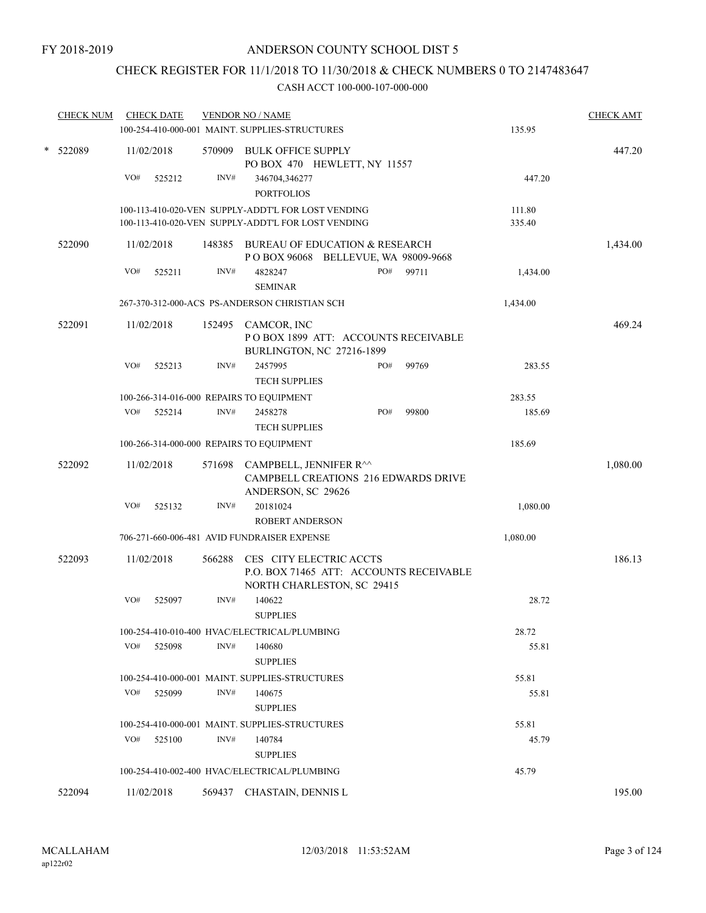# CHECK REGISTER FOR 11/1/2018 TO 11/30/2018 & CHECK NUMBERS 0 TO 2147483647

|   | <b>CHECK NUM</b> | <b>CHECK DATE</b> |        | <b>VENDOR NO / NAME</b>                                                                                  |                  | <b>CHECK AMT</b> |
|---|------------------|-------------------|--------|----------------------------------------------------------------------------------------------------------|------------------|------------------|
|   |                  |                   |        | 100-254-410-000-001 MAINT. SUPPLIES-STRUCTURES                                                           | 135.95           |                  |
| * | 522089           | 11/02/2018<br>VO# | INV#   | 570909 BULK OFFICE SUPPLY<br>PO BOX 470 HEWLETT, NY 11557                                                | 447.20           | 447.20           |
|   |                  | 525212            |        | 346704,346277<br><b>PORTFOLIOS</b>                                                                       |                  |                  |
|   |                  |                   |        | 100-113-410-020-VEN SUPPLY-ADDT'L FOR LOST VENDING<br>100-113-410-020-VEN SUPPLY-ADDT'L FOR LOST VENDING | 111.80<br>335.40 |                  |
|   | 522090           | 11/02/2018        |        | 148385 BUREAU OF EDUCATION & RESEARCH<br>POBOX 96068 BELLEVUE, WA 98009-9668                             |                  | 1,434.00         |
|   |                  | VO#<br>525211     | INV#   | PO#<br>99711<br>4828247<br><b>SEMINAR</b>                                                                | 1,434.00         |                  |
|   |                  |                   |        | 267-370-312-000-ACS PS-ANDERSON CHRISTIAN SCH                                                            | 1,434.00         |                  |
|   | 522091           | 11/02/2018        |        | 152495 CAMCOR, INC<br>POBOX 1899 ATT: ACCOUNTS RECEIVABLE<br>BURLINGTON, NC 27216-1899                   |                  | 469.24           |
|   |                  | VO#<br>525213     | INV#   | 2457995<br>99769<br>PO#<br><b>TECH SUPPLIES</b>                                                          | 283.55           |                  |
|   |                  |                   |        | 100-266-314-016-000 REPAIRS TO EQUIPMENT                                                                 | 283.55           |                  |
|   |                  | VO#<br>525214     | INV#   | PO#<br>99800<br>2458278<br><b>TECH SUPPLIES</b>                                                          | 185.69           |                  |
|   |                  |                   |        | 100-266-314-000-000 REPAIRS TO EQUIPMENT                                                                 | 185.69           |                  |
|   | 522092           | 11/02/2018        | 571698 | CAMPBELL, JENNIFER R^^<br><b>CAMPBELL CREATIONS 216 EDWARDS DRIVE</b><br>ANDERSON, SC 29626              |                  | 1,080.00         |
|   |                  | VO#<br>525132     | INV#   | 20181024<br><b>ROBERT ANDERSON</b>                                                                       | 1,080.00         |                  |
|   |                  |                   |        | 706-271-660-006-481 AVID FUNDRAISER EXPENSE                                                              | 1,080.00         |                  |
|   | 522093           | 11/02/2018        |        | 566288 CES CITY ELECTRIC ACCTS<br>P.O. BOX 71465 ATT: ACCOUNTS RECEIVABLE                                |                  | 186.13           |
|   |                  | VO#<br>525097     | INV#   | NORTH CHARLESTON, SC 29415<br>140622<br><b>SUPPLIES</b>                                                  | 28.72            |                  |
|   |                  |                   |        | 100-254-410-010-400 HVAC/ELECTRICAL/PLUMBING                                                             | 28.72            |                  |
|   |                  | VO#<br>525098     | INV#   | 140680<br><b>SUPPLIES</b>                                                                                | 55.81            |                  |
|   |                  |                   |        | 100-254-410-000-001 MAINT. SUPPLIES-STRUCTURES                                                           | 55.81            |                  |
|   |                  | VO#<br>525099     | INV#   | 140675<br><b>SUPPLIES</b>                                                                                | 55.81            |                  |
|   |                  |                   |        | 100-254-410-000-001 MAINT. SUPPLIES-STRUCTURES                                                           | 55.81            |                  |
|   |                  | VO#<br>525100     | INV#   | 140784<br><b>SUPPLIES</b>                                                                                | 45.79            |                  |
|   |                  |                   |        | 100-254-410-002-400 HVAC/ELECTRICAL/PLUMBING                                                             | 45.79            |                  |
|   | 522094           | 11/02/2018        |        | 569437 CHASTAIN, DENNIS L                                                                                |                  | 195.00           |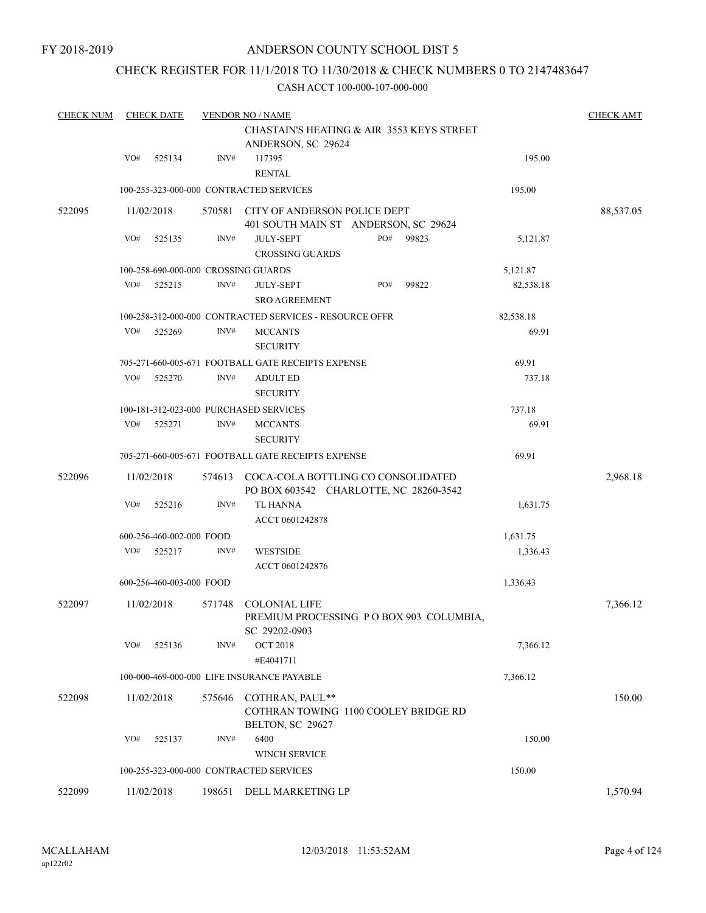## CHECK REGISTER FOR 11/1/2018 TO 11/30/2018 & CHECK NUMBERS 0 TO 2147483647

| <b>CHECK NUM</b> |     | <b>CHECK DATE</b>        |        | <b>VENDOR NO / NAME</b>                                                             |     |       |           | <b>CHECK AMT</b> |
|------------------|-----|--------------------------|--------|-------------------------------------------------------------------------------------|-----|-------|-----------|------------------|
|                  |     |                          |        | CHASTAIN'S HEATING & AIR 3553 KEYS STREET<br>ANDERSON, SC 29624                     |     |       |           |                  |
|                  | VO# | 525134                   | INV#   | 117395<br><b>RENTAL</b>                                                             |     |       | 195.00    |                  |
|                  |     |                          |        | 100-255-323-000-000 CONTRACTED SERVICES                                             |     |       | 195.00    |                  |
| 522095           |     | 11/02/2018               |        | 570581 CITY OF ANDERSON POLICE DEPT<br>401 SOUTH MAIN ST ANDERSON, SC 29624         |     |       |           | 88,537.05        |
|                  | VO# | 525135                   | INV#   | <b>JULY-SEPT</b><br><b>CROSSING GUARDS</b>                                          | PO# | 99823 | 5,121.87  |                  |
|                  |     |                          |        | 100-258-690-000-000 CROSSING GUARDS                                                 |     |       | 5,121.87  |                  |
|                  | VO# | 525215                   | INV#   | <b>JULY-SEPT</b><br><b>SRO AGREEMENT</b>                                            | PO# | 99822 | 82,538.18 |                  |
|                  |     |                          |        | 100-258-312-000-000 CONTRACTED SERVICES - RESOURCE OFFR                             |     |       | 82,538.18 |                  |
|                  | VO# | 525269                   | INV#   | <b>MCCANTS</b><br><b>SECURITY</b>                                                   |     |       | 69.91     |                  |
|                  |     |                          |        | 705-271-660-005-671 FOOTBALL GATE RECEIPTS EXPENSE                                  |     |       | 69.91     |                  |
|                  | VO# | 525270                   | INV#   | <b>ADULT ED</b><br><b>SECURITY</b>                                                  |     |       | 737.18    |                  |
|                  |     |                          |        | 100-181-312-023-000 PURCHASED SERVICES                                              |     |       | 737.18    |                  |
|                  | VO# | 525271                   | INV#   | <b>MCCANTS</b><br><b>SECURITY</b>                                                   |     |       | 69.91     |                  |
|                  |     |                          |        | 705-271-660-005-671 FOOTBALL GATE RECEIPTS EXPENSE                                  |     |       | 69.91     |                  |
| 522096           |     | 11/02/2018               |        | 574613 COCA-COLA BOTTLING CO CONSOLIDATED<br>PO BOX 603542 CHARLOTTE, NC 28260-3542 |     |       |           | 2,968.18         |
|                  | VO# | 525216                   | INV#   | TL HANNA<br>ACCT 0601242878                                                         |     |       | 1,631.75  |                  |
|                  |     | 600-256-460-002-000 FOOD |        |                                                                                     |     |       | 1,631.75  |                  |
|                  | VO# | 525217                   | INV#   | <b>WESTSIDE</b><br>ACCT 0601242876                                                  |     |       | 1,336.43  |                  |
|                  |     | 600-256-460-003-000 FOOD |        |                                                                                     |     |       | 1,336.43  |                  |
| 522097           |     | 11/02/2018               | 571748 | <b>COLONIAL LIFE</b><br>PREMIUM PROCESSING PO BOX 903 COLUMBIA,<br>SC 29202-0903    |     |       |           | 7,366.12         |
|                  | VO# | 525136                   | INV#   | <b>OCT 2018</b><br>#E4041711                                                        |     |       | 7,366.12  |                  |
|                  |     |                          |        | 100-000-469-000-000 LIFE INSURANCE PAYABLE                                          |     |       | 7,366.12  |                  |
| 522098           |     | 11/02/2018               | 575646 | COTHRAN, PAUL**<br>COTHRAN TOWING 1100 COOLEY BRIDGE RD<br>BELTON, SC 29627         |     |       |           | 150.00           |
|                  | VO# | 525137                   | INV#   | 6400<br>WINCH SERVICE                                                               |     |       | 150.00    |                  |
|                  |     |                          |        | 100-255-323-000-000 CONTRACTED SERVICES                                             |     |       | 150.00    |                  |
| 522099           |     | 11/02/2018               |        | 198651 DELL MARKETING LP                                                            |     |       |           | 1,570.94         |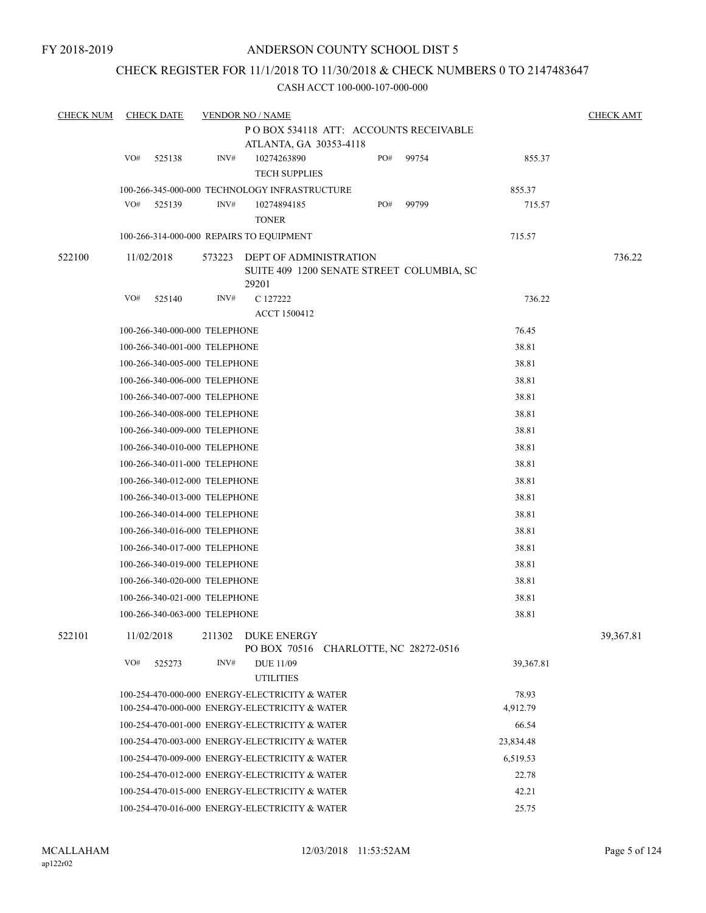## CHECK REGISTER FOR 11/1/2018 TO 11/30/2018 & CHECK NUMBERS 0 TO 2147483647

| <b>CHECK NUM</b> |     | <b>CHECK DATE</b>             |        | <b>VENDOR NO / NAME</b>                                                      |     |       |           | <b>CHECK AMT</b> |
|------------------|-----|-------------------------------|--------|------------------------------------------------------------------------------|-----|-------|-----------|------------------|
|                  |     |                               |        | POBOX 534118 ATT: ACCOUNTS RECEIVABLE                                        |     |       |           |                  |
|                  |     |                               |        | ATLANTA, GA 30353-4118                                                       |     |       |           |                  |
|                  | VO# | 525138                        | INV#   | 10274263890<br><b>TECH SUPPLIES</b>                                          | PO# | 99754 | 855.37    |                  |
|                  |     |                               |        | 100-266-345-000-000 TECHNOLOGY INFRASTRUCTURE                                |     |       | 855.37    |                  |
|                  | VO# | 525139                        | INV#   | 10274894185<br><b>TONER</b>                                                  | PO# | 99799 | 715.57    |                  |
|                  |     |                               |        | 100-266-314-000-000 REPAIRS TO EQUIPMENT                                     |     |       | 715.57    |                  |
|                  |     |                               |        |                                                                              |     |       |           | 736.22           |
| 522100           |     | 11/02/2018                    | 573223 | DEPT OF ADMINISTRATION<br>SUITE 409 1200 SENATE STREET COLUMBIA, SC<br>29201 |     |       |           |                  |
|                  | VO# | 525140                        | INV#   | C 127222                                                                     |     |       | 736.22    |                  |
|                  |     |                               |        | ACCT 1500412                                                                 |     |       |           |                  |
|                  |     | 100-266-340-000-000 TELEPHONE |        |                                                                              |     |       | 76.45     |                  |
|                  |     | 100-266-340-001-000 TELEPHONE |        |                                                                              |     |       | 38.81     |                  |
|                  |     | 100-266-340-005-000 TELEPHONE |        |                                                                              |     |       | 38.81     |                  |
|                  |     | 100-266-340-006-000 TELEPHONE |        |                                                                              |     |       | 38.81     |                  |
|                  |     | 100-266-340-007-000 TELEPHONE |        |                                                                              |     |       | 38.81     |                  |
|                  |     | 100-266-340-008-000 TELEPHONE |        |                                                                              |     |       | 38.81     |                  |
|                  |     | 100-266-340-009-000 TELEPHONE |        |                                                                              |     |       | 38.81     |                  |
|                  |     | 100-266-340-010-000 TELEPHONE |        |                                                                              |     |       | 38.81     |                  |
|                  |     | 100-266-340-011-000 TELEPHONE |        |                                                                              |     |       | 38.81     |                  |
|                  |     | 100-266-340-012-000 TELEPHONE |        |                                                                              |     |       | 38.81     |                  |
|                  |     | 100-266-340-013-000 TELEPHONE |        |                                                                              |     |       | 38.81     |                  |
|                  |     | 100-266-340-014-000 TELEPHONE |        |                                                                              |     |       | 38.81     |                  |
|                  |     | 100-266-340-016-000 TELEPHONE |        |                                                                              |     |       | 38.81     |                  |
|                  |     | 100-266-340-017-000 TELEPHONE |        |                                                                              |     |       | 38.81     |                  |
|                  |     | 100-266-340-019-000 TELEPHONE |        |                                                                              |     |       | 38.81     |                  |
|                  |     | 100-266-340-020-000 TELEPHONE |        |                                                                              |     |       | 38.81     |                  |
|                  |     | 100-266-340-021-000 TELEPHONE |        |                                                                              |     |       | 38.81     |                  |
|                  |     | 100-266-340-063-000 TELEPHONE |        |                                                                              |     |       | 38.81     |                  |
| 522101           |     | 11/02/2018                    | 211302 | DUKE ENERGY<br>PO BOX 70516 CHARLOTTE, NC 28272-0516                         |     |       |           | 39,367.81        |
|                  | VO# | 525273                        | INV#   | <b>DUE 11/09</b><br><b>UTILITIES</b>                                         |     |       | 39,367.81 |                  |
|                  |     |                               |        | 100-254-470-000-000 ENERGY-ELECTRICITY & WATER                               |     |       | 78.93     |                  |
|                  |     |                               |        | 100-254-470-000-000 ENERGY-ELECTRICITY & WATER                               |     |       | 4,912.79  |                  |
|                  |     |                               |        | 100-254-470-001-000 ENERGY-ELECTRICITY & WATER                               |     |       | 66.54     |                  |
|                  |     |                               |        | 100-254-470-003-000 ENERGY-ELECTRICITY & WATER                               |     |       | 23,834.48 |                  |
|                  |     |                               |        | 100-254-470-009-000 ENERGY-ELECTRICITY & WATER                               |     |       | 6,519.53  |                  |
|                  |     |                               |        | 100-254-470-012-000 ENERGY-ELECTRICITY & WATER                               |     |       | 22.78     |                  |
|                  |     |                               |        | 100-254-470-015-000 ENERGY-ELECTRICITY & WATER                               |     |       | 42.21     |                  |
|                  |     |                               |        | 100-254-470-016-000 ENERGY-ELECTRICITY & WATER                               |     |       | 25.75     |                  |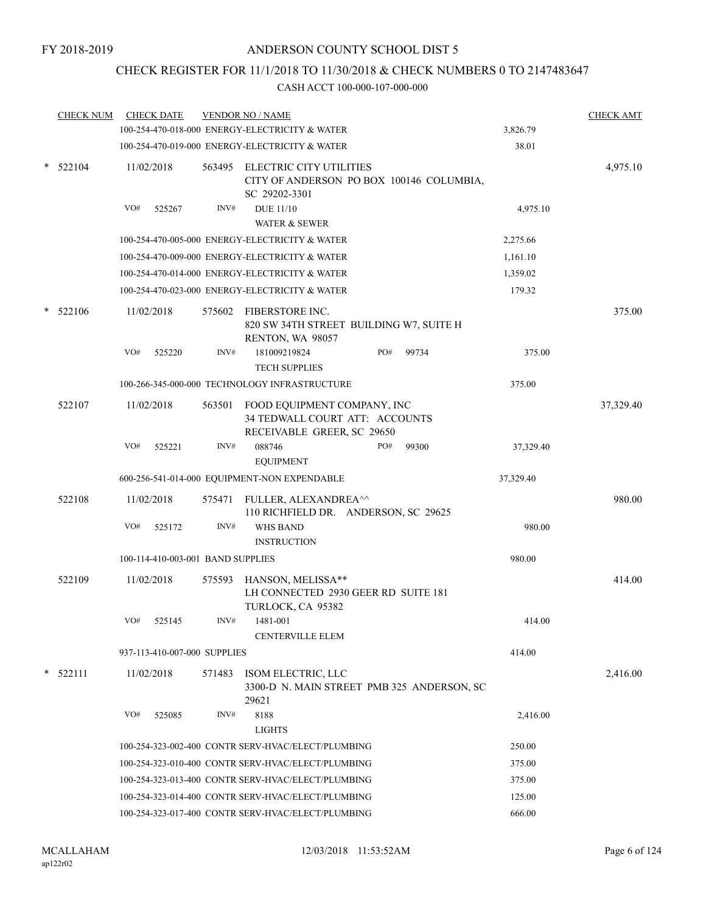# CHECK REGISTER FOR 11/1/2018 TO 11/30/2018 & CHECK NUMBERS 0 TO 2147483647

|   | <b>CHECK NUM</b> |     | <b>CHECK DATE</b>                                  |        | <b>VENDOR NO / NAME</b>                                                                     |              |           | <b>CHECK AMT</b> |
|---|------------------|-----|----------------------------------------------------|--------|---------------------------------------------------------------------------------------------|--------------|-----------|------------------|
|   |                  |     |                                                    |        | 100-254-470-018-000 ENERGY-ELECTRICITY & WATER                                              |              | 3,826.79  |                  |
|   |                  |     |                                                    |        | 100-254-470-019-000 ENERGY-ELECTRICITY & WATER                                              |              | 38.01     |                  |
| * | 522104           |     | 11/02/2018                                         |        | 563495 ELECTRIC CITY UTILITIES<br>CITY OF ANDERSON PO BOX 100146 COLUMBIA,<br>SC 29202-3301 |              |           | 4,975.10         |
|   |                  | VO# | 525267                                             | INV#   | <b>DUE 11/10</b><br><b>WATER &amp; SEWER</b>                                                |              | 4,975.10  |                  |
|   |                  |     |                                                    |        | 100-254-470-005-000 ENERGY-ELECTRICITY & WATER                                              |              | 2,275.66  |                  |
|   |                  |     |                                                    |        | 100-254-470-009-000 ENERGY-ELECTRICITY & WATER                                              |              | 1,161.10  |                  |
|   |                  |     |                                                    |        | 100-254-470-014-000 ENERGY-ELECTRICITY & WATER                                              |              | 1,359.02  |                  |
|   |                  |     |                                                    |        | 100-254-470-023-000 ENERGY-ELECTRICITY & WATER                                              |              | 179.32    |                  |
|   | 522106           |     | 11/02/2018                                         | 575602 | FIBERSTORE INC.<br>820 SW 34TH STREET BUILDING W7, SUITE H<br>RENTON, WA 98057              |              |           | 375.00           |
|   |                  | VO# | 525220                                             | INV#   | 181009219824<br><b>TECH SUPPLIES</b>                                                        | PO#<br>99734 | 375.00    |                  |
|   |                  |     |                                                    |        | 100-266-345-000-000 TECHNOLOGY INFRASTRUCTURE                                               |              | 375.00    |                  |
|   | 522107           |     | 11/02/2018                                         | 563501 | FOOD EQUIPMENT COMPANY, INC<br>34 TEDWALL COURT ATT: ACCOUNTS<br>RECEIVABLE GREER, SC 29650 |              |           | 37,329.40        |
|   |                  | VO# | 525221                                             | INV#   | 088746<br><b>EQUIPMENT</b>                                                                  | PO#<br>99300 | 37,329.40 |                  |
|   |                  |     |                                                    |        | 600-256-541-014-000 EQUIPMENT-NON EXPENDABLE                                                |              | 37,329.40 |                  |
|   | 522108           |     | 11/02/2018                                         | 575471 | FULLER, ALEXANDREA^^<br>110 RICHFIELD DR. ANDERSON, SC 29625                                |              |           | 980.00           |
|   |                  | VO# | 525172                                             | INV#   | WHS BAND<br><b>INSTRUCTION</b>                                                              |              | 980.00    |                  |
|   |                  |     | 100-114-410-003-001 BAND SUPPLIES                  |        |                                                                                             |              | 980.00    |                  |
|   | 522109           |     | 11/02/2018                                         | 575593 | HANSON, MELISSA**<br>LH CONNECTED 2930 GEER RD SUITE 181<br>TURLOCK, CA 95382               |              |           | 414.00           |
|   |                  | VO# | 525145                                             | INV#   | 1481-001<br><b>CENTERVILLE ELEM</b>                                                         |              | 414.00    |                  |
|   |                  |     | 937-113-410-007-000 SUPPLIES                       |        |                                                                                             |              | 414.00    |                  |
| * | 522111           |     | 11/02/2018                                         | 571483 | ISOM ELECTRIC, LLC<br>3300-D N. MAIN STREET PMB 325 ANDERSON, SC<br>29621                   |              |           | 2,416.00         |
|   |                  | VO# | 525085                                             | INV#   | 8188<br><b>LIGHTS</b>                                                                       |              | 2,416.00  |                  |
|   |                  |     |                                                    |        | 100-254-323-002-400 CONTR SERV-HVAC/ELECT/PLUMBING                                          |              | 250.00    |                  |
|   |                  |     | 100-254-323-010-400 CONTR SERV-HVAC/ELECT/PLUMBING |        | 375.00                                                                                      |              |           |                  |
|   |                  |     |                                                    |        | 100-254-323-013-400 CONTR SERV-HVAC/ELECT/PLUMBING                                          |              | 375.00    |                  |
|   |                  |     |                                                    |        | 100-254-323-014-400 CONTR SERV-HVAC/ELECT/PLUMBING                                          |              | 125.00    |                  |
|   |                  |     | 100-254-323-017-400 CONTR SERV-HVAC/ELECT/PLUMBING |        |                                                                                             | 666.00       |           |                  |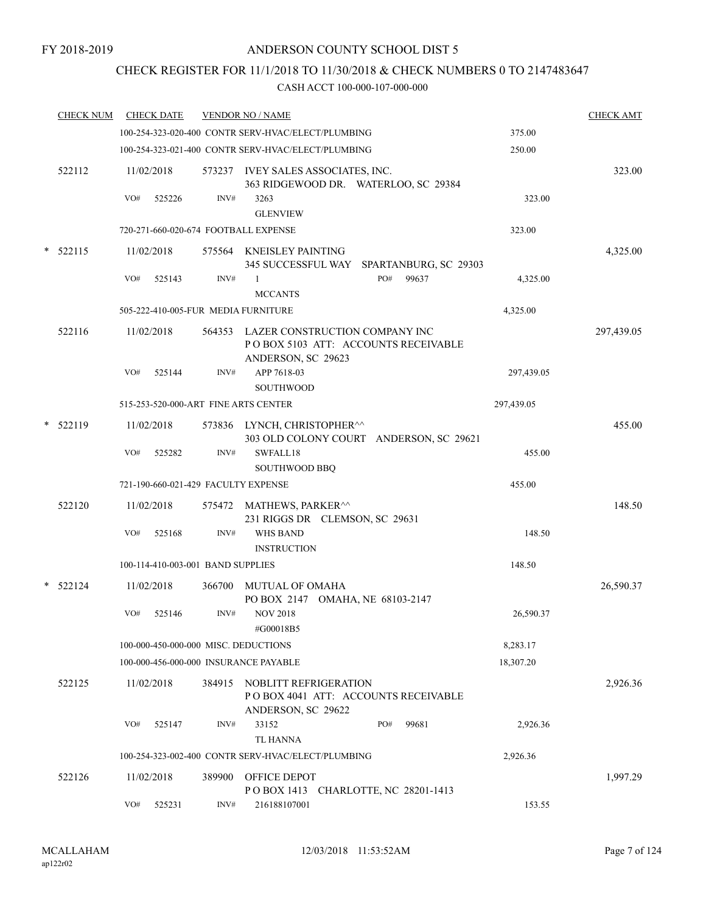# CHECK REGISTER FOR 11/1/2018 TO 11/30/2018 & CHECK NUMBERS 0 TO 2147483647

|        | <b>CHECK NUM</b> |     | <b>CHECK DATE</b>                 |        | <b>VENDOR NO / NAME</b>                                                                            |                                          |            | <b>CHECK AMT</b> |
|--------|------------------|-----|-----------------------------------|--------|----------------------------------------------------------------------------------------------------|------------------------------------------|------------|------------------|
|        |                  |     |                                   |        | 100-254-323-020-400 CONTR SERV-HVAC/ELECT/PLUMBING                                                 |                                          | 375.00     |                  |
|        |                  |     |                                   |        | 100-254-323-021-400 CONTR SERV-HVAC/ELECT/PLUMBING                                                 |                                          | 250.00     |                  |
|        | 522112           |     | 11/02/2018                        |        | 573237 IVEY SALES ASSOCIATES, INC.<br>363 RIDGEWOOD DR. WATERLOO, SC 29384                         |                                          |            | 323.00           |
|        |                  | VO# | 525226                            | INV#   | 3263<br><b>GLENVIEW</b>                                                                            |                                          | 323.00     |                  |
|        |                  |     |                                   |        | 720-271-660-020-674 FOOTBALL EXPENSE                                                               |                                          | 323.00     |                  |
| $\ast$ | 522115           |     | 11/02/2018                        |        | 575564 KNEISLEY PAINTING                                                                           | 345 SUCCESSFUL WAY SPARTANBURG, SC 29303 |            | 4,325.00         |
|        |                  | VO# | 525143                            | INV#   | 1<br><b>MCCANTS</b>                                                                                | PO#<br>99637                             | 4,325.00   |                  |
|        |                  |     |                                   |        | 505-222-410-005-FUR MEDIA FURNITURE                                                                |                                          | 4,325.00   |                  |
|        | 522116           |     | 11/02/2018                        |        | 564353 LAZER CONSTRUCTION COMPANY INC<br>POBOX 5103 ATT: ACCOUNTS RECEIVABLE<br>ANDERSON, SC 29623 |                                          |            | 297,439.05       |
|        |                  | VO# | 525144                            | INV#   | APP 7618-03<br><b>SOUTHWOOD</b>                                                                    |                                          | 297,439.05 |                  |
|        |                  |     |                                   |        | 515-253-520-000-ART FINE ARTS CENTER                                                               |                                          | 297,439.05 |                  |
|        | $*$ 522119       |     | 11/02/2018                        |        | 573836 LYNCH, CHRISTOPHER^^                                                                        | 303 OLD COLONY COURT ANDERSON, SC 29621  |            | 455.00           |
|        |                  | VO# | 525282                            | INV#   | SWFALL18<br><b>SOUTHWOOD BBQ</b>                                                                   |                                          | 455.00     |                  |
|        |                  |     |                                   |        | 721-190-660-021-429 FACULTY EXPENSE                                                                |                                          | 455.00     |                  |
|        | 522120           |     | 11/02/2018                        |        | 575472 MATHEWS, PARKER <sup>^^</sup><br>231 RIGGS DR CLEMSON, SC 29631                             |                                          |            | 148.50           |
|        |                  | VO# | 525168                            | INV#   | <b>WHS BAND</b><br><b>INSTRUCTION</b>                                                              |                                          | 148.50     |                  |
|        |                  |     | 100-114-410-003-001 BAND SUPPLIES |        |                                                                                                    |                                          | 148.50     |                  |
|        | * 522124         |     | 11/02/2018                        |        | 366700 MUTUAL OF OMAHA<br>PO BOX 2147 OMAHA, NE 68103-2147                                         |                                          |            | 26,590.37        |
|        |                  | VO# | 525146                            | INV#   | <b>NOV 2018</b><br>#G00018B5                                                                       |                                          | 26,590.37  |                  |
|        |                  |     |                                   |        | 100-000-450-000-000 MISC. DEDUCTIONS                                                               |                                          | 8,283.17   |                  |
|        |                  |     |                                   |        | 100-000-456-000-000 INSURANCE PAYABLE                                                              |                                          | 18,307.20  |                  |
|        | 522125           |     | 11/02/2018                        | 384915 | NOBLITT REFRIGERATION<br>POBOX 4041 ATT: ACCOUNTS RECEIVABLE<br>ANDERSON, SC 29622                 |                                          |            | 2,926.36         |
|        |                  | VO# | 525147                            | INV#   | 33152                                                                                              | PO#<br>99681                             | 2,926.36   |                  |
|        |                  |     |                                   |        | TL HANNA                                                                                           |                                          |            |                  |
|        |                  |     |                                   |        | 100-254-323-002-400 CONTR SERV-HVAC/ELECT/PLUMBING                                                 |                                          | 2,926.36   |                  |
|        | 522126           |     | 11/02/2018                        | 389900 | OFFICE DEPOT<br>POBOX 1413 CHARLOTTE, NC 28201-1413                                                |                                          |            | 1,997.29         |
|        |                  | VO# | 525231                            | INV#   | 216188107001                                                                                       |                                          | 153.55     |                  |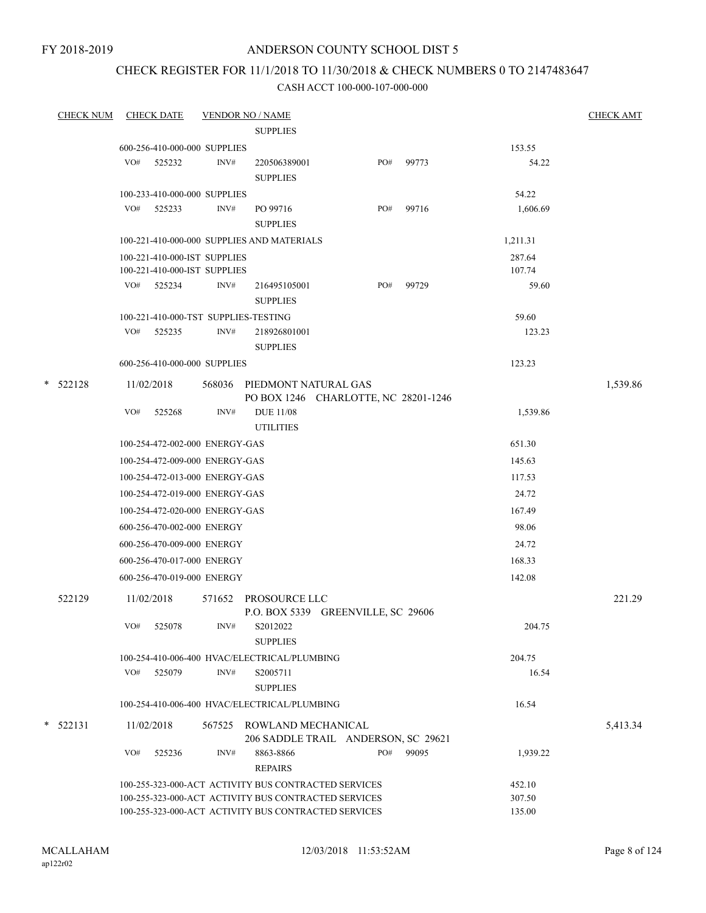FY 2018-2019

## ANDERSON COUNTY SCHOOL DIST 5

# CHECK REGISTER FOR 11/1/2018 TO 11/30/2018 & CHECK NUMBERS 0 TO 2147483647

|   | <b>CHECK NUM</b> |     | <b>CHECK DATE</b>                                  |      | <b>VENDOR NO / NAME</b>                                                                                      |     |           |                  | <b>CHECK AMT</b> |
|---|------------------|-----|----------------------------------------------------|------|--------------------------------------------------------------------------------------------------------------|-----|-----------|------------------|------------------|
|   |                  |     |                                                    |      | <b>SUPPLIES</b>                                                                                              |     |           |                  |                  |
|   |                  |     | 600-256-410-000-000 SUPPLIES                       |      |                                                                                                              |     |           | 153.55           |                  |
|   |                  | VO# | 525232                                             | INV# | 220506389001                                                                                                 | PO# | 99773     | 54.22            |                  |
|   |                  |     |                                                    |      | <b>SUPPLIES</b>                                                                                              |     |           |                  |                  |
|   |                  |     | 100-233-410-000-000 SUPPLIES                       |      |                                                                                                              |     |           | 54.22            |                  |
|   |                  |     | VO# 525233                                         | INV# | PO 99716                                                                                                     | PO# | 99716     | 1,606.69         |                  |
|   |                  |     |                                                    |      | <b>SUPPLIES</b>                                                                                              |     |           |                  |                  |
|   |                  |     |                                                    |      | 100-221-410-000-000 SUPPLIES AND MATERIALS                                                                   |     |           | 1,211.31         |                  |
|   |                  |     | 100-221-410-000-IST SUPPLIES                       |      |                                                                                                              |     |           | 287.64           |                  |
|   |                  |     | 100-221-410-000-IST SUPPLIES                       |      |                                                                                                              |     |           | 107.74           |                  |
|   |                  |     | VO# 525234                                         | INV# | 216495105001                                                                                                 |     | PO# 99729 | 59.60            |                  |
|   |                  |     |                                                    |      | <b>SUPPLIES</b>                                                                                              |     |           |                  |                  |
|   |                  |     | 100-221-410-000-TST SUPPLIES-TESTING<br>VO# 525235 | INV# |                                                                                                              |     |           | 59.60            |                  |
|   |                  |     |                                                    |      | 218926801001<br><b>SUPPLIES</b>                                                                              |     |           | 123.23           |                  |
|   |                  |     | 600-256-410-000-000 SUPPLIES                       |      |                                                                                                              |     |           | 123.23           |                  |
|   |                  |     |                                                    |      |                                                                                                              |     |           |                  |                  |
|   | $*$ 522128       |     | 11/02/2018                                         |      | 568036 PIEDMONT NATURAL GAS                                                                                  |     |           |                  | 1,539.86         |
|   |                  | VO# | 525268                                             | INV# | PO BOX 1246 CHARLOTTE, NC 28201-1246<br><b>DUE 11/08</b>                                                     |     |           | 1,539.86         |                  |
|   |                  |     |                                                    |      | <b>UTILITIES</b>                                                                                             |     |           |                  |                  |
|   |                  |     | 100-254-472-002-000 ENERGY-GAS                     |      |                                                                                                              |     |           | 651.30           |                  |
|   |                  |     | 100-254-472-009-000 ENERGY-GAS                     |      |                                                                                                              |     |           | 145.63           |                  |
|   |                  |     | 100-254-472-013-000 ENERGY-GAS                     |      |                                                                                                              |     |           | 117.53           |                  |
|   |                  |     | 100-254-472-019-000 ENERGY-GAS                     |      |                                                                                                              |     |           | 24.72            |                  |
|   |                  |     |                                                    |      |                                                                                                              |     |           |                  |                  |
|   |                  |     | 100-254-472-020-000 ENERGY-GAS                     |      |                                                                                                              |     |           | 167.49           |                  |
|   |                  |     | 600-256-470-002-000 ENERGY                         |      |                                                                                                              |     |           | 98.06            |                  |
|   |                  |     | 600-256-470-009-000 ENERGY                         |      |                                                                                                              |     |           | 24.72            |                  |
|   |                  |     | 600-256-470-017-000 ENERGY                         |      |                                                                                                              |     |           | 168.33           |                  |
|   |                  |     | 600-256-470-019-000 ENERGY                         |      |                                                                                                              |     |           | 142.08           |                  |
|   | 522129           |     | 11/02/2018                                         |      | 571652 PROSOURCE LLC                                                                                         |     |           |                  | 221.29           |
|   |                  |     |                                                    |      | P.O. BOX 5339 GREENVILLE, SC 29606                                                                           |     |           |                  |                  |
|   |                  | VO# | 525078                                             | INV# | S2012022                                                                                                     |     |           | 204.75           |                  |
|   |                  |     |                                                    |      | <b>SUPPLIES</b>                                                                                              |     |           |                  |                  |
|   |                  |     |                                                    |      | 100-254-410-006-400 HVAC/ELECTRICAL/PLUMBING                                                                 |     |           | 204.75           |                  |
|   |                  | VO# | 525079                                             | INV# | S2005711                                                                                                     |     |           | 16.54            |                  |
|   |                  |     |                                                    |      | <b>SUPPLIES</b>                                                                                              |     |           |                  |                  |
|   |                  |     |                                                    |      | 100-254-410-006-400 HVAC/ELECTRICAL/PLUMBING                                                                 |     |           | 16.54            |                  |
| * | 522131           |     | 11/02/2018                                         |      | 567525 ROWLAND MECHANICAL                                                                                    |     |           |                  | 5,413.34         |
|   |                  |     |                                                    |      | 206 SADDLE TRAIL ANDERSON, SC 29621                                                                          |     |           |                  |                  |
|   |                  | VO# | 525236                                             | INV# | 8863-8866                                                                                                    | PO# | 99095     | 1,939.22         |                  |
|   |                  |     |                                                    |      | <b>REPAIRS</b>                                                                                               |     |           |                  |                  |
|   |                  |     |                                                    |      | 100-255-323-000-ACT ACTIVITY BUS CONTRACTED SERVICES<br>100-255-323-000-ACT ACTIVITY BUS CONTRACTED SERVICES |     |           | 452.10<br>307.50 |                  |
|   |                  |     |                                                    |      | 100-255-323-000-ACT ACTIVITY BUS CONTRACTED SERVICES                                                         |     |           | 135.00           |                  |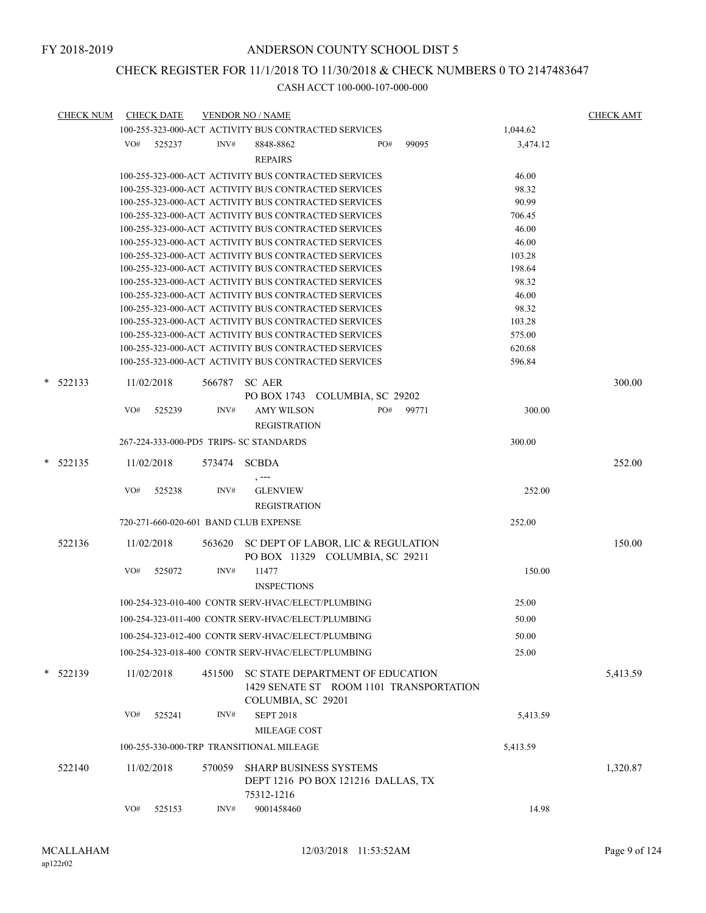# CHECK REGISTER FOR 11/1/2018 TO 11/30/2018 & CHECK NUMBERS 0 TO 2147483647

|   | <b>CHECK NUM</b> |     | <b>CHECK DATE</b> |        | <b>VENDOR NO / NAME</b>                                                           |     |                                         |          | <b>CHECK AMT</b> |
|---|------------------|-----|-------------------|--------|-----------------------------------------------------------------------------------|-----|-----------------------------------------|----------|------------------|
|   |                  |     |                   |        | 100-255-323-000-ACT ACTIVITY BUS CONTRACTED SERVICES                              |     |                                         | 1,044.62 |                  |
|   |                  | VO# | 525237            | INV#   | 8848-8862<br><b>REPAIRS</b>                                                       | PO# | 99095                                   | 3,474.12 |                  |
|   |                  |     |                   |        | 100-255-323-000-ACT ACTIVITY BUS CONTRACTED SERVICES                              |     |                                         | 46.00    |                  |
|   |                  |     |                   |        | 100-255-323-000-ACT ACTIVITY BUS CONTRACTED SERVICES                              |     |                                         | 98.32    |                  |
|   |                  |     |                   |        | 100-255-323-000-ACT ACTIVITY BUS CONTRACTED SERVICES                              |     |                                         | 90.99    |                  |
|   |                  |     |                   |        | 100-255-323-000-ACT ACTIVITY BUS CONTRACTED SERVICES                              |     |                                         | 706.45   |                  |
|   |                  |     |                   |        | 100-255-323-000-ACT ACTIVITY BUS CONTRACTED SERVICES                              |     |                                         | 46.00    |                  |
|   |                  |     |                   |        | 100-255-323-000-ACT ACTIVITY BUS CONTRACTED SERVICES                              |     |                                         | 46.00    |                  |
|   |                  |     |                   |        | 100-255-323-000-ACT ACTIVITY BUS CONTRACTED SERVICES                              |     |                                         | 103.28   |                  |
|   |                  |     |                   |        | 100-255-323-000-ACT ACTIVITY BUS CONTRACTED SERVICES                              |     |                                         | 198.64   |                  |
|   |                  |     |                   |        | 100-255-323-000-ACT ACTIVITY BUS CONTRACTED SERVICES                              |     |                                         | 98.32    |                  |
|   |                  |     |                   |        | 100-255-323-000-ACT ACTIVITY BUS CONTRACTED SERVICES                              |     |                                         | 46.00    |                  |
|   |                  |     |                   |        | 100-255-323-000-ACT ACTIVITY BUS CONTRACTED SERVICES                              |     |                                         | 98.32    |                  |
|   |                  |     |                   |        | 100-255-323-000-ACT ACTIVITY BUS CONTRACTED SERVICES                              |     |                                         | 103.28   |                  |
|   |                  |     |                   |        | 100-255-323-000-ACT ACTIVITY BUS CONTRACTED SERVICES                              |     |                                         | 575.00   |                  |
|   |                  |     |                   |        | 100-255-323-000-ACT ACTIVITY BUS CONTRACTED SERVICES                              |     |                                         | 620.68   |                  |
|   |                  |     |                   |        | 100-255-323-000-ACT ACTIVITY BUS CONTRACTED SERVICES                              |     |                                         | 596.84   |                  |
|   | $*$ 522133       |     | 11/02/2018        | 566787 | SC AER<br>PO BOX 1743 COLUMBIA, SC 29202                                          |     |                                         |          | 300.00           |
|   |                  | VO# | 525239            | INV#   | <b>AMY WILSON</b><br><b>REGISTRATION</b>                                          | PO# | 99771                                   | 300.00   |                  |
|   |                  |     |                   |        | 267-224-333-000-PD5 TRIPS- SC STANDARDS                                           |     |                                         | 300.00   |                  |
|   |                  |     |                   |        |                                                                                   |     |                                         |          |                  |
| * | 522135           |     | 11/02/2018        | 573474 | <b>SCBDA</b><br>, ---                                                             |     |                                         |          | 252.00           |
|   |                  | VO# | 525238            | INV#   | <b>GLENVIEW</b><br><b>REGISTRATION</b>                                            |     |                                         | 252.00   |                  |
|   |                  |     |                   |        | 720-271-660-020-601 BAND CLUB EXPENSE                                             |     |                                         | 252.00   |                  |
|   | 522136           |     | 11/02/2018        | 563620 | SC DEPT OF LABOR, LIC & REGULATION<br>PO BOX 11329 COLUMBIA, SC 29211             |     |                                         |          | 150.00           |
|   |                  | VO# | 525072            | INV#   | 11477<br><b>INSPECTIONS</b>                                                       |     |                                         | 150.00   |                  |
|   |                  |     |                   |        | 100-254-323-010-400 CONTR SERV-HVAC/ELECT/PLUMBING                                |     |                                         | 25.00    |                  |
|   |                  |     |                   |        | 100-254-323-011-400 CONTR SERV-HVAC/ELECT/PLUMBING                                |     |                                         | 50.00    |                  |
|   |                  |     |                   |        | 100-254-323-012-400 CONTR SERV-HVAC/ELECT/PLUMBING                                |     |                                         | 50.00    |                  |
|   |                  |     |                   |        | 100-254-323-018-400 CONTR SERV-HVAC/ELECT/PLUMBING                                |     |                                         | 25.00    |                  |
|   | $*$ 522139       |     | 11/02/2018        | 451500 | SC STATE DEPARTMENT OF EDUCATION<br>COLUMBIA, SC 29201                            |     | 1429 SENATE ST ROOM 1101 TRANSPORTATION |          | 5,413.59         |
|   |                  | VO# | 525241            | INV#   | <b>SEPT 2018</b><br><b>MILEAGE COST</b>                                           |     |                                         | 5,413.59 |                  |
|   |                  |     |                   |        | 100-255-330-000-TRP TRANSITIONAL MILEAGE                                          |     |                                         | 5,413.59 |                  |
|   | 522140           |     | 11/02/2018        | 570059 | <b>SHARP BUSINESS SYSTEMS</b><br>DEPT 1216 PO BOX 121216 DALLAS, TX<br>75312-1216 |     |                                         |          | 1,320.87         |
|   |                  | VO# | 525153            | INV#   | 9001458460                                                                        |     |                                         | 14.98    |                  |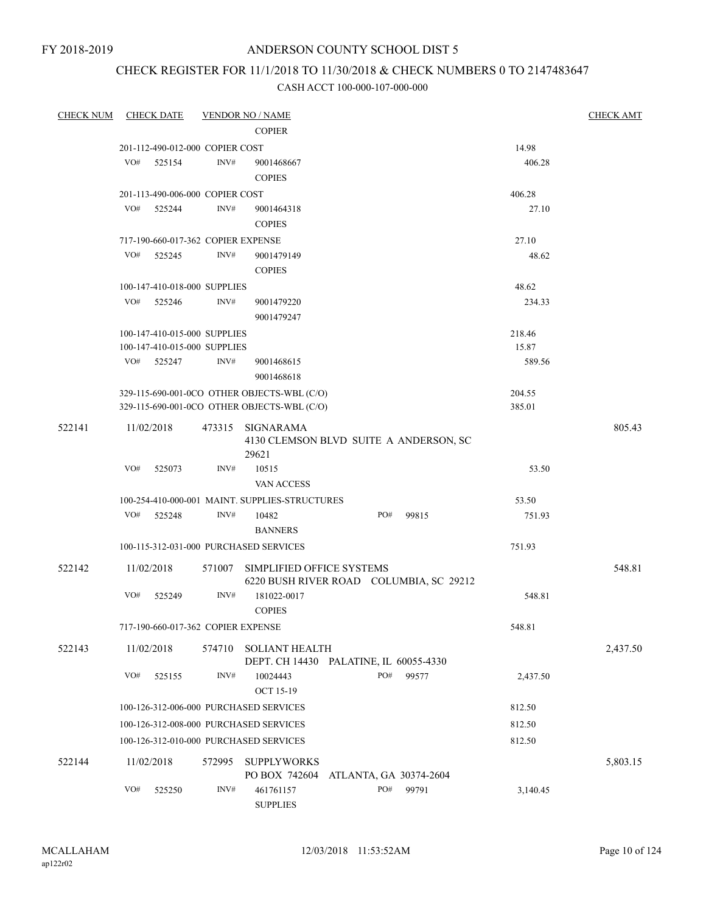FY 2018-2019

## ANDERSON COUNTY SCHOOL DIST 5

# CHECK REGISTER FOR 11/1/2018 TO 11/30/2018 & CHECK NUMBERS 0 TO 2147483647

| <b>CHECK NUM</b> | <b>CHECK DATE</b>               | <b>VENDOR NO / NAME</b>                        |                                                                      | <b>CHECK AMT</b> |
|------------------|---------------------------------|------------------------------------------------|----------------------------------------------------------------------|------------------|
|                  |                                 | <b>COPIER</b>                                  |                                                                      |                  |
|                  | 201-112-490-012-000 COPIER COST |                                                |                                                                      | 14.98            |
|                  | VO#<br>525154                   | INV#<br>9001468667<br><b>COPIES</b>            |                                                                      | 406.28           |
|                  | 201-113-490-006-000 COPIER COST |                                                |                                                                      | 406.28           |
|                  | VO# 525244                      | INV#<br>9001464318<br><b>COPIES</b>            |                                                                      | 27.10            |
|                  |                                 | 717-190-660-017-362 COPIER EXPENSE             |                                                                      | 27.10            |
|                  | VO#<br>525245                   | INV#<br>9001479149<br><b>COPIES</b>            |                                                                      | 48.62            |
|                  | 100-147-410-018-000 SUPPLIES    |                                                |                                                                      | 48.62            |
|                  | VO#<br>525246                   | INV#<br>9001479220<br>9001479247               |                                                                      | 234.33           |
|                  | 100-147-410-015-000 SUPPLIES    |                                                |                                                                      | 218.46           |
|                  | 100-147-410-015-000 SUPPLIES    |                                                |                                                                      | 15.87            |
|                  | VO# 525247                      | INV#<br>9001468615<br>9001468618               |                                                                      | 589.56           |
|                  |                                 | 329-115-690-001-0CO OTHER OBJECTS-WBL (C/O)    |                                                                      | 204.55           |
|                  |                                 | 329-115-690-001-0CO OTHER OBJECTS-WBL (C/O)    |                                                                      | 385.01           |
| 522141           | 11/02/2018                      | 473315 SIGNARAMA<br>29621                      | 4130 CLEMSON BLVD SUITE A ANDERSON, SC                               | 805.43           |
|                  | VO#<br>525073                   | INV#<br>10515<br>VAN ACCESS                    |                                                                      | 53.50            |
|                  |                                 | 100-254-410-000-001 MAINT. SUPPLIES-STRUCTURES |                                                                      | 53.50            |
|                  | VO#<br>525248                   | INV#<br>10482<br><b>BANNERS</b>                | PO#<br>99815                                                         | 751.93           |
|                  |                                 | 100-115-312-031-000 PURCHASED SERVICES         |                                                                      | 751.93           |
| 522142           | 11/02/2018                      | 571007                                         | SIMPLIFIED OFFICE SYSTEMS<br>6220 BUSH RIVER ROAD COLUMBIA, SC 29212 | 548.81           |
|                  | VO#<br>525249                   | INV#<br>181022-0017<br><b>COPIES</b>           |                                                                      | 548.81           |
|                  |                                 | 717-190-660-017-362 COPIER EXPENSE             |                                                                      | 548.81           |
| 522143           | 11/02/2018                      | <b>SOLIANT HEALTH</b><br>574710                | DEPT. CH 14430 PALATINE, IL 60055-4330                               | 2,437.50         |
|                  | VO#<br>525155                   | INV#<br>10024443<br>OCT 15-19                  | PO#<br>99577                                                         | 2,437.50         |
|                  |                                 | 100-126-312-006-000 PURCHASED SERVICES         |                                                                      | 812.50           |
|                  |                                 | 100-126-312-008-000 PURCHASED SERVICES         |                                                                      | 812.50           |
|                  |                                 | 100-126-312-010-000 PURCHASED SERVICES         |                                                                      | 812.50           |
| 522144           | 11/02/2018                      | 572995<br><b>SUPPLYWORKS</b>                   |                                                                      | 5,803.15         |
|                  | VO#<br>525250                   | PO BOX 742604<br>INV#<br>461761157             | ATLANTA, GA 30374-2604<br>PO#<br>99791                               | 3,140.45         |
|                  |                                 | <b>SUPPLIES</b>                                |                                                                      |                  |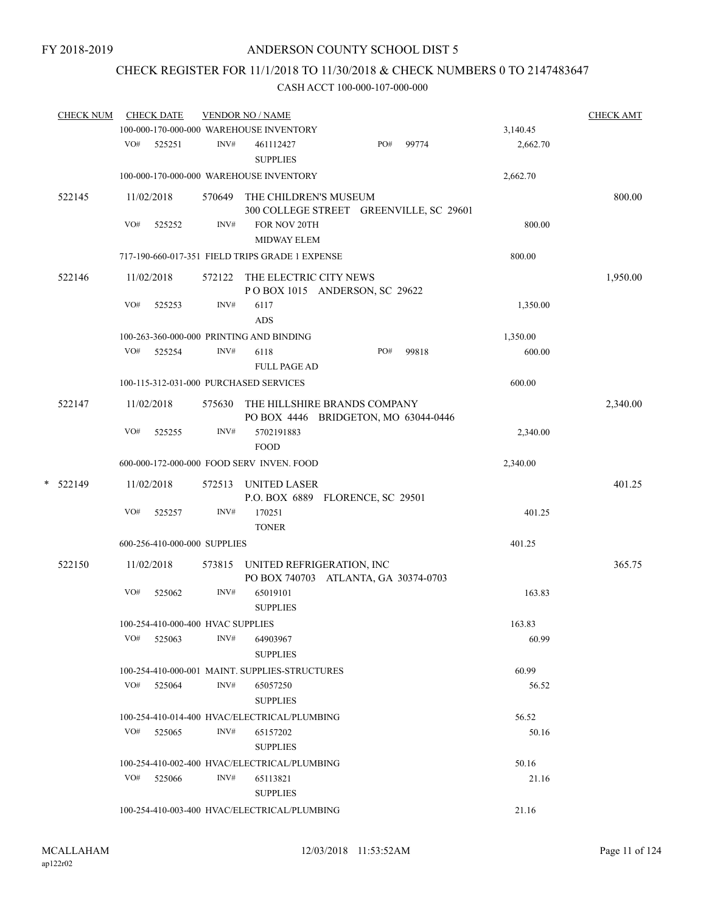# CHECK REGISTER FOR 11/1/2018 TO 11/30/2018 & CHECK NUMBERS 0 TO 2147483647

|   | <b>CHECK NUM</b> |     | <b>CHECK DATE</b>                 |        | <b>VENDOR NO / NAME</b>                                              |     |       |                | <b>CHECK AMT</b> |
|---|------------------|-----|-----------------------------------|--------|----------------------------------------------------------------------|-----|-------|----------------|------------------|
|   |                  |     |                                   |        | 100-000-170-000-000 WAREHOUSE INVENTORY                              |     |       | 3,140.45       |                  |
|   |                  | VO# | 525251                            | INV#   | 461112427<br><b>SUPPLIES</b>                                         | PO# | 99774 | 2,662.70       |                  |
|   |                  |     |                                   |        | 100-000-170-000-000 WAREHOUSE INVENTORY                              |     |       | 2,662.70       |                  |
|   | 522145           |     | 11/02/2018                        | 570649 | THE CHILDREN'S MUSEUM<br>300 COLLEGE STREET GREENVILLE, SC 29601     |     |       |                | 800.00           |
|   |                  | VO# | 525252                            | INV#   | FOR NOV 20TH<br><b>MIDWAY ELEM</b>                                   |     |       | 800.00         |                  |
|   |                  |     |                                   |        | 717-190-660-017-351 FIELD TRIPS GRADE 1 EXPENSE                      |     |       | 800.00         |                  |
|   | 522146           |     | 11/02/2018                        | 572122 | THE ELECTRIC CITY NEWS<br>POBOX 1015 ANDERSON, SC 29622              |     |       |                | 1,950.00         |
|   |                  | VO# | 525253                            | INV#   | 6117<br>ADS                                                          |     |       | 1,350.00       |                  |
|   |                  |     |                                   |        | 100-263-360-000-000 PRINTING AND BINDING                             |     |       | 1,350.00       |                  |
|   |                  | VO# | 525254                            | INV#   | 6118                                                                 | PO# | 99818 | 600.00         |                  |
|   |                  |     |                                   |        | <b>FULL PAGE AD</b>                                                  |     |       |                |                  |
|   |                  |     |                                   |        | 100-115-312-031-000 PURCHASED SERVICES                               |     |       | 600.00         |                  |
|   | 522147           |     | 11/02/2018                        | 575630 | THE HILLSHIRE BRANDS COMPANY<br>PO BOX 4446 BRIDGETON, MO 63044-0446 |     |       |                | 2,340.00         |
|   |                  | VO# | 525255                            | INV#   | 5702191883<br><b>FOOD</b>                                            |     |       | 2,340.00       |                  |
|   |                  |     |                                   |        | 600-000-172-000-000 FOOD SERV INVEN. FOOD                            |     |       | 2,340.00       |                  |
| * | 522149           |     | 11/02/2018                        | 572513 | <b>UNITED LASER</b><br>P.O. BOX 6889 FLORENCE, SC 29501              |     |       |                | 401.25           |
|   |                  | VO# | 525257                            | INV#   | 170251<br><b>TONER</b>                                               |     |       | 401.25         |                  |
|   |                  |     | 600-256-410-000-000 SUPPLIES      |        |                                                                      |     |       | 401.25         |                  |
|   | 522150           |     | 11/02/2018                        | 573815 | UNITED REFRIGERATION, INC<br>PO BOX 740703 ATLANTA, GA 30374-0703    |     |       |                | 365.75           |
|   |                  | VO# | 525062                            | INV#   | 65019101<br><b>SUPPLIES</b>                                          |     |       | 163.83         |                  |
|   |                  |     | 100-254-410-000-400 HVAC SUPPLIES |        |                                                                      |     |       | 163.83         |                  |
|   |                  |     | $VO#$ 525063                      | INV#   | 64903967<br><b>SUPPLIES</b>                                          |     |       | 60.99          |                  |
|   |                  |     |                                   |        | 100-254-410-000-001 MAINT. SUPPLIES-STRUCTURES                       |     |       | 60.99          |                  |
|   |                  |     | VO# 525064                        | INV#   | 65057250<br><b>SUPPLIES</b>                                          |     |       | 56.52          |                  |
|   |                  |     |                                   |        |                                                                      |     |       |                |                  |
|   |                  |     | VO# 525065                        | INV#   | 100-254-410-014-400 HVAC/ELECTRICAL/PLUMBING<br>65157202             |     |       | 56.52<br>50.16 |                  |
|   |                  |     |                                   |        | <b>SUPPLIES</b>                                                      |     |       |                |                  |
|   |                  |     | VO# 525066                        | INV#   | 100-254-410-002-400 HVAC/ELECTRICAL/PLUMBING<br>65113821             |     |       | 50.16<br>21.16 |                  |
|   |                  |     |                                   |        | <b>SUPPLIES</b><br>100-254-410-003-400 HVAC/ELECTRICAL/PLUMBING      |     |       | 21.16          |                  |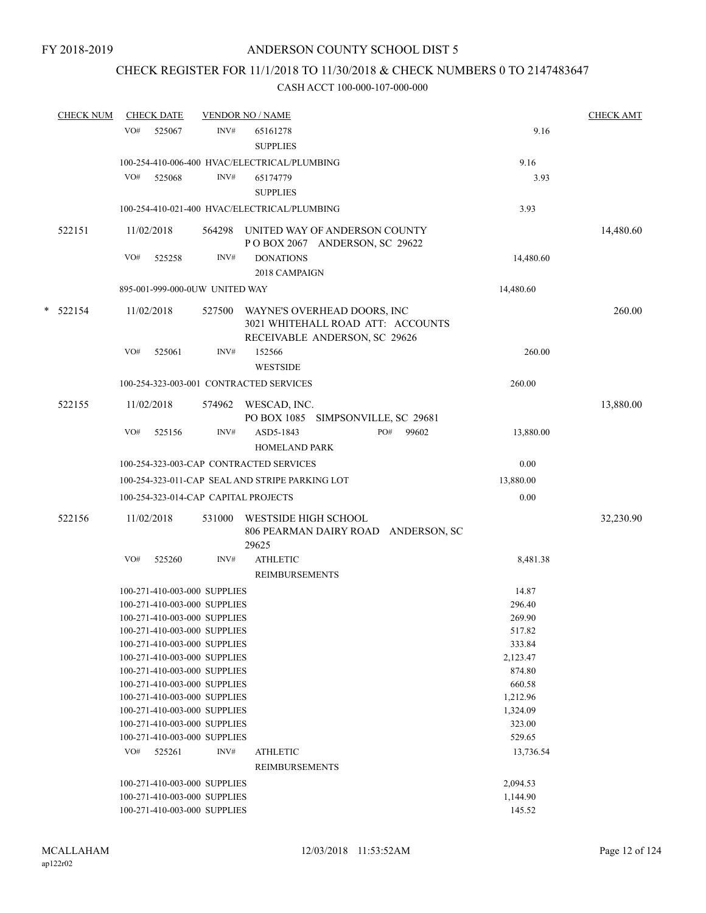# CHECK REGISTER FOR 11/1/2018 TO 11/30/2018 & CHECK NUMBERS 0 TO 2147483647

| <b>CHECK NUM</b> | <b>CHECK DATE</b> |                                      |        | <b>VENDOR NO / NAME</b>                                                                           | <b>CHECK AMT</b> |           |
|------------------|-------------------|--------------------------------------|--------|---------------------------------------------------------------------------------------------------|------------------|-----------|
|                  | VO#               | 525067                               | INV#   | 65161278<br><b>SUPPLIES</b>                                                                       | 9.16             |           |
|                  |                   |                                      |        | 100-254-410-006-400 HVAC/ELECTRICAL/PLUMBING                                                      | 9.16             |           |
|                  | VO#               | 525068                               | INV#   | 65174779                                                                                          | 3.93             |           |
|                  |                   |                                      |        | <b>SUPPLIES</b>                                                                                   |                  |           |
|                  |                   |                                      |        | 100-254-410-021-400 HVAC/ELECTRICAL/PLUMBING                                                      | 3.93             |           |
|                  |                   |                                      |        |                                                                                                   |                  |           |
| 522151           |                   | 11/02/2018                           |        | 564298 UNITED WAY OF ANDERSON COUNTY<br>POBOX 2067 ANDERSON, SC 29622                             |                  | 14,480.60 |
|                  | VO#               | 525258                               | INV#   | <b>DONATIONS</b>                                                                                  | 14,480.60        |           |
|                  |                   |                                      |        | 2018 CAMPAIGN                                                                                     |                  |           |
|                  |                   | 895-001-999-000-0UW UNITED WAY       |        |                                                                                                   | 14,480.60        |           |
|                  |                   |                                      |        |                                                                                                   |                  |           |
| $*$ 522154       |                   | 11/02/2018                           | 527500 | WAYNE'S OVERHEAD DOORS, INC<br>3021 WHITEHALL ROAD ATT: ACCOUNTS<br>RECEIVABLE ANDERSON, SC 29626 |                  | 260.00    |
|                  | VO#               | 525061                               | INV#   | 152566<br><b>WESTSIDE</b>                                                                         | 260.00           |           |
|                  |                   |                                      |        | 100-254-323-003-001 CONTRACTED SERVICES                                                           | 260.00           |           |
|                  |                   |                                      |        |                                                                                                   |                  |           |
| 522155           |                   | 11/02/2018                           | 574962 | WESCAD, INC.<br>PO BOX 1085 SIMPSONVILLE, SC 29681                                                |                  | 13,880.00 |
|                  | VO#               | 525156                               | INV#   | PO#<br>99602<br>ASD5-1843<br><b>HOMELAND PARK</b>                                                 | 13,880.00        |           |
|                  |                   |                                      |        | 100-254-323-003-CAP CONTRACTED SERVICES                                                           | 0.00             |           |
|                  |                   |                                      |        | 100-254-323-011-CAP SEAL AND STRIPE PARKING LOT                                                   | 13,880.00        |           |
|                  |                   | 100-254-323-014-CAP CAPITAL PROJECTS |        |                                                                                                   | 0.00             |           |
|                  |                   |                                      |        |                                                                                                   |                  |           |
| 522156           |                   | 11/02/2018                           | 531000 | WESTSIDE HIGH SCHOOL<br>806 PEARMAN DAIRY ROAD ANDERSON, SC<br>29625                              |                  | 32,230.90 |
|                  | VO#               | 525260                               | INV#   | <b>ATHLETIC</b>                                                                                   | 8,481.38         |           |
|                  |                   |                                      |        | <b>REIMBURSEMENTS</b>                                                                             |                  |           |
|                  |                   | 100-271-410-003-000 SUPPLIES         |        |                                                                                                   | 14.87            |           |
|                  |                   | 100-271-410-003-000 SUPPLIES         |        |                                                                                                   | 296.40           |           |
|                  |                   | 100-271-410-003-000 SUPPLIES         |        |                                                                                                   | 269.90           |           |
|                  |                   | 100-271-410-003-000 SUPPLIES         |        |                                                                                                   | 517.82           |           |
|                  |                   | 100-271-410-003-000 SUPPLIES         |        |                                                                                                   | 333.84           |           |
|                  |                   | 100-271-410-003-000 SUPPLIES         |        |                                                                                                   | 2,123.47         |           |
|                  |                   | 100-271-410-003-000 SUPPLIES         |        |                                                                                                   | 874.80           |           |
|                  |                   | 100-271-410-003-000 SUPPLIES         |        |                                                                                                   | 660.58           |           |
|                  |                   | 100-271-410-003-000 SUPPLIES         |        |                                                                                                   | 1,212.96         |           |
|                  |                   | 100-271-410-003-000 SUPPLIES         |        |                                                                                                   | 1,324.09         |           |
|                  |                   | 100-271-410-003-000 SUPPLIES         |        |                                                                                                   | 323.00           |           |
|                  |                   | 100-271-410-003-000 SUPPLIES         |        |                                                                                                   | 529.65           |           |
|                  | VO#               | 525261                               | INV#   | <b>ATHLETIC</b>                                                                                   | 13,736.54        |           |
|                  |                   |                                      |        | <b>REIMBURSEMENTS</b>                                                                             |                  |           |
|                  |                   | 100-271-410-003-000 SUPPLIES         |        |                                                                                                   | 2,094.53         |           |
|                  |                   | 100-271-410-003-000 SUPPLIES         |        |                                                                                                   | 1,144.90         |           |
|                  |                   | 100-271-410-003-000 SUPPLIES         |        |                                                                                                   | 145.52           |           |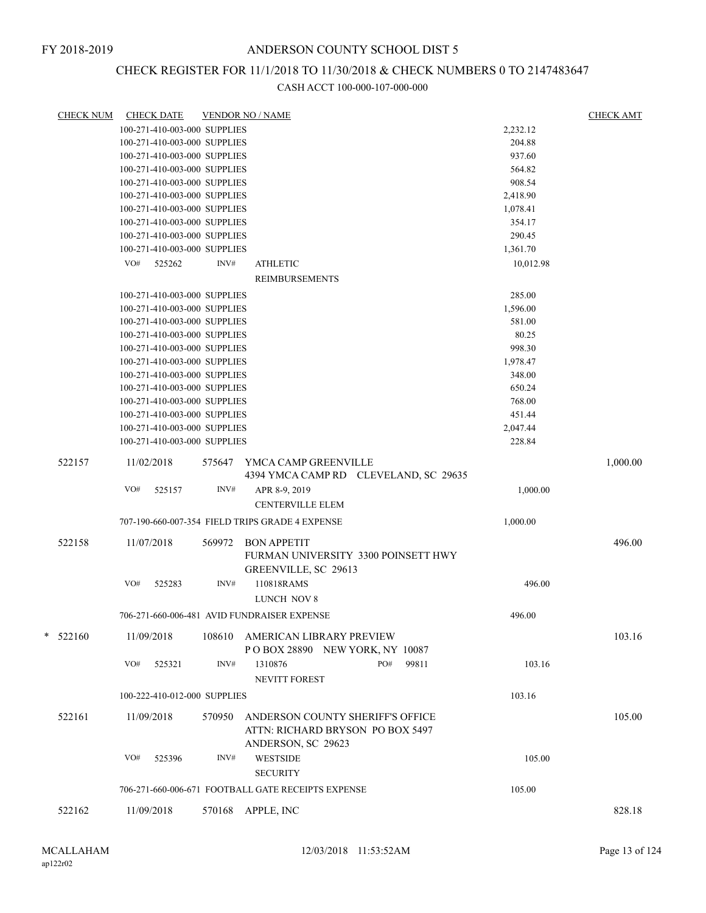# CHECK REGISTER FOR 11/1/2018 TO 11/30/2018 & CHECK NUMBERS 0 TO 2147483647

| <b>CHECK NUM</b> |     | <b>CHECK DATE</b>            |        | <b>VENDOR NO / NAME</b>                                              |           | <b>CHECK AMT</b> |
|------------------|-----|------------------------------|--------|----------------------------------------------------------------------|-----------|------------------|
|                  |     | 100-271-410-003-000 SUPPLIES |        |                                                                      | 2,232.12  |                  |
|                  |     | 100-271-410-003-000 SUPPLIES |        |                                                                      | 204.88    |                  |
|                  |     | 100-271-410-003-000 SUPPLIES |        |                                                                      | 937.60    |                  |
|                  |     | 100-271-410-003-000 SUPPLIES |        |                                                                      | 564.82    |                  |
|                  |     | 100-271-410-003-000 SUPPLIES |        |                                                                      | 908.54    |                  |
|                  |     | 100-271-410-003-000 SUPPLIES |        |                                                                      | 2,418.90  |                  |
|                  |     | 100-271-410-003-000 SUPPLIES |        |                                                                      | 1,078.41  |                  |
|                  |     | 100-271-410-003-000 SUPPLIES |        |                                                                      | 354.17    |                  |
|                  |     | 100-271-410-003-000 SUPPLIES |        |                                                                      | 290.45    |                  |
|                  |     | 100-271-410-003-000 SUPPLIES |        |                                                                      | 1,361.70  |                  |
|                  |     |                              |        |                                                                      |           |                  |
|                  | VO# | 525262                       | INV#   | <b>ATHLETIC</b>                                                      | 10,012.98 |                  |
|                  |     |                              |        | <b>REIMBURSEMENTS</b>                                                |           |                  |
|                  |     | 100-271-410-003-000 SUPPLIES |        |                                                                      | 285.00    |                  |
|                  |     | 100-271-410-003-000 SUPPLIES |        |                                                                      | 1,596.00  |                  |
|                  |     | 100-271-410-003-000 SUPPLIES |        |                                                                      | 581.00    |                  |
|                  |     | 100-271-410-003-000 SUPPLIES |        |                                                                      | 80.25     |                  |
|                  |     | 100-271-410-003-000 SUPPLIES |        |                                                                      | 998.30    |                  |
|                  |     | 100-271-410-003-000 SUPPLIES |        |                                                                      | 1,978.47  |                  |
|                  |     | 100-271-410-003-000 SUPPLIES |        |                                                                      | 348.00    |                  |
|                  |     | 100-271-410-003-000 SUPPLIES |        |                                                                      | 650.24    |                  |
|                  |     | 100-271-410-003-000 SUPPLIES |        |                                                                      | 768.00    |                  |
|                  |     | 100-271-410-003-000 SUPPLIES |        |                                                                      | 451.44    |                  |
|                  |     | 100-271-410-003-000 SUPPLIES |        |                                                                      | 2,047.44  |                  |
|                  |     | 100-271-410-003-000 SUPPLIES |        |                                                                      | 228.84    |                  |
|                  |     |                              |        |                                                                      |           |                  |
| 522157           |     | 11/02/2018                   |        | 575647 YMCA CAMP GREENVILLE<br>4394 YMCA CAMP RD CLEVELAND, SC 29635 |           | 1,000.00         |
|                  | VO# | 525157                       | INV#   | APR 8-9, 2019                                                        | 1,000.00  |                  |
|                  |     |                              |        | <b>CENTERVILLE ELEM</b>                                              |           |                  |
|                  |     |                              |        |                                                                      |           |                  |
|                  |     |                              |        | 707-190-660-007-354 FIELD TRIPS GRADE 4 EXPENSE                      | 1,000.00  |                  |
| 522158           |     | 11/07/2018                   | 569972 | <b>BON APPETIT</b>                                                   |           | 496.00           |
|                  |     |                              |        | FURMAN UNIVERSITY 3300 POINSETT HWY                                  |           |                  |
|                  |     |                              |        | GREENVILLE, SC 29613                                                 |           |                  |
|                  | VO# | 525283                       | INV#   | 110818RAMS                                                           | 496.00    |                  |
|                  |     |                              |        |                                                                      |           |                  |
|                  |     |                              |        | LUNCH NOV 8                                                          |           |                  |
|                  |     |                              |        | 706-271-660-006-481 AVID FUNDRAISER EXPENSE                          | 496.00    |                  |
| $* 522160$       |     | 11/09/2018                   | 108610 | AMERICAN LIBRARY PREVIEW                                             |           | 103.16           |
|                  |     |                              |        | POBOX 28890 NEW YORK, NY 10087                                       |           |                  |
|                  | VO# | 525321                       | INV#   | 1310876<br>PO#<br>99811                                              | 103.16    |                  |
|                  |     |                              |        | <b>NEVITT FOREST</b>                                                 |           |                  |
|                  |     |                              |        |                                                                      |           |                  |
|                  |     | 100-222-410-012-000 SUPPLIES |        |                                                                      | 103.16    |                  |
| 522161           |     | 11/09/2018                   | 570950 | ANDERSON COUNTY SHERIFF'S OFFICE                                     |           | 105.00           |
|                  |     |                              |        | ATTN: RICHARD BRYSON PO BOX 5497                                     |           |                  |
|                  |     |                              |        | ANDERSON, SC 29623                                                   |           |                  |
|                  | VO# | 525396                       | INV#   | <b>WESTSIDE</b>                                                      | 105.00    |                  |
|                  |     |                              |        | <b>SECURITY</b>                                                      |           |                  |
|                  |     |                              |        |                                                                      |           |                  |
|                  |     |                              |        | 706-271-660-006-671 FOOTBALL GATE RECEIPTS EXPENSE                   | 105.00    |                  |
| 522162           |     | 11/09/2018                   | 570168 | APPLE, INC                                                           |           | 828.18           |
|                  |     |                              |        |                                                                      |           |                  |
|                  |     |                              |        |                                                                      |           |                  |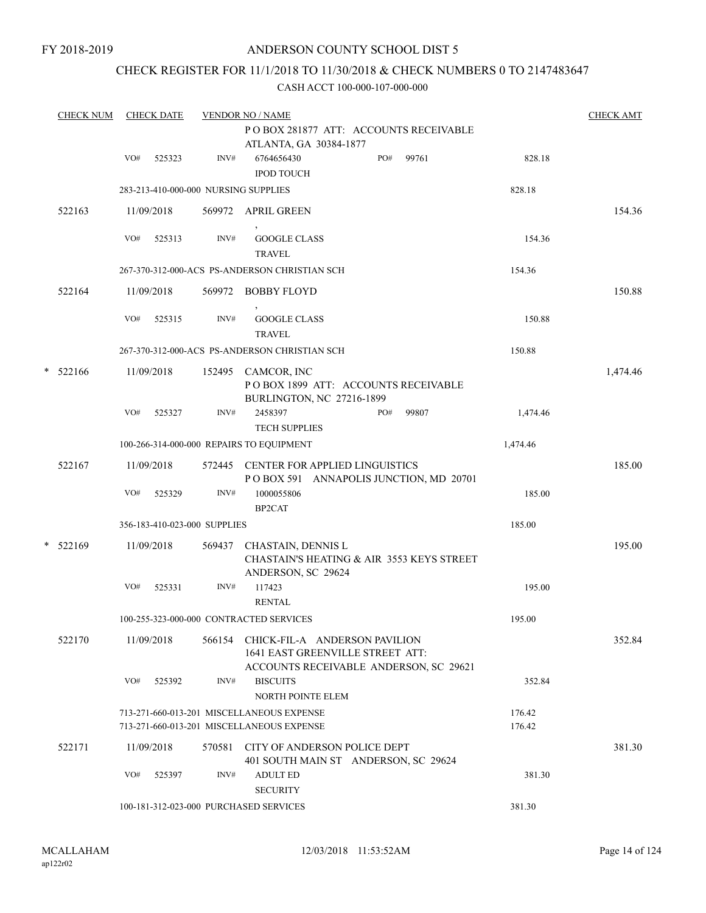## CHECK REGISTER FOR 11/1/2018 TO 11/30/2018 & CHECK NUMBERS 0 TO 2147483647

|   | <b>CHECK NUM</b> |     | <b>CHECK DATE</b> |                              | <b>VENDOR NO / NAME</b>                                                                                            |                  | <b>CHECK AMT</b> |
|---|------------------|-----|-------------------|------------------------------|--------------------------------------------------------------------------------------------------------------------|------------------|------------------|
|   |                  |     |                   |                              | POBOX 281877 ATT: ACCOUNTS RECEIVABLE<br>ATLANTA, GA 30384-1877                                                    |                  |                  |
|   |                  | VO# | 525323            | INV#                         | PO#<br>6764656430<br>99761<br><b>IPOD TOUCH</b>                                                                    | 828.18           |                  |
|   |                  |     |                   |                              | 283-213-410-000-000 NURSING SUPPLIES                                                                               | 828.18           |                  |
|   | 522163           |     | 11/09/2018        | 569972                       | <b>APRIL GREEN</b>                                                                                                 |                  | 154.36           |
|   |                  | VO# | 525313            | INV#                         | <b>GOOGLE CLASS</b><br><b>TRAVEL</b>                                                                               | 154.36           |                  |
|   |                  |     |                   |                              | 267-370-312-000-ACS PS-ANDERSON CHRISTIAN SCH                                                                      | 154.36           |                  |
|   | 522164           |     | 11/09/2018        | 569972                       | <b>BOBBY FLOYD</b>                                                                                                 |                  | 150.88           |
|   |                  | VO# | 525315            | INV#                         | <b>GOOGLE CLASS</b><br><b>TRAVEL</b>                                                                               | 150.88           |                  |
|   |                  |     |                   |                              | 267-370-312-000-ACS PS-ANDERSON CHRISTIAN SCH                                                                      | 150.88           |                  |
| * | 522166           |     | 11/09/2018        |                              | 152495 CAMCOR, INC<br>POBOX 1899 ATT: ACCOUNTS RECEIVABLE<br>BURLINGTON, NC 27216-1899                             |                  | 1,474.46         |
|   |                  | VO# | 525327            | INV#                         | 2458397<br>PO#<br>99807<br><b>TECH SUPPLIES</b>                                                                    | 1,474.46         |                  |
|   |                  |     |                   |                              | 100-266-314-000-000 REPAIRS TO EQUIPMENT                                                                           | 1,474.46         |                  |
|   | 522167           |     | 11/09/2018        | 572445                       | <b>CENTER FOR APPLIED LINGUISTICS</b><br>POBOX 591 ANNAPOLIS JUNCTION, MD 20701                                    |                  | 185.00           |
|   |                  | VO# | 525329            | INV#                         | 1000055806<br>BP2CAT                                                                                               | 185.00           |                  |
|   |                  |     |                   | 356-183-410-023-000 SUPPLIES |                                                                                                                    | 185.00           |                  |
|   | $* 522169$       |     | 11/09/2018        | 569437                       | CHASTAIN, DENNIS L<br><b>CHASTAIN'S HEATING &amp; AIR 3553 KEYS STREET</b><br>ANDERSON, SC 29624                   |                  | 195.00           |
|   |                  | VO# | 525331            | INV#                         | 117423<br><b>RENTAL</b>                                                                                            | 195.00           |                  |
|   |                  |     |                   |                              | 100-255-323-000-000 CONTRACTED SERVICES                                                                            | 195.00           |                  |
|   | 522170           |     | 11/09/2018        |                              | 566154 CHICK-FIL-A ANDERSON PAVILION<br>1641 EAST GREENVILLE STREET ATT:<br>ACCOUNTS RECEIVABLE ANDERSON, SC 29621 |                  | 352.84           |
|   |                  | VO# | 525392            | INV#                         | <b>BISCUITS</b><br>NORTH POINTE ELEM                                                                               | 352.84           |                  |
|   |                  |     |                   |                              | 713-271-660-013-201 MISCELLANEOUS EXPENSE<br>713-271-660-013-201 MISCELLANEOUS EXPENSE                             | 176.42<br>176.42 |                  |
|   | 522171           |     | 11/09/2018        | 570581                       | CITY OF ANDERSON POLICE DEPT<br>401 SOUTH MAIN ST ANDERSON, SC 29624                                               |                  | 381.30           |
|   |                  | VO# | 525397            | INV#                         | <b>ADULT ED</b><br><b>SECURITY</b>                                                                                 | 381.30           |                  |
|   |                  |     |                   |                              | 100-181-312-023-000 PURCHASED SERVICES                                                                             | 381.30           |                  |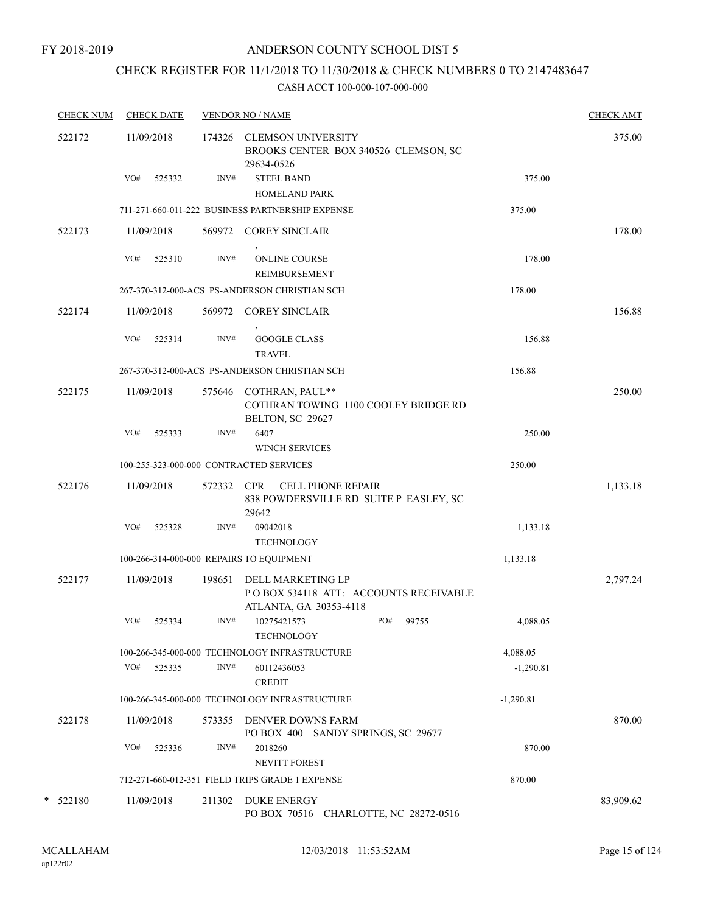# CHECK REGISTER FOR 11/1/2018 TO 11/30/2018 & CHECK NUMBERS 0 TO 2147483647

| <b>CHECK NUM</b> | <b>CHECK DATE</b> |        | <b>VENDOR NO / NAME</b>                                                              |             | <b>CHECK AMT</b> |
|------------------|-------------------|--------|--------------------------------------------------------------------------------------|-------------|------------------|
| 522172           | 11/09/2018        | 174326 | <b>CLEMSON UNIVERSITY</b><br>BROOKS CENTER BOX 340526 CLEMSON, SC<br>29634-0526      |             | 375.00           |
|                  | VO#<br>525332     | INV#   | <b>STEEL BAND</b>                                                                    | 375.00      |                  |
|                  |                   |        | <b>HOMELAND PARK</b>                                                                 |             |                  |
|                  |                   |        | 711-271-660-011-222 BUSINESS PARTNERSHIP EXPENSE                                     | 375.00      |                  |
| 522173           | 11/09/2018        | 569972 | <b>COREY SINCLAIR</b>                                                                |             | 178.00           |
|                  | VO#<br>525310     | INV#   | <b>ONLINE COURSE</b><br>REIMBURSEMENT                                                | 178.00      |                  |
|                  |                   |        | 267-370-312-000-ACS PS-ANDERSON CHRISTIAN SCH                                        | 178.00      |                  |
| 522174           | 11/09/2018        | 569972 | <b>COREY SINCLAIR</b>                                                                |             | 156.88           |
|                  | VO#<br>525314     | INV#   | <b>GOOGLE CLASS</b><br><b>TRAVEL</b>                                                 | 156.88      |                  |
|                  |                   |        | 267-370-312-000-ACS PS-ANDERSON CHRISTIAN SCH                                        | 156.88      |                  |
| 522175           | 11/09/2018        | 575646 | COTHRAN, PAUL**<br>COTHRAN TOWING 1100 COOLEY BRIDGE RD<br>BELTON, SC 29627          |             | 250.00           |
|                  | VO#<br>525333     | INV#   | 6407<br><b>WINCH SERVICES</b>                                                        | 250.00      |                  |
|                  |                   |        | 100-255-323-000-000 CONTRACTED SERVICES                                              | 250.00      |                  |
| 522176           | 11/09/2018        | 572332 | <b>CPR</b><br><b>CELL PHONE REPAIR</b><br>838 POWDERSVILLE RD SUITE P EASLEY, SC     |             | 1,133.18         |
|                  | VO#<br>525328     | INV#   | 29642<br>09042018<br><b>TECHNOLOGY</b>                                               | 1,133.18    |                  |
|                  |                   |        | 100-266-314-000-000 REPAIRS TO EQUIPMENT                                             | 1,133.18    |                  |
| 522177           | 11/09/2018        | 198651 | DELL MARKETING LP<br>POBOX 534118 ATT: ACCOUNTS RECEIVABLE<br>ATLANTA, GA 30353-4118 |             | 2,797.24         |
|                  | VO#<br>525334     | INV#   | 10275421573<br>PO#<br>99755<br><b>TECHNOLOGY</b>                                     | 4,088.05    |                  |
|                  |                   |        | 100-266-345-000-000 TECHNOLOGY INFRASTRUCTURE                                        | 4,088.05    |                  |
|                  | VO#<br>525335     | INV#   | 60112436053<br><b>CREDIT</b>                                                         | $-1,290.81$ |                  |
|                  |                   |        | 100-266-345-000-000 TECHNOLOGY INFRASTRUCTURE                                        | $-1,290.81$ |                  |
| 522178           | 11/09/2018        |        | 573355 DENVER DOWNS FARM<br>PO BOX 400 SANDY SPRINGS, SC 29677                       |             | 870.00           |
|                  | VO#<br>525336     | INV#   | 2018260<br><b>NEVITT FOREST</b>                                                      | 870.00      |                  |
|                  |                   |        | 712-271-660-012-351 FIELD TRIPS GRADE 1 EXPENSE                                      | 870.00      |                  |
| * 522180         | 11/09/2018        | 211302 | <b>DUKE ENERGY</b><br>PO BOX 70516 CHARLOTTE, NC 28272-0516                          |             | 83,909.62        |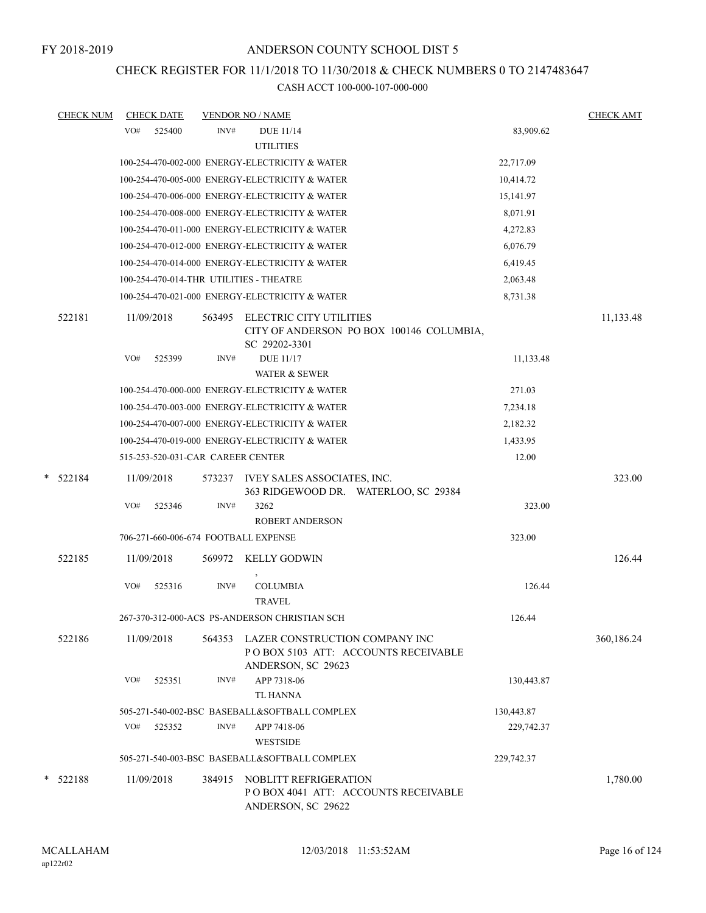# CHECK REGISTER FOR 11/1/2018 TO 11/30/2018 & CHECK NUMBERS 0 TO 2147483647

| <b>CHECK NUM</b> | <b>CHECK DATE</b>                              |        | <b>VENDOR NO / NAME</b>                      |                                                                               |            | <b>CHECK AMT</b> |
|------------------|------------------------------------------------|--------|----------------------------------------------|-------------------------------------------------------------------------------|------------|------------------|
|                  | VO#<br>525400                                  | INV#   | <b>DUE 11/14</b><br><b>UTILITIES</b>         |                                                                               | 83,909.62  |                  |
|                  | 100-254-470-002-000 ENERGY-ELECTRICITY & WATER |        |                                              |                                                                               | 22,717.09  |                  |
|                  | 100-254-470-005-000 ENERGY-ELECTRICITY & WATER |        |                                              |                                                                               | 10,414.72  |                  |
|                  | 100-254-470-006-000 ENERGY-ELECTRICITY & WATER |        |                                              |                                                                               | 15,141.97  |                  |
|                  | 100-254-470-008-000 ENERGY-ELECTRICITY & WATER |        |                                              |                                                                               | 8,071.91   |                  |
|                  | 100-254-470-011-000 ENERGY-ELECTRICITY & WATER |        |                                              |                                                                               | 4,272.83   |                  |
|                  | 100-254-470-012-000 ENERGY-ELECTRICITY & WATER |        |                                              |                                                                               | 6,076.79   |                  |
|                  | 100-254-470-014-000 ENERGY-ELECTRICITY & WATER |        |                                              |                                                                               | 6,419.45   |                  |
|                  | 100-254-470-014-THR UTILITIES - THEATRE        |        |                                              |                                                                               | 2,063.48   |                  |
|                  | 100-254-470-021-000 ENERGY-ELECTRICITY & WATER |        |                                              |                                                                               | 8,731.38   |                  |
| 522181           | 11/09/2018                                     | 563495 | SC 29202-3301                                | ELECTRIC CITY UTILITIES<br>CITY OF ANDERSON PO BOX 100146 COLUMBIA,           |            | 11,133.48        |
|                  | VO#<br>525399                                  | INV#   | <b>DUE 11/17</b><br><b>WATER &amp; SEWER</b> |                                                                               | 11,133.48  |                  |
|                  | 100-254-470-000-000 ENERGY-ELECTRICITY & WATER |        |                                              |                                                                               | 271.03     |                  |
|                  | 100-254-470-003-000 ENERGY-ELECTRICITY & WATER |        |                                              |                                                                               | 7,234.18   |                  |
|                  | 100-254-470-007-000 ENERGY-ELECTRICITY & WATER |        |                                              |                                                                               | 2,182.32   |                  |
|                  | 100-254-470-019-000 ENERGY-ELECTRICITY & WATER |        |                                              |                                                                               | 1,433.95   |                  |
|                  | 515-253-520-031-CAR CAREER CENTER              |        |                                              |                                                                               | 12.00      |                  |
| * 522184         | 11/09/2018                                     | 573237 |                                              | IVEY SALES ASSOCIATES, INC.<br>363 RIDGEWOOD DR. WATERLOO, SC 29384           |            | 323.00           |
|                  | VO#<br>525346                                  | INV#   | 3262                                         |                                                                               | 323.00     |                  |
|                  |                                                |        | <b>ROBERT ANDERSON</b>                       |                                                                               |            |                  |
|                  | 706-271-660-006-674 FOOTBALL EXPENSE           |        |                                              |                                                                               | 323.00     |                  |
| 522185           | 11/09/2018                                     | 569972 | <b>KELLY GODWIN</b>                          |                                                                               |            | 126.44           |
|                  | VO#<br>525316                                  | INV#   | <b>COLUMBIA</b><br><b>TRAVEL</b>             |                                                                               | 126.44     |                  |
|                  | 267-370-312-000-ACS PS-ANDERSON CHRISTIAN SCH  |        |                                              |                                                                               | 126.44     |                  |
| 522186           | 11/09/2018                                     |        | ANDERSON, SC 29623                           | 564353 LAZER CONSTRUCTION COMPANY INC<br>PO BOX 5103 ATT: ACCOUNTS RECEIVABLE |            | 360,186.24       |
|                  | VO#<br>525351                                  | INV#   | APP 7318-06<br><b>TL HANNA</b>               |                                                                               | 130,443.87 |                  |
|                  | 505-271-540-002-BSC BASEBALL&SOFTBALL COMPLEX  |        |                                              |                                                                               | 130,443.87 |                  |
|                  | VO#<br>525352                                  | INV#   | APP 7418-06                                  |                                                                               | 229,742.37 |                  |
|                  |                                                |        | <b>WESTSIDE</b>                              |                                                                               |            |                  |
|                  | 505-271-540-003-BSC BASEBALL&SOFTBALL COMPLEX  |        |                                              |                                                                               | 229,742.37 |                  |
| $*$ 522188       | 11/09/2018                                     | 384915 | ANDERSON, SC 29622                           | NOBLITT REFRIGERATION<br>POBOX 4041 ATT: ACCOUNTS RECEIVABLE                  |            | 1,780.00         |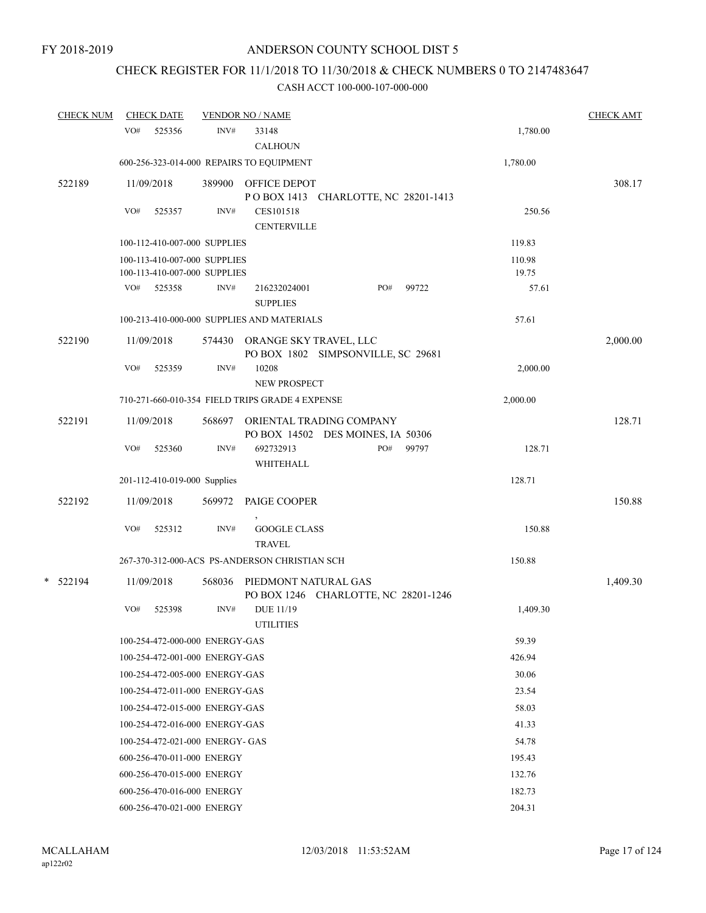# CHECK REGISTER FOR 11/1/2018 TO 11/30/2018 & CHECK NUMBERS 0 TO 2147483647

| <b>CHECK NUM</b> | <b>CHECK DATE</b> |                                      | <b>VENDOR NO / NAME</b>                         |                                      |       |          | <b>CHECK AMT</b> |
|------------------|-------------------|--------------------------------------|-------------------------------------------------|--------------------------------------|-------|----------|------------------|
|                  | VO#<br>525356     | INV#                                 | 33148                                           |                                      |       | 1,780.00 |                  |
|                  |                   |                                      | <b>CALHOUN</b>                                  |                                      |       |          |                  |
|                  |                   |                                      | 600-256-323-014-000 REPAIRS TO EQUIPMENT        |                                      |       | 1,780.00 |                  |
| 522189           | 11/09/2018        | 389900                               | OFFICE DEPOT                                    |                                      |       |          | 308.17           |
|                  |                   |                                      |                                                 | POBOX 1413 CHARLOTTE, NC 28201-1413  |       |          |                  |
|                  | VO#<br>525357     | INV#                                 | CES101518                                       |                                      |       | 250.56   |                  |
|                  |                   |                                      | <b>CENTERVILLE</b>                              |                                      |       |          |                  |
|                  |                   | 100-112-410-007-000 SUPPLIES         |                                                 |                                      |       | 119.83   |                  |
|                  |                   | 100-113-410-007-000 SUPPLIES         |                                                 |                                      |       | 110.98   |                  |
|                  |                   | 100-113-410-007-000 SUPPLIES<br>INV# |                                                 | PO#                                  |       | 19.75    |                  |
|                  | VO#<br>525358     |                                      | 216232024001<br><b>SUPPLIES</b>                 |                                      | 99722 | 57.61    |                  |
|                  |                   |                                      | 100-213-410-000-000 SUPPLIES AND MATERIALS      |                                      |       | 57.61    |                  |
| 522190           | 11/09/2018        |                                      | 574430 ORANGE SKY TRAVEL, LLC                   | PO BOX 1802 SIMPSONVILLE, SC 29681   |       |          | 2,000.00         |
|                  | VO#<br>525359     | INV#                                 | 10208<br><b>NEW PROSPECT</b>                    |                                      |       | 2,000.00 |                  |
|                  |                   |                                      | 710-271-660-010-354 FIELD TRIPS GRADE 4 EXPENSE |                                      |       | 2,000.00 |                  |
| 522191           | 11/09/2018        | 568697                               |                                                 | ORIENTAL TRADING COMPANY             |       |          | 128.71           |
|                  |                   |                                      |                                                 | PO BOX 14502 DES MOINES, IA 50306    |       |          |                  |
|                  | VO#<br>525360     | INV#                                 | 692732913                                       | PO#                                  | 99797 | 128.71   |                  |
|                  |                   |                                      | WHITEHALL                                       |                                      |       |          |                  |
|                  |                   | 201-112-410-019-000 Supplies         |                                                 |                                      |       | 128.71   |                  |
| 522192           | 11/09/2018        | 569972                               | PAIGE COOPER                                    |                                      |       |          | 150.88           |
|                  | VO#<br>525312     | INV#                                 | <b>GOOGLE CLASS</b><br><b>TRAVEL</b>            |                                      |       | 150.88   |                  |
|                  |                   |                                      | 267-370-312-000-ACS PS-ANDERSON CHRISTIAN SCH   |                                      |       | 150.88   |                  |
| * 522194         | 11/09/2018        | 568036                               | PIEDMONT NATURAL GAS                            |                                      |       |          | 1,409.30         |
|                  | VO#               | INV#                                 | <b>DUE 11/19</b>                                | PO BOX 1246 CHARLOTTE, NC 28201-1246 |       |          |                  |
|                  | 525398            |                                      | <b>UTILITIES</b>                                |                                      |       | 1,409.30 |                  |
|                  |                   | 100-254-472-000-000 ENERGY-GAS       |                                                 |                                      |       | 59.39    |                  |
|                  |                   | 100-254-472-001-000 ENERGY-GAS       |                                                 |                                      |       | 426.94   |                  |
|                  |                   | 100-254-472-005-000 ENERGY-GAS       |                                                 |                                      |       | 30.06    |                  |
|                  |                   | 100-254-472-011-000 ENERGY-GAS       |                                                 |                                      |       | 23.54    |                  |
|                  |                   | 100-254-472-015-000 ENERGY-GAS       |                                                 |                                      |       | 58.03    |                  |
|                  |                   |                                      |                                                 |                                      |       | 41.33    |                  |
|                  |                   | 100-254-472-016-000 ENERGY-GAS       |                                                 |                                      |       |          |                  |
|                  |                   | 100-254-472-021-000 ENERGY- GAS      |                                                 |                                      |       | 54.78    |                  |
|                  |                   | 600-256-470-011-000 ENERGY           |                                                 |                                      |       | 195.43   |                  |
|                  |                   | 600-256-470-015-000 ENERGY           |                                                 |                                      |       | 132.76   |                  |
|                  |                   | 600-256-470-016-000 ENERGY           |                                                 |                                      |       | 182.73   |                  |
|                  |                   | 600-256-470-021-000 ENERGY           |                                                 |                                      |       | 204.31   |                  |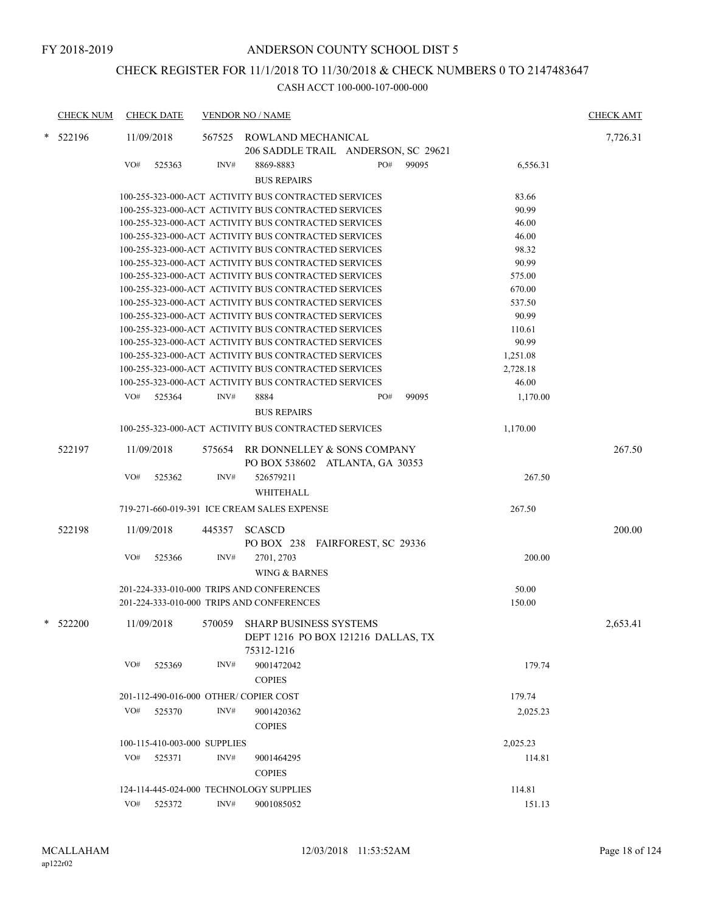# CHECK REGISTER FOR 11/1/2018 TO 11/30/2018 & CHECK NUMBERS 0 TO 2147483647

|   | <b>CHECK NUM</b> |            | <b>CHECK DATE</b>            |        | <b>VENDOR NO / NAME</b>                              |     |       |          | <b>CHECK AMT</b> |
|---|------------------|------------|------------------------------|--------|------------------------------------------------------|-----|-------|----------|------------------|
| * | 522196           | 11/09/2018 |                              | 567525 | ROWLAND MECHANICAL                                   |     |       |          | 7,726.31         |
|   |                  |            |                              |        | 206 SADDLE TRAIL ANDERSON, SC 29621                  |     |       |          |                  |
|   |                  | VO#        | 525363                       | INV#   | 8869-8883                                            | PO# | 99095 | 6,556.31 |                  |
|   |                  |            |                              |        | <b>BUS REPAIRS</b>                                   |     |       |          |                  |
|   |                  |            |                              |        | 100-255-323-000-ACT ACTIVITY BUS CONTRACTED SERVICES |     |       | 83.66    |                  |
|   |                  |            |                              |        | 100-255-323-000-ACT ACTIVITY BUS CONTRACTED SERVICES |     |       | 90.99    |                  |
|   |                  |            |                              |        | 100-255-323-000-ACT ACTIVITY BUS CONTRACTED SERVICES |     |       | 46.00    |                  |
|   |                  |            |                              |        | 100-255-323-000-ACT ACTIVITY BUS CONTRACTED SERVICES |     |       | 46.00    |                  |
|   |                  |            |                              |        | 100-255-323-000-ACT ACTIVITY BUS CONTRACTED SERVICES |     |       | 98.32    |                  |
|   |                  |            |                              |        | 100-255-323-000-ACT ACTIVITY BUS CONTRACTED SERVICES |     |       | 90.99    |                  |
|   |                  |            |                              |        | 100-255-323-000-ACT ACTIVITY BUS CONTRACTED SERVICES |     |       | 575.00   |                  |
|   |                  |            |                              |        | 100-255-323-000-ACT ACTIVITY BUS CONTRACTED SERVICES |     |       | 670.00   |                  |
|   |                  |            |                              |        | 100-255-323-000-ACT ACTIVITY BUS CONTRACTED SERVICES |     |       | 537.50   |                  |
|   |                  |            |                              |        | 100-255-323-000-ACT ACTIVITY BUS CONTRACTED SERVICES |     |       | 90.99    |                  |
|   |                  |            |                              |        | 100-255-323-000-ACT ACTIVITY BUS CONTRACTED SERVICES |     |       | 110.61   |                  |
|   |                  |            |                              |        | 100-255-323-000-ACT ACTIVITY BUS CONTRACTED SERVICES |     |       | 90.99    |                  |
|   |                  |            |                              |        | 100-255-323-000-ACT ACTIVITY BUS CONTRACTED SERVICES |     |       | 1,251.08 |                  |
|   |                  |            |                              |        | 100-255-323-000-ACT ACTIVITY BUS CONTRACTED SERVICES |     |       | 2,728.18 |                  |
|   |                  |            |                              |        | 100-255-323-000-ACT ACTIVITY BUS CONTRACTED SERVICES |     |       | 46.00    |                  |
|   |                  | VO#        | 525364                       | INV#   | 8884                                                 | PO# | 99095 | 1,170.00 |                  |
|   |                  |            |                              |        | <b>BUS REPAIRS</b>                                   |     |       |          |                  |
|   |                  |            |                              |        | 100-255-323-000-ACT ACTIVITY BUS CONTRACTED SERVICES |     |       | 1,170.00 |                  |
|   | 522197           | 11/09/2018 |                              | 575654 | RR DONNELLEY & SONS COMPANY                          |     |       |          | 267.50           |
|   |                  |            |                              |        | PO BOX 538602 ATLANTA, GA 30353                      |     |       |          |                  |
|   |                  | VO#        | 525362                       | INV#   | 526579211                                            |     |       | 267.50   |                  |
|   |                  |            |                              |        | WHITEHALL                                            |     |       |          |                  |
|   |                  |            |                              |        |                                                      |     |       |          |                  |
|   |                  |            |                              |        | 719-271-660-019-391 ICE CREAM SALES EXPENSE          |     |       | 267.50   |                  |
|   | 522198           | 11/09/2018 |                              | 445357 | <b>SCASCD</b>                                        |     |       |          | 200.00           |
|   |                  |            |                              |        | PO BOX 238 FAIRFOREST, SC 29336                      |     |       |          |                  |
|   |                  | VO#        | 525366                       | INV#   | 2701, 2703                                           |     |       | 200.00   |                  |
|   |                  |            |                              |        | WING & BARNES                                        |     |       |          |                  |
|   |                  |            |                              |        | 201-224-333-010-000 TRIPS AND CONFERENCES            |     |       | 50.00    |                  |
|   |                  |            |                              |        | 201-224-333-010-000 TRIPS AND CONFERENCES            |     |       | 150.00   |                  |
|   |                  |            |                              |        |                                                      |     |       |          |                  |
| * | 522200           | 11/09/2018 |                              | 570059 | <b>SHARP BUSINESS SYSTEMS</b>                        |     |       |          | 2,653.41         |
|   |                  |            |                              |        | DEPT 1216 PO BOX 121216 DALLAS, TX                   |     |       |          |                  |
|   |                  |            |                              |        | 75312-1216                                           |     |       |          |                  |
|   |                  | VO#        | 525369                       | INV#   | 9001472042                                           |     |       | 179.74   |                  |
|   |                  |            |                              |        | <b>COPIES</b>                                        |     |       |          |                  |
|   |                  |            |                              |        | 201-112-490-016-000 OTHER/ COPIER COST               |     |       | 179.74   |                  |
|   |                  | VO#        | 525370                       | INV#   | 9001420362                                           |     |       | 2,025.23 |                  |
|   |                  |            |                              |        | <b>COPIES</b>                                        |     |       |          |                  |
|   |                  |            | 100-115-410-003-000 SUPPLIES |        |                                                      |     |       | 2,025.23 |                  |
|   |                  | VO#        | 525371                       | INV#   | 9001464295                                           |     |       | 114.81   |                  |
|   |                  |            |                              |        | <b>COPIES</b>                                        |     |       |          |                  |
|   |                  |            |                              |        |                                                      |     |       |          |                  |
|   |                  |            |                              |        | 124-114-445-024-000 TECHNOLOGY SUPPLIES              |     |       | 114.81   |                  |
|   |                  | VO#        | 525372                       | INV#   | 9001085052                                           |     |       | 151.13   |                  |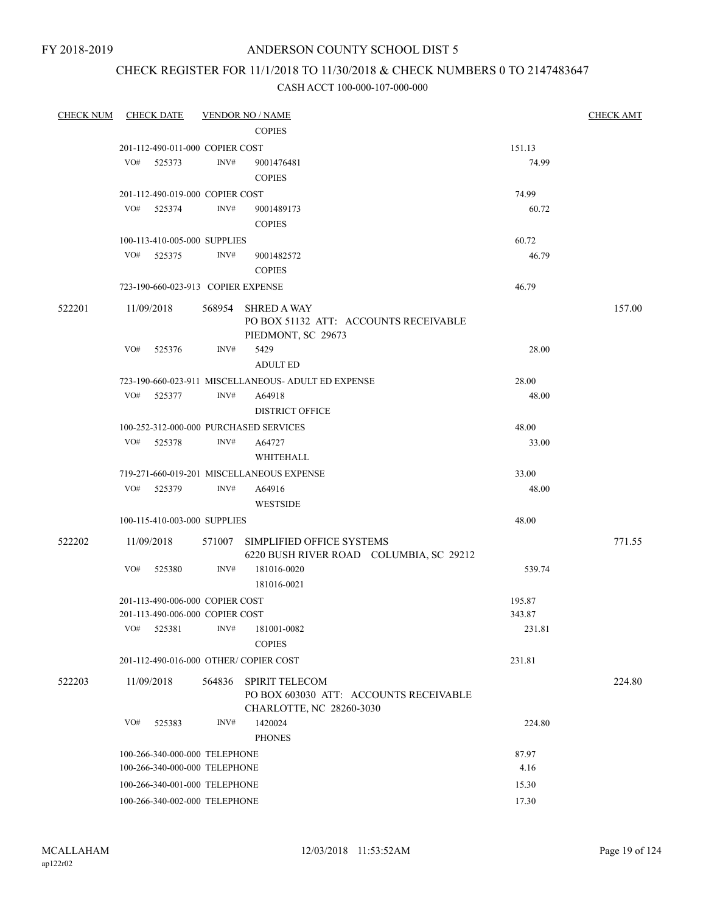FY 2018-2019

## ANDERSON COUNTY SCHOOL DIST 5

# CHECK REGISTER FOR 11/1/2018 TO 11/30/2018 & CHECK NUMBERS 0 TO 2147483647

| <b>CHECK NUM</b> | <b>CHECK DATE</b>                      |                | <b>VENDOR NO / NAME</b>                                                           |        | <b>CHECK AMT</b> |
|------------------|----------------------------------------|----------------|-----------------------------------------------------------------------------------|--------|------------------|
|                  |                                        |                | <b>COPIES</b>                                                                     |        |                  |
|                  | 201-112-490-011-000 COPIER COST        |                |                                                                                   | 151.13 |                  |
|                  | VO#<br>525373                          | $\text{INV}\#$ | 9001476481                                                                        | 74.99  |                  |
|                  |                                        |                | <b>COPIES</b>                                                                     |        |                  |
|                  | 201-112-490-019-000 COPIER COST        |                |                                                                                   | 74.99  |                  |
|                  | VO#<br>525374                          | INV#           | 9001489173                                                                        | 60.72  |                  |
|                  |                                        |                | <b>COPIES</b>                                                                     |        |                  |
|                  | 100-113-410-005-000 SUPPLIES           |                |                                                                                   | 60.72  |                  |
|                  | VO#<br>525375                          | INV#           | 9001482572                                                                        | 46.79  |                  |
|                  |                                        |                | <b>COPIES</b>                                                                     |        |                  |
|                  | 723-190-660-023-913 COPIER EXPENSE     |                |                                                                                   | 46.79  |                  |
| 522201           | 11/09/2018                             | 568954         | <b>SHRED A WAY</b><br>PO BOX 51132 ATT: ACCOUNTS RECEIVABLE<br>PIEDMONT, SC 29673 |        | 157.00           |
|                  | VO#<br>525376                          | INV#           | 5429                                                                              | 28.00  |                  |
|                  |                                        |                | <b>ADULT ED</b>                                                                   |        |                  |
|                  |                                        |                | 723-190-660-023-911 MISCELLANEOUS- ADULT ED EXPENSE                               | 28.00  |                  |
|                  | VO#<br>525377                          | INV#           | A64918                                                                            | 48.00  |                  |
|                  |                                        |                | <b>DISTRICT OFFICE</b>                                                            |        |                  |
|                  | 100-252-312-000-000 PURCHASED SERVICES |                |                                                                                   | 48.00  |                  |
|                  | VO#<br>525378                          | INV#           | A64727                                                                            | 33.00  |                  |
|                  |                                        |                | WHITEHALL                                                                         |        |                  |
|                  |                                        |                | 719-271-660-019-201 MISCELLANEOUS EXPENSE                                         | 33.00  |                  |
|                  | VO#<br>525379                          | INV#           | A64916                                                                            | 48.00  |                  |
|                  |                                        |                | <b>WESTSIDE</b>                                                                   |        |                  |
|                  | 100-115-410-003-000 SUPPLIES           |                |                                                                                   | 48.00  |                  |
| 522202           | 11/09/2018                             |                | 571007 SIMPLIFIED OFFICE SYSTEMS<br>6220 BUSH RIVER ROAD COLUMBIA, SC 29212       |        | 771.55           |
|                  | VO#<br>525380                          | INV#           | 181016-0020                                                                       | 539.74 |                  |
|                  |                                        |                | 181016-0021                                                                       |        |                  |
|                  | 201-113-490-006-000 COPIER COST        |                |                                                                                   | 195.87 |                  |
|                  | 201-113-490-006-000 COPIER COST        |                |                                                                                   | 343.87 |                  |
|                  | VO#<br>525381                          | INV#           | 181001-0082<br><b>COPIES</b>                                                      | 231.81 |                  |
|                  | 201-112-490-016-000 OTHER/ COPIER COST |                |                                                                                   | 231.81 |                  |
| 522203           | 11/09/2018                             | 564836         | <b>SPIRIT TELECOM</b>                                                             |        | 224.80           |
|                  |                                        |                | PO BOX 603030 ATT: ACCOUNTS RECEIVABLE<br>CHARLOTTE, NC 28260-3030                |        |                  |
|                  | VO#<br>525383                          | INV#           | 1420024<br><b>PHONES</b>                                                          | 224.80 |                  |
|                  | 100-266-340-000-000 TELEPHONE          |                |                                                                                   | 87.97  |                  |
|                  | 100-266-340-000-000 TELEPHONE          |                |                                                                                   | 4.16   |                  |
|                  | 100-266-340-001-000 TELEPHONE          |                |                                                                                   | 15.30  |                  |
|                  | 100-266-340-002-000 TELEPHONE          |                |                                                                                   | 17.30  |                  |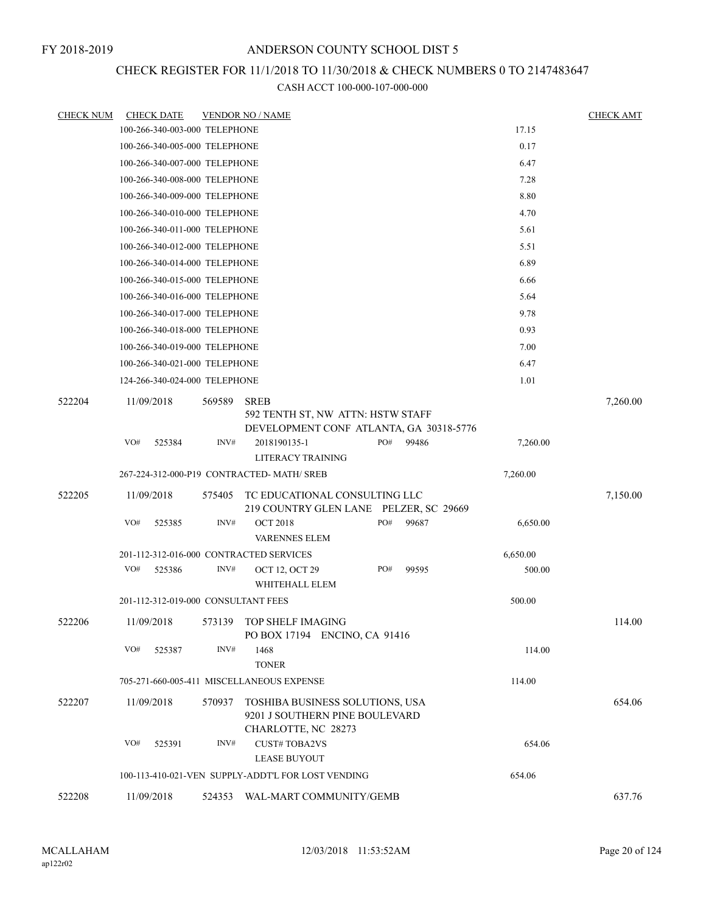# CHECK REGISTER FOR 11/1/2018 TO 11/30/2018 & CHECK NUMBERS 0 TO 2147483647

| <b>CHECK NUM</b> | <b>CHECK DATE</b>                       |        | <b>VENDOR NO / NAME</b>                                                                     |              |          | <b>CHECK AMT</b> |
|------------------|-----------------------------------------|--------|---------------------------------------------------------------------------------------------|--------------|----------|------------------|
|                  | 100-266-340-003-000 TELEPHONE           |        |                                                                                             |              | 17.15    |                  |
|                  | 100-266-340-005-000 TELEPHONE           |        |                                                                                             |              | 0.17     |                  |
|                  | 100-266-340-007-000 TELEPHONE           |        |                                                                                             |              | 6.47     |                  |
|                  | 100-266-340-008-000 TELEPHONE           |        |                                                                                             |              | 7.28     |                  |
|                  | 100-266-340-009-000 TELEPHONE           |        |                                                                                             |              | 8.80     |                  |
|                  | 100-266-340-010-000 TELEPHONE           |        |                                                                                             |              | 4.70     |                  |
|                  | 100-266-340-011-000 TELEPHONE           |        |                                                                                             |              | 5.61     |                  |
|                  | 100-266-340-012-000 TELEPHONE           |        |                                                                                             |              | 5.51     |                  |
|                  | 100-266-340-014-000 TELEPHONE           |        |                                                                                             |              | 6.89     |                  |
|                  | 100-266-340-015-000 TELEPHONE           |        |                                                                                             |              | 6.66     |                  |
|                  | 100-266-340-016-000 TELEPHONE           |        |                                                                                             |              | 5.64     |                  |
|                  | 100-266-340-017-000 TELEPHONE           |        |                                                                                             |              | 9.78     |                  |
|                  | 100-266-340-018-000 TELEPHONE           |        |                                                                                             |              | 0.93     |                  |
|                  | 100-266-340-019-000 TELEPHONE           |        |                                                                                             |              | 7.00     |                  |
|                  | 100-266-340-021-000 TELEPHONE           |        |                                                                                             |              | 6.47     |                  |
|                  | 124-266-340-024-000 TELEPHONE           |        |                                                                                             |              | 1.01     |                  |
| 522204           | 11/09/2018                              | 569589 | <b>SREB</b><br>592 TENTH ST, NW ATTN: HSTW STAFF<br>DEVELOPMENT CONF ATLANTA, GA 30318-5776 |              |          | 7,260.00         |
|                  | VO#<br>525384                           | INV#   | 2018190135-1                                                                                | PO#<br>99486 | 7,260.00 |                  |
|                  |                                         |        | LITERACY TRAINING                                                                           |              |          |                  |
|                  |                                         |        | 267-224-312-000-P19 CONTRACTED-MATH/ SREB                                                   |              | 7,260.00 |                  |
| 522205           | 11/09/2018                              | 575405 | TC EDUCATIONAL CONSULTING LLC<br>219 COUNTRY GLEN LANE PELZER, SC 29669                     |              |          | 7,150.00         |
|                  | VO#<br>525385                           | INV#   | <b>OCT 2018</b><br><b>VARENNES ELEM</b>                                                     | PO#<br>99687 | 6,650.00 |                  |
|                  | 201-112-312-016-000 CONTRACTED SERVICES |        |                                                                                             |              | 6,650.00 |                  |
|                  | VO#<br>525386                           | INV#   | OCT 12, OCT 29<br>WHITEHALL ELEM                                                            | PO#<br>99595 | 500.00   |                  |
|                  | 201-112-312-019-000 CONSULTANT FEES     |        |                                                                                             |              | 500.00   |                  |
| 522206           | 11/09/2018                              |        | 573139 TOP SHELF IMAGING<br>PO BOX 17194 ENCINO, CA 91416                                   |              |          | 114.00           |
|                  | VO#<br>525387                           | INV#   | 1468<br><b>TONER</b>                                                                        |              | 114.00   |                  |
|                  |                                         |        | 705-271-660-005-411 MISCELLANEOUS EXPENSE                                                   |              | 114.00   |                  |
| 522207           | 11/09/2018                              | 570937 | TOSHIBA BUSINESS SOLUTIONS, USA<br>9201 J SOUTHERN PINE BOULEVARD<br>CHARLOTTE, NC 28273    |              |          | 654.06           |
|                  | VO#<br>525391                           | INV#   | <b>CUST#TOBA2VS</b><br><b>LEASE BUYOUT</b>                                                  |              | 654.06   |                  |
|                  |                                         |        | 100-113-410-021-VEN SUPPLY-ADDT'L FOR LOST VENDING                                          |              | 654.06   |                  |
| 522208           | 11/09/2018                              | 524353 | WAL-MART COMMUNITY/GEMB                                                                     |              |          | 637.76           |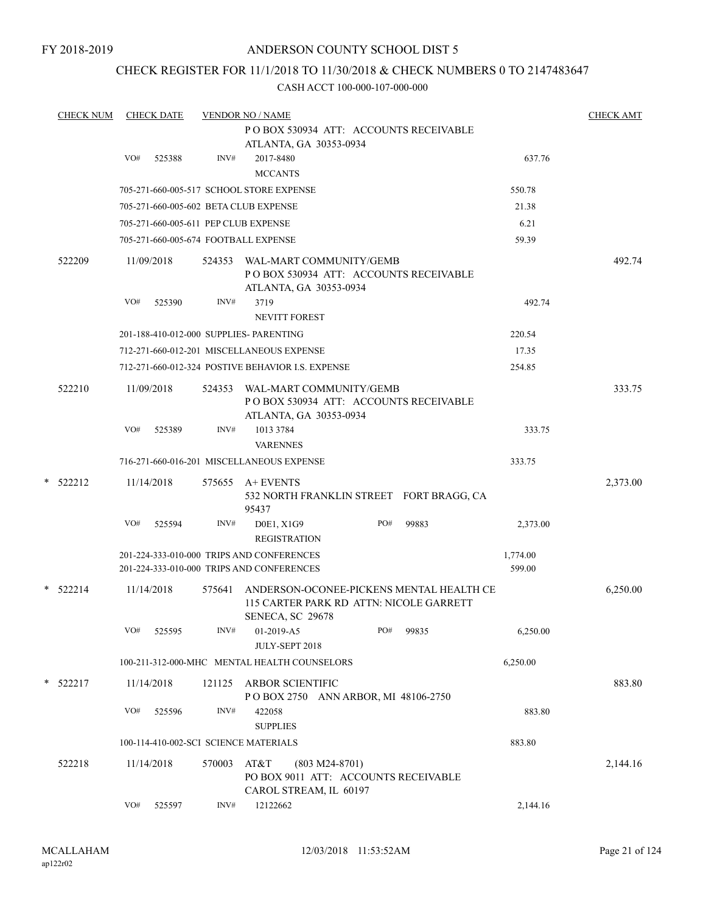FY 2018-2019

## ANDERSON COUNTY SCHOOL DIST 5

## CHECK REGISTER FOR 11/1/2018 TO 11/30/2018 & CHECK NUMBERS 0 TO 2147483647

| <b>CHECK NUM</b> | <b>CHECK DATE</b>                       |        | <b>VENDOR NO / NAME</b>                                          |     |       |          | <b>CHECK AMT</b> |
|------------------|-----------------------------------------|--------|------------------------------------------------------------------|-----|-------|----------|------------------|
|                  |                                         |        | PO BOX 530934 ATT: ACCOUNTS RECEIVABLE                           |     |       |          |                  |
|                  |                                         |        | ATLANTA, GA 30353-0934                                           |     |       |          |                  |
|                  | VO#<br>525388                           | INV#   | 2017-8480<br><b>MCCANTS</b>                                      |     |       | 637.76   |                  |
|                  |                                         |        | 705-271-660-005-517 SCHOOL STORE EXPENSE                         |     |       | 550.78   |                  |
|                  | 705-271-660-005-602 BETA CLUB EXPENSE   |        |                                                                  |     |       | 21.38    |                  |
|                  |                                         |        |                                                                  |     |       |          |                  |
|                  | 705-271-660-005-611 PEP CLUB EXPENSE    |        |                                                                  |     |       | 6.21     |                  |
|                  | 705-271-660-005-674 FOOTBALL EXPENSE    |        |                                                                  |     |       | 59.39    |                  |
| 522209           | 11/09/2018                              |        | 524353 WAL-MART COMMUNITY/GEMB                                   |     |       |          | 492.74           |
|                  |                                         |        | PO BOX 530934 ATT: ACCOUNTS RECEIVABLE<br>ATLANTA, GA 30353-0934 |     |       |          |                  |
|                  | VO#<br>525390                           | INV#   | 3719                                                             |     |       | 492.74   |                  |
|                  |                                         |        | <b>NEVITT FOREST</b>                                             |     |       |          |                  |
|                  | 201-188-410-012-000 SUPPLIES- PARENTING |        |                                                                  |     |       | 220.54   |                  |
|                  |                                         |        | 712-271-660-012-201 MISCELLANEOUS EXPENSE                        |     |       | 17.35    |                  |
|                  |                                         |        | 712-271-660-012-324 POSTIVE BEHAVIOR I.S. EXPENSE                |     |       | 254.85   |                  |
| 522210           | 11/09/2018                              | 524353 | WAL-MART COMMUNITY/GEMB                                          |     |       |          | 333.75           |
|                  |                                         |        | PO BOX 530934 ATT: ACCOUNTS RECEIVABLE                           |     |       |          |                  |
|                  |                                         |        | ATLANTA, GA 30353-0934                                           |     |       |          |                  |
|                  | VO#<br>525389                           | INV#   | 1013 3784                                                        |     |       | 333.75   |                  |
|                  |                                         |        | <b>VARENNES</b><br>716-271-660-016-201 MISCELLANEOUS EXPENSE     |     |       | 333.75   |                  |
|                  |                                         |        |                                                                  |     |       |          |                  |
| $*$ 522212       | 11/14/2018                              |        | 575655 A+ EVENTS                                                 |     |       |          | 2,373.00         |
|                  |                                         |        | 532 NORTH FRANKLIN STREET FORT BRAGG, CA<br>95437                |     |       |          |                  |
|                  | VO#<br>525594                           | INV#   | D0E1, X1G9                                                       | PO# | 99883 | 2,373.00 |                  |
|                  |                                         |        | <b>REGISTRATION</b>                                              |     |       |          |                  |
|                  |                                         |        | 201-224-333-010-000 TRIPS AND CONFERENCES                        |     |       | 1,774.00 |                  |
|                  |                                         |        | 201-224-333-010-000 TRIPS AND CONFERENCES                        |     |       | 599.00   |                  |
| $*$ 522214       | 11/14/2018                              | 575641 | ANDERSON-OCONEE-PICKENS MENTAL HEALTH CE                         |     |       |          | 6,250.00         |
|                  |                                         |        | 115 CARTER PARK RD ATTN: NICOLE GARRETT                          |     |       |          |                  |
|                  | VO#<br>525595                           | INV#   | SENECA, SC 29678                                                 | PO# | 99835 | 6,250.00 |                  |
|                  |                                         |        | 01-2019-A5<br>JULY-SEPT 2018                                     |     |       |          |                  |
|                  |                                         |        | 100-211-312-000-MHC MENTAL HEALTH COUNSELORS                     |     |       | 6,250.00 |                  |
|                  |                                         |        |                                                                  |     |       |          |                  |
| $*$ 522217       | 11/14/2018                              | 121125 | <b>ARBOR SCIENTIFIC</b><br>POBOX 2750 ANN ARBOR, MI 48106-2750   |     |       |          | 883.80           |
|                  | VO#<br>525596                           | INV#   | 422058                                                           |     |       | 883.80   |                  |
|                  |                                         |        | <b>SUPPLIES</b>                                                  |     |       |          |                  |
|                  | 100-114-410-002-SCI SCIENCE MATERIALS   |        |                                                                  |     |       | 883.80   |                  |
| 522218           | 11/14/2018                              | 570003 | AT&T<br>$(803 M24-8701)$                                         |     |       |          | 2,144.16         |
|                  |                                         |        | PO BOX 9011 ATT: ACCOUNTS RECEIVABLE                             |     |       |          |                  |
|                  |                                         |        | CAROL STREAM, IL 60197                                           |     |       |          |                  |
|                  | VO#<br>525597                           | INV#   | 12122662                                                         |     |       | 2,144.16 |                  |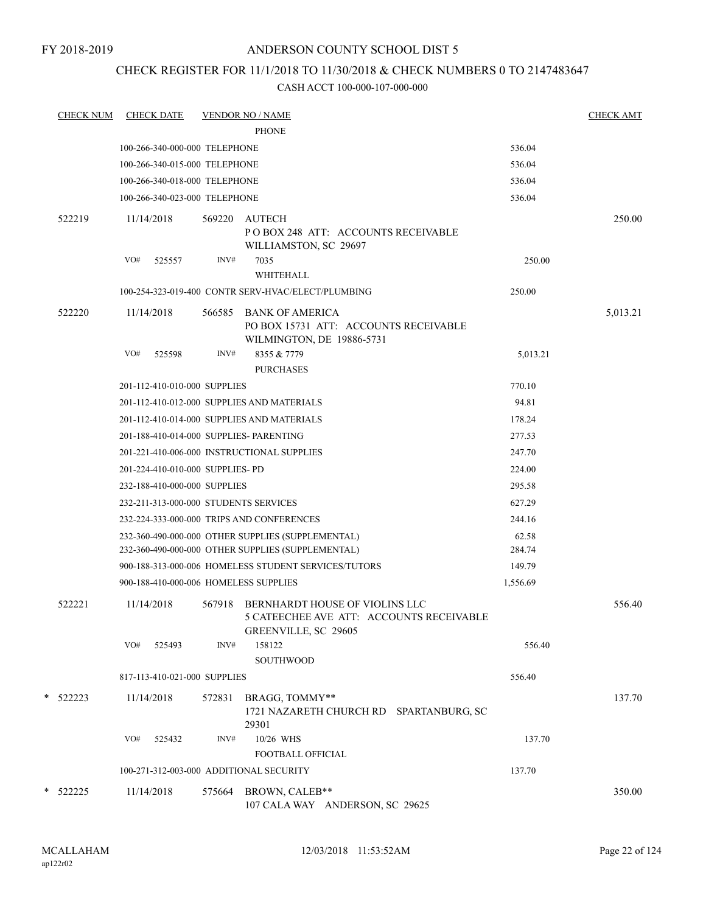## CHECK REGISTER FOR 11/1/2018 TO 11/30/2018 & CHECK NUMBERS 0 TO 2147483647

| <b>CHECK NUM</b> | <b>CHECK DATE</b>                       |        | <b>VENDOR NO / NAME</b>                                                                            |          | <b>CHECK AMT</b> |
|------------------|-----------------------------------------|--------|----------------------------------------------------------------------------------------------------|----------|------------------|
|                  |                                         |        | <b>PHONE</b>                                                                                       |          |                  |
|                  | 100-266-340-000-000 TELEPHONE           |        |                                                                                                    | 536.04   |                  |
|                  | 100-266-340-015-000 TELEPHONE           |        |                                                                                                    | 536.04   |                  |
|                  | 100-266-340-018-000 TELEPHONE           |        |                                                                                                    | 536.04   |                  |
|                  | 100-266-340-023-000 TELEPHONE           |        |                                                                                                    | 536.04   |                  |
| 522219           | 11/14/2018                              |        | 569220 AUTECH<br>POBOX 248 ATT: ACCOUNTS RECEIVABLE<br>WILLIAMSTON, SC 29697                       |          | 250.00           |
|                  | VO#<br>525557                           | INV#   | 7035<br>WHITEHALL                                                                                  | 250.00   |                  |
|                  |                                         |        | 100-254-323-019-400 CONTR SERV-HVAC/ELECT/PLUMBING                                                 | 250.00   |                  |
| 522220           | 11/14/2018                              | 566585 | <b>BANK OF AMERICA</b><br>PO BOX 15731 ATT: ACCOUNTS RECEIVABLE<br>WILMINGTON, DE 19886-5731       |          | 5,013.21         |
|                  | VO#<br>525598                           | INV#   | 8355 & 7779<br><b>PURCHASES</b>                                                                    | 5,013.21 |                  |
|                  | 201-112-410-010-000 SUPPLIES            |        |                                                                                                    | 770.10   |                  |
|                  |                                         |        | 201-112-410-012-000 SUPPLIES AND MATERIALS                                                         | 94.81    |                  |
|                  |                                         |        | 201-112-410-014-000 SUPPLIES AND MATERIALS                                                         | 178.24   |                  |
|                  | 201-188-410-014-000 SUPPLIES- PARENTING |        |                                                                                                    | 277.53   |                  |
|                  |                                         |        | 201-221-410-006-000 INSTRUCTIONAL SUPPLIES                                                         | 247.70   |                  |
|                  | 201-224-410-010-000 SUPPLIES- PD        |        |                                                                                                    | 224.00   |                  |
|                  | 232-188-410-000-000 SUPPLIES            |        |                                                                                                    | 295.58   |                  |
|                  | 232-211-313-000-000 STUDENTS SERVICES   |        |                                                                                                    | 627.29   |                  |
|                  |                                         |        | 232-224-333-000-000 TRIPS AND CONFERENCES                                                          | 244.16   |                  |
|                  |                                         |        | 232-360-490-000-000 OTHER SUPPLIES (SUPPLEMENTAL)                                                  | 62.58    |                  |
|                  |                                         |        | 232-360-490-000-000 OTHER SUPPLIES (SUPPLEMENTAL)                                                  | 284.74   |                  |
|                  |                                         |        | 900-188-313-000-006 HOMELESS STUDENT SERVICES/TUTORS                                               | 149.79   |                  |
|                  | 900-188-410-000-006 HOMELESS SUPPLIES   |        |                                                                                                    | 1,556.69 |                  |
| 522221           | 11/14/2018                              | 567918 | BERNHARDT HOUSE OF VIOLINS LLC<br>5 CATEECHEE AVE ATT: ACCOUNTS RECEIVABLE<br>GREENVILLE, SC 29605 |          | 556.40           |
|                  | VO#<br>525493                           | INV#   | 158122<br><b>SOUTHWOOD</b>                                                                         | 556.40   |                  |
|                  | 817-113-410-021-000 SUPPLIES            |        |                                                                                                    | 556.40   |                  |
| $*$ 522223       | 11/14/2018                              | 572831 | BRAGG, TOMMY**<br>1721 NAZARETH CHURCH RD SPARTANBURG, SC<br>29301                                 |          | 137.70           |
|                  | VO#<br>525432                           | INV#   | 10/26 WHS<br>FOOTBALL OFFICIAL                                                                     | 137.70   |                  |
|                  | 100-271-312-003-000 ADDITIONAL SECURITY |        |                                                                                                    | 137.70   |                  |
| * 522225         | 11/14/2018                              | 575664 | BROWN, CALEB**                                                                                     |          | 350.00           |
|                  |                                         |        | 107 CALA WAY ANDERSON, SC 29625                                                                    |          |                  |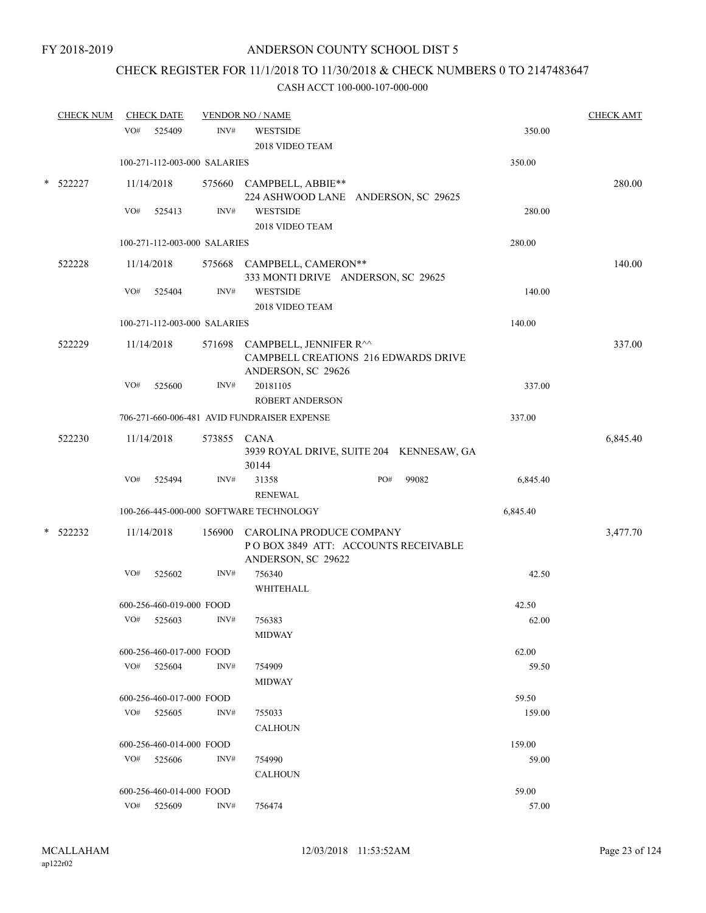# CHECK REGISTER FOR 11/1/2018 TO 11/30/2018 & CHECK NUMBERS 0 TO 2147483647

|        | <b>CHECK NUM</b> |            | <b>CHECK DATE</b>            |             | <b>VENDOR NO / NAME</b>                                                                            |     |       |          | <b>CHECK AMT</b> |
|--------|------------------|------------|------------------------------|-------------|----------------------------------------------------------------------------------------------------|-----|-------|----------|------------------|
|        |                  | VO#        | 525409                       | INV#        | <b>WESTSIDE</b>                                                                                    |     |       | 350.00   |                  |
|        |                  |            |                              |             | 2018 VIDEO TEAM                                                                                    |     |       |          |                  |
|        |                  |            | 100-271-112-003-000 SALARIES |             |                                                                                                    |     |       | 350.00   |                  |
| $\ast$ | 522227           |            | 11/14/2018                   |             | 575660 CAMPBELL, ABBIE**<br>224 ASHWOOD LANE ANDERSON, SC 29625                                    |     |       |          | 280.00           |
|        |                  | VO#        | 525413                       | INV#        | <b>WESTSIDE</b><br>2018 VIDEO TEAM                                                                 |     |       | 280.00   |                  |
|        |                  |            | 100-271-112-003-000 SALARIES |             |                                                                                                    |     |       | 280.00   |                  |
|        | 522228           |            | 11/14/2018                   |             | 575668 CAMPBELL, CAMERON**<br>333 MONTI DRIVE ANDERSON, SC 29625                                   |     |       |          | 140.00           |
|        |                  | VO#        | 525404                       | INV#        | <b>WESTSIDE</b><br>2018 VIDEO TEAM                                                                 |     |       | 140.00   |                  |
|        |                  |            | 100-271-112-003-000 SALARIES |             |                                                                                                    |     |       | 140.00   |                  |
|        | 522229           |            | 11/14/2018                   |             | 571698 CAMPBELL, JENNIFER R^^<br><b>CAMPBELL CREATIONS 216 EDWARDS DRIVE</b><br>ANDERSON, SC 29626 |     |       |          | 337.00           |
|        |                  | VO#        | 525600                       | INV#        | 20181105                                                                                           |     |       | 337.00   |                  |
|        |                  |            |                              |             | <b>ROBERT ANDERSON</b>                                                                             |     |       |          |                  |
|        |                  |            |                              |             | 706-271-660-006-481 AVID FUNDRAISER EXPENSE                                                        |     |       | 337.00   |                  |
|        | 522230           |            | 11/14/2018                   | 573855 CANA | 3939 ROYAL DRIVE, SUITE 204 KENNESAW, GA<br>30144                                                  |     |       |          | 6,845.40         |
|        |                  | VO#        | 525494                       | INV#        | 31358<br><b>RENEWAL</b>                                                                            | PO# | 99082 | 6,845.40 |                  |
|        |                  |            |                              |             | 100-266-445-000-000 SOFTWARE TECHNOLOGY                                                            |     |       | 6,845.40 |                  |
| $\ast$ | 522232           | 11/14/2018 |                              | 156900      | CAROLINA PRODUCE COMPANY<br>POBOX 3849 ATT: ACCOUNTS RECEIVABLE<br>ANDERSON, SC 29622              |     |       |          | 3,477.70         |
|        |                  | VO#        | 525602                       | INV#        | 756340<br>WHITEHALL                                                                                |     |       | 42.50    |                  |
|        |                  |            | 600-256-460-019-000 FOOD     |             |                                                                                                    |     |       | 42.50    |                  |
|        |                  | VO#        | 525603                       | INV#        | 756383<br><b>MIDWAY</b>                                                                            |     |       | 62.00    |                  |
|        |                  |            | 600-256-460-017-000 FOOD     |             |                                                                                                    |     |       | 62.00    |                  |
|        |                  |            | VO# 525604                   | INV#        | 754909<br><b>MIDWAY</b>                                                                            |     |       | 59.50    |                  |
|        |                  |            | 600-256-460-017-000 FOOD     |             |                                                                                                    |     |       | 59.50    |                  |
|        |                  |            | VO# 525605                   | INV#        | 755033<br><b>CALHOUN</b>                                                                           |     |       | 159.00   |                  |
|        |                  |            | 600-256-460-014-000 FOOD     |             |                                                                                                    |     |       | 159.00   |                  |
|        |                  |            | VO# 525606                   | INV#        | 754990                                                                                             |     |       | 59.00    |                  |
|        |                  |            |                              |             | <b>CALHOUN</b>                                                                                     |     |       |          |                  |
|        |                  |            | 600-256-460-014-000 FOOD     |             |                                                                                                    |     |       | 59.00    |                  |
|        |                  |            | VO# 525609                   | INV#        | 756474                                                                                             |     |       | 57.00    |                  |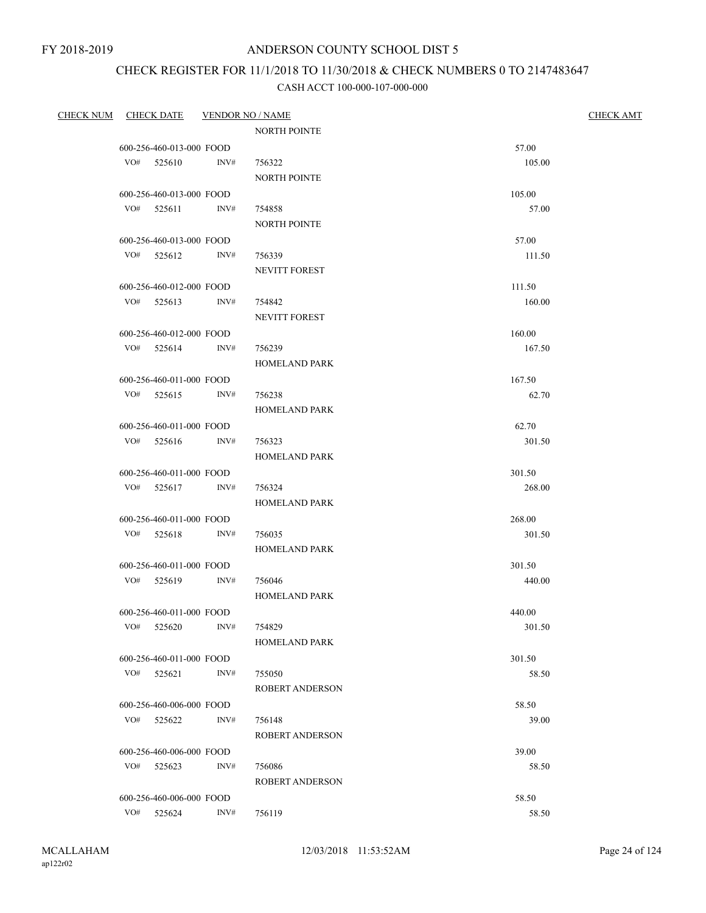## CHECK REGISTER FOR 11/1/2018 TO 11/30/2018 & CHECK NUMBERS 0 TO 2147483647

| CHECK NUM CHECK DATE |              |                          | <b>VENDOR NO / NAME</b> |                        | <b>CHECK AMT</b> |  |
|----------------------|--------------|--------------------------|-------------------------|------------------------|------------------|--|
|                      |              |                          |                         | <b>NORTH POINTE</b>    |                  |  |
|                      |              | 600-256-460-013-000 FOOD |                         |                        | 57.00            |  |
|                      | $VO#$ 525610 |                          | INV#                    | 756322                 | 105.00           |  |
|                      |              |                          |                         | <b>NORTH POINTE</b>    |                  |  |
|                      |              | 600-256-460-013-000 FOOD |                         |                        | 105.00           |  |
|                      | $VO#$ 525611 |                          | INV#                    | 754858                 | 57.00            |  |
|                      |              |                          |                         | <b>NORTH POINTE</b>    |                  |  |
|                      |              | 600-256-460-013-000 FOOD |                         |                        | 57.00            |  |
|                      |              | VO# 525612 INV#          |                         | 756339                 | 111.50           |  |
|                      |              |                          |                         | NEVITT FOREST          |                  |  |
|                      |              | 600-256-460-012-000 FOOD |                         |                        | 111.50           |  |
|                      | $VO#$ 525613 |                          | INV#                    | 754842                 | 160.00           |  |
|                      |              |                          |                         | NEVITT FOREST          |                  |  |
|                      |              | 600-256-460-012-000 FOOD |                         |                        | 160.00           |  |
|                      | $VO#$ 525614 |                          | INV#                    | 756239                 | 167.50           |  |
|                      |              |                          |                         | <b>HOMELAND PARK</b>   |                  |  |
|                      |              | 600-256-460-011-000 FOOD |                         |                        | 167.50           |  |
|                      | $VO#$ 525615 |                          | INV#                    | 756238                 | 62.70            |  |
|                      |              |                          |                         | <b>HOMELAND PARK</b>   |                  |  |
|                      |              | 600-256-460-011-000 FOOD |                         |                        | 62.70            |  |
|                      |              | VO# 525616               | INV#                    | 756323                 | 301.50           |  |
|                      |              |                          |                         | <b>HOMELAND PARK</b>   |                  |  |
|                      |              | 600-256-460-011-000 FOOD |                         |                        | 301.50           |  |
|                      | VO# 525617   |                          | INV#                    | 756324                 | 268.00           |  |
|                      |              |                          |                         | <b>HOMELAND PARK</b>   |                  |  |
|                      |              | 600-256-460-011-000 FOOD |                         |                        | 268.00           |  |
|                      | VO# 525618   |                          | INV#                    | 756035                 | 301.50           |  |
|                      |              |                          |                         | <b>HOMELAND PARK</b>   |                  |  |
|                      |              | 600-256-460-011-000 FOOD |                         |                        | 301.50           |  |
|                      | $VO#$ 525619 |                          | INV#                    | 756046                 | 440.00           |  |
|                      |              |                          |                         | <b>HOMELAND PARK</b>   |                  |  |
|                      |              | 600-256-460-011-000 FOOD |                         |                        | 440.00           |  |
|                      |              | VO# 525620 INV#          |                         | 754829                 | 301.50           |  |
|                      |              |                          |                         | <b>HOMELAND PARK</b>   |                  |  |
|                      |              | 600-256-460-011-000 FOOD |                         |                        | 301.50           |  |
|                      | VO# 525621   |                          | INV#                    | 755050                 | 58.50            |  |
|                      |              |                          |                         | ROBERT ANDERSON        |                  |  |
|                      |              | 600-256-460-006-000 FOOD |                         |                        | 58.50            |  |
|                      | VO# 525622   |                          | INV#                    | 756148                 | 39.00            |  |
|                      |              |                          |                         | <b>ROBERT ANDERSON</b> |                  |  |
|                      |              | 600-256-460-006-000 FOOD |                         |                        | 39.00            |  |
|                      | VO# 525623   |                          | INV#                    | 756086                 | 58.50            |  |
|                      |              |                          |                         | ROBERT ANDERSON        |                  |  |
|                      |              | 600-256-460-006-000 FOOD |                         |                        | 58.50            |  |
|                      | VO#          | 525624                   | INV#                    | 756119                 | 58.50            |  |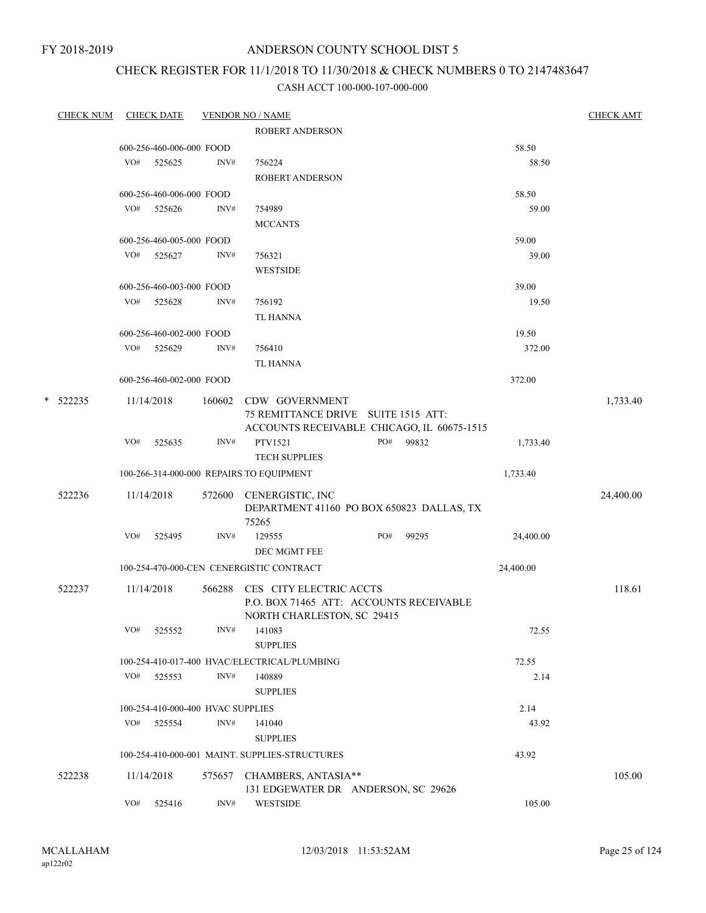FY 2018-2019

## ANDERSON COUNTY SCHOOL DIST 5

## CHECK REGISTER FOR 11/1/2018 TO 11/30/2018 & CHECK NUMBERS 0 TO 2147483647

|   | <b>CHECK NUM</b> |     | <b>CHECK DATE</b>        |                                   | <b>VENDOR NO / NAME</b>                                                                          |     |       |           | <b>CHECK AMT</b> |
|---|------------------|-----|--------------------------|-----------------------------------|--------------------------------------------------------------------------------------------------|-----|-------|-----------|------------------|
|   |                  |     |                          |                                   | <b>ROBERT ANDERSON</b>                                                                           |     |       |           |                  |
|   |                  |     | 600-256-460-006-000 FOOD |                                   |                                                                                                  |     |       | 58.50     |                  |
|   |                  | VO# | 525625                   | INV#                              | 756224                                                                                           |     |       | 58.50     |                  |
|   |                  |     |                          |                                   | ROBERT ANDERSON                                                                                  |     |       |           |                  |
|   |                  |     | 600-256-460-006-000 FOOD |                                   |                                                                                                  |     |       | 58.50     |                  |
|   |                  |     | VO# 525626               | INV#                              | 754989                                                                                           |     |       | 59.00     |                  |
|   |                  |     |                          |                                   | <b>MCCANTS</b>                                                                                   |     |       |           |                  |
|   |                  |     | 600-256-460-005-000 FOOD |                                   |                                                                                                  |     |       | 59.00     |                  |
|   |                  | VO# | 525627                   | INV#                              | 756321                                                                                           |     |       | 39.00     |                  |
|   |                  |     |                          |                                   | <b>WESTSIDE</b>                                                                                  |     |       |           |                  |
|   |                  |     | 600-256-460-003-000 FOOD |                                   |                                                                                                  |     |       | 39.00     |                  |
|   |                  | VO# | 525628                   | INV#                              | 756192                                                                                           |     |       | 19.50     |                  |
|   |                  |     |                          |                                   | TL HANNA                                                                                         |     |       |           |                  |
|   |                  |     | 600-256-460-002-000 FOOD |                                   |                                                                                                  |     |       | 19.50     |                  |
|   |                  |     | VO# 525629               | INV#                              | 756410                                                                                           |     |       | 372.00    |                  |
|   |                  |     |                          |                                   | TL HANNA                                                                                         |     |       |           |                  |
|   |                  |     | 600-256-460-002-000 FOOD |                                   |                                                                                                  |     |       | 372.00    |                  |
| * | 522235           |     | 11/14/2018               | 160602                            | CDW GOVERNMENT<br>75 REMITTANCE DRIVE SUITE 1515 ATT:                                            |     |       |           | 1,733.40         |
|   |                  |     |                          |                                   | ACCOUNTS RECEIVABLE CHICAGO, IL 60675-1515                                                       |     |       |           |                  |
|   |                  | VO# | 525635                   | INV#                              | PTV1521                                                                                          | PO# | 99832 | 1,733.40  |                  |
|   |                  |     |                          |                                   | <b>TECH SUPPLIES</b>                                                                             |     |       |           |                  |
|   |                  |     |                          |                                   | 100-266-314-000-000 REPAIRS TO EQUIPMENT                                                         |     |       | 1,733.40  |                  |
|   | 522236           |     | 11/14/2018               |                                   | 572600 CENERGISTIC, INC<br>DEPARTMENT 41160 PO BOX 650823 DALLAS, TX<br>75265                    |     |       |           | 24,400.00        |
|   |                  | VO# | 525495                   | INV#                              | 129555                                                                                           | PO# | 99295 | 24,400.00 |                  |
|   |                  |     |                          |                                   | DEC MGMT FEE                                                                                     |     |       |           |                  |
|   |                  |     |                          |                                   | 100-254-470-000-CEN CENERGISTIC CONTRACT                                                         |     |       | 24,400.00 |                  |
|   |                  |     |                          |                                   |                                                                                                  |     |       |           |                  |
|   | 522237           |     | 11/14/2018               | 566288                            | CES CITY ELECTRIC ACCTS<br>P.O. BOX 71465 ATT: ACCOUNTS RECEIVABLE<br>NORTH CHARLESTON, SC 29415 |     |       |           | 118.61           |
|   |                  | VO# | 525552                   | INV#                              | 141083<br><b>SUPPLIES</b>                                                                        |     |       | 72.55     |                  |
|   |                  |     |                          |                                   | 100-254-410-017-400 HVAC/ELECTRICAL/PLUMBING                                                     |     |       | 72.55     |                  |
|   |                  | VO# | 525553                   | INV#                              | 140889<br><b>SUPPLIES</b>                                                                        |     |       | 2.14      |                  |
|   |                  |     |                          | 100-254-410-000-400 HVAC SUPPLIES |                                                                                                  |     |       | 2.14      |                  |
|   |                  | VO# | 525554                   | INV#                              | 141040                                                                                           |     |       | 43.92     |                  |
|   |                  |     |                          |                                   | <b>SUPPLIES</b>                                                                                  |     |       |           |                  |
|   |                  |     |                          |                                   | 100-254-410-000-001 MAINT. SUPPLIES-STRUCTURES                                                   |     |       | 43.92     |                  |
|   | 522238           |     | 11/14/2018               | 575657                            | CHAMBERS, ANTASIA**<br>131 EDGEWATER DR ANDERSON, SC 29626                                       |     |       |           | 105.00           |
|   |                  | VO# | 525416                   | INV#                              | <b>WESTSIDE</b>                                                                                  |     |       | 105.00    |                  |
|   |                  |     |                          |                                   |                                                                                                  |     |       |           |                  |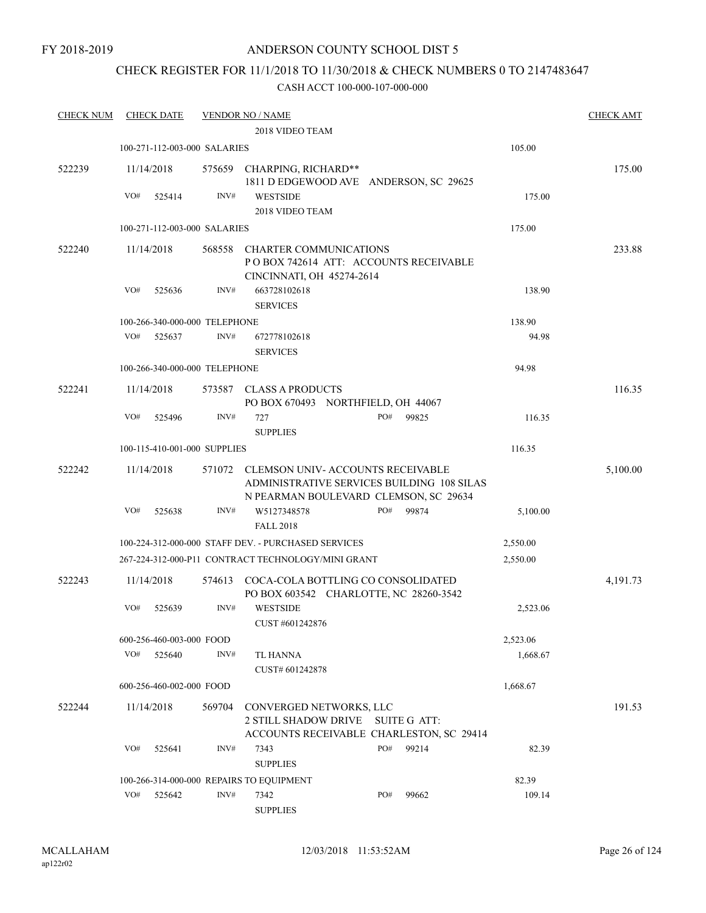## CHECK REGISTER FOR 11/1/2018 TO 11/30/2018 & CHECK NUMBERS 0 TO 2147483647

| <b>CHECK NUM</b> | <b>CHECK DATE</b> |                          |                               | <b>VENDOR NO / NAME</b>                                                                                                        |     |                     |          | <b>CHECK AMT</b> |
|------------------|-------------------|--------------------------|-------------------------------|--------------------------------------------------------------------------------------------------------------------------------|-----|---------------------|----------|------------------|
|                  |                   |                          |                               | 2018 VIDEO TEAM                                                                                                                |     |                     |          |                  |
|                  |                   |                          | 100-271-112-003-000 SALARIES  |                                                                                                                                |     |                     | 105.00   |                  |
| 522239           | 11/14/2018        |                          |                               | 575659 CHARPING, RICHARD**<br>1811 D EDGEWOOD AVE ANDERSON, SC 29625                                                           |     |                     |          | 175.00           |
|                  | VO#               | 525414                   | INV#                          | <b>WESTSIDE</b><br>2018 VIDEO TEAM                                                                                             |     |                     | 175.00   |                  |
|                  |                   |                          | 100-271-112-003-000 SALARIES  |                                                                                                                                |     |                     | 175.00   |                  |
| 522240           | 11/14/2018        |                          | 568558                        | <b>CHARTER COMMUNICATIONS</b><br>PO BOX 742614 ATT: ACCOUNTS RECEIVABLE<br>CINCINNATI, OH 45274-2614                           |     |                     |          | 233.88           |
|                  | VO#               | 525636                   | INV#                          | 663728102618<br><b>SERVICES</b>                                                                                                |     |                     | 138.90   |                  |
|                  |                   |                          | 100-266-340-000-000 TELEPHONE |                                                                                                                                |     |                     | 138.90   |                  |
|                  | VO#               | 525637                   | INV#                          | 672778102618<br><b>SERVICES</b>                                                                                                |     |                     | 94.98    |                  |
|                  |                   |                          | 100-266-340-000-000 TELEPHONE |                                                                                                                                |     |                     | 94.98    |                  |
| 522241           | 11/14/2018        |                          |                               | 573587 CLASS A PRODUCTS<br>PO BOX 670493 NORTHFIELD, OH 44067                                                                  |     |                     |          | 116.35           |
|                  | VO#               | 525496                   | INV#                          | 727<br><b>SUPPLIES</b>                                                                                                         | PO# | 99825               | 116.35   |                  |
|                  |                   |                          | 100-115-410-001-000 SUPPLIES  |                                                                                                                                |     |                     | 116.35   |                  |
| 522242           | 11/14/2018        |                          |                               | 571072 CLEMSON UNIV-ACCOUNTS RECEIVABLE<br>ADMINISTRATIVE SERVICES BUILDING 108 SILAS<br>N PEARMAN BOULEVARD CLEMSON, SC 29634 |     |                     |          | 5,100.00         |
|                  | VO#               | 525638                   | INV#                          | W5127348578<br><b>FALL 2018</b>                                                                                                | PO# | 99874               | 5,100.00 |                  |
|                  |                   |                          |                               | 100-224-312-000-000 STAFF DEV. - PURCHASED SERVICES                                                                            |     |                     | 2,550.00 |                  |
|                  |                   |                          |                               | 267-224-312-000-P11 CONTRACT TECHNOLOGY/MINI GRANT                                                                             |     |                     | 2,550.00 |                  |
| 522243           | 11/14/2018        |                          | 574613                        | COCA-COLA BOTTLING CO CONSOLIDATED<br>PO BOX 603542 CHARLOTTE, NC 28260-3542                                                   |     |                     |          | 4,191.73         |
|                  | VO#               | 525639                   | INV#                          | <b>WESTSIDE</b><br>CUST #601242876                                                                                             |     |                     | 2,523.06 |                  |
|                  |                   | 600-256-460-003-000 FOOD |                               |                                                                                                                                |     |                     | 2,523.06 |                  |
|                  | VO#               | 525640                   | INV#                          | TL HANNA<br>CUST# 601242878                                                                                                    |     |                     | 1,668.67 |                  |
|                  |                   | 600-256-460-002-000 FOOD |                               |                                                                                                                                |     |                     | 1,668.67 |                  |
| 522244           | 11/14/2018        |                          | 569704                        | CONVERGED NETWORKS, LLC<br>2 STILL SHADOW DRIVE<br>ACCOUNTS RECEIVABLE CHARLESTON, SC 29414                                    |     | <b>SUITE G ATT:</b> |          | 191.53           |
|                  | VO#               | 525641                   | INV#                          | 7343<br><b>SUPPLIES</b>                                                                                                        | PO# | 99214               | 82.39    |                  |
|                  |                   |                          |                               | 100-266-314-000-000 REPAIRS TO EQUIPMENT                                                                                       |     |                     | 82.39    |                  |
|                  | VO#               | 525642                   | INV#                          | 7342<br><b>SUPPLIES</b>                                                                                                        | PO# | 99662               | 109.14   |                  |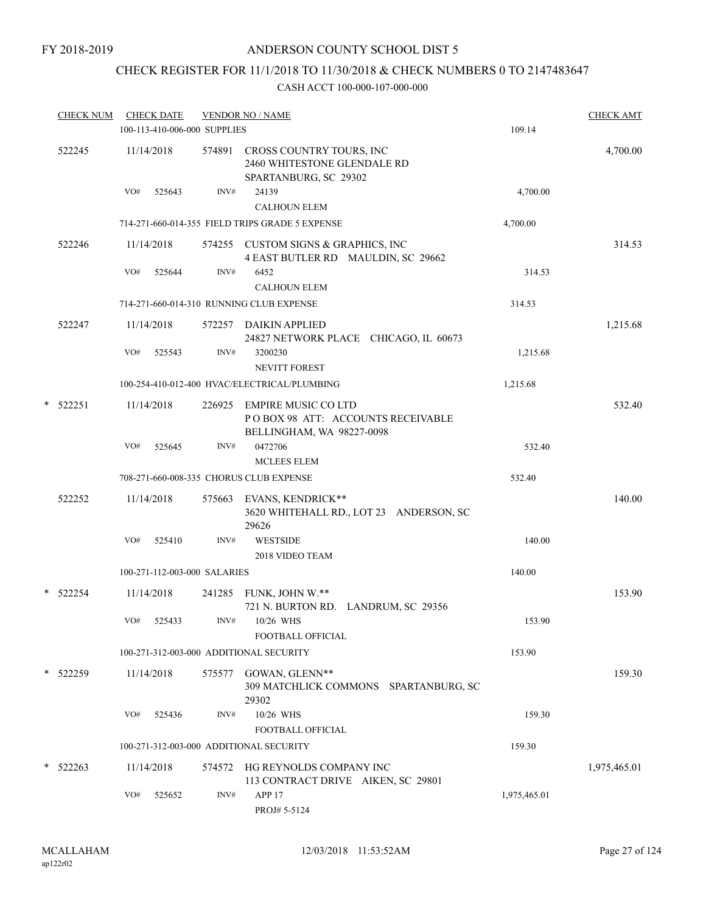# CHECK REGISTER FOR 11/1/2018 TO 11/30/2018 & CHECK NUMBERS 0 TO 2147483647

| <b>CHECK NUM</b> |            |     | <b>CHECK DATE</b><br>100-113-410-006-000 SUPPLIES |        | <b>VENDOR NO / NAME</b>                                                               | <b>CHECK AMT</b><br>109.14 |              |
|------------------|------------|-----|---------------------------------------------------|--------|---------------------------------------------------------------------------------------|----------------------------|--------------|
|                  | 522245     |     | 11/14/2018                                        | 574891 | CROSS COUNTRY TOURS, INC<br>2460 WHITESTONE GLENDALE RD<br>SPARTANBURG, SC 29302      |                            | 4,700.00     |
|                  |            | VO# | 525643                                            | INV#   | 24139<br><b>CALHOUN ELEM</b>                                                          | 4,700.00                   |              |
|                  |            |     |                                                   |        | 714-271-660-014-355 FIELD TRIPS GRADE 5 EXPENSE                                       | 4,700.00                   |              |
|                  | 522246     |     | 11/14/2018                                        |        | 574255 CUSTOM SIGNS & GRAPHICS, INC<br>4 EAST BUTLER RD MAULDIN, SC 29662             |                            | 314.53       |
|                  |            | VO# | 525644                                            | INV#   | 6452<br><b>CALHOUN ELEM</b>                                                           | 314.53                     |              |
|                  |            |     |                                                   |        | 714-271-660-014-310 RUNNING CLUB EXPENSE                                              | 314.53                     |              |
|                  | 522247     |     | 11/14/2018                                        | 572257 | <b>DAIKIN APPLIED</b><br>24827 NETWORK PLACE CHICAGO, IL 60673                        |                            | 1,215.68     |
|                  |            | VO# | 525543                                            | INV#   | 3200230<br><b>NEVITT FOREST</b>                                                       | 1,215.68                   |              |
|                  |            |     |                                                   |        | 100-254-410-012-400 HVAC/ELECTRICAL/PLUMBING                                          | 1,215.68                   |              |
| *                | 522251     |     | 11/14/2018                                        | 226925 | EMPIRE MUSIC CO LTD<br>POBOX 98 ATT: ACCOUNTS RECEIVABLE<br>BELLINGHAM, WA 98227-0098 |                            | 532.40       |
|                  |            | VO# | 525645                                            | INV#   | 0472706<br><b>MCLEES ELEM</b>                                                         | 532.40                     |              |
|                  |            |     |                                                   |        | 708-271-660-008-335 CHORUS CLUB EXPENSE                                               | 532.40                     |              |
|                  | 522252     |     | 11/14/2018                                        | 575663 | EVANS, KENDRICK**<br>3620 WHITEHALL RD., LOT 23 ANDERSON, SC<br>29626                 |                            | 140.00       |
|                  |            | VO# | 525410                                            | INV#   | <b>WESTSIDE</b><br>2018 VIDEO TEAM                                                    | 140.00                     |              |
|                  |            |     | 100-271-112-003-000 SALARIES                      |        |                                                                                       | 140.00                     |              |
| *                | 522254     |     | 11/14/2018                                        | 241285 | FUNK, JOHN W.**<br>721 N. BURTON RD. LANDRUM, SC 29356                                |                            | 153.90       |
|                  |            | VO# | 525433                                            | INV#   | 10/26 WHS<br>FOOTBALL OFFICIAL                                                        | 153.90                     |              |
|                  |            |     |                                                   |        | 100-271-312-003-000 ADDITIONAL SECURITY                                               | 153.90                     |              |
|                  | * 522259   |     | 11/14/2018                                        | 575577 | GOWAN, GLENN**<br>309 MATCHLICK COMMONS SPARTANBURG, SC<br>29302                      |                            | 159.30       |
|                  |            | VO# | 525436                                            | INV#   | 10/26 WHS<br>FOOTBALL OFFICIAL                                                        | 159.30                     |              |
|                  |            |     |                                                   |        | 100-271-312-003-000 ADDITIONAL SECURITY                                               | 159.30                     |              |
|                  | $*$ 522263 |     | 11/14/2018                                        | 574572 | HG REYNOLDS COMPANY INC<br>113 CONTRACT DRIVE AIKEN, SC 29801                         |                            | 1,975,465.01 |
|                  |            | VO# | 525652                                            | INV#   | APP <sub>17</sub><br>PROJ# 5-5124                                                     | 1,975,465.01               |              |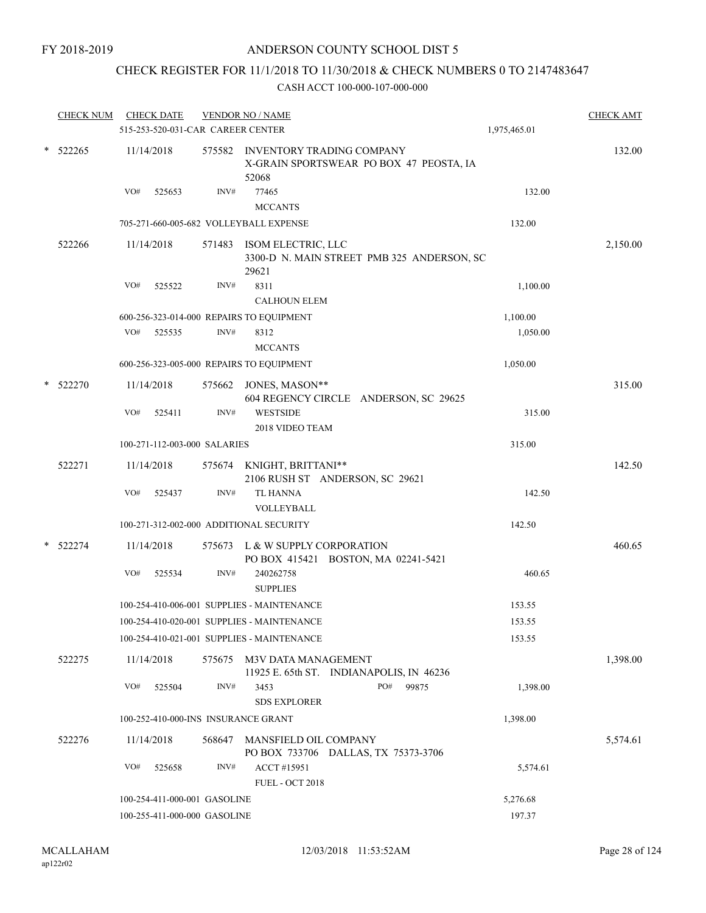## CHECK REGISTER FOR 11/1/2018 TO 11/30/2018 & CHECK NUMBERS 0 TO 2147483647

| 515-253-520-031-CAR CAREER CENTER<br>$*$ 522265<br>11/14/2018<br>575582 INVENTORY TRADING COMPANY<br>X-GRAIN SPORTSWEAR PO BOX 47 PEOSTA, IA<br>52068<br>VO#<br>INV#<br>77465<br>525653<br>132.00<br><b>MCCANTS</b><br>705-271-660-005-682 VOLLEYBALL EXPENSE<br>132.00<br>522266<br>571483 ISOM ELECTRIC, LLC<br>11/14/2018<br>3300-D N. MAIN STREET PMB 325 ANDERSON, SC<br>29621<br>8311<br>VO#<br>525522<br>INV#<br>1,100.00<br><b>CALHOUN ELEM</b><br>600-256-323-014-000 REPAIRS TO EQUIPMENT<br>1,100.00<br>VO#<br>525535<br>INV#<br>8312<br>1,050.00<br><b>MCCANTS</b><br>1,050.00<br>600-256-323-005-000 REPAIRS TO EQUIPMENT<br>* 522270<br>11/14/2018<br>575662 JONES, MASON**<br>604 REGENCY CIRCLE ANDERSON, SC 29625<br>VO#<br>INV#<br>525411<br><b>WESTSIDE</b><br>315.00<br>2018 VIDEO TEAM<br>100-271-112-003-000 SALARIES<br>315.00<br>522271<br>575674 KNIGHT, BRITTANI**<br>11/14/2018<br>2106 RUSH ST ANDERSON, SC 29621<br>INV#<br>VO#<br><b>TL HANNA</b><br>142.50<br>525437<br>VOLLEYBALL<br>100-271-312-002-000 ADDITIONAL SECURITY<br>142.50<br>$*$ 522274<br>11/14/2018<br>575673 L & W SUPPLY CORPORATION<br>PO BOX 415421 BOSTON, MA 02241-5421<br>VO#<br>INV#<br>525534<br>240262758<br>460.65<br><b>SUPPLIES</b><br>100-254-410-006-001 SUPPLIES - MAINTENANCE<br>153.55<br>100-254-410-020-001 SUPPLIES - MAINTENANCE<br>153.55<br>100-254-410-021-001 SUPPLIES - MAINTENANCE<br>153.55<br>522275<br>11/14/2018<br>M3V DATA MANAGEMENT<br>575675<br>11925 E. 65th ST. INDIANAPOLIS, IN 46236<br>VO#<br>525504<br>INV#<br>3453<br>PO#<br>99875<br>1,398.00<br><b>SDS EXPLORER</b><br>100-252-410-000-INS INSURANCE GRANT<br>1,398.00<br>522276<br>11/14/2018<br>568647<br>MANSFIELD OIL COMPANY<br>PO BOX 733706 DALLAS, TX 75373-3706<br>VO#<br>INV#<br>ACCT #15951<br>525658<br>5,574.61<br><b>FUEL - OCT 2018</b><br>100-254-411-000-001 GASOLINE | <b>CHECK NUM</b> | <b>CHECK DATE</b> | <b>VENDOR NO / NAME</b> | 1,975,465.01 | <b>CHECK AMT</b> |
|-------------------------------------------------------------------------------------------------------------------------------------------------------------------------------------------------------------------------------------------------------------------------------------------------------------------------------------------------------------------------------------------------------------------------------------------------------------------------------------------------------------------------------------------------------------------------------------------------------------------------------------------------------------------------------------------------------------------------------------------------------------------------------------------------------------------------------------------------------------------------------------------------------------------------------------------------------------------------------------------------------------------------------------------------------------------------------------------------------------------------------------------------------------------------------------------------------------------------------------------------------------------------------------------------------------------------------------------------------------------------------------------------------------------------------------------------------------------------------------------------------------------------------------------------------------------------------------------------------------------------------------------------------------------------------------------------------------------------------------------------------------------------------------------------------------------------------------------------------------------------------------|------------------|-------------------|-------------------------|--------------|------------------|
|                                                                                                                                                                                                                                                                                                                                                                                                                                                                                                                                                                                                                                                                                                                                                                                                                                                                                                                                                                                                                                                                                                                                                                                                                                                                                                                                                                                                                                                                                                                                                                                                                                                                                                                                                                                                                                                                                     |                  |                   |                         |              |                  |
|                                                                                                                                                                                                                                                                                                                                                                                                                                                                                                                                                                                                                                                                                                                                                                                                                                                                                                                                                                                                                                                                                                                                                                                                                                                                                                                                                                                                                                                                                                                                                                                                                                                                                                                                                                                                                                                                                     |                  |                   |                         |              | 132.00           |
|                                                                                                                                                                                                                                                                                                                                                                                                                                                                                                                                                                                                                                                                                                                                                                                                                                                                                                                                                                                                                                                                                                                                                                                                                                                                                                                                                                                                                                                                                                                                                                                                                                                                                                                                                                                                                                                                                     |                  |                   |                         |              |                  |
|                                                                                                                                                                                                                                                                                                                                                                                                                                                                                                                                                                                                                                                                                                                                                                                                                                                                                                                                                                                                                                                                                                                                                                                                                                                                                                                                                                                                                                                                                                                                                                                                                                                                                                                                                                                                                                                                                     |                  |                   |                         |              |                  |
|                                                                                                                                                                                                                                                                                                                                                                                                                                                                                                                                                                                                                                                                                                                                                                                                                                                                                                                                                                                                                                                                                                                                                                                                                                                                                                                                                                                                                                                                                                                                                                                                                                                                                                                                                                                                                                                                                     |                  |                   |                         |              | 2,150.00         |
|                                                                                                                                                                                                                                                                                                                                                                                                                                                                                                                                                                                                                                                                                                                                                                                                                                                                                                                                                                                                                                                                                                                                                                                                                                                                                                                                                                                                                                                                                                                                                                                                                                                                                                                                                                                                                                                                                     |                  |                   |                         |              |                  |
|                                                                                                                                                                                                                                                                                                                                                                                                                                                                                                                                                                                                                                                                                                                                                                                                                                                                                                                                                                                                                                                                                                                                                                                                                                                                                                                                                                                                                                                                                                                                                                                                                                                                                                                                                                                                                                                                                     |                  |                   |                         |              |                  |
|                                                                                                                                                                                                                                                                                                                                                                                                                                                                                                                                                                                                                                                                                                                                                                                                                                                                                                                                                                                                                                                                                                                                                                                                                                                                                                                                                                                                                                                                                                                                                                                                                                                                                                                                                                                                                                                                                     |                  |                   |                         |              |                  |
|                                                                                                                                                                                                                                                                                                                                                                                                                                                                                                                                                                                                                                                                                                                                                                                                                                                                                                                                                                                                                                                                                                                                                                                                                                                                                                                                                                                                                                                                                                                                                                                                                                                                                                                                                                                                                                                                                     |                  |                   |                         |              |                  |
|                                                                                                                                                                                                                                                                                                                                                                                                                                                                                                                                                                                                                                                                                                                                                                                                                                                                                                                                                                                                                                                                                                                                                                                                                                                                                                                                                                                                                                                                                                                                                                                                                                                                                                                                                                                                                                                                                     |                  |                   |                         |              |                  |
|                                                                                                                                                                                                                                                                                                                                                                                                                                                                                                                                                                                                                                                                                                                                                                                                                                                                                                                                                                                                                                                                                                                                                                                                                                                                                                                                                                                                                                                                                                                                                                                                                                                                                                                                                                                                                                                                                     |                  |                   |                         |              | 315.00           |
|                                                                                                                                                                                                                                                                                                                                                                                                                                                                                                                                                                                                                                                                                                                                                                                                                                                                                                                                                                                                                                                                                                                                                                                                                                                                                                                                                                                                                                                                                                                                                                                                                                                                                                                                                                                                                                                                                     |                  |                   |                         |              |                  |
|                                                                                                                                                                                                                                                                                                                                                                                                                                                                                                                                                                                                                                                                                                                                                                                                                                                                                                                                                                                                                                                                                                                                                                                                                                                                                                                                                                                                                                                                                                                                                                                                                                                                                                                                                                                                                                                                                     |                  |                   |                         |              |                  |
|                                                                                                                                                                                                                                                                                                                                                                                                                                                                                                                                                                                                                                                                                                                                                                                                                                                                                                                                                                                                                                                                                                                                                                                                                                                                                                                                                                                                                                                                                                                                                                                                                                                                                                                                                                                                                                                                                     |                  |                   |                         |              | 142.50           |
|                                                                                                                                                                                                                                                                                                                                                                                                                                                                                                                                                                                                                                                                                                                                                                                                                                                                                                                                                                                                                                                                                                                                                                                                                                                                                                                                                                                                                                                                                                                                                                                                                                                                                                                                                                                                                                                                                     |                  |                   |                         |              |                  |
|                                                                                                                                                                                                                                                                                                                                                                                                                                                                                                                                                                                                                                                                                                                                                                                                                                                                                                                                                                                                                                                                                                                                                                                                                                                                                                                                                                                                                                                                                                                                                                                                                                                                                                                                                                                                                                                                                     |                  |                   |                         |              |                  |
|                                                                                                                                                                                                                                                                                                                                                                                                                                                                                                                                                                                                                                                                                                                                                                                                                                                                                                                                                                                                                                                                                                                                                                                                                                                                                                                                                                                                                                                                                                                                                                                                                                                                                                                                                                                                                                                                                     |                  |                   |                         |              |                  |
|                                                                                                                                                                                                                                                                                                                                                                                                                                                                                                                                                                                                                                                                                                                                                                                                                                                                                                                                                                                                                                                                                                                                                                                                                                                                                                                                                                                                                                                                                                                                                                                                                                                                                                                                                                                                                                                                                     |                  |                   |                         |              | 460.65           |
|                                                                                                                                                                                                                                                                                                                                                                                                                                                                                                                                                                                                                                                                                                                                                                                                                                                                                                                                                                                                                                                                                                                                                                                                                                                                                                                                                                                                                                                                                                                                                                                                                                                                                                                                                                                                                                                                                     |                  |                   |                         |              |                  |
|                                                                                                                                                                                                                                                                                                                                                                                                                                                                                                                                                                                                                                                                                                                                                                                                                                                                                                                                                                                                                                                                                                                                                                                                                                                                                                                                                                                                                                                                                                                                                                                                                                                                                                                                                                                                                                                                                     |                  |                   |                         |              |                  |
|                                                                                                                                                                                                                                                                                                                                                                                                                                                                                                                                                                                                                                                                                                                                                                                                                                                                                                                                                                                                                                                                                                                                                                                                                                                                                                                                                                                                                                                                                                                                                                                                                                                                                                                                                                                                                                                                                     |                  |                   |                         |              |                  |
|                                                                                                                                                                                                                                                                                                                                                                                                                                                                                                                                                                                                                                                                                                                                                                                                                                                                                                                                                                                                                                                                                                                                                                                                                                                                                                                                                                                                                                                                                                                                                                                                                                                                                                                                                                                                                                                                                     |                  |                   |                         |              |                  |
|                                                                                                                                                                                                                                                                                                                                                                                                                                                                                                                                                                                                                                                                                                                                                                                                                                                                                                                                                                                                                                                                                                                                                                                                                                                                                                                                                                                                                                                                                                                                                                                                                                                                                                                                                                                                                                                                                     |                  |                   |                         |              | 1,398.00         |
|                                                                                                                                                                                                                                                                                                                                                                                                                                                                                                                                                                                                                                                                                                                                                                                                                                                                                                                                                                                                                                                                                                                                                                                                                                                                                                                                                                                                                                                                                                                                                                                                                                                                                                                                                                                                                                                                                     |                  |                   |                         |              |                  |
|                                                                                                                                                                                                                                                                                                                                                                                                                                                                                                                                                                                                                                                                                                                                                                                                                                                                                                                                                                                                                                                                                                                                                                                                                                                                                                                                                                                                                                                                                                                                                                                                                                                                                                                                                                                                                                                                                     |                  |                   |                         |              |                  |
|                                                                                                                                                                                                                                                                                                                                                                                                                                                                                                                                                                                                                                                                                                                                                                                                                                                                                                                                                                                                                                                                                                                                                                                                                                                                                                                                                                                                                                                                                                                                                                                                                                                                                                                                                                                                                                                                                     |                  |                   |                         |              | 5,574.61         |
|                                                                                                                                                                                                                                                                                                                                                                                                                                                                                                                                                                                                                                                                                                                                                                                                                                                                                                                                                                                                                                                                                                                                                                                                                                                                                                                                                                                                                                                                                                                                                                                                                                                                                                                                                                                                                                                                                     |                  |                   |                         |              |                  |
|                                                                                                                                                                                                                                                                                                                                                                                                                                                                                                                                                                                                                                                                                                                                                                                                                                                                                                                                                                                                                                                                                                                                                                                                                                                                                                                                                                                                                                                                                                                                                                                                                                                                                                                                                                                                                                                                                     |                  |                   |                         | 5,276.68     |                  |
| 197.37<br>100-255-411-000-000 GASOLINE                                                                                                                                                                                                                                                                                                                                                                                                                                                                                                                                                                                                                                                                                                                                                                                                                                                                                                                                                                                                                                                                                                                                                                                                                                                                                                                                                                                                                                                                                                                                                                                                                                                                                                                                                                                                                                              |                  |                   |                         |              |                  |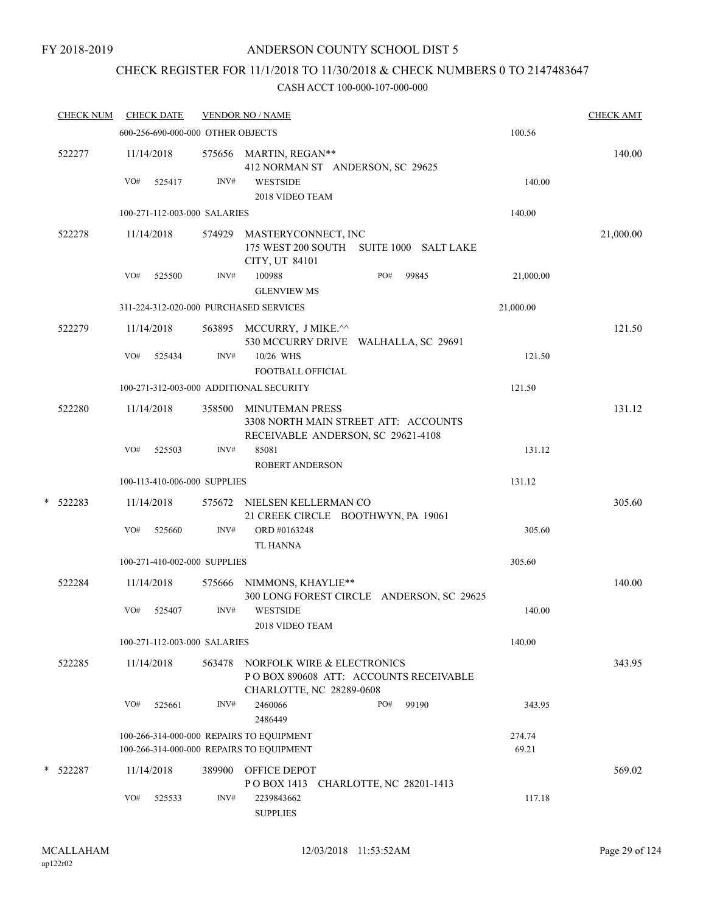## CHECK REGISTER FOR 11/1/2018 TO 11/30/2018 & CHECK NUMBERS 0 TO 2147483647

|   | <b>CHECK NUM</b> |     | <b>CHECK DATE</b>                 |        | <b>VENDOR NO / NAME</b>                                                                              |              |                 | <b>CHECK AMT</b> |
|---|------------------|-----|-----------------------------------|--------|------------------------------------------------------------------------------------------------------|--------------|-----------------|------------------|
|   |                  |     | 600-256-690-000-000 OTHER OBJECTS |        |                                                                                                      |              | 100.56          |                  |
|   | 522277           |     | 11/14/2018                        |        | 575656 MARTIN, REGAN**<br>412 NORMAN ST ANDERSON, SC 29625                                           |              |                 | 140.00           |
|   |                  | VO# | 525417                            | INV#   | <b>WESTSIDE</b><br>2018 VIDEO TEAM                                                                   |              | 140.00          |                  |
|   |                  |     | 100-271-112-003-000 SALARIES      |        |                                                                                                      |              | 140.00          |                  |
|   | 522278           |     | 11/14/2018                        | 574929 | MASTERYCONNECT, INC<br>175 WEST 200 SOUTH SUITE 1000 SALT LAKE<br>CITY, UT 84101                     |              |                 | 21,000.00        |
|   |                  | VO# | 525500                            | INV#   | 100988<br><b>GLENVIEW MS</b>                                                                         | PO#<br>99845 | 21,000.00       |                  |
|   |                  |     |                                   |        | 311-224-312-020-000 PURCHASED SERVICES                                                               |              | 21,000.00       |                  |
|   | 522279           |     | 11/14/2018                        |        | 563895 MCCURRY, J MIKE.^^<br>530 MCCURRY DRIVE WALHALLA, SC 29691                                    |              |                 | 121.50           |
|   |                  | VO# | 525434                            | INV#   | 10/26 WHS<br>FOOTBALL OFFICIAL                                                                       |              | 121.50          |                  |
|   |                  |     |                                   |        | 100-271-312-003-000 ADDITIONAL SECURITY                                                              |              | 121.50          |                  |
|   | 522280           |     | 11/14/2018                        | 358500 | <b>MINUTEMAN PRESS</b><br>3308 NORTH MAIN STREET ATT: ACCOUNTS<br>RECEIVABLE ANDERSON, SC 29621-4108 |              |                 | 131.12           |
|   |                  | VO# | 525503                            | INV#   | 85081<br><b>ROBERT ANDERSON</b>                                                                      |              | 131.12          |                  |
|   |                  |     | 100-113-410-006-000 SUPPLIES      |        |                                                                                                      |              | 131.12          |                  |
|   | $*$ 522283       |     | 11/14/2018                        | 575672 | NIELSEN KELLERMAN CO<br>21 CREEK CIRCLE BOOTHWYN, PA 19061                                           |              |                 | 305.60           |
|   |                  | VO# | 525660                            | INV#   | ORD #0163248<br><b>TL HANNA</b>                                                                      |              | 305.60          |                  |
|   |                  |     | 100-271-410-002-000 SUPPLIES      |        |                                                                                                      |              | 305.60          |                  |
|   | 522284           |     | 11/14/2018                        | 575666 | NIMMONS, KHAYLIE**<br>300 LONG FOREST CIRCLE ANDERSON, SC 29625                                      |              |                 | 140.00           |
|   |                  | VO# | 525407                            | INV#   | <b>WESTSIDE</b><br>2018 VIDEO TEAM                                                                   |              | 140.00          |                  |
|   |                  |     | 100-271-112-003-000 SALARIES      |        |                                                                                                      |              | 140.00          |                  |
|   | 522285           |     | 11/14/2018                        | 563478 | NORFOLK WIRE & ELECTRONICS<br>PO BOX 890608 ATT: ACCOUNTS RECEIVABLE<br>CHARLOTTE, NC 28289-0608     |              |                 | 343.95           |
|   |                  | VO# | 525661                            | INV#   | 2460066<br>2486449                                                                                   | 99190<br>PO# | 343.95          |                  |
|   |                  |     |                                   |        | 100-266-314-000-000 REPAIRS TO EQUIPMENT<br>100-266-314-000-000 REPAIRS TO EQUIPMENT                 |              | 274.74<br>69.21 |                  |
| * | 522287           |     | 11/14/2018                        | 389900 | OFFICE DEPOT<br>POBOX 1413 CHARLOTTE, NC 28201-1413                                                  |              |                 | 569.02           |
|   |                  | VO# | 525533                            | INV#   | 2239843662<br><b>SUPPLIES</b>                                                                        |              | 117.18          |                  |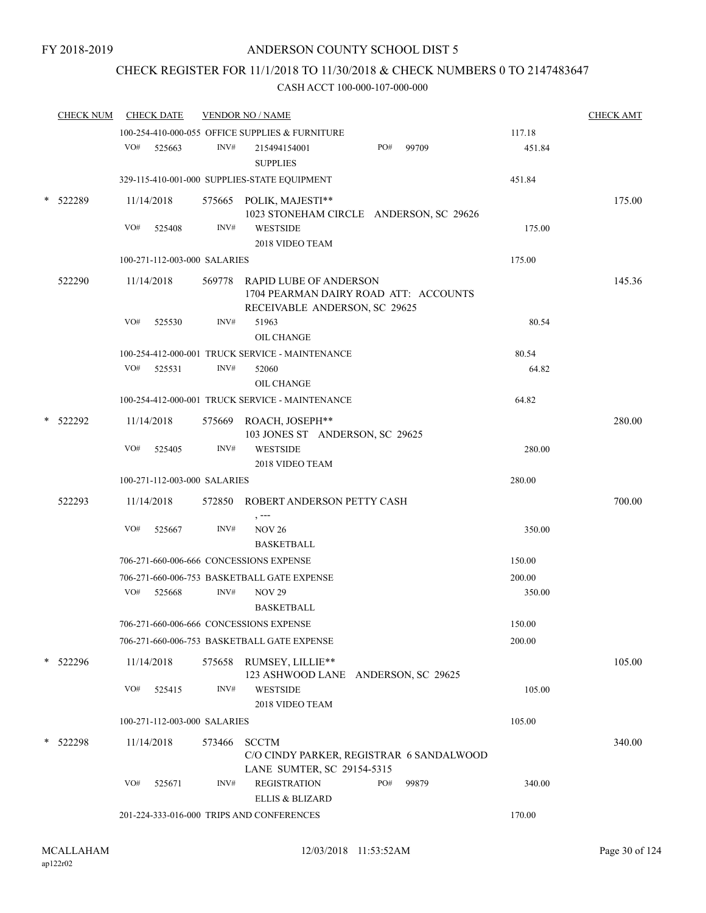# CHECK REGISTER FOR 11/1/2018 TO 11/30/2018 & CHECK NUMBERS 0 TO 2147483647

|        | <b>CHECK NUM</b> |     | <b>CHECK DATE</b>                         |        | <b>VENDOR NO / NAME</b>                                                                                 |     |       |        | <b>CHECK AMT</b> |
|--------|------------------|-----|-------------------------------------------|--------|---------------------------------------------------------------------------------------------------------|-----|-------|--------|------------------|
|        |                  |     |                                           |        | 100-254-410-000-055 OFFICE SUPPLIES & FURNITURE                                                         |     |       | 117.18 |                  |
|        |                  | VO# | 525663                                    | INV#   | 215494154001<br><b>SUPPLIES</b>                                                                         | PO# | 99709 | 451.84 |                  |
|        |                  |     |                                           |        | 329-115-410-001-000 SUPPLIES-STATE EQUIPMENT                                                            |     |       | 451.84 |                  |
|        | 522289           |     | 11/14/2018                                |        | 575665 POLIK, MAJESTI**<br>1023 STONEHAM CIRCLE ANDERSON, SC 29626                                      |     |       |        | 175.00           |
|        |                  | VO# | 525408                                    | INV#   | <b>WESTSIDE</b><br>2018 VIDEO TEAM                                                                      |     |       | 175.00 |                  |
|        |                  |     | 100-271-112-003-000 SALARIES              |        |                                                                                                         |     |       | 175.00 |                  |
|        | 522290           |     | 11/14/2018                                |        | 569778 RAPID LUBE OF ANDERSON<br>1704 PEARMAN DAIRY ROAD ATT: ACCOUNTS<br>RECEIVABLE ANDERSON, SC 29625 |     |       |        | 145.36           |
|        |                  | VO# | 525530                                    | INV#   | 51963<br>OIL CHANGE                                                                                     |     |       | 80.54  |                  |
|        |                  |     |                                           |        | 100-254-412-000-001 TRUCK SERVICE - MAINTENANCE                                                         |     |       | 80.54  |                  |
|        |                  | VO# | 525531                                    | INV#   | 52060<br>OIL CHANGE                                                                                     |     |       | 64.82  |                  |
|        |                  |     |                                           |        | 100-254-412-000-001 TRUCK SERVICE - MAINTENANCE                                                         |     |       | 64.82  |                  |
|        | 522292           |     | 11/14/2018                                |        | 575669 ROACH, JOSEPH**<br>103 JONES ST ANDERSON, SC 29625                                               |     |       |        | 280.00           |
|        |                  | VO# | 525405                                    | INV#   | <b>WESTSIDE</b><br>2018 VIDEO TEAM                                                                      |     |       | 280.00 |                  |
|        |                  |     | 100-271-112-003-000 SALARIES              |        |                                                                                                         |     |       | 280.00 |                  |
|        | 522293           |     | 11/14/2018                                |        | 572850 ROBERT ANDERSON PETTY CASH<br>$, -- -$                                                           |     |       |        | 700.00           |
|        |                  | VO# | 525667                                    | INV#   | <b>NOV 26</b><br><b>BASKETBALL</b>                                                                      |     |       | 350.00 |                  |
|        |                  |     |                                           |        | 706-271-660-006-666 CONCESSIONS EXPENSE                                                                 |     |       | 150.00 |                  |
|        |                  |     |                                           |        | 706-271-660-006-753 BASKETBALL GATE EXPENSE                                                             |     |       | 200.00 |                  |
|        |                  | VO# | 525668                                    | INV#   | <b>NOV 29</b><br><b>BASKETBALL</b>                                                                      |     |       | 350.00 |                  |
|        |                  |     |                                           |        | 706-271-660-006-666 CONCESSIONS EXPENSE                                                                 |     |       | 150.00 |                  |
|        |                  |     |                                           |        | 706-271-660-006-753 BASKETBALL GATE EXPENSE                                                             |     |       | 200.00 |                  |
| $\ast$ | 522296           |     | 11/14/2018                                |        | 575658 RUMSEY, LILLIE**<br>123 ASHWOOD LANE ANDERSON, SC 29625                                          |     |       |        | 105.00           |
|        |                  | VO# | 525415                                    | INV#   | <b>WESTSIDE</b><br>2018 VIDEO TEAM                                                                      |     |       | 105.00 |                  |
|        |                  |     | 100-271-112-003-000 SALARIES              |        |                                                                                                         |     |       | 105.00 |                  |
|        | 522298           |     | 11/14/2018                                | 573466 | <b>SCCTM</b><br>C/O CINDY PARKER, REGISTRAR 6 SANDALWOOD<br>LANE SUMTER, SC 29154-5315                  |     |       |        | 340.00           |
|        |                  | VO# | 525671                                    | INV#   | <b>REGISTRATION</b><br><b>ELLIS &amp; BLIZARD</b>                                                       | PO# | 99879 | 340.00 |                  |
|        |                  |     | 201-224-333-016-000 TRIPS AND CONFERENCES |        | 170.00                                                                                                  |     |       |        |                  |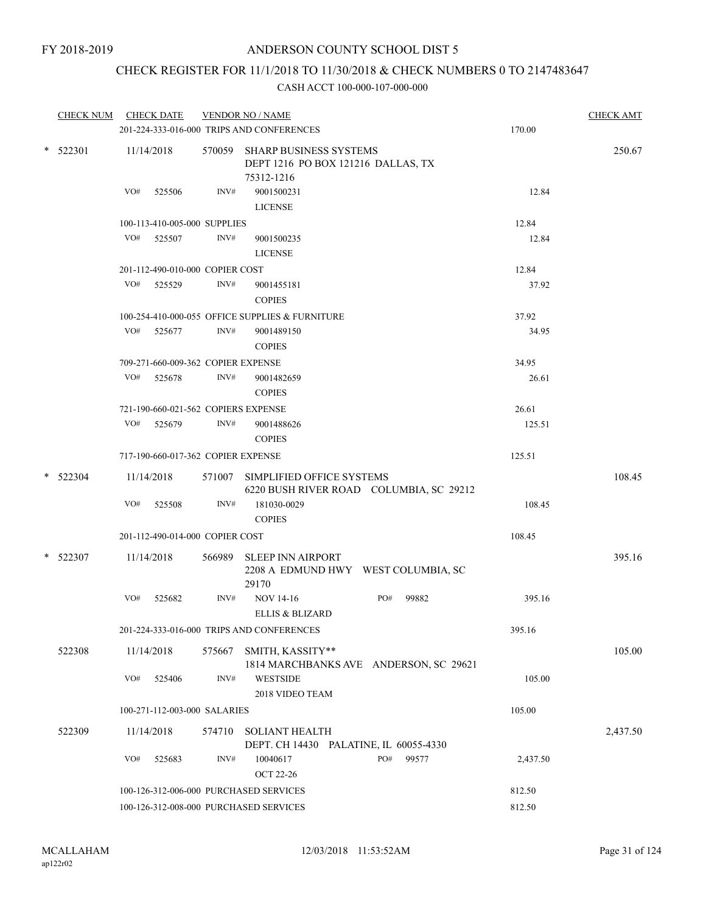# CHECK REGISTER FOR 11/1/2018 TO 11/30/2018 & CHECK NUMBERS 0 TO 2147483647

| <b>CHECK NUM</b> | <b>CHECK DATE</b>                      |        | <b>VENDOR NO / NAME</b><br>201-224-333-016-000 TRIPS AND CONFERENCES              | 170.00   | <b>CHECK AMT</b> |
|------------------|----------------------------------------|--------|-----------------------------------------------------------------------------------|----------|------------------|
| $*$ 522301       | 11/14/2018                             |        | 570059 SHARP BUSINESS SYSTEMS<br>DEPT 1216 PO BOX 121216 DALLAS, TX<br>75312-1216 |          | 250.67           |
|                  | VO#<br>525506                          | INV#   | 9001500231<br><b>LICENSE</b>                                                      | 12.84    |                  |
|                  | 100-113-410-005-000 SUPPLIES           |        |                                                                                   | 12.84    |                  |
|                  | VO# 525507                             | INV#   | 9001500235<br><b>LICENSE</b>                                                      | 12.84    |                  |
|                  | 201-112-490-010-000 COPIER COST        |        |                                                                                   | 12.84    |                  |
|                  | VO# 525529                             | INV#   | 9001455181<br><b>COPIES</b>                                                       | 37.92    |                  |
|                  |                                        |        | 100-254-410-000-055 OFFICE SUPPLIES & FURNITURE                                   | 37.92    |                  |
|                  | VO# 525677                             | INV#   | 9001489150<br><b>COPIES</b>                                                       | 34.95    |                  |
|                  | 709-271-660-009-362 COPIER EXPENSE     |        |                                                                                   | 34.95    |                  |
|                  | VO#<br>525678                          | INV#   | 9001482659<br><b>COPIES</b>                                                       | 26.61    |                  |
|                  | 721-190-660-021-562 COPIERS EXPENSE    |        |                                                                                   | 26.61    |                  |
|                  | VO#<br>525679                          | INV#   | 9001488626<br><b>COPIES</b>                                                       | 125.51   |                  |
|                  | 717-190-660-017-362 COPIER EXPENSE     |        |                                                                                   | 125.51   |                  |
| $*$ 522304       | 11/14/2018                             |        | 571007 SIMPLIFIED OFFICE SYSTEMS<br>6220 BUSH RIVER ROAD COLUMBIA, SC 29212       |          | 108.45           |
|                  | VO#<br>525508                          | INV#   | 181030-0029<br><b>COPIES</b>                                                      | 108.45   |                  |
|                  | 201-112-490-014-000 COPIER COST        |        |                                                                                   | 108.45   |                  |
| $*$ 522307       | 11/14/2018                             |        | 566989 SLEEP INN AIRPORT<br>2208 A EDMUND HWY WEST COLUMBIA, SC<br>29170          |          | 395.16           |
|                  | VO#<br>525682                          | INV#   | <b>NOV 14-16</b><br>PO#<br>99882<br><b>ELLIS &amp; BLIZARD</b>                    | 395.16   |                  |
|                  |                                        |        | 201-224-333-016-000 TRIPS AND CONFERENCES                                         | 395.16   |                  |
| 522308           | 11/14/2018                             | 575667 | SMITH, KASSITY**<br>1814 MARCHBANKS AVE ANDERSON, SC 29621                        |          | 105.00           |
|                  | VO#<br>525406                          | INV#   | <b>WESTSIDE</b><br>2018 VIDEO TEAM                                                | 105.00   |                  |
|                  | 100-271-112-003-000 SALARIES           |        |                                                                                   | 105.00   |                  |
| 522309           | 11/14/2018                             | 574710 | <b>SOLIANT HEALTH</b><br>DEPT. CH 14430 PALATINE, IL 60055-4330                   |          | 2,437.50         |
|                  | VO#<br>525683                          | INV#   | PO#<br>99577<br>10040617<br><b>OCT 22-26</b>                                      | 2,437.50 |                  |
|                  | 100-126-312-006-000 PURCHASED SERVICES |        | 812.50                                                                            |          |                  |
|                  | 100-126-312-008-000 PURCHASED SERVICES |        |                                                                                   | 812.50   |                  |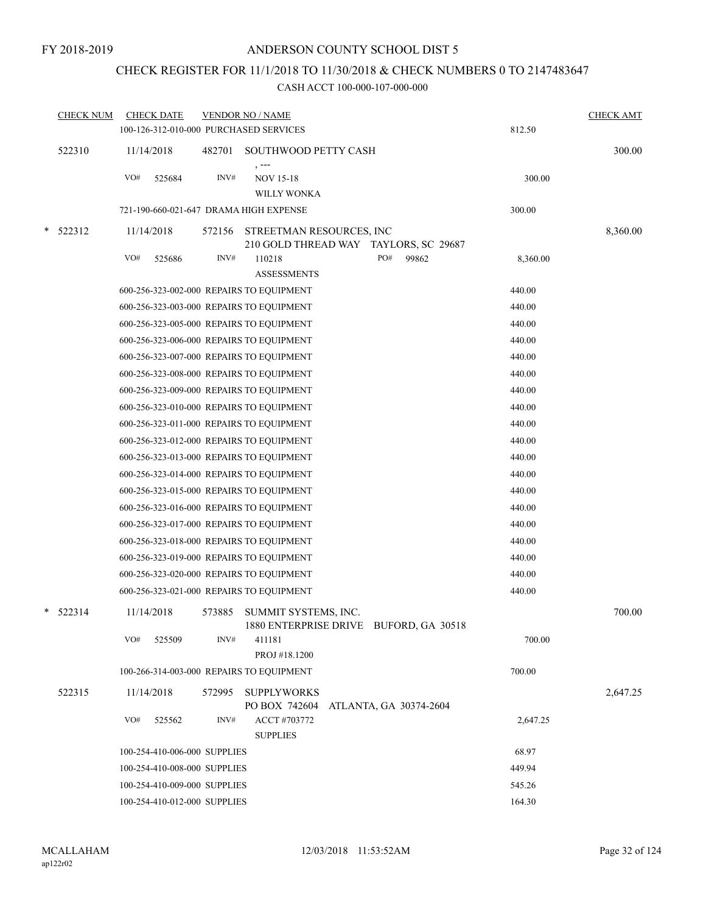# CHECK REGISTER FOR 11/1/2018 TO 11/30/2018 & CHECK NUMBERS 0 TO 2147483647

|        | <b>CHECK NUM</b> |     | <b>CHECK DATE</b>            |        | <b>VENDOR NO / NAME</b><br>100-126-312-010-000 PURCHASED SERVICES |     |                        | 812.50   | <b>CHECK AMT</b> |
|--------|------------------|-----|------------------------------|--------|-------------------------------------------------------------------|-----|------------------------|----------|------------------|
|        | 522310           |     |                              |        |                                                                   |     |                        |          | 300.00           |
|        |                  |     | 11/14/2018                   |        | 482701 SOUTHWOOD PETTY CASH<br>$, --$                             |     |                        |          |                  |
|        |                  | VO# | 525684                       | INV#   | <b>NOV 15-18</b>                                                  |     |                        | 300.00   |                  |
|        |                  |     |                              |        | WILLY WONKA                                                       |     |                        |          |                  |
|        |                  |     |                              |        | 721-190-660-021-647 DRAMA HIGH EXPENSE                            |     |                        | 300.00   |                  |
| $\ast$ | 522312           |     | 11/14/2018                   | 572156 | STREETMAN RESOURCES, INC                                          |     |                        |          | 8,360.00         |
|        |                  |     |                              |        | 210 GOLD THREAD WAY TAYLORS, SC 29687                             |     |                        |          |                  |
|        |                  | VO# | 525686                       | INV#   | 110218                                                            | PO# | 99862                  | 8,360.00 |                  |
|        |                  |     |                              |        | <b>ASSESSMENTS</b>                                                |     |                        |          |                  |
|        |                  |     |                              |        | 600-256-323-002-000 REPAIRS TO EQUIPMENT                          |     |                        | 440.00   |                  |
|        |                  |     |                              |        | 600-256-323-003-000 REPAIRS TO EQUIPMENT                          |     |                        | 440.00   |                  |
|        |                  |     |                              |        | 600-256-323-005-000 REPAIRS TO EQUIPMENT                          |     |                        | 440.00   |                  |
|        |                  |     |                              |        | 600-256-323-006-000 REPAIRS TO EQUIPMENT                          |     |                        | 440.00   |                  |
|        |                  |     |                              |        | 600-256-323-007-000 REPAIRS TO EQUIPMENT                          |     |                        | 440.00   |                  |
|        |                  |     |                              |        | 600-256-323-008-000 REPAIRS TO EQUIPMENT                          |     |                        | 440.00   |                  |
|        |                  |     |                              |        | 600-256-323-009-000 REPAIRS TO EQUIPMENT                          |     |                        | 440.00   |                  |
|        |                  |     |                              |        | 600-256-323-010-000 REPAIRS TO EQUIPMENT                          |     |                        | 440.00   |                  |
|        |                  |     |                              |        | 600-256-323-011-000 REPAIRS TO EQUIPMENT                          |     |                        | 440.00   |                  |
|        |                  |     |                              |        | 600-256-323-012-000 REPAIRS TO EQUIPMENT                          |     |                        | 440.00   |                  |
|        |                  |     |                              |        | 600-256-323-013-000 REPAIRS TO EQUIPMENT                          |     |                        | 440.00   |                  |
|        |                  |     |                              |        | 600-256-323-014-000 REPAIRS TO EQUIPMENT                          |     |                        | 440.00   |                  |
|        |                  |     |                              |        | 600-256-323-015-000 REPAIRS TO EQUIPMENT                          |     |                        | 440.00   |                  |
|        |                  |     |                              |        | 600-256-323-016-000 REPAIRS TO EQUIPMENT                          |     |                        | 440.00   |                  |
|        |                  |     |                              |        | 600-256-323-017-000 REPAIRS TO EQUIPMENT                          |     |                        | 440.00   |                  |
|        |                  |     |                              |        | 600-256-323-018-000 REPAIRS TO EQUIPMENT                          |     |                        | 440.00   |                  |
|        |                  |     |                              |        | 600-256-323-019-000 REPAIRS TO EQUIPMENT                          |     |                        | 440.00   |                  |
|        |                  |     |                              |        | 600-256-323-020-000 REPAIRS TO EQUIPMENT                          |     |                        | 440.00   |                  |
|        |                  |     |                              |        | 600-256-323-021-000 REPAIRS TO EQUIPMENT                          |     |                        | 440.00   |                  |
|        | $*$ 522314       |     | 11/14/2018                   | 573885 | SUMMIT SYSTEMS, INC.<br>1880 ENTERPRISE DRIVE BUFORD, GA 30518    |     |                        |          | 700.00           |
|        |                  | VO# | 525509                       | INV#   | 411181<br>PROJ #18.1200                                           |     |                        | 700.00   |                  |
|        |                  |     |                              |        | 100-266-314-003-000 REPAIRS TO EQUIPMENT                          |     |                        | 700.00   |                  |
|        | 522315           |     | 11/14/2018                   | 572995 | <b>SUPPLYWORKS</b>                                                |     |                        |          | 2,647.25         |
|        |                  | VO# | 525562                       | INV#   | PO BOX 742604<br>ACCT #703772<br><b>SUPPLIES</b>                  |     | ATLANTA, GA 30374-2604 | 2,647.25 |                  |
|        |                  |     | 100-254-410-006-000 SUPPLIES |        |                                                                   |     |                        | 68.97    |                  |
|        |                  |     | 100-254-410-008-000 SUPPLIES |        |                                                                   |     |                        | 449.94   |                  |
|        |                  |     | 100-254-410-009-000 SUPPLIES |        |                                                                   |     |                        | 545.26   |                  |
|        |                  |     | 100-254-410-012-000 SUPPLIES |        |                                                                   |     |                        | 164.30   |                  |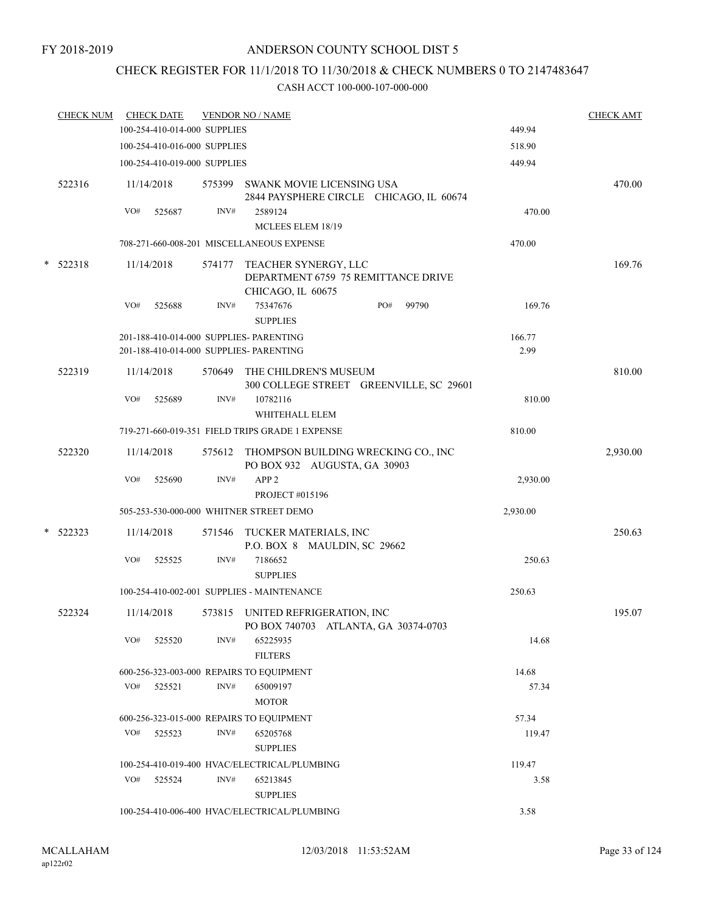# CHECK REGISTER FOR 11/1/2018 TO 11/30/2018 & CHECK NUMBERS 0 TO 2147483647

|   | <b>CHECK NUM</b> |     | <b>CHECK DATE</b><br>100-254-410-014-000 SUPPLIES |        | <b>VENDOR NO / NAME</b>                                                            | 449.94         | <b>CHECK AMT</b> |
|---|------------------|-----|---------------------------------------------------|--------|------------------------------------------------------------------------------------|----------------|------------------|
|   |                  |     | 100-254-410-016-000 SUPPLIES                      |        |                                                                                    | 518.90         |                  |
|   |                  |     | 100-254-410-019-000 SUPPLIES                      |        |                                                                                    | 449.94         |                  |
|   |                  |     |                                                   |        |                                                                                    |                |                  |
|   | 522316           |     | 11/14/2018                                        | 575399 | SWANK MOVIE LICENSING USA<br>2844 PAYSPHERE CIRCLE CHICAGO, IL 60674               |                | 470.00           |
|   |                  | VO# | 525687                                            | INV#   | 2589124                                                                            | 470.00         |                  |
|   |                  |     |                                                   |        | MCLEES ELEM 18/19                                                                  |                |                  |
|   |                  |     |                                                   |        | 708-271-660-008-201 MISCELLANEOUS EXPENSE                                          | 470.00         |                  |
| * | 522318           |     | 11/14/2018                                        |        | 574177 TEACHER SYNERGY, LLC<br>DEPARTMENT 6759 75 REMITTANCE DRIVE                 |                | 169.76           |
|   |                  | VO# | 525688                                            | INV#   | CHICAGO, IL 60675<br>PO#<br>99790<br>75347676                                      | 169.76         |                  |
|   |                  |     |                                                   |        | <b>SUPPLIES</b>                                                                    |                |                  |
|   |                  |     |                                                   |        | 201-188-410-014-000 SUPPLIES- PARENTING<br>201-188-410-014-000 SUPPLIES- PARENTING | 166.77<br>2.99 |                  |
|   |                  |     |                                                   |        |                                                                                    |                |                  |
|   | 522319           |     | 11/14/2018                                        | 570649 | THE CHILDREN'S MUSEUM<br>300 COLLEGE STREET GREENVILLE, SC 29601                   |                | 810.00           |
|   |                  | VO# | 525689                                            | INV#   | 10782116                                                                           | 810.00         |                  |
|   |                  |     |                                                   |        | WHITEHALL ELEM                                                                     |                |                  |
|   |                  |     |                                                   |        | 719-271-660-019-351 FIELD TRIPS GRADE 1 EXPENSE                                    | 810.00         |                  |
|   | 522320           |     | 11/14/2018                                        |        | 575612 THOMPSON BUILDING WRECKING CO., INC                                         |                | 2,930.00         |
|   |                  |     |                                                   |        | PO BOX 932 AUGUSTA, GA 30903                                                       |                |                  |
|   |                  | VO# | 525690                                            | INV#   | APP <sub>2</sub>                                                                   | 2,930.00       |                  |
|   |                  |     |                                                   |        | PROJECT #015196                                                                    |                |                  |
|   |                  |     |                                                   |        | 505-253-530-000-000 WHITNER STREET DEMO                                            | 2,930.00       |                  |
|   | $*$ 522323       |     | 11/14/2018                                        | 571546 | TUCKER MATERIALS, INC<br>P.O. BOX 8 MAULDIN, SC 29662                              |                | 250.63           |
|   |                  | VO# | 525525                                            | INV#   | 7186652<br><b>SUPPLIES</b>                                                         | 250.63         |                  |
|   |                  |     |                                                   |        | 100-254-410-002-001 SUPPLIES - MAINTENANCE                                         | 250.63         |                  |
|   | 522324           |     | 11/14/2018                                        |        | 573815 UNITED REFRIGERATION, INC<br>PO BOX 740703 ATLANTA, GA 30374-0703           |                | 195.07           |
|   |                  | VO# | 525520                                            | INV#   | 65225935<br><b>FILTERS</b>                                                         | 14.68          |                  |
|   |                  |     |                                                   |        | 600-256-323-003-000 REPAIRS TO EQUIPMENT                                           | 14.68          |                  |
|   |                  |     | $VO#$ 525521                                      | INV#   | 65009197                                                                           | 57.34          |                  |
|   |                  |     |                                                   |        | <b>MOTOR</b>                                                                       |                |                  |
|   |                  |     |                                                   |        | 600-256-323-015-000 REPAIRS TO EQUIPMENT                                           | 57.34          |                  |
|   |                  | VO# | 525523                                            | INV#   | 65205768<br><b>SUPPLIES</b>                                                        | 119.47         |                  |
|   |                  |     |                                                   |        | 100-254-410-019-400 HVAC/ELECTRICAL/PLUMBING                                       | 119.47         |                  |
|   |                  | VO# | 525524                                            | INV#   | 65213845<br><b>SUPPLIES</b>                                                        | 3.58           |                  |
|   |                  |     |                                                   |        | 100-254-410-006-400 HVAC/ELECTRICAL/PLUMBING                                       | 3.58           |                  |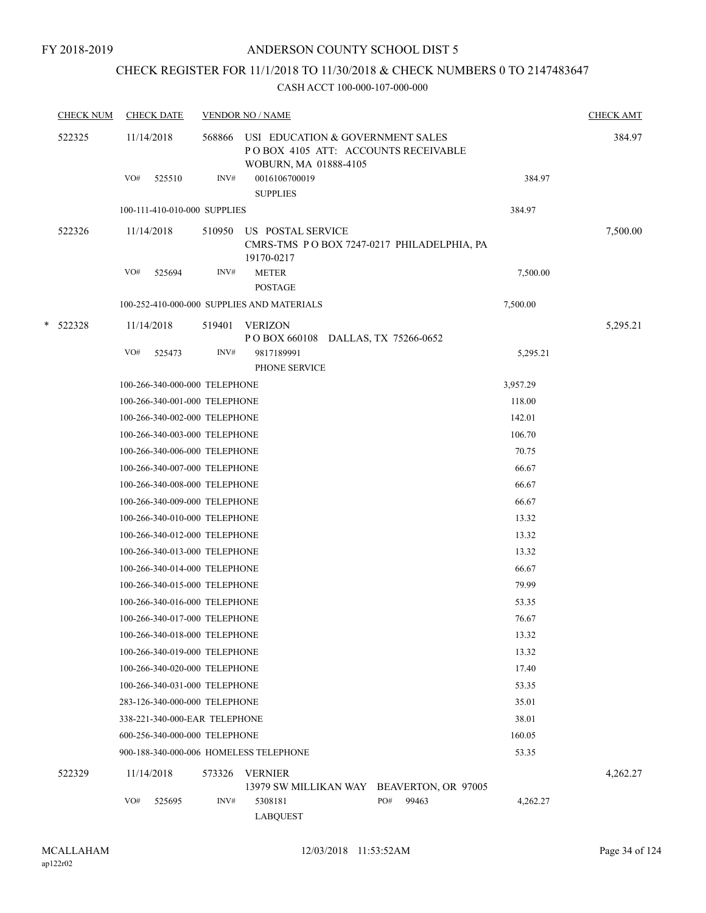# CHECK REGISTER FOR 11/1/2018 TO 11/30/2018 & CHECK NUMBERS 0 TO 2147483647

|        | <b>CHECK NUM</b> | <b>CHECK DATE</b>                      |        | <b>VENDOR NO / NAME</b>                                   |                                            |          |          |  |  |
|--------|------------------|----------------------------------------|--------|-----------------------------------------------------------|--------------------------------------------|----------|----------|--|--|
| 522325 |                  | 11/14/2018                             | 568866 | USI EDUCATION & GOVERNMENT SALES<br>WOBURN, MA 01888-4105 | POBOX 4105 ATT: ACCOUNTS RECEIVABLE        |          | 384.97   |  |  |
|        |                  | VO#<br>525510                          | INV#   | 0016106700019<br><b>SUPPLIES</b>                          |                                            | 384.97   |          |  |  |
|        |                  | 100-111-410-010-000 SUPPLIES           |        |                                                           |                                            | 384.97   |          |  |  |
|        | 522326           | 11/14/2018                             | 510950 | US POSTAL SERVICE                                         |                                            |          | 7,500.00 |  |  |
|        |                  |                                        |        | 19170-0217                                                | CMRS-TMS PO BOX 7247-0217 PHILADELPHIA, PA |          |          |  |  |
|        |                  | VO#<br>525694                          | INV#   | <b>METER</b>                                              |                                            | 7,500.00 |          |  |  |
|        |                  |                                        |        | <b>POSTAGE</b>                                            |                                            |          |          |  |  |
|        |                  |                                        |        | 100-252-410-000-000 SUPPLIES AND MATERIALS                |                                            | 7,500.00 |          |  |  |
|        | * 522328         | 11/14/2018                             | 519401 | <b>VERIZON</b><br>POBOX 660108 DALLAS, TX 75266-0652      |                                            |          | 5,295.21 |  |  |
|        |                  | VO#<br>525473                          | INV#   | 9817189991                                                |                                            | 5,295.21 |          |  |  |
|        |                  |                                        |        | PHONE SERVICE                                             |                                            |          |          |  |  |
|        |                  | 100-266-340-000-000 TELEPHONE          |        |                                                           |                                            | 3,957.29 |          |  |  |
|        |                  | 100-266-340-001-000 TELEPHONE          |        |                                                           |                                            | 118.00   |          |  |  |
|        |                  | 100-266-340-002-000 TELEPHONE          |        |                                                           |                                            | 142.01   |          |  |  |
|        |                  | 100-266-340-003-000 TELEPHONE          |        |                                                           |                                            | 106.70   |          |  |  |
|        |                  | 100-266-340-006-000 TELEPHONE          |        |                                                           |                                            | 70.75    |          |  |  |
|        |                  | 100-266-340-007-000 TELEPHONE          |        |                                                           |                                            | 66.67    |          |  |  |
|        |                  | 100-266-340-008-000 TELEPHONE          |        |                                                           |                                            | 66.67    |          |  |  |
|        |                  | 100-266-340-009-000 TELEPHONE          |        |                                                           |                                            | 66.67    |          |  |  |
|        |                  | 100-266-340-010-000 TELEPHONE          |        |                                                           |                                            | 13.32    |          |  |  |
|        |                  | 100-266-340-012-000 TELEPHONE          |        |                                                           |                                            | 13.32    |          |  |  |
|        |                  | 100-266-340-013-000 TELEPHONE          |        |                                                           |                                            | 13.32    |          |  |  |
|        |                  | 100-266-340-014-000 TELEPHONE          |        |                                                           |                                            | 66.67    |          |  |  |
|        |                  | 100-266-340-015-000 TELEPHONE          |        |                                                           |                                            | 79.99    |          |  |  |
|        |                  | 100-266-340-016-000 TELEPHONE          |        |                                                           |                                            | 53.35    |          |  |  |
|        |                  | 100-266-340-017-000 TELEPHONE          |        |                                                           |                                            | 76.67    |          |  |  |
|        |                  | 100-266-340-018-000 TELEPHONE          |        |                                                           |                                            | 13.32    |          |  |  |
|        |                  | 100-266-340-019-000 TELEPHONE          |        |                                                           |                                            | 13.32    |          |  |  |
|        |                  | 100-266-340-020-000 TELEPHONE          |        |                                                           |                                            | 17.40    |          |  |  |
|        |                  | 100-266-340-031-000 TELEPHONE          |        |                                                           |                                            | 53.35    |          |  |  |
|        |                  | 283-126-340-000-000 TELEPHONE          |        |                                                           |                                            | 35.01    |          |  |  |
|        |                  | 338-221-340-000-EAR TELEPHONE          |        |                                                           |                                            | 38.01    |          |  |  |
|        |                  | 600-256-340-000-000 TELEPHONE          |        |                                                           |                                            | 160.05   |          |  |  |
|        |                  | 900-188-340-000-006 HOMELESS TELEPHONE |        |                                                           |                                            | 53.35    |          |  |  |
|        | 522329           | 11/14/2018                             | 573326 | <b>VERNIER</b>                                            | 13979 SW MILLIKAN WAY BEAVERTON, OR 97005  |          | 4,262.27 |  |  |
|        |                  | VO#<br>525695                          | INV#   | 5308181                                                   | PO#<br>99463                               | 4,262.27 |          |  |  |
|        |                  |                                        |        | <b>LABQUEST</b>                                           |                                            |          |          |  |  |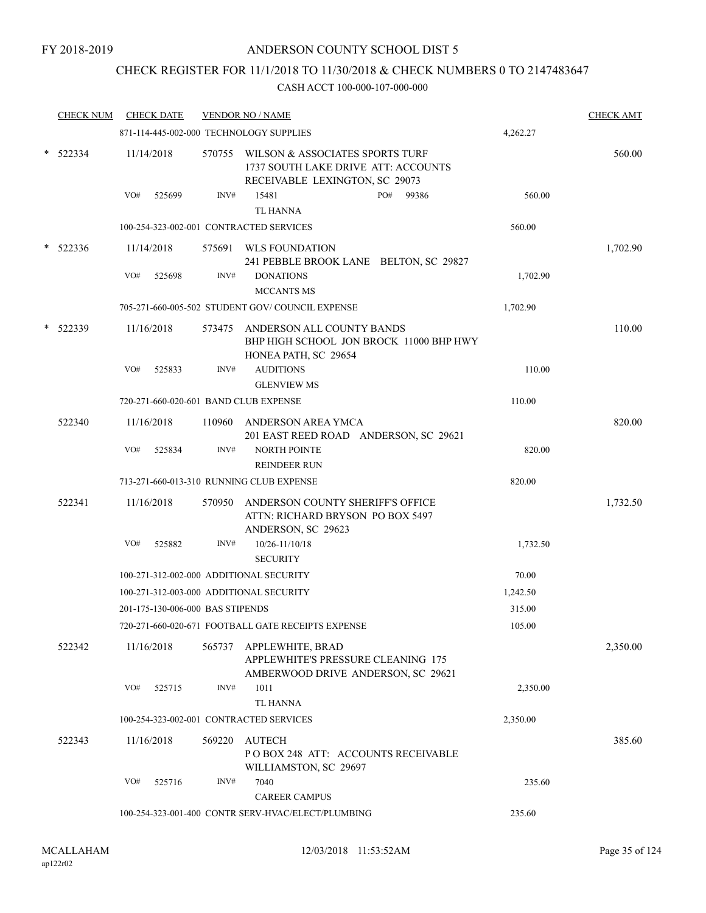# CHECK REGISTER FOR 11/1/2018 TO 11/30/2018 & CHECK NUMBERS 0 TO 2147483647

|   | <b>CHECK NUM</b> |     | <b>CHECK DATE</b>                |        | <b>VENDOR NO / NAME</b>                                                                                         |          | <b>CHECK AMT</b> |
|---|------------------|-----|----------------------------------|--------|-----------------------------------------------------------------------------------------------------------------|----------|------------------|
|   |                  |     |                                  |        | 871-114-445-002-000 TECHNOLOGY SUPPLIES                                                                         | 4,262.27 |                  |
|   | $*$ 522334       |     | 11/14/2018                       |        | 570755 WILSON & ASSOCIATES SPORTS TURF<br>1737 SOUTH LAKE DRIVE ATT: ACCOUNTS<br>RECEIVABLE LEXINGTON, SC 29073 |          | 560.00           |
|   |                  | VO# | 525699                           | INV#   | 15481<br>PO#<br>99386<br><b>TL HANNA</b>                                                                        | 560.00   |                  |
|   |                  |     |                                  |        | 100-254-323-002-001 CONTRACTED SERVICES                                                                         | 560.00   |                  |
| * | 522336           |     | 11/14/2018                       |        | 575691 WLS FOUNDATION                                                                                           |          | 1,702.90         |
|   |                  | VO# | 525698                           | INV#   | 241 PEBBLE BROOK LANE BELTON, SC 29827<br><b>DONATIONS</b>                                                      | 1,702.90 |                  |
|   |                  |     |                                  |        | <b>MCCANTS MS</b>                                                                                               |          |                  |
|   |                  |     |                                  |        | 705-271-660-005-502 STUDENT GOV/COUNCIL EXPENSE                                                                 | 1,702.90 |                  |
|   | 522339           |     | 11/16/2018                       | 573475 | ANDERSON ALL COUNTY BANDS<br>BHP HIGH SCHOOL JON BROCK 11000 BHP HWY<br>HONEA PATH, SC 29654                    |          | 110.00           |
|   |                  | VO# | 525833                           | INV#   | <b>AUDITIONS</b><br><b>GLENVIEW MS</b>                                                                          | 110.00   |                  |
|   |                  |     |                                  |        | 720-271-660-020-601 BAND CLUB EXPENSE                                                                           | 110.00   |                  |
|   | 522340           |     | 11/16/2018                       | 110960 | ANDERSON AREA YMCA<br>201 EAST REED ROAD ANDERSON, SC 29621                                                     |          | 820.00           |
|   |                  | VO# | 525834                           | INV#   | <b>NORTH POINTE</b><br><b>REINDEER RUN</b>                                                                      | 820.00   |                  |
|   |                  |     |                                  |        | 713-271-660-013-310 RUNNING CLUB EXPENSE                                                                        | 820.00   |                  |
|   | 522341           |     | 11/16/2018                       | 570950 | ANDERSON COUNTY SHERIFF'S OFFICE<br>ATTN: RICHARD BRYSON PO BOX 5497<br>ANDERSON, SC 29623                      |          | 1,732.50         |
|   |                  | VO# | 525882                           | INV#   | 10/26-11/10/18<br><b>SECURITY</b>                                                                               | 1,732.50 |                  |
|   |                  |     |                                  |        | 100-271-312-002-000 ADDITIONAL SECURITY                                                                         | 70.00    |                  |
|   |                  |     |                                  |        | 100-271-312-003-000 ADDITIONAL SECURITY                                                                         | 1,242.50 |                  |
|   |                  |     | 201-175-130-006-000 BAS STIPENDS |        |                                                                                                                 | 315.00   |                  |
|   |                  |     |                                  |        | 720-271-660-020-671 FOOTBALL GATE RECEIPTS EXPENSE                                                              | 105.00   |                  |
|   | 522342           |     | 11/16/2018                       |        | 565737 APPLEWHITE, BRAD<br>APPLEWHITE'S PRESSURE CLEANING 175<br>AMBERWOOD DRIVE ANDERSON, SC 29621             |          | 2,350.00         |
|   |                  | VO# | 525715                           | INV#   | 1011<br><b>TL HANNA</b>                                                                                         | 2,350.00 |                  |
|   |                  |     |                                  |        | 100-254-323-002-001 CONTRACTED SERVICES                                                                         | 2,350.00 |                  |
|   | 522343           |     | 11/16/2018                       | 569220 | <b>AUTECH</b><br>PO BOX 248 ATT: ACCOUNTS RECEIVABLE<br>WILLIAMSTON, SC 29697                                   |          | 385.60           |
|   |                  | VO# | 525716                           | INV#   | 7040<br><b>CAREER CAMPUS</b>                                                                                    | 235.60   |                  |
|   |                  |     |                                  |        | 100-254-323-001-400 CONTR SERV-HVAC/ELECT/PLUMBING                                                              | 235.60   |                  |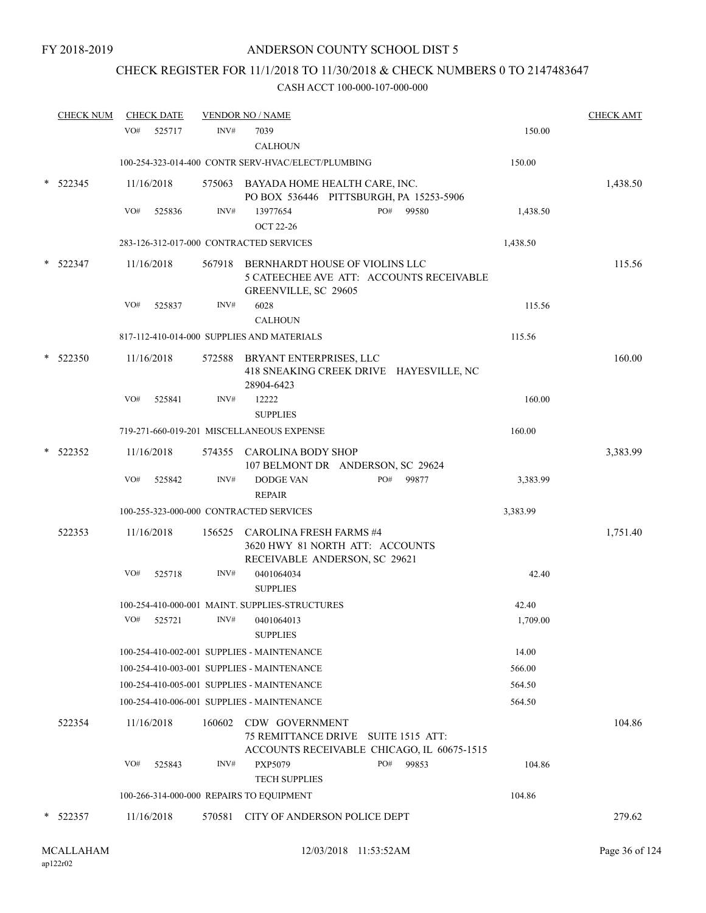# CHECK REGISTER FOR 11/1/2018 TO 11/30/2018 & CHECK NUMBERS 0 TO 2147483647

|   | <b>CHECK NUM</b> |     | <b>CHECK DATE</b> |        | <b>VENDOR NO / NAME</b>                                                                                   |              |          | <b>CHECK AMT</b> |
|---|------------------|-----|-------------------|--------|-----------------------------------------------------------------------------------------------------------|--------------|----------|------------------|
|   |                  | VO# | 525717            | INV#   | 7039<br><b>CALHOUN</b>                                                                                    |              | 150.00   |                  |
|   |                  |     |                   |        | 100-254-323-014-400 CONTR SERV-HVAC/ELECT/PLUMBING                                                        |              | 150.00   |                  |
| * | 522345           |     | 11/16/2018        |        | 575063 BAYADA HOME HEALTH CARE, INC.<br>PO BOX 536446 PITTSBURGH, PA 15253-5906                           |              |          | 1,438.50         |
|   |                  | VO# | 525836            | INV#   | 13977654<br><b>OCT 22-26</b>                                                                              | PO#<br>99580 | 1,438.50 |                  |
|   |                  |     |                   |        | 283-126-312-017-000 CONTRACTED SERVICES                                                                   |              | 1,438.50 |                  |
|   | 522347           |     | 11/16/2018        |        | 567918 BERNHARDT HOUSE OF VIOLINS LLC<br>5 CATEECHEE AVE ATT: ACCOUNTS RECEIVABLE<br>GREENVILLE, SC 29605 |              |          | 115.56           |
|   |                  | VO# | 525837            | INV#   | 6028                                                                                                      |              | 115.56   |                  |
|   |                  |     |                   |        | <b>CALHOUN</b>                                                                                            |              |          |                  |
|   |                  |     |                   |        | 817-112-410-014-000 SUPPLIES AND MATERIALS                                                                |              | 115.56   |                  |
| * | 522350           |     | 11/16/2018        |        | 572588 BRYANT ENTERPRISES, LLC<br>418 SNEAKING CREEK DRIVE HAYESVILLE, NC<br>28904-6423                   |              |          | 160.00           |
|   |                  | VO# | 525841            | INV#   | 12222                                                                                                     |              | 160.00   |                  |
|   |                  |     |                   |        | <b>SUPPLIES</b>                                                                                           |              |          |                  |
|   |                  |     |                   |        | 719-271-660-019-201 MISCELLANEOUS EXPENSE                                                                 |              | 160.00   |                  |
| * | 522352           |     | 11/16/2018        |        | 574355 CAROLINA BODY SHOP<br>107 BELMONT DR ANDERSON, SC 29624                                            |              |          | 3,383.99         |
|   |                  | VO# | 525842            | INV#   | <b>DODGE VAN</b><br><b>REPAIR</b>                                                                         | PO#<br>99877 | 3,383.99 |                  |
|   |                  |     |                   |        | 100-255-323-000-000 CONTRACTED SERVICES                                                                   |              | 3,383.99 |                  |
|   | 522353           |     | 11/16/2018        |        | 156525 CAROLINA FRESH FARMS #4<br>3620 HWY 81 NORTH ATT: ACCOUNTS<br>RECEIVABLE ANDERSON, SC 29621        |              |          | 1,751.40         |
|   |                  | VO# | 525718            | INV#   | 0401064034<br><b>SUPPLIES</b>                                                                             |              | 42.40    |                  |
|   |                  |     |                   |        | 100-254-410-000-001 MAINT. SUPPLIES-STRUCTURES                                                            |              | 42.40    |                  |
|   |                  | VO# | 525721            | INV#   | 0401064013<br><b>SUPPLIES</b>                                                                             |              | 1,709.00 |                  |
|   |                  |     |                   |        | 100-254-410-002-001 SUPPLIES - MAINTENANCE                                                                |              | 14.00    |                  |
|   |                  |     |                   |        | 100-254-410-003-001 SUPPLIES - MAINTENANCE                                                                |              | 566.00   |                  |
|   |                  |     |                   |        | 100-254-410-005-001 SUPPLIES - MAINTENANCE                                                                |              | 564.50   |                  |
|   |                  |     |                   |        | 100-254-410-006-001 SUPPLIES - MAINTENANCE                                                                |              | 564.50   |                  |
|   | 522354           |     | 11/16/2018        | 160602 | CDW GOVERNMENT<br>75 REMITTANCE DRIVE SUITE 1515 ATT:<br>ACCOUNTS RECEIVABLE CHICAGO, IL 60675-1515       |              |          | 104.86           |
|   |                  | VO# | 525843            | INV#   | PXP5079                                                                                                   | PO#<br>99853 | 104.86   |                  |
|   |                  |     |                   |        | <b>TECH SUPPLIES</b>                                                                                      |              |          |                  |
|   |                  |     |                   |        | 100-266-314-000-000 REPAIRS TO EQUIPMENT                                                                  |              | 104.86   |                  |
|   | 522357           |     | 11/16/2018        | 570581 | CITY OF ANDERSON POLICE DEPT                                                                              |              |          | 279.62           |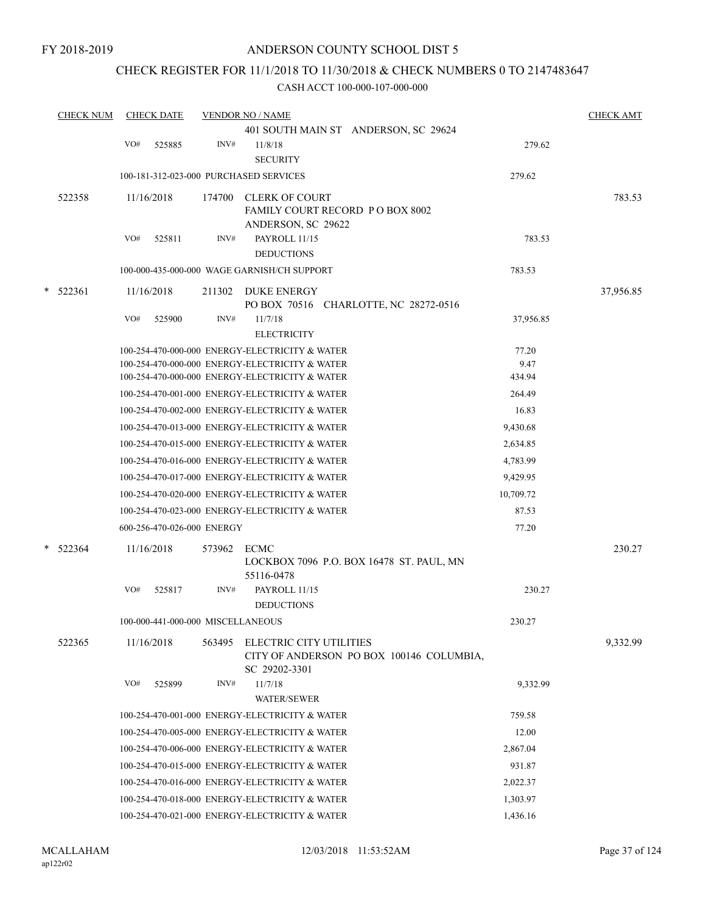### CHECK REGISTER FOR 11/1/2018 TO 11/30/2018 & CHECK NUMBERS 0 TO 2147483647

|   | <b>CHECK NUM</b> |     | <b>CHECK DATE</b>                 |        | <b>VENDOR NO / NAME</b>                                                              |           |           |  |  |  |
|---|------------------|-----|-----------------------------------|--------|--------------------------------------------------------------------------------------|-----------|-----------|--|--|--|
|   |                  |     |                                   |        | 401 SOUTH MAIN ST ANDERSON, SC 29624                                                 |           |           |  |  |  |
|   |                  | VO# | 525885                            | INV#   | 11/8/18<br><b>SECURITY</b>                                                           | 279.62    |           |  |  |  |
|   |                  |     |                                   |        | 100-181-312-023-000 PURCHASED SERVICES                                               | 279.62    |           |  |  |  |
|   | 522358           |     | 11/16/2018                        | 174700 | <b>CLERK OF COURT</b><br>FAMILY COURT RECORD P O BOX 8002                            |           | 783.53    |  |  |  |
|   |                  | VO# | 525811                            | INV#   | ANDERSON, SC 29622<br>PAYROLL 11/15<br><b>DEDUCTIONS</b>                             | 783.53    |           |  |  |  |
|   |                  |     |                                   |        | 100-000-435-000-000 WAGE GARNISH/CH SUPPORT                                          | 783.53    |           |  |  |  |
| * | 522361           |     | 11/16/2018                        | 211302 | <b>DUKE ENERGY</b><br>PO BOX 70516 CHARLOTTE, NC 28272-0516                          |           | 37,956.85 |  |  |  |
|   |                  | VO# | 525900                            | INV#   | 11/7/18<br><b>ELECTRICITY</b>                                                        | 37,956.85 |           |  |  |  |
|   |                  |     |                                   |        | 100-254-470-000-000 ENERGY-ELECTRICITY & WATER                                       | 77.20     |           |  |  |  |
|   |                  |     |                                   |        | 100-254-470-000-000 ENERGY-ELECTRICITY & WATER                                       | 9.47      |           |  |  |  |
|   |                  |     |                                   |        | 100-254-470-000-000 ENERGY-ELECTRICITY & WATER                                       | 434.94    |           |  |  |  |
|   |                  |     |                                   |        | 100-254-470-001-000 ENERGY-ELECTRICITY & WATER                                       | 264.49    |           |  |  |  |
|   |                  |     |                                   |        | 100-254-470-002-000 ENERGY-ELECTRICITY & WATER                                       | 16.83     |           |  |  |  |
|   |                  |     |                                   |        | 100-254-470-013-000 ENERGY-ELECTRICITY & WATER                                       | 9,430.68  |           |  |  |  |
|   |                  |     |                                   |        | 100-254-470-015-000 ENERGY-ELECTRICITY & WATER                                       | 2,634.85  |           |  |  |  |
|   |                  |     |                                   |        | 100-254-470-016-000 ENERGY-ELECTRICITY & WATER                                       | 4,783.99  |           |  |  |  |
|   |                  |     |                                   |        | 100-254-470-017-000 ENERGY-ELECTRICITY & WATER                                       | 9,429.95  |           |  |  |  |
|   |                  |     |                                   |        | 100-254-470-020-000 ENERGY-ELECTRICITY & WATER                                       | 10,709.72 |           |  |  |  |
|   |                  |     |                                   |        | 100-254-470-023-000 ENERGY-ELECTRICITY & WATER                                       | 87.53     |           |  |  |  |
|   |                  |     | 600-256-470-026-000 ENERGY        |        |                                                                                      | 77.20     |           |  |  |  |
|   | * 522364         |     | 11/16/2018                        | 573962 | <b>ECMC</b><br>LOCKBOX 7096 P.O. BOX 16478 ST. PAUL, MN<br>55116-0478                |           | 230.27    |  |  |  |
|   |                  | VO# | 525817                            | INV#   | PAYROLL 11/15<br><b>DEDUCTIONS</b>                                                   | 230.27    |           |  |  |  |
|   |                  |     | 100-000-441-000-000 MISCELLANEOUS |        |                                                                                      | 230.27    |           |  |  |  |
|   | 522365           |     | 11/16/2018                        | 563495 | ELECTRIC CITY UTILITIES<br>CITY OF ANDERSON PO BOX 100146 COLUMBIA,<br>SC 29202-3301 |           | 9.332.99  |  |  |  |
|   |                  | VO# | 525899                            | INV#   | 11/7/18<br><b>WATER/SEWER</b>                                                        | 9.332.99  |           |  |  |  |
|   |                  |     |                                   |        | 100-254-470-001-000 ENERGY-ELECTRICITY & WATER                                       | 759.58    |           |  |  |  |
|   |                  |     |                                   |        | 100-254-470-005-000 ENERGY-ELECTRICITY & WATER                                       | 12.00     |           |  |  |  |
|   |                  |     |                                   |        | 100-254-470-006-000 ENERGY-ELECTRICITY & WATER                                       | 2,867.04  |           |  |  |  |
|   |                  |     |                                   |        | 100-254-470-015-000 ENERGY-ELECTRICITY & WATER                                       | 931.87    |           |  |  |  |
|   |                  |     |                                   |        | 100-254-470-016-000 ENERGY-ELECTRICITY & WATER                                       | 2,022.37  |           |  |  |  |
|   |                  |     |                                   |        | 100-254-470-018-000 ENERGY-ELECTRICITY & WATER                                       | 1,303.97  |           |  |  |  |
|   |                  |     |                                   |        | 100-254-470-021-000 ENERGY-ELECTRICITY & WATER                                       | 1,436.16  |           |  |  |  |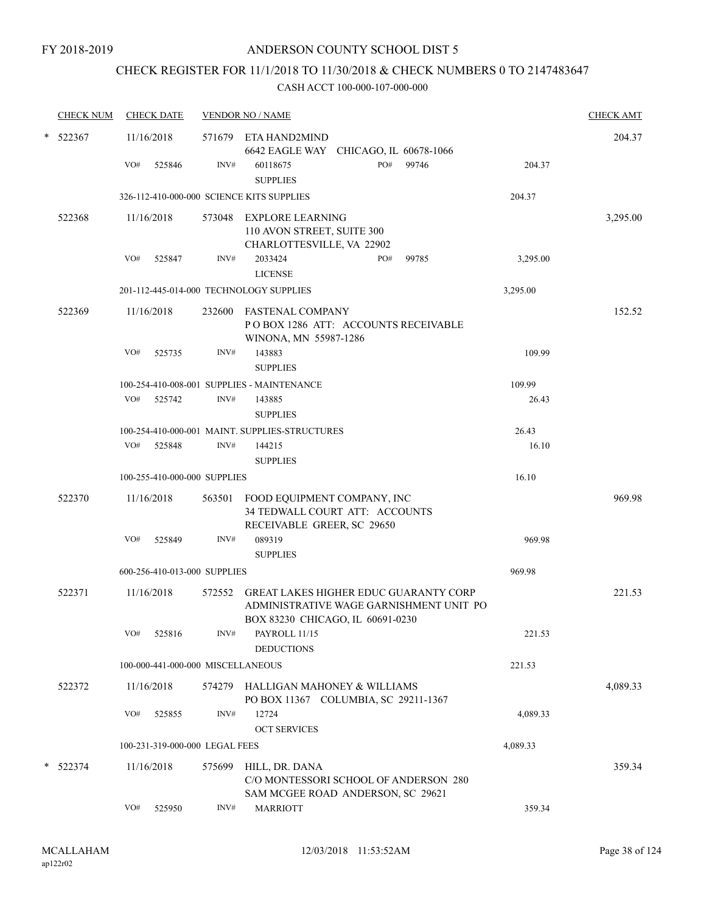# CHECK REGISTER FOR 11/1/2018 TO 11/30/2018 & CHECK NUMBERS 0 TO 2147483647

| <b>CHECK NUM</b> |     | <b>CHECK DATE</b>                 |        | <b>VENDOR NO / NAME</b>                                                                            |     |                                         |          | <b>CHECK AMT</b> |
|------------------|-----|-----------------------------------|--------|----------------------------------------------------------------------------------------------------|-----|-----------------------------------------|----------|------------------|
| $*$ 522367       |     | 11/16/2018                        |        | 571679 ETA HAND2MIND<br>6642 EAGLE WAY CHICAGO, IL 60678-1066                                      |     |                                         |          | 204.37           |
|                  | VO# | 525846                            | INV#   | 60118675<br><b>SUPPLIES</b>                                                                        | PO# | 99746                                   | 204.37   |                  |
|                  |     |                                   |        | 326-112-410-000-000 SCIENCE KITS SUPPLIES                                                          |     |                                         | 204.37   |                  |
| 522368           |     | 11/16/2018                        |        | 573048 EXPLORE LEARNING<br>110 AVON STREET, SUITE 300                                              |     |                                         |          | 3,295.00         |
|                  |     | VO# 525847                        | INV#   | CHARLOTTESVILLE, VA 22902<br>2033424<br><b>LICENSE</b>                                             | PO# | 99785                                   | 3,295.00 |                  |
|                  |     |                                   |        | 201-112-445-014-000 TECHNOLOGY SUPPLIES                                                            |     |                                         | 3,295.00 |                  |
| 522369           |     | 11/16/2018                        |        | 232600 FASTENAL COMPANY<br>POBOX 1286 ATT: ACCOUNTS RECEIVABLE<br>WINONA, MN 55987-1286            |     |                                         |          | 152.52           |
|                  | VO# | 525735                            | INV#   | 143883<br><b>SUPPLIES</b>                                                                          |     |                                         | 109.99   |                  |
|                  |     |                                   |        | 100-254-410-008-001 SUPPLIES - MAINTENANCE                                                         |     |                                         | 109.99   |                  |
|                  |     | VO# 525742                        | INV#   | 143885<br><b>SUPPLIES</b>                                                                          |     |                                         | 26.43    |                  |
|                  |     |                                   |        | 100-254-410-000-001 MAINT. SUPPLIES-STRUCTURES                                                     |     |                                         | 26.43    |                  |
|                  |     | VO# 525848                        | INV#   | 144215                                                                                             |     |                                         | 16.10    |                  |
|                  |     |                                   |        | <b>SUPPLIES</b>                                                                                    |     |                                         |          |                  |
|                  |     | 100-255-410-000-000 SUPPLIES      |        |                                                                                                    |     |                                         | 16.10    |                  |
| 522370           |     | 11/16/2018                        |        | 563501 FOOD EQUIPMENT COMPANY, INC<br>34 TEDWALL COURT ATT: ACCOUNTS<br>RECEIVABLE GREER, SC 29650 |     |                                         |          | 969.98           |
|                  | VO# | 525849                            | INV#   | 089319<br><b>SUPPLIES</b>                                                                          |     |                                         | 969.98   |                  |
|                  |     | 600-256-410-013-000 SUPPLIES      |        |                                                                                                    |     |                                         | 969.98   |                  |
| 522371           |     | 11/16/2018                        |        | 572552 GREAT LAKES HIGHER EDUC GUARANTY CORP<br>BOX 83230 CHICAGO, IL 60691-0230                   |     | ADMINISTRATIVE WAGE GARNISHMENT UNIT PO |          | 221.53           |
|                  | VO# | 525816                            | INV#   | PAYROLL 11/15<br><b>DEDUCTIONS</b>                                                                 |     |                                         | 221.53   |                  |
|                  |     | 100-000-441-000-000 MISCELLANEOUS |        |                                                                                                    |     |                                         | 221.53   |                  |
| 522372           |     | 11/16/2018                        | 574279 | HALLIGAN MAHONEY & WILLIAMS<br>PO BOX 11367 COLUMBIA, SC 29211-1367                                |     |                                         |          | 4,089.33         |
|                  | VO# | 525855                            | INV#   | 12724<br><b>OCT SERVICES</b>                                                                       |     |                                         | 4,089.33 |                  |
|                  |     | 100-231-319-000-000 LEGAL FEES    |        |                                                                                                    |     |                                         | 4,089.33 |                  |
| $*$ 522374       |     | 11/16/2018                        | 575699 | HILL, DR. DANA<br>C/O MONTESSORI SCHOOL OF ANDERSON 280                                            |     |                                         |          | 359.34           |
|                  | VO# | 525950                            | INV#   | SAM MCGEE ROAD ANDERSON, SC 29621<br><b>MARRIOTT</b>                                               |     |                                         | 359.34   |                  |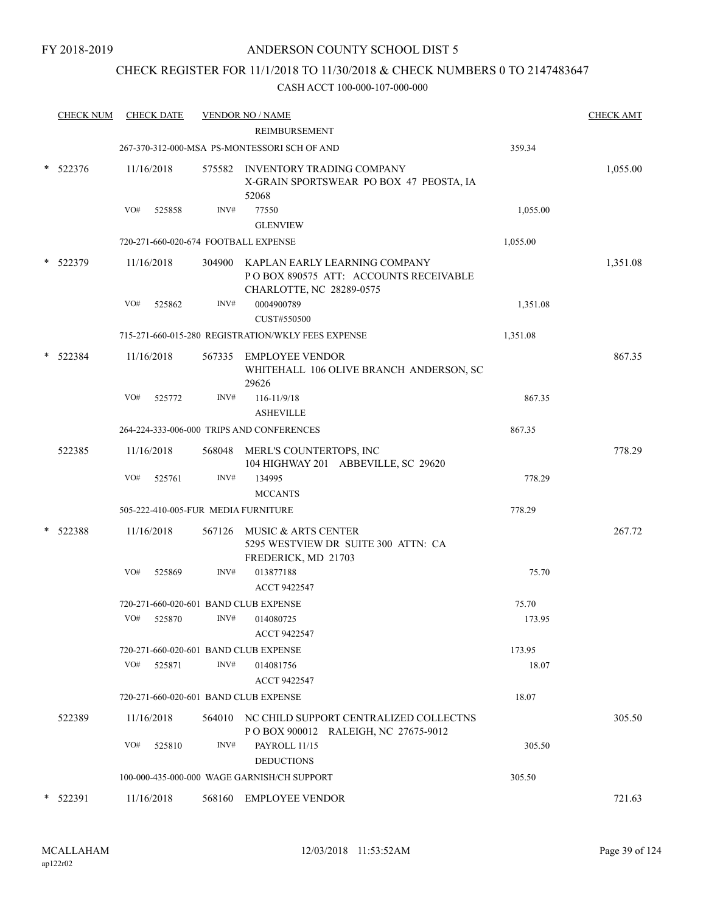# CHECK REGISTER FOR 11/1/2018 TO 11/30/2018 & CHECK NUMBERS 0 TO 2147483647

| <b>CHECK NUM</b> |     | <b>CHECK DATE</b> |      | <b>VENDOR NO / NAME</b>                                                                                    |          | <b>CHECK AMT</b> |
|------------------|-----|-------------------|------|------------------------------------------------------------------------------------------------------------|----------|------------------|
|                  |     |                   |      | REIMBURSEMENT                                                                                              |          |                  |
|                  |     |                   |      | 267-370-312-000-MSA PS-MONTESSORI SCH OF AND                                                               | 359.34   |                  |
| $*$ 522376       |     | 11/16/2018        |      | 575582 INVENTORY TRADING COMPANY<br>X-GRAIN SPORTSWEAR PO BOX 47 PEOSTA, IA<br>52068                       |          | 1,055.00         |
|                  | VO# | 525858            | INV# | 77550                                                                                                      | 1,055.00 |                  |
|                  |     |                   |      | <b>GLENVIEW</b>                                                                                            |          |                  |
|                  |     |                   |      | 720-271-660-020-674 FOOTBALL EXPENSE                                                                       | 1,055.00 |                  |
| * 522379         |     | 11/16/2018        |      | 304900 KAPLAN EARLY LEARNING COMPANY<br>PO BOX 890575 ATT: ACCOUNTS RECEIVABLE<br>CHARLOTTE, NC 28289-0575 |          | 1,351.08         |
|                  | VO# | 525862            | INV# | 0004900789<br>CUST#550500                                                                                  | 1,351.08 |                  |
|                  |     |                   |      | 715-271-660-015-280 REGISTRATION/WKLY FEES EXPENSE                                                         | 1,351.08 |                  |
| 522384           |     | 11/16/2018        |      | 567335 EMPLOYEE VENDOR<br>WHITEHALL 106 OLIVE BRANCH ANDERSON, SC<br>29626                                 |          | 867.35           |
|                  | VO# | 525772            | INV# | $116 - 11/9/18$<br><b>ASHEVILLE</b>                                                                        | 867.35   |                  |
|                  |     |                   |      | 264-224-333-006-000 TRIPS AND CONFERENCES                                                                  | 867.35   |                  |
|                  |     |                   |      |                                                                                                            |          | 778.29           |
| 522385           |     | 11/16/2018        |      | 568048 MERL'S COUNTERTOPS, INC<br>104 HIGHWAY 201 ABBEVILLE, SC 29620                                      |          |                  |
|                  | VO# | 525761            | INV# | 134995<br><b>MCCANTS</b>                                                                                   | 778.29   |                  |
|                  |     |                   |      | 505-222-410-005-FUR MEDIA FURNITURE                                                                        | 778.29   |                  |
| $*$ 522388       |     | 11/16/2018        |      | 567126 MUSIC & ARTS CENTER<br>5295 WESTVIEW DR SUITE 300 ATTN: CA<br>FREDERICK, MD 21703                   |          | 267.72           |
|                  | VO# | 525869            | INV# | 013877188                                                                                                  | 75.70    |                  |
|                  |     |                   |      | ACCT 9422547                                                                                               |          |                  |
|                  |     |                   |      | 720-271-660-020-601 BAND CLUB EXPENSE                                                                      | 75.70    |                  |
|                  | VO# | 525870            | INV# | 014080725<br>ACCT 9422547                                                                                  | 173.95   |                  |
|                  |     |                   |      | 720-271-660-020-601 BAND CLUB EXPENSE                                                                      | 173.95   |                  |
|                  | VO# | 525871            | INV# | 014081756<br>ACCT 9422547                                                                                  | 18.07    |                  |
|                  |     |                   |      | 720-271-660-020-601 BAND CLUB EXPENSE                                                                      | 18.07    |                  |
| 522389           |     | 11/16/2018        |      | 564010 NC CHILD SUPPORT CENTRALIZED COLLECTNS<br>POBOX 900012 RALEIGH, NC 27675-9012                       |          | 305.50           |
|                  | VO# | 525810            | INV# | PAYROLL 11/15                                                                                              | 305.50   |                  |
|                  |     |                   |      | <b>DEDUCTIONS</b>                                                                                          |          |                  |
|                  |     |                   |      | 100-000-435-000-000 WAGE GARNISH/CH SUPPORT                                                                | 305.50   |                  |
| * 522391         |     | 11/16/2018        |      | 568160 EMPLOYEE VENDOR                                                                                     |          | 721.63           |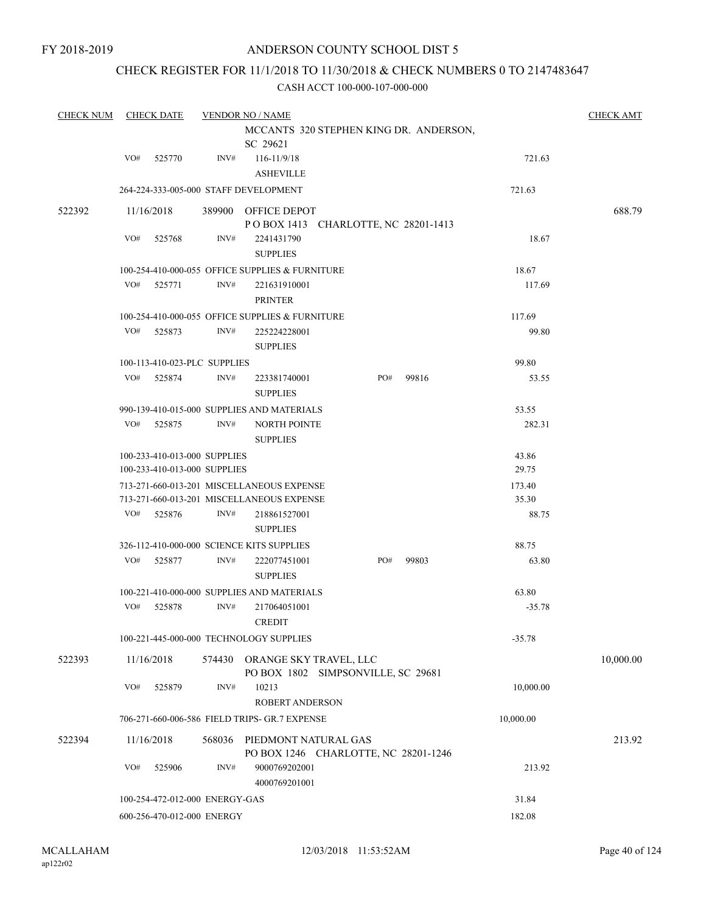# CHECK REGISTER FOR 11/1/2018 TO 11/30/2018 & CHECK NUMBERS 0 TO 2147483647

| <b>CHECK NUM</b> |     | <b>CHECK DATE</b>                                            |        | <b>VENDOR NO / NAME</b>                                      |  |     |       |                | <b>CHECK AMT</b> |
|------------------|-----|--------------------------------------------------------------|--------|--------------------------------------------------------------|--|-----|-------|----------------|------------------|
|                  |     |                                                              |        | MCCANTS 320 STEPHEN KING DR. ANDERSON,<br>SC 29621           |  |     |       |                |                  |
|                  | VO# | 525770                                                       | INV#   | $116 - 11/9/18$                                              |  |     |       | 721.63         |                  |
|                  |     |                                                              |        | <b>ASHEVILLE</b>                                             |  |     |       |                |                  |
|                  |     |                                                              |        | 264-224-333-005-000 STAFF DEVELOPMENT                        |  |     |       | 721.63         |                  |
| 522392           |     | 11/16/2018                                                   |        | 389900 OFFICE DEPOT<br>POBOX 1413 CHARLOTTE, NC 28201-1413   |  |     |       |                | 688.79           |
|                  | VO# | 525768                                                       | INV#   | 2241431790<br><b>SUPPLIES</b>                                |  |     |       | 18.67          |                  |
|                  |     |                                                              |        | 100-254-410-000-055 OFFICE SUPPLIES & FURNITURE              |  |     |       | 18.67          |                  |
|                  | VO# | 525771                                                       | INV#   | 221631910001<br><b>PRINTER</b>                               |  |     |       | 117.69         |                  |
|                  |     |                                                              |        | 100-254-410-000-055 OFFICE SUPPLIES & FURNITURE              |  |     |       | 117.69         |                  |
|                  | VO# | 525873                                                       | INV#   | 225224228001<br><b>SUPPLIES</b>                              |  |     |       | 99.80          |                  |
|                  |     | 100-113-410-023-PLC SUPPLIES                                 |        |                                                              |  |     |       | 99.80          |                  |
|                  | VO# | 525874                                                       | INV#   | 223381740001<br><b>SUPPLIES</b>                              |  | PO# | 99816 | 53.55          |                  |
|                  |     |                                                              |        | 990-139-410-015-000 SUPPLIES AND MATERIALS                   |  |     |       | 53.55          |                  |
|                  | VO# | 525875                                                       | INV#   | <b>NORTH POINTE</b><br><b>SUPPLIES</b>                       |  |     |       | 282.31         |                  |
|                  |     | 100-233-410-013-000 SUPPLIES<br>100-233-410-013-000 SUPPLIES |        |                                                              |  |     |       | 43.86<br>29.75 |                  |
|                  |     |                                                              |        | 713-271-660-013-201 MISCELLANEOUS EXPENSE                    |  |     |       | 173.40         |                  |
|                  |     |                                                              |        | 713-271-660-013-201 MISCELLANEOUS EXPENSE                    |  |     |       | 35.30          |                  |
|                  | VO# | 525876                                                       | INV#   | 218861527001<br><b>SUPPLIES</b>                              |  |     |       | 88.75          |                  |
|                  |     |                                                              |        | 326-112-410-000-000 SCIENCE KITS SUPPLIES                    |  |     |       | 88.75          |                  |
|                  | VO# | 525877                                                       | INV#   | 222077451001<br><b>SUPPLIES</b>                              |  | PO# | 99803 | 63.80          |                  |
|                  |     |                                                              |        | 100-221-410-000-000 SUPPLIES AND MATERIALS                   |  |     |       | 63.80          |                  |
|                  | VO# | 525878                                                       | INV#   | 217064051001<br><b>CREDIT</b>                                |  |     |       | $-35.78$       |                  |
|                  |     |                                                              |        | 100-221-445-000-000 TECHNOLOGY SUPPLIES                      |  |     |       | $-35.78$       |                  |
| 522393           |     | 11/16/2018                                                   | 574430 | ORANGE SKY TRAVEL, LLC<br>PO BOX 1802 SIMPSONVILLE, SC 29681 |  |     |       |                | 10,000.00        |
|                  | VO# | 525879                                                       | INV#   | 10213<br>ROBERT ANDERSON                                     |  |     |       | 10,000.00      |                  |
|                  |     |                                                              |        | 706-271-660-006-586 FIELD TRIPS- GR.7 EXPENSE                |  |     |       | 10,000.00      |                  |
| 522394           |     | 11/16/2018                                                   | 568036 | PIEDMONT NATURAL GAS<br>PO BOX 1246 CHARLOTTE, NC 28201-1246 |  |     |       |                | 213.92           |
|                  | VO# | 525906                                                       | INV#   | 9000769202001<br>4000769201001                               |  |     |       | 213.92         |                  |
|                  |     | 100-254-472-012-000 ENERGY-GAS                               |        | 31.84                                                        |  |     |       |                |                  |
|                  |     | 600-256-470-012-000 ENERGY                                   |        |                                                              |  |     |       | 182.08         |                  |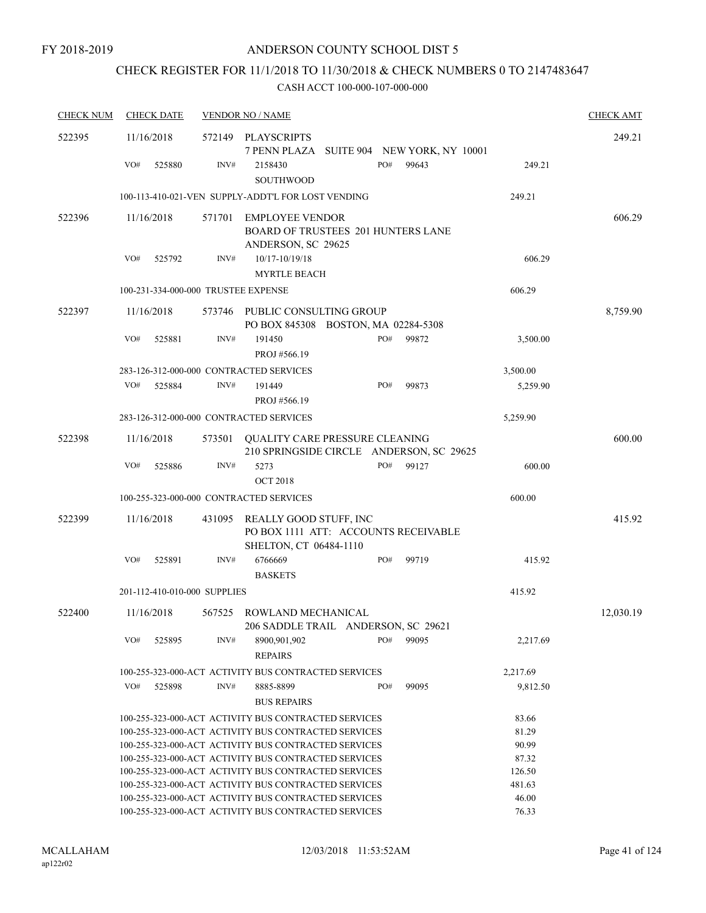# CHECK REGISTER FOR 11/1/2018 TO 11/30/2018 & CHECK NUMBERS 0 TO 2147483647

| <b>CHECK NUM</b> | <b>CHECK DATE</b>                                                                                                      |        | <b>VENDOR NO / NAME</b>                                                                  |  |     |       |                | <b>CHECK AMT</b> |
|------------------|------------------------------------------------------------------------------------------------------------------------|--------|------------------------------------------------------------------------------------------|--|-----|-------|----------------|------------------|
| 522395           | 11/16/2018                                                                                                             | 572149 | PLAYSCRIPTS<br>7 PENN PLAZA SUITE 904 NEW YORK, NY 10001                                 |  |     |       |                | 249.21           |
|                  | VO#<br>525880                                                                                                          | INV#   | 2158430<br><b>SOUTHWOOD</b>                                                              |  | PO# | 99643 | 249.21         |                  |
|                  |                                                                                                                        |        | 100-113-410-021-VEN SUPPLY-ADDT'L FOR LOST VENDING                                       |  |     |       | 249.21         |                  |
| 522396           | 11/16/2018                                                                                                             | 571701 | <b>EMPLOYEE VENDOR</b><br>BOARD OF TRUSTEES 201 HUNTERS LANE                             |  |     |       |                | 606.29           |
|                  |                                                                                                                        |        | ANDERSON, SC 29625                                                                       |  |     |       |                |                  |
|                  | VO#<br>525792                                                                                                          | INV#   | 10/17-10/19/18<br><b>MYRTLE BEACH</b>                                                    |  |     |       | 606.29         |                  |
|                  | 100-231-334-000-000 TRUSTEE EXPENSE                                                                                    |        |                                                                                          |  |     |       | 606.29         |                  |
| 522397           | 11/16/2018                                                                                                             |        | 573746 PUBLIC CONSULTING GROUP<br>PO BOX 845308 BOSTON, MA 02284-5308                    |  |     |       |                | 8,759.90         |
|                  | VO#<br>525881                                                                                                          | INV#   | 191450<br>PROJ #566.19                                                                   |  | PO# | 99872 | 3,500.00       |                  |
|                  | 283-126-312-000-000 CONTRACTED SERVICES                                                                                |        |                                                                                          |  |     |       | 3,500.00       |                  |
|                  | VO#<br>525884                                                                                                          | INV#   | 191449<br>PROJ #566.19                                                                   |  | PO# | 99873 | 5,259.90       |                  |
|                  | 283-126-312-000-000 CONTRACTED SERVICES                                                                                |        |                                                                                          |  |     |       | 5,259.90       |                  |
| 522398           | 11/16/2018                                                                                                             | 573501 | <b>QUALITY CARE PRESSURE CLEANING</b><br>210 SPRINGSIDE CIRCLE ANDERSON, SC 29625        |  |     |       |                | 600.00           |
|                  | VO#<br>525886                                                                                                          | INV#   | 5273<br><b>OCT 2018</b>                                                                  |  | PO# | 99127 | 600.00         |                  |
|                  | 100-255-323-000-000 CONTRACTED SERVICES                                                                                |        |                                                                                          |  |     |       | 600.00         |                  |
| 522399           |                                                                                                                        |        |                                                                                          |  |     |       |                | 415.92           |
|                  | 11/16/2018                                                                                                             | 431095 | REALLY GOOD STUFF, INC<br>PO BOX 1111 ATT: ACCOUNTS RECEIVABLE<br>SHELTON, CT 06484-1110 |  |     |       |                |                  |
|                  | VO#<br>525891                                                                                                          | INV#   | 6766669<br><b>BASKETS</b>                                                                |  | PO# | 99719 | 415.92         |                  |
|                  | 201-112-410-010-000 SUPPLIES                                                                                           |        |                                                                                          |  |     |       | 415.92         |                  |
| 522400           | 11/16/2018                                                                                                             |        | 567525 ROWLAND MECHANICAL<br>206 SADDLE TRAIL ANDERSON, SC 29621                         |  |     |       |                | 12,030.19        |
|                  | VO#<br>525895                                                                                                          | INV#   | 8900,901,902<br><b>REPAIRS</b>                                                           |  | PO# | 99095 | 2,217.69       |                  |
|                  |                                                                                                                        |        | 100-255-323-000-ACT ACTIVITY BUS CONTRACTED SERVICES                                     |  |     |       | 2,217.69       |                  |
|                  | VO#<br>525898                                                                                                          | INV#   | 8885-8899<br><b>BUS REPAIRS</b>                                                          |  | PO# | 99095 | 9,812.50       |                  |
|                  |                                                                                                                        |        | 100-255-323-000-ACT ACTIVITY BUS CONTRACTED SERVICES                                     |  |     |       | 83.66          |                  |
|                  |                                                                                                                        |        | 100-255-323-000-ACT ACTIVITY BUS CONTRACTED SERVICES                                     |  |     |       | 81.29          |                  |
|                  |                                                                                                                        |        | 100-255-323-000-ACT ACTIVITY BUS CONTRACTED SERVICES                                     |  |     |       | 90.99          |                  |
|                  |                                                                                                                        |        | 100-255-323-000-ACT ACTIVITY BUS CONTRACTED SERVICES                                     |  |     |       | 87.32          |                  |
|                  | 100-255-323-000-ACT ACTIVITY BUS CONTRACTED SERVICES<br>126.50                                                         |        |                                                                                          |  |     |       |                |                  |
|                  | 481.63<br>100-255-323-000-ACT ACTIVITY BUS CONTRACTED SERVICES<br>100-255-323-000-ACT ACTIVITY BUS CONTRACTED SERVICES |        |                                                                                          |  |     |       |                |                  |
|                  |                                                                                                                        |        | 100-255-323-000-ACT ACTIVITY BUS CONTRACTED SERVICES                                     |  |     |       | 46.00<br>76.33 |                  |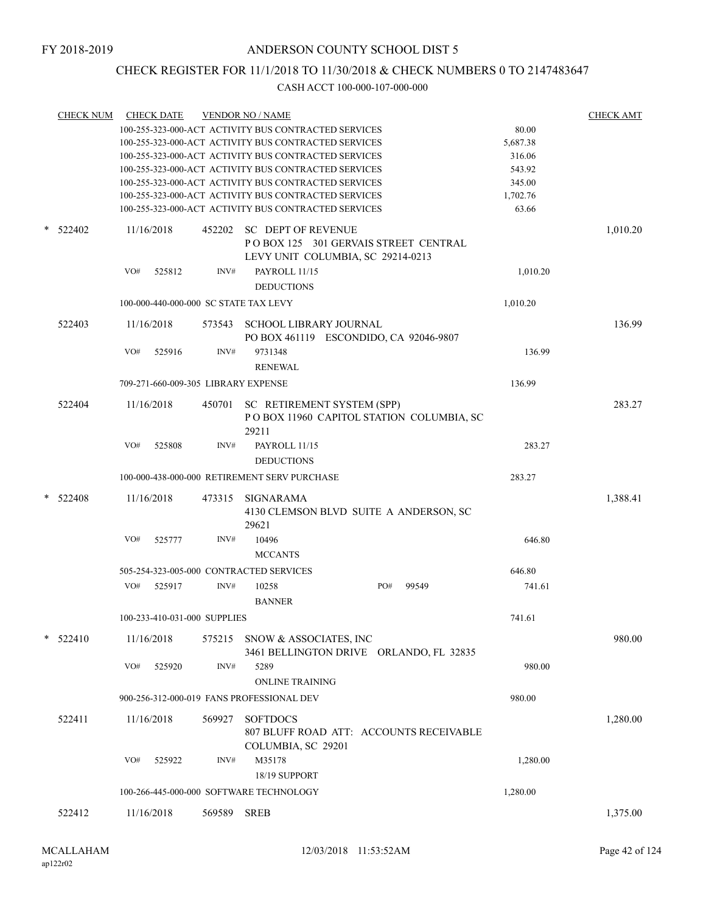# CHECK REGISTER FOR 11/1/2018 TO 11/30/2018 & CHECK NUMBERS 0 TO 2147483647

|   | <b>CHECK NUM</b> |                                         | <b>CHECK DATE</b>            |             | <b>VENDOR NO / NAME</b>                                                 |     |                                          |          | <b>CHECK AMT</b> |
|---|------------------|-----------------------------------------|------------------------------|-------------|-------------------------------------------------------------------------|-----|------------------------------------------|----------|------------------|
|   |                  |                                         |                              |             | 100-255-323-000-ACT ACTIVITY BUS CONTRACTED SERVICES                    |     |                                          | 80.00    |                  |
|   |                  |                                         |                              |             | 100-255-323-000-ACT ACTIVITY BUS CONTRACTED SERVICES                    |     |                                          | 5,687.38 |                  |
|   |                  |                                         |                              |             | 100-255-323-000-ACT ACTIVITY BUS CONTRACTED SERVICES                    |     |                                          | 316.06   |                  |
|   |                  |                                         |                              |             | 100-255-323-000-ACT ACTIVITY BUS CONTRACTED SERVICES                    |     |                                          | 543.92   |                  |
|   |                  |                                         |                              |             | 100-255-323-000-ACT ACTIVITY BUS CONTRACTED SERVICES                    |     |                                          | 345.00   |                  |
|   |                  |                                         |                              |             | 100-255-323-000-ACT ACTIVITY BUS CONTRACTED SERVICES                    |     |                                          | 1,702.76 |                  |
|   |                  |                                         |                              |             | 100-255-323-000-ACT ACTIVITY BUS CONTRACTED SERVICES                    |     |                                          | 63.66    |                  |
| * | 522402           |                                         | 11/16/2018                   |             | 452202 SC DEPT OF REVENUE<br>POBOX 125 301 GERVAIS STREET CENTRAL       |     |                                          |          | 1,010.20         |
|   |                  |                                         |                              |             | LEVY UNIT COLUMBIA, SC 29214-0213                                       |     |                                          |          |                  |
|   |                  | VO#                                     | 525812                       | INV#        | PAYROLL 11/15                                                           |     |                                          | 1,010.20 |                  |
|   |                  |                                         |                              |             | <b>DEDUCTIONS</b>                                                       |     |                                          |          |                  |
|   |                  |                                         |                              |             | 100-000-440-000-000 SC STATE TAX LEVY                                   |     |                                          | 1,010.20 |                  |
|   | 522403           |                                         | 11/16/2018                   |             | 573543 SCHOOL LIBRARY JOURNAL<br>PO BOX 461119 ESCONDIDO, CA 92046-9807 |     |                                          |          | 136.99           |
|   |                  | VO#                                     | 525916                       | INV#        | 9731348                                                                 |     |                                          | 136.99   |                  |
|   |                  |                                         |                              |             | <b>RENEWAL</b>                                                          |     |                                          |          |                  |
|   |                  |                                         |                              |             | 709-271-660-009-305 LIBRARY EXPENSE                                     |     |                                          | 136.99   |                  |
|   | 522404           |                                         | 11/16/2018                   |             | 450701 SC RETIREMENT SYSTEM (SPP)                                       |     | POBOX 11960 CAPITOL STATION COLUMBIA, SC |          | 283.27           |
|   |                  |                                         |                              |             | 29211                                                                   |     |                                          |          |                  |
|   |                  | VO#                                     | 525808                       | INV#        | PAYROLL 11/15                                                           |     |                                          | 283.27   |                  |
|   |                  |                                         |                              |             | <b>DEDUCTIONS</b>                                                       |     |                                          |          |                  |
|   |                  |                                         |                              |             | 100-000-438-000-000 RETIREMENT SERV PURCHASE                            |     |                                          | 283.27   |                  |
| * |                  |                                         |                              |             |                                                                         |     |                                          |          |                  |
|   | 522408           | 11/16/2018                              |                              |             | 473315 SIGNARAMA<br>4130 CLEMSON BLVD SUITE A ANDERSON, SC<br>29621     |     |                                          | 1,388.41 |                  |
|   |                  | VO#                                     | 525777                       | INV#        | 10496                                                                   |     |                                          | 646.80   |                  |
|   |                  |                                         |                              |             | <b>MCCANTS</b>                                                          |     |                                          |          |                  |
|   |                  |                                         |                              |             | 505-254-323-005-000 CONTRACTED SERVICES                                 |     |                                          | 646.80   |                  |
|   |                  | VO#                                     | 525917                       | INV#        | 10258                                                                   | PO# | 99549                                    | 741.61   |                  |
|   |                  |                                         |                              |             | <b>BANNER</b>                                                           |     |                                          |          |                  |
|   |                  |                                         | 100-233-410-031-000 SUPPLIES |             |                                                                         |     |                                          | 741.61   |                  |
|   | $*$ 522410       |                                         | 11/16/2018                   |             | 575215 SNOW & ASSOCIATES, INC                                           |     | 3461 BELLINGTON DRIVE ORLANDO, FL 32835  |          | 980.00           |
|   |                  | VO#                                     | 525920                       | INV#        | 5289                                                                    |     |                                          | 980.00   |                  |
|   |                  |                                         |                              |             | <b>ONLINE TRAINING</b><br>900-256-312-000-019 FANS PROFESSIONAL DEV     |     |                                          | 980.00   |                  |
|   |                  |                                         |                              |             |                                                                         |     |                                          |          |                  |
|   | 522411           |                                         | 11/16/2018                   | 569927      | <b>SOFTDOCS</b>                                                         |     | 807 BLUFF ROAD ATT: ACCOUNTS RECEIVABLE  |          | 1,280.00         |
|   |                  |                                         |                              |             | COLUMBIA, SC 29201                                                      |     |                                          |          |                  |
|   |                  | VO#                                     | 525922                       | INV#        | M35178                                                                  |     |                                          | 1,280.00 |                  |
|   |                  |                                         |                              |             | 18/19 SUPPORT                                                           |     |                                          |          |                  |
|   |                  | 100-266-445-000-000 SOFTWARE TECHNOLOGY |                              |             |                                                                         |     |                                          | 1,280.00 |                  |
|   | 522412           |                                         | 11/16/2018                   | 569589 SREB |                                                                         |     |                                          |          | 1,375.00         |
|   |                  |                                         |                              |             |                                                                         |     |                                          |          |                  |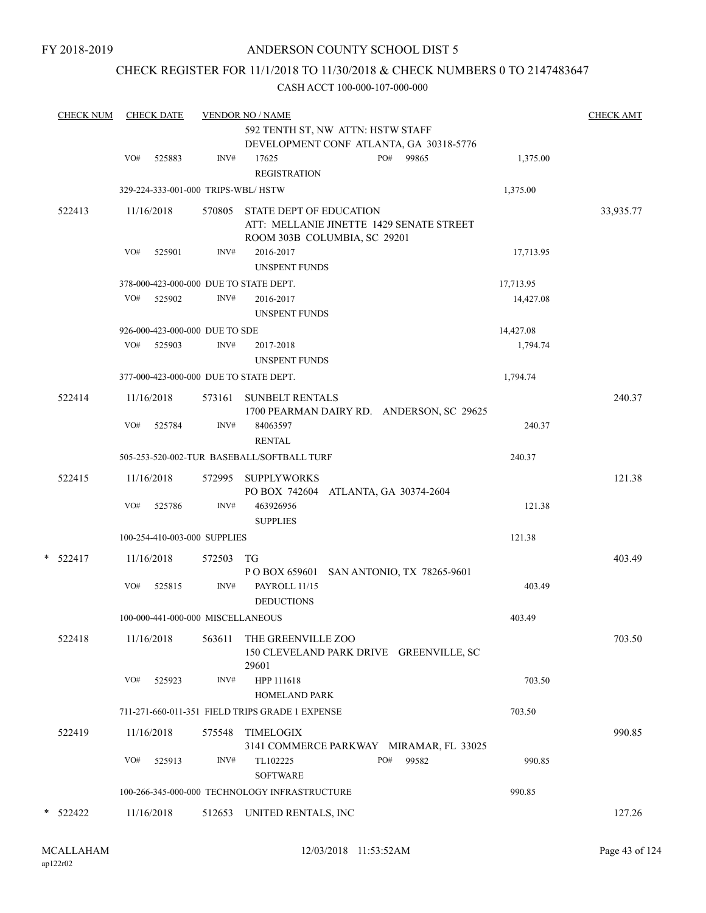# CHECK REGISTER FOR 11/1/2018 TO 11/30/2018 & CHECK NUMBERS 0 TO 2147483647

| <b>CHECK NUM</b> | <b>CHECK DATE</b><br><b>VENDOR NO / NAME</b><br>592 TENTH ST, NW ATTN: HSTW STAFF |            |                                    |                                                                                                            |              |           | <b>CHECK AMT</b> |
|------------------|-----------------------------------------------------------------------------------|------------|------------------------------------|------------------------------------------------------------------------------------------------------------|--------------|-----------|------------------|
|                  |                                                                                   |            |                                    | DEVELOPMENT CONF ATLANTA, GA 30318-5776                                                                    |              |           |                  |
|                  | VO#                                                                               | 525883     | INV#                               | 17625<br><b>REGISTRATION</b>                                                                               | PO#<br>99865 | 1,375.00  |                  |
|                  |                                                                                   |            | 329-224-333-001-000 TRIPS-WBL/HSTW |                                                                                                            |              | 1,375.00  |                  |
| 522413           |                                                                                   | 11/16/2018 |                                    | 570805 STATE DEPT OF EDUCATION<br>ATT: MELLANIE JINETTE 1429 SENATE STREET<br>ROOM 303B COLUMBIA, SC 29201 |              |           | 33,935.77        |
|                  | VO#                                                                               | 525901     | INV#                               | 2016-2017<br><b>UNSPENT FUNDS</b>                                                                          |              | 17,713.95 |                  |
|                  |                                                                                   |            |                                    | 378-000-423-000-000 DUE TO STATE DEPT.                                                                     |              | 17,713.95 |                  |
|                  | VO#                                                                               | 525902     | INV#                               | 2016-2017<br><b>UNSPENT FUNDS</b>                                                                          |              | 14,427.08 |                  |
|                  |                                                                                   |            | 926-000-423-000-000 DUE TO SDE     |                                                                                                            |              | 14,427.08 |                  |
|                  | VO#                                                                               | 525903     | INV#                               | 2017-2018<br><b>UNSPENT FUNDS</b>                                                                          |              | 1,794.74  |                  |
|                  |                                                                                   |            |                                    | 377-000-423-000-000 DUE TO STATE DEPT.                                                                     |              | 1,794.74  |                  |
| 522414           |                                                                                   | 11/16/2018 |                                    | 573161 SUNBELT RENTALS<br>1700 PEARMAN DAIRY RD. ANDERSON, SC 29625                                        |              |           | 240.37           |
|                  | VO#                                                                               | 525784     | INV#                               | 84063597<br><b>RENTAL</b>                                                                                  |              | 240.37    |                  |
|                  |                                                                                   |            |                                    | 505-253-520-002-TUR BASEBALL/SOFTBALL TURF                                                                 |              | 240.37    |                  |
| 522415           |                                                                                   | 11/16/2018 | 572995                             | <b>SUPPLYWORKS</b><br>PO BOX 742604 ATLANTA, GA 30374-2604                                                 |              |           | 121.38           |
|                  | VO#                                                                               | 525786     | $\text{INV}\#$                     | 463926956<br><b>SUPPLIES</b>                                                                               |              | 121.38    |                  |
|                  |                                                                                   |            | 100-254-410-003-000 SUPPLIES       |                                                                                                            |              | 121.38    |                  |
| $*$ 522417       |                                                                                   | 11/16/2018 | 572503                             | TG<br>P O BOX 659601 SAN ANTONIO, TX 78265-9601                                                            |              |           | 403.49           |
|                  | VO#                                                                               | 525815     | INV#                               | PAYROLL 11/15<br><b>DEDUCTIONS</b>                                                                         |              | 403.49    |                  |
|                  |                                                                                   |            | 100-000-441-000-000 MISCELLANEOUS  |                                                                                                            |              | 403.49    |                  |
| 522418           |                                                                                   | 11/16/2018 | 563611                             | THE GREENVILLE ZOO<br>150 CLEVELAND PARK DRIVE GREENVILLE, SC<br>29601                                     |              |           | 703.50           |
|                  | VO#                                                                               | 525923     | INV#                               | HPP 111618<br>HOMELAND PARK                                                                                |              | 703.50    |                  |
|                  |                                                                                   |            |                                    | 711-271-660-011-351 FIELD TRIPS GRADE 1 EXPENSE                                                            |              | 703.50    |                  |
| 522419           |                                                                                   | 11/16/2018 | 575548                             | <b>TIMELOGIX</b><br>3141 COMMERCE PARKWAY MIRAMAR, FL 33025                                                |              |           | 990.85           |
|                  | VO#                                                                               | 525913     | INV#                               | TL102225<br><b>SOFTWARE</b>                                                                                | PO#<br>99582 | 990.85    |                  |
|                  |                                                                                   |            |                                    | 100-266-345-000-000 TECHNOLOGY INFRASTRUCTURE                                                              |              | 990.85    |                  |
| * 522422         |                                                                                   | 11/16/2018 |                                    | 512653 UNITED RENTALS, INC                                                                                 |              |           | 127.26           |
|                  |                                                                                   |            |                                    |                                                                                                            |              |           |                  |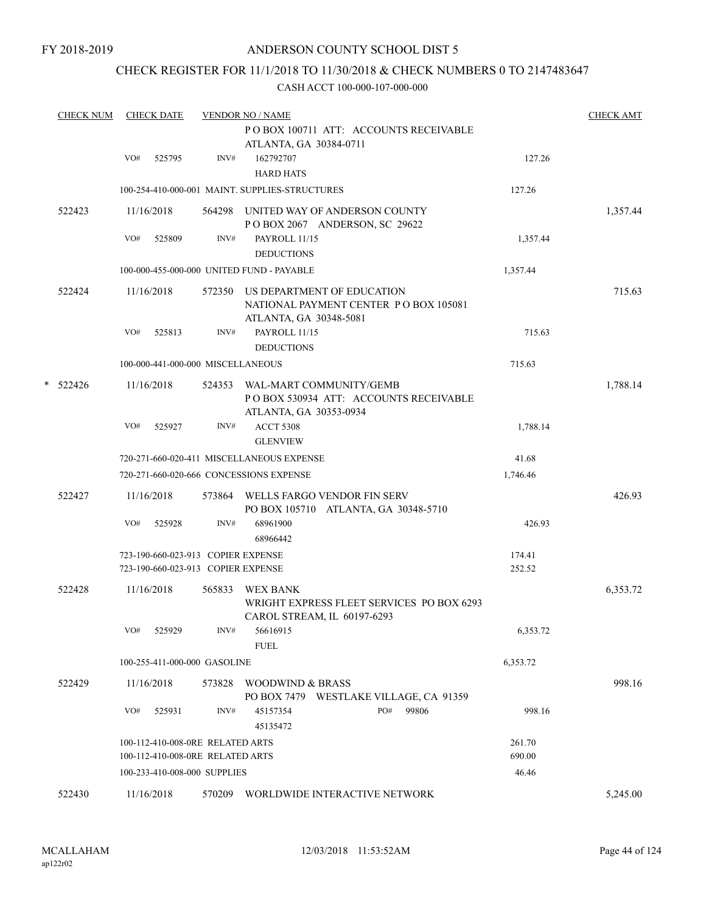# CHECK REGISTER FOR 11/1/2018 TO 11/30/2018 & CHECK NUMBERS 0 TO 2147483647

|   | <b>CHECK NUM</b> |     | <b>CHECK DATE</b> |                                                                          | <b>VENDOR NO / NAME</b>                                                                              |                  | <b>CHECK AMT</b> |
|---|------------------|-----|-------------------|--------------------------------------------------------------------------|------------------------------------------------------------------------------------------------------|------------------|------------------|
|   |                  |     |                   |                                                                          | PO BOX 100711 ATT: ACCOUNTS RECEIVABLE<br>ATLANTA, GA 30384-0711                                     |                  |                  |
|   |                  | VO# | 525795            | INV#                                                                     | 162792707                                                                                            | 127.26           |                  |
|   |                  |     |                   |                                                                          | <b>HARD HATS</b>                                                                                     |                  |                  |
|   |                  |     |                   |                                                                          | 100-254-410-000-001 MAINT. SUPPLIES-STRUCTURES                                                       | 127.26           |                  |
|   | 522423           |     | 11/16/2018        |                                                                          | 564298 UNITED WAY OF ANDERSON COUNTY<br>POBOX 2067 ANDERSON, SC 29622                                |                  | 1,357.44         |
|   |                  | VO# | 525809            | INV#                                                                     | PAYROLL 11/15                                                                                        | 1,357.44         |                  |
|   |                  |     |                   |                                                                          | <b>DEDUCTIONS</b>                                                                                    |                  |                  |
|   |                  |     |                   |                                                                          | 100-000-455-000-000 UNITED FUND - PAYABLE                                                            | 1,357.44         |                  |
|   | 522424           |     | 11/16/2018        |                                                                          | 572350 US DEPARTMENT OF EDUCATION<br>NATIONAL PAYMENT CENTER PO BOX 105081<br>ATLANTA, GA 30348-5081 |                  | 715.63           |
|   |                  | VO# | 525813            | INV#                                                                     | PAYROLL 11/15<br><b>DEDUCTIONS</b>                                                                   | 715.63           |                  |
|   |                  |     |                   | 100-000-441-000-000 MISCELLANEOUS                                        |                                                                                                      | 715.63           |                  |
| * | 522426           |     | 11/16/2018        |                                                                          | 524353 WAL-MART COMMUNITY/GEMB<br>PO BOX 530934 ATT: ACCOUNTS RECEIVABLE<br>ATLANTA, GA 30353-0934   |                  | 1,788.14         |
|   |                  | VO# | 525927            | INV#                                                                     | <b>ACCT 5308</b><br><b>GLENVIEW</b>                                                                  | 1,788.14         |                  |
|   |                  |     |                   |                                                                          | 720-271-660-020-411 MISCELLANEOUS EXPENSE                                                            | 41.68            |                  |
|   |                  |     |                   |                                                                          | 720-271-660-020-666 CONCESSIONS EXPENSE                                                              | 1,746.46         |                  |
|   | 522427           |     | 11/16/2018        |                                                                          | 573864 WELLS FARGO VENDOR FIN SERV<br>PO BOX 105710 ATLANTA, GA 30348-5710                           |                  | 426.93           |
|   |                  | VO# | 525928            | INV#                                                                     | 68961900<br>68966442                                                                                 | 426.93           |                  |
|   |                  |     |                   | 723-190-660-023-913 COPIER EXPENSE<br>723-190-660-023-913 COPIER EXPENSE |                                                                                                      | 174.41<br>252.52 |                  |
|   | 522428           |     | 11/16/2018        | 565833                                                                   | <b>WEX BANK</b><br>WRIGHT EXPRESS FLEET SERVICES PO BOX 6293<br>CAROL STREAM, IL 60197-6293          |                  | 6,353.72         |
|   |                  | VO# | 525929            | INV#                                                                     | 56616915<br><b>FUEL</b>                                                                              | 6,353.72         |                  |
|   |                  |     |                   | 100-255-411-000-000 GASOLINE                                             |                                                                                                      | 6,353.72         |                  |
|   | 522429           |     | 11/16/2018        | 573828                                                                   | WOODWIND & BRASS<br>PO BOX 7479 WESTLAKE VILLAGE, CA 91359                                           |                  | 998.16           |
|   |                  | VO# | 525931            | INV#                                                                     | PO#<br>99806<br>45157354<br>45135472                                                                 | 998.16           |                  |
|   |                  |     |                   | 100-112-410-008-0RE RELATED ARTS<br>100-112-410-008-0RE RELATED ARTS     |                                                                                                      | 261.70<br>690.00 |                  |
|   |                  |     |                   | 100-233-410-008-000 SUPPLIES                                             |                                                                                                      | 46.46            |                  |
|   | 522430           |     | 11/16/2018        |                                                                          | 570209 WORLDWIDE INTERACTIVE NETWORK                                                                 |                  | 5,245.00         |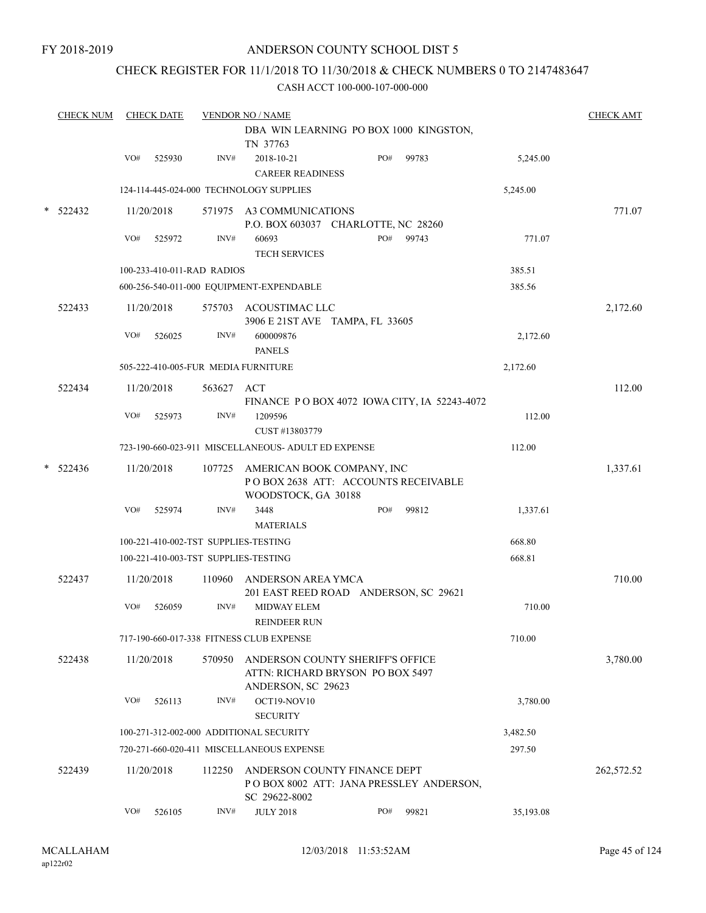# CHECK REGISTER FOR 11/1/2018 TO 11/30/2018 & CHECK NUMBERS 0 TO 2147483647

|  | <b>CHECK NUM</b>                                                                                                                                                                                                                                                                                                                                                                                                                                                                                                                                                                                                                                                                                                                                                                                                                                                                                                                                                                                                                                                                                                                                                                                                                                                                                                                                                                                                                                                                                                                                                                                                                                                                                  |                                                                                                                                        |        |      |            |     |       |          | <b>CHECK AMT</b> |  |  |  |
|--|---------------------------------------------------------------------------------------------------------------------------------------------------------------------------------------------------------------------------------------------------------------------------------------------------------------------------------------------------------------------------------------------------------------------------------------------------------------------------------------------------------------------------------------------------------------------------------------------------------------------------------------------------------------------------------------------------------------------------------------------------------------------------------------------------------------------------------------------------------------------------------------------------------------------------------------------------------------------------------------------------------------------------------------------------------------------------------------------------------------------------------------------------------------------------------------------------------------------------------------------------------------------------------------------------------------------------------------------------------------------------------------------------------------------------------------------------------------------------------------------------------------------------------------------------------------------------------------------------------------------------------------------------------------------------------------------------|----------------------------------------------------------------------------------------------------------------------------------------|--------|------|------------|-----|-------|----------|------------------|--|--|--|
|  |                                                                                                                                                                                                                                                                                                                                                                                                                                                                                                                                                                                                                                                                                                                                                                                                                                                                                                                                                                                                                                                                                                                                                                                                                                                                                                                                                                                                                                                                                                                                                                                                                                                                                                   |                                                                                                                                        |        |      | TN 37763   |     |       |          |                  |  |  |  |
|  |                                                                                                                                                                                                                                                                                                                                                                                                                                                                                                                                                                                                                                                                                                                                                                                                                                                                                                                                                                                                                                                                                                                                                                                                                                                                                                                                                                                                                                                                                                                                                                                                                                                                                                   | VO#                                                                                                                                    | 525930 | INV# | 2018-10-21 | PO# | 99783 | 5,245.00 |                  |  |  |  |
|  |                                                                                                                                                                                                                                                                                                                                                                                                                                                                                                                                                                                                                                                                                                                                                                                                                                                                                                                                                                                                                                                                                                                                                                                                                                                                                                                                                                                                                                                                                                                                                                                                                                                                                                   |                                                                                                                                        |        |      |            |     |       | 5,245.00 |                  |  |  |  |
|  | $*$ 522432                                                                                                                                                                                                                                                                                                                                                                                                                                                                                                                                                                                                                                                                                                                                                                                                                                                                                                                                                                                                                                                                                                                                                                                                                                                                                                                                                                                                                                                                                                                                                                                                                                                                                        |                                                                                                                                        |        |      |            |     |       |          | 771.07           |  |  |  |
|  | <b>CHECK DATE</b><br><b>VENDOR NO / NAME</b><br>DBA WIN LEARNING PO BOX 1000 KINGSTON,<br><b>CAREER READINESS</b><br>124-114-445-024-000 TECHNOLOGY SUPPLIES<br>11/20/2018<br>571975 A3 COMMUNICATIONS<br>P.O. BOX 603037 CHARLOTTE, NC 28260<br>INV#<br>60693<br>PO#<br>VO#<br>525972<br>99743<br><b>TECH SERVICES</b><br>100-233-410-011-RAD RADIOS<br>600-256-540-011-000 EQUIPMENT-EXPENDABLE<br>522433<br>11/20/2018<br>575703 ACOUSTIMAC LLC<br>3906 E 21ST AVE TAMPA, FL 33605<br>VO#<br>526025<br>INV#<br>600009876<br><b>PANELS</b><br>505-222-410-005-FUR MEDIA FURNITURE<br>522434<br>11/20/2018<br>563627 ACT<br>FINANCE PO BOX 4072 IOWA CITY, IA 52243-4072<br>VO#<br>525973<br>INV#<br>1209596<br>CUST #13803779<br>723-190-660-023-911 MISCELLANEOUS- ADULT ED EXPENSE<br>11/20/2018<br>107725 AMERICAN BOOK COMPANY, INC<br>POBOX 2638 ATT: ACCOUNTS RECEIVABLE<br>WOODSTOCK, GA 30188<br>VO#<br>525974<br>INV#<br>3448<br>PO#<br>99812<br><b>MATERIALS</b><br>100-221-410-002-TST SUPPLIES-TESTING<br>100-221-410-003-TST SUPPLIES-TESTING<br>522437<br>11/20/2018<br>110960<br>ANDERSON AREA YMCA<br>201 EAST REED ROAD ANDERSON, SC 29621<br>VO#<br>INV#<br><b>MIDWAY ELEM</b><br>526059<br><b>REINDEER RUN</b><br>717-190-660-017-338 FITNESS CLUB EXPENSE<br>522438<br>11/20/2018<br>ANDERSON COUNTY SHERIFF'S OFFICE<br>570950<br>ATTN: RICHARD BRYSON PO BOX 5497<br>ANDERSON, SC 29623<br>VO#<br>INV#<br>OCT19-NOV10<br>526113<br><b>SECURITY</b><br>100-271-312-002-000 ADDITIONAL SECURITY<br>720-271-660-020-411 MISCELLANEOUS EXPENSE<br>522439<br>11/20/2018<br>112250<br>ANDERSON COUNTY FINANCE DEPT<br>PO BOX 8002 ATT: JANA PRESSLEY ANDERSON,<br>SC 29622-8002 |                                                                                                                                        |        |      |            |     |       | 771.07   |                  |  |  |  |
|  |                                                                                                                                                                                                                                                                                                                                                                                                                                                                                                                                                                                                                                                                                                                                                                                                                                                                                                                                                                                                                                                                                                                                                                                                                                                                                                                                                                                                                                                                                                                                                                                                                                                                                                   | 385.51                                                                                                                                 |        |      |            |     |       |          |                  |  |  |  |
|  |                                                                                                                                                                                                                                                                                                                                                                                                                                                                                                                                                                                                                                                                                                                                                                                                                                                                                                                                                                                                                                                                                                                                                                                                                                                                                                                                                                                                                                                                                                                                                                                                                                                                                                   |                                                                                                                                        |        |      |            |     |       | 385.56   |                  |  |  |  |
|  |                                                                                                                                                                                                                                                                                                                                                                                                                                                                                                                                                                                                                                                                                                                                                                                                                                                                                                                                                                                                                                                                                                                                                                                                                                                                                                                                                                                                                                                                                                                                                                                                                                                                                                   |                                                                                                                                        |        |      |            |     |       |          | 2,172.60         |  |  |  |
|  |                                                                                                                                                                                                                                                                                                                                                                                                                                                                                                                                                                                                                                                                                                                                                                                                                                                                                                                                                                                                                                                                                                                                                                                                                                                                                                                                                                                                                                                                                                                                                                                                                                                                                                   |                                                                                                                                        |        |      |            |     |       | 2,172.60 |                  |  |  |  |
|  |                                                                                                                                                                                                                                                                                                                                                                                                                                                                                                                                                                                                                                                                                                                                                                                                                                                                                                                                                                                                                                                                                                                                                                                                                                                                                                                                                                                                                                                                                                                                                                                                                                                                                                   |                                                                                                                                        |        |      |            |     |       | 2,172.60 |                  |  |  |  |
|  |                                                                                                                                                                                                                                                                                                                                                                                                                                                                                                                                                                                                                                                                                                                                                                                                                                                                                                                                                                                                                                                                                                                                                                                                                                                                                                                                                                                                                                                                                                                                                                                                                                                                                                   |                                                                                                                                        |        |      |            |     |       |          | 112.00           |  |  |  |
|  |                                                                                                                                                                                                                                                                                                                                                                                                                                                                                                                                                                                                                                                                                                                                                                                                                                                                                                                                                                                                                                                                                                                                                                                                                                                                                                                                                                                                                                                                                                                                                                                                                                                                                                   |                                                                                                                                        |        |      |            |     |       | 112.00   |                  |  |  |  |
|  |                                                                                                                                                                                                                                                                                                                                                                                                                                                                                                                                                                                                                                                                                                                                                                                                                                                                                                                                                                                                                                                                                                                                                                                                                                                                                                                                                                                                                                                                                                                                                                                                                                                                                                   |                                                                                                                                        |        |      |            |     |       | 112.00   |                  |  |  |  |
|  | $*$ 522436                                                                                                                                                                                                                                                                                                                                                                                                                                                                                                                                                                                                                                                                                                                                                                                                                                                                                                                                                                                                                                                                                                                                                                                                                                                                                                                                                                                                                                                                                                                                                                                                                                                                                        |                                                                                                                                        |        |      |            |     |       |          | 1,337.61         |  |  |  |
|  |                                                                                                                                                                                                                                                                                                                                                                                                                                                                                                                                                                                                                                                                                                                                                                                                                                                                                                                                                                                                                                                                                                                                                                                                                                                                                                                                                                                                                                                                                                                                                                                                                                                                                                   |                                                                                                                                        |        |      |            |     |       | 1,337.61 |                  |  |  |  |
|  |                                                                                                                                                                                                                                                                                                                                                                                                                                                                                                                                                                                                                                                                                                                                                                                                                                                                                                                                                                                                                                                                                                                                                                                                                                                                                                                                                                                                                                                                                                                                                                                                                                                                                                   | 668.80                                                                                                                                 |        |      |            |     |       |          |                  |  |  |  |
|  |                                                                                                                                                                                                                                                                                                                                                                                                                                                                                                                                                                                                                                                                                                                                                                                                                                                                                                                                                                                                                                                                                                                                                                                                                                                                                                                                                                                                                                                                                                                                                                                                                                                                                                   | 668.81<br>710.00<br>710.00<br>3,780.00<br>3,482.50<br>297.50<br>VO#<br>INV#<br><b>JULY 2018</b><br>PO#<br>99821<br>35,193.08<br>526105 |        |      |            |     |       |          |                  |  |  |  |
|  |                                                                                                                                                                                                                                                                                                                                                                                                                                                                                                                                                                                                                                                                                                                                                                                                                                                                                                                                                                                                                                                                                                                                                                                                                                                                                                                                                                                                                                                                                                                                                                                                                                                                                                   |                                                                                                                                        |        |      |            |     |       |          | 710.00           |  |  |  |
|  |                                                                                                                                                                                                                                                                                                                                                                                                                                                                                                                                                                                                                                                                                                                                                                                                                                                                                                                                                                                                                                                                                                                                                                                                                                                                                                                                                                                                                                                                                                                                                                                                                                                                                                   |                                                                                                                                        |        |      |            |     |       |          |                  |  |  |  |
|  |                                                                                                                                                                                                                                                                                                                                                                                                                                                                                                                                                                                                                                                                                                                                                                                                                                                                                                                                                                                                                                                                                                                                                                                                                                                                                                                                                                                                                                                                                                                                                                                                                                                                                                   |                                                                                                                                        |        |      |            |     |       |          |                  |  |  |  |
|  |                                                                                                                                                                                                                                                                                                                                                                                                                                                                                                                                                                                                                                                                                                                                                                                                                                                                                                                                                                                                                                                                                                                                                                                                                                                                                                                                                                                                                                                                                                                                                                                                                                                                                                   |                                                                                                                                        |        |      |            |     |       |          | 3,780.00         |  |  |  |
|  |                                                                                                                                                                                                                                                                                                                                                                                                                                                                                                                                                                                                                                                                                                                                                                                                                                                                                                                                                                                                                                                                                                                                                                                                                                                                                                                                                                                                                                                                                                                                                                                                                                                                                                   |                                                                                                                                        |        |      |            |     |       |          |                  |  |  |  |
|  |                                                                                                                                                                                                                                                                                                                                                                                                                                                                                                                                                                                                                                                                                                                                                                                                                                                                                                                                                                                                                                                                                                                                                                                                                                                                                                                                                                                                                                                                                                                                                                                                                                                                                                   |                                                                                                                                        |        |      |            |     |       |          |                  |  |  |  |
|  |                                                                                                                                                                                                                                                                                                                                                                                                                                                                                                                                                                                                                                                                                                                                                                                                                                                                                                                                                                                                                                                                                                                                                                                                                                                                                                                                                                                                                                                                                                                                                                                                                                                                                                   |                                                                                                                                        |        |      |            |     |       |          |                  |  |  |  |
|  |                                                                                                                                                                                                                                                                                                                                                                                                                                                                                                                                                                                                                                                                                                                                                                                                                                                                                                                                                                                                                                                                                                                                                                                                                                                                                                                                                                                                                                                                                                                                                                                                                                                                                                   |                                                                                                                                        |        |      |            |     |       |          | 262,572.52       |  |  |  |
|  |                                                                                                                                                                                                                                                                                                                                                                                                                                                                                                                                                                                                                                                                                                                                                                                                                                                                                                                                                                                                                                                                                                                                                                                                                                                                                                                                                                                                                                                                                                                                                                                                                                                                                                   |                                                                                                                                        |        |      |            |     |       |          |                  |  |  |  |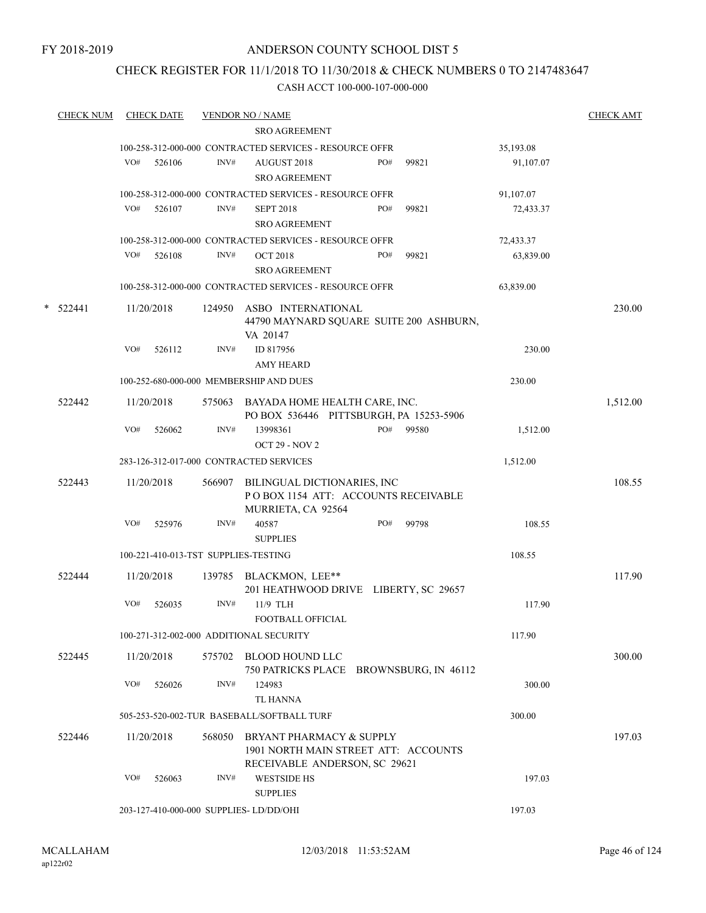# CHECK REGISTER FOR 11/1/2018 TO 11/30/2018 & CHECK NUMBERS 0 TO 2147483647

|        | <b>CHECK NUM</b> |     | <b>CHECK DATE</b>                    |                | <b>VENDOR NO / NAME</b>                                                                           |     |       |           | <b>CHECK AMT</b> |
|--------|------------------|-----|--------------------------------------|----------------|---------------------------------------------------------------------------------------------------|-----|-------|-----------|------------------|
|        |                  |     |                                      |                | <b>SRO AGREEMENT</b>                                                                              |     |       |           |                  |
|        |                  |     |                                      |                | 100-258-312-000-000 CONTRACTED SERVICES - RESOURCE OFFR                                           |     |       | 35,193.08 |                  |
|        |                  | VO# | 526106                               | INV#           | AUGUST 2018<br><b>SRO AGREEMENT</b>                                                               | PO# | 99821 | 91,107.07 |                  |
|        |                  |     |                                      |                | 100-258-312-000-000 CONTRACTED SERVICES - RESOURCE OFFR                                           |     |       | 91,107.07 |                  |
|        |                  | VO# | 526107                               | INV#           | <b>SEPT 2018</b><br><b>SRO AGREEMENT</b>                                                          | PO# | 99821 | 72,433.37 |                  |
|        |                  |     |                                      |                | 100-258-312-000-000 CONTRACTED SERVICES - RESOURCE OFFR                                           |     |       | 72,433.37 |                  |
|        |                  | VO# | 526108                               | INV#           | <b>OCT 2018</b><br><b>SRO AGREEMENT</b>                                                           | PO# | 99821 | 63,839.00 |                  |
|        |                  |     |                                      |                | 100-258-312-000-000 CONTRACTED SERVICES - RESOURCE OFFR                                           |     |       | 63,839.00 |                  |
| $\ast$ | 522441           | VO# | 11/20/2018<br>526112                 | 124950<br>INV# | ASBO INTERNATIONAL<br>44790 MAYNARD SQUARE SUITE 200 ASHBURN,<br>VA 20147<br>ID 817956            |     |       | 230.00    | 230.00           |
|        |                  |     |                                      |                | AMY HEARD                                                                                         |     |       |           |                  |
|        |                  |     |                                      |                | 100-252-680-000-000 MEMBERSHIP AND DUES                                                           |     |       | 230.00    |                  |
|        | 522442           |     | 11/20/2018                           |                | 575063 BAYADA HOME HEALTH CARE, INC.<br>PO BOX 536446 PITTSBURGH, PA 15253-5906                   |     |       |           | 1,512.00         |
|        |                  | VO# | 526062                               | INV#           | 13998361<br><b>OCT 29 - NOV 2</b>                                                                 | PO# | 99580 | 1,512.00  |                  |
|        |                  |     |                                      |                | 283-126-312-017-000 CONTRACTED SERVICES                                                           |     |       | 1,512.00  |                  |
|        | 522443           |     | 11/20/2018                           | 566907         | BILINGUAL DICTIONARIES, INC<br>POBOX 1154 ATT: ACCOUNTS RECEIVABLE<br>MURRIETA, CA 92564          |     |       |           | 108.55           |
|        |                  | VO# | 525976                               | INV#           | 40587<br><b>SUPPLIES</b>                                                                          | PO# | 99798 | 108.55    |                  |
|        |                  |     | 100-221-410-013-TST SUPPLIES-TESTING |                |                                                                                                   |     |       | 108.55    |                  |
|        | 522444           |     | 11/20/2018                           |                | 139785 BLACKMON, LEE**<br>201 HEATHWOOD DRIVE LIBERTY, SC 29657                                   |     |       |           | 117.90           |
|        |                  | VO# | 526035                               | INV#           | 11/9 TLH<br>FOOTBALL OFFICIAL                                                                     |     |       | 117.90    |                  |
|        |                  |     |                                      |                | 100-271-312-002-000 ADDITIONAL SECURITY                                                           |     |       | 117.90    |                  |
|        | 522445           |     | 11/20/2018                           |                | 575702 BLOOD HOUND LLC<br>750 PATRICKS PLACE BROWNSBURG, IN 46112                                 |     |       |           | 300.00           |
|        |                  | VO# | 526026                               | INV#           | 124983<br>TL HANNA                                                                                |     |       | 300.00    |                  |
|        |                  |     |                                      |                | 505-253-520-002-TUR BASEBALL/SOFTBALL TURF                                                        |     |       | 300.00    |                  |
|        | 522446           |     | 11/20/2018                           | 568050         | BRYANT PHARMACY & SUPPLY<br>1901 NORTH MAIN STREET ATT: ACCOUNTS<br>RECEIVABLE ANDERSON, SC 29621 |     |       |           | 197.03           |
|        |                  | VO# | 526063                               | INV#           | <b>WESTSIDE HS</b><br><b>SUPPLIES</b>                                                             |     |       | 197.03    |                  |
|        |                  |     |                                      |                | 203-127-410-000-000 SUPPLIES- LD/DD/OHI                                                           |     |       | 197.03    |                  |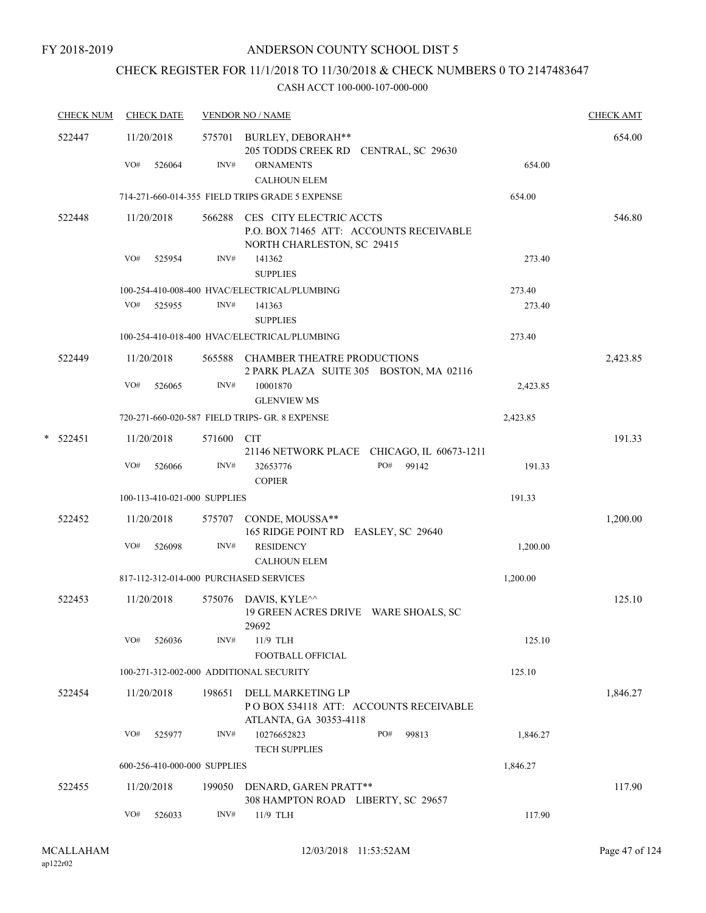# CHECK REGISTER FOR 11/1/2018 TO 11/30/2018 & CHECK NUMBERS 0 TO 2147483647

| <b>CHECK NUM</b> | <b>CHECK DATE</b>                       |        | <b>VENDOR NO / NAME</b>                                                                           |          | <b>CHECK AMT</b> |
|------------------|-----------------------------------------|--------|---------------------------------------------------------------------------------------------------|----------|------------------|
| 522447           | 11/20/2018                              |        | 575701 BURLEY, DEBORAH**<br>205 TODDS CREEK RD CENTRAL, SC 29630                                  |          | 654.00           |
|                  | VO#<br>526064                           | INV#   | <b>ORNAMENTS</b><br><b>CALHOUN ELEM</b>                                                           | 654.00   |                  |
|                  |                                         |        | 714-271-660-014-355 FIELD TRIPS GRADE 5 EXPENSE                                                   | 654.00   |                  |
| 522448           | 11/20/2018                              | 566288 | CES CITY ELECTRIC ACCTS<br>P.O. BOX 71465 ATT: ACCOUNTS RECEIVABLE<br>NORTH CHARLESTON, SC 29415  |          | 546.80           |
|                  | VO#<br>525954                           | INV#   | 141362<br><b>SUPPLIES</b>                                                                         | 273.40   |                  |
|                  |                                         |        | 100-254-410-008-400 HVAC/ELECTRICAL/PLUMBING                                                      | 273.40   |                  |
|                  | VO#<br>525955                           | INV#   | 141363<br><b>SUPPLIES</b>                                                                         | 273.40   |                  |
|                  |                                         |        | 100-254-410-018-400 HVAC/ELECTRICAL/PLUMBING                                                      | 273.40   |                  |
| 522449           | 11/20/2018                              |        | 565588 CHAMBER THEATRE PRODUCTIONS<br>2 PARK PLAZA SUITE 305 BOSTON, MA 02116                     |          | 2,423.85         |
|                  | VO#<br>526065                           | INV#   | 10001870<br><b>GLENVIEW MS</b>                                                                    | 2,423.85 |                  |
|                  |                                         |        | 720-271-660-020-587 FIELD TRIPS- GR. 8 EXPENSE                                                    | 2,423.85 |                  |
| $* 522451$       | 11/20/2018                              | 571600 | <b>CIT</b><br>21146 NETWORK PLACE CHICAGO, IL 60673-1211                                          |          | 191.33           |
|                  | VO#<br>526066                           | INV#   | PO#<br>99142<br>32653776<br><b>COPIER</b>                                                         | 191.33   |                  |
|                  | 100-113-410-021-000 SUPPLIES            |        |                                                                                                   | 191.33   |                  |
| 522452           | 11/20/2018                              | 575707 | CONDE, MOUSSA**<br>165 RIDGE POINT RD EASLEY, SC 29640                                            |          | 1,200.00         |
|                  | VO#<br>526098                           | INV#   | <b>RESIDENCY</b><br><b>CALHOUN ELEM</b>                                                           | 1,200.00 |                  |
|                  | 817-112-312-014-000 PURCHASED SERVICES  |        |                                                                                                   | 1,200.00 |                  |
| 522453           | 11/20/2018                              | 575076 | DAVIS, KYLE <sup><math>\wedge\wedge</math></sup><br>19 GREEN ACRES DRIVE WARE SHOALS, SC<br>29692 |          | 125.10           |
|                  | VO#<br>526036                           | INV#   | 11/9 TLH<br>FOOTBALL OFFICIAL                                                                     | 125.10   |                  |
|                  | 100-271-312-002-000 ADDITIONAL SECURITY |        |                                                                                                   | 125.10   |                  |
| 522454           | 11/20/2018                              | 198651 | DELL MARKETING LP<br>POBOX 534118 ATT: ACCOUNTS RECEIVABLE<br>ATLANTA, GA 30353-4118              |          | 1,846.27         |
|                  | VO#<br>525977                           | INV#   | 10276652823<br>PO#<br>99813<br><b>TECH SUPPLIES</b>                                               | 1,846.27 |                  |
|                  | 600-256-410-000-000 SUPPLIES            |        |                                                                                                   | 1,846.27 |                  |
| 522455           | 11/20/2018                              | 199050 | DENARD, GAREN PRATT**<br>308 HAMPTON ROAD LIBERTY, SC 29657                                       |          | 117.90           |
|                  | VO#<br>526033                           | INV#   | 11/9 TLH                                                                                          | 117.90   |                  |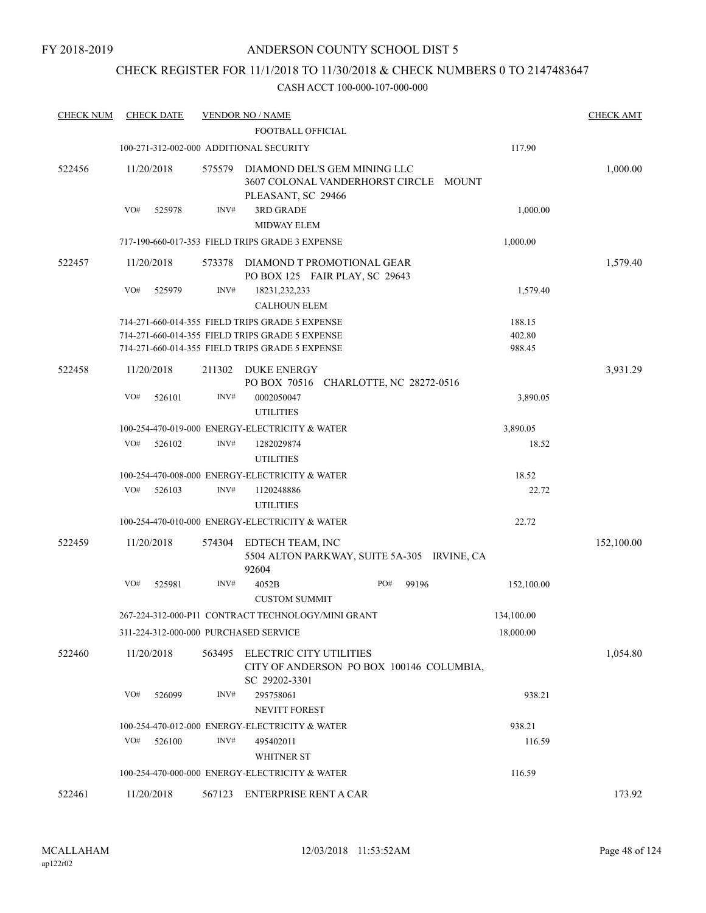# CHECK REGISTER FOR 11/1/2018 TO 11/30/2018 & CHECK NUMBERS 0 TO 2147483647

| <b>CHECK NUM</b> | <b>CHECK DATE</b>                       |        | <b>VENDOR NO / NAME</b><br>FOOTBALL OFFICIAL                                                       |              |                  | <b>CHECK AMT</b> |
|------------------|-----------------------------------------|--------|----------------------------------------------------------------------------------------------------|--------------|------------------|------------------|
|                  | 100-271-312-002-000 ADDITIONAL SECURITY |        |                                                                                                    |              | 117.90           |                  |
| 522456           | 11/20/2018                              | 575579 | DIAMOND DEL'S GEM MINING LLC<br>3607 COLONAL VANDERHORST CIRCLE MOUNT<br>PLEASANT, SC 29466        |              |                  | 1,000.00         |
|                  | VO#<br>525978                           | INV#   | <b>3RD GRADE</b><br><b>MIDWAY ELEM</b>                                                             |              | 1,000.00         |                  |
|                  |                                         |        | 717-190-660-017-353 FIELD TRIPS GRADE 3 EXPENSE                                                    |              | 1,000.00         |                  |
| 522457           | 11/20/2018                              | 573378 | DIAMOND T PROMOTIONAL GEAR<br>PO BOX 125 FAIR PLAY, SC 29643                                       |              |                  | 1,579.40         |
|                  | VO#<br>525979                           | INV#   | 18231,232,233<br><b>CALHOUN ELEM</b>                                                               |              | 1,579.40         |                  |
|                  |                                         |        | 714-271-660-014-355 FIELD TRIPS GRADE 5 EXPENSE                                                    |              | 188.15           |                  |
|                  |                                         |        | 714-271-660-014-355 FIELD TRIPS GRADE 5 EXPENSE<br>714-271-660-014-355 FIELD TRIPS GRADE 5 EXPENSE |              | 402.80<br>988.45 |                  |
|                  |                                         |        |                                                                                                    |              |                  |                  |
| 522458           | 11/20/2018                              | 211302 | <b>DUKE ENERGY</b><br>PO BOX 70516 CHARLOTTE, NC 28272-0516                                        |              |                  | 3,931.29         |
|                  | VO#<br>526101                           | INV#   | 0002050047<br><b>UTILITIES</b>                                                                     |              | 3,890.05         |                  |
|                  |                                         |        | 100-254-470-019-000 ENERGY-ELECTRICITY & WATER                                                     |              | 3,890.05         |                  |
|                  | VO#<br>526102                           | INV#   | 1282029874<br><b>UTILITIES</b>                                                                     |              | 18.52            |                  |
|                  |                                         |        | 100-254-470-008-000 ENERGY-ELECTRICITY & WATER                                                     |              | 18.52            |                  |
|                  | VO#<br>526103                           | INV#   | 1120248886<br><b>UTILITIES</b>                                                                     |              | 22.72            |                  |
|                  |                                         |        | 100-254-470-010-000 ENERGY-ELECTRICITY & WATER                                                     |              | 22.72            |                  |
| 522459           | 11/20/2018                              | 574304 | EDTECH TEAM, INC<br>5504 ALTON PARKWAY, SUITE 5A-305 IRVINE, CA<br>92604                           |              |                  | 152,100.00       |
|                  | VO#<br>525981                           | INV#   | 4052B<br><b>CUSTOM SUMMIT</b>                                                                      | PO#<br>99196 | 152,100.00       |                  |
|                  |                                         |        | 267-224-312-000-P11 CONTRACT TECHNOLOGY/MINI GRANT                                                 |              | 134,100.00       |                  |
|                  | 311-224-312-000-000 PURCHASED SERVICE   |        |                                                                                                    |              | 18,000.00        |                  |
| 522460           | 11/20/2018                              | 563495 | ELECTRIC CITY UTILITIES<br>CITY OF ANDERSON PO BOX 100146 COLUMBIA,<br>SC 29202-3301               |              |                  | 1,054.80         |
|                  | VO#<br>526099                           | INV#   | 295758061<br>NEVITT FOREST                                                                         |              | 938.21           |                  |
|                  |                                         |        | 100-254-470-012-000 ENERGY-ELECTRICITY & WATER                                                     |              | 938.21           |                  |
|                  | VO#<br>526100                           | INV#   | 495402011<br><b>WHITNER ST</b>                                                                     |              | 116.59           |                  |
|                  |                                         |        | 100-254-470-000-000 ENERGY-ELECTRICITY & WATER                                                     |              | 116.59           |                  |
| 522461           | 11/20/2018                              |        | 567123 ENTERPRISE RENT A CAR                                                                       |              |                  | 173.92           |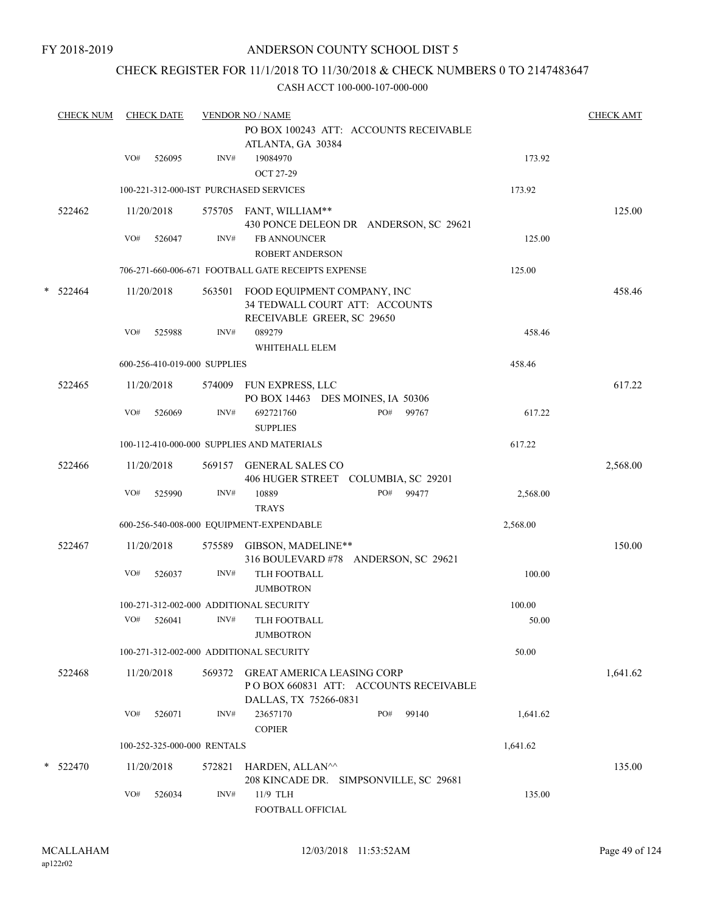# CHECK REGISTER FOR 11/1/2018 TO 11/30/2018 & CHECK NUMBERS 0 TO 2147483647

|   | <b>CHECK NUM</b> |     | <b>CHECK DATE</b> |                              | <b>VENDOR NO / NAME</b>                                                                              |     |       |          | <b>CHECK AMT</b> |
|---|------------------|-----|-------------------|------------------------------|------------------------------------------------------------------------------------------------------|-----|-------|----------|------------------|
|   |                  |     |                   |                              | PO BOX 100243 ATT: ACCOUNTS RECEIVABLE<br>ATLANTA, GA 30384                                          |     |       |          |                  |
|   |                  | VO# | 526095            | $\text{INV}\#$               | 19084970<br><b>OCT 27-29</b>                                                                         |     |       | 173.92   |                  |
|   |                  |     |                   |                              | 100-221-312-000-IST PURCHASED SERVICES                                                               |     |       | 173.92   |                  |
|   | 522462           |     | 11/20/2018        |                              | 575705 FANT, WILLIAM**<br>430 PONCE DELEON DR ANDERSON, SC 29621                                     |     |       |          | 125.00           |
|   |                  | VO# | 526047            | INV#                         | <b>FB ANNOUNCER</b><br><b>ROBERT ANDERSON</b>                                                        |     |       | 125.00   |                  |
|   |                  |     |                   |                              | 706-271-660-006-671 FOOTBALL GATE RECEIPTS EXPENSE                                                   |     |       | 125.00   |                  |
| * | 522464           |     | 11/20/2018        | 563501                       | FOOD EQUIPMENT COMPANY, INC<br>34 TEDWALL COURT ATT: ACCOUNTS<br>RECEIVABLE GREER, SC 29650          |     |       |          | 458.46           |
|   |                  | VO# | 525988            | INV#                         | 089279<br>WHITEHALL ELEM                                                                             |     |       | 458.46   |                  |
|   |                  |     |                   | 600-256-410-019-000 SUPPLIES |                                                                                                      |     |       | 458.46   |                  |
|   | 522465           |     | 11/20/2018        |                              | 574009 FUN EXPRESS, LLC<br>PO BOX 14463 DES MOINES, IA 50306                                         |     |       |          | 617.22           |
|   |                  | VO# | 526069            | INV#                         | 692721760<br><b>SUPPLIES</b>                                                                         | PO# | 99767 | 617.22   |                  |
|   |                  |     |                   |                              | 100-112-410-000-000 SUPPLIES AND MATERIALS                                                           |     |       | 617.22   |                  |
|   | 522466           |     | 11/20/2018        | 569157                       | <b>GENERAL SALES CO</b><br>406 HUGER STREET COLUMBIA, SC 29201                                       |     |       |          | 2,568.00         |
|   |                  | VO# | 525990            | INV#                         | 10889<br><b>TRAYS</b>                                                                                | PO# | 99477 | 2,568.00 |                  |
|   |                  |     |                   |                              | 600-256-540-008-000 EQUIPMENT-EXPENDABLE                                                             |     |       | 2,568.00 |                  |
|   | 522467           |     | 11/20/2018        | 575589                       | GIBSON, MADELINE**<br>316 BOULEVARD #78 ANDERSON, SC 29621                                           |     |       |          | 150.00           |
|   |                  | VO# | 526037            | INV#                         | TLH FOOTBALL<br><b>JUMBOTRON</b>                                                                     |     |       | 100.00   |                  |
|   |                  |     |                   |                              | 100-271-312-002-000 ADDITIONAL SECURITY                                                              |     |       | 100.00   |                  |
|   |                  | VO# | 526041            | INV#                         | TLH FOOTBALL<br><b>JUMBOTRON</b>                                                                     |     |       | 50.00    |                  |
|   |                  |     |                   |                              | 100-271-312-002-000 ADDITIONAL SECURITY                                                              |     |       | 50.00    |                  |
|   | 522468           |     | 11/20/2018        | 569372                       | <b>GREAT AMERICA LEASING CORP</b><br>PO BOX 660831 ATT: ACCOUNTS RECEIVABLE<br>DALLAS, TX 75266-0831 |     |       |          | 1,641.62         |
|   |                  | VO# | 526071            | INV#                         | 23657170<br><b>COPIER</b>                                                                            | PO# | 99140 | 1,641.62 |                  |
|   |                  |     |                   | 100-252-325-000-000 RENTALS  |                                                                                                      |     |       | 1,641.62 |                  |
|   | $*$ 522470       |     | 11/20/2018        | 572821                       | HARDEN, ALLAN^^<br>208 KINCADE DR. SIMPSONVILLE, SC 29681                                            |     |       |          | 135.00           |
|   |                  | VO# | 526034            | INV#                         | 11/9 TLH<br>FOOTBALL OFFICIAL                                                                        |     |       | 135.00   |                  |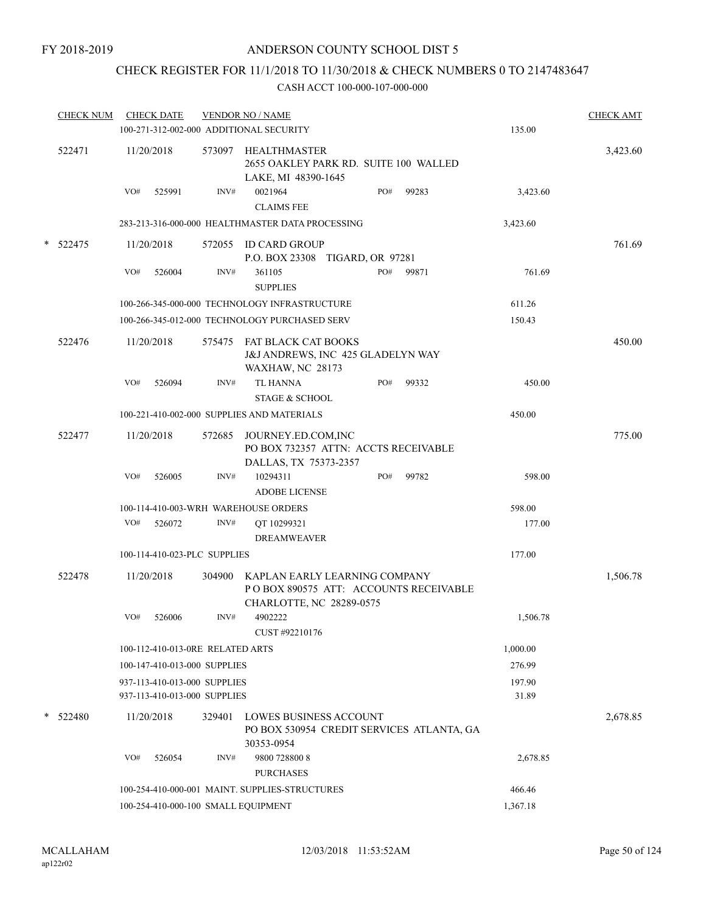# CHECK REGISTER FOR 11/1/2018 TO 11/30/2018 & CHECK NUMBERS 0 TO 2147483647

|   | <b>CHECK NUM</b> |     | <b>CHECK DATE</b> |                                                              | <b>VENDOR NO / NAME</b><br>100-271-312-002-000 ADDITIONAL SECURITY                                 |     |       | 135.00          | <b>CHECK AMT</b> |
|---|------------------|-----|-------------------|--------------------------------------------------------------|----------------------------------------------------------------------------------------------------|-----|-------|-----------------|------------------|
|   | 522471           |     | 11/20/2018        |                                                              | 573097 HEALTHMASTER<br>2655 OAKLEY PARK RD. SUITE 100 WALLED<br>LAKE, MI 48390-1645                |     |       |                 | 3,423.60         |
|   |                  | VO# | 525991            | INV#                                                         | 0021964<br><b>CLAIMS FEE</b>                                                                       | PO# | 99283 | 3,423.60        |                  |
|   |                  |     |                   |                                                              | 283-213-316-000-000 HEALTHMASTER DATA PROCESSING                                                   |     |       | 3,423.60        |                  |
|   | $*$ 522475       |     | 11/20/2018        |                                                              | 572055 ID CARD GROUP<br>P.O. BOX 23308 TIGARD, OR 97281                                            |     |       |                 | 761.69           |
|   |                  | VO# | 526004            | INV#                                                         | 361105<br><b>SUPPLIES</b>                                                                          | PO# | 99871 | 761.69          |                  |
|   |                  |     |                   |                                                              | 100-266-345-000-000 TECHNOLOGY INFRASTRUCTURE                                                      |     |       | 611.26          |                  |
|   |                  |     |                   |                                                              | 100-266-345-012-000 TECHNOLOGY PURCHASED SERV                                                      |     |       | 150.43          |                  |
|   | 522476           |     | 11/20/2018        |                                                              | 575475 FAT BLACK CAT BOOKS<br>J&J ANDREWS, INC 425 GLADELYN WAY<br><b>WAXHAW, NC 28173</b>         |     |       |                 | 450.00           |
|   |                  | VO# | 526094            | INV#                                                         | <b>TL HANNA</b><br><b>STAGE &amp; SCHOOL</b>                                                       | PO# | 99332 | 450.00          |                  |
|   |                  |     |                   |                                                              | 100-221-410-002-000 SUPPLIES AND MATERIALS                                                         |     |       | 450.00          |                  |
|   | 522477           |     | 11/20/2018        | 572685                                                       | JOURNEY.ED.COM,INC<br>PO BOX 732357 ATTN: ACCTS RECEIVABLE<br>DALLAS, TX 75373-2357                |     |       |                 | 775.00           |
|   |                  | VO# | 526005            | INV#                                                         | 10294311<br><b>ADOBE LICENSE</b>                                                                   | PO# | 99782 | 598.00          |                  |
|   |                  |     |                   |                                                              | 100-114-410-003-WRH WAREHOUSE ORDERS                                                               |     |       | 598.00          |                  |
|   |                  | VO# | 526072            | INV#                                                         | QT 10299321<br><b>DREAMWEAVER</b>                                                                  |     |       | 177.00          |                  |
|   |                  |     |                   | 100-114-410-023-PLC SUPPLIES                                 |                                                                                                    |     |       | 177.00          |                  |
|   | 522478           |     | 11/20/2018        | 304900                                                       | KAPLAN EARLY LEARNING COMPANY<br>POBOX 890575 ATT: ACCOUNTS RECEIVABLE<br>CHARLOTTE, NC 28289-0575 |     |       |                 | 1,506.78         |
|   |                  | VO# | 526006            | INV#                                                         | 4902222<br>CUST #92210176                                                                          |     |       | 1,506.78        |                  |
|   |                  |     |                   | 100-112-410-013-0RE RELATED ARTS                             |                                                                                                    |     |       | 1,000.00        |                  |
|   |                  |     |                   | 100-147-410-013-000 SUPPLIES                                 |                                                                                                    |     |       | 276.99          |                  |
|   |                  |     |                   | 937-113-410-013-000 SUPPLIES<br>937-113-410-013-000 SUPPLIES |                                                                                                    |     |       | 197.90<br>31.89 |                  |
| * | 522480           |     | 11/20/2018        | 329401                                                       | <b>LOWES BUSINESS ACCOUNT</b><br>PO BOX 530954 CREDIT SERVICES ATLANTA, GA<br>30353-0954           |     |       |                 | 2,678.85         |
|   |                  | VO# | 526054            | INV#                                                         | 9800 728800 8<br><b>PURCHASES</b>                                                                  |     |       | 2,678.85        |                  |
|   |                  |     |                   |                                                              | 100-254-410-000-001 MAINT. SUPPLIES-STRUCTURES                                                     |     |       | 466.46          |                  |
|   |                  |     |                   |                                                              | 100-254-410-000-100 SMALL EQUIPMENT                                                                |     |       | 1,367.18        |                  |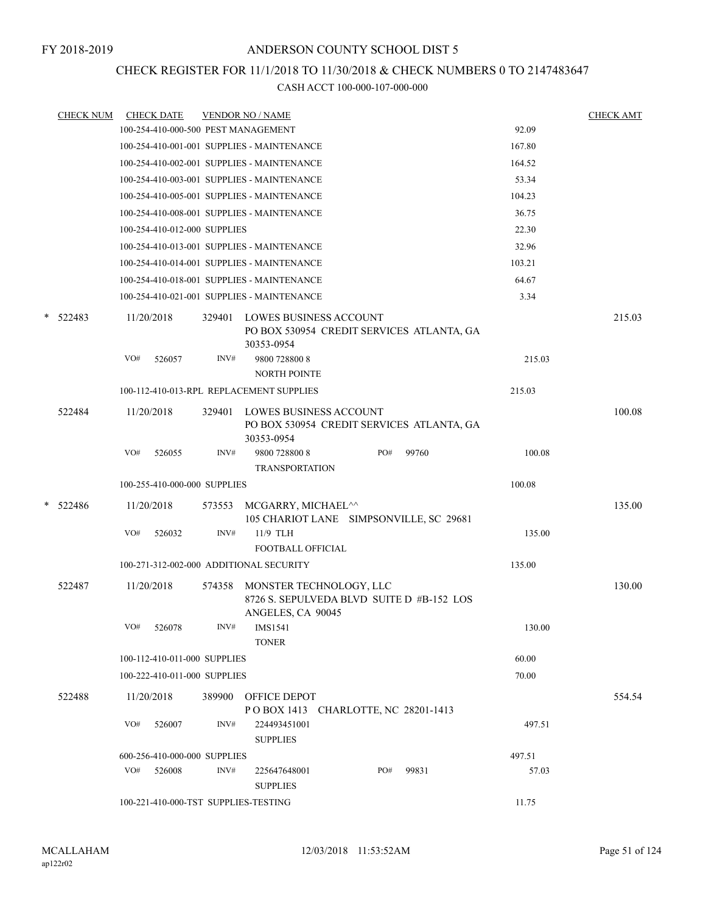# CHECK REGISTER FOR 11/1/2018 TO 11/30/2018 & CHECK NUMBERS 0 TO 2147483647

| <b>CHECK NUM</b> |     | <b>CHECK DATE</b>                    |        | <b>VENDOR NO / NAME</b>                      |                                           |     |                                           |        | <b>CHECK AMT</b> |
|------------------|-----|--------------------------------------|--------|----------------------------------------------|-------------------------------------------|-----|-------------------------------------------|--------|------------------|
|                  |     |                                      |        | 100-254-410-000-500 PEST MANAGEMENT          |                                           |     |                                           | 92.09  |                  |
|                  |     |                                      |        | 100-254-410-001-001 SUPPLIES - MAINTENANCE   |                                           |     |                                           | 167.80 |                  |
|                  |     |                                      |        | 100-254-410-002-001 SUPPLIES - MAINTENANCE   |                                           |     |                                           | 164.52 |                  |
|                  |     |                                      |        | 100-254-410-003-001 SUPPLIES - MAINTENANCE   |                                           |     |                                           | 53.34  |                  |
|                  |     |                                      |        | 100-254-410-005-001 SUPPLIES - MAINTENANCE   |                                           |     |                                           | 104.23 |                  |
|                  |     |                                      |        | 100-254-410-008-001 SUPPLIES - MAINTENANCE   |                                           |     |                                           | 36.75  |                  |
|                  |     | 100-254-410-012-000 SUPPLIES         |        |                                              |                                           |     |                                           | 22.30  |                  |
|                  |     |                                      |        | 100-254-410-013-001 SUPPLIES - MAINTENANCE   |                                           |     |                                           | 32.96  |                  |
|                  |     |                                      |        | 100-254-410-014-001 SUPPLIES - MAINTENANCE   |                                           |     |                                           | 103.21 |                  |
|                  |     |                                      |        | 100-254-410-018-001 SUPPLIES - MAINTENANCE   |                                           |     |                                           | 64.67  |                  |
|                  |     |                                      |        | 100-254-410-021-001 SUPPLIES - MAINTENANCE   |                                           |     |                                           | 3.34   |                  |
| $*$ 522483       |     | 11/20/2018                           |        | 329401 LOWES BUSINESS ACCOUNT<br>30353-0954  |                                           |     | PO BOX 530954 CREDIT SERVICES ATLANTA, GA |        | 215.03           |
|                  | VO# | 526057                               | INV#   | 9800 728800 8<br>NORTH POINTE                |                                           |     |                                           | 215.03 |                  |
|                  |     |                                      |        | 100-112-410-013-RPL REPLACEMENT SUPPLIES     |                                           |     |                                           | 215.03 |                  |
| 522484           |     | 11/20/2018                           | 329401 | <b>LOWES BUSINESS ACCOUNT</b><br>30353-0954  |                                           |     | PO BOX 530954 CREDIT SERVICES ATLANTA, GA |        | 100.08           |
|                  | VO# | 526055                               | INV#   | 9800 728800 8<br><b>TRANSPORTATION</b>       |                                           | PO# | 99760                                     | 100.08 |                  |
|                  |     | 100-255-410-000-000 SUPPLIES         |        |                                              |                                           |     |                                           | 100.08 |                  |
| $*$ 522486       |     | 11/20/2018                           | 573553 | MCGARRY, MICHAEL^^                           |                                           |     |                                           |        | 135.00           |
|                  |     |                                      |        |                                              | 105 CHARIOT LANE SIMPSONVILLE, SC 29681   |     |                                           |        |                  |
|                  | VO# | 526032                               | INV#   | 11/9 TLH                                     |                                           |     |                                           | 135.00 |                  |
|                  |     |                                      |        | FOOTBALL OFFICIAL                            |                                           |     |                                           |        |                  |
|                  |     |                                      |        | 100-271-312-002-000 ADDITIONAL SECURITY      |                                           |     |                                           | 135.00 |                  |
| 522487           |     | 11/20/2018                           | 574358 | MONSTER TECHNOLOGY, LLC<br>ANGELES, CA 90045 | 8726 S. SEPULVEDA BLVD SUITE D #B-152 LOS |     |                                           |        | 130.00           |
|                  |     | VO# 526078                           |        | $INV#$ $IMS1541$<br><b>TONER</b>             |                                           |     |                                           | 130.00 |                  |
|                  |     | 100-112-410-011-000 SUPPLIES         |        |                                              |                                           |     |                                           | 60.00  |                  |
|                  |     | 100-222-410-011-000 SUPPLIES         |        |                                              |                                           |     |                                           | 70.00  |                  |
| 522488           |     | 11/20/2018                           |        | 389900 OFFICE DEPOT                          | POBOX 1413 CHARLOTTE, NC 28201-1413       |     |                                           |        | 554.54           |
|                  | VO# | 526007                               | INV#   | 224493451001<br><b>SUPPLIES</b>              |                                           |     |                                           | 497.51 |                  |
|                  |     | 600-256-410-000-000 SUPPLIES         |        |                                              |                                           |     |                                           | 497.51 |                  |
|                  | VO# | 526008                               | INV#   | 225647648001<br><b>SUPPLIES</b>              |                                           | PO# | 99831                                     | 57.03  |                  |
|                  |     | 100-221-410-000-TST SUPPLIES-TESTING |        |                                              |                                           |     |                                           | 11.75  |                  |
|                  |     |                                      |        |                                              |                                           |     |                                           |        |                  |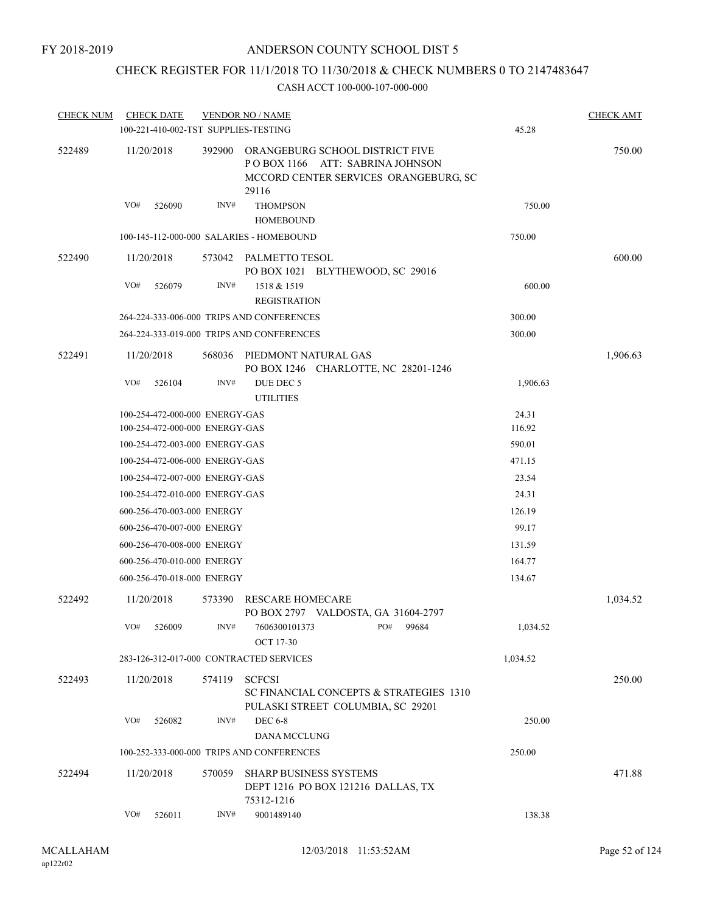# CHECK REGISTER FOR 11/1/2018 TO 11/30/2018 & CHECK NUMBERS 0 TO 2147483647

| <b>CHECK NUM</b> |     | <b>CHECK DATE</b>              |        | <b>VENDOR NO / NAME</b><br>100-221-410-002-TST SUPPLIES-TESTING                                                             |           | 45.28    | <b>CHECK AMT</b> |
|------------------|-----|--------------------------------|--------|-----------------------------------------------------------------------------------------------------------------------------|-----------|----------|------------------|
| 522489           |     | 11/20/2018                     |        | 392900 ORANGEBURG SCHOOL DISTRICT FIVE<br>POBOX 1166 ATT: SABRINA JOHNSON<br>MCCORD CENTER SERVICES ORANGEBURG, SC<br>29116 |           |          | 750.00           |
|                  | VO# | 526090                         | INV#   | <b>THOMPSON</b><br><b>HOMEBOUND</b>                                                                                         |           | 750.00   |                  |
|                  |     |                                |        | 100-145-112-000-000 SALARIES - HOMEBOUND                                                                                    |           | 750.00   |                  |
| 522490           |     | 11/20/2018                     |        | 573042 PALMETTO TESOL<br>PO BOX 1021 BLYTHEWOOD, SC 29016                                                                   |           |          | 600.00           |
|                  | VO# | 526079                         | INV#   | 1518 & 1519<br><b>REGISTRATION</b>                                                                                          |           | 600.00   |                  |
|                  |     |                                |        | 264-224-333-006-000 TRIPS AND CONFERENCES                                                                                   |           | 300.00   |                  |
|                  |     |                                |        | 264-224-333-019-000 TRIPS AND CONFERENCES                                                                                   |           | 300.00   |                  |
| 522491           |     | 11/20/2018                     | 568036 | PIEDMONT NATURAL GAS<br>PO BOX 1246 CHARLOTTE, NC 28201-1246                                                                |           |          | 1,906.63         |
|                  | VO# | 526104                         | INV#   | DUE DEC 5<br><b>UTILITIES</b>                                                                                               |           | 1,906.63 |                  |
|                  |     | 100-254-472-000-000 ENERGY-GAS |        |                                                                                                                             |           | 24.31    |                  |
|                  |     | 100-254-472-000-000 ENERGY-GAS |        |                                                                                                                             |           | 116.92   |                  |
|                  |     | 100-254-472-003-000 ENERGY-GAS |        |                                                                                                                             |           | 590.01   |                  |
|                  |     | 100-254-472-006-000 ENERGY-GAS |        |                                                                                                                             |           | 471.15   |                  |
|                  |     | 100-254-472-007-000 ENERGY-GAS |        |                                                                                                                             |           | 23.54    |                  |
|                  |     | 100-254-472-010-000 ENERGY-GAS |        |                                                                                                                             |           | 24.31    |                  |
|                  |     | 600-256-470-003-000 ENERGY     |        |                                                                                                                             |           | 126.19   |                  |
|                  |     | 600-256-470-007-000 ENERGY     |        |                                                                                                                             |           | 99.17    |                  |
|                  |     | 600-256-470-008-000 ENERGY     |        |                                                                                                                             |           | 131.59   |                  |
|                  |     | 600-256-470-010-000 ENERGY     |        |                                                                                                                             |           | 164.77   |                  |
|                  |     | 600-256-470-018-000 ENERGY     |        |                                                                                                                             |           | 134.67   |                  |
| 522492           |     | 11/20/2018                     | 573390 | RESCARE HOMECARE<br>PO BOX 2797 VALDOSTA, GA 31604-2797                                                                     |           |          | 1,034.52         |
|                  |     | VO# 526009                     | INV#   | 7606300101373<br><b>OCT 17-30</b>                                                                                           | PO# 99684 | 1,034.52 |                  |
|                  |     |                                |        | 283-126-312-017-000 CONTRACTED SERVICES                                                                                     |           | 1,034.52 |                  |
| 522493           |     | 11/20/2018                     | 574119 | <b>SCFCSI</b><br>SC FINANCIAL CONCEPTS & STRATEGIES 1310<br>PULASKI STREET COLUMBIA, SC 29201                               |           |          | 250.00           |
|                  | VO# | 526082                         | INV#   | <b>DEC 6-8</b><br><b>DANA MCCLUNG</b>                                                                                       |           | 250.00   |                  |
|                  |     |                                |        | 100-252-333-000-000 TRIPS AND CONFERENCES                                                                                   |           | 250.00   |                  |
| 522494           |     | 11/20/2018                     | 570059 | <b>SHARP BUSINESS SYSTEMS</b><br>DEPT 1216 PO BOX 121216 DALLAS, TX<br>75312-1216                                           |           |          | 471.88           |
|                  | VO# | 526011                         | INV#   | 9001489140                                                                                                                  |           | 138.38   |                  |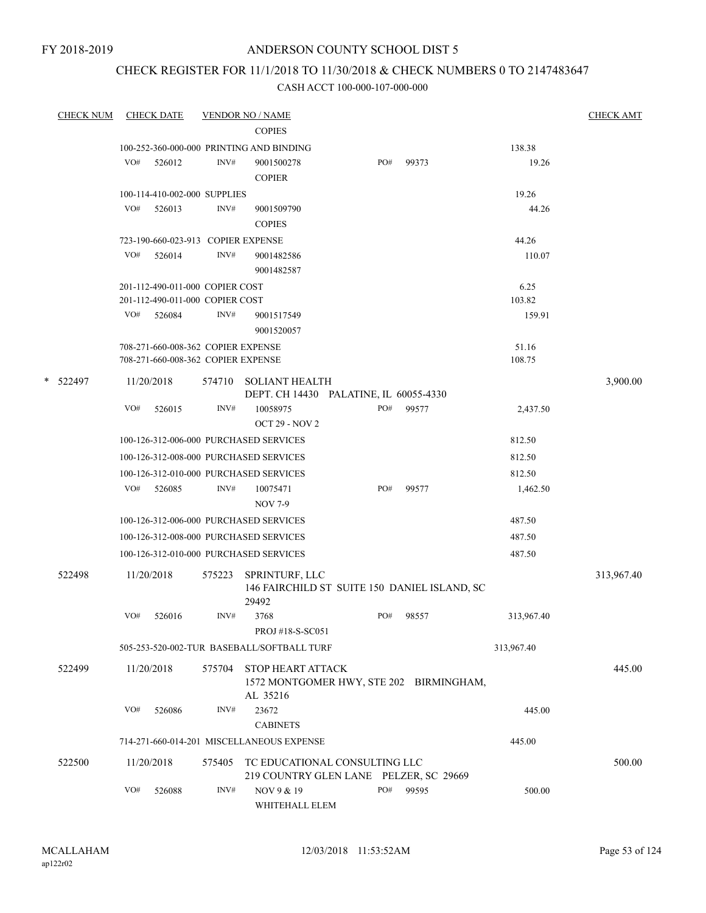# CHECK REGISTER FOR 11/1/2018 TO 11/30/2018 & CHECK NUMBERS 0 TO 2147483647

|   | <b>CHECK NUM</b> |     | <b>CHECK DATE</b>                  |        | <b>VENDOR NO / NAME</b>                                                         |     |       |            | <b>CHECK AMT</b> |
|---|------------------|-----|------------------------------------|--------|---------------------------------------------------------------------------------|-----|-------|------------|------------------|
|   |                  |     |                                    |        | <b>COPIES</b>                                                                   |     |       |            |                  |
|   |                  |     |                                    |        | 100-252-360-000-000 PRINTING AND BINDING                                        |     |       | 138.38     |                  |
|   |                  | VO# | 526012                             | INV#   | 9001500278<br><b>COPIER</b>                                                     | PO# | 99373 | 19.26      |                  |
|   |                  |     | 100-114-410-002-000 SUPPLIES       |        |                                                                                 |     |       | 19.26      |                  |
|   |                  | VO# | 526013                             | INV#   | 9001509790<br><b>COPIES</b>                                                     |     |       | 44.26      |                  |
|   |                  |     | 723-190-660-023-913 COPIER EXPENSE |        |                                                                                 |     |       | 44.26      |                  |
|   |                  | VO# | 526014                             | INV#   | 9001482586<br>9001482587                                                        |     |       | 110.07     |                  |
|   |                  |     | 201-112-490-011-000 COPIER COST    |        |                                                                                 |     |       | 6.25       |                  |
|   |                  |     | 201-112-490-011-000 COPIER COST    |        |                                                                                 |     |       | 103.82     |                  |
|   |                  | VO# | 526084                             | INV#   | 9001517549<br>9001520057                                                        |     |       | 159.91     |                  |
|   |                  |     | 708-271-660-008-362 COPIER EXPENSE |        |                                                                                 |     |       | 51.16      |                  |
|   |                  |     | 708-271-660-008-362 COPIER EXPENSE |        |                                                                                 |     |       | 108.75     |                  |
| * | 522497           |     | 11/20/2018                         | 574710 | <b>SOLIANT HEALTH</b><br>DEPT. CH 14430 PALATINE, IL 60055-4330                 |     |       |            | 3,900.00         |
|   |                  | VO# | 526015                             | INV#   | 10058975<br><b>OCT 29 - NOV 2</b>                                               | PO# | 99577 | 2,437.50   |                  |
|   |                  |     |                                    |        | 100-126-312-006-000 PURCHASED SERVICES                                          |     |       | 812.50     |                  |
|   |                  |     |                                    |        | 100-126-312-008-000 PURCHASED SERVICES                                          |     |       | 812.50     |                  |
|   |                  |     |                                    |        | 100-126-312-010-000 PURCHASED SERVICES                                          |     |       | 812.50     |                  |
|   |                  | VO# | 526085                             | INV#   | 10075471<br><b>NOV 7-9</b>                                                      | PO# | 99577 | 1,462.50   |                  |
|   |                  |     |                                    |        | 100-126-312-006-000 PURCHASED SERVICES                                          |     |       | 487.50     |                  |
|   |                  |     |                                    |        | 100-126-312-008-000 PURCHASED SERVICES                                          |     |       | 487.50     |                  |
|   |                  |     |                                    |        | 100-126-312-010-000 PURCHASED SERVICES                                          |     |       | 487.50     |                  |
|   | 522498           |     | 11/20/2018                         | 575223 | SPRINTURF, LLC<br>146 FAIRCHILD ST SUITE 150 DANIEL ISLAND, SC                  |     |       |            | 313,967.40       |
|   |                  |     |                                    |        | 29492                                                                           |     |       |            |                  |
|   |                  | VO# | 526016                             | INV#   | 3768<br>PROJ #18-S-SC051                                                        | PO# | 98557 | 313,967.40 |                  |
|   |                  |     |                                    |        | 505-253-520-002-TUR BASEBALL/SOFTBALL TURF                                      |     |       | 313,967.40 |                  |
|   | 522499           |     | 11/20/2018                         | 575704 | <b>STOP HEART ATTACK</b><br>1572 MONTGOMER HWY, STE 202 BIRMINGHAM,<br>AL 35216 |     |       |            | 445.00           |
|   |                  | VO# | 526086                             | INV#   | 23672<br><b>CABINETS</b>                                                        |     |       | 445.00     |                  |
|   |                  |     |                                    |        | 714-271-660-014-201 MISCELLANEOUS EXPENSE                                       |     |       | 445.00     |                  |
|   | 522500           |     | 11/20/2018                         | 575405 | TC EDUCATIONAL CONSULTING LLC                                                   |     |       |            | 500.00           |
|   |                  | VO# | 526088                             | INV#   | 219 COUNTRY GLEN LANE PELZER, SC 29669<br>NOV 9 & 19<br>WHITEHALL ELEM          | PO# | 99595 | 500.00     |                  |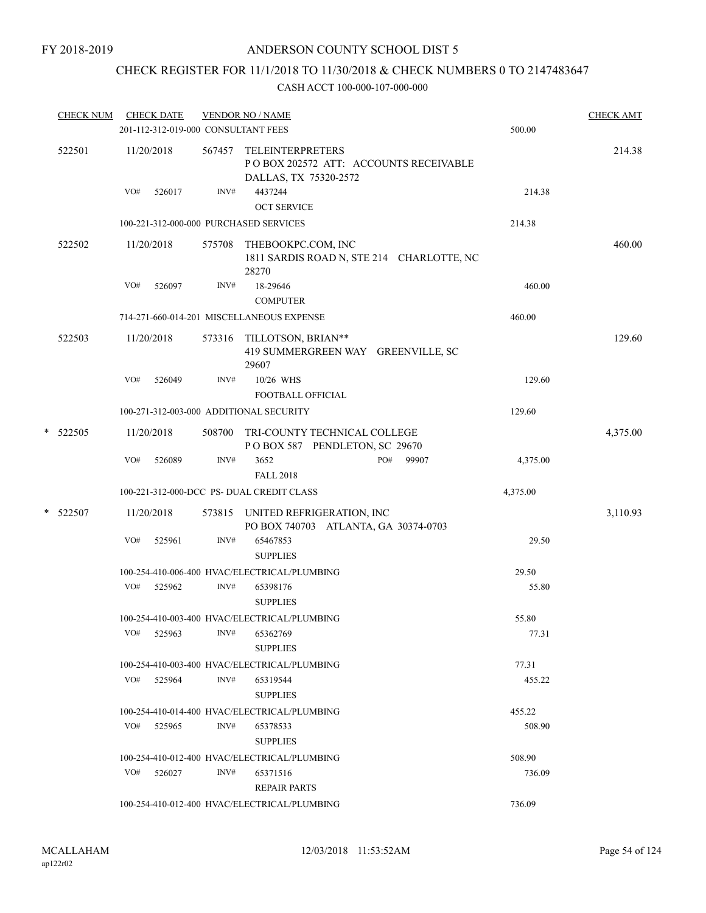# CHECK REGISTER FOR 11/1/2018 TO 11/30/2018 & CHECK NUMBERS 0 TO 2147483647

|   | <b>CHECK NUM</b> |     | <b>CHECK DATE</b><br>201-112-312-019-000 CONSULTANT FEES |        | <b>VENDOR NO / NAME</b>                                                                    | 500.00   | <b>CHECK AMT</b> |
|---|------------------|-----|----------------------------------------------------------|--------|--------------------------------------------------------------------------------------------|----------|------------------|
|   | 522501           |     | 11/20/2018                                               | 567457 | <b>TELEINTERPRETERS</b><br>PO BOX 202572 ATT: ACCOUNTS RECEIVABLE<br>DALLAS, TX 75320-2572 |          | 214.38           |
|   |                  | VO# | 526017                                                   | INV#   | 4437244<br><b>OCT SERVICE</b>                                                              | 214.38   |                  |
|   |                  |     |                                                          |        | 100-221-312-000-000 PURCHASED SERVICES                                                     | 214.38   |                  |
|   | 522502           |     | 11/20/2018                                               | 575708 | THEBOOKPC.COM, INC<br>1811 SARDIS ROAD N, STE 214 CHARLOTTE, NC<br>28270                   |          | 460.00           |
|   |                  | VO# | 526097                                                   | INV#   | 18-29646<br><b>COMPUTER</b>                                                                | 460.00   |                  |
|   |                  |     |                                                          |        | 714-271-660-014-201 MISCELLANEOUS EXPENSE                                                  | 460.00   |                  |
|   | 522503           |     | 11/20/2018                                               |        | 573316 TILLOTSON, BRIAN**<br>419 SUMMERGREEN WAY GREENVILLE, SC<br>29607                   |          | 129.60           |
|   |                  | VO# | 526049                                                   | INV#   | 10/26 WHS<br><b>FOOTBALL OFFICIAL</b>                                                      | 129.60   |                  |
|   |                  |     |                                                          |        | 100-271-312-003-000 ADDITIONAL SECURITY                                                    | 129.60   |                  |
|   | $*$ 522505       |     | 11/20/2018                                               | 508700 | TRI-COUNTY TECHNICAL COLLEGE<br>POBOX 587 PENDLETON, SC 29670                              |          | 4,375.00         |
|   |                  | VO# | 526089                                                   | INV#   | PO#<br>99907<br>3652<br><b>FALL 2018</b>                                                   | 4,375.00 |                  |
|   |                  |     |                                                          |        | 100-221-312-000-DCC PS- DUAL CREDIT CLASS                                                  | 4,375.00 |                  |
| * | 522507           |     | 11/20/2018                                               | 573815 | UNITED REFRIGERATION, INC<br>PO BOX 740703 ATLANTA, GA 30374-0703                          |          | 3,110.93         |
|   |                  | VO# | 525961                                                   | INV#   | 65467853<br><b>SUPPLIES</b>                                                                | 29.50    |                  |
|   |                  |     |                                                          |        | 100-254-410-006-400 HVAC/ELECTRICAL/PLUMBING                                               | 29.50    |                  |
|   |                  | VO# | 525962                                                   | INV#   | 65398176<br><b>SUPPLIES</b>                                                                | 55.80    |                  |
|   |                  |     |                                                          |        | 100-254-410-003-400 HVAC/ELECTRICAL/PLUMBING                                               | 55.80    |                  |
|   |                  | VO# | 525963                                                   | INV#   | 65362769<br><b>SUPPLIES</b>                                                                | 77.31    |                  |
|   |                  |     |                                                          |        | 100-254-410-003-400 HVAC/ELECTRICAL/PLUMBING                                               | 77.31    |                  |
|   |                  | VO# | 525964                                                   | INV#   | 65319544<br><b>SUPPLIES</b>                                                                | 455.22   |                  |
|   |                  |     |                                                          |        | 100-254-410-014-400 HVAC/ELECTRICAL/PLUMBING                                               | 455.22   |                  |
|   |                  | VO# | 525965                                                   | INV#   | 65378533<br><b>SUPPLIES</b>                                                                | 508.90   |                  |
|   |                  |     |                                                          |        | 100-254-410-012-400 HVAC/ELECTRICAL/PLUMBING                                               | 508.90   |                  |
|   |                  |     | VO# 526027                                               | INV#   | 65371516<br><b>REPAIR PARTS</b>                                                            | 736.09   |                  |
|   |                  |     |                                                          |        | 100-254-410-012-400 HVAC/ELECTRICAL/PLUMBING                                               | 736.09   |                  |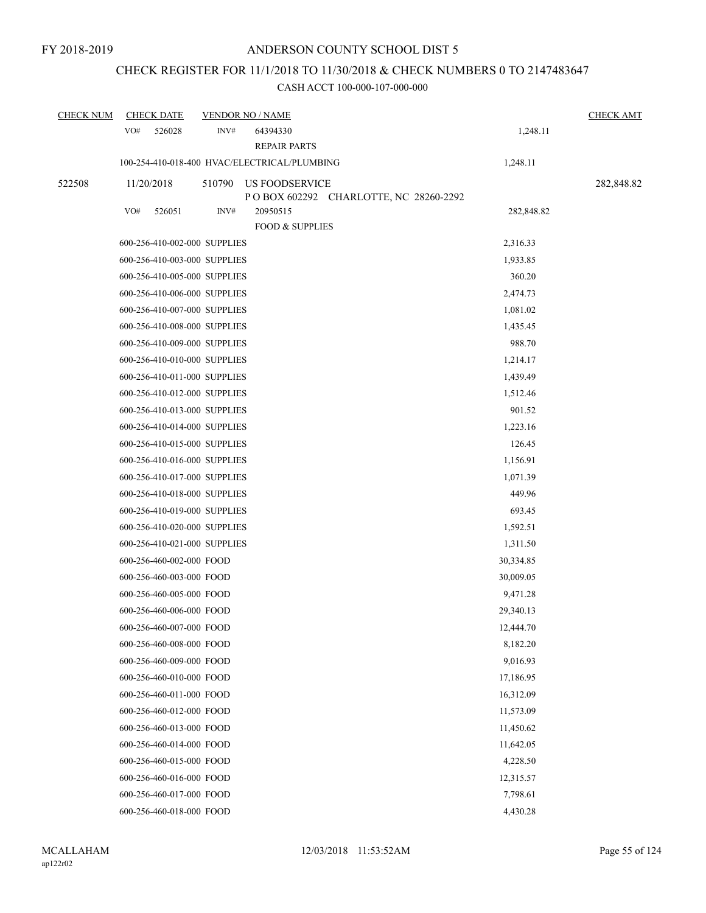# CHECK REGISTER FOR 11/1/2018 TO 11/30/2018 & CHECK NUMBERS 0 TO 2147483647

| <b>CHECK NUM</b> |            | <b>CHECK DATE</b>            |        | <b>VENDOR NO / NAME</b>                                   |            | <b>CHECK AMT</b> |
|------------------|------------|------------------------------|--------|-----------------------------------------------------------|------------|------------------|
|                  | VO#        | 526028                       | INV#   | 64394330<br><b>REPAIR PARTS</b>                           | 1,248.11   |                  |
|                  |            |                              |        | 100-254-410-018-400 HVAC/ELECTRICAL/PLUMBING              | 1,248.11   |                  |
| 522508           | 11/20/2018 |                              | 510790 | US FOODSERVICE<br>P O BOX 602292 CHARLOTTE, NC 28260-2292 |            | 282,848.82       |
|                  | VO#        | 526051                       | INV#   | 20950515<br><b>FOOD &amp; SUPPLIES</b>                    | 282,848.82 |                  |
|                  |            | 600-256-410-002-000 SUPPLIES |        |                                                           | 2,316.33   |                  |
|                  |            | 600-256-410-003-000 SUPPLIES |        |                                                           | 1,933.85   |                  |
|                  |            | 600-256-410-005-000 SUPPLIES |        |                                                           | 360.20     |                  |
|                  |            | 600-256-410-006-000 SUPPLIES |        |                                                           | 2,474.73   |                  |
|                  |            | 600-256-410-007-000 SUPPLIES |        |                                                           | 1,081.02   |                  |
|                  |            | 600-256-410-008-000 SUPPLIES |        |                                                           | 1,435.45   |                  |
|                  |            | 600-256-410-009-000 SUPPLIES |        |                                                           | 988.70     |                  |
|                  |            | 600-256-410-010-000 SUPPLIES |        |                                                           | 1,214.17   |                  |
|                  |            | 600-256-410-011-000 SUPPLIES |        |                                                           | 1,439.49   |                  |
|                  |            | 600-256-410-012-000 SUPPLIES |        |                                                           | 1,512.46   |                  |
|                  |            | 600-256-410-013-000 SUPPLIES |        |                                                           | 901.52     |                  |
|                  |            | 600-256-410-014-000 SUPPLIES |        |                                                           | 1,223.16   |                  |
|                  |            | 600-256-410-015-000 SUPPLIES |        |                                                           | 126.45     |                  |
|                  |            | 600-256-410-016-000 SUPPLIES |        |                                                           | 1,156.91   |                  |
|                  |            | 600-256-410-017-000 SUPPLIES |        |                                                           | 1,071.39   |                  |
|                  |            | 600-256-410-018-000 SUPPLIES |        |                                                           | 449.96     |                  |
|                  |            | 600-256-410-019-000 SUPPLIES |        |                                                           | 693.45     |                  |
|                  |            | 600-256-410-020-000 SUPPLIES |        |                                                           | 1,592.51   |                  |
|                  |            | 600-256-410-021-000 SUPPLIES |        |                                                           | 1,311.50   |                  |
|                  |            | 600-256-460-002-000 FOOD     |        |                                                           | 30,334.85  |                  |
|                  |            | 600-256-460-003-000 FOOD     |        |                                                           | 30,009.05  |                  |
|                  |            | 600-256-460-005-000 FOOD     |        |                                                           | 9,471.28   |                  |
|                  |            | 600-256-460-006-000 FOOD     |        |                                                           | 29,340.13  |                  |
|                  |            | 600-256-460-007-000 FOOD     |        |                                                           | 12,444.70  |                  |
|                  |            | 600-256-460-008-000 FOOD     |        |                                                           | 8,182.20   |                  |
|                  |            | 600-256-460-009-000 FOOD     |        |                                                           | 9,016.93   |                  |
|                  |            | 600-256-460-010-000 FOOD     |        |                                                           | 17,186.95  |                  |
|                  |            | 600-256-460-011-000 FOOD     |        |                                                           | 16,312.09  |                  |
|                  |            | 600-256-460-012-000 FOOD     |        |                                                           | 11,573.09  |                  |
|                  |            | 600-256-460-013-000 FOOD     |        |                                                           | 11,450.62  |                  |
|                  |            | 600-256-460-014-000 FOOD     |        |                                                           | 11,642.05  |                  |
|                  |            | 600-256-460-015-000 FOOD     |        |                                                           | 4,228.50   |                  |
|                  |            | 600-256-460-016-000 FOOD     |        |                                                           | 12,315.57  |                  |
|                  |            | 600-256-460-017-000 FOOD     |        |                                                           | 7,798.61   |                  |
|                  |            | 600-256-460-018-000 FOOD     |        |                                                           | 4,430.28   |                  |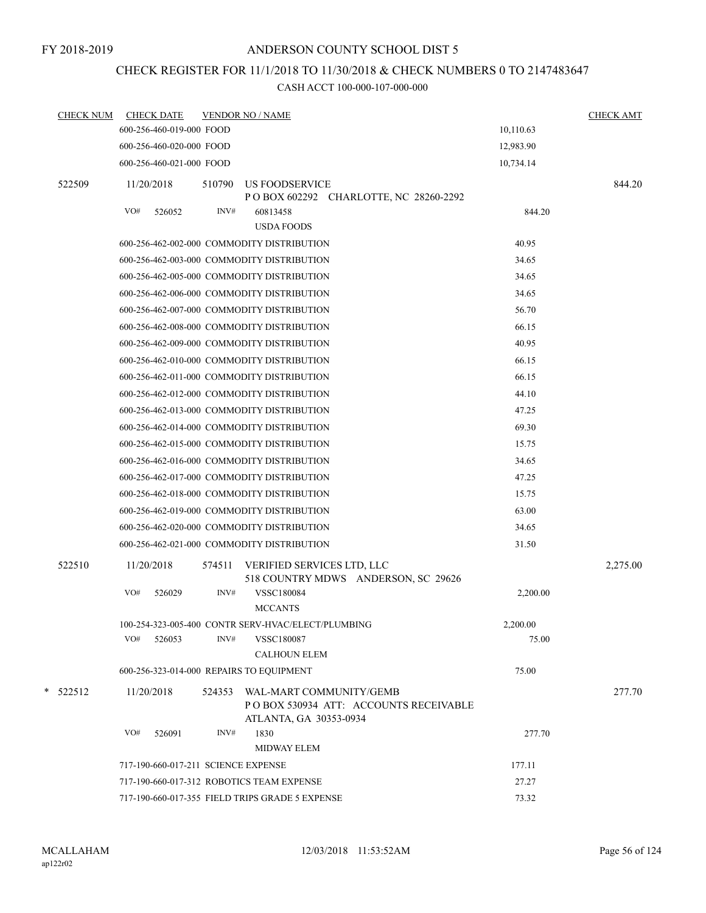# CHECK REGISTER FOR 11/1/2018 TO 11/30/2018 & CHECK NUMBERS 0 TO 2147483647

| <b>CHECK NUM</b> | <b>CHECK DATE</b>                        |        | <b>VENDOR NO / NAME</b>                            |                                         |           | <b>CHECK AMT</b> |
|------------------|------------------------------------------|--------|----------------------------------------------------|-----------------------------------------|-----------|------------------|
|                  | 600-256-460-019-000 FOOD                 |        |                                                    |                                         | 10,110.63 |                  |
|                  | 600-256-460-020-000 FOOD                 |        |                                                    |                                         | 12,983.90 |                  |
|                  | 600-256-460-021-000 FOOD                 |        |                                                    |                                         | 10,734.14 |                  |
| 522509           | 11/20/2018                               | 510790 | US FOODSERVICE                                     | P O BOX 602292 CHARLOTTE, NC 28260-2292 |           | 844.20           |
|                  | VO#<br>526052                            | INV#   | 60813458<br><b>USDA FOODS</b>                      |                                         | 844.20    |                  |
|                  |                                          |        | 600-256-462-002-000 COMMODITY DISTRIBUTION         |                                         | 40.95     |                  |
|                  |                                          |        | 600-256-462-003-000 COMMODITY DISTRIBUTION         |                                         | 34.65     |                  |
|                  |                                          |        | 600-256-462-005-000 COMMODITY DISTRIBUTION         |                                         | 34.65     |                  |
|                  |                                          |        | 600-256-462-006-000 COMMODITY DISTRIBUTION         |                                         | 34.65     |                  |
|                  |                                          |        | 600-256-462-007-000 COMMODITY DISTRIBUTION         |                                         | 56.70     |                  |
|                  |                                          |        | 600-256-462-008-000 COMMODITY DISTRIBUTION         |                                         | 66.15     |                  |
|                  |                                          |        | 600-256-462-009-000 COMMODITY DISTRIBUTION         |                                         | 40.95     |                  |
|                  |                                          |        | 600-256-462-010-000 COMMODITY DISTRIBUTION         |                                         | 66.15     |                  |
|                  |                                          |        | 600-256-462-011-000 COMMODITY DISTRIBUTION         |                                         | 66.15     |                  |
|                  |                                          |        | 600-256-462-012-000 COMMODITY DISTRIBUTION         |                                         | 44.10     |                  |
|                  |                                          |        | 600-256-462-013-000 COMMODITY DISTRIBUTION         |                                         | 47.25     |                  |
|                  |                                          |        | 600-256-462-014-000 COMMODITY DISTRIBUTION         |                                         | 69.30     |                  |
|                  |                                          |        | 600-256-462-015-000 COMMODITY DISTRIBUTION         |                                         | 15.75     |                  |
|                  |                                          |        | 600-256-462-016-000 COMMODITY DISTRIBUTION         |                                         | 34.65     |                  |
|                  |                                          |        | 600-256-462-017-000 COMMODITY DISTRIBUTION         |                                         | 47.25     |                  |
|                  |                                          |        | 600-256-462-018-000 COMMODITY DISTRIBUTION         |                                         | 15.75     |                  |
|                  |                                          |        | 600-256-462-019-000 COMMODITY DISTRIBUTION         |                                         | 63.00     |                  |
|                  |                                          |        | 600-256-462-020-000 COMMODITY DISTRIBUTION         |                                         | 34.65     |                  |
|                  |                                          |        | 600-256-462-021-000 COMMODITY DISTRIBUTION         |                                         | 31.50     |                  |
| 522510           | 11/20/2018                               | 574511 | VERIFIED SERVICES LTD, LLC                         | 518 COUNTRY MDWS ANDERSON, SC 29626     |           | 2,275.00         |
|                  | VO#<br>526029                            | INV#   | <b>VSSC180084</b><br><b>MCCANTS</b>                |                                         | 2,200.00  |                  |
|                  |                                          |        | 100-254-323-005-400 CONTR SERV-HVAC/ELECT/PLUMBING |                                         | 2,200.00  |                  |
|                  | VO#<br>526053                            | INV#   | <b>VSSC180087</b><br><b>CALHOUN ELEM</b>           |                                         | 75.00     |                  |
|                  | 600-256-323-014-000 REPAIRS TO EQUIPMENT |        |                                                    |                                         | 75.00     |                  |
| $*$ 522512       | 11/20/2018                               | 524353 | WAL-MART COMMUNITY/GEMB                            | PO BOX 530934 ATT: ACCOUNTS RECEIVABLE  |           | 277.70           |
|                  |                                          |        | ATLANTA, GA 30353-0934                             |                                         |           |                  |
|                  | VO#<br>526091                            | INV#   | 1830<br><b>MIDWAY ELEM</b>                         |                                         | 277.70    |                  |
|                  | 717-190-660-017-211 SCIENCE EXPENSE      |        |                                                    |                                         | 177.11    |                  |
|                  |                                          |        | 717-190-660-017-312 ROBOTICS TEAM EXPENSE          |                                         | 27.27     |                  |
|                  |                                          |        | 717-190-660-017-355 FIELD TRIPS GRADE 5 EXPENSE    |                                         | 73.32     |                  |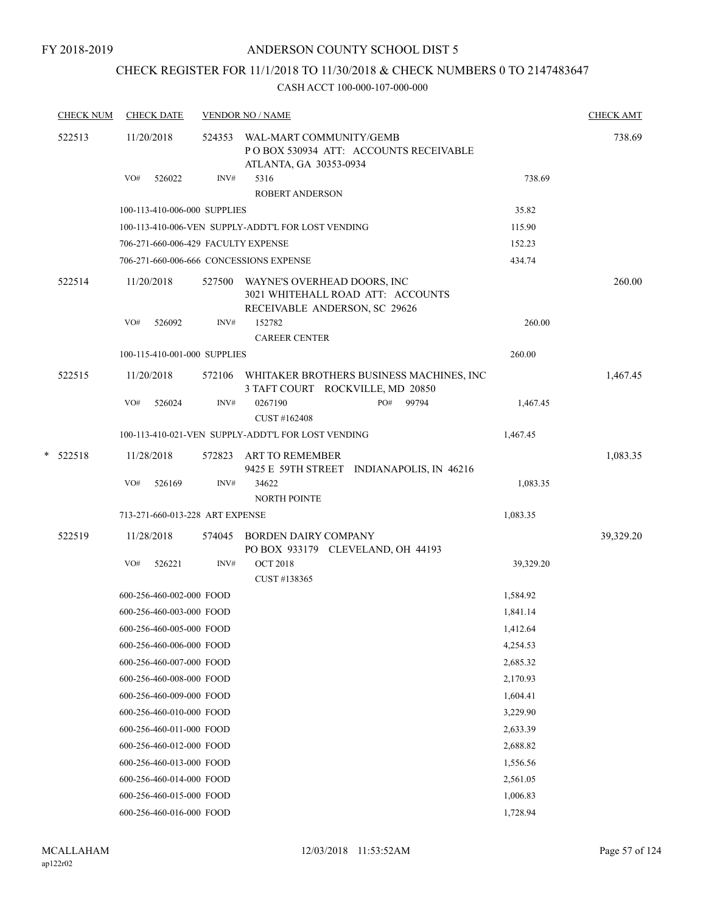# CHECK REGISTER FOR 11/1/2018 TO 11/30/2018 & CHECK NUMBERS 0 TO 2147483647

| <b>CHECK NUM</b> | <b>CHECK DATE</b>                   |        | <b>VENDOR NO / NAME</b>                                                                                  |                                                 |           | <b>CHECK AMT</b> |
|------------------|-------------------------------------|--------|----------------------------------------------------------------------------------------------------------|-------------------------------------------------|-----------|------------------|
| 522513           | 11/20/2018                          |        | 524353 WAL-MART COMMUNITY/GEMB<br>ATLANTA, GA 30353-0934                                                 | POBOX 530934 ATT: ACCOUNTS RECEIVABLE           |           | 738.69           |
|                  | VO#<br>526022                       | INV#   | 5316<br><b>ROBERT ANDERSON</b>                                                                           |                                                 | 738.69    |                  |
|                  | 100-113-410-006-000 SUPPLIES        |        |                                                                                                          |                                                 | 35.82     |                  |
|                  |                                     |        | 100-113-410-006-VEN SUPPLY-ADDT'L FOR LOST VENDING                                                       |                                                 | 115.90    |                  |
|                  | 706-271-660-006-429 FACULTY EXPENSE |        |                                                                                                          |                                                 | 152.23    |                  |
|                  |                                     |        | 706-271-660-006-666 CONCESSIONS EXPENSE                                                                  |                                                 | 434.74    |                  |
| 522514           | 11/20/2018                          |        | 527500 WAYNE'S OVERHEAD DOORS, INC<br>3021 WHITEHALL ROAD ATT: ACCOUNTS<br>RECEIVABLE ANDERSON, SC 29626 |                                                 |           | 260.00           |
|                  | VO#<br>526092                       | INV#   | 152782<br><b>CAREER CENTER</b>                                                                           |                                                 | 260.00    |                  |
|                  | 100-115-410-001-000 SUPPLIES        |        |                                                                                                          |                                                 | 260.00    |                  |
| 522515           | 11/20/2018                          |        | 3 TAFT COURT ROCKVILLE, MD 20850                                                                         | 572106 WHITAKER BROTHERS BUSINESS MACHINES, INC |           | 1,467.45         |
|                  | VO#<br>526024                       | INV#   | 0267190<br>CUST #162408                                                                                  | PO#<br>99794                                    | 1,467.45  |                  |
|                  |                                     |        | 100-113-410-021-VEN SUPPLY-ADDT'L FOR LOST VENDING                                                       |                                                 | 1,467.45  |                  |
| *<br>522518      | 11/28/2018                          |        | 572823 ART TO REMEMBER                                                                                   | 9425 E 59TH STREET INDIANAPOLIS, IN 46216       |           | 1,083.35         |
|                  | VO#<br>526169                       | INV#   | 34622<br><b>NORTH POINTE</b>                                                                             |                                                 | 1,083.35  |                  |
|                  | 713-271-660-013-228 ART EXPENSE     |        |                                                                                                          |                                                 | 1,083.35  |                  |
| 522519           | 11/28/2018                          | 574045 | <b>BORDEN DAIRY COMPANY</b><br>PO BOX 933179 CLEVELAND, OH 44193                                         |                                                 |           | 39,329.20        |
|                  | VO#<br>526221                       | INV#   | <b>OCT 2018</b><br>CUST #138365                                                                          |                                                 | 39,329.20 |                  |
|                  | 600-256-460-002-000 FOOD            |        |                                                                                                          |                                                 | 1,584.92  |                  |
|                  | 600-256-460-003-000 FOOD            |        |                                                                                                          |                                                 | 1,841.14  |                  |
|                  | 600-256-460-005-000 FOOD            |        |                                                                                                          |                                                 | 1,412.64  |                  |
|                  | 600-256-460-006-000 FOOD            |        |                                                                                                          |                                                 | 4,254.53  |                  |
|                  | 600-256-460-007-000 FOOD            |        |                                                                                                          |                                                 | 2,685.32  |                  |
|                  | 600-256-460-008-000 FOOD            |        |                                                                                                          |                                                 | 2,170.93  |                  |
|                  | 600-256-460-009-000 FOOD            |        |                                                                                                          |                                                 | 1,604.41  |                  |
|                  | 600-256-460-010-000 FOOD            |        |                                                                                                          |                                                 | 3,229.90  |                  |
|                  | 600-256-460-011-000 FOOD            |        |                                                                                                          |                                                 | 2,633.39  |                  |
|                  | 600-256-460-012-000 FOOD            |        |                                                                                                          |                                                 | 2,688.82  |                  |
|                  | 600-256-460-013-000 FOOD            |        |                                                                                                          |                                                 | 1,556.56  |                  |
|                  | 600-256-460-014-000 FOOD            |        |                                                                                                          |                                                 | 2,561.05  |                  |
|                  | 600-256-460-015-000 FOOD            |        |                                                                                                          |                                                 | 1,006.83  |                  |
|                  | 600-256-460-016-000 FOOD            |        |                                                                                                          |                                                 | 1,728.94  |                  |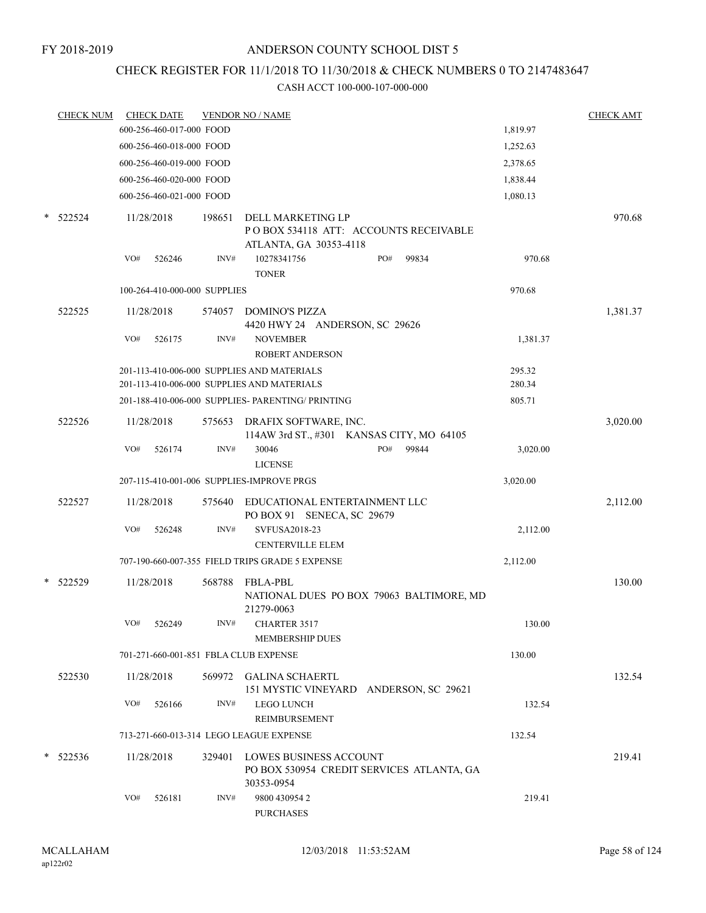# CHECK REGISTER FOR 11/1/2018 TO 11/30/2018 & CHECK NUMBERS 0 TO 2147483647

|   | <b>CHECK NUM</b> |            | <b>CHECK DATE</b>            |        | <b>VENDOR NO / NAME</b>                                                                  |     |       |                  | <b>CHECK AMT</b> |
|---|------------------|------------|------------------------------|--------|------------------------------------------------------------------------------------------|-----|-------|------------------|------------------|
|   |                  |            | 600-256-460-017-000 FOOD     |        |                                                                                          |     |       | 1,819.97         |                  |
|   |                  |            | 600-256-460-018-000 FOOD     |        |                                                                                          |     |       | 1,252.63         |                  |
|   |                  |            | 600-256-460-019-000 FOOD     |        |                                                                                          |     |       | 2,378.65         |                  |
|   |                  |            | 600-256-460-020-000 FOOD     |        |                                                                                          |     |       | 1,838.44         |                  |
|   |                  |            | 600-256-460-021-000 FOOD     |        |                                                                                          |     |       | 1,080.13         |                  |
|   | $*$ 522524       | 11/28/2018 |                              | 198651 | DELL MARKETING LP<br>POBOX 534118 ATT: ACCOUNTS RECEIVABLE                               |     |       |                  | 970.68           |
|   |                  | VO#        | 526246                       | INV#   | ATLANTA, GA 30353-4118<br>10278341756<br><b>TONER</b>                                    | PO# | 99834 | 970.68           |                  |
|   |                  |            | 100-264-410-000-000 SUPPLIES |        |                                                                                          |     |       | 970.68           |                  |
|   | 522525           |            | 11/28/2018                   | 574057 | DOMINO'S PIZZA<br>4420 HWY 24 ANDERSON, SC 29626                                         |     |       |                  | 1,381.37         |
|   |                  | VO#        | 526175                       | INV#   | <b>NOVEMBER</b><br><b>ROBERT ANDERSON</b>                                                |     |       | 1,381.37         |                  |
|   |                  |            |                              |        | 201-113-410-006-000 SUPPLIES AND MATERIALS<br>201-113-410-006-000 SUPPLIES AND MATERIALS |     |       | 295.32<br>280.34 |                  |
|   |                  |            |                              |        | 201-188-410-006-000 SUPPLIES- PARENTING/ PRINTING                                        |     |       | 805.71           |                  |
|   | 522526           | 11/28/2018 |                              | 575653 | DRAFIX SOFTWARE, INC.<br>114AW 3rd ST., #301 KANSAS CITY, MO 64105                       |     |       |                  | 3,020.00         |
|   |                  | VO#        | 526174                       | INV#   | 30046<br><b>LICENSE</b>                                                                  | PO# | 99844 | 3,020.00         |                  |
|   |                  |            |                              |        | 207-115-410-001-006 SUPPLIES-IMPROVE PRGS                                                |     |       | 3,020.00         |                  |
|   | 522527           | 11/28/2018 |                              | 575640 | EDUCATIONAL ENTERTAINMENT LLC<br>PO BOX 91 SENECA, SC 29679                              |     |       |                  | 2,112.00         |
|   |                  | VO#        | 526248                       | INV#   | SVFUSA2018-23<br><b>CENTERVILLE ELEM</b>                                                 |     |       | 2,112.00         |                  |
|   |                  |            |                              |        | 707-190-660-007-355 FIELD TRIPS GRADE 5 EXPENSE                                          |     |       | 2,112.00         |                  |
| * | 522529           | 11/28/2018 |                              |        | 568788 FBLA-PBL<br>NATIONAL DUES PO BOX 79063 BALTIMORE, MD<br>21279-0063                |     |       |                  | 130.00           |
|   |                  |            | VO# 526249                   |        | INV# CHARTER 3517<br>MEMBERSHIP DUES                                                     |     |       | 130.00           |                  |
|   |                  |            |                              |        | 701-271-660-001-851 FBLA CLUB EXPENSE                                                    |     |       | 130.00           |                  |
|   | 522530           | 11/28/2018 |                              |        | 569972 GALINA SCHAERTL<br>151 MYSTIC VINEYARD ANDERSON, SC 29621                         |     |       |                  | 132.54           |
|   |                  | VO#        | 526166                       | INV#   | <b>LEGO LUNCH</b><br>REIMBURSEMENT                                                       |     |       | 132.54           |                  |
|   |                  |            |                              |        | 713-271-660-013-314 LEGO LEAGUE EXPENSE                                                  |     |       | 132.54           |                  |
|   | $* 522536$       | 11/28/2018 |                              | 329401 | LOWES BUSINESS ACCOUNT<br>PO BOX 530954 CREDIT SERVICES ATLANTA, GA<br>30353-0954        |     |       |                  | 219.41           |
|   |                  | VO#        | 526181                       | INV#   | 9800 430954 2<br><b>PURCHASES</b>                                                        |     |       | 219.41           |                  |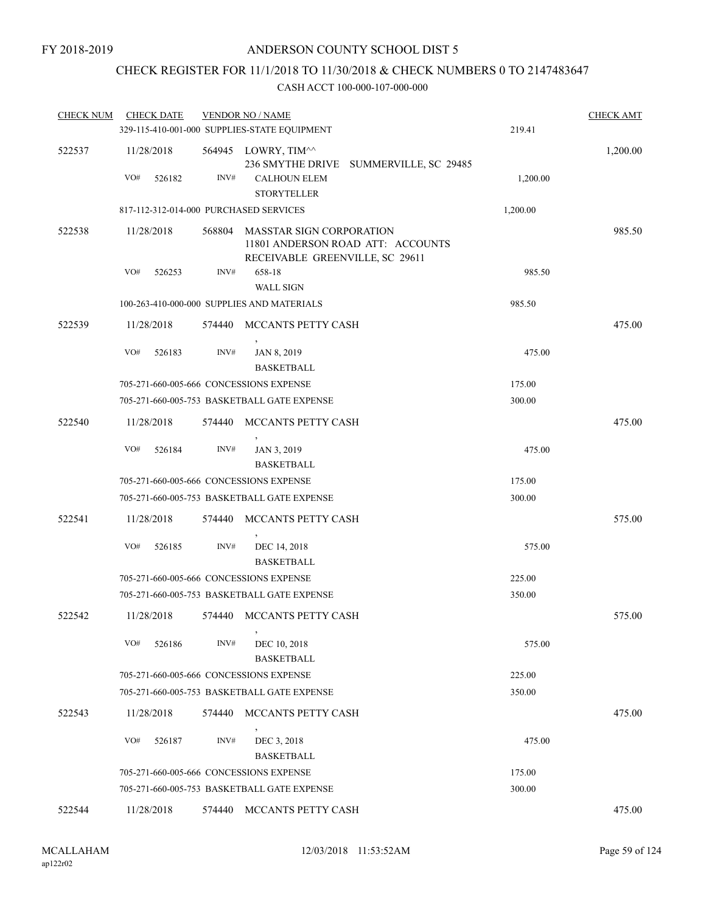# CHECK REGISTER FOR 11/1/2018 TO 11/30/2018 & CHECK NUMBERS 0 TO 2147483647

| <b>CHECK NUM</b> | <b>CHECK DATE</b>                      |        | <b>VENDOR NO / NAME</b><br>329-115-410-001-000 SUPPLIES-STATE EQUIPMENT |                                   | 219.41   | <b>CHECK AMT</b> |
|------------------|----------------------------------------|--------|-------------------------------------------------------------------------|-----------------------------------|----------|------------------|
| 522537           | 11/28/2018                             | 564945 | LOWRY, TIM^^<br>236 SMYTHE DRIVE                                        | SUMMERVILLE, SC 29485             |          | 1,200.00         |
|                  | VO#<br>526182                          | INV#   | <b>CALHOUN ELEM</b><br><b>STORYTELLER</b>                               |                                   | 1,200.00 |                  |
|                  | 817-112-312-014-000 PURCHASED SERVICES |        |                                                                         |                                   | 1,200.00 |                  |
| 522538           | 11/28/2018                             | 568804 | <b>MASSTAR SIGN CORPORATION</b><br>RECEIVABLE GREENVILLE, SC 29611      | 11801 ANDERSON ROAD ATT: ACCOUNTS |          | 985.50           |
|                  | VO#<br>526253                          | INV#   | 658-18                                                                  |                                   | 985.50   |                  |
|                  |                                        |        | <b>WALL SIGN</b>                                                        |                                   |          |                  |
|                  |                                        |        | 100-263-410-000-000 SUPPLIES AND MATERIALS                              |                                   | 985.50   |                  |
| 522539           | 11/28/2018                             | 574440 | MCCANTS PETTY CASH                                                      |                                   |          | 475.00           |
|                  | VO#<br>526183                          | INV#   | JAN 8, 2019<br><b>BASKETBALL</b>                                        |                                   | 475.00   |                  |
|                  |                                        |        | 705-271-660-005-666 CONCESSIONS EXPENSE                                 |                                   | 175.00   |                  |
|                  |                                        |        | 705-271-660-005-753 BASKETBALL GATE EXPENSE                             |                                   | 300.00   |                  |
| 522540           | 11/28/2018                             | 574440 | MCCANTS PETTY CASH                                                      |                                   |          | 475.00           |
|                  | VO#<br>526184                          | INV#   | JAN 3, 2019<br><b>BASKETBALL</b>                                        |                                   | 475.00   |                  |
|                  |                                        |        | 705-271-660-005-666 CONCESSIONS EXPENSE                                 |                                   | 175.00   |                  |
|                  |                                        |        | 705-271-660-005-753 BASKETBALL GATE EXPENSE                             |                                   | 300.00   |                  |
| 522541           | 11/28/2018                             | 574440 | MCCANTS PETTY CASH                                                      |                                   |          | 575.00           |
|                  | VO#<br>526185                          | INV#   | DEC 14, 2018<br><b>BASKETBALL</b>                                       |                                   | 575.00   |                  |
|                  |                                        |        | 705-271-660-005-666 CONCESSIONS EXPENSE                                 |                                   | 225.00   |                  |
|                  |                                        |        | 705-271-660-005-753 BASKETBALL GATE EXPENSE                             |                                   | 350.00   |                  |
| 522542           | 11/28/2018                             |        | 574440 MCCANTS PETTY CASH                                               |                                   |          | 575.00           |
|                  | VO#<br>526186                          | INV#   | $\,$<br>DEC 10, 2018<br><b>BASKETBALL</b>                               |                                   | 575.00   |                  |
|                  |                                        |        | 705-271-660-005-666 CONCESSIONS EXPENSE                                 |                                   | 225.00   |                  |
|                  |                                        |        | 705-271-660-005-753 BASKETBALL GATE EXPENSE                             |                                   | 350.00   |                  |
| 522543           | 11/28/2018                             | 574440 | MCCANTS PETTY CASH                                                      |                                   |          | 475.00           |
|                  | VO#<br>526187                          | INV#   | $\,$<br>DEC 3, 2018<br><b>BASKETBALL</b>                                |                                   | 475.00   |                  |
|                  |                                        |        | 705-271-660-005-666 CONCESSIONS EXPENSE                                 |                                   | 175.00   |                  |
|                  |                                        |        | 705-271-660-005-753 BASKETBALL GATE EXPENSE                             |                                   | 300.00   |                  |
| 522544           | 11/28/2018                             | 574440 | MCCANTS PETTY CASH                                                      |                                   |          | 475.00           |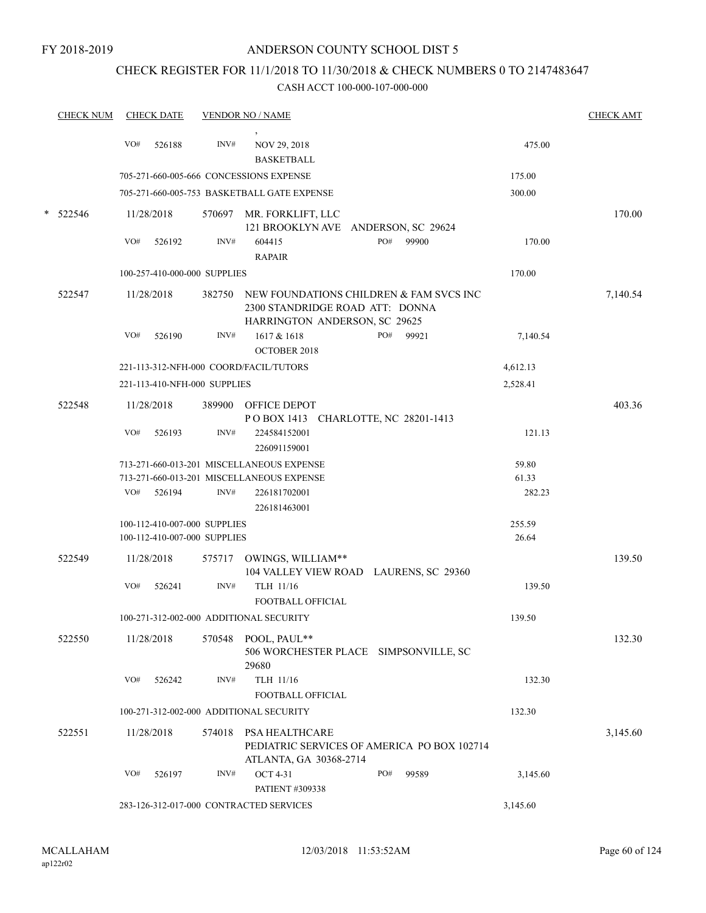# CHECK REGISTER FOR 11/1/2018 TO 11/30/2018 & CHECK NUMBERS 0 TO 2147483647

| <b>CHECK NUM</b> |     | <b>CHECK DATE</b>                                            |                | <b>VENDOR NO / NAME</b>                                                                                        |     |       |                 | <b>CHECK AMT</b> |
|------------------|-----|--------------------------------------------------------------|----------------|----------------------------------------------------------------------------------------------------------------|-----|-------|-----------------|------------------|
|                  | VO# | 526188                                                       | $\text{INV}\#$ | NOV 29, 2018<br><b>BASKETBALL</b>                                                                              |     |       | 475.00          |                  |
|                  |     |                                                              |                | 705-271-660-005-666 CONCESSIONS EXPENSE                                                                        |     |       | 175.00          |                  |
|                  |     |                                                              |                | 705-271-660-005-753 BASKETBALL GATE EXPENSE                                                                    |     |       | 300.00          |                  |
| 522546           |     | 11/28/2018                                                   |                | 570697 MR. FORKLIFT, LLC                                                                                       |     |       |                 | 170.00           |
|                  | VO# | 526192                                                       | INV#           | 121 BROOKLYN AVE ANDERSON, SC 29624<br>604415<br><b>RAPAIR</b>                                                 | PO# | 99900 | 170.00          |                  |
|                  |     | 100-257-410-000-000 SUPPLIES                                 |                |                                                                                                                |     |       | 170.00          |                  |
|                  |     |                                                              |                |                                                                                                                |     |       |                 |                  |
| 522547           |     | 11/28/2018                                                   | 382750         | NEW FOUNDATIONS CHILDREN $\&$ FAM SVCS INC<br>2300 STANDRIDGE ROAD ATT: DONNA<br>HARRINGTON ANDERSON, SC 29625 |     |       |                 | 7,140.54         |
|                  | VO# | 526190                                                       | INV#           | 1617 & 1618<br><b>OCTOBER 2018</b>                                                                             | PO# | 99921 | 7,140.54        |                  |
|                  |     |                                                              |                | 221-113-312-NFH-000 COORD/FACIL/TUTORS                                                                         |     |       | 4,612.13        |                  |
|                  |     | 221-113-410-NFH-000 SUPPLIES                                 |                |                                                                                                                |     |       | 2,528.41        |                  |
| 522548           |     | 11/28/2018                                                   |                | 389900 OFFICE DEPOT<br>POBOX 1413 CHARLOTTE, NC 28201-1413                                                     |     |       |                 | 403.36           |
|                  | VO# | 526193                                                       | INV#           | 224584152001<br>226091159001                                                                                   |     |       | 121.13          |                  |
|                  |     |                                                              |                | 713-271-660-013-201 MISCELLANEOUS EXPENSE                                                                      |     |       | 59.80           |                  |
|                  |     |                                                              |                | 713-271-660-013-201 MISCELLANEOUS EXPENSE                                                                      |     |       | 61.33           |                  |
|                  | VO# | 526194                                                       | INV#           | 226181702001                                                                                                   |     |       | 282.23          |                  |
|                  |     |                                                              |                | 226181463001                                                                                                   |     |       |                 |                  |
|                  |     | 100-112-410-007-000 SUPPLIES<br>100-112-410-007-000 SUPPLIES |                |                                                                                                                |     |       | 255.59<br>26.64 |                  |
|                  |     |                                                              |                |                                                                                                                |     |       |                 |                  |
| 522549           |     | 11/28/2018                                                   |                | 575717 OWINGS, WILLIAM**<br>104 VALLEY VIEW ROAD LAURENS, SC 29360                                             |     |       |                 | 139.50           |
|                  | VO# | 526241                                                       | INV#           | TLH 11/16<br>FOOTBALL OFFICIAL                                                                                 |     |       | 139.50          |                  |
|                  |     |                                                              |                | 100-271-312-002-000 ADDITIONAL SECURITY                                                                        |     |       | 139.50          |                  |
| 522550           |     | 11/28/2018                                                   | 570548         | POOL, PAUL**<br>506 WORCHESTER PLACE SIMPSONVILLE, SC<br>29680                                                 |     |       |                 | 132.30           |
|                  | VO# | 526242                                                       | INV#           | TLH 11/16<br>FOOTBALL OFFICIAL                                                                                 |     |       | 132.30          |                  |
|                  |     |                                                              |                | 100-271-312-002-000 ADDITIONAL SECURITY                                                                        |     |       | 132.30          |                  |
| 522551           |     | 11/28/2018                                                   | 574018         | PSA HEALTHCARE<br>PEDIATRIC SERVICES OF AMERICA PO BOX 102714                                                  |     |       |                 | 3,145.60         |
|                  |     |                                                              |                | ATLANTA, GA 30368-2714                                                                                         |     |       |                 |                  |
|                  | VO# | 526197                                                       | INV#           | <b>OCT 4-31</b><br>PATIENT #309338                                                                             | PO# | 99589 | 3,145.60        |                  |
|                  |     |                                                              |                | 283-126-312-017-000 CONTRACTED SERVICES                                                                        |     |       | 3,145.60        |                  |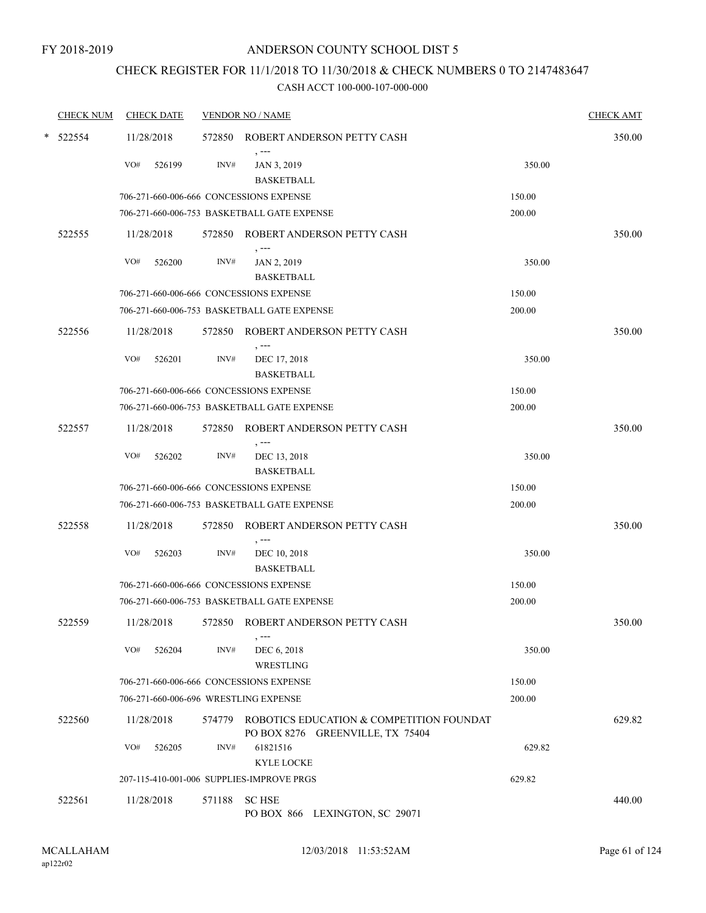# CHECK REGISTER FOR 11/1/2018 TO 11/30/2018 & CHECK NUMBERS 0 TO 2147483647

| <b>CHECK NUM</b> |     | <b>CHECK DATE</b> |        | <b>VENDOR NO / NAME</b>                                                             |        | <b>CHECK AMT</b> |
|------------------|-----|-------------------|--------|-------------------------------------------------------------------------------------|--------|------------------|
| $*$ 522554       |     | 11/28/2018        |        | 572850 ROBERT ANDERSON PETTY CASH                                                   |        | 350.00           |
|                  | VO# | 526199            | INV#   | , ---<br>JAN 3, 2019<br><b>BASKETBALL</b>                                           | 350.00 |                  |
|                  |     |                   |        | 706-271-660-006-666 CONCESSIONS EXPENSE                                             | 150.00 |                  |
|                  |     |                   |        | 706-271-660-006-753 BASKETBALL GATE EXPENSE                                         | 200.00 |                  |
| 522555           |     | 11/28/2018        |        | 572850 ROBERT ANDERSON PETTY CASH<br>, ---                                          |        | 350.00           |
|                  | VO# | 526200            | INV#   | JAN 2, 2019<br><b>BASKETBALL</b>                                                    | 350.00 |                  |
|                  |     |                   |        | 706-271-660-006-666 CONCESSIONS EXPENSE                                             | 150.00 |                  |
|                  |     |                   |        | 706-271-660-006-753 BASKETBALL GATE EXPENSE                                         | 200.00 |                  |
| 522556           |     | 11/28/2018        |        | 572850 ROBERT ANDERSON PETTY CASH<br>, ---                                          |        | 350.00           |
|                  | VO# | 526201            | INV#   | DEC 17, 2018<br><b>BASKETBALL</b>                                                   | 350.00 |                  |
|                  |     |                   |        | 706-271-660-006-666 CONCESSIONS EXPENSE                                             | 150.00 |                  |
|                  |     |                   |        | 706-271-660-006-753 BASKETBALL GATE EXPENSE                                         | 200.00 |                  |
| 522557           |     | 11/28/2018        |        | 572850 ROBERT ANDERSON PETTY CASH<br>, ---                                          |        | 350.00           |
|                  | VO# | 526202            | INV#   | DEC 13, 2018<br><b>BASKETBALL</b>                                                   | 350.00 |                  |
|                  |     |                   |        | 706-271-660-006-666 CONCESSIONS EXPENSE                                             | 150.00 |                  |
|                  |     |                   |        | 706-271-660-006-753 BASKETBALL GATE EXPENSE                                         | 200.00 |                  |
| 522558           |     | 11/28/2018        |        | 572850 ROBERT ANDERSON PETTY CASH                                                   |        | 350.00           |
|                  | VO# | 526203            | INV#   | , ---<br>DEC 10, 2018<br><b>BASKETBALL</b>                                          | 350.00 |                  |
|                  |     |                   |        | 706-271-660-006-666 CONCESSIONS EXPENSE                                             | 150.00 |                  |
|                  |     |                   |        | 706-271-660-006-753 BASKETBALL GATE EXPENSE                                         | 200.00 |                  |
| 522559           |     | 11/28/2018        |        | 572850 ROBERT ANDERSON PETTY CASH<br>$, --$                                         |        | 350.00           |
|                  | VO# | 526204            | INV#   | DEC 6, 2018<br>WRESTLING                                                            | 350.00 |                  |
|                  |     |                   |        | 706-271-660-006-666 CONCESSIONS EXPENSE                                             | 150.00 |                  |
|                  |     |                   |        | 706-271-660-006-696 WRESTLING EXPENSE                                               | 200.00 |                  |
| 522560           |     | 11/28/2018        |        | 574779 ROBOTICS EDUCATION & COMPETITION FOUNDAT<br>PO BOX 8276 GREENVILLE, TX 75404 |        | 629.82           |
|                  | VO# | 526205            | INV#   | 61821516<br><b>KYLE LOCKE</b>                                                       | 629.82 |                  |
|                  |     |                   |        | 207-115-410-001-006 SUPPLIES-IMPROVE PRGS                                           | 629.82 |                  |
| 522561           |     | 11/28/2018        | 571188 | <b>SC HSE</b>                                                                       |        | 440.00           |
|                  |     |                   |        | PO BOX 866 LEXINGTON, SC 29071                                                      |        |                  |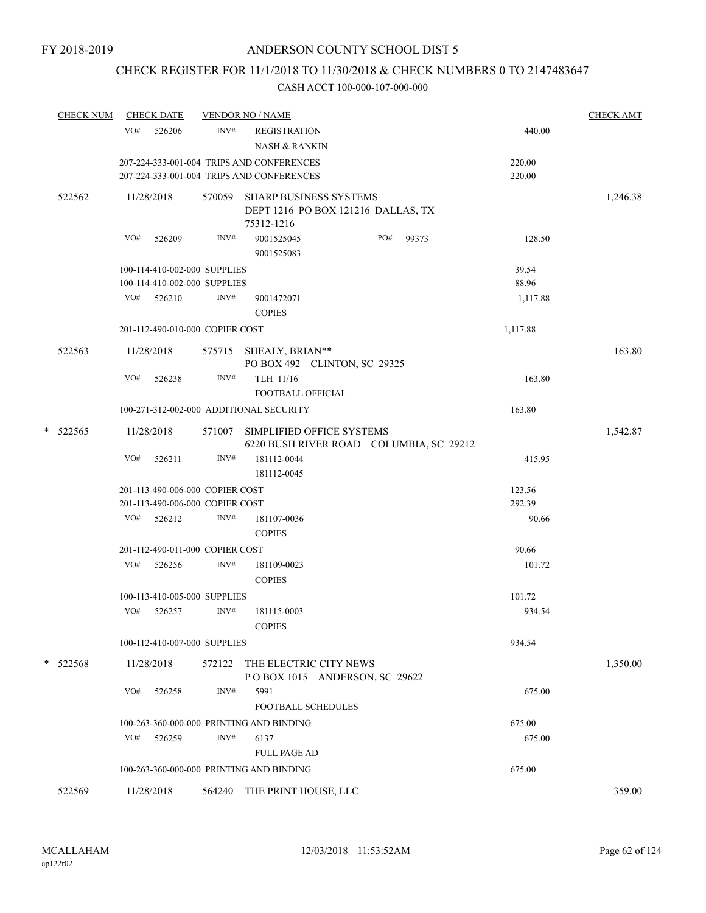# CHECK REGISTER FOR 11/1/2018 TO 11/30/2018 & CHECK NUMBERS 0 TO 2147483647

|   | <b>CHECK NUM</b> |     | <b>CHECK DATE</b>               |        | <b>VENDOR NO / NAME</b>                                                     |          | <b>CHECK AMT</b> |
|---|------------------|-----|---------------------------------|--------|-----------------------------------------------------------------------------|----------|------------------|
|   |                  | VO# | 526206                          | INV#   | <b>REGISTRATION</b><br><b>NASH &amp; RANKIN</b>                             | 440.00   |                  |
|   |                  |     |                                 |        | 207-224-333-001-004 TRIPS AND CONFERENCES                                   | 220.00   |                  |
|   |                  |     |                                 |        | 207-224-333-001-004 TRIPS AND CONFERENCES                                   | 220.00   |                  |
|   | 522562           |     | 11/28/2018                      | 570059 | SHARP BUSINESS SYSTEMS<br>DEPT 1216 PO BOX 121216 DALLAS, TX                |          | 1,246.38         |
|   |                  | VO# | 526209                          | INV#   | 75312-1216<br>PO#<br>99373<br>9001525045<br>9001525083                      | 128.50   |                  |
|   |                  |     | 100-114-410-002-000 SUPPLIES    |        |                                                                             | 39.54    |                  |
|   |                  |     | 100-114-410-002-000 SUPPLIES    |        |                                                                             | 88.96    |                  |
|   |                  | VO# | 526210                          | INV#   | 9001472071<br><b>COPIES</b>                                                 | 1,117.88 |                  |
|   |                  |     | 201-112-490-010-000 COPIER COST |        |                                                                             | 1,117.88 |                  |
|   | 522563           |     | 11/28/2018                      |        | 575715 SHEALY, BRIAN**<br>PO BOX 492 CLINTON, SC 29325                      |          | 163.80           |
|   |                  | VO# | 526238                          | INV#   | TLH 11/16<br><b>FOOTBALL OFFICIAL</b>                                       | 163.80   |                  |
|   |                  |     |                                 |        | 100-271-312-002-000 ADDITIONAL SECURITY                                     | 163.80   |                  |
| * | 522565           |     | 11/28/2018                      |        | 571007 SIMPLIFIED OFFICE SYSTEMS<br>6220 BUSH RIVER ROAD COLUMBIA, SC 29212 |          | 1,542.87         |
|   |                  | VO# | 526211                          | INV#   | 181112-0044<br>181112-0045                                                  | 415.95   |                  |
|   |                  |     | 201-113-490-006-000 COPIER COST |        |                                                                             | 123.56   |                  |
|   |                  |     | 201-113-490-006-000 COPIER COST |        |                                                                             | 292.39   |                  |
|   |                  |     | VO# 526212                      | INV#   | 181107-0036<br><b>COPIES</b>                                                | 90.66    |                  |
|   |                  |     | 201-112-490-011-000 COPIER COST |        |                                                                             | 90.66    |                  |
|   |                  | VO# | 526256                          | INV#   | 181109-0023<br><b>COPIES</b>                                                | 101.72   |                  |
|   |                  |     | 100-113-410-005-000 SUPPLIES    |        |                                                                             | 101.72   |                  |
|   |                  | VO# | 526257                          | INV#   | 181115-0003<br><b>COPIES</b>                                                | 934.54   |                  |
|   |                  |     | 100-112-410-007-000 SUPPLIES    |        |                                                                             | 934.54   |                  |
|   | $*$ 522568       |     | 11/28/2018                      | 572122 | THE ELECTRIC CITY NEWS<br>POBOX 1015 ANDERSON, SC 29622                     |          | 1,350.00         |
|   |                  | VO# | 526258                          | INV#   | 5991<br><b>FOOTBALL SCHEDULES</b>                                           | 675.00   |                  |
|   |                  |     |                                 |        | 100-263-360-000-000 PRINTING AND BINDING                                    | 675.00   |                  |
|   |                  | VO# | 526259                          | INV#   | 6137                                                                        | 675.00   |                  |
|   |                  |     |                                 |        | <b>FULL PAGE AD</b>                                                         |          |                  |
|   |                  |     |                                 |        | 100-263-360-000-000 PRINTING AND BINDING                                    | 675.00   |                  |
|   | 522569           |     | 11/28/2018                      |        | 564240 THE PRINT HOUSE, LLC                                                 |          | 359.00           |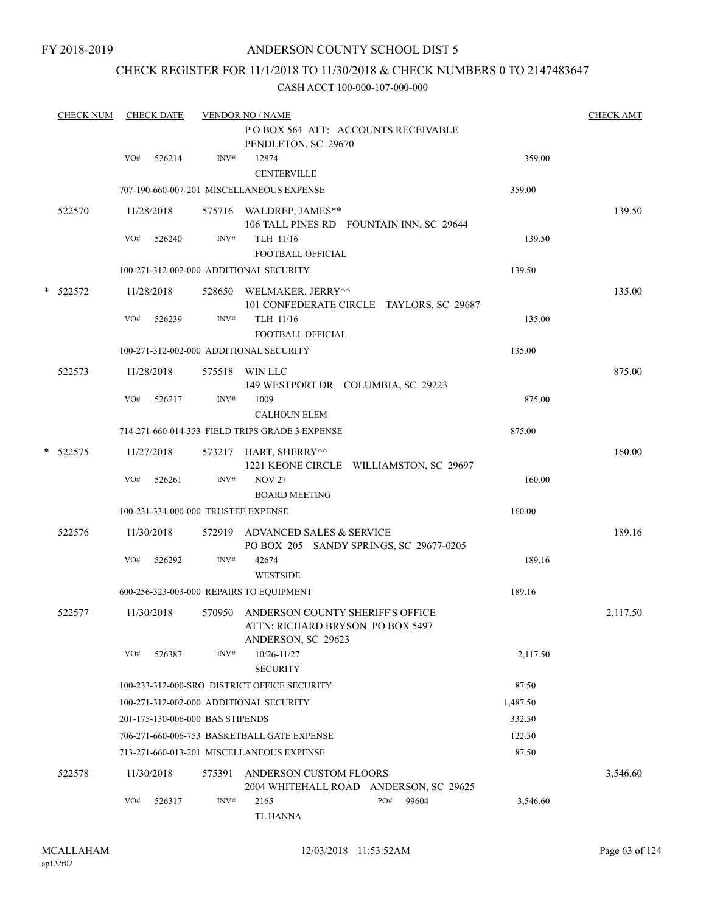FY 2018-2019

# ANDERSON COUNTY SCHOOL DIST 5

# CHECK REGISTER FOR 11/1/2018 TO 11/30/2018 & CHECK NUMBERS 0 TO 2147483647

|   | <b>CHECK NUM</b> |     | <b>CHECK DATE</b> |                                     | <b>VENDOR NO / NAME</b>                                                                           |                   | <b>CHECK AMT</b> |
|---|------------------|-----|-------------------|-------------------------------------|---------------------------------------------------------------------------------------------------|-------------------|------------------|
|   |                  |     |                   |                                     | POBOX 564 ATT: ACCOUNTS RECEIVABLE<br>PENDLETON, SC 29670                                         |                   |                  |
|   |                  | VO# | 526214            | $\text{INV}\#$                      | 12874<br><b>CENTERVILLE</b>                                                                       | 359.00            |                  |
|   |                  |     |                   |                                     | 707-190-660-007-201 MISCELLANEOUS EXPENSE                                                         | 359.00            |                  |
|   | 522570           |     | 11/28/2018        |                                     | 575716 WALDREP, JAMES**<br>106 TALL PINES RD FOUNTAIN INN, SC 29644                               |                   | 139.50           |
|   |                  | VO# | 526240            | INV#                                | TLH 11/16<br><b>FOOTBALL OFFICIAL</b>                                                             | 139.50            |                  |
|   |                  |     |                   |                                     | 100-271-312-002-000 ADDITIONAL SECURITY                                                           | 139.50            |                  |
| * | 522572           |     | 11/28/2018        |                                     | 528650 WELMAKER, JERRY^^<br>101 CONFEDERATE CIRCLE TAYLORS, SC 29687                              |                   | 135.00           |
|   |                  | VO# | 526239            | INV#                                | TLH 11/16<br>FOOTBALL OFFICIAL                                                                    | 135.00            |                  |
|   |                  |     |                   |                                     | 100-271-312-002-000 ADDITIONAL SECURITY                                                           | 135.00            |                  |
|   | 522573           |     | 11/28/2018        |                                     | 575518 WIN LLC<br>149 WESTPORT DR COLUMBIA, SC 29223                                              |                   | 875.00           |
|   |                  | VO# | 526217            | INV#                                | 1009<br><b>CALHOUN ELEM</b>                                                                       | 875.00            |                  |
|   |                  |     |                   |                                     | 714-271-660-014-353 FIELD TRIPS GRADE 3 EXPENSE                                                   | 875.00            |                  |
|   | * 522575         |     | 11/27/2018        |                                     | 573217 HART, SHERRY^^<br>1221 KEONE CIRCLE WILLIAMSTON, SC 29697                                  |                   | 160.00           |
|   |                  | VO# | 526261            | INV#                                | <b>NOV 27</b>                                                                                     | 160.00            |                  |
|   |                  |     |                   | 100-231-334-000-000 TRUSTEE EXPENSE | <b>BOARD MEETING</b>                                                                              | 160.00            |                  |
|   |                  |     |                   |                                     |                                                                                                   |                   |                  |
|   | 522576           | VO# | 11/30/2018        | 572919<br>INV#                      | ADVANCED SALES & SERVICE<br>PO BOX 205 SANDY SPRINGS, SC 29677-0205                               |                   | 189.16           |
|   |                  |     | 526292            |                                     | 42674<br><b>WESTSIDE</b>                                                                          | 189.16            |                  |
|   |                  |     |                   |                                     | 600-256-323-003-000 REPAIRS TO EQUIPMENT                                                          | 189.16            |                  |
|   | 522577           |     | 11/30/2018        |                                     | 570950 ANDERSON COUNTY SHERIFF'S OFFICE<br>ATTN: RICHARD BRYSON PO BOX 5497<br>ANDERSON, SC 29623 |                   | 2,117.50         |
|   |                  | VO# | 526387            | INV#                                | 10/26-11/27<br><b>SECURITY</b>                                                                    | 2,117.50          |                  |
|   |                  |     |                   |                                     | 100-233-312-000-SRO DISTRICT OFFICE SECURITY                                                      | 87.50             |                  |
|   |                  |     |                   |                                     | 100-271-312-002-000 ADDITIONAL SECURITY                                                           | 1,487.50          |                  |
|   |                  |     |                   | 201-175-130-006-000 BAS STIPENDS    |                                                                                                   | 332.50            |                  |
|   |                  |     |                   |                                     | 706-271-660-006-753 BASKETBALL GATE EXPENSE                                                       | 122.50            |                  |
|   |                  |     |                   |                                     | 713-271-660-013-201 MISCELLANEOUS EXPENSE                                                         | 87.50             |                  |
|   | 522578           |     | 11/30/2018        | 575391                              | ANDERSON CUSTOM FLOORS<br>2004 WHITEHALL ROAD ANDERSON, SC 29625                                  |                   | 3,546.60         |
|   |                  | VO# | 526317            | INV#                                | 2165<br>PO#<br>TL HANNA                                                                           | 99604<br>3,546.60 |                  |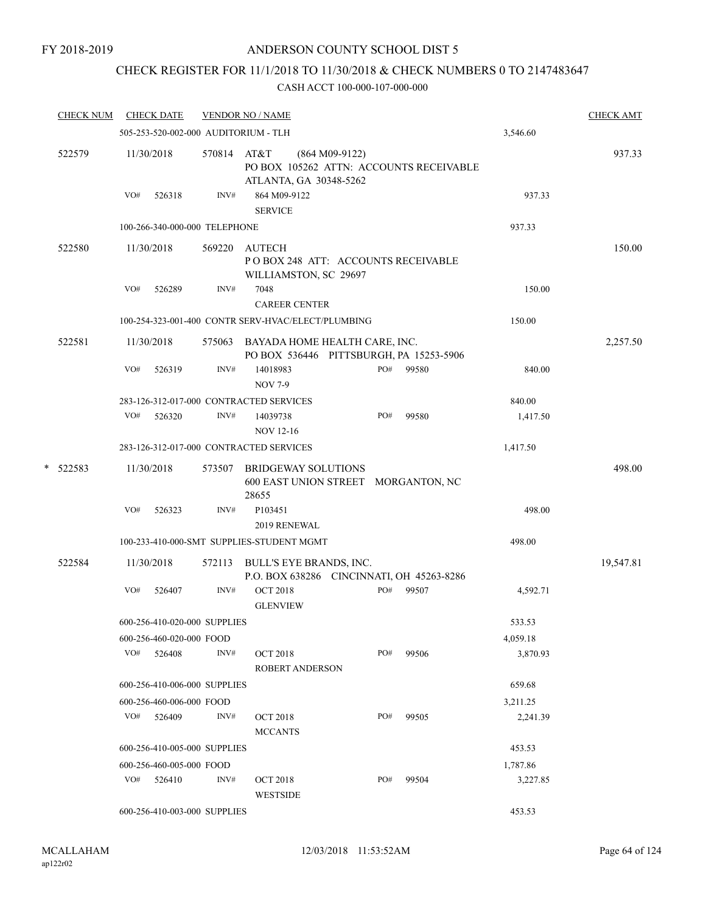# CHECK REGISTER FOR 11/1/2018 TO 11/30/2018 & CHECK NUMBERS 0 TO 2147483647

|   | <b>CHECK NUM</b> |     | <b>CHECK DATE</b>                    |             | <b>VENDOR NO / NAME</b>                                                               |     |       |          | <b>CHECK AMT</b> |
|---|------------------|-----|--------------------------------------|-------------|---------------------------------------------------------------------------------------|-----|-------|----------|------------------|
|   |                  |     | 505-253-520-002-000 AUDITORIUM - TLH |             |                                                                                       |     |       | 3,546.60 |                  |
|   | 522579           |     | 11/30/2018                           | 570814 AT&T | $(864 M09-9122)$<br>PO BOX 105262 ATTN: ACCOUNTS RECEIVABLE<br>ATLANTA, GA 30348-5262 |     |       |          | 937.33           |
|   |                  | VO# | 526318                               | INV#        | 864 M09-9122<br><b>SERVICE</b>                                                        |     |       | 937.33   |                  |
|   |                  |     | 100-266-340-000-000 TELEPHONE        |             |                                                                                       |     |       | 937.33   |                  |
|   | 522580           |     | 11/30/2018                           | 569220      | <b>AUTECH</b><br>POBOX 248 ATT: ACCOUNTS RECEIVABLE<br>WILLIAMSTON, SC 29697          |     |       |          | 150.00           |
|   |                  | VO# | 526289                               | INV#        | 7048<br><b>CAREER CENTER</b>                                                          |     |       | 150.00   |                  |
|   |                  |     |                                      |             | 100-254-323-001-400 CONTR SERV-HVAC/ELECT/PLUMBING                                    |     |       | 150.00   |                  |
|   | 522581           |     | 11/30/2018                           |             | 575063 BAYADA HOME HEALTH CARE, INC.<br>PO BOX 536446 PITTSBURGH, PA 15253-5906       |     |       |          | 2,257.50         |
|   |                  | VO# | 526319                               | INV#        | 14018983<br><b>NOV 7-9</b>                                                            | PO# | 99580 | 840.00   |                  |
|   |                  |     |                                      |             | 283-126-312-017-000 CONTRACTED SERVICES                                               |     |       | 840.00   |                  |
|   |                  | VO# | 526320                               | INV#        | 14039738<br><b>NOV 12-16</b>                                                          | PO# | 99580 | 1,417.50 |                  |
|   |                  |     |                                      |             | 283-126-312-017-000 CONTRACTED SERVICES                                               |     |       | 1,417.50 |                  |
| * | 522583           |     | 11/30/2018                           | 573507      | <b>BRIDGEWAY SOLUTIONS</b><br>600 EAST UNION STREET MORGANTON, NC<br>28655            |     |       |          | 498.00           |
|   |                  | VO# | 526323                               | INV#        | P103451<br>2019 RENEWAL                                                               |     |       | 498.00   |                  |
|   |                  |     |                                      |             | 100-233-410-000-SMT SUPPLIES-STUDENT MGMT                                             |     |       | 498.00   |                  |
|   | 522584           |     | 11/30/2018                           | 572113      | BULL'S EYE BRANDS, INC.<br>P.O. BOX 638286 CINCINNATI, OH 45263-8286                  |     |       |          | 19,547.81        |
|   |                  | VO# | 526407                               | INV#        | <b>OCT 2018</b><br><b>GLENVIEW</b>                                                    | PO# | 99507 | 4,592.71 |                  |
|   |                  |     | 600-256-410-020-000 SUPPLIES         |             |                                                                                       |     |       | 533.53   |                  |
|   |                  |     | 600-256-460-020-000 FOOD             |             |                                                                                       |     |       | 4,059.18 |                  |
|   |                  | VO# | 526408                               | INV#        | <b>OCT 2018</b><br><b>ROBERT ANDERSON</b>                                             | PO# | 99506 | 3,870.93 |                  |
|   |                  |     | 600-256-410-006-000 SUPPLIES         |             |                                                                                       |     |       | 659.68   |                  |
|   |                  |     | 600-256-460-006-000 FOOD             |             |                                                                                       |     |       | 3,211.25 |                  |
|   |                  |     | $VO#$ 526409                         | INV#        | <b>OCT 2018</b><br><b>MCCANTS</b>                                                     | PO# | 99505 | 2,241.39 |                  |
|   |                  |     | 600-256-410-005-000 SUPPLIES         |             |                                                                                       |     |       | 453.53   |                  |
|   |                  |     | 600-256-460-005-000 FOOD             |             |                                                                                       |     |       | 1,787.86 |                  |
|   |                  |     | $VO#$ 526410                         | INV#        | <b>OCT 2018</b><br><b>WESTSIDE</b>                                                    | PO# | 99504 | 3,227.85 |                  |
|   |                  |     | 600-256-410-003-000 SUPPLIES         |             |                                                                                       |     |       | 453.53   |                  |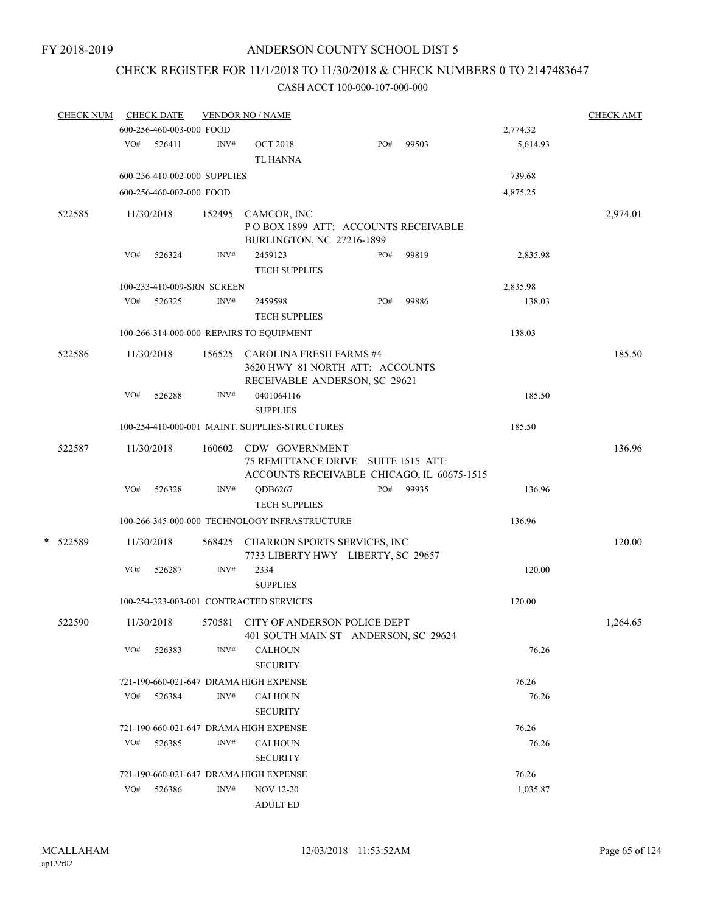# CHECK REGISTER FOR 11/1/2018 TO 11/30/2018 & CHECK NUMBERS 0 TO 2147483647

| <b>CHECK NUM</b> |     | <b>CHECK DATE</b>            |        | <b>VENDOR NO / NAME</b>                                                   |     |       |                | <b>CHECK AMT</b> |
|------------------|-----|------------------------------|--------|---------------------------------------------------------------------------|-----|-------|----------------|------------------|
|                  |     | 600-256-460-003-000 FOOD     |        |                                                                           |     |       | 2,774.32       |                  |
|                  | VO# | 526411                       | INV#   | <b>OCT 2018</b><br><b>TL HANNA</b>                                        | PO# | 99503 | 5,614.93       |                  |
|                  |     | 600-256-410-002-000 SUPPLIES |        |                                                                           |     |       | 739.68         |                  |
|                  |     | 600-256-460-002-000 FOOD     |        |                                                                           |     |       | 4,875.25       |                  |
| 522585           |     | 11/30/2018                   | 152495 | CAMCOR, INC                                                               |     |       |                | 2,974.01         |
|                  |     |                              |        | POBOX 1899 ATT: ACCOUNTS RECEIVABLE<br><b>BURLINGTON, NC 27216-1899</b>   |     |       |                |                  |
|                  | VO# | 526324                       | INV#   | 2459123                                                                   | PO# | 99819 | 2,835.98       |                  |
|                  |     |                              |        | TECH SUPPLIES                                                             |     |       |                |                  |
|                  |     | 100-233-410-009-SRN SCREEN   |        |                                                                           |     |       | 2,835.98       |                  |
|                  | VO# | 526325                       | INV#   | 2459598                                                                   | PO# | 99886 | 138.03         |                  |
|                  |     |                              |        | <b>TECH SUPPLIES</b>                                                      |     |       |                |                  |
|                  |     |                              |        | 100-266-314-000-000 REPAIRS TO EQUIPMENT                                  |     |       | 138.03         |                  |
| 522586           |     | 11/30/2018                   |        | 156525 CAROLINA FRESH FARMS #4                                            |     |       |                | 185.50           |
|                  |     |                              |        | 3620 HWY 81 NORTH ATT: ACCOUNTS<br>RECEIVABLE ANDERSON, SC 29621          |     |       |                |                  |
|                  | VO# | 526288                       | INV#   | 0401064116                                                                |     |       | 185.50         |                  |
|                  |     |                              |        | <b>SUPPLIES</b>                                                           |     |       |                |                  |
|                  |     |                              |        | 100-254-410-000-001 MAINT. SUPPLIES-STRUCTURES                            |     |       | 185.50         |                  |
| 522587           |     | 11/30/2018                   | 160602 | CDW GOVERNMENT                                                            |     |       |                | 136.96           |
|                  |     |                              |        | 75 REMITTANCE DRIVE SUITE 1515 ATT:                                       |     |       |                |                  |
|                  | VO# |                              | INV#   | ACCOUNTS RECEIVABLE CHICAGO, IL 60675-1515                                | PO# | 99935 |                |                  |
|                  |     | 526328                       |        | QDB6267<br><b>TECH SUPPLIES</b>                                           |     |       | 136.96         |                  |
|                  |     |                              |        | 100-266-345-000-000 TECHNOLOGY INFRASTRUCTURE                             |     |       | 136.96         |                  |
|                  |     |                              |        |                                                                           |     |       |                |                  |
| * 522589         |     | 11/30/2018                   |        | 568425 CHARRON SPORTS SERVICES, INC<br>7733 LIBERTY HWY LIBERTY, SC 29657 |     |       |                | 120.00           |
|                  | VO# | 526287                       | INV#   | 2334                                                                      |     |       | 120.00         |                  |
|                  |     |                              |        | <b>SUPPLIES</b>                                                           |     |       |                |                  |
|                  |     |                              |        | 100-254-323-003-001 CONTRACTED SERVICES                                   |     |       | 120.00         |                  |
| 522590           |     | 11/30/2018                   |        | 570581 CITY OF ANDERSON POLICE DEPT                                       |     |       |                | 1,264.65         |
|                  |     |                              |        | 401 SOUTH MAIN ST ANDERSON, SC 29624                                      |     |       |                |                  |
|                  | VO# | 526383                       | INV#   | <b>CALHOUN</b>                                                            |     |       | 76.26          |                  |
|                  |     |                              |        | <b>SECURITY</b>                                                           |     |       |                |                  |
|                  |     |                              |        | 721-190-660-021-647 DRAMA HIGH EXPENSE                                    |     |       | 76.26          |                  |
|                  | VO# | 526384                       | INV#   | <b>CALHOUN</b><br><b>SECURITY</b>                                         |     |       | 76.26          |                  |
|                  |     |                              |        |                                                                           |     |       |                |                  |
|                  | VO# | 526385                       | INV#   | 721-190-660-021-647 DRAMA HIGH EXPENSE<br><b>CALHOUN</b>                  |     |       | 76.26<br>76.26 |                  |
|                  |     |                              |        | <b>SECURITY</b>                                                           |     |       |                |                  |
|                  |     |                              |        | 721-190-660-021-647 DRAMA HIGH EXPENSE                                    |     |       | 76.26          |                  |
|                  | VO# | 526386                       | INV#   | <b>NOV 12-20</b>                                                          |     |       | 1,035.87       |                  |
|                  |     |                              |        | <b>ADULT ED</b>                                                           |     |       |                |                  |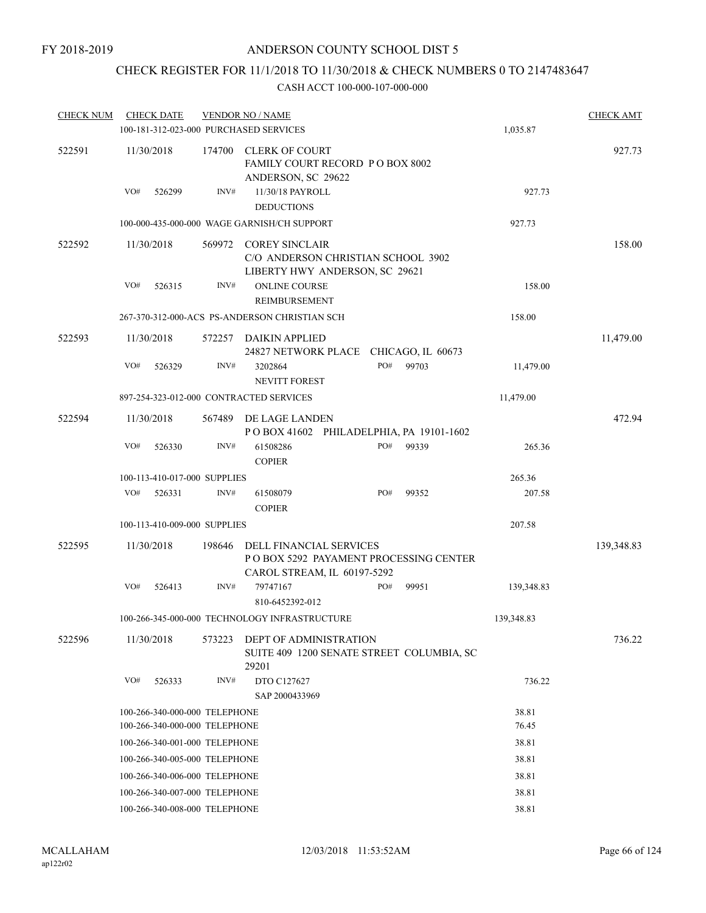# CHECK REGISTER FOR 11/1/2018 TO 11/30/2018 & CHECK NUMBERS 0 TO 2147483647

| <b>CHECK NUM</b> |     | <b>CHECK DATE</b>                                              |        | <b>VENDOR NO / NAME</b><br>100-181-312-023-000 PURCHASED SERVICES                                 |     |       | 1,035.87       | <b>CHECK AMT</b> |
|------------------|-----|----------------------------------------------------------------|--------|---------------------------------------------------------------------------------------------------|-----|-------|----------------|------------------|
| 522591           |     | 11/30/2018                                                     | 174700 | <b>CLERK OF COURT</b><br>FAMILY COURT RECORD PO BOX 8002<br>ANDERSON, SC 29622                    |     |       |                | 927.73           |
|                  | VO# | 526299                                                         | INV#   | 11/30/18 PAYROLL<br><b>DEDUCTIONS</b>                                                             |     |       | 927.73         |                  |
|                  |     |                                                                |        | 100-000-435-000-000 WAGE GARNISH/CH SUPPORT                                                       |     |       | 927.73         |                  |
| 522592           |     | 11/30/2018                                                     | 569972 | <b>COREY SINCLAIR</b><br>C/O ANDERSON CHRISTIAN SCHOOL 3902<br>LIBERTY HWY ANDERSON, SC 29621     |     |       |                | 158.00           |
|                  | VO# | 526315                                                         | INV#   | ONLINE COURSE<br><b>REIMBURSEMENT</b>                                                             |     |       | 158.00         |                  |
|                  |     |                                                                |        | 267-370-312-000-ACS PS-ANDERSON CHRISTIAN SCH                                                     |     |       | 158.00         |                  |
| 522593           |     | 11/30/2018                                                     | 572257 | DAIKIN APPLIED<br>24827 NETWORK PLACE CHICAGO, IL 60673                                           |     |       |                | 11,479.00        |
|                  | VO# | 526329                                                         | INV#   | 3202864<br><b>NEVITT FOREST</b>                                                                   | PO# | 99703 | 11,479.00      |                  |
|                  |     |                                                                |        | 897-254-323-012-000 CONTRACTED SERVICES                                                           |     |       | 11,479.00      |                  |
| 522594           |     | 11/30/2018                                                     | 567489 | DE LAGE LANDEN<br>POBOX 41602 PHILADELPHIA, PA 19101-1602                                         |     |       |                | 472.94           |
|                  | VO# | 526330                                                         | INV#   | 61508286<br><b>COPIER</b>                                                                         | PO# | 99339 | 265.36         |                  |
|                  |     | 100-113-410-017-000 SUPPLIES                                   |        |                                                                                                   |     |       | 265.36         |                  |
|                  | VO# | 526331                                                         | INV#   | 61508079<br><b>COPIER</b>                                                                         | PO# | 99352 | 207.58         |                  |
|                  |     | 100-113-410-009-000 SUPPLIES                                   |        |                                                                                                   |     |       | 207.58         |                  |
| 522595           |     | 11/30/2018                                                     | 198646 | DELL FINANCIAL SERVICES<br>P O BOX 5292 PAYAMENT PROCESSING CENTER<br>CAROL STREAM, IL 60197-5292 |     |       |                | 139,348.83       |
|                  | VO# | 526413                                                         | INV#   | 79747167<br>810-6452392-012                                                                       | PO# | 99951 | 139,348.83     |                  |
|                  |     |                                                                |        | 100-266-345-000-000 TECHNOLOGY INFRASTRUCTURE                                                     |     |       | 139,348.83     |                  |
| 522596           |     | 11/30/2018                                                     | 573223 | DEPT OF ADMINISTRATION<br>SUITE 409 1200 SENATE STREET COLUMBIA, SC<br>29201                      |     |       |                | 736.22           |
|                  | VO# | 526333                                                         | INV#   | DTO C127627<br>SAP 2000433969                                                                     |     |       | 736.22         |                  |
|                  |     | 100-266-340-000-000 TELEPHONE<br>100-266-340-000-000 TELEPHONE |        |                                                                                                   |     |       | 38.81<br>76.45 |                  |
|                  |     | 100-266-340-001-000 TELEPHONE                                  |        |                                                                                                   |     |       | 38.81          |                  |
|                  |     | 100-266-340-005-000 TELEPHONE                                  |        |                                                                                                   |     |       | 38.81          |                  |
|                  |     | 100-266-340-006-000 TELEPHONE                                  |        |                                                                                                   |     |       | 38.81          |                  |
|                  |     | 100-266-340-007-000 TELEPHONE                                  |        |                                                                                                   |     |       | 38.81          |                  |
|                  |     | 100-266-340-008-000 TELEPHONE                                  |        |                                                                                                   |     |       | 38.81          |                  |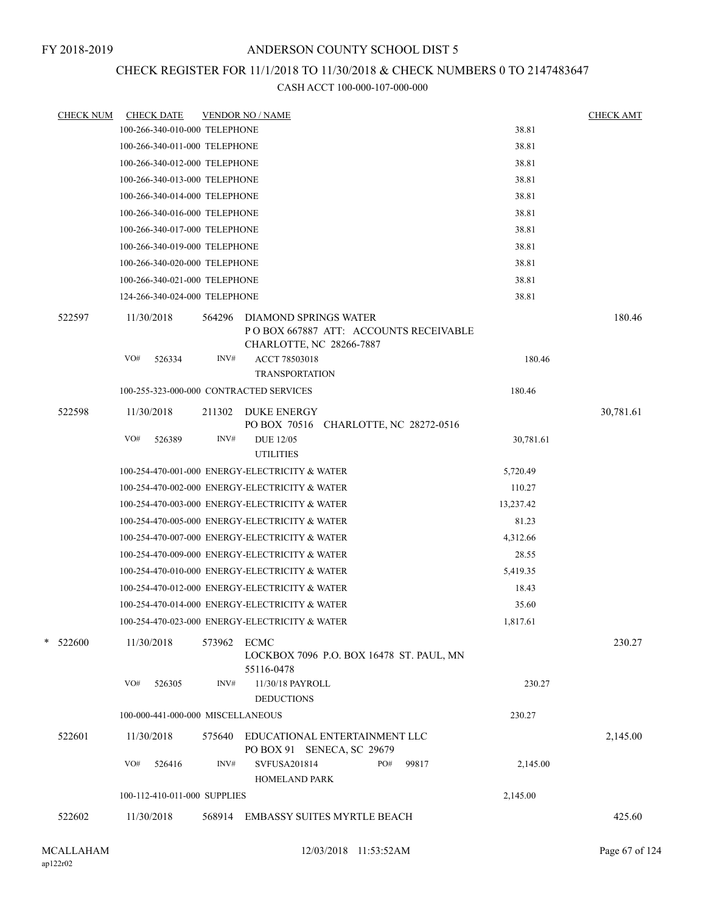# CHECK REGISTER FOR 11/1/2018 TO 11/30/2018 & CHECK NUMBERS 0 TO 2147483647

| <b>CHECK NUM</b> | <b>CHECK DATE</b> |                                   |                | <b>VENDOR NO / NAME</b>                                                                                     |           | <b>CHECK AMT</b> |
|------------------|-------------------|-----------------------------------|----------------|-------------------------------------------------------------------------------------------------------------|-----------|------------------|
|                  |                   | 100-266-340-010-000 TELEPHONE     |                |                                                                                                             | 38.81     |                  |
|                  |                   | 100-266-340-011-000 TELEPHONE     |                |                                                                                                             | 38.81     |                  |
|                  |                   | 100-266-340-012-000 TELEPHONE     |                |                                                                                                             | 38.81     |                  |
|                  |                   | 100-266-340-013-000 TELEPHONE     |                |                                                                                                             | 38.81     |                  |
|                  |                   | 100-266-340-014-000 TELEPHONE     |                |                                                                                                             | 38.81     |                  |
|                  |                   | 100-266-340-016-000 TELEPHONE     |                |                                                                                                             | 38.81     |                  |
|                  |                   | 100-266-340-017-000 TELEPHONE     |                |                                                                                                             | 38.81     |                  |
|                  |                   | 100-266-340-019-000 TELEPHONE     |                |                                                                                                             | 38.81     |                  |
|                  |                   | 100-266-340-020-000 TELEPHONE     |                |                                                                                                             | 38.81     |                  |
|                  |                   | 100-266-340-021-000 TELEPHONE     |                |                                                                                                             | 38.81     |                  |
|                  |                   | 124-266-340-024-000 TELEPHONE     |                |                                                                                                             | 38.81     |                  |
| 522597           | 11/30/2018<br>VO# | 526334                            | 564296<br>INV# | DIAMOND SPRINGS WATER<br>POBOX 667887 ATT: ACCOUNTS RECEIVABLE<br>CHARLOTTE, NC 28266-7887<br>ACCT 78503018 | 180.46    | 180.46           |
|                  |                   |                                   |                | <b>TRANSPORTATION</b>                                                                                       |           |                  |
|                  |                   |                                   |                | 100-255-323-000-000 CONTRACTED SERVICES                                                                     | 180.46    |                  |
| 522598           |                   |                                   |                | <b>DUKE ENERGY</b>                                                                                          |           |                  |
|                  | 11/30/2018        |                                   | 211302         | PO BOX 70516 CHARLOTTE, NC 28272-0516                                                                       |           | 30,781.61        |
|                  | VO#               | 526389                            | INV#           | <b>DUE 12/05</b><br><b>UTILITIES</b>                                                                        | 30,781.61 |                  |
|                  |                   |                                   |                | 100-254-470-001-000 ENERGY-ELECTRICITY & WATER                                                              | 5,720.49  |                  |
|                  |                   |                                   |                | 100-254-470-002-000 ENERGY-ELECTRICITY & WATER                                                              | 110.27    |                  |
|                  |                   |                                   |                | 100-254-470-003-000 ENERGY-ELECTRICITY & WATER                                                              | 13,237.42 |                  |
|                  |                   |                                   |                | 100-254-470-005-000 ENERGY-ELECTRICITY & WATER                                                              | 81.23     |                  |
|                  |                   |                                   |                | 100-254-470-007-000 ENERGY-ELECTRICITY & WATER                                                              | 4,312.66  |                  |
|                  |                   |                                   |                | 100-254-470-009-000 ENERGY-ELECTRICITY & WATER                                                              | 28.55     |                  |
|                  |                   |                                   |                | 100-254-470-010-000 ENERGY-ELECTRICITY & WATER                                                              | 5,419.35  |                  |
|                  |                   |                                   |                | 100-254-470-012-000 ENERGY-ELECTRICITY & WATER                                                              | 18.43     |                  |
|                  |                   |                                   |                | 100-254-470-014-000 ENERGY-ELECTRICITY & WATER                                                              | 35.60     |                  |
|                  |                   |                                   |                | 100-254-470-023-000 ENERGY-ELECTRICITY & WATER                                                              | 1,817.61  |                  |
| $*$ 522600       | 11/30/2018        |                                   | 573962 ECMC    | LOCKBOX 7096 P.O. BOX 16478 ST. PAUL, MN                                                                    |           | 230.27           |
|                  | VO#               | 526305                            | INV#           | 55116-0478<br>11/30/18 PAYROLL<br><b>DEDUCTIONS</b>                                                         | 230.27    |                  |
|                  |                   | 100-000-441-000-000 MISCELLANEOUS |                |                                                                                                             | 230.27    |                  |
|                  |                   |                                   |                |                                                                                                             |           |                  |
| 522601           | 11/30/2018        |                                   | 575640         | EDUCATIONAL ENTERTAINMENT LLC<br>PO BOX 91 SENECA, SC 29679                                                 |           | 2,145.00         |
|                  | VO#               | 526416                            | INV#           | SVFUSA201814<br>PO#<br>99817<br>HOMELAND PARK                                                               | 2,145.00  |                  |
|                  |                   | 100-112-410-011-000 SUPPLIES      |                |                                                                                                             | 2,145.00  |                  |
| 522602           | 11/30/2018        |                                   |                | 568914 EMBASSY SUITES MYRTLE BEACH                                                                          |           | 425.60           |
|                  |                   |                                   |                |                                                                                                             |           |                  |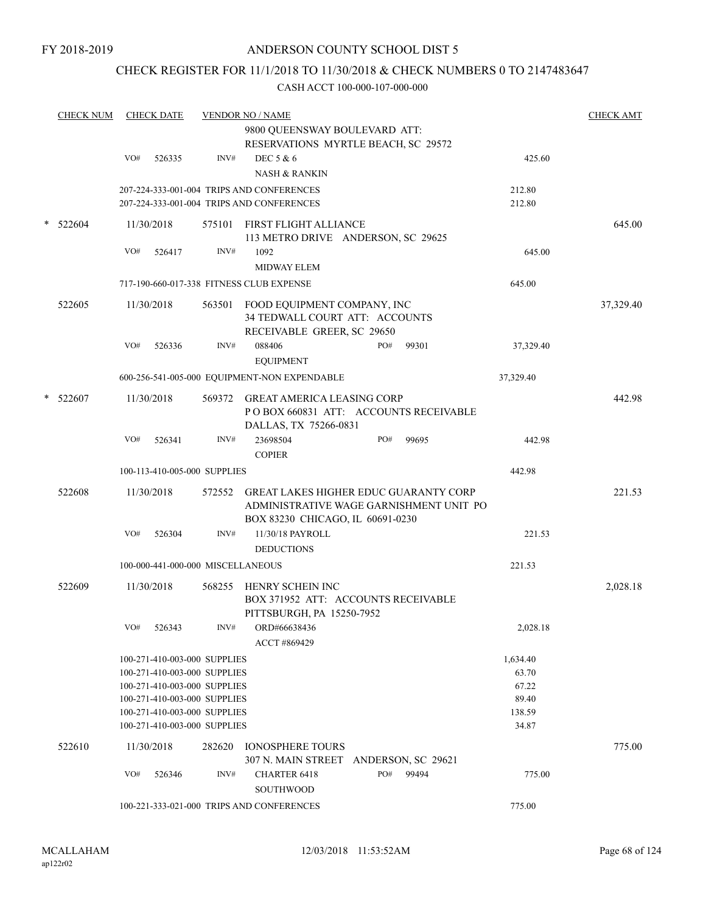# CHECK REGISTER FOR 11/1/2018 TO 11/30/2018 & CHECK NUMBERS 0 TO 2147483647

| <b>CHECK NUM</b> |     | <b>CHECK DATE</b>                                            |        | <b>VENDOR NO / NAME</b><br>9800 QUEENSWAY BOULEVARD ATT:<br>RESERVATIONS MYRTLE BEACH, SC 29572                             |     |           |                 | <b>CHECK AMT</b> |
|------------------|-----|--------------------------------------------------------------|--------|-----------------------------------------------------------------------------------------------------------------------------|-----|-----------|-----------------|------------------|
|                  | VO# | 526335                                                       | INV#   | DEC 5 & 6                                                                                                                   |     |           | 425.60          |                  |
|                  |     |                                                              |        | <b>NASH &amp; RANKIN</b>                                                                                                    |     |           |                 |                  |
|                  |     |                                                              |        | 207-224-333-001-004 TRIPS AND CONFERENCES                                                                                   |     |           | 212.80          |                  |
|                  |     |                                                              |        | 207-224-333-001-004 TRIPS AND CONFERENCES                                                                                   |     |           | 212.80          |                  |
| $*$ 522604       |     | 11/30/2018                                                   |        | 575101 FIRST FLIGHT ALLIANCE<br>113 METRO DRIVE ANDERSON, SC 29625                                                          |     |           |                 | 645.00           |
|                  | VO# | 526417                                                       | INV#   | 1092<br><b>MIDWAY ELEM</b>                                                                                                  |     |           | 645.00          |                  |
|                  |     |                                                              |        | 717-190-660-017-338 FITNESS CLUB EXPENSE                                                                                    |     |           | 645.00          |                  |
| 522605           |     | 11/30/2018                                                   |        | 563501 FOOD EQUIPMENT COMPANY, INC<br>34 TEDWALL COURT ATT: ACCOUNTS<br>RECEIVABLE GREER, SC 29650                          |     |           |                 | 37,329.40        |
|                  | VO# | 526336                                                       | INV#   | 088406<br><b>EQUIPMENT</b>                                                                                                  | PO# | 99301     | 37,329.40       |                  |
|                  |     |                                                              |        | 600-256-541-005-000 EQUIPMENT-NON EXPENDABLE                                                                                |     |           | 37,329.40       |                  |
| $*$ 522607       |     | 11/30/2018                                                   |        | 569372 GREAT AMERICA LEASING CORP<br>POBOX 660831 ATT: ACCOUNTS RECEIVABLE<br>DALLAS, TX 75266-0831                         |     |           |                 | 442.98           |
|                  | VO# | 526341                                                       | INV#   | 23698504<br><b>COPIER</b>                                                                                                   | PO# | 99695     | 442.98          |                  |
|                  |     | 100-113-410-005-000 SUPPLIES                                 |        |                                                                                                                             |     |           | 442.98          |                  |
| 522608           |     | 11/30/2018                                                   |        | 572552 GREAT LAKES HIGHER EDUC GUARANTY CORP<br>ADMINISTRATIVE WAGE GARNISHMENT UNIT PO<br>BOX 83230 CHICAGO, IL 60691-0230 |     |           |                 | 221.53           |
|                  | VO# | 526304                                                       | INV#   | 11/30/18 PAYROLL                                                                                                            |     |           | 221.53          |                  |
|                  |     |                                                              |        | <b>DEDUCTIONS</b>                                                                                                           |     |           |                 |                  |
|                  |     | 100-000-441-000-000 MISCELLANEOUS                            |        |                                                                                                                             |     |           | 221.53          |                  |
| 522609           |     | 11/30/2018                                                   |        | 568255 HENRY SCHEIN INC<br>BOX 371952 ATT: ACCOUNTS RECEIVABLE<br>PITTSBURGH, PA 15250-7952                                 |     |           |                 | 2,028.18         |
|                  |     | VO# 526343                                                   | INV#   | ORD#66638436<br>ACCT #869429                                                                                                |     |           | 2,028.18        |                  |
|                  |     | 100-271-410-003-000 SUPPLIES                                 |        |                                                                                                                             |     |           | 1,634.40        |                  |
|                  |     | 100-271-410-003-000 SUPPLIES                                 |        |                                                                                                                             |     |           | 63.70           |                  |
|                  |     | 100-271-410-003-000 SUPPLIES                                 |        |                                                                                                                             |     |           | 67.22           |                  |
|                  |     | 100-271-410-003-000 SUPPLIES                                 |        |                                                                                                                             |     |           | 89.40           |                  |
|                  |     | 100-271-410-003-000 SUPPLIES<br>100-271-410-003-000 SUPPLIES |        |                                                                                                                             |     |           | 138.59<br>34.87 |                  |
| 522610           |     | 11/30/2018                                                   | 282620 | <b>IONOSPHERE TOURS</b>                                                                                                     |     |           |                 | 775.00           |
|                  | VO# | 526346                                                       | INV#   | 307 N. MAIN STREET ANDERSON, SC 29621<br><b>CHARTER 6418</b>                                                                |     | PO# 99494 | 775.00          |                  |
|                  |     |                                                              |        | <b>SOUTHWOOD</b><br>100-221-333-021-000 TRIPS AND CONFERENCES                                                               |     |           | 775.00          |                  |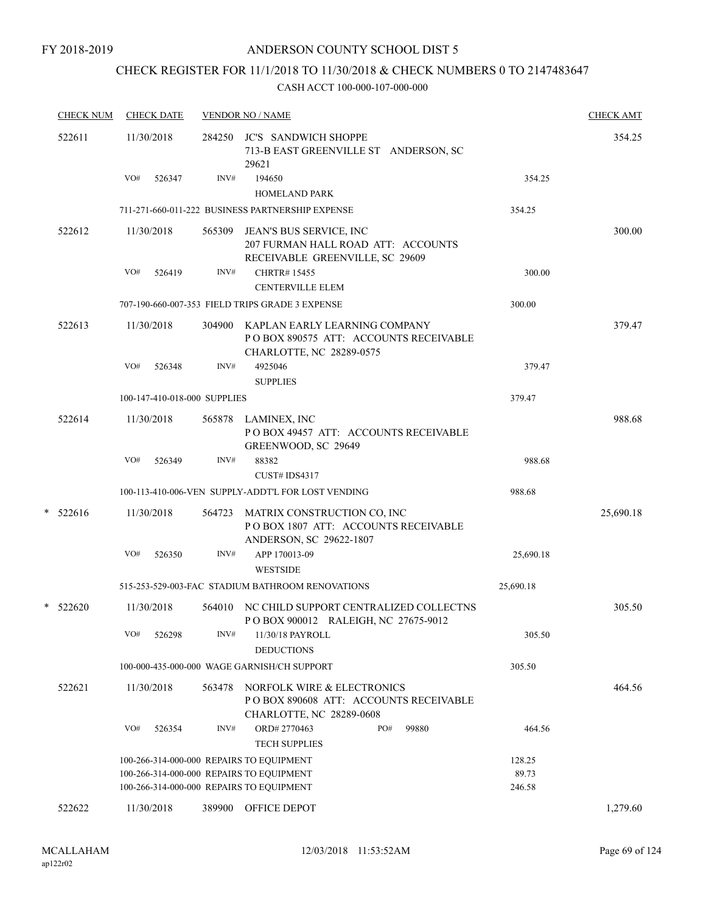# CHECK REGISTER FOR 11/1/2018 TO 11/30/2018 & CHECK NUMBERS 0 TO 2147483647

|   | <b>CHECK NUM</b> |     | <b>CHECK DATE</b>            |        | <b>VENDOR NO / NAME</b>                                                                                   |           | <b>CHECK AMT</b> |
|---|------------------|-----|------------------------------|--------|-----------------------------------------------------------------------------------------------------------|-----------|------------------|
|   | 522611           |     | 11/30/2018                   |        | 284250 JC'S SANDWICH SHOPPE<br>713-B EAST GREENVILLE ST ANDERSON, SC<br>29621                             |           | 354.25           |
|   |                  | VO# | 526347                       | INV#   | 194650                                                                                                    | 354.25    |                  |
|   |                  |     |                              |        | <b>HOMELAND PARK</b>                                                                                      |           |                  |
|   |                  |     |                              |        | 711-271-660-011-222 BUSINESS PARTNERSHIP EXPENSE                                                          | 354.25    |                  |
|   | 522612           |     | 11/30/2018                   | 565309 | JEAN'S BUS SERVICE, INC<br>207 FURMAN HALL ROAD ATT: ACCOUNTS<br>RECEIVABLE GREENVILLE, SC 29609          |           | 300.00           |
|   |                  | VO# | 526419                       | INV#   | <b>CHRTR#15455</b>                                                                                        | 300.00    |                  |
|   |                  |     |                              |        | <b>CENTERVILLE ELEM</b>                                                                                   |           |                  |
|   |                  |     |                              |        | 707-190-660-007-353 FIELD TRIPS GRADE 3 EXPENSE                                                           | 300.00    |                  |
|   | 522613           |     | 11/30/2018                   |        | 304900 KAPLAN EARLY LEARNING COMPANY<br>POBOX 890575 ATT: ACCOUNTS RECEIVABLE<br>CHARLOTTE, NC 28289-0575 |           | 379.47           |
|   |                  | VO# | 526348                       | INV#   | 4925046<br><b>SUPPLIES</b>                                                                                | 379.47    |                  |
|   |                  |     | 100-147-410-018-000 SUPPLIES |        |                                                                                                           | 379.47    |                  |
|   | 522614           |     | 11/30/2018                   | 565878 | LAMINEX, INC<br>POBOX 49457 ATT: ACCOUNTS RECEIVABLE<br>GREENWOOD, SC 29649                               |           | 988.68           |
|   |                  | VO# | 526349                       | INV#   | 88382                                                                                                     | 988.68    |                  |
|   |                  |     |                              |        | CUST# IDS4317                                                                                             |           |                  |
|   |                  |     |                              |        | 100-113-410-006-VEN SUPPLY-ADDT'L FOR LOST VENDING                                                        | 988.68    |                  |
| * | 522616           |     | 11/30/2018                   | 564723 | MATRIX CONSTRUCTION CO, INC<br>POBOX 1807 ATT: ACCOUNTS RECEIVABLE<br>ANDERSON, SC 29622-1807             |           | 25,690.18        |
|   |                  | VO# | 526350                       | INV#   | APP 170013-09<br><b>WESTSIDE</b>                                                                          | 25,690.18 |                  |
|   |                  |     |                              |        | 515-253-529-003-FAC STADIUM BATHROOM RENOVATIONS                                                          | 25,690.18 |                  |
|   | $*$ 522620       |     | 11/30/2018                   | 564010 | NC CHILD SUPPORT CENTRALIZED COLLECTNS<br>POBOX 900012 RALEIGH, NC 27675-9012                             |           | 305.50           |
|   |                  | VO# | 526298                       | INV#   | 11/30/18 PAYROLL<br><b>DEDUCTIONS</b>                                                                     | 305.50    |                  |
|   |                  |     |                              |        | 100-000-435-000-000 WAGE GARNISH/CH SUPPORT                                                               | 305.50    |                  |
|   | 522621           |     | 11/30/2018                   | 563478 | NORFOLK WIRE & ELECTRONICS<br>PO BOX 890608 ATT: ACCOUNTS RECEIVABLE<br>CHARLOTTE, NC 28289-0608          |           | 464.56           |
|   |                  | VO# | 526354                       | INV#   | ORD#2770463<br>PO#<br>99880<br><b>TECH SUPPLIES</b>                                                       | 464.56    |                  |
|   |                  |     |                              |        | 100-266-314-000-000 REPAIRS TO EQUIPMENT                                                                  | 128.25    |                  |
|   |                  |     |                              |        | 100-266-314-000-000 REPAIRS TO EQUIPMENT                                                                  | 89.73     |                  |
|   |                  |     |                              |        | 100-266-314-000-000 REPAIRS TO EQUIPMENT                                                                  | 246.58    |                  |
|   | 522622           |     | 11/30/2018                   | 389900 | OFFICE DEPOT                                                                                              |           | 1,279.60         |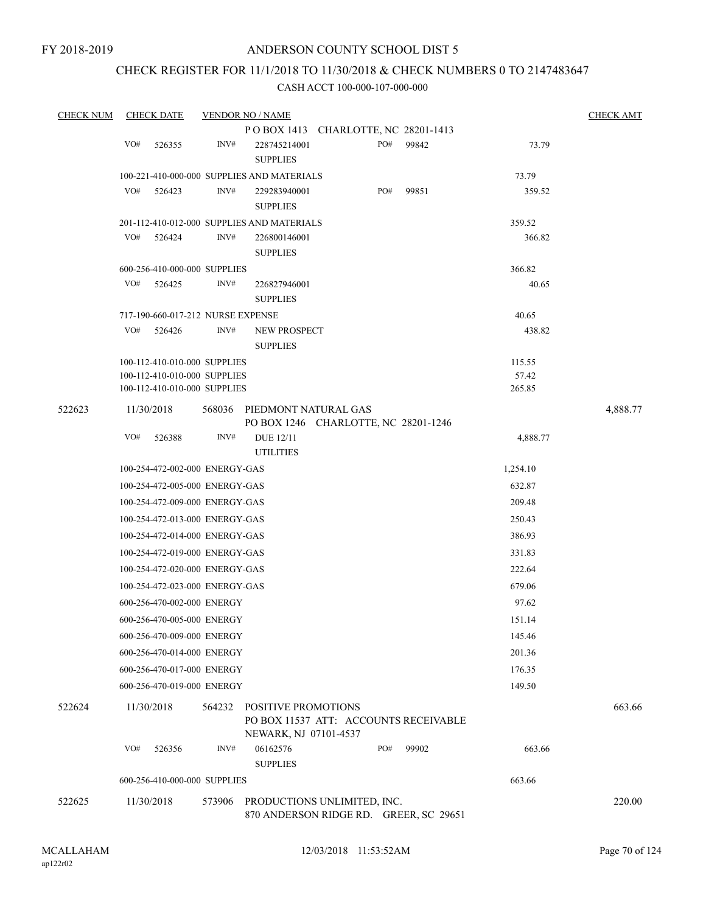# CHECK REGISTER FOR 11/1/2018 TO 11/30/2018 & CHECK NUMBERS 0 TO 2147483647

| <b>CHECK NUM</b> | <b>CHECK DATE</b> |                                   | <b>VENDOR NO / NAME</b>                                                               |     |       |          | <b>CHECK AMT</b> |
|------------------|-------------------|-----------------------------------|---------------------------------------------------------------------------------------|-----|-------|----------|------------------|
|                  |                   |                                   | POBOX 1413 CHARLOTTE, NC 28201-1413                                                   |     |       |          |                  |
|                  | VO#<br>526355     | INV#                              | 228745214001<br><b>SUPPLIES</b>                                                       | PO# | 99842 | 73.79    |                  |
|                  |                   |                                   | 100-221-410-000-000 SUPPLIES AND MATERIALS                                            |     |       | 73.79    |                  |
|                  | VO#<br>526423     | INV#                              | 229283940001<br><b>SUPPLIES</b>                                                       | PO# | 99851 | 359.52   |                  |
|                  |                   |                                   | 201-112-410-012-000 SUPPLIES AND MATERIALS                                            |     |       | 359.52   |                  |
|                  | VO#<br>526424     | INV#                              | 226800146001<br><b>SUPPLIES</b>                                                       |     |       | 366.82   |                  |
|                  |                   | 600-256-410-000-000 SUPPLIES      |                                                                                       |     |       | 366.82   |                  |
|                  | VO#<br>526425     | INV#                              | 226827946001<br><b>SUPPLIES</b>                                                       |     |       | 40.65    |                  |
|                  |                   | 717-190-660-017-212 NURSE EXPENSE |                                                                                       |     |       | 40.65    |                  |
|                  | VO#<br>526426     | INV#                              | NEW PROSPECT<br><b>SUPPLIES</b>                                                       |     |       | 438.82   |                  |
|                  |                   | 100-112-410-010-000 SUPPLIES      |                                                                                       |     |       | 115.55   |                  |
|                  |                   | 100-112-410-010-000 SUPPLIES      |                                                                                       |     |       | 57.42    |                  |
|                  |                   | 100-112-410-010-000 SUPPLIES      |                                                                                       |     |       | 265.85   |                  |
| 522623           | 11/30/2018        | 568036                            | PIEDMONT NATURAL GAS<br>PO BOX 1246 CHARLOTTE, NC 28201-1246                          |     |       |          | 4,888.77         |
|                  | VO#<br>526388     | INV#                              | <b>DUE 12/11</b><br><b>UTILITIES</b>                                                  |     |       | 4,888.77 |                  |
|                  |                   | 100-254-472-002-000 ENERGY-GAS    |                                                                                       |     |       | 1,254.10 |                  |
|                  |                   | 100-254-472-005-000 ENERGY-GAS    |                                                                                       |     |       | 632.87   |                  |
|                  |                   | 100-254-472-009-000 ENERGY-GAS    |                                                                                       |     |       | 209.48   |                  |
|                  |                   | 100-254-472-013-000 ENERGY-GAS    |                                                                                       |     |       | 250.43   |                  |
|                  |                   | 100-254-472-014-000 ENERGY-GAS    |                                                                                       |     |       | 386.93   |                  |
|                  |                   | 100-254-472-019-000 ENERGY-GAS    |                                                                                       |     |       | 331.83   |                  |
|                  |                   | 100-254-472-020-000 ENERGY-GAS    |                                                                                       |     |       | 222.64   |                  |
|                  |                   | 100-254-472-023-000 ENERGY-GAS    |                                                                                       |     |       | 679.06   |                  |
|                  |                   | 600-256-470-002-000 ENERGY        |                                                                                       |     |       | 97.62    |                  |
|                  |                   | 600-256-470-005-000 ENERGY        |                                                                                       |     |       | 151.14   |                  |
|                  |                   | 600-256-470-009-000 ENERGY        |                                                                                       |     |       | 145.46   |                  |
|                  |                   | 600-256-470-014-000 ENERGY        |                                                                                       |     |       | 201.36   |                  |
|                  |                   | 600-256-470-017-000 ENERGY        |                                                                                       |     |       | 176.35   |                  |
|                  |                   | 600-256-470-019-000 ENERGY        |                                                                                       |     |       | 149.50   |                  |
| 522624           | 11/30/2018        | 564232                            | POSITIVE PROMOTIONS<br>PO BOX 11537 ATT: ACCOUNTS RECEIVABLE<br>NEWARK, NJ 07101-4537 |     |       |          | 663.66           |
|                  | VO#<br>526356     | INV#                              | 06162576<br><b>SUPPLIES</b>                                                           | PO# | 99902 | 663.66   |                  |
|                  |                   | 600-256-410-000-000 SUPPLIES      |                                                                                       |     |       | 663.66   |                  |
| 522625           | 11/30/2018        | 573906                            | PRODUCTIONS UNLIMITED, INC.<br>870 ANDERSON RIDGE RD. GREER, SC 29651                 |     |       |          | 220.00           |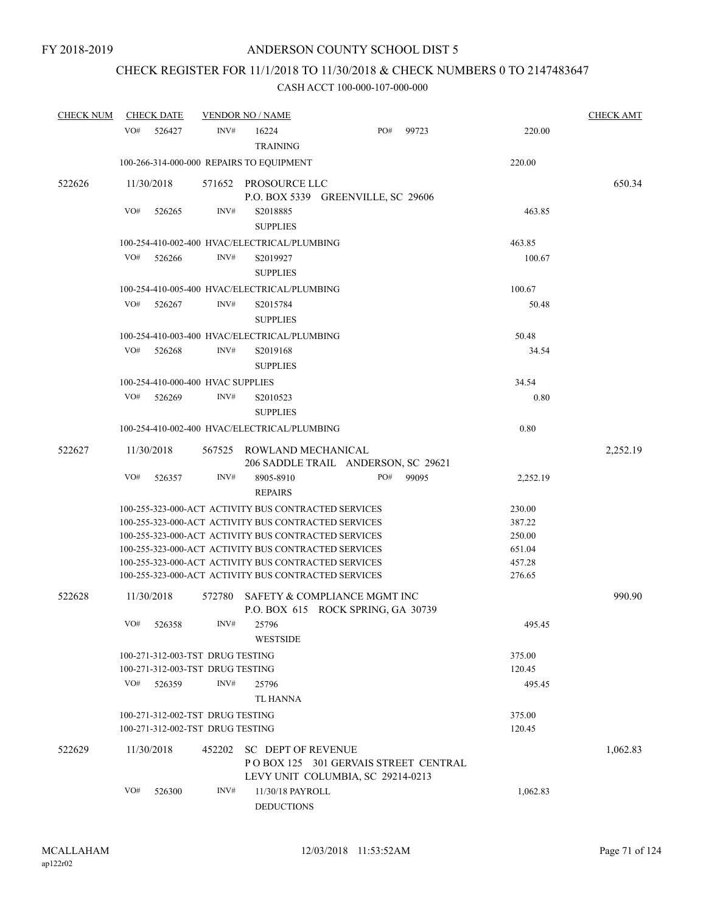# CHECK REGISTER FOR 11/1/2018 TO 11/30/2018 & CHECK NUMBERS 0 TO 2147483647

| <b>CHECK NUM</b> | <b>CHECK DATE</b>                                    |        | <b>VENDOR NO / NAME</b>                                                                                |     |       |          | <b>CHECK AMT</b> |
|------------------|------------------------------------------------------|--------|--------------------------------------------------------------------------------------------------------|-----|-------|----------|------------------|
|                  | VO#<br>526427                                        | INV#   | 16224<br><b>TRAINING</b>                                                                               | PO# | 99723 | 220.00   |                  |
|                  | 100-266-314-000-000 REPAIRS TO EQUIPMENT             |        |                                                                                                        |     |       | 220.00   |                  |
| 522626           | 11/30/2018                                           |        | 571652 PROSOURCE LLC<br>P.O. BOX 5339 GREENVILLE, SC 29606                                             |     |       |          | 650.34           |
|                  | VO#<br>526265                                        | INV#   | S2018885<br><b>SUPPLIES</b>                                                                            |     |       | 463.85   |                  |
|                  | 100-254-410-002-400 HVAC/ELECTRICAL/PLUMBING         |        |                                                                                                        |     |       | 463.85   |                  |
|                  | VO#<br>526266                                        | INV#   | S2019927<br><b>SUPPLIES</b>                                                                            |     |       | 100.67   |                  |
|                  | 100-254-410-005-400 HVAC/ELECTRICAL/PLUMBING         |        |                                                                                                        |     |       | 100.67   |                  |
|                  | VO#<br>526267                                        | INV#   | S2015784<br><b>SUPPLIES</b>                                                                            |     |       | 50.48    |                  |
|                  | 100-254-410-003-400 HVAC/ELECTRICAL/PLUMBING         |        |                                                                                                        |     |       | 50.48    |                  |
|                  | VO#<br>526268                                        | INV#   | S2019168<br><b>SUPPLIES</b>                                                                            |     |       | 34.54    |                  |
|                  | 100-254-410-000-400 HVAC SUPPLIES                    |        |                                                                                                        |     |       | 34.54    |                  |
|                  | VO#<br>526269                                        | INV#   | S2010523<br><b>SUPPLIES</b>                                                                            |     |       | 0.80     |                  |
|                  | 100-254-410-002-400 HVAC/ELECTRICAL/PLUMBING         |        |                                                                                                        |     |       | 0.80     |                  |
| 522627           | 11/30/2018                                           |        | 567525 ROWLAND MECHANICAL<br>206 SADDLE TRAIL ANDERSON, SC 29621                                       |     |       |          | 2,252.19         |
|                  | VO#<br>526357                                        | INV#   | 8905-8910<br><b>REPAIRS</b>                                                                            | PO# | 99095 | 2,252.19 |                  |
|                  | 100-255-323-000-ACT ACTIVITY BUS CONTRACTED SERVICES |        |                                                                                                        |     |       | 230.00   |                  |
|                  | 100-255-323-000-ACT ACTIVITY BUS CONTRACTED SERVICES |        |                                                                                                        |     |       | 387.22   |                  |
|                  | 100-255-323-000-ACT ACTIVITY BUS CONTRACTED SERVICES |        |                                                                                                        |     |       | 250.00   |                  |
|                  | 100-255-323-000-ACT ACTIVITY BUS CONTRACTED SERVICES |        |                                                                                                        |     |       | 651.04   |                  |
|                  | 100-255-323-000-ACT ACTIVITY BUS CONTRACTED SERVICES |        |                                                                                                        |     |       | 457.28   |                  |
|                  | 100-255-323-000-ACT ACTIVITY BUS CONTRACTED SERVICES |        |                                                                                                        |     |       | 276.65   |                  |
| 522628           | 11/30/2018                                           | 572780 | SAFETY & COMPLIANCE MGMT INC<br>P.O. BOX 615 ROCK SPRING, GA 30739                                     |     |       |          | 990.90           |
|                  | VO#<br>526358                                        | INV#   | 25796<br><b>WESTSIDE</b>                                                                               |     |       | 495.45   |                  |
|                  | 100-271-312-003-TST DRUG TESTING                     |        |                                                                                                        |     |       | 375.00   |                  |
|                  | 100-271-312-003-TST DRUG TESTING                     |        |                                                                                                        |     |       | 120.45   |                  |
|                  | VO#<br>526359                                        | INV#   | 25796<br><b>TL HANNA</b>                                                                               |     |       | 495.45   |                  |
|                  | 100-271-312-002-TST DRUG TESTING                     |        |                                                                                                        |     |       | 375.00   |                  |
|                  | 100-271-312-002-TST DRUG TESTING                     |        |                                                                                                        |     |       | 120.45   |                  |
| 522629           | 11/30/2018                                           | 452202 | <b>SC DEPT OF REVENUE</b><br>POBOX 125 301 GERVAIS STREET CENTRAL<br>LEVY UNIT COLUMBIA, SC 29214-0213 |     |       |          | 1,062.83         |
|                  | VO#<br>526300                                        | INV#   | 11/30/18 PAYROLL<br><b>DEDUCTIONS</b>                                                                  |     |       | 1,062.83 |                  |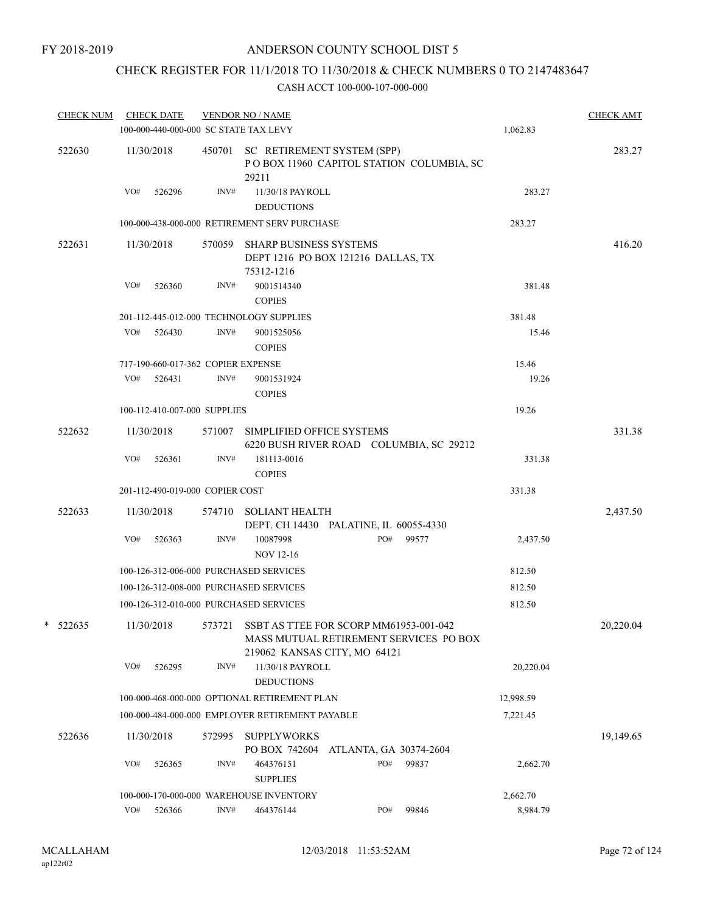# CHECK REGISTER FOR 11/1/2018 TO 11/30/2018 & CHECK NUMBERS 0 TO 2147483647

| <b>CHECK NUM</b> | <b>CHECK DATE</b><br>100-000-440-000-000 SC STATE TAX LEVY |        | <b>VENDOR NO / NAME</b>                                                                 |                                         |                                          | 1,062.83  | <b>CHECK AMT</b> |
|------------------|------------------------------------------------------------|--------|-----------------------------------------------------------------------------------------|-----------------------------------------|------------------------------------------|-----------|------------------|
| 522630           | 11/30/2018                                                 |        | 450701 SC RETIREMENT SYSTEM (SPP)<br>29211                                              |                                         | POBOX 11960 CAPITOL STATION COLUMBIA, SC |           | 283.27           |
|                  | VO#<br>526296                                              | INV#   | 11/30/18 PAYROLL<br><b>DEDUCTIONS</b>                                                   |                                         |                                          | 283.27    |                  |
|                  |                                                            |        | 100-000-438-000-000 RETIREMENT SERV PURCHASE                                            |                                         |                                          | 283.27    |                  |
| 522631           | 11/30/2018                                                 | 570059 | <b>SHARP BUSINESS SYSTEMS</b><br>DEPT 1216 PO BOX 121216 DALLAS, TX<br>75312-1216       |                                         |                                          |           | 416.20           |
|                  | VO#<br>526360                                              | INV#   | 9001514340<br><b>COPIES</b>                                                             |                                         |                                          | 381.48    |                  |
|                  |                                                            |        | 201-112-445-012-000 TECHNOLOGY SUPPLIES                                                 |                                         |                                          | 381.48    |                  |
|                  | VO#<br>526430                                              | INV#   | 9001525056<br><b>COPIES</b>                                                             |                                         |                                          | 15.46     |                  |
|                  | 717-190-660-017-362 COPIER EXPENSE                         |        |                                                                                         |                                         |                                          | 15.46     |                  |
|                  | VO# 526431                                                 | INV#   | 9001531924<br><b>COPIES</b>                                                             |                                         |                                          | 19.26     |                  |
|                  | 100-112-410-007-000 SUPPLIES                               |        |                                                                                         |                                         |                                          | 19.26     |                  |
| 522632           | 11/30/2018                                                 |        | 571007 SIMPLIFIED OFFICE SYSTEMS                                                        | 6220 BUSH RIVER ROAD COLUMBIA, SC 29212 |                                          |           | 331.38           |
|                  | VO#<br>526361                                              | INV#   | 181113-0016<br><b>COPIES</b>                                                            |                                         |                                          | 331.38    |                  |
|                  | 201-112-490-019-000 COPIER COST                            |        |                                                                                         |                                         |                                          | 331.38    |                  |
| 522633           | 11/30/2018                                                 |        | 574710 SOLIANT HEALTH                                                                   | DEPT. CH 14430 PALATINE, IL 60055-4330  |                                          |           | 2,437.50         |
|                  | VO#<br>526363                                              | INV#   | 10087998<br><b>NOV 12-16</b>                                                            | PO#                                     | 99577                                    | 2,437.50  |                  |
|                  | 100-126-312-006-000 PURCHASED SERVICES                     |        |                                                                                         |                                         |                                          | 812.50    |                  |
|                  | 100-126-312-008-000 PURCHASED SERVICES                     |        |                                                                                         |                                         |                                          | 812.50    |                  |
|                  | 100-126-312-010-000 PURCHASED SERVICES                     |        |                                                                                         |                                         |                                          | 812.50    |                  |
| $*$ 522635       | 11/30/2018                                                 |        | 573721 SSBT AS TTEE FOR SCORP MM61953-001-042<br>MASS MUTUAL RETIREMENT SERVICES PO BOX | 219062 KANSAS CITY, MO 64121            |                                          |           | 20,220.04        |
|                  | VO#<br>526295                                              | INV#   | 11/30/18 PAYROLL<br><b>DEDUCTIONS</b>                                                   |                                         |                                          | 20,220.04 |                  |
|                  |                                                            |        | 100-000-468-000-000 OPTIONAL RETIREMENT PLAN                                            |                                         |                                          | 12,998.59 |                  |
|                  |                                                            |        | 100-000-484-000-000 EMPLOYER RETIREMENT PAYABLE                                         |                                         |                                          | 7,221.45  |                  |
| 522636           | 11/30/2018                                                 | 572995 | <b>SUPPLYWORKS</b>                                                                      | PO BOX 742604 ATLANTA, GA 30374-2604    |                                          |           | 19,149.65        |
|                  | VO#<br>526365                                              | INV#   | 464376151<br><b>SUPPLIES</b>                                                            | PO#                                     | 99837                                    | 2,662.70  |                  |
|                  |                                                            |        | 100-000-170-000-000 WAREHOUSE INVENTORY                                                 |                                         |                                          | 2,662.70  |                  |
|                  | VO#<br>526366                                              | INV#   | 464376144                                                                               | PO#                                     | 99846                                    | 8,984.79  |                  |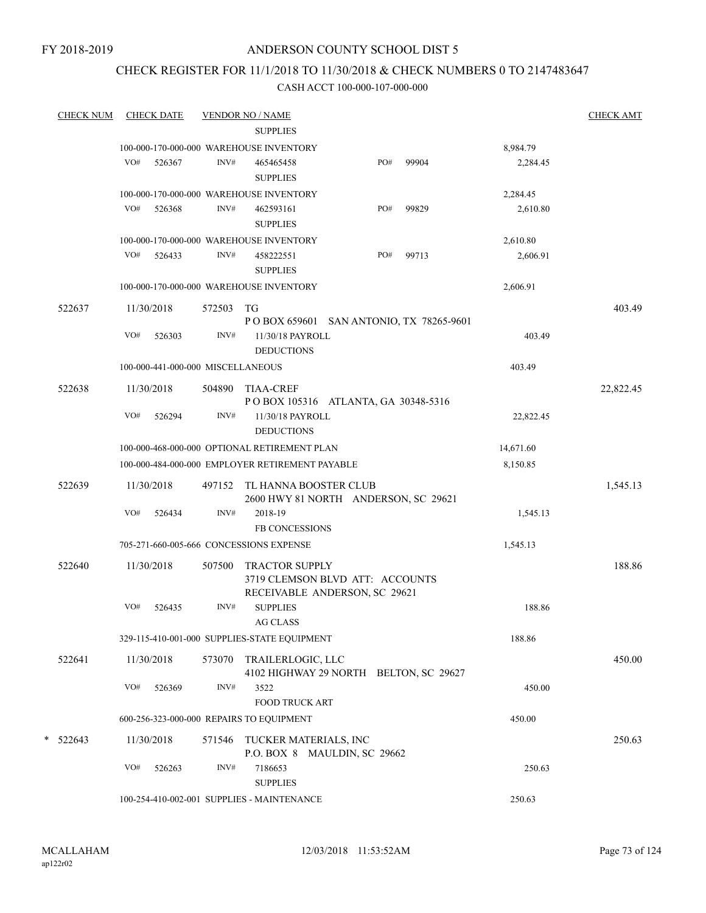# CHECK REGISTER FOR 11/1/2018 TO 11/30/2018 & CHECK NUMBERS 0 TO 2147483647

| <b>CHECK NUM</b> | <b>CHECK DATE</b>                 |        | <b>VENDOR NO / NAME</b>                         |                                                                  |       |           | <b>CHECK AMT</b> |
|------------------|-----------------------------------|--------|-------------------------------------------------|------------------------------------------------------------------|-------|-----------|------------------|
|                  |                                   |        | <b>SUPPLIES</b>                                 |                                                                  |       |           |                  |
|                  |                                   |        | 100-000-170-000-000 WAREHOUSE INVENTORY         |                                                                  |       | 8,984.79  |                  |
|                  | VO#<br>526367                     | INV#   | 465465458<br><b>SUPPLIES</b>                    | PO#                                                              | 99904 | 2,284.45  |                  |
|                  |                                   |        | 100-000-170-000-000 WAREHOUSE INVENTORY         |                                                                  |       | 2,284.45  |                  |
|                  | VO#<br>526368                     | INV#   | 462593161<br><b>SUPPLIES</b>                    | PO#                                                              | 99829 | 2,610.80  |                  |
|                  |                                   |        | 100-000-170-000-000 WAREHOUSE INVENTORY         |                                                                  |       | 2,610.80  |                  |
|                  | VO#<br>526433                     | INV#   | 458222551<br><b>SUPPLIES</b>                    | PO#                                                              | 99713 | 2,606.91  |                  |
|                  |                                   |        | 100-000-170-000-000 WAREHOUSE INVENTORY         |                                                                  |       | 2,606.91  |                  |
| 522637           | 11/30/2018                        | 572503 | TG                                              | P O BOX 659601 SAN ANTONIO, TX 78265-9601                        |       |           | 403.49           |
|                  | VO#<br>526303                     | INV#   | 11/30/18 PAYROLL<br><b>DEDUCTIONS</b>           |                                                                  |       | 403.49    |                  |
|                  | 100-000-441-000-000 MISCELLANEOUS |        |                                                 |                                                                  |       | 403.49    |                  |
| 522638           | 11/30/2018                        | 504890 | <b>TIAA-CREF</b>                                | POBOX 105316 ATLANTA, GA 30348-5316                              |       |           | 22,822.45        |
|                  | VO#<br>526294                     | INV#   | 11/30/18 PAYROLL<br><b>DEDUCTIONS</b>           |                                                                  |       | 22,822.45 |                  |
|                  |                                   |        | 100-000-468-000-000 OPTIONAL RETIREMENT PLAN    |                                                                  |       | 14,671.60 |                  |
|                  |                                   |        | 100-000-484-000-000 EMPLOYER RETIREMENT PAYABLE |                                                                  |       | 8,150.85  |                  |
| 522639           | 11/30/2018                        | 497152 | TL HANNA BOOSTER CLUB                           | 2600 HWY 81 NORTH ANDERSON, SC 29621                             |       |           | 1,545.13         |
|                  | VO#<br>526434                     | INV#   | 2018-19                                         |                                                                  |       | 1,545.13  |                  |
|                  |                                   |        | <b>FB CONCESSIONS</b>                           |                                                                  |       |           |                  |
|                  |                                   |        | 705-271-660-005-666 CONCESSIONS EXPENSE         |                                                                  |       | 1,545.13  |                  |
| 522640           | 11/30/2018                        | 507500 | <b>TRACTOR SUPPLY</b>                           | 3719 CLEMSON BLVD ATT: ACCOUNTS<br>RECEIVABLE ANDERSON, SC 29621 |       |           | 188.86           |
|                  | VO#<br>526435                     | INV#   | <b>SUPPLIES</b><br><b>AG CLASS</b>              |                                                                  |       | 188.86    |                  |
|                  |                                   |        | 329-115-410-001-000 SUPPLIES-STATE EQUIPMENT    |                                                                  |       | 188.86    |                  |
| 522641           | 11/30/2018                        | 573070 | TRAILERLOGIC, LLC                               | 4102 HIGHWAY 29 NORTH BELTON, SC 29627                           |       |           | 450.00           |
|                  | VO#<br>526369                     | INV#   | 3522<br><b>FOOD TRUCK ART</b>                   |                                                                  |       | 450.00    |                  |
|                  |                                   |        | 600-256-323-000-000 REPAIRS TO EQUIPMENT        |                                                                  |       | 450.00    |                  |
| *<br>522643      | 11/30/2018                        | 571546 | TUCKER MATERIALS, INC                           |                                                                  |       |           | 250.63           |
|                  | VO#<br>526263                     | INV#   | 7186653<br><b>SUPPLIES</b>                      | P.O. BOX 8 MAULDIN, SC 29662                                     |       | 250.63    |                  |
|                  |                                   |        | 100-254-410-002-001 SUPPLIES - MAINTENANCE      |                                                                  |       | 250.63    |                  |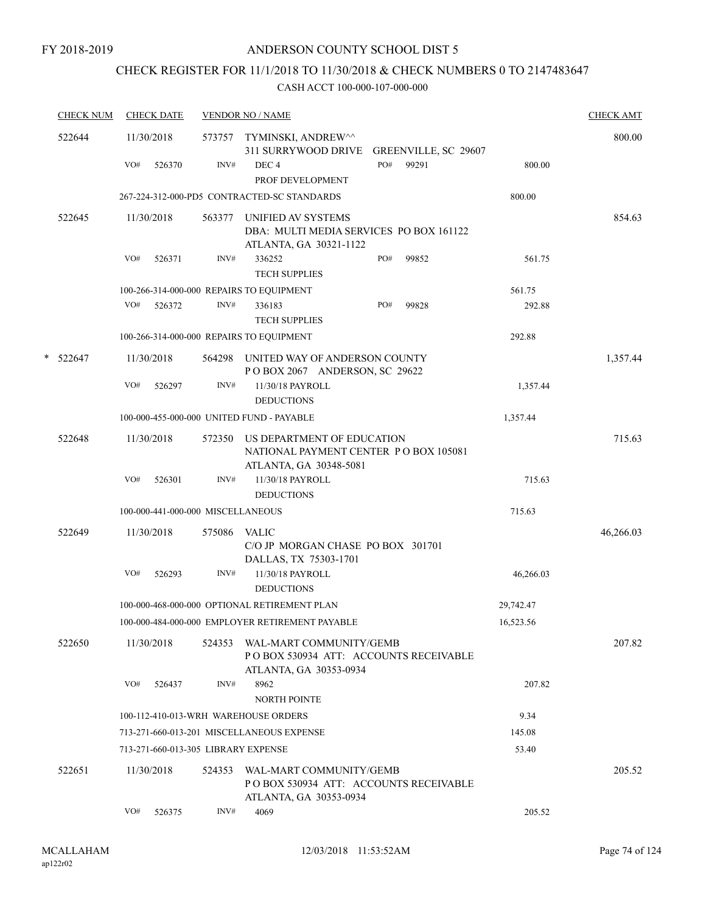# CHECK REGISTER FOR 11/1/2018 TO 11/30/2018 & CHECK NUMBERS 0 TO 2147483647

|   | <b>CHECK NUM</b> | <b>CHECK DATE</b>                         |        | <b>VENDOR NO / NAME</b>                                                                              |           | <b>CHECK AMT</b> |
|---|------------------|-------------------------------------------|--------|------------------------------------------------------------------------------------------------------|-----------|------------------|
|   | 522644           | 11/30/2018                                |        | 573757 TYMINSKI, ANDREW^^<br>311 SURRYWOOD DRIVE<br><b>GREENVILLE, SC 29607</b>                      |           | 800.00           |
|   |                  | VO#<br>526370                             | INV#   | PO#<br>99291<br>DEC <sub>4</sub><br>PROF DEVELOPMENT                                                 | 800.00    |                  |
|   |                  |                                           |        | 267-224-312-000-PD5 CONTRACTED-SC STANDARDS                                                          | 800.00    |                  |
|   | 522645           | 11/30/2018                                | 563377 | UNIFIED AV SYSTEMS<br>DBA: MULTI MEDIA SERVICES PO BOX 161122<br>ATLANTA, GA 30321-1122              |           | 854.63           |
|   |                  | VO#<br>526371                             | INV#   | 336252<br>PO#<br>99852<br>TECH SUPPLIES                                                              | 561.75    |                  |
|   |                  | 100-266-314-000-000 REPAIRS TO EQUIPMENT  |        |                                                                                                      | 561.75    |                  |
|   |                  | VO#<br>526372                             | INV#   | PO#<br>99828<br>336183<br><b>TECH SUPPLIES</b>                                                       | 292.88    |                  |
|   |                  | 100-266-314-000-000 REPAIRS TO EQUIPMENT  |        |                                                                                                      | 292.88    |                  |
| * | 522647           | 11/30/2018                                |        | 564298 UNITED WAY OF ANDERSON COUNTY<br>POBOX 2067 ANDERSON, SC 29622                                |           | 1,357.44         |
|   |                  | VO#<br>526297                             | INV#   | 11/30/18 PAYROLL<br><b>DEDUCTIONS</b>                                                                | 1,357.44  |                  |
|   |                  | 100-000-455-000-000 UNITED FUND - PAYABLE |        |                                                                                                      | 1,357.44  |                  |
|   | 522648           | 11/30/2018                                |        | 572350 US DEPARTMENT OF EDUCATION<br>NATIONAL PAYMENT CENTER PO BOX 105081<br>ATLANTA, GA 30348-5081 |           | 715.63           |
|   |                  | VO#<br>526301                             | INV#   | 11/30/18 PAYROLL<br><b>DEDUCTIONS</b>                                                                | 715.63    |                  |
|   |                  | 100-000-441-000-000 MISCELLANEOUS         |        |                                                                                                      | 715.63    |                  |
|   | 522649           | 11/30/2018                                | 575086 | VALIC<br>C/O JP MORGAN CHASE PO BOX 301701<br>DALLAS, TX 75303-1701                                  |           | 46,266.03        |
|   |                  | VO#<br>526293                             | INV#   | 11/30/18 PAYROLL<br><b>DEDUCTIONS</b>                                                                | 46,266.03 |                  |
|   |                  |                                           |        | 100-000-468-000-000 OPTIONAL RETIREMENT PLAN                                                         | 29,742.47 |                  |
|   |                  |                                           |        | 100-000-484-000-000 EMPLOYER RETIREMENT PAYABLE                                                      | 16,523.56 |                  |
|   | 522650           | 11/30/2018                                | 524353 | WAL-MART COMMUNITY/GEMB<br>PO BOX 530934 ATT: ACCOUNTS RECEIVABLE<br>ATLANTA, GA 30353-0934          |           | 207.82           |
|   |                  | VO#<br>526437                             | INV#   | 8962<br><b>NORTH POINTE</b>                                                                          | 207.82    |                  |
|   |                  | 100-112-410-013-WRH WAREHOUSE ORDERS      |        |                                                                                                      | 9.34      |                  |
|   |                  |                                           |        | 713-271-660-013-201 MISCELLANEOUS EXPENSE                                                            | 145.08    |                  |
|   |                  | 713-271-660-013-305 LIBRARY EXPENSE       |        |                                                                                                      | 53.40     |                  |
|   | 522651           | 11/30/2018                                | 524353 | WAL-MART COMMUNITY/GEMB<br>PO BOX 530934 ATT: ACCOUNTS RECEIVABLE<br>ATLANTA, GA 30353-0934          |           | 205.52           |
|   |                  | VO#<br>526375                             | INV#   | 4069                                                                                                 | 205.52    |                  |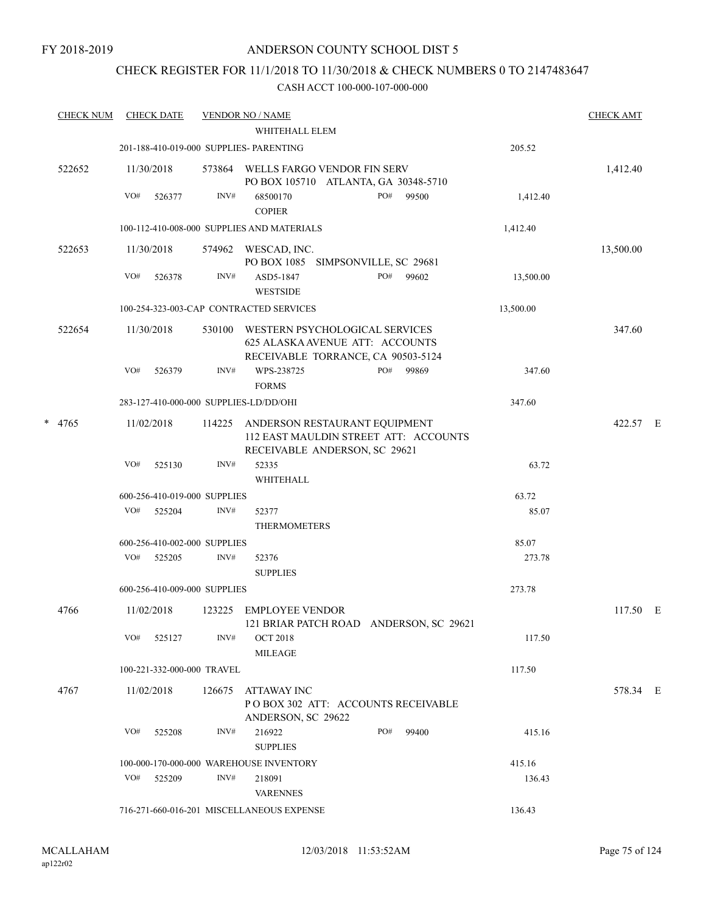# CHECK REGISTER FOR 11/1/2018 TO 11/30/2018 & CHECK NUMBERS 0 TO 2147483647

| <b>CHECK NUM</b> |     | <b>CHECK DATE</b>            |        | <b>VENDOR NO / NAME</b>                                                                                 |     |                                         |           | <b>CHECK AMT</b> |  |
|------------------|-----|------------------------------|--------|---------------------------------------------------------------------------------------------------------|-----|-----------------------------------------|-----------|------------------|--|
|                  |     |                              |        | WHITEHALL ELEM                                                                                          |     |                                         |           |                  |  |
|                  |     |                              |        | 201-188-410-019-000 SUPPLIES- PARENTING                                                                 |     |                                         | 205.52    |                  |  |
| 522652           |     | 11/30/2018                   | 573864 | WELLS FARGO VENDOR FIN SERV<br>PO BOX 105710 ATLANTA, GA 30348-5710                                     |     |                                         |           | 1,412.40         |  |
|                  | VO# | 526377                       | INV#   | 68500170<br><b>COPIER</b>                                                                               | PO# | 99500                                   | 1,412.40  |                  |  |
|                  |     |                              |        | 100-112-410-008-000 SUPPLIES AND MATERIALS                                                              |     |                                         | 1,412.40  |                  |  |
| 522653           |     | 11/30/2018                   |        | 574962 WESCAD, INC.<br>PO BOX 1085 SIMPSONVILLE, SC 29681                                               |     |                                         |           | 13,500.00        |  |
|                  | VO# | 526378                       | INV#   | ASD5-1847<br><b>WESTSIDE</b>                                                                            | PO# | 99602                                   | 13,500.00 |                  |  |
|                  |     |                              |        | 100-254-323-003-CAP CONTRACTED SERVICES                                                                 |     |                                         | 13,500.00 |                  |  |
| 522654           |     | 11/30/2018                   | 530100 | WESTERN PSYCHOLOGICAL SERVICES<br>625 ALASKA AVENUE ATT: ACCOUNTS<br>RECEIVABLE TORRANCE, CA 90503-5124 |     |                                         |           | 347.60           |  |
|                  | VO# | 526379                       | INV#   | WPS-238725<br><b>FORMS</b>                                                                              | PO# | 99869                                   | 347.60    |                  |  |
|                  |     |                              |        | 283-127-410-000-000 SUPPLIES-LD/DD/OHI                                                                  |     |                                         | 347.60    |                  |  |
| * 4765           |     | 11/02/2018                   | 114225 | ANDERSON RESTAURANT EQUIPMENT<br>RECEIVABLE ANDERSON, SC 29621                                          |     | 112 EAST MAULDIN STREET ATT: ACCOUNTS   |           | 422.57 E         |  |
|                  | VO# | 525130                       | INV#   | 52335<br>WHITEHALL                                                                                      |     |                                         | 63.72     |                  |  |
|                  |     | 600-256-410-019-000 SUPPLIES |        |                                                                                                         |     |                                         | 63.72     |                  |  |
|                  | VO# | 525204                       | INV#   | 52377<br><b>THERMOMETERS</b>                                                                            |     |                                         | 85.07     |                  |  |
|                  |     | 600-256-410-002-000 SUPPLIES |        |                                                                                                         |     |                                         | 85.07     |                  |  |
|                  |     | VO# 525205                   | INV#   | 52376<br><b>SUPPLIES</b>                                                                                |     |                                         | 273.78    |                  |  |
|                  |     | 600-256-410-009-000 SUPPLIES |        |                                                                                                         |     |                                         | 273.78    |                  |  |
| 4766             |     | 11/02/2018                   |        | 123225 EMPLOYEE VENDOR                                                                                  |     | 121 BRIAR PATCH ROAD ANDERSON, SC 29621 |           | 117.50 E         |  |
|                  | VO# | 525127                       | INV#   | <b>OCT 2018</b><br>MILEAGE                                                                              |     |                                         | 117.50    |                  |  |
|                  |     | 100-221-332-000-000 TRAVEL   |        |                                                                                                         |     |                                         | 117.50    |                  |  |
| 4767             |     | 11/02/2018                   | 126675 | ATTAWAY INC<br>POBOX 302 ATT: ACCOUNTS RECEIVABLE<br>ANDERSON, SC 29622                                 |     |                                         |           | 578.34 E         |  |
|                  | VO# | 525208                       | INV#   | 216922<br><b>SUPPLIES</b>                                                                               | PO# | 99400                                   | 415.16    |                  |  |
|                  |     |                              |        | 100-000-170-000-000 WAREHOUSE INVENTORY                                                                 |     |                                         | 415.16    |                  |  |
|                  | VO# | 525209                       | INV#   | 218091<br><b>VARENNES</b>                                                                               |     |                                         | 136.43    |                  |  |
|                  |     |                              |        | 716-271-660-016-201 MISCELLANEOUS EXPENSE                                                               |     |                                         | 136.43    |                  |  |
|                  |     |                              |        |                                                                                                         |     |                                         |           |                  |  |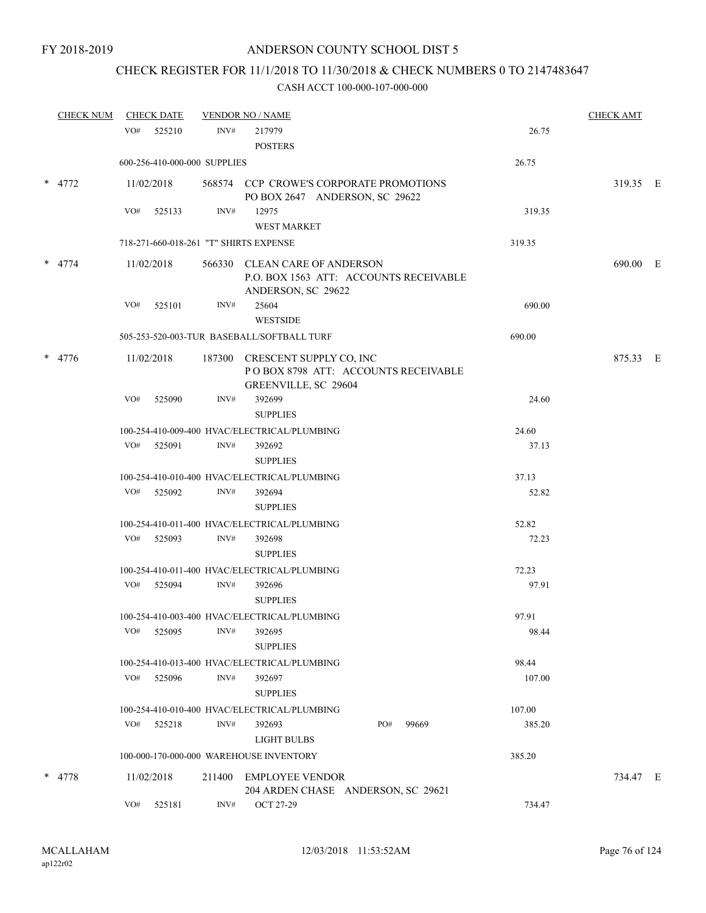# CHECK REGISTER FOR 11/1/2018 TO 11/30/2018 & CHECK NUMBERS 0 TO 2147483647

| <b>CHECK NUM</b> |     | <b>CHECK DATE</b> |                              | <b>VENDOR NO / NAME</b>                                                                       |              |        | <b>CHECK AMT</b> |  |
|------------------|-----|-------------------|------------------------------|-----------------------------------------------------------------------------------------------|--------------|--------|------------------|--|
|                  | VO# | 525210            | INV#                         | 217979                                                                                        |              | 26.75  |                  |  |
|                  |     |                   |                              | <b>POSTERS</b>                                                                                |              |        |                  |  |
|                  |     |                   | 600-256-410-000-000 SUPPLIES |                                                                                               |              | 26.75  |                  |  |
| $*$ 4772         |     | 11/02/2018        |                              | 568574 CCP CROWE'S CORPORATE PROMOTIONS<br>PO BOX 2647 ANDERSON, SC 29622                     |              |        | 319.35 E         |  |
|                  | VO# | 525133            | INV#                         | 12975<br><b>WEST MARKET</b>                                                                   |              | 319.35 |                  |  |
|                  |     |                   |                              | 718-271-660-018-261 "T" SHIRTS EXPENSE                                                        |              | 319.35 |                  |  |
| $*$ 4774         |     | 11/02/2018        |                              | 566330 CLEAN CARE OF ANDERSON<br>P.O. BOX 1563 ATT: ACCOUNTS RECEIVABLE<br>ANDERSON, SC 29622 |              |        | 690.00 E         |  |
|                  | VO# | 525101            | INV#                         | 25604<br><b>WESTSIDE</b>                                                                      |              | 690.00 |                  |  |
|                  |     |                   |                              | 505-253-520-003-TUR BASEBALL/SOFTBALL TURF                                                    |              | 690.00 |                  |  |
| $*$ 4776         |     | 11/02/2018        |                              | 187300 CRESCENT SUPPLY CO, INC<br>POBOX 8798 ATT: ACCOUNTS RECEIVABLE<br>GREENVILLE, SC 29604 |              |        | 875.33 E         |  |
|                  | VO# | 525090            | INV#                         | 392699<br><b>SUPPLIES</b>                                                                     |              | 24.60  |                  |  |
|                  |     |                   |                              | 100-254-410-009-400 HVAC/ELECTRICAL/PLUMBING                                                  |              | 24.60  |                  |  |
|                  |     | VO# 525091        | INV#                         | 392692                                                                                        |              | 37.13  |                  |  |
|                  |     |                   |                              | <b>SUPPLIES</b>                                                                               |              |        |                  |  |
|                  |     |                   |                              | 100-254-410-010-400 HVAC/ELECTRICAL/PLUMBING                                                  |              | 37.13  |                  |  |
|                  |     | VO# 525092        | INV#                         | 392694                                                                                        |              | 52.82  |                  |  |
|                  |     |                   |                              | <b>SUPPLIES</b>                                                                               |              |        |                  |  |
|                  |     |                   |                              | 100-254-410-011-400 HVAC/ELECTRICAL/PLUMBING                                                  |              | 52.82  |                  |  |
|                  | VO# | 525093            | INV#                         | 392698<br><b>SUPPLIES</b>                                                                     |              | 72.23  |                  |  |
|                  |     |                   |                              | 100-254-410-011-400 HVAC/ELECTRICAL/PLUMBING                                                  |              | 72.23  |                  |  |
|                  |     | VO# 525094        | INV#                         | 392696<br><b>SUPPLIES</b>                                                                     |              | 97.91  |                  |  |
|                  |     |                   |                              | 100-254-410-003-400 HVAC/ELECTRICAL/PLUMBING                                                  |              | 97.91  |                  |  |
|                  | VO# | 525095            | INV#                         | 392695<br><b>SUPPLIES</b>                                                                     |              | 98.44  |                  |  |
|                  |     |                   |                              | 100-254-410-013-400 HVAC/ELECTRICAL/PLUMBING                                                  |              | 98.44  |                  |  |
|                  | VO# | 525096            | INV#                         | 392697<br><b>SUPPLIES</b>                                                                     |              | 107.00 |                  |  |
|                  |     |                   |                              | 100-254-410-010-400 HVAC/ELECTRICAL/PLUMBING                                                  |              | 107.00 |                  |  |
|                  | VO# | 525218            | INV#                         | 392693                                                                                        | PO#<br>99669 | 385.20 |                  |  |
|                  |     |                   |                              | LIGHT BULBS                                                                                   |              |        |                  |  |
|                  |     |                   |                              | 100-000-170-000-000 WAREHOUSE INVENTORY                                                       |              | 385.20 |                  |  |
| * 4778           |     | 11/02/2018        |                              | 211400 EMPLOYEE VENDOR                                                                        |              |        | 734.47 E         |  |
|                  | VO# | 525181            | INV#                         | 204 ARDEN CHASE ANDERSON, SC 29621<br>OCT 27-29                                               |              | 734.47 |                  |  |
|                  |     |                   |                              |                                                                                               |              |        |                  |  |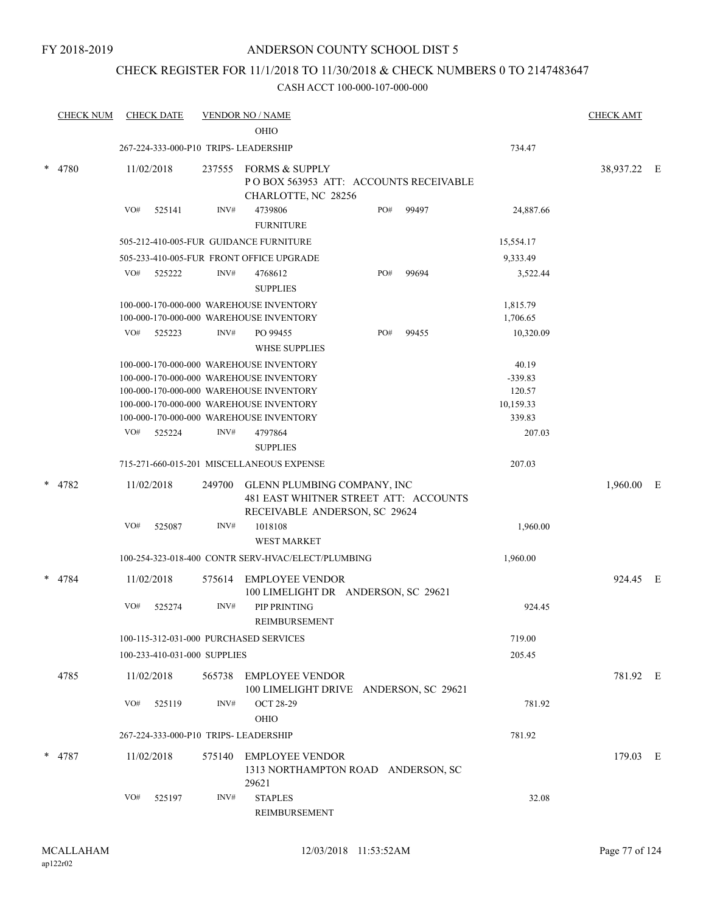# CHECK REGISTER FOR 11/1/2018 TO 11/30/2018 & CHECK NUMBERS 0 TO 2147483647

| <b>CHECK NUM</b> |            | <b>CHECK DATE</b>            |        | <b>VENDOR NO / NAME</b><br><b>OHIO</b>                                                                                                                                                                              |     |       |                                                     | <b>CHECK AMT</b> |  |
|------------------|------------|------------------------------|--------|---------------------------------------------------------------------------------------------------------------------------------------------------------------------------------------------------------------------|-----|-------|-----------------------------------------------------|------------------|--|
|                  |            |                              |        | 267-224-333-000-P10 TRIPS- LEADERSHIP                                                                                                                                                                               |     |       | 734.47                                              |                  |  |
| * 4780           | 11/02/2018 |                              | 237555 | <b>FORMS &amp; SUPPLY</b><br>PO BOX 563953 ATT: ACCOUNTS RECEIVABLE<br>CHARLOTTE, NC 28256                                                                                                                          |     |       |                                                     | 38,937.22 E      |  |
|                  | VO#        | 525141                       | INV#   | 4739806<br><b>FURNITURE</b>                                                                                                                                                                                         | PO# | 99497 | 24,887.66                                           |                  |  |
|                  |            |                              |        | 505-212-410-005-FUR GUIDANCE FURNITURE                                                                                                                                                                              |     |       | 15,554.17                                           |                  |  |
|                  |            |                              |        | 505-233-410-005-FUR FRONT OFFICE UPGRADE                                                                                                                                                                            |     |       | 9,333.49                                            |                  |  |
|                  | VO#        | 525222                       | INV#   | 4768612<br><b>SUPPLIES</b>                                                                                                                                                                                          | PO# | 99694 | 3,522.44                                            |                  |  |
|                  |            |                              |        | 100-000-170-000-000 WAREHOUSE INVENTORY<br>100-000-170-000-000 WAREHOUSE INVENTORY                                                                                                                                  |     |       | 1,815.79<br>1,706.65                                |                  |  |
|                  | VO#        | 525223                       | INV#   | PO 99455<br><b>WHSE SUPPLIES</b>                                                                                                                                                                                    | PO# | 99455 | 10,320.09                                           |                  |  |
|                  |            |                              |        | 100-000-170-000-000 WAREHOUSE INVENTORY<br>100-000-170-000-000 WAREHOUSE INVENTORY<br>100-000-170-000-000 WAREHOUSE INVENTORY<br>100-000-170-000-000 WAREHOUSE INVENTORY<br>100-000-170-000-000 WAREHOUSE INVENTORY |     |       | 40.19<br>$-339.83$<br>120.57<br>10,159.33<br>339.83 |                  |  |
|                  | VO#        | 525224                       | INV#   | 4797864                                                                                                                                                                                                             |     |       | 207.03                                              |                  |  |
|                  |            |                              |        | <b>SUPPLIES</b>                                                                                                                                                                                                     |     |       |                                                     |                  |  |
|                  |            |                              |        | 715-271-660-015-201 MISCELLANEOUS EXPENSE                                                                                                                                                                           |     |       | 207.03                                              |                  |  |
| * 4782           | 11/02/2018 |                              | 249700 | GLENN PLUMBING COMPANY, INC<br>481 EAST WHITNER STREET ATT: ACCOUNTS<br>RECEIVABLE ANDERSON, SC 29624                                                                                                               |     |       |                                                     | 1,960.00 E       |  |
|                  | VO#        | 525087                       | INV#   | 1018108<br><b>WEST MARKET</b>                                                                                                                                                                                       |     |       | 1,960.00                                            |                  |  |
|                  |            |                              |        | 100-254-323-018-400 CONTR SERV-HVAC/ELECT/PLUMBING                                                                                                                                                                  |     |       | 1,960.00                                            |                  |  |
| 4784             | 11/02/2018 |                              | 575614 | <b>EMPLOYEE VENDOR</b><br>100 LIMELIGHT DR ANDERSON, SC 29621                                                                                                                                                       |     |       |                                                     | 924.45 E         |  |
|                  | VO#        | 525274                       | INV#   | PIP PRINTING<br>REIMBURSEMENT                                                                                                                                                                                       |     |       | 924.45                                              |                  |  |
|                  |            |                              |        | 100-115-312-031-000 PURCHASED SERVICES                                                                                                                                                                              |     |       | 719.00                                              |                  |  |
|                  |            | 100-233-410-031-000 SUPPLIES |        |                                                                                                                                                                                                                     |     |       | 205.45                                              |                  |  |
| 4785             | 11/02/2018 |                              | 565738 | EMPLOYEE VENDOR<br>100 LIMELIGHT DRIVE ANDERSON, SC 29621                                                                                                                                                           |     |       |                                                     | 781.92 E         |  |
|                  | VO#        | 525119                       | INV#   | <b>OCT 28-29</b><br>OHIO                                                                                                                                                                                            |     |       | 781.92                                              |                  |  |
|                  |            |                              |        | 267-224-333-000-P10 TRIPS- LEADERSHIP                                                                                                                                                                               |     |       | 781.92                                              |                  |  |
| $*$ 4787         | 11/02/2018 |                              | 575140 | <b>EMPLOYEE VENDOR</b><br>1313 NORTHAMPTON ROAD ANDERSON, SC<br>29621                                                                                                                                               |     |       |                                                     | 179.03 E         |  |
|                  | VO#        | 525197                       | INV#   | <b>STAPLES</b><br>REIMBURSEMENT                                                                                                                                                                                     |     |       | 32.08                                               |                  |  |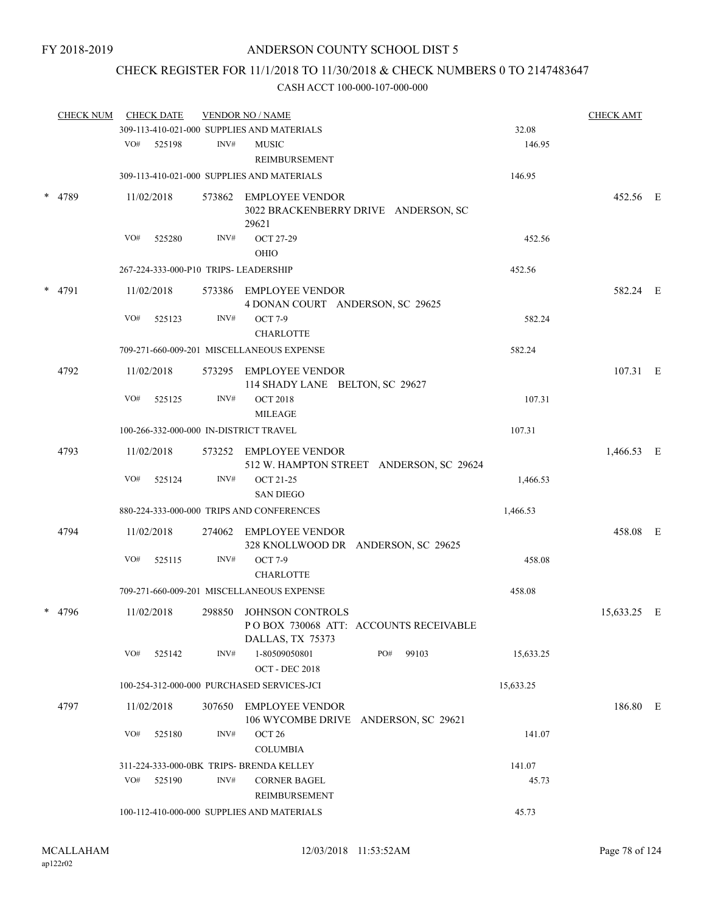# CHECK REGISTER FOR 11/1/2018 TO 11/30/2018 & CHECK NUMBERS 0 TO 2147483647

| <b>CHECK NUM</b> |     | <b>CHECK DATE</b> |      | <b>VENDOR NO / NAME</b>                                                              |           | <b>CHECK AMT</b> |  |
|------------------|-----|-------------------|------|--------------------------------------------------------------------------------------|-----------|------------------|--|
|                  |     |                   |      | 309-113-410-021-000 SUPPLIES AND MATERIALS                                           | 32.08     |                  |  |
|                  |     | VO# 525198        | INV# | <b>MUSIC</b><br>REIMBURSEMENT                                                        | 146.95    |                  |  |
|                  |     |                   |      | 309-113-410-021-000 SUPPLIES AND MATERIALS                                           | 146.95    |                  |  |
| * 4789           |     | 11/02/2018        |      | 573862 EMPLOYEE VENDOR<br>3022 BRACKENBERRY DRIVE ANDERSON, SC<br>29621              |           | 452.56 E         |  |
|                  | VO# | 525280            | INV# | <b>OCT 27-29</b><br>OHIO                                                             | 452.56    |                  |  |
|                  |     |                   |      | 267-224-333-000-P10 TRIPS- LEADERSHIP                                                | 452.56    |                  |  |
| $*$ 4791         |     | 11/02/2018        |      | 573386 EMPLOYEE VENDOR<br>4 DONAN COURT ANDERSON, SC 29625                           |           | 582.24 E         |  |
|                  | VO# | 525123            | INV# | <b>OCT 7-9</b><br><b>CHARLOTTE</b>                                                   | 582.24    |                  |  |
|                  |     |                   |      | 709-271-660-009-201 MISCELLANEOUS EXPENSE                                            | 582.24    |                  |  |
| 4792             |     | 11/02/2018        |      | 573295 EMPLOYEE VENDOR<br>114 SHADY LANE BELTON, SC 29627                            |           | 107.31 E         |  |
|                  | VO# | 525125            | INV# | <b>OCT 2018</b><br><b>MILEAGE</b>                                                    | 107.31    |                  |  |
|                  |     |                   |      | 100-266-332-000-000 IN-DISTRICT TRAVEL                                               | 107.31    |                  |  |
| 4793             |     | 11/02/2018        |      | 573252 EMPLOYEE VENDOR<br>512 W. HAMPTON STREET ANDERSON, SC 29624                   |           | 1,466.53 E       |  |
|                  | VO# | 525124            | INV# | <b>OCT 21-25</b><br><b>SAN DIEGO</b>                                                 | 1,466.53  |                  |  |
|                  |     |                   |      | 880-224-333-000-000 TRIPS AND CONFERENCES                                            | 1,466.53  |                  |  |
| 4794             |     | 11/02/2018        |      | 274062 EMPLOYEE VENDOR<br>328 KNOLLWOOD DR ANDERSON, SC 29625                        |           | 458.08 E         |  |
|                  | VO# | 525115            | INV# | <b>OCT 7-9</b><br><b>CHARLOTTE</b>                                                   | 458.08    |                  |  |
|                  |     |                   |      | 709-271-660-009-201 MISCELLANEOUS EXPENSE                                            | 458.08    |                  |  |
| 4796             |     | 11/02/2018        |      | 298850 JOHNSON CONTROLS<br>POBOX 730068 ATT: ACCOUNTS RECEIVABLE<br>DALLAS, TX 75373 |           | 15,633.25 E      |  |
|                  | VO# | 525142            | INV# | 1-80509050801<br>PO#<br>99103<br><b>OCT - DEC 2018</b>                               | 15,633.25 |                  |  |
|                  |     |                   |      | 100-254-312-000-000 PURCHASED SERVICES-JCI                                           | 15,633.25 |                  |  |
| 4797             |     | 11/02/2018        |      | 307650 EMPLOYEE VENDOR<br>106 WYCOMBE DRIVE ANDERSON, SC 29621                       |           | 186.80 E         |  |
|                  | VO# | 525180            | INV# | OCT <sub>26</sub><br><b>COLUMBIA</b>                                                 | 141.07    |                  |  |
|                  |     |                   |      | 311-224-333-000-0BK TRIPS- BRENDA KELLEY                                             | 141.07    |                  |  |
|                  | VO# | 525190            | INV# | <b>CORNER BAGEL</b><br>REIMBURSEMENT                                                 | 45.73     |                  |  |
|                  |     |                   |      | 100-112-410-000-000 SUPPLIES AND MATERIALS                                           | 45.73     |                  |  |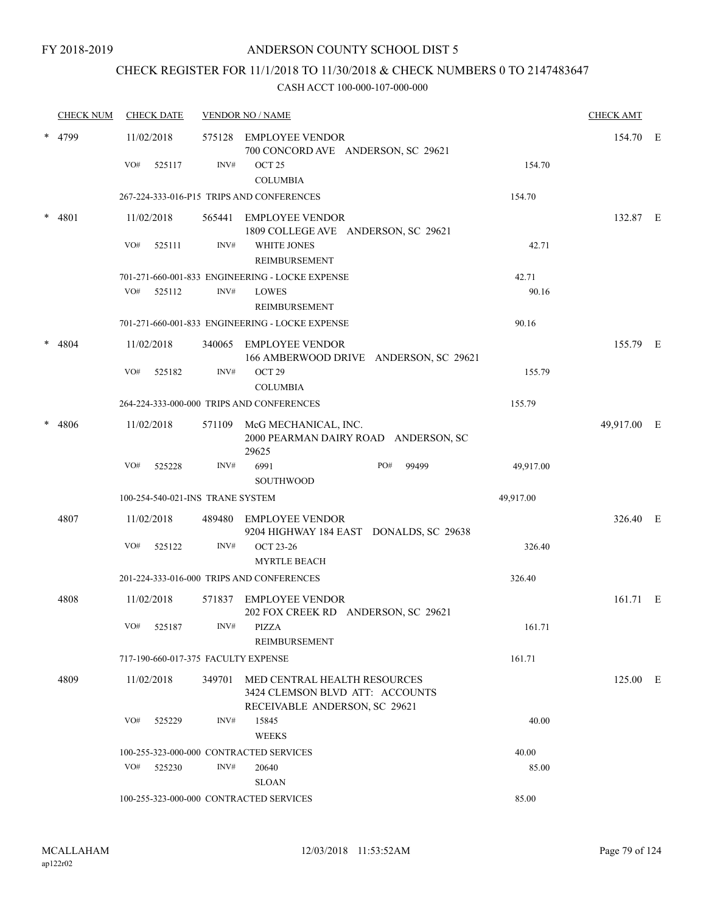# CHECK REGISTER FOR 11/1/2018 TO 11/30/2018 & CHECK NUMBERS 0 TO 2147483647

|   | <b>CHECK NUM</b> |     | <b>CHECK DATE</b> |                                  | <b>VENDOR NO / NAME</b>                                                                                 |              |           | <b>CHECK AMT</b> |  |
|---|------------------|-----|-------------------|----------------------------------|---------------------------------------------------------------------------------------------------------|--------------|-----------|------------------|--|
|   | 4799             |     | 11/02/2018        |                                  | 575128 EMPLOYEE VENDOR<br>700 CONCORD AVE ANDERSON, SC 29621                                            |              |           | 154.70 E         |  |
|   |                  | VO# | 525117            | INV#                             | OCT <sub>25</sub><br><b>COLUMBIA</b>                                                                    |              | 154.70    |                  |  |
|   |                  |     |                   |                                  | 267-224-333-016-P15 TRIPS AND CONFERENCES                                                               |              | 154.70    |                  |  |
| * | 4801             |     | 11/02/2018        |                                  | 565441 EMPLOYEE VENDOR<br>1809 COLLEGE AVE ANDERSON, SC 29621                                           |              |           | 132.87 E         |  |
|   |                  | VO# | 525111            | INV#                             | <b>WHITE JONES</b><br><b>REIMBURSEMENT</b>                                                              |              | 42.71     |                  |  |
|   |                  |     |                   |                                  | 701-271-660-001-833 ENGINEERING - LOCKE EXPENSE                                                         |              | 42.71     |                  |  |
|   |                  | VO# | 525112            | INV#                             | <b>LOWES</b><br><b>REIMBURSEMENT</b>                                                                    |              | 90.16     |                  |  |
|   |                  |     |                   |                                  | 701-271-660-001-833 ENGINEERING - LOCKE EXPENSE                                                         |              | 90.16     |                  |  |
|   | 4804             |     | 11/02/2018        |                                  | 340065 EMPLOYEE VENDOR<br>166 AMBERWOOD DRIVE ANDERSON, SC 29621                                        |              |           | 155.79 E         |  |
|   |                  | VO# | 525182            | INV#                             | OCT <sub>29</sub><br><b>COLUMBIA</b>                                                                    |              | 155.79    |                  |  |
|   |                  |     |                   |                                  | 264-224-333-000-000 TRIPS AND CONFERENCES                                                               |              | 155.79    |                  |  |
|   | 4806             |     | 11/02/2018        |                                  | 571109 McG MECHANICAL, INC.<br>2000 PEARMAN DAIRY ROAD ANDERSON, SC<br>29625                            |              |           | 49,917.00 E      |  |
|   |                  | VO# | 525228            | INV#                             | 6991<br><b>SOUTHWOOD</b>                                                                                | PO#<br>99499 | 49,917.00 |                  |  |
|   |                  |     |                   | 100-254-540-021-INS TRANE SYSTEM |                                                                                                         |              | 49,917.00 |                  |  |
|   | 4807             |     |                   |                                  |                                                                                                         |              |           |                  |  |
|   |                  |     | 11/02/2018        | 489480                           | <b>EMPLOYEE VENDOR</b><br>9204 HIGHWAY 184 EAST DONALDS, SC 29638                                       |              |           | 326.40 E         |  |
|   |                  | VO# | 525122            | INV#                             | <b>OCT 23-26</b><br><b>MYRTLE BEACH</b>                                                                 |              | 326.40    |                  |  |
|   |                  |     |                   |                                  | 201-224-333-016-000 TRIPS AND CONFERENCES                                                               |              | 326.40    |                  |  |
|   | 4808             |     | 11/02/2018        |                                  | 571837 EMPLOYEE VENDOR<br>202 FOX CREEK RD ANDERSON, SC 29621                                           |              |           | 161.71 E         |  |
|   |                  |     | VO# 525187        |                                  | $INV#$ PIZZA<br>REIMBURSEMENT                                                                           |              | 161.71    |                  |  |
|   |                  |     |                   |                                  | 717-190-660-017-375 FACULTY EXPENSE                                                                     |              | 161.71    |                  |  |
|   | 4809             |     | 11/02/2018        |                                  | 349701 MED CENTRAL HEALTH RESOURCES<br>3424 CLEMSON BLVD ATT: ACCOUNTS<br>RECEIVABLE ANDERSON, SC 29621 |              |           | 125.00 E         |  |
|   |                  | VO# | 525229            | INV#                             | 15845<br><b>WEEKS</b>                                                                                   |              | 40.00     |                  |  |
|   |                  |     |                   |                                  | 100-255-323-000-000 CONTRACTED SERVICES                                                                 |              | 40.00     |                  |  |
|   |                  | VO# | 525230            | INV#                             | 20640<br><b>SLOAN</b>                                                                                   |              | 85.00     |                  |  |
|   |                  |     |                   |                                  | 100-255-323-000-000 CONTRACTED SERVICES                                                                 |              | 85.00     |                  |  |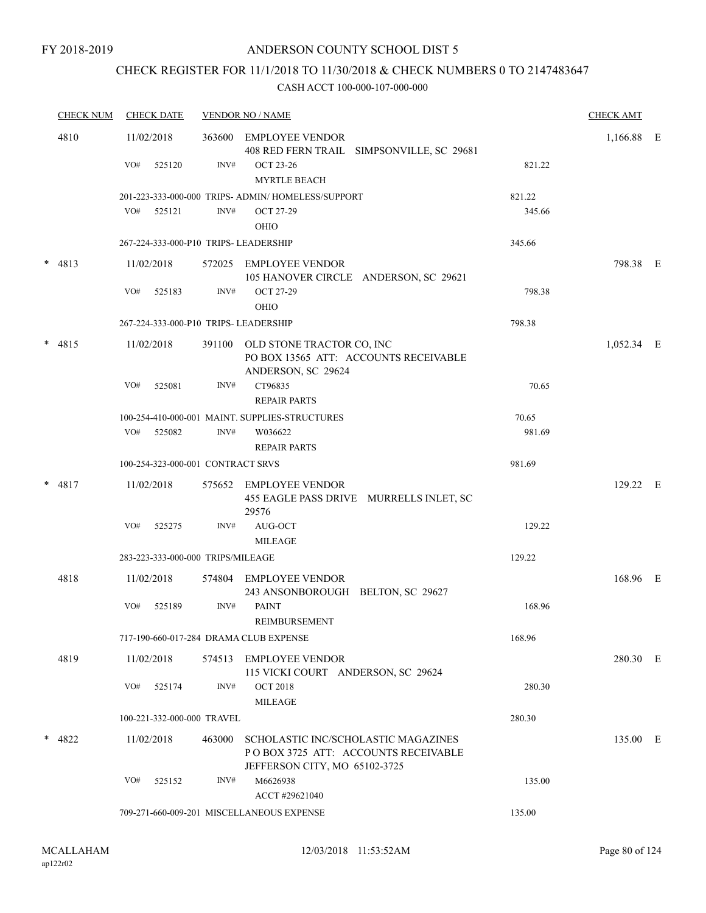# CHECK REGISTER FOR 11/1/2018 TO 11/30/2018 & CHECK NUMBERS 0 TO 2147483647

| <b>CHECK NUM</b> | <b>CHECK DATE</b>                      |        | <b>VENDOR NO / NAME</b>                                                                                     |        | <b>CHECK AMT</b> |  |
|------------------|----------------------------------------|--------|-------------------------------------------------------------------------------------------------------------|--------|------------------|--|
| 4810             | 11/02/2018                             | 363600 | EMPLOYEE VENDOR<br>408 RED FERN TRAIL SIMPSONVILLE, SC 29681                                                |        | 1,166.88 E       |  |
|                  | VO#<br>525120                          | INV#   | OCT 23-26<br><b>MYRTLE BEACH</b>                                                                            | 821.22 |                  |  |
|                  |                                        |        | 201-223-333-000-000 TRIPS- ADMIN/HOMELESS/SUPPORT                                                           | 821.22 |                  |  |
|                  | VO#<br>525121                          | INV#   | <b>OCT 27-29</b><br><b>OHIO</b>                                                                             | 345.66 |                  |  |
|                  | 267-224-333-000-P10 TRIPS- LEADERSHIP  |        |                                                                                                             | 345.66 |                  |  |
| $* 4813$         | 11/02/2018                             | 572025 | EMPLOYEE VENDOR<br>105 HANOVER CIRCLE ANDERSON, SC 29621                                                    |        | 798.38 E         |  |
|                  | VO#<br>525183                          | INV#   | <b>OCT 27-29</b><br><b>OHIO</b>                                                                             | 798.38 |                  |  |
|                  | 267-224-333-000-P10 TRIPS- LEADERSHIP  |        |                                                                                                             | 798.38 |                  |  |
| $* 4815$         | 11/02/2018                             |        | 391100 OLD STONE TRACTOR CO, INC<br>PO BOX 13565 ATT: ACCOUNTS RECEIVABLE<br>ANDERSON, SC 29624             |        | 1,052.34 E       |  |
|                  | VO#<br>525081                          | INV#   | CT96835<br><b>REPAIR PARTS</b>                                                                              | 70.65  |                  |  |
|                  |                                        |        | 100-254-410-000-001 MAINT. SUPPLIES-STRUCTURES                                                              | 70.65  |                  |  |
|                  | VO# 525082                             | INV#   | W036622<br><b>REPAIR PARTS</b>                                                                              | 981.69 |                  |  |
|                  | 100-254-323-000-001 CONTRACT SRVS      |        |                                                                                                             | 981.69 |                  |  |
| $* 4817$         | 11/02/2018                             | 575652 | EMPLOYEE VENDOR<br>455 EAGLE PASS DRIVE MURRELLS INLET, SC<br>29576                                         |        | 129.22 E         |  |
|                  | VO#<br>525275                          | INV#   | AUG-OCT<br><b>MILEAGE</b>                                                                                   | 129.22 |                  |  |
|                  | 283-223-333-000-000 TRIPS/MILEAGE      |        |                                                                                                             | 129.22 |                  |  |
| 4818             | 11/02/2018                             | 574804 | EMPLOYEE VENDOR<br>243 ANSONBOROUGH BELTON, SC 29627                                                        |        | 168.96 E         |  |
|                  | VO#<br>525189                          | INV#   | <b>PAINT</b><br>REIMBURSEMENT                                                                               | 168.96 |                  |  |
|                  | 717-190-660-017-284 DRAMA CLUB EXPENSE |        |                                                                                                             | 168.96 |                  |  |
| 4819             | 11/02/2018                             |        | 574513 EMPLOYEE VENDOR<br>115 VICKI COURT ANDERSON, SC 29624                                                |        | 280.30 E         |  |
|                  | VO#<br>525174                          | INV#   | <b>OCT 2018</b><br><b>MILEAGE</b>                                                                           | 280.30 |                  |  |
|                  | 100-221-332-000-000 TRAVEL             |        |                                                                                                             | 280.30 |                  |  |
| * 4822           | 11/02/2018                             | 463000 | SCHOLASTIC INC/SCHOLASTIC MAGAZINES<br>POBOX 3725 ATT: ACCOUNTS RECEIVABLE<br>JEFFERSON CITY, MO 65102-3725 |        | 135.00 E         |  |
|                  | VO#<br>525152                          | INV#   | M6626938<br>ACCT #29621040                                                                                  | 135.00 |                  |  |
|                  |                                        |        | 709-271-660-009-201 MISCELLANEOUS EXPENSE                                                                   | 135.00 |                  |  |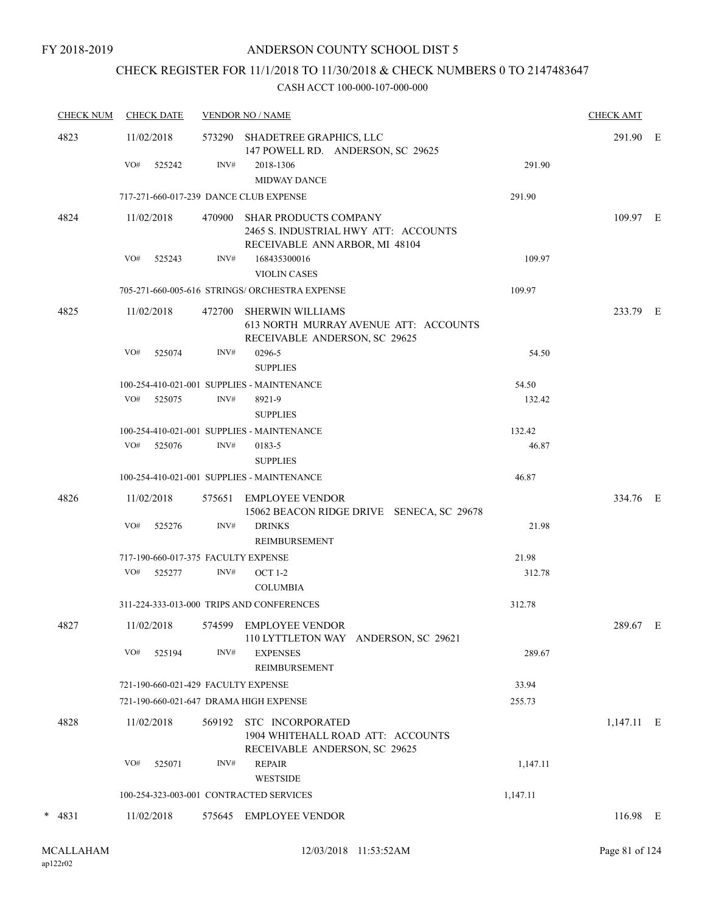# CHECK REGISTER FOR 11/1/2018 TO 11/30/2018 & CHECK NUMBERS 0 TO 2147483647

| <b>CHECK NUM</b> | <b>CHECK DATE</b>                      |        | <b>VENDOR NO / NAME</b>                                                                                |          | <b>CHECK AMT</b> |  |
|------------------|----------------------------------------|--------|--------------------------------------------------------------------------------------------------------|----------|------------------|--|
| 4823             | 11/02/2018                             | 573290 | SHADETREE GRAPHICS, LLC<br>147 POWELL RD. ANDERSON, SC 29625                                           |          | 291.90 E         |  |
|                  | VO#<br>525242                          | INV#   | 2018-1306<br><b>MIDWAY DANCE</b>                                                                       | 291.90   |                  |  |
|                  | 717-271-660-017-239 DANCE CLUB EXPENSE |        |                                                                                                        | 291.90   |                  |  |
| 4824             | 11/02/2018                             | 470900 | <b>SHAR PRODUCTS COMPANY</b><br>2465 S. INDUSTRIAL HWY ATT: ACCOUNTS<br>RECEIVABLE ANN ARBOR, MI 48104 |          | 109.97 E         |  |
|                  | VO#<br>525243                          | INV#   | 168435300016<br><b>VIOLIN CASES</b>                                                                    | 109.97   |                  |  |
|                  |                                        |        | 705-271-660-005-616 STRINGS/ ORCHESTRA EXPENSE                                                         | 109.97   |                  |  |
| 4825             | 11/02/2018                             | 472700 | <b>SHERWIN WILLIAMS</b><br>613 NORTH MURRAY AVENUE ATT: ACCOUNTS<br>RECEIVABLE ANDERSON, SC 29625      |          | 233.79 E         |  |
|                  | VO#<br>525074                          | INV#   | 0296-5                                                                                                 | 54.50    |                  |  |
|                  |                                        |        | <b>SUPPLIES</b>                                                                                        |          |                  |  |
|                  | VO#                                    | INV#   | 100-254-410-021-001 SUPPLIES - MAINTENANCE                                                             | 54.50    |                  |  |
|                  | 525075                                 |        | 8921-9<br><b>SUPPLIES</b>                                                                              | 132.42   |                  |  |
|                  |                                        |        | 100-254-410-021-001 SUPPLIES - MAINTENANCE                                                             | 132.42   |                  |  |
|                  | VO#<br>525076                          | INV#   | 0183-5<br><b>SUPPLIES</b>                                                                              | 46.87    |                  |  |
|                  |                                        |        | 100-254-410-021-001 SUPPLIES - MAINTENANCE                                                             | 46.87    |                  |  |
| 4826             | 11/02/2018                             | 575651 | EMPLOYEE VENDOR<br>15062 BEACON RIDGE DRIVE SENECA, SC 29678                                           |          | 334.76 E         |  |
|                  | VO#<br>525276                          | INV#   | <b>DRINKS</b><br><b>REIMBURSEMENT</b>                                                                  | 21.98    |                  |  |
|                  | 717-190-660-017-375 FACULTY EXPENSE    |        |                                                                                                        | 21.98    |                  |  |
|                  | VO# 525277                             | INV#   | <b>OCT 1-2</b>                                                                                         | 312.78   |                  |  |
|                  |                                        |        | <b>COLUMBIA</b>                                                                                        |          |                  |  |
|                  |                                        |        | 311-224-333-013-000 TRIPS AND CONFERENCES                                                              | 312.78   |                  |  |
| 4827             | 11/02/2018                             |        | 574599 EMPLOYEE VENDOR<br>110 LYTTLETON WAY ANDERSON, SC 29621                                         |          | 289.67 E         |  |
|                  | VO#<br>525194                          | INV#   | <b>EXPENSES</b><br>REIMBURSEMENT                                                                       | 289.67   |                  |  |
|                  | 721-190-660-021-429 FACULTY EXPENSE    |        |                                                                                                        | 33.94    |                  |  |
|                  | 721-190-660-021-647 DRAMA HIGH EXPENSE |        |                                                                                                        | 255.73   |                  |  |
| 4828             | 11/02/2018                             | 569192 | STC INCORPORATED<br>1904 WHITEHALL ROAD ATT: ACCOUNTS<br>RECEIVABLE ANDERSON, SC 29625                 |          | $1,147.11$ E     |  |
|                  | VO#<br>525071                          | INV#   | <b>REPAIR</b><br><b>WESTSIDE</b>                                                                       | 1,147.11 |                  |  |
|                  |                                        |        | 100-254-323-003-001 CONTRACTED SERVICES                                                                | 1,147.11 |                  |  |
| $* 4831$         | 11/02/2018                             |        | 575645 EMPLOYEE VENDOR                                                                                 |          | 116.98 E         |  |
|                  |                                        |        |                                                                                                        |          |                  |  |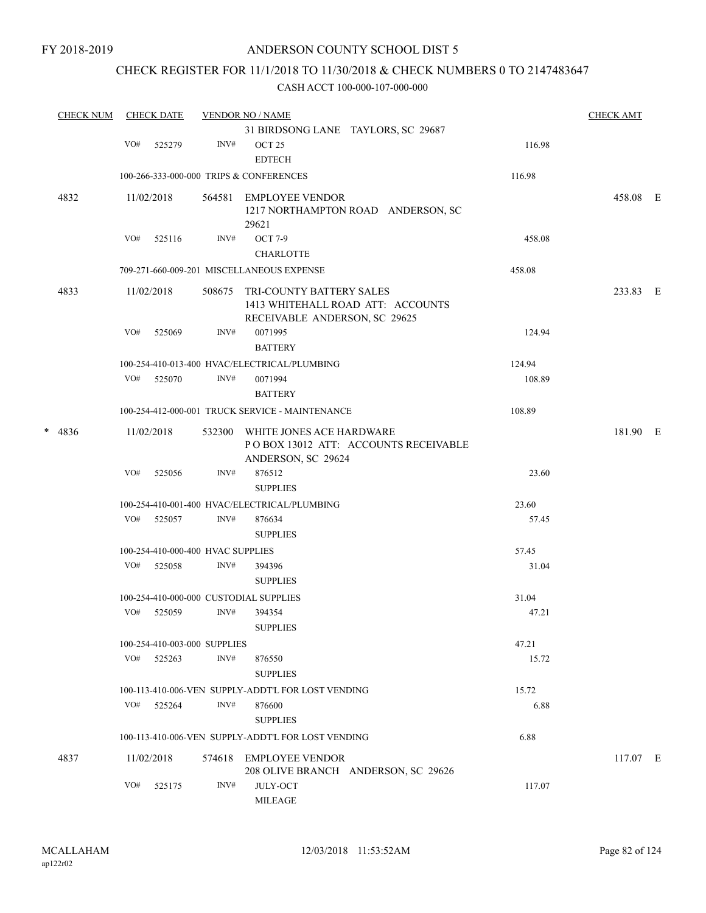# CHECK REGISTER FOR 11/1/2018 TO 11/30/2018 & CHECK NUMBERS 0 TO 2147483647

|   | <b>CHECK NUM</b> |     | <b>CHECK DATE</b> |                                   | <b>VENDOR NO / NAME</b>                                                                        |        | <b>CHECK AMT</b> |  |
|---|------------------|-----|-------------------|-----------------------------------|------------------------------------------------------------------------------------------------|--------|------------------|--|
|   |                  |     |                   |                                   | 31 BIRDSONG LANE TAYLORS, SC 29687                                                             |        |                  |  |
|   |                  | VO# | 525279            | INV#                              | OCT <sub>25</sub><br><b>EDTECH</b>                                                             | 116.98 |                  |  |
|   |                  |     |                   |                                   | 100-266-333-000-000 TRIPS & CONFERENCES                                                        | 116.98 |                  |  |
|   | 4832             |     | 11/02/2018        | 564581                            | EMPLOYEE VENDOR<br>1217 NORTHAMPTON ROAD ANDERSON, SC<br>29621                                 |        | 458.08 E         |  |
|   |                  | VO# | 525116            | INV#                              | <b>OCT 7-9</b>                                                                                 | 458.08 |                  |  |
|   |                  |     |                   |                                   | <b>CHARLOTTE</b>                                                                               |        |                  |  |
|   |                  |     |                   |                                   | 709-271-660-009-201 MISCELLANEOUS EXPENSE                                                      | 458.08 |                  |  |
|   | 4833             |     | 11/02/2018        | 508675                            | TRI-COUNTY BATTERY SALES<br>1413 WHITEHALL ROAD ATT: ACCOUNTS<br>RECEIVABLE ANDERSON, SC 29625 |        | 233.83 E         |  |
|   |                  | VO# | 525069            | INV#                              | 0071995<br><b>BATTERY</b>                                                                      | 124.94 |                  |  |
|   |                  |     |                   |                                   | 100-254-410-013-400 HVAC/ELECTRICAL/PLUMBING                                                   | 124.94 |                  |  |
|   |                  | VO# | 525070            | INV#                              | 0071994<br><b>BATTERY</b>                                                                      | 108.89 |                  |  |
|   |                  |     |                   |                                   | 100-254-412-000-001 TRUCK SERVICE - MAINTENANCE                                                | 108.89 |                  |  |
| * | 4836             |     | 11/02/2018        | 532300                            | WHITE JONES ACE HARDWARE<br>POBOX 13012 ATT: ACCOUNTS RECEIVABLE<br>ANDERSON, SC 29624         |        | 181.90 E         |  |
|   |                  | VO# | 525056            | INV#                              | 876512<br><b>SUPPLIES</b>                                                                      | 23.60  |                  |  |
|   |                  |     |                   |                                   | 100-254-410-001-400 HVAC/ELECTRICAL/PLUMBING                                                   | 23.60  |                  |  |
|   |                  | VO# | 525057            | INV#                              | 876634<br><b>SUPPLIES</b>                                                                      | 57.45  |                  |  |
|   |                  |     |                   | 100-254-410-000-400 HVAC SUPPLIES |                                                                                                | 57.45  |                  |  |
|   |                  | VO# | 525058            | INV#                              | 394396<br><b>SUPPLIES</b>                                                                      | 31.04  |                  |  |
|   |                  |     |                   |                                   | 100-254-410-000-000 CUSTODIAL SUPPLIES                                                         | 31.04  |                  |  |
|   |                  | VO# | 525059            | INV#                              | 394354<br><b>SUPPLIES</b>                                                                      | 47.21  |                  |  |
|   |                  |     |                   | 100-254-410-003-000 SUPPLIES      |                                                                                                | 47.21  |                  |  |
|   |                  | VO# | 525263            | INV#                              | 876550<br><b>SUPPLIES</b>                                                                      | 15.72  |                  |  |
|   |                  |     |                   |                                   | 100-113-410-006-VEN SUPPLY-ADDT'L FOR LOST VENDING                                             | 15.72  |                  |  |
|   |                  |     | VO# 525264        | INV#                              | 876600<br><b>SUPPLIES</b>                                                                      | 6.88   |                  |  |
|   |                  |     |                   |                                   | 100-113-410-006-VEN SUPPLY-ADDT'L FOR LOST VENDING                                             | 6.88   |                  |  |
|   | 4837             |     | 11/02/2018        |                                   | 574618 EMPLOYEE VENDOR<br>208 OLIVE BRANCH ANDERSON, SC 29626                                  |        | 117.07 E         |  |
|   |                  | VO# | 525175            | INV#                              | <b>JULY-OCT</b><br><b>MILEAGE</b>                                                              | 117.07 |                  |  |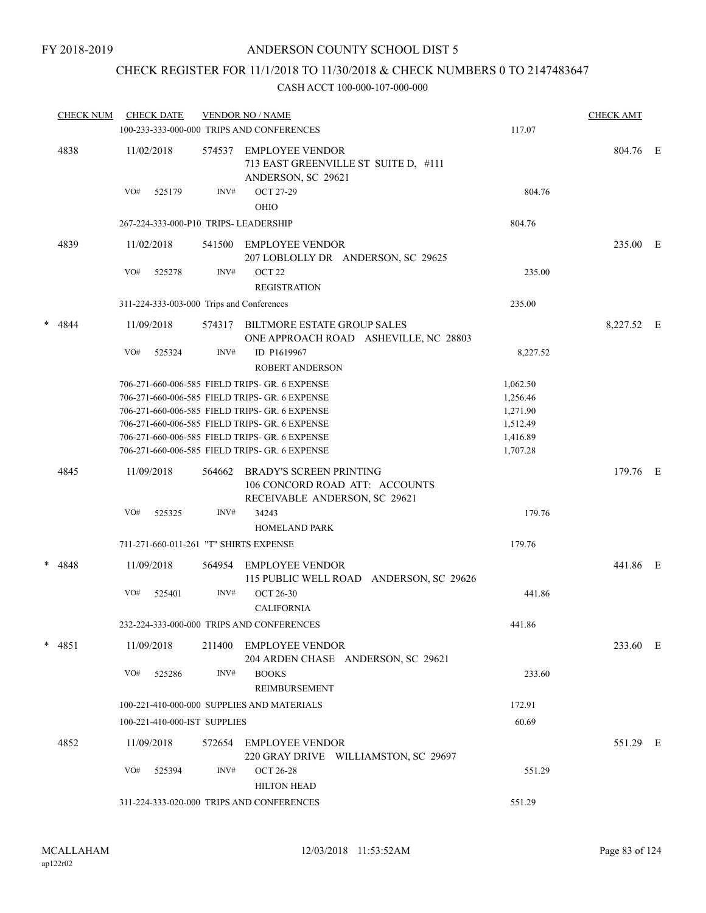# CHECK REGISTER FOR 11/1/2018 TO 11/30/2018 & CHECK NUMBERS 0 TO 2147483647

|   | <b>CHECK NUM</b> | <b>CHECK DATE</b>                         |        | <b>VENDOR NO / NAME</b><br>100-233-333-000-000 TRIPS AND CONFERENCES                              | 117.07               | <b>CHECK AMT</b> |  |
|---|------------------|-------------------------------------------|--------|---------------------------------------------------------------------------------------------------|----------------------|------------------|--|
|   | 4838             | 11/02/2018                                | 574537 | <b>EMPLOYEE VENDOR</b><br>713 EAST GREENVILLE ST SUITE D, #111<br>ANDERSON, SC 29621              |                      | 804.76 E         |  |
|   |                  | VO#<br>525179                             | INV#   | <b>OCT 27-29</b><br>OHIO                                                                          | 804.76               |                  |  |
|   |                  | 267-224-333-000-P10 TRIPS- LEADERSHIP     |        |                                                                                                   | 804.76               |                  |  |
|   | 4839             | 11/02/2018                                | 541500 | <b>EMPLOYEE VENDOR</b><br>207 LOBLOLLY DR ANDERSON, SC 29625                                      |                      | 235.00 E         |  |
|   |                  | VO#<br>525278                             | INV#   | OCT <sub>22</sub><br><b>REGISTRATION</b>                                                          | 235.00               |                  |  |
|   |                  | 311-224-333-003-000 Trips and Conferences |        |                                                                                                   | 235.00               |                  |  |
| * | 4844             | 11/09/2018                                |        | 574317 BILTMORE ESTATE GROUP SALES<br>ONE APPROACH ROAD ASHEVILLE, NC 28803                       |                      | 8,227.52 E       |  |
|   |                  | VO#<br>525324                             | INV#   | ID P1619967<br><b>ROBERT ANDERSON</b>                                                             | 8,227.52             |                  |  |
|   |                  |                                           |        | 706-271-660-006-585 FIELD TRIPS- GR. 6 EXPENSE                                                    | 1,062.50             |                  |  |
|   |                  |                                           |        | 706-271-660-006-585 FIELD TRIPS- GR. 6 EXPENSE                                                    | 1,256.46             |                  |  |
|   |                  |                                           |        | 706-271-660-006-585 FIELD TRIPS- GR. 6 EXPENSE                                                    | 1,271.90             |                  |  |
|   |                  |                                           |        | 706-271-660-006-585 FIELD TRIPS- GR. 6 EXPENSE<br>706-271-660-006-585 FIELD TRIPS- GR. 6 EXPENSE  | 1,512.49<br>1,416.89 |                  |  |
|   |                  |                                           |        | 706-271-660-006-585 FIELD TRIPS- GR. 6 EXPENSE                                                    | 1,707.28             |                  |  |
|   | 4845             | 11/09/2018                                | 564662 | <b>BRADY'S SCREEN PRINTING</b><br>106 CONCORD ROAD ATT: ACCOUNTS<br>RECEIVABLE ANDERSON, SC 29621 |                      | 179.76 E         |  |
|   |                  | VO#<br>525325                             | INV#   | 34243<br><b>HOMELAND PARK</b>                                                                     | 179.76               |                  |  |
|   |                  | 711-271-660-011-261 "T" SHIRTS EXPENSE    |        |                                                                                                   | 179.76               |                  |  |
|   | $* 4848$         | 11/09/2018                                | 564954 | <b>EMPLOYEE VENDOR</b>                                                                            |                      | 441.86 E         |  |
|   |                  |                                           |        | 115 PUBLIC WELL ROAD ANDERSON, SC 29626                                                           |                      |                  |  |
|   |                  | VO#<br>525401                             | INV#   | <b>OCT 26-30</b><br><b>CALIFORNIA</b>                                                             | 441.86               |                  |  |
|   |                  |                                           |        | 232-224-333-000-000 TRIPS AND CONFERENCES                                                         | 441.86               |                  |  |
|   | $* 4851$         | 11/09/2018                                | 211400 | EMPLOYEE VENDOR<br>204 ARDEN CHASE ANDERSON, SC 29621                                             |                      | 233.60 E         |  |
|   |                  | VO#<br>525286                             | INV#   | <b>BOOKS</b><br>REIMBURSEMENT                                                                     | 233.60               |                  |  |
|   |                  |                                           |        | 100-221-410-000-000 SUPPLIES AND MATERIALS                                                        | 172.91               |                  |  |
|   |                  | 100-221-410-000-IST SUPPLIES              |        |                                                                                                   | 60.69                |                  |  |
|   | 4852             | 11/09/2018                                |        | 572654 EMPLOYEE VENDOR<br>220 GRAY DRIVE WILLIAMSTON, SC 29697                                    |                      | 551.29 E         |  |
|   |                  | VO#<br>525394                             | INV#   | <b>OCT 26-28</b><br><b>HILTON HEAD</b>                                                            | 551.29               |                  |  |
|   |                  |                                           |        | 311-224-333-020-000 TRIPS AND CONFERENCES                                                         | 551.29               |                  |  |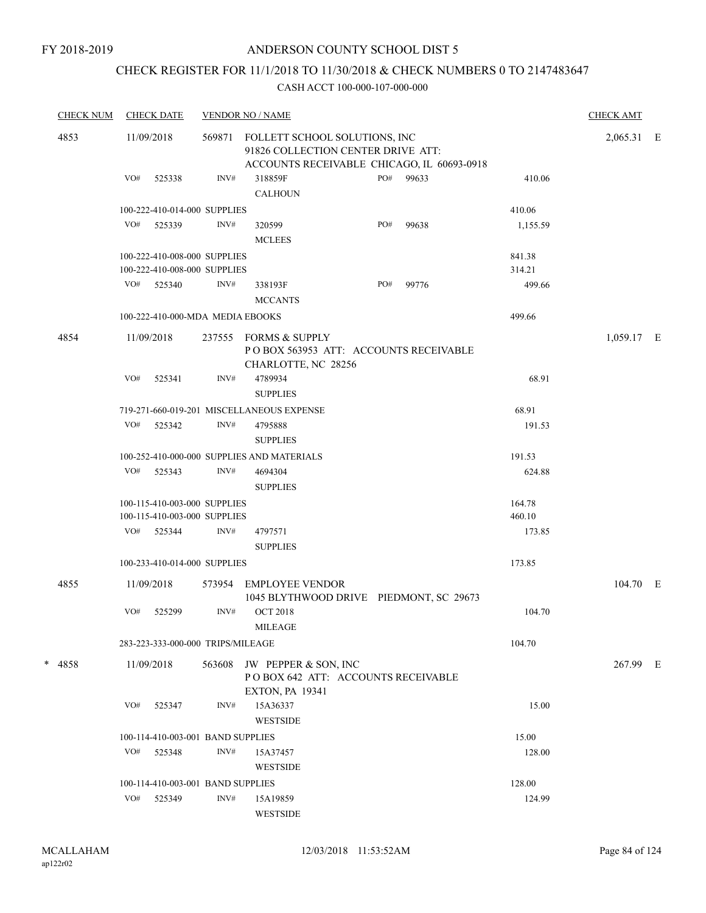# CHECK REGISTER FOR 11/1/2018 TO 11/30/2018 & CHECK NUMBERS 0 TO 2147483647

| <b>CHECK NUM</b> |     | <b>CHECK DATE</b>                                            |        | <b>VENDOR NO / NAME</b>                                                                                           |     |       |                  | <b>CHECK AMT</b> |  |
|------------------|-----|--------------------------------------------------------------|--------|-------------------------------------------------------------------------------------------------------------------|-----|-------|------------------|------------------|--|
| 4853             |     | 11/09/2018                                                   | 569871 | FOLLETT SCHOOL SOLUTIONS, INC<br>91826 COLLECTION CENTER DRIVE ATT:<br>ACCOUNTS RECEIVABLE CHICAGO, IL 60693-0918 |     |       |                  | 2,065.31 E       |  |
|                  | VO# | 525338                                                       | INV#   | 318859F                                                                                                           | PO# | 99633 | 410.06           |                  |  |
|                  |     |                                                              |        | <b>CALHOUN</b>                                                                                                    |     |       |                  |                  |  |
|                  |     | 100-222-410-014-000 SUPPLIES                                 |        |                                                                                                                   |     |       | 410.06           |                  |  |
|                  |     | VO# 525339                                                   | INV#   | 320599                                                                                                            | PO# | 99638 | 1,155.59         |                  |  |
|                  |     |                                                              |        | <b>MCLEES</b>                                                                                                     |     |       |                  |                  |  |
|                  |     | 100-222-410-008-000 SUPPLIES<br>100-222-410-008-000 SUPPLIES |        |                                                                                                                   |     |       | 841.38<br>314.21 |                  |  |
|                  |     | VO# 525340                                                   | INV#   | 338193F<br><b>MCCANTS</b>                                                                                         | PO# | 99776 | 499.66           |                  |  |
|                  |     |                                                              |        |                                                                                                                   |     |       | 499.66           |                  |  |
|                  |     | 100-222-410-000-MDA MEDIA EBOOKS                             |        |                                                                                                                   |     |       |                  |                  |  |
| 4854             |     | 11/09/2018                                                   |        | 237555 FORMS & SUPPLY<br>POBOX 563953 ATT: ACCOUNTS RECEIVABLE<br>CHARLOTTE, NC 28256                             |     |       |                  | 1,059.17 E       |  |
|                  | VO# | 525341                                                       | INV#   | 4789934                                                                                                           |     |       | 68.91            |                  |  |
|                  |     |                                                              |        | <b>SUPPLIES</b>                                                                                                   |     |       |                  |                  |  |
|                  |     |                                                              |        | 719-271-660-019-201 MISCELLANEOUS EXPENSE                                                                         |     |       | 68.91            |                  |  |
|                  | VO# | 525342                                                       | INV#   | 4795888                                                                                                           |     |       | 191.53           |                  |  |
|                  |     |                                                              |        | <b>SUPPLIES</b>                                                                                                   |     |       |                  |                  |  |
|                  |     |                                                              |        | 100-252-410-000-000 SUPPLIES AND MATERIALS                                                                        |     |       | 191.53           |                  |  |
|                  | VO# | 525343                                                       | INV#   | 4694304<br><b>SUPPLIES</b>                                                                                        |     |       | 624.88           |                  |  |
|                  |     | 100-115-410-003-000 SUPPLIES<br>100-115-410-003-000 SUPPLIES |        |                                                                                                                   |     |       | 164.78<br>460.10 |                  |  |
|                  |     | VO# 525344                                                   | INV#   | 4797571                                                                                                           |     |       | 173.85           |                  |  |
|                  |     |                                                              |        | <b>SUPPLIES</b>                                                                                                   |     |       |                  |                  |  |
|                  |     | 100-233-410-014-000 SUPPLIES                                 |        |                                                                                                                   |     |       | 173.85           |                  |  |
| 4855             |     | 11/09/2018                                                   | 573954 | <b>EMPLOYEE VENDOR</b><br>1045 BLYTHWOOD DRIVE PIEDMONT, SC 29673                                                 |     |       |                  | 104.70 E         |  |
|                  | VO# | 525299                                                       | INV#   | <b>OCT 2018</b><br>MILEAGE                                                                                        |     |       | 104.70           |                  |  |
|                  |     | 283-223-333-000-000 TRIPS/MILEAGE                            |        |                                                                                                                   |     |       | 104.70           |                  |  |
| * 4858           |     | 11/09/2018                                                   | 563608 | JW PEPPER & SON, INC<br>POBOX 642 ATT: ACCOUNTS RECEIVABLE<br><b>EXTON, PA 19341</b>                              |     |       |                  | 267.99 E         |  |
|                  | VO# | 525347                                                       | INV#   | 15A36337<br><b>WESTSIDE</b>                                                                                       |     |       | 15.00            |                  |  |
|                  |     | 100-114-410-003-001 BAND SUPPLIES                            |        |                                                                                                                   |     |       | 15.00            |                  |  |
|                  | VO# | 525348                                                       | INV#   | 15A37457                                                                                                          |     |       | 128.00           |                  |  |
|                  |     |                                                              |        | <b>WESTSIDE</b>                                                                                                   |     |       |                  |                  |  |
|                  |     | 100-114-410-003-001 BAND SUPPLIES                            |        |                                                                                                                   |     |       | 128.00           |                  |  |
|                  | VO# | 525349                                                       | INV#   | 15A19859                                                                                                          |     |       | 124.99           |                  |  |
|                  |     |                                                              |        | WESTSIDE                                                                                                          |     |       |                  |                  |  |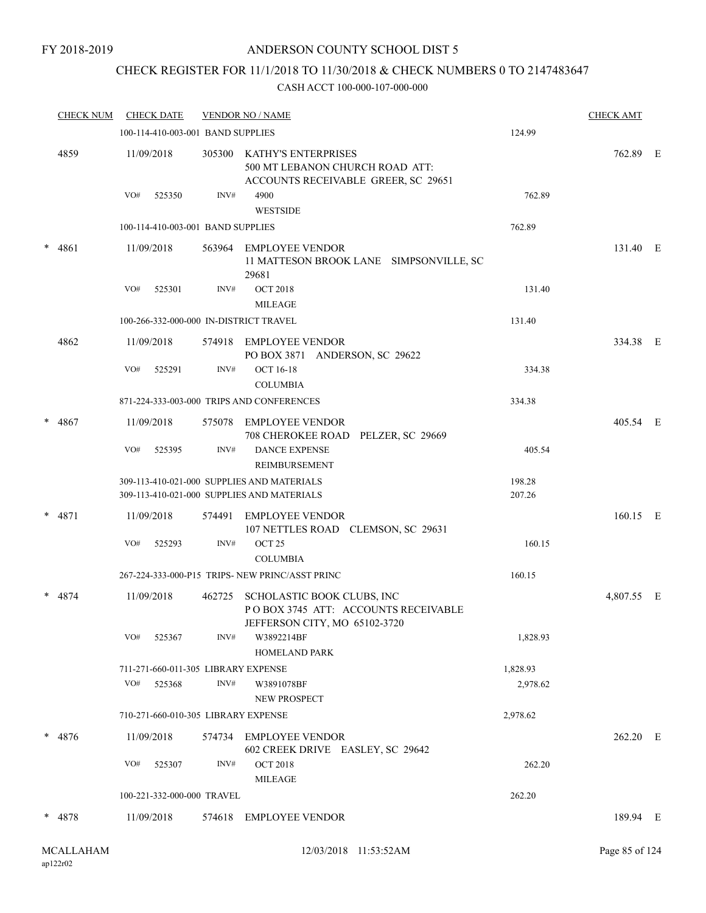### FY 2018-2019

# ANDERSON COUNTY SCHOOL DIST 5

# CHECK REGISTER FOR 11/1/2018 TO 11/30/2018 & CHECK NUMBERS 0 TO 2147483647

| <b>CHECK NUM</b> |     | <b>CHECK DATE</b> |                                   | <b>VENDOR NO / NAME</b>                                                                            |                  | <b>CHECK AMT</b> |  |
|------------------|-----|-------------------|-----------------------------------|----------------------------------------------------------------------------------------------------|------------------|------------------|--|
|                  |     |                   | 100-114-410-003-001 BAND SUPPLIES |                                                                                                    | 124.99           |                  |  |
| 4859             |     | 11/09/2018        | 305300                            | KATHY'S ENTERPRISES<br>500 MT LEBANON CHURCH ROAD ATT:<br>ACCOUNTS RECEIVABLE GREER, SC 29651      |                  | 762.89 E         |  |
|                  | VO# | 525350            | INV#                              | 4900<br><b>WESTSIDE</b>                                                                            | 762.89           |                  |  |
|                  |     |                   | 100-114-410-003-001 BAND SUPPLIES |                                                                                                    | 762.89           |                  |  |
| * 4861           |     | 11/09/2018        |                                   | 563964 EMPLOYEE VENDOR<br>11 MATTESON BROOK LANE SIMPSONVILLE, SC<br>29681                         |                  | 131.40 E         |  |
|                  | VO# | 525301            | INV#                              | <b>OCT 2018</b><br><b>MILEAGE</b>                                                                  | 131.40           |                  |  |
|                  |     |                   |                                   | 100-266-332-000-000 IN-DISTRICT TRAVEL                                                             | 131.40           |                  |  |
| 4862             |     | 11/09/2018        | 574918                            | EMPLOYEE VENDOR<br>PO BOX 3871 ANDERSON, SC 29622                                                  |                  | 334.38 E         |  |
|                  | VO# | 525291            | INV#                              | <b>OCT 16-18</b><br><b>COLUMBIA</b>                                                                | 334.38           |                  |  |
|                  |     |                   |                                   | 871-224-333-003-000 TRIPS AND CONFERENCES                                                          | 334.38           |                  |  |
| $* 4867$         |     | 11/09/2018        | 575078                            | EMPLOYEE VENDOR<br>708 CHEROKEE ROAD PELZER, SC 29669                                              |                  | 405.54 E         |  |
|                  | VO# | 525395            | INV#                              | <b>DANCE EXPENSE</b><br>REIMBURSEMENT                                                              | 405.54           |                  |  |
|                  |     |                   |                                   | 309-113-410-021-000 SUPPLIES AND MATERIALS<br>309-113-410-021-000 SUPPLIES AND MATERIALS           | 198.28<br>207.26 |                  |  |
| $* 4871$         |     | 11/09/2018        | 574491                            | <b>EMPLOYEE VENDOR</b><br>107 NETTLES ROAD CLEMSON, SC 29631                                       |                  | 160.15 E         |  |
|                  | VO# | 525293            | INV#                              | OCT <sub>25</sub><br><b>COLUMBIA</b>                                                               | 160.15           |                  |  |
|                  |     |                   |                                   | 267-224-333-000-P15 TRIPS- NEW PRINC/ASST PRINC                                                    | 160.15           |                  |  |
| $* 4874$         |     | 11/09/2018        | 462725                            | SCHOLASTIC BOOK CLUBS, INC<br>POBOX 3745 ATT: ACCOUNTS RECEIVABLE<br>JEFFERSON CITY, MO 65102-3720 |                  | 4,807.55 E       |  |
|                  | VO# | 525367            | INV#                              | W3892214BF<br>HOMELAND PARK                                                                        | 1,828.93         |                  |  |
|                  |     |                   |                                   | 711-271-660-011-305 LIBRARY EXPENSE                                                                | 1,828.93         |                  |  |
|                  | VO# | 525368            | INV#                              | W3891078BF<br>NEW PROSPECT                                                                         | 2,978.62         |                  |  |
|                  |     |                   |                                   | 710-271-660-010-305 LIBRARY EXPENSE                                                                | 2,978.62         |                  |  |
| $* 4876$         |     | 11/09/2018        |                                   | 574734 EMPLOYEE VENDOR<br>602 CREEK DRIVE EASLEY, SC 29642                                         |                  | 262.20 E         |  |
|                  | VO# | 525307            | INV#                              | <b>OCT 2018</b><br><b>MILEAGE</b>                                                                  | 262.20           |                  |  |
|                  |     |                   | 100-221-332-000-000 TRAVEL        |                                                                                                    | 262.20           |                  |  |
| * 4878           |     | 11/09/2018        |                                   | 574618 EMPLOYEE VENDOR                                                                             |                  | 189.94 E         |  |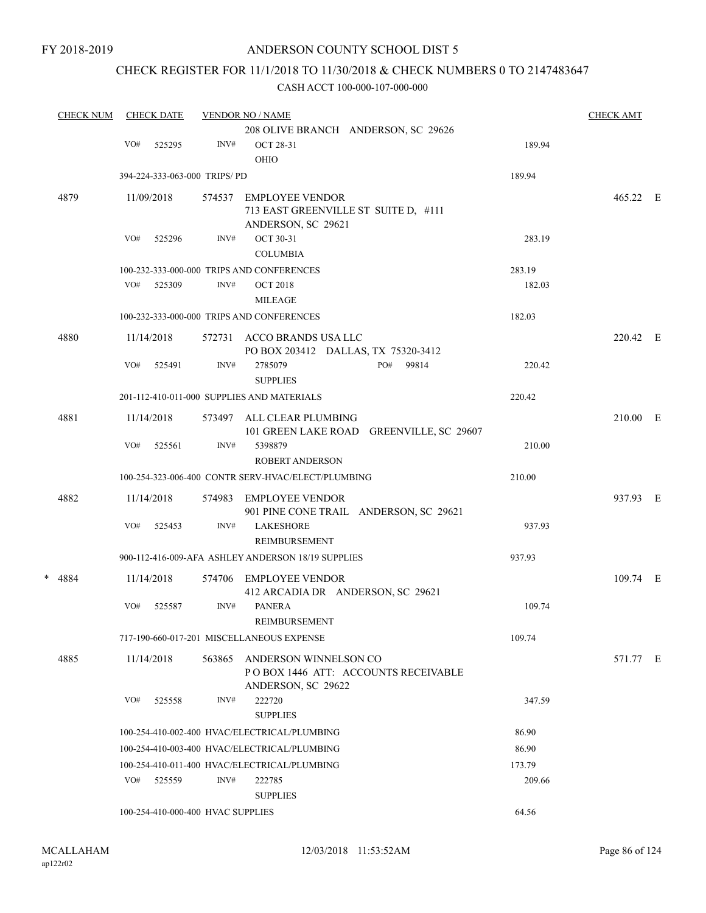# CHECK REGISTER FOR 11/1/2018 TO 11/30/2018 & CHECK NUMBERS 0 TO 2147483647

|   | <b>CHECK NUM</b> |     | <b>CHECK DATE</b>                 |        | <b>VENDOR NO / NAME</b>                            |        | <b>CHECK AMT</b> |  |
|---|------------------|-----|-----------------------------------|--------|----------------------------------------------------|--------|------------------|--|
|   |                  |     |                                   |        | 208 OLIVE BRANCH ANDERSON, SC 29626                |        |                  |  |
|   |                  | VO# | 525295                            | INV#   | <b>OCT 28-31</b>                                   | 189.94 |                  |  |
|   |                  |     |                                   |        | OHIO                                               |        |                  |  |
|   |                  |     | 394-224-333-063-000 TRIPS/PD      |        |                                                    | 189.94 |                  |  |
|   | 4879             |     | 11/09/2018                        | 574537 | <b>EMPLOYEE VENDOR</b>                             |        | 465.22 E         |  |
|   |                  |     |                                   |        | 713 EAST GREENVILLE ST SUITE D, #111               |        |                  |  |
|   |                  |     |                                   |        | ANDERSON, SC 29621                                 |        |                  |  |
|   |                  | VO# | 525296                            | INV#   | OCT 30-31                                          | 283.19 |                  |  |
|   |                  |     |                                   |        | <b>COLUMBIA</b>                                    |        |                  |  |
|   |                  |     |                                   |        | 100-232-333-000-000 TRIPS AND CONFERENCES          | 283.19 |                  |  |
|   |                  | VO# | 525309                            | INV#   | <b>OCT 2018</b>                                    | 182.03 |                  |  |
|   |                  |     |                                   |        | <b>MILEAGE</b>                                     |        |                  |  |
|   |                  |     |                                   |        | 100-232-333-000-000 TRIPS AND CONFERENCES          | 182.03 |                  |  |
|   | 4880             |     | 11/14/2018                        |        | 572731 ACCO BRANDS USA LLC                         |        | 220.42 E         |  |
|   |                  |     |                                   |        | PO BOX 203412 DALLAS, TX 75320-3412                |        |                  |  |
|   |                  | VO# | 525491                            | INV#   | PO#<br>99814<br>2785079                            | 220.42 |                  |  |
|   |                  |     |                                   |        | <b>SUPPLIES</b>                                    |        |                  |  |
|   |                  |     |                                   |        | 201-112-410-011-000 SUPPLIES AND MATERIALS         | 220.42 |                  |  |
|   | 4881             |     | 11/14/2018                        | 573497 | ALL CLEAR PLUMBING                                 |        | 210.00 E         |  |
|   |                  |     |                                   |        | 101 GREEN LAKE ROAD GREENVILLE, SC 29607           |        |                  |  |
|   |                  | VO# | 525561                            | INV#   | 5398879                                            | 210.00 |                  |  |
|   |                  |     |                                   |        | <b>ROBERT ANDERSON</b>                             |        |                  |  |
|   |                  |     |                                   |        | 100-254-323-006-400 CONTR SERV-HVAC/ELECT/PLUMBING | 210.00 |                  |  |
|   | 4882             |     | 11/14/2018                        | 574983 | EMPLOYEE VENDOR                                    |        | 937.93 E         |  |
|   |                  |     |                                   |        | 901 PINE CONE TRAIL ANDERSON, SC 29621             |        |                  |  |
|   |                  | VO# | 525453                            | INV#   | <b>LAKESHORE</b>                                   | 937.93 |                  |  |
|   |                  |     |                                   |        | <b>REIMBURSEMENT</b>                               |        |                  |  |
|   |                  |     |                                   |        | 900-112-416-009-AFA ASHLEY ANDERSON 18/19 SUPPLIES | 937.93 |                  |  |
| * | 4884             |     | 11/14/2018                        | 574706 | <b>EMPLOYEE VENDOR</b>                             |        | 109.74 E         |  |
|   |                  |     |                                   |        | 412 ARCADIA DR ANDERSON, SC 29621                  |        |                  |  |
|   |                  | VO# | 525587                            | INV#   | <b>PANERA</b>                                      | 109.74 |                  |  |
|   |                  |     |                                   |        | REIMBURSEMENT                                      |        |                  |  |
|   |                  |     |                                   |        | 717-190-660-017-201 MISCELLANEOUS EXPENSE          | 109.74 |                  |  |
|   | 4885             |     | 11/14/2018                        | 563865 | ANDERSON WINNELSON CO                              |        | 571.77 E         |  |
|   |                  |     |                                   |        | POBOX 1446 ATT: ACCOUNTS RECEIVABLE                |        |                  |  |
|   |                  |     |                                   |        | ANDERSON, SC 29622                                 |        |                  |  |
|   |                  | VO# | 525558                            | INV#   | 222720                                             | 347.59 |                  |  |
|   |                  |     |                                   |        | <b>SUPPLIES</b>                                    |        |                  |  |
|   |                  |     |                                   |        | 100-254-410-002-400 HVAC/ELECTRICAL/PLUMBING       | 86.90  |                  |  |
|   |                  |     |                                   |        | 100-254-410-003-400 HVAC/ELECTRICAL/PLUMBING       | 86.90  |                  |  |
|   |                  |     |                                   |        | 100-254-410-011-400 HVAC/ELECTRICAL/PLUMBING       | 173.79 |                  |  |
|   |                  | VO# | 525559                            | INV#   | 222785                                             | 209.66 |                  |  |
|   |                  |     |                                   |        | <b>SUPPLIES</b>                                    |        |                  |  |
|   |                  |     | 100-254-410-000-400 HVAC SUPPLIES |        |                                                    | 64.56  |                  |  |
|   |                  |     |                                   |        |                                                    |        |                  |  |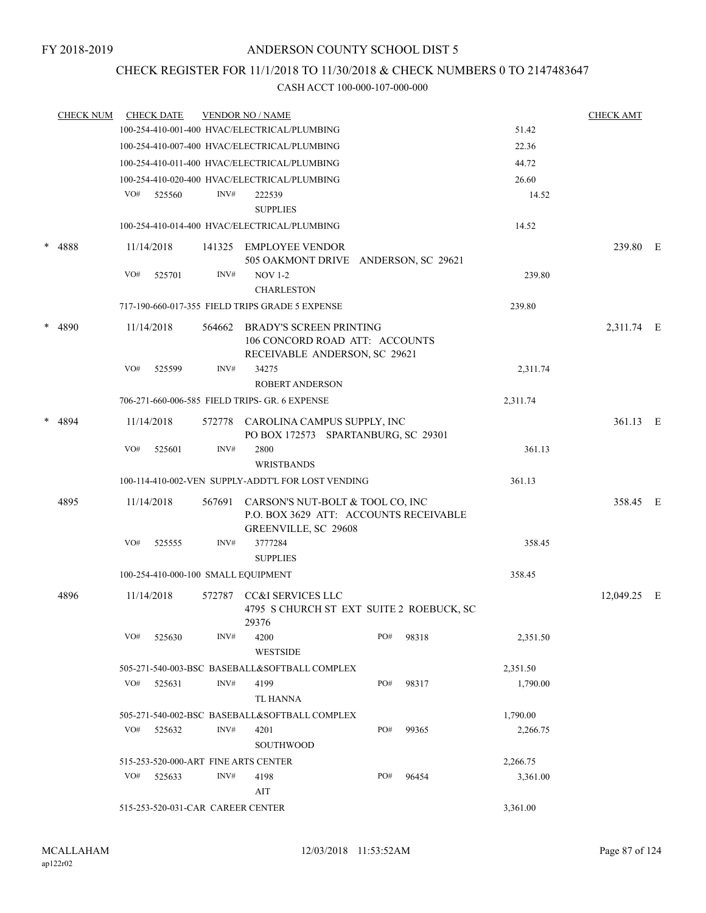# CHECK REGISTER FOR 11/1/2018 TO 11/30/2018 & CHECK NUMBERS 0 TO 2147483647

|        | <b>CHECK NUM</b> |     | <b>CHECK DATE</b>                 |        | <b>VENDOR NO / NAME</b>                                                                            |        |       |          | <b>CHECK AMT</b> |  |
|--------|------------------|-----|-----------------------------------|--------|----------------------------------------------------------------------------------------------------|--------|-------|----------|------------------|--|
|        |                  |     |                                   |        | 100-254-410-001-400 HVAC/ELECTRICAL/PLUMBING                                                       |        |       | 51.42    |                  |  |
|        |                  |     |                                   |        | 100-254-410-007-400 HVAC/ELECTRICAL/PLUMBING                                                       |        |       | 22.36    |                  |  |
|        |                  |     |                                   |        | 100-254-410-011-400 HVAC/ELECTRICAL/PLUMBING                                                       |        |       | 44.72    |                  |  |
|        |                  |     |                                   |        | 100-254-410-020-400 HVAC/ELECTRICAL/PLUMBING                                                       |        |       | 26.60    |                  |  |
|        |                  | VO# | 525560                            | INV#   | 222539                                                                                             |        |       | 14.52    |                  |  |
|        |                  |     |                                   |        | <b>SUPPLIES</b>                                                                                    |        |       |          |                  |  |
|        |                  |     |                                   |        | 100-254-410-014-400 HVAC/ELECTRICAL/PLUMBING                                                       |        |       | 14.52    |                  |  |
|        | * 4888           |     | 11/14/2018                        | 141325 | EMPLOYEE VENDOR<br>505 OAKMONT DRIVE ANDERSON, SC 29621                                            |        |       |          | 239.80 E         |  |
|        |                  | VO# | 525701                            | INV#   | <b>NOV 1-2</b><br><b>CHARLESTON</b>                                                                |        |       | 239.80   |                  |  |
|        |                  |     |                                   |        | 717-190-660-017-355 FIELD TRIPS GRADE 5 EXPENSE                                                    | 239.80 |       |          |                  |  |
|        |                  |     | 11/14/2018                        | 564662 | <b>BRADY'S SCREEN PRINTING</b>                                                                     |        |       |          | 2,311.74 E       |  |
| * 4890 |                  |     |                                   |        | 106 CONCORD ROAD ATT: ACCOUNTS<br>RECEIVABLE ANDERSON, SC 29621                                    |        |       |          |                  |  |
|        |                  | VO# | 525599                            | INV#   | 34275<br><b>ROBERT ANDERSON</b>                                                                    |        |       | 2,311.74 |                  |  |
|        |                  |     |                                   |        | 706-271-660-006-585 FIELD TRIPS- GR. 6 EXPENSE                                                     |        |       | 2,311.74 |                  |  |
|        |                  |     |                                   |        |                                                                                                    |        |       |          |                  |  |
|        | * 4894           |     | 11/14/2018                        | 572778 | CAROLINA CAMPUS SUPPLY, INC<br>PO BOX 172573 SPARTANBURG, SC 29301                                 |        |       |          | 361.13 E         |  |
|        |                  | VO# | 525601                            | INV#   | 2800                                                                                               |        |       | 361.13   |                  |  |
|        |                  |     |                                   |        | <b>WRISTBANDS</b>                                                                                  |        |       |          |                  |  |
|        |                  |     |                                   |        | 100-114-410-002-VEN SUPPLY-ADDT'L FOR LOST VENDING                                                 |        |       | 361.13   |                  |  |
|        | 4895             |     | 11/14/2018                        | 567691 | CARSON'S NUT-BOLT & TOOL CO, INC<br>P.O. BOX 3629 ATT: ACCOUNTS RECEIVABLE<br>GREENVILLE, SC 29608 |        |       | 358.45 E |                  |  |
|        |                  | VO# | 525555                            | INV#   | 3777284<br><b>SUPPLIES</b>                                                                         |        |       | 358.45   |                  |  |
|        |                  |     |                                   |        | 100-254-410-000-100 SMALL EQUIPMENT                                                                |        |       | 358.45   |                  |  |
|        |                  |     |                                   |        |                                                                                                    |        |       |          |                  |  |
|        | 4896             |     | 11/14/2018                        | 572787 | CC&I SERVICES LLC<br>4795 S CHURCH ST EXT SUITE 2 ROEBUCK, SC<br>29376                             |        |       |          | 12,049.25 E      |  |
|        |                  | VO# | 525630                            | INV#   | 4200<br><b>WESTSIDE</b>                                                                            | PO#    | 98318 | 2,351.50 |                  |  |
|        |                  |     |                                   |        | 505-271-540-003-BSC BASEBALL&SOFTBALL COMPLEX                                                      |        |       | 2,351.50 |                  |  |
|        |                  | VO# | 525631                            | INV#   | 4199<br>TL HANNA                                                                                   | PO#    | 98317 | 1,790.00 |                  |  |
|        |                  |     |                                   |        | 505-271-540-002-BSC BASEBALL&SOFTBALL COMPLEX                                                      |        |       | 1,790.00 |                  |  |
|        |                  |     | VO# 525632                        | INV#   | 4201                                                                                               | PO#    | 99365 | 2,266.75 |                  |  |
|        |                  |     |                                   |        | SOUTHWOOD                                                                                          |        |       |          |                  |  |
|        |                  |     |                                   |        | 515-253-520-000-ART FINE ARTS CENTER                                                               |        |       | 2,266.75 |                  |  |
|        |                  | VO# | 525633                            | INV#   | 4198                                                                                               | PO#    | 96454 | 3,361.00 |                  |  |
|        |                  |     |                                   |        | AIT                                                                                                |        |       |          |                  |  |
|        |                  |     | 515-253-520-031-CAR CAREER CENTER |        |                                                                                                    |        |       | 3,361.00 |                  |  |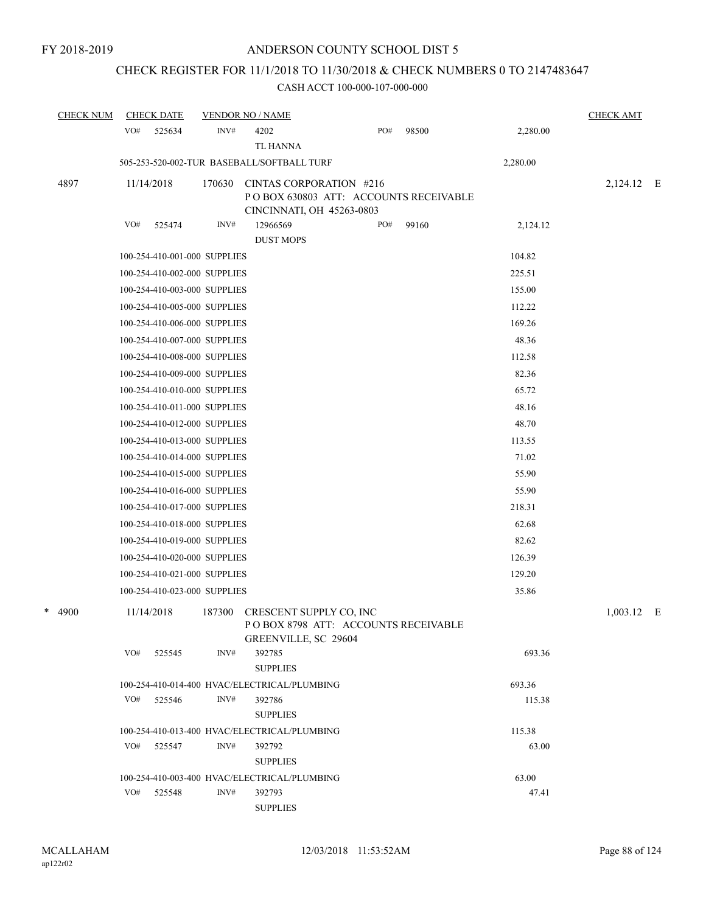# CHECK REGISTER FOR 11/1/2018 TO 11/30/2018 & CHECK NUMBERS 0 TO 2147483647

| <b>CHECK NUM</b> |     | <b>CHECK DATE</b>            |        | <b>VENDOR NO / NAME</b>                                                                        |     |       |          | <b>CHECK AMT</b> |  |
|------------------|-----|------------------------------|--------|------------------------------------------------------------------------------------------------|-----|-------|----------|------------------|--|
|                  | VO# | 525634                       | INV#   | 4202<br><b>TL HANNA</b>                                                                        | PO# | 98500 | 2,280.00 |                  |  |
|                  |     |                              |        | 505-253-520-002-TUR BASEBALL/SOFTBALL TURF                                                     |     |       | 2,280.00 |                  |  |
| 4897             |     | 11/14/2018                   | 170630 | CINTAS CORPORATION #216<br>PO BOX 630803 ATT: ACCOUNTS RECEIVABLE<br>CINCINNATI, OH 45263-0803 |     |       |          | 2,124.12 E       |  |
|                  | VO# | 525474                       | INV#   | 12966569                                                                                       | PO# | 99160 | 2,124.12 |                  |  |
|                  |     |                              |        | <b>DUST MOPS</b>                                                                               |     |       |          |                  |  |
|                  |     | 100-254-410-001-000 SUPPLIES |        |                                                                                                |     |       | 104.82   |                  |  |
|                  |     | 100-254-410-002-000 SUPPLIES |        |                                                                                                |     |       | 225.51   |                  |  |
|                  |     | 100-254-410-003-000 SUPPLIES |        |                                                                                                |     |       | 155.00   |                  |  |
|                  |     | 100-254-410-005-000 SUPPLIES |        |                                                                                                |     |       | 112.22   |                  |  |
|                  |     | 100-254-410-006-000 SUPPLIES |        |                                                                                                |     |       | 169.26   |                  |  |
|                  |     | 100-254-410-007-000 SUPPLIES |        |                                                                                                |     |       | 48.36    |                  |  |
|                  |     | 100-254-410-008-000 SUPPLIES |        |                                                                                                |     |       | 112.58   |                  |  |
|                  |     | 100-254-410-009-000 SUPPLIES |        |                                                                                                |     |       | 82.36    |                  |  |
|                  |     | 100-254-410-010-000 SUPPLIES |        |                                                                                                |     |       | 65.72    |                  |  |
|                  |     | 100-254-410-011-000 SUPPLIES |        |                                                                                                |     |       | 48.16    |                  |  |
|                  |     | 100-254-410-012-000 SUPPLIES |        |                                                                                                |     |       | 48.70    |                  |  |
|                  |     | 100-254-410-013-000 SUPPLIES |        |                                                                                                |     |       | 113.55   |                  |  |
|                  |     | 100-254-410-014-000 SUPPLIES |        |                                                                                                |     |       | 71.02    |                  |  |
|                  |     | 100-254-410-015-000 SUPPLIES |        |                                                                                                |     |       | 55.90    |                  |  |
|                  |     | 100-254-410-016-000 SUPPLIES |        |                                                                                                |     |       | 55.90    |                  |  |
|                  |     | 100-254-410-017-000 SUPPLIES |        |                                                                                                |     |       | 218.31   |                  |  |
|                  |     | 100-254-410-018-000 SUPPLIES |        |                                                                                                |     |       | 62.68    |                  |  |
|                  |     | 100-254-410-019-000 SUPPLIES |        |                                                                                                |     |       | 82.62    |                  |  |
|                  |     | 100-254-410-020-000 SUPPLIES |        |                                                                                                |     |       | 126.39   |                  |  |
|                  |     | 100-254-410-021-000 SUPPLIES |        |                                                                                                |     |       | 129.20   |                  |  |
|                  |     | 100-254-410-023-000 SUPPLIES |        |                                                                                                |     |       | 35.86    |                  |  |
| *<br>4900        |     | 11/14/2018                   | 187300 | CRESCENT SUPPLY CO, INC<br>POBOX 8798 ATT: ACCOUNTS RECEIVABLE<br>GREENVILLE, SC 29604         |     |       |          | $1,003.12$ E     |  |
|                  | VO# | 525545                       | INV#   | 392785<br><b>SUPPLIES</b>                                                                      |     |       | 693.36   |                  |  |
|                  |     |                              |        | 100-254-410-014-400 HVAC/ELECTRICAL/PLUMBING                                                   |     |       | 693.36   |                  |  |
|                  | VO# | 525546                       | INV#   | 392786<br><b>SUPPLIES</b>                                                                      |     |       | 115.38   |                  |  |
|                  |     |                              |        | 100-254-410-013-400 HVAC/ELECTRICAL/PLUMBING                                                   |     |       | 115.38   |                  |  |
|                  |     | VO# 525547                   | INV#   | 392792<br><b>SUPPLIES</b>                                                                      |     |       | 63.00    |                  |  |
|                  |     |                              |        | 100-254-410-003-400 HVAC/ELECTRICAL/PLUMBING                                                   |     |       | 63.00    |                  |  |
|                  | VO# | 525548                       | INV#   | 392793<br><b>SUPPLIES</b>                                                                      |     |       | 47.41    |                  |  |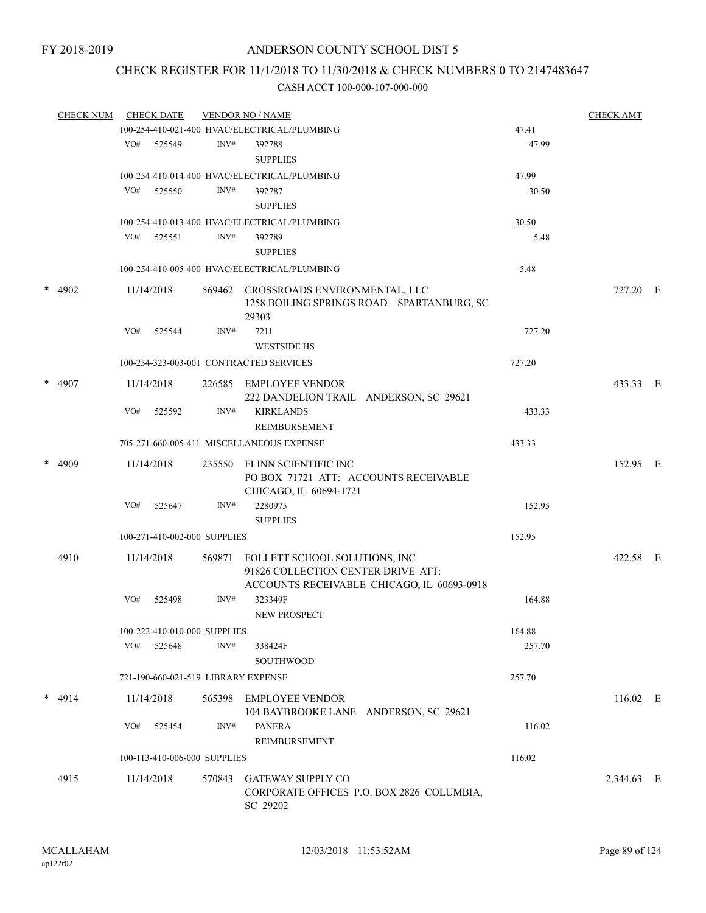# CHECK REGISTER FOR 11/1/2018 TO 11/30/2018 & CHECK NUMBERS 0 TO 2147483647

| <b>CHECK NUM</b> |     | <b>CHECK DATE</b> |                              | <b>VENDOR NO / NAME</b>                                                                        |                                            |        | <b>CHECK AMT</b> |  |
|------------------|-----|-------------------|------------------------------|------------------------------------------------------------------------------------------------|--------------------------------------------|--------|------------------|--|
|                  |     |                   |                              | 100-254-410-021-400 HVAC/ELECTRICAL/PLUMBING                                                   |                                            | 47.41  |                  |  |
|                  |     | VO# 525549        | INV#                         | 392788                                                                                         |                                            | 47.99  |                  |  |
|                  |     |                   |                              | <b>SUPPLIES</b>                                                                                |                                            |        |                  |  |
|                  |     |                   |                              | 100-254-410-014-400 HVAC/ELECTRICAL/PLUMBING                                                   |                                            | 47.99  |                  |  |
|                  | VO# | 525550            | INV#                         | 392787                                                                                         |                                            | 30.50  |                  |  |
|                  |     |                   |                              | <b>SUPPLIES</b>                                                                                |                                            |        |                  |  |
|                  |     |                   |                              | 100-254-410-013-400 HVAC/ELECTRICAL/PLUMBING                                                   |                                            | 30.50  |                  |  |
|                  | VO# | 525551            | INV#                         | 392789                                                                                         |                                            | 5.48   |                  |  |
|                  |     |                   |                              | <b>SUPPLIES</b>                                                                                |                                            |        |                  |  |
|                  |     |                   |                              | 100-254-410-005-400 HVAC/ELECTRICAL/PLUMBING                                                   |                                            | 5.48   |                  |  |
| * 4902           |     | 11/14/2018        |                              | 569462 CROSSROADS ENVIRONMENTAL, LLC<br>29303                                                  | 1258 BOILING SPRINGS ROAD SPARTANBURG, SC  |        | 727.20 E         |  |
|                  | VO# | 525544            | INV#                         | 7211                                                                                           |                                            | 727.20 |                  |  |
|                  |     |                   |                              | <b>WESTSIDE HS</b>                                                                             |                                            |        |                  |  |
|                  |     |                   |                              | 100-254-323-003-001 CONTRACTED SERVICES                                                        |                                            | 727.20 |                  |  |
| $*$ 4907         |     | 11/14/2018        |                              | 226585 EMPLOYEE VENDOR<br>222 DANDELION TRAIL ANDERSON, SC 29621                               |                                            |        | 433.33 E         |  |
|                  | VO# | 525592            | INV#                         | <b>KIRKLANDS</b><br>REIMBURSEMENT                                                              |                                            | 433.33 |                  |  |
|                  |     |                   |                              | 705-271-660-005-411 MISCELLANEOUS EXPENSE                                                      |                                            | 433.33 |                  |  |
|                  |     |                   |                              |                                                                                                |                                            |        |                  |  |
| $* 4909$         |     | 11/14/2018        |                              | 235550 FLINN SCIENTIFIC INC<br>PO BOX 71721 ATT: ACCOUNTS RECEIVABLE<br>CHICAGO, IL 60694-1721 |                                            |        | 152.95 E         |  |
|                  | VO# | 525647            | INV#                         | 2280975                                                                                        |                                            | 152.95 |                  |  |
|                  |     |                   |                              | <b>SUPPLIES</b>                                                                                |                                            |        |                  |  |
|                  |     |                   | 100-271-410-002-000 SUPPLIES |                                                                                                |                                            | 152.95 |                  |  |
| 4910             |     | 11/14/2018        |                              | 569871 FOLLETT SCHOOL SOLUTIONS, INC<br>91826 COLLECTION CENTER DRIVE ATT:                     |                                            |        | 422.58 E         |  |
|                  | VO# |                   | INV#                         | 323349F                                                                                        | ACCOUNTS RECEIVABLE CHICAGO, IL 60693-0918 | 164.88 |                  |  |
|                  |     | 525498            |                              | NEW PROSPECT                                                                                   |                                            |        |                  |  |
|                  |     |                   | 100-222-410-010-000 SUPPLIES |                                                                                                |                                            | 164.88 |                  |  |
|                  | VO# | 525648            | INV#                         | 338424F<br><b>SOUTHWOOD</b>                                                                    |                                            | 257.70 |                  |  |
|                  |     |                   |                              | 721-190-660-021-519 LIBRARY EXPENSE                                                            |                                            | 257.70 |                  |  |
| $* 4914$         |     | 11/14/2018        |                              | 565398 EMPLOYEE VENDOR<br>104 BAYBROOKE LANE ANDERSON, SC 29621                                |                                            |        | $116.02$ E       |  |
|                  | VO# | 525454            | INV#                         | <b>PANERA</b><br>REIMBURSEMENT                                                                 |                                            | 116.02 |                  |  |
|                  |     |                   | 100-113-410-006-000 SUPPLIES |                                                                                                |                                            | 116.02 |                  |  |
| 4915             |     | 11/14/2018        | 570843                       | <b>GATEWAY SUPPLY CO</b><br>SC 29202                                                           | CORPORATE OFFICES P.O. BOX 2826 COLUMBIA,  |        | 2,344.63 E       |  |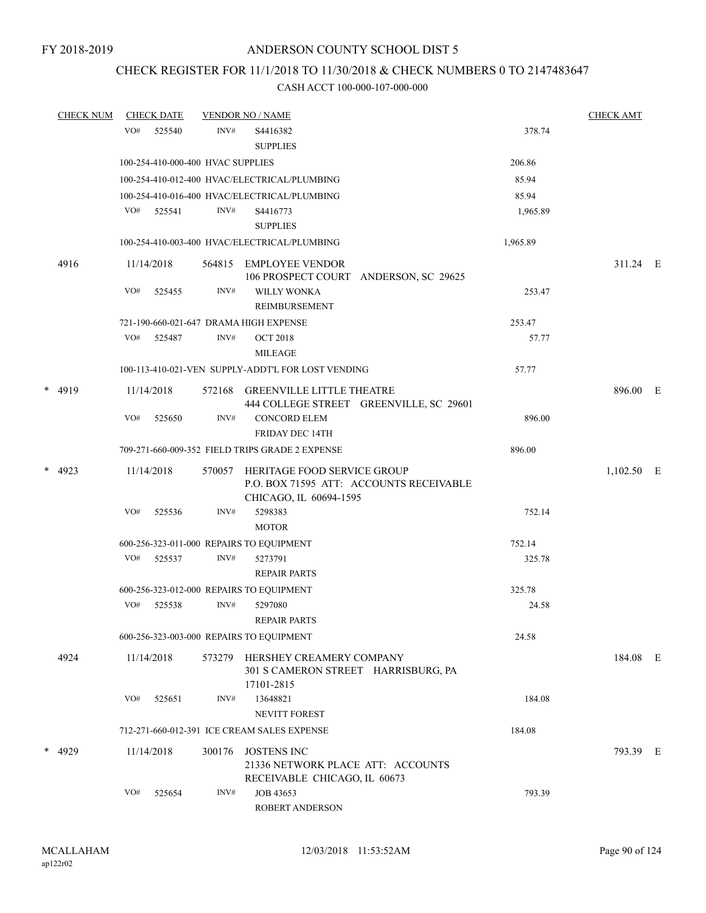# CHECK REGISTER FOR 11/1/2018 TO 11/30/2018 & CHECK NUMBERS 0 TO 2147483647

|   | <b>CHECK NUM</b> |     | <b>CHECK DATE</b> |                                   | <b>VENDOR NO / NAME</b>                                                                 |                                         |          | <b>CHECK AMT</b> |  |
|---|------------------|-----|-------------------|-----------------------------------|-----------------------------------------------------------------------------------------|-----------------------------------------|----------|------------------|--|
|   |                  | VO# | 525540            | INV#                              | S4416382                                                                                |                                         | 378.74   |                  |  |
|   |                  |     |                   |                                   | <b>SUPPLIES</b>                                                                         |                                         |          |                  |  |
|   |                  |     |                   | 100-254-410-000-400 HVAC SUPPLIES |                                                                                         |                                         | 206.86   |                  |  |
|   |                  |     |                   |                                   | 100-254-410-012-400 HVAC/ELECTRICAL/PLUMBING                                            |                                         | 85.94    |                  |  |
|   |                  |     |                   |                                   | 100-254-410-016-400 HVAC/ELECTRICAL/PLUMBING                                            |                                         | 85.94    |                  |  |
|   |                  |     | VO# 525541        | INV#                              | S4416773                                                                                |                                         | 1,965.89 |                  |  |
|   |                  |     |                   |                                   | <b>SUPPLIES</b>                                                                         |                                         |          |                  |  |
|   |                  |     |                   |                                   | 100-254-410-003-400 HVAC/ELECTRICAL/PLUMBING                                            |                                         | 1,965.89 |                  |  |
|   | 4916             |     | 11/14/2018        |                                   | 564815 EMPLOYEE VENDOR                                                                  | 106 PROSPECT COURT ANDERSON, SC 29625   |          | 311.24 E         |  |
|   |                  | VO# | 525455            | INV#                              | <b>WILLY WONKA</b><br><b>REIMBURSEMENT</b>                                              |                                         | 253.47   |                  |  |
|   |                  |     |                   |                                   | 721-190-660-021-647 DRAMA HIGH EXPENSE                                                  |                                         | 253.47   |                  |  |
|   |                  | VO# | 525487            | INV#                              | <b>OCT 2018</b><br><b>MILEAGE</b>                                                       |                                         | 57.77    |                  |  |
|   |                  |     |                   |                                   | 100-113-410-021-VEN SUPPLY-ADDT'L FOR LOST VENDING                                      |                                         | 57.77    |                  |  |
|   | * 4919           |     | 11/14/2018        | 572168                            | <b>GREENVILLE LITTLE THEATRE</b>                                                        | 444 COLLEGE STREET GREENVILLE, SC 29601 |          | 896.00 E         |  |
|   |                  | VO# | 525650            | INV#                              | <b>CONCORD ELEM</b><br><b>FRIDAY DEC 14TH</b>                                           |                                         | 896.00   |                  |  |
|   |                  |     |                   |                                   | 709-271-660-009-352 FIELD TRIPS GRADE 2 EXPENSE                                         |                                         | 896.00   |                  |  |
| * | 4923             |     | 11/14/2018        | 570057                            | HERITAGE FOOD SERVICE GROUP<br>CHICAGO, IL 60694-1595                                   | P.O. BOX 71595 ATT: ACCOUNTS RECEIVABLE |          | $1,102.50$ E     |  |
|   |                  | VO# | 525536            | INV#                              | 5298383<br><b>MOTOR</b>                                                                 |                                         | 752.14   |                  |  |
|   |                  |     |                   |                                   | 600-256-323-011-000 REPAIRS TO EQUIPMENT                                                |                                         | 752.14   |                  |  |
|   |                  | VO# | 525537            | INV#                              | 5273791<br><b>REPAIR PARTS</b>                                                          |                                         | 325.78   |                  |  |
|   |                  |     |                   |                                   | 600-256-323-012-000 REPAIRS TO EQUIPMENT                                                |                                         | 325.78   |                  |  |
|   |                  | VO# | 525538            | INV#                              | 5297080<br><b>REPAIR PARTS</b>                                                          |                                         | 24.58    |                  |  |
|   |                  |     |                   |                                   | 600-256-323-003-000 REPAIRS TO EQUIPMENT                                                |                                         | 24.58    |                  |  |
|   | 4924             |     | 11/14/2018        | 573279                            | HERSHEY CREAMERY COMPANY<br>301 S CAMERON STREET HARRISBURG, PA<br>17101-2815           |                                         |          | 184.08 E         |  |
|   |                  | VO# | 525651            | INV#                              | 13648821<br><b>NEVITT FOREST</b>                                                        |                                         | 184.08   |                  |  |
|   |                  |     |                   |                                   | 712-271-660-012-391 ICE CREAM SALES EXPENSE                                             |                                         | 184.08   |                  |  |
|   | * 4929           |     | 11/14/2018        | 300176                            | <b>JOSTENS INC</b><br>21336 NETWORK PLACE ATT: ACCOUNTS<br>RECEIVABLE CHICAGO, IL 60673 |                                         |          | 793.39 E         |  |
|   |                  | VO# | 525654            | INV#                              | JOB 43653<br>ROBERT ANDERSON                                                            |                                         | 793.39   |                  |  |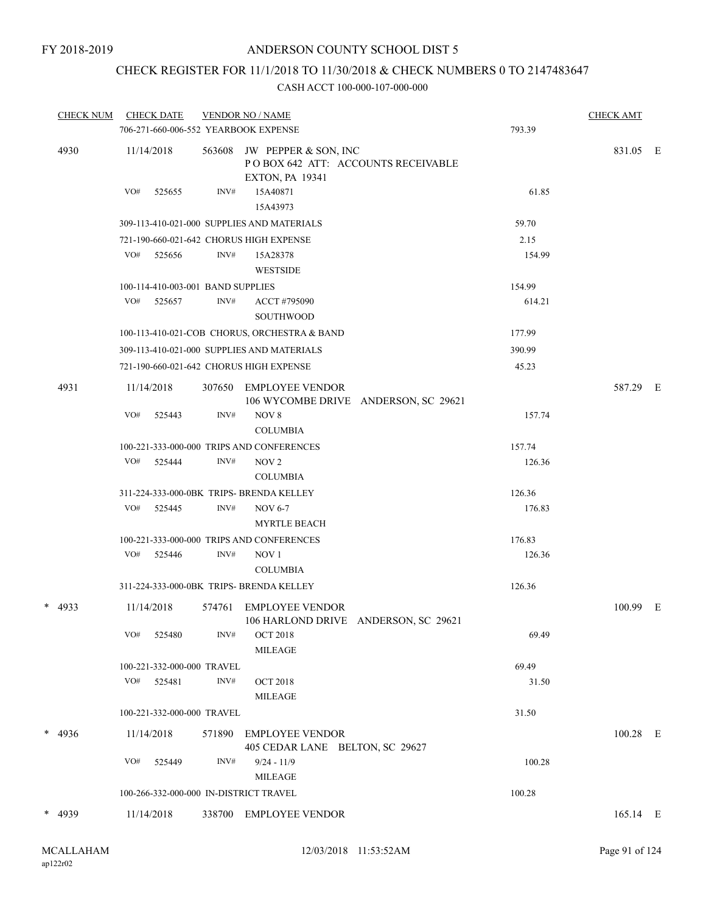# CHECK REGISTER FOR 11/1/2018 TO 11/30/2018 & CHECK NUMBERS 0 TO 2147483647

| <b>CHECK NUM</b> | <b>CHECK DATE</b><br>706-271-660-006-552 YEARBOOK EXPENSE |        | <b>VENDOR NO / NAME</b>                                                              | 793.39 | <b>CHECK AMT</b> |  |
|------------------|-----------------------------------------------------------|--------|--------------------------------------------------------------------------------------|--------|------------------|--|
| 4930             | 11/14/2018                                                | 563608 | JW PEPPER & SON, INC<br>POBOX 642 ATT: ACCOUNTS RECEIVABLE<br><b>EXTON, PA 19341</b> |        | 831.05 E         |  |
|                  | VO#<br>525655                                             | INV#   | 15A40871<br>15A43973                                                                 | 61.85  |                  |  |
|                  |                                                           |        | 309-113-410-021-000 SUPPLIES AND MATERIALS                                           | 59.70  |                  |  |
|                  | 721-190-660-021-642 CHORUS HIGH EXPENSE                   |        |                                                                                      | 2.15   |                  |  |
|                  | VO# 525656                                                | INV#   | 15A28378<br><b>WESTSIDE</b>                                                          | 154.99 |                  |  |
|                  | 100-114-410-003-001 BAND SUPPLIES                         |        |                                                                                      | 154.99 |                  |  |
|                  | VO#<br>525657                                             | INV#   | ACCT #795090<br>SOUTHWOOD                                                            | 614.21 |                  |  |
|                  |                                                           |        | 100-113-410-021-COB CHORUS, ORCHESTRA & BAND                                         | 177.99 |                  |  |
|                  |                                                           |        | 309-113-410-021-000 SUPPLIES AND MATERIALS                                           | 390.99 |                  |  |
|                  | 721-190-660-021-642 CHORUS HIGH EXPENSE                   |        |                                                                                      | 45.23  |                  |  |
| 4931             | 11/14/2018                                                | 307650 | EMPLOYEE VENDOR<br>106 WYCOMBE DRIVE ANDERSON, SC 29621                              |        | 587.29 E         |  |
|                  | VO#<br>525443                                             | INV#   | NOV 8<br><b>COLUMBIA</b>                                                             | 157.74 |                  |  |
|                  |                                                           |        | 100-221-333-000-000 TRIPS AND CONFERENCES                                            | 157.74 |                  |  |
|                  | VO# 525444                                                | INV#   | NOV <sub>2</sub><br><b>COLUMBIA</b>                                                  | 126.36 |                  |  |
|                  | 311-224-333-000-0BK TRIPS- BRENDA KELLEY                  |        |                                                                                      | 126.36 |                  |  |
|                  | VO#<br>525445                                             | INV#   | <b>NOV 6-7</b><br><b>MYRTLE BEACH</b>                                                | 176.83 |                  |  |
|                  |                                                           |        | 100-221-333-000-000 TRIPS AND CONFERENCES                                            | 176.83 |                  |  |
|                  | VO#<br>525446                                             | INV#   | NOV <sub>1</sub><br><b>COLUMBIA</b>                                                  | 126.36 |                  |  |
|                  | 311-224-333-000-0BK TRIPS- BRENDA KELLEY                  |        |                                                                                      | 126.36 |                  |  |
| $* 4933$         | 11/14/2018                                                | 574761 | <b>EMPLOYEE VENDOR</b><br>106 HARLOND DRIVE ANDERSON, SC 29621                       |        | 100.99 E         |  |
|                  | VO#<br>525480                                             | INV#   | <b>OCT 2018</b><br><b>MILEAGE</b>                                                    | 69.49  |                  |  |
|                  | 100-221-332-000-000 TRAVEL                                |        |                                                                                      | 69.49  |                  |  |
|                  | VO#<br>525481                                             | INV#   | <b>OCT 2018</b><br>MILEAGE                                                           | 31.50  |                  |  |
|                  | 100-221-332-000-000 TRAVEL                                |        |                                                                                      | 31.50  |                  |  |
| $* 4936$         | 11/14/2018                                                | 571890 | EMPLOYEE VENDOR<br>405 CEDAR LANE BELTON, SC 29627                                   |        | $100.28$ E       |  |
|                  | VO#<br>525449                                             | INV#   | $9/24 - 11/9$<br>MILEAGE                                                             | 100.28 |                  |  |
|                  | 100-266-332-000-000 IN-DISTRICT TRAVEL                    |        |                                                                                      | 100.28 |                  |  |
| * 4939           | 11/14/2018                                                |        | 338700 EMPLOYEE VENDOR                                                               |        | 165.14 E         |  |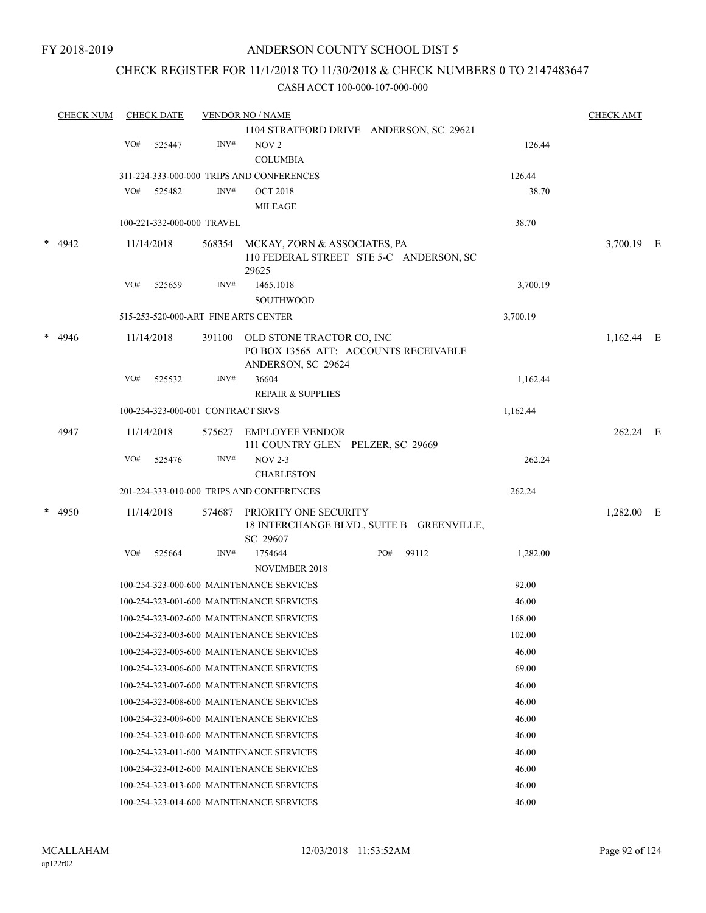# CHECK REGISTER FOR 11/1/2018 TO 11/30/2018 & CHECK NUMBERS 0 TO 2147483647

|        | <b>CHECK NUM</b> |     | <b>CHECK DATE</b>                    |        | <b>VENDOR NO / NAME</b>                                                                  |     |       |          | <b>CHECK AMT</b> |  |
|--------|------------------|-----|--------------------------------------|--------|------------------------------------------------------------------------------------------|-----|-------|----------|------------------|--|
|        |                  |     |                                      |        | 1104 STRATFORD DRIVE ANDERSON, SC 29621                                                  |     |       |          |                  |  |
|        |                  | VO# | 525447                               | INV#   | NOV <sub>2</sub>                                                                         |     |       | 126.44   |                  |  |
|        |                  |     |                                      |        | <b>COLUMBIA</b>                                                                          |     |       |          |                  |  |
|        |                  |     |                                      |        | 311-224-333-000-000 TRIPS AND CONFERENCES                                                |     |       | 126.44   |                  |  |
|        |                  | VO# | 525482                               | INV#   | <b>OCT 2018</b>                                                                          |     |       | 38.70    |                  |  |
|        |                  |     |                                      |        | <b>MILEAGE</b>                                                                           |     |       |          |                  |  |
|        |                  |     | 100-221-332-000-000 TRAVEL           |        |                                                                                          |     |       | 38.70    |                  |  |
| $\ast$ | 4942             |     | 11/14/2018                           | 568354 | MCKAY, ZORN & ASSOCIATES, PA<br>110 FEDERAL STREET STE 5-C ANDERSON, SC                  |     |       |          | 3,700.19 E       |  |
|        |                  |     |                                      |        | 29625                                                                                    |     |       |          |                  |  |
|        |                  | VO# | 525659                               | INV#   | 1465.1018                                                                                |     |       | 3,700.19 |                  |  |
|        |                  |     |                                      |        | <b>SOUTHWOOD</b>                                                                         |     |       |          |                  |  |
|        |                  |     | 515-253-520-000-ART FINE ARTS CENTER |        |                                                                                          |     |       | 3,700.19 |                  |  |
| $\ast$ | 4946             |     | 11/14/2018                           | 391100 | OLD STONE TRACTOR CO, INC<br>PO BOX 13565 ATT: ACCOUNTS RECEIVABLE<br>ANDERSON, SC 29624 |     |       |          | 1,162.44 E       |  |
|        |                  | VO# | 525532                               | INV#   | 36604<br><b>REPAIR &amp; SUPPLIES</b>                                                    |     |       | 1,162.44 |                  |  |
|        |                  |     | 100-254-323-000-001 CONTRACT SRVS    |        |                                                                                          |     |       | 1,162.44 |                  |  |
|        |                  |     |                                      |        |                                                                                          |     |       |          |                  |  |
|        | 4947             |     | 11/14/2018                           | 575627 | <b>EMPLOYEE VENDOR</b><br>111 COUNTRY GLEN PELZER, SC 29669                              |     |       |          | 262.24 E         |  |
|        |                  | VO# | 525476                               | INV#   | <b>NOV 2-3</b>                                                                           |     |       | 262.24   |                  |  |
|        |                  |     |                                      |        | <b>CHARLESTON</b>                                                                        |     |       |          |                  |  |
|        |                  |     |                                      |        | 201-224-333-010-000 TRIPS AND CONFERENCES                                                |     |       | 262.24   |                  |  |
|        | * 4950           |     | 11/14/2018                           | 574687 | PRIORITY ONE SECURITY<br>18 INTERCHANGE BLVD., SUITE B GREENVILLE,<br>SC 29607           |     |       |          | 1,282.00 E       |  |
|        |                  | VO# | 525664                               | INV#   | 1754644<br><b>NOVEMBER 2018</b>                                                          | PO# | 99112 | 1,282.00 |                  |  |
|        |                  |     |                                      |        | 100-254-323-000-600 MAINTENANCE SERVICES                                                 |     |       | 92.00    |                  |  |
|        |                  |     |                                      |        | 100-254-323-001-600 MAINTENANCE SERVICES                                                 |     |       | 46.00    |                  |  |
|        |                  |     |                                      |        | 100-254-323-002-600 MAINTENANCE SERVICES                                                 |     |       | 168.00   |                  |  |
|        |                  |     |                                      |        | 100-254-323-003-600 MAINTENANCE SERVICES                                                 |     |       | 102.00   |                  |  |
|        |                  |     |                                      |        | 100-254-323-005-600 MAINTENANCE SERVICES                                                 |     |       | 46.00    |                  |  |
|        |                  |     |                                      |        | 100-254-323-006-600 MAINTENANCE SERVICES                                                 |     |       | 69.00    |                  |  |
|        |                  |     |                                      |        | 100-254-323-007-600 MAINTENANCE SERVICES                                                 |     |       | 46.00    |                  |  |
|        |                  |     |                                      |        | 100-254-323-008-600 MAINTENANCE SERVICES                                                 |     |       |          |                  |  |
|        |                  |     |                                      |        |                                                                                          |     |       | 46.00    |                  |  |
|        |                  |     |                                      |        | 100-254-323-009-600 MAINTENANCE SERVICES                                                 |     |       | 46.00    |                  |  |
|        |                  |     |                                      |        | 100-254-323-010-600 MAINTENANCE SERVICES                                                 |     |       | 46.00    |                  |  |
|        |                  |     |                                      |        | 100-254-323-011-600 MAINTENANCE SERVICES                                                 |     |       | 46.00    |                  |  |
|        |                  |     |                                      |        | 100-254-323-012-600 MAINTENANCE SERVICES                                                 |     |       | 46.00    |                  |  |
|        |                  |     |                                      |        | 100-254-323-013-600 MAINTENANCE SERVICES                                                 |     |       | 46.00    |                  |  |
|        |                  |     |                                      |        | 100-254-323-014-600 MAINTENANCE SERVICES                                                 |     |       | 46.00    |                  |  |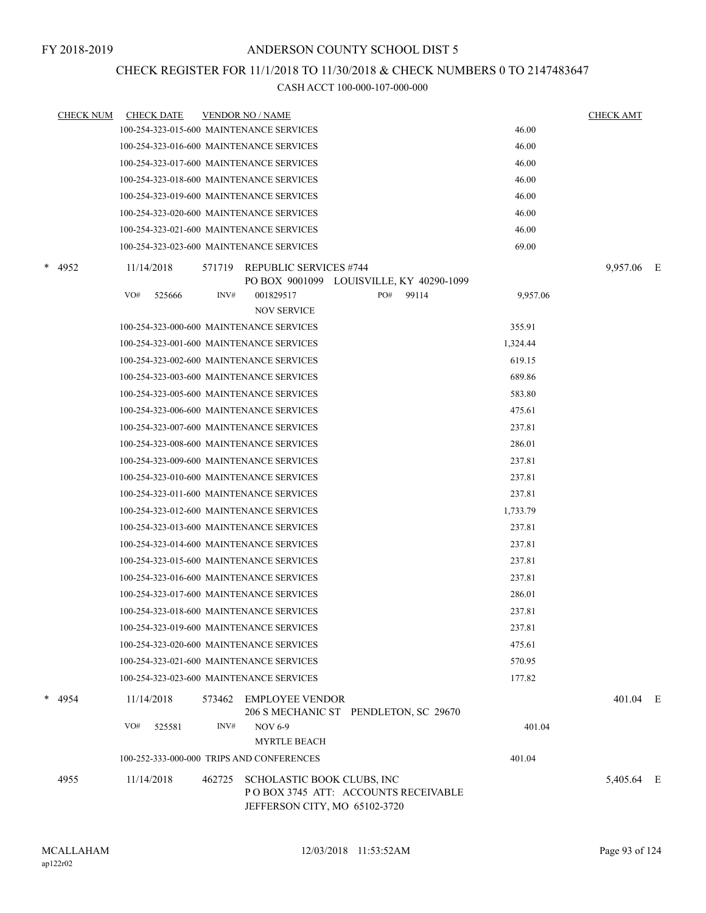# CHECK REGISTER FOR 11/1/2018 TO 11/30/2018 & CHECK NUMBERS 0 TO 2147483647

|   | <b>CHECK NUM</b> |            | <b>CHECK DATE</b> |        | <b>VENDOR NO / NAME</b>                   |                                                                      |          | <b>CHECK AMT</b> |  |
|---|------------------|------------|-------------------|--------|-------------------------------------------|----------------------------------------------------------------------|----------|------------------|--|
|   |                  |            |                   |        | 100-254-323-015-600 MAINTENANCE SERVICES  |                                                                      | 46.00    |                  |  |
|   |                  |            |                   |        | 100-254-323-016-600 MAINTENANCE SERVICES  |                                                                      | 46.00    |                  |  |
|   |                  |            |                   |        | 100-254-323-017-600 MAINTENANCE SERVICES  |                                                                      | 46.00    |                  |  |
|   |                  |            |                   |        | 100-254-323-018-600 MAINTENANCE SERVICES  |                                                                      | 46.00    |                  |  |
|   |                  |            |                   |        | 100-254-323-019-600 MAINTENANCE SERVICES  |                                                                      | 46.00    |                  |  |
|   |                  |            |                   |        | 100-254-323-020-600 MAINTENANCE SERVICES  |                                                                      | 46.00    |                  |  |
|   |                  |            |                   |        | 100-254-323-021-600 MAINTENANCE SERVICES  |                                                                      | 46.00    |                  |  |
|   |                  |            |                   |        | 100-254-323-023-600 MAINTENANCE SERVICES  |                                                                      | 69.00    |                  |  |
|   | * 4952           | 11/14/2018 |                   |        | 571719 REPUBLIC SERVICES #744             | PO BOX 9001099 LOUISVILLE, KY 40290-1099                             |          | 9,957.06 E       |  |
|   |                  | VO#        | 525666            | INV#   | 001829517                                 | PO#<br>99114                                                         | 9,957.06 |                  |  |
|   |                  |            |                   |        | <b>NOV SERVICE</b>                        |                                                                      |          |                  |  |
|   |                  |            |                   |        | 100-254-323-000-600 MAINTENANCE SERVICES  |                                                                      | 355.91   |                  |  |
|   |                  |            |                   |        | 100-254-323-001-600 MAINTENANCE SERVICES  |                                                                      | 1,324.44 |                  |  |
|   |                  |            |                   |        | 100-254-323-002-600 MAINTENANCE SERVICES  |                                                                      | 619.15   |                  |  |
|   |                  |            |                   |        | 100-254-323-003-600 MAINTENANCE SERVICES  |                                                                      | 689.86   |                  |  |
|   |                  |            |                   |        | 100-254-323-005-600 MAINTENANCE SERVICES  |                                                                      | 583.80   |                  |  |
|   |                  |            |                   |        | 100-254-323-006-600 MAINTENANCE SERVICES  |                                                                      | 475.61   |                  |  |
|   |                  |            |                   |        | 100-254-323-007-600 MAINTENANCE SERVICES  |                                                                      | 237.81   |                  |  |
|   |                  |            |                   |        | 100-254-323-008-600 MAINTENANCE SERVICES  |                                                                      | 286.01   |                  |  |
|   |                  |            |                   |        | 100-254-323-009-600 MAINTENANCE SERVICES  |                                                                      | 237.81   |                  |  |
|   |                  |            |                   |        | 100-254-323-010-600 MAINTENANCE SERVICES  |                                                                      | 237.81   |                  |  |
|   |                  |            |                   |        | 100-254-323-011-600 MAINTENANCE SERVICES  |                                                                      | 237.81   |                  |  |
|   |                  |            |                   |        | 100-254-323-012-600 MAINTENANCE SERVICES  |                                                                      | 1,733.79 |                  |  |
|   |                  |            |                   |        | 100-254-323-013-600 MAINTENANCE SERVICES  |                                                                      | 237.81   |                  |  |
|   |                  |            |                   |        | 100-254-323-014-600 MAINTENANCE SERVICES  |                                                                      | 237.81   |                  |  |
|   |                  |            |                   |        | 100-254-323-015-600 MAINTENANCE SERVICES  |                                                                      | 237.81   |                  |  |
|   |                  |            |                   |        | 100-254-323-016-600 MAINTENANCE SERVICES  |                                                                      | 237.81   |                  |  |
|   |                  |            |                   |        | 100-254-323-017-600 MAINTENANCE SERVICES  |                                                                      | 286.01   |                  |  |
|   |                  |            |                   |        | 100-254-323-018-600 MAINTENANCE SERVICES  |                                                                      | 237.81   |                  |  |
|   |                  |            |                   |        | 100-254-323-019-600 MAINTENANCE SERVICES  |                                                                      | 237.81   |                  |  |
|   |                  |            |                   |        | 100-254-323-020-600 MAINTENANCE SERVICES  |                                                                      | 475.61   |                  |  |
|   |                  |            |                   |        | 100-254-323-021-600 MAINTENANCE SERVICES  |                                                                      | 570.95   |                  |  |
|   |                  |            |                   |        | 100-254-323-023-600 MAINTENANCE SERVICES  |                                                                      | 177.82   |                  |  |
| * | 4954             | 11/14/2018 |                   | 573462 | EMPLOYEE VENDOR                           | 206 S MECHANIC ST PENDLETON, SC 29670                                |          | 401.04 E         |  |
|   |                  | VO#        | 525581            | INV#   | <b>NOV 6-9</b>                            |                                                                      | 401.04   |                  |  |
|   |                  |            |                   |        | <b>MYRTLE BEACH</b>                       |                                                                      |          |                  |  |
|   |                  |            |                   |        | 100-252-333-000-000 TRIPS AND CONFERENCES |                                                                      | 401.04   |                  |  |
|   | 4955             | 11/14/2018 |                   | 462725 | SCHOLASTIC BOOK CLUBS, INC                | POBOX 3745 ATT: ACCOUNTS RECEIVABLE<br>JEFFERSON CITY, MO 65102-3720 |          | 5,405.64 E       |  |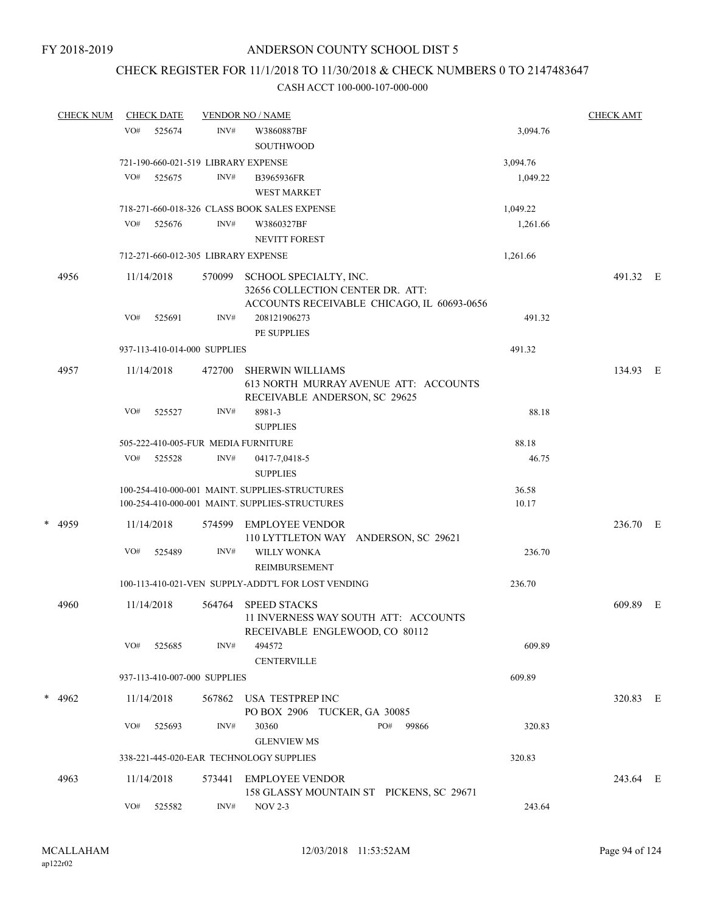# CHECK REGISTER FOR 11/1/2018 TO 11/30/2018 & CHECK NUMBERS 0 TO 2147483647

| <b>CHECK NUM</b> |     | <b>CHECK DATE</b> |                              | <b>VENDOR NO / NAME</b>                                                                                  |                | <b>CHECK AMT</b> |  |
|------------------|-----|-------------------|------------------------------|----------------------------------------------------------------------------------------------------------|----------------|------------------|--|
|                  | VO# | 525674            | INV#                         | W3860887BF<br><b>SOUTHWOOD</b>                                                                           | 3,094.76       |                  |  |
|                  |     |                   |                              | 721-190-660-021-519 LIBRARY EXPENSE                                                                      | 3,094.76       |                  |  |
|                  | VO# | 525675            | INV#                         | B3965936FR<br><b>WEST MARKET</b>                                                                         | 1,049.22       |                  |  |
|                  |     |                   |                              | 718-271-660-018-326 CLASS BOOK SALES EXPENSE                                                             | 1,049.22       |                  |  |
|                  | VO# | 525676            | INV#                         | W3860327BF<br><b>NEVITT FOREST</b>                                                                       | 1,261.66       |                  |  |
|                  |     |                   |                              | 712-271-660-012-305 LIBRARY EXPENSE                                                                      | 1,261.66       |                  |  |
| 4956             |     | 11/14/2018        | 570099                       | SCHOOL SPECIALTY, INC.<br>32656 COLLECTION CENTER DR. ATT:<br>ACCOUNTS RECEIVABLE CHICAGO, IL 60693-0656 |                | 491.32 E         |  |
|                  | VO# | 525691            | INV#                         | 208121906273<br><b>PE SUPPLIES</b>                                                                       | 491.32         |                  |  |
|                  |     |                   | 937-113-410-014-000 SUPPLIES |                                                                                                          | 491.32         |                  |  |
| 4957             |     | 11/14/2018        | 472700                       | <b>SHERWIN WILLIAMS</b><br>613 NORTH MURRAY AVENUE ATT: ACCOUNTS<br>RECEIVABLE ANDERSON, SC 29625        |                | 134.93 E         |  |
|                  | VO# | 525527            | INV#                         | 8981-3<br><b>SUPPLIES</b>                                                                                | 88.18          |                  |  |
|                  |     |                   |                              | 505-222-410-005-FUR MEDIA FURNITURE                                                                      | 88.18          |                  |  |
|                  | VO# | 525528            | INV#                         | 0417-7,0418-5<br><b>SUPPLIES</b>                                                                         | 46.75          |                  |  |
|                  |     |                   |                              | 100-254-410-000-001 MAINT. SUPPLIES-STRUCTURES<br>100-254-410-000-001 MAINT. SUPPLIES-STRUCTURES         | 36.58<br>10.17 |                  |  |
| * 4959           |     | 11/14/2018        | 574599                       | EMPLOYEE VENDOR<br>110 LYTTLETON WAY ANDERSON, SC 29621                                                  |                | 236.70 E         |  |
|                  | VO# | 525489            | INV#                         | <b>WILLY WONKA</b><br><b>REIMBURSEMENT</b>                                                               | 236.70         |                  |  |
|                  |     |                   |                              | 100-113-410-021-VEN SUPPLY-ADDT'L FOR LOST VENDING                                                       | 236.70         |                  |  |
| 4960             |     | 11/14/2018        | 564764                       | <b>SPEED STACKS</b><br>11 INVERNESS WAY SOUTH ATT: ACCOUNTS<br>RECEIVABLE ENGLEWOOD, CO 80112            |                | 609.89 E         |  |
|                  | VO# | 525685            | INV#                         | 494572<br><b>CENTERVILLE</b>                                                                             | 609.89         |                  |  |
|                  |     |                   | 937-113-410-007-000 SUPPLIES |                                                                                                          | 609.89         |                  |  |
| * $4962$         |     | 11/14/2018        | 567862                       | USA TESTPREP INC<br>PO BOX 2906 TUCKER, GA 30085                                                         |                | 320.83 E         |  |
|                  | VO# | 525693            | INV#                         | PO#<br>30360<br>99866<br><b>GLENVIEW MS</b>                                                              | 320.83         |                  |  |
|                  |     |                   |                              | 338-221-445-020-EAR TECHNOLOGY SUPPLIES                                                                  | 320.83         |                  |  |
| 4963             |     | 11/14/2018        | 573441                       | <b>EMPLOYEE VENDOR</b><br>158 GLASSY MOUNTAIN ST PICKENS, SC 29671                                       |                | 243.64 E         |  |
|                  | VO# | 525582            | INV#                         | $NOV 2-3$                                                                                                | 243.64         |                  |  |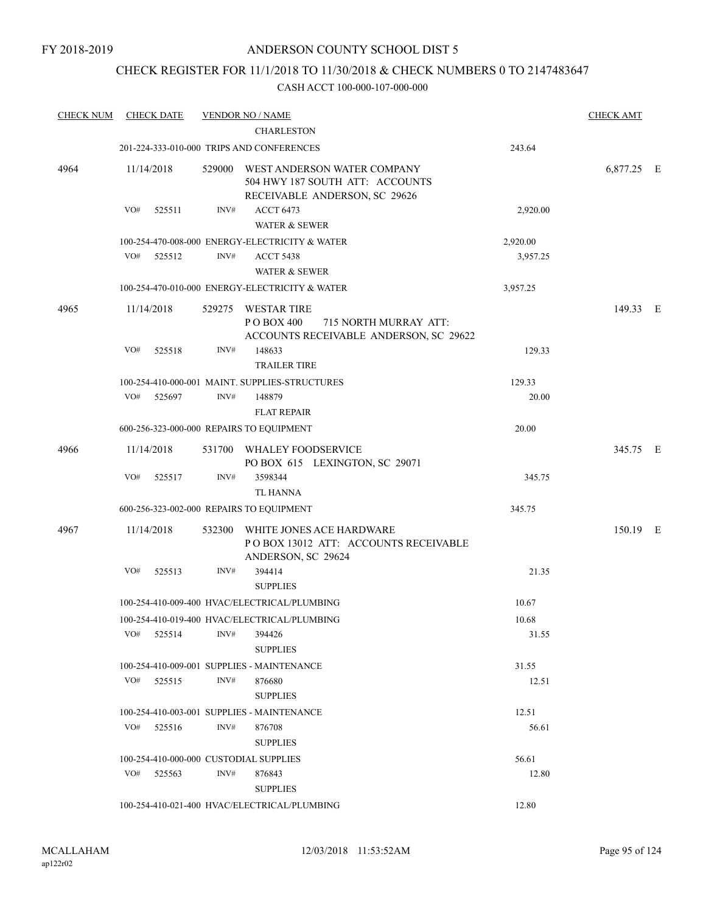# CHECK REGISTER FOR 11/1/2018 TO 11/30/2018 & CHECK NUMBERS 0 TO 2147483647

| <b>CHECK NUM</b> | <b>CHECK DATE</b>                      |      | <b>VENDOR NO / NAME</b>                                                                                |          | <b>CHECK AMT</b> |  |
|------------------|----------------------------------------|------|--------------------------------------------------------------------------------------------------------|----------|------------------|--|
|                  |                                        |      | <b>CHARLESTON</b>                                                                                      |          |                  |  |
|                  |                                        |      | 201-224-333-010-000 TRIPS AND CONFERENCES                                                              | 243.64   |                  |  |
| 4964             | 11/14/2018                             |      | 529000 WEST ANDERSON WATER COMPANY<br>504 HWY 187 SOUTH ATT: ACCOUNTS<br>RECEIVABLE ANDERSON, SC 29626 |          | 6,877.25 E       |  |
|                  | VO#<br>525511                          | INV# | <b>ACCT 6473</b><br><b>WATER &amp; SEWER</b>                                                           | 2,920.00 |                  |  |
|                  |                                        |      | 100-254-470-008-000 ENERGY-ELECTRICITY & WATER                                                         | 2,920.00 |                  |  |
|                  | VO#<br>525512                          | INV# | <b>ACCT 5438</b><br><b>WATER &amp; SEWER</b>                                                           | 3,957.25 |                  |  |
|                  |                                        |      | 100-254-470-010-000 ENERGY-ELECTRICITY & WATER                                                         | 3,957.25 |                  |  |
| 4965             | 11/14/2018                             |      | 529275 WESTAR TIRE<br>P O BOX 400<br>715 NORTH MURRAY ATT:<br>ACCOUNTS RECEIVABLE ANDERSON, SC 29622   |          | 149.33 E         |  |
|                  | VO#<br>525518                          | INV# | 148633<br><b>TRAILER TIRE</b>                                                                          | 129.33   |                  |  |
|                  |                                        |      | 100-254-410-000-001 MAINT. SUPPLIES-STRUCTURES                                                         | 129.33   |                  |  |
|                  | VO#<br>525697                          | INV# | 148879<br><b>FLAT REPAIR</b>                                                                           | 20.00    |                  |  |
|                  |                                        |      | 600-256-323-000-000 REPAIRS TO EQUIPMENT                                                               | 20.00    |                  |  |
| 4966             | 11/14/2018                             |      | 531700 WHALEY FOODSERVICE<br>PO BOX 615 LEXINGTON, SC 29071                                            |          | 345.75 E         |  |
|                  | VO#<br>525517                          | INV# | 3598344<br><b>TL HANNA</b>                                                                             | 345.75   |                  |  |
|                  |                                        |      | 600-256-323-002-000 REPAIRS TO EQUIPMENT                                                               | 345.75   |                  |  |
| 4967             | 11/14/2018                             |      | 532300 WHITE JONES ACE HARDWARE<br>POBOX 13012 ATT: ACCOUNTS RECEIVABLE<br>ANDERSON, SC 29624          |          | 150.19 E         |  |
|                  | VO#<br>525513                          | INV# | 394414<br><b>SUPPLIES</b>                                                                              | 21.35    |                  |  |
|                  |                                        |      | 100-254-410-009-400 HVAC/ELECTRICAL/PLUMBING                                                           | 10.67    |                  |  |
|                  |                                        |      | 100-254-410-019-400 HVAC/ELECTRICAL/PLUMBING                                                           | 10.68    |                  |  |
|                  | VO#<br>525514                          | INV# | 394426<br><b>SUPPLIES</b>                                                                              | 31.55    |                  |  |
|                  |                                        |      | 100-254-410-009-001 SUPPLIES - MAINTENANCE                                                             | 31.55    |                  |  |
|                  | VO#<br>525515                          | INV# | 876680<br><b>SUPPLIES</b>                                                                              | 12.51    |                  |  |
|                  |                                        |      | 100-254-410-003-001 SUPPLIES - MAINTENANCE                                                             | 12.51    |                  |  |
|                  | VO#<br>525516                          | INV# | 876708<br><b>SUPPLIES</b>                                                                              | 56.61    |                  |  |
|                  | 100-254-410-000-000 CUSTODIAL SUPPLIES |      |                                                                                                        | 56.61    |                  |  |
|                  | VO#<br>525563                          | INV# | 876843<br><b>SUPPLIES</b>                                                                              | 12.80    |                  |  |
|                  |                                        |      | 100-254-410-021-400 HVAC/ELECTRICAL/PLUMBING                                                           | 12.80    |                  |  |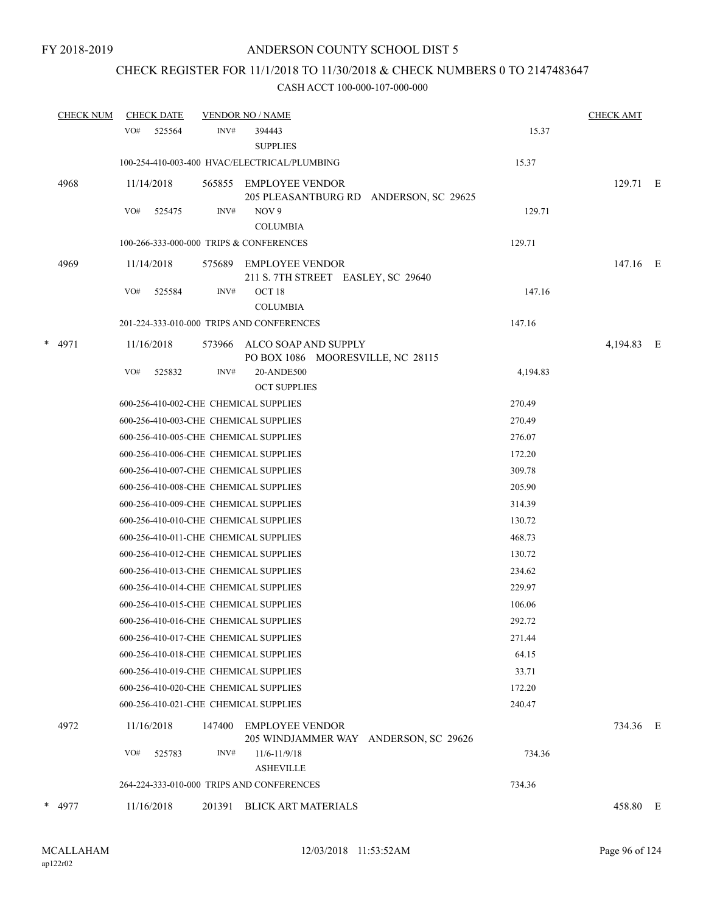# CHECK REGISTER FOR 11/1/2018 TO 11/30/2018 & CHECK NUMBERS 0 TO 2147483647

|   | <b>CHECK NUM</b> |     | <b>CHECK DATE</b> |        | <b>VENDOR NO / NAME</b>                                          |          | <b>CHECK AMT</b> |  |
|---|------------------|-----|-------------------|--------|------------------------------------------------------------------|----------|------------------|--|
|   |                  | VO# | 525564            | INV#   | 394443<br><b>SUPPLIES</b>                                        | 15.37    |                  |  |
|   |                  |     |                   |        | 100-254-410-003-400 HVAC/ELECTRICAL/PLUMBING                     | 15.37    |                  |  |
|   | 4968             |     | 11/14/2018        |        | 565855 EMPLOYEE VENDOR<br>205 PLEASANTBURG RD ANDERSON, SC 29625 |          | 129.71 E         |  |
|   |                  | VO# | 525475            | INV#   | NOV 9<br><b>COLUMBIA</b>                                         | 129.71   |                  |  |
|   |                  |     |                   |        | 100-266-333-000-000 TRIPS & CONFERENCES                          | 129.71   |                  |  |
|   | 4969             |     | 11/14/2018        | 575689 | <b>EMPLOYEE VENDOR</b><br>211 S. 7TH STREET EASLEY, SC 29640     |          | 147.16 E         |  |
|   |                  | VO# | 525584            | INV#   | OCT 18<br><b>COLUMBIA</b>                                        | 147.16   |                  |  |
|   |                  |     |                   |        | 201-224-333-010-000 TRIPS AND CONFERENCES                        | 147.16   |                  |  |
| * | 4971             |     | 11/16/2018        | 573966 | ALCO SOAP AND SUPPLY<br>PO BOX 1086 MOORESVILLE, NC 28115        |          | 4,194.83 E       |  |
|   |                  | VO# | 525832            | INV#   | 20-ANDE500<br><b>OCT SUPPLIES</b>                                | 4,194.83 |                  |  |
|   |                  |     |                   |        | 600-256-410-002-CHE CHEMICAL SUPPLIES                            | 270.49   |                  |  |
|   |                  |     |                   |        | 600-256-410-003-CHE CHEMICAL SUPPLIES                            | 270.49   |                  |  |
|   |                  |     |                   |        | 600-256-410-005-CHE CHEMICAL SUPPLIES                            | 276.07   |                  |  |
|   |                  |     |                   |        | 600-256-410-006-CHE CHEMICAL SUPPLIES                            | 172.20   |                  |  |
|   |                  |     |                   |        | 600-256-410-007-CHE CHEMICAL SUPPLIES                            | 309.78   |                  |  |
|   |                  |     |                   |        | 600-256-410-008-CHE CHEMICAL SUPPLIES                            | 205.90   |                  |  |
|   |                  |     |                   |        | 600-256-410-009-CHE CHEMICAL SUPPLIES                            | 314.39   |                  |  |
|   |                  |     |                   |        | 600-256-410-010-CHE CHEMICAL SUPPLIES                            | 130.72   |                  |  |
|   |                  |     |                   |        | 600-256-410-011-CHE CHEMICAL SUPPLIES                            | 468.73   |                  |  |
|   |                  |     |                   |        | 600-256-410-012-CHE CHEMICAL SUPPLIES                            | 130.72   |                  |  |
|   |                  |     |                   |        | 600-256-410-013-CHE CHEMICAL SUPPLIES                            | 234.62   |                  |  |
|   |                  |     |                   |        | 600-256-410-014-CHE CHEMICAL SUPPLIES                            | 229.97   |                  |  |
|   |                  |     |                   |        | 600-256-410-015-CHE CHEMICAL SUPPLIES                            | 106.06   |                  |  |
|   |                  |     |                   |        | 600-256-410-016-CHE CHEMICAL SUPPLIES                            | 292.72   |                  |  |
|   |                  |     |                   |        | 600-256-410-017-CHE CHEMICAL SUPPLIES                            | 271.44   |                  |  |
|   |                  |     |                   |        | 600-256-410-018-CHE CHEMICAL SUPPLIES                            | 64.15    |                  |  |
|   |                  |     |                   |        | 600-256-410-019-CHE CHEMICAL SUPPLIES                            | 33.71    |                  |  |
|   |                  |     |                   |        | 600-256-410-020-CHE CHEMICAL SUPPLIES                            | 172.20   |                  |  |
|   |                  |     |                   |        | 600-256-410-021-CHE CHEMICAL SUPPLIES                            | 240.47   |                  |  |
|   | 4972             |     | 11/16/2018        | 147400 | <b>EMPLOYEE VENDOR</b><br>205 WINDJAMMER WAY ANDERSON, SC 29626  |          | 734.36 E         |  |
|   |                  | VO# | 525783            | INV#   | 11/6-11/9/18<br><b>ASHEVILLE</b>                                 | 734.36   |                  |  |
|   |                  |     |                   |        | 264-224-333-010-000 TRIPS AND CONFERENCES                        | 734.36   |                  |  |
|   | * 4977           |     | 11/16/2018        |        | 201391 BLICK ART MATERIALS                                       |          | 458.80 E         |  |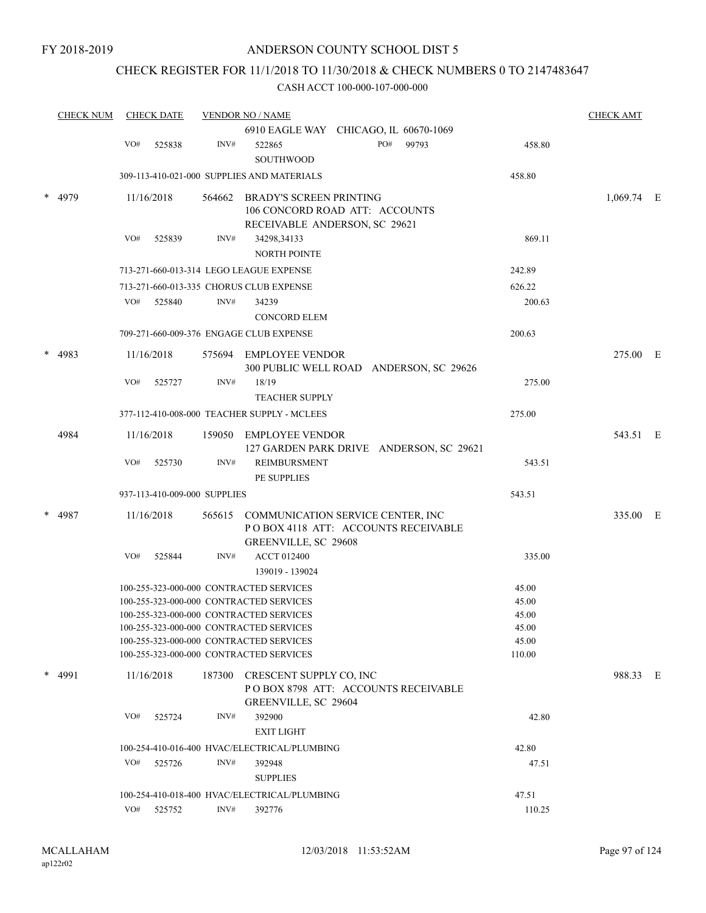# CHECK REGISTER FOR 11/1/2018 TO 11/30/2018 & CHECK NUMBERS 0 TO 2147483647

|   | <b>CHECK NUM</b> |     | <b>CHECK DATE</b>            |        | <b>VENDOR NO / NAME</b>                                                                          |       |                 | <b>CHECK AMT</b> |  |
|---|------------------|-----|------------------------------|--------|--------------------------------------------------------------------------------------------------|-------|-----------------|------------------|--|
|   |                  |     |                              |        | 6910 EAGLE WAY CHICAGO, IL 60670-1069                                                            |       |                 |                  |  |
|   |                  | VO# | 525838                       | INV#   | PO#<br>522865                                                                                    | 99793 | 458.80          |                  |  |
|   |                  |     |                              |        | <b>SOUTHWOOD</b>                                                                                 |       |                 |                  |  |
|   |                  |     |                              |        | 309-113-410-021-000 SUPPLIES AND MATERIALS                                                       |       | 458.80          |                  |  |
|   | 4979             |     | 11/16/2018                   | 564662 | <b>BRADY'S SCREEN PRINTING</b><br>106 CONCORD ROAD ATT: ACCOUNTS                                 |       |                 | $1,069.74$ E     |  |
|   |                  | VO# | 525839                       | INV#   | RECEIVABLE ANDERSON, SC 29621<br>34298,34133<br><b>NORTH POINTE</b>                              |       | 869.11          |                  |  |
|   |                  |     |                              |        | 713-271-660-013-314 LEGO LEAGUE EXPENSE                                                          |       | 242.89          |                  |  |
|   |                  |     |                              |        | 713-271-660-013-335 CHORUS CLUB EXPENSE                                                          |       | 626.22          |                  |  |
|   |                  | VO# | 525840                       | INV#   | 34239                                                                                            |       | 200.63          |                  |  |
|   |                  |     |                              |        | <b>CONCORD ELEM</b>                                                                              |       |                 |                  |  |
|   |                  |     |                              |        | 709-271-660-009-376 ENGAGE CLUB EXPENSE                                                          |       | 200.63          |                  |  |
|   | 4983             |     | 11/16/2018                   |        | 575694 EMPLOYEE VENDOR<br>300 PUBLIC WELL ROAD ANDERSON, SC 29626                                |       |                 | 275.00 E         |  |
|   |                  | VO# | 525727                       | INV#   | 18/19<br><b>TEACHER SUPPLY</b>                                                                   |       | 275.00          |                  |  |
|   |                  |     |                              |        | 377-112-410-008-000 TEACHER SUPPLY - MCLEES                                                      |       | 275.00          |                  |  |
|   |                  |     | 11/16/2018                   |        |                                                                                                  |       |                 |                  |  |
|   | 4984             |     |                              | 159050 | <b>EMPLOYEE VENDOR</b><br>127 GARDEN PARK DRIVE ANDERSON, SC 29621                               |       |                 | 543.51 E         |  |
|   |                  | VO# | 525730                       | INV#   | <b>REIMBURSMENT</b><br>PE SUPPLIES                                                               |       | 543.51          |                  |  |
|   |                  |     | 937-113-410-009-000 SUPPLIES |        |                                                                                                  |       | 543.51          |                  |  |
|   | 4987             |     | 11/16/2018                   | 565615 | COMMUNICATION SERVICE CENTER, INC<br>POBOX 4118 ATT: ACCOUNTS RECEIVABLE<br>GREENVILLE, SC 29608 |       |                 | 335.00 E         |  |
|   |                  | VO# | 525844                       | INV#   | <b>ACCT 012400</b><br>139019 - 139024                                                            |       | 335.00          |                  |  |
|   |                  |     |                              |        | 100-255-323-000-000 CONTRACTED SERVICES                                                          |       | 45.00           |                  |  |
|   |                  |     |                              |        | 100-255-323-000-000 CONTRACTED SERVICES                                                          |       | 45.00           |                  |  |
|   |                  |     |                              |        | 100-255-323-000-000 CONTRACTED SERVICES                                                          |       | 45.00           |                  |  |
|   |                  |     |                              |        | 100-255-323-000-000 CONTRACTED SERVICES                                                          |       | 45.00           |                  |  |
|   |                  |     |                              |        | 100-255-323-000-000 CONTRACTED SERVICES<br>100-255-323-000-000 CONTRACTED SERVICES               |       | 45.00<br>110.00 |                  |  |
| * | 4991             |     | 11/16/2018                   |        | 187300 CRESCENT SUPPLY CO, INC<br>POBOX 8798 ATT: ACCOUNTS RECEIVABLE<br>GREENVILLE, SC 29604    |       |                 | 988.33 E         |  |
|   |                  | VO# | 525724                       | INV#   | 392900<br><b>EXIT LIGHT</b>                                                                      |       | 42.80           |                  |  |
|   |                  |     |                              |        | 100-254-410-016-400 HVAC/ELECTRICAL/PLUMBING                                                     |       | 42.80           |                  |  |
|   |                  | VO# | 525726                       | INV#   | 392948                                                                                           |       | 47.51           |                  |  |
|   |                  |     |                              |        | <b>SUPPLIES</b>                                                                                  |       |                 |                  |  |
|   |                  |     |                              |        | 100-254-410-018-400 HVAC/ELECTRICAL/PLUMBING                                                     |       | 47.51           |                  |  |
|   |                  |     | VO# 525752                   | INV#   | 392776                                                                                           |       | 110.25          |                  |  |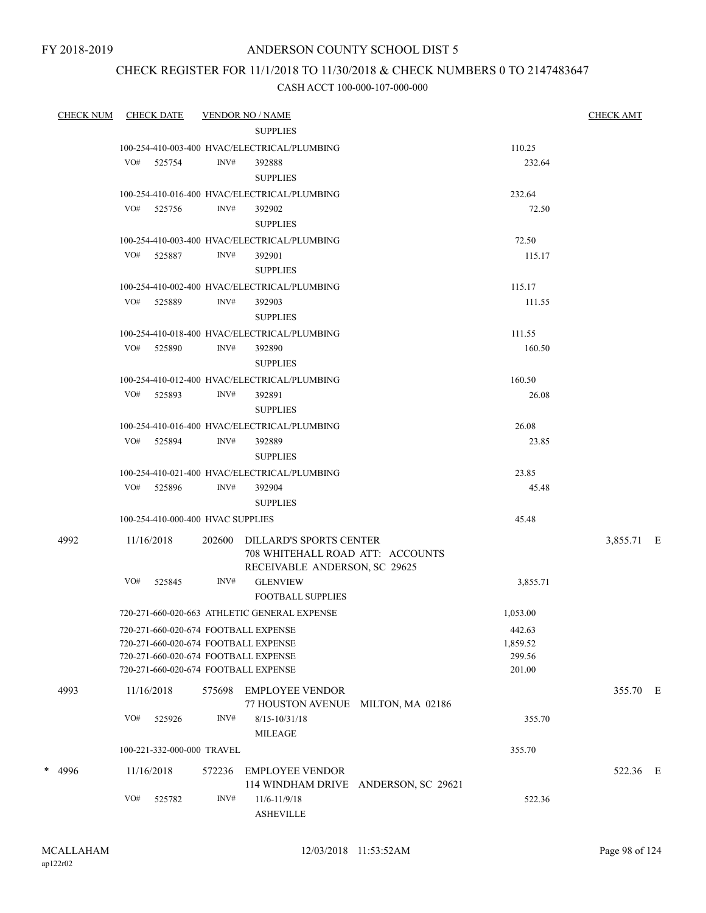# CHECK REGISTER FOR 11/1/2018 TO 11/30/2018 & CHECK NUMBERS 0 TO 2147483647

| CHECK NUM CHECK DATE |     |                                   |        | <b>VENDOR NO / NAME</b>                                                                                                                                      |                                      |                                        | <b>CHECK AMT</b> |  |
|----------------------|-----|-----------------------------------|--------|--------------------------------------------------------------------------------------------------------------------------------------------------------------|--------------------------------------|----------------------------------------|------------------|--|
|                      |     |                                   |        | <b>SUPPLIES</b><br>100-254-410-003-400 HVAC/ELECTRICAL/PLUMBING                                                                                              |                                      | 110.25                                 |                  |  |
|                      |     | VO# 525754                        | INV#   | 392888<br><b>SUPPLIES</b>                                                                                                                                    |                                      | 232.64                                 |                  |  |
|                      |     |                                   |        | 100-254-410-016-400 HVAC/ELECTRICAL/PLUMBING                                                                                                                 |                                      | 232.64                                 |                  |  |
|                      |     | VO# 525756                        | INV#   | 392902<br><b>SUPPLIES</b>                                                                                                                                    |                                      | 72.50                                  |                  |  |
|                      |     |                                   |        | 100-254-410-003-400 HVAC/ELECTRICAL/PLUMBING                                                                                                                 |                                      | 72.50                                  |                  |  |
|                      |     | VO# 525887                        | INV#   | 392901<br><b>SUPPLIES</b>                                                                                                                                    |                                      | 115.17                                 |                  |  |
|                      |     |                                   |        | 100-254-410-002-400 HVAC/ELECTRICAL/PLUMBING                                                                                                                 |                                      | 115.17                                 |                  |  |
|                      |     | VO# 525889                        | INV#   | 392903<br><b>SUPPLIES</b>                                                                                                                                    |                                      | 111.55                                 |                  |  |
|                      |     |                                   |        | 100-254-410-018-400 HVAC/ELECTRICAL/PLUMBING                                                                                                                 |                                      | 111.55                                 |                  |  |
|                      |     | VO# 525890                        | INV#   | 392890<br><b>SUPPLIES</b>                                                                                                                                    |                                      | 160.50                                 |                  |  |
|                      |     |                                   |        | 100-254-410-012-400 HVAC/ELECTRICAL/PLUMBING                                                                                                                 |                                      | 160.50                                 |                  |  |
|                      |     | VO# 525893                        | INV#   | 392891<br><b>SUPPLIES</b>                                                                                                                                    |                                      | 26.08                                  |                  |  |
|                      |     |                                   |        | 100-254-410-016-400 HVAC/ELECTRICAL/PLUMBING                                                                                                                 |                                      | 26.08                                  |                  |  |
|                      |     | VO# 525894                        | INV#   | 392889<br><b>SUPPLIES</b>                                                                                                                                    |                                      | 23.85                                  |                  |  |
|                      |     |                                   |        | 100-254-410-021-400 HVAC/ELECTRICAL/PLUMBING                                                                                                                 |                                      | 23.85                                  |                  |  |
|                      |     | VO# 525896                        | INV#   | 392904<br><b>SUPPLIES</b>                                                                                                                                    |                                      | 45.48                                  |                  |  |
|                      |     | 100-254-410-000-400 HVAC SUPPLIES |        |                                                                                                                                                              |                                      | 45.48                                  |                  |  |
| 4992                 |     | 11/16/2018                        |        | 202600 DILLARD'S SPORTS CENTER<br>708 WHITEHALL ROAD ATT: ACCOUNTS<br>RECEIVABLE ANDERSON, SC 29625                                                          |                                      |                                        | 3,855.71 E       |  |
|                      | VO# | 525845                            | INV#   | <b>GLENVIEW</b><br><b>FOOTBALL SUPPLIES</b>                                                                                                                  |                                      | 3,855.71                               |                  |  |
|                      |     |                                   |        | 720-271-660-020-663 ATHLETIC GENERAL EXPENSE                                                                                                                 |                                      | 1,053.00                               |                  |  |
|                      |     |                                   |        | 720-271-660-020-674 FOOTBALL EXPENSE<br>720-271-660-020-674 FOOTBALL EXPENSE<br>720-271-660-020-674 FOOTBALL EXPENSE<br>720-271-660-020-674 FOOTBALL EXPENSE |                                      | 442.63<br>1,859.52<br>299.56<br>201.00 |                  |  |
| 4993                 |     | 11/16/2018                        | 575698 | <b>EMPLOYEE VENDOR</b><br>77 HOUSTON AVENUE MILTON, MA 02186                                                                                                 |                                      |                                        | 355.70 E         |  |
|                      | VO# | 525926                            | INV#   | $8/15 - 10/31/18$<br><b>MILEAGE</b>                                                                                                                          |                                      | 355.70                                 |                  |  |
|                      |     | 100-221-332-000-000 TRAVEL        |        |                                                                                                                                                              |                                      | 355.70                                 |                  |  |
| $*$ 4996             |     | 11/16/2018                        | 572236 | <b>EMPLOYEE VENDOR</b>                                                                                                                                       | 114 WINDHAM DRIVE ANDERSON, SC 29621 |                                        | 522.36 E         |  |
|                      | VO# | 525782                            | INV#   | $11/6 - 11/9/18$<br><b>ASHEVILLE</b>                                                                                                                         |                                      | 522.36                                 |                  |  |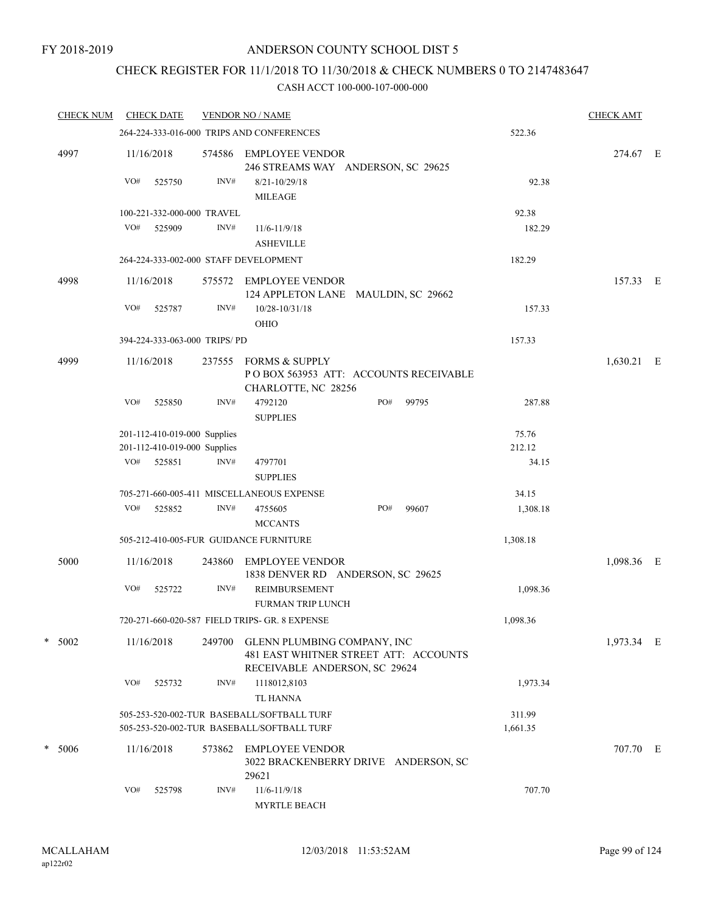# CHECK REGISTER FOR 11/1/2018 TO 11/30/2018 & CHECK NUMBERS 0 TO 2147483647

| <b>CHECK NUM</b> |     | <b>CHECK DATE</b>            |        | <b>VENDOR NO / NAME</b>                                                                               |     |       |          | <b>CHECK AMT</b> |  |
|------------------|-----|------------------------------|--------|-------------------------------------------------------------------------------------------------------|-----|-------|----------|------------------|--|
|                  |     |                              |        | 264-224-333-016-000 TRIPS AND CONFERENCES                                                             |     |       | 522.36   |                  |  |
| 4997             |     | 11/16/2018                   | 574586 | <b>EMPLOYEE VENDOR</b><br>246 STREAMS WAY ANDERSON, SC 29625                                          |     |       |          | 274.67 E         |  |
|                  | VO# | 525750                       | INV#   | $8/21 - 10/29/18$<br><b>MILEAGE</b>                                                                   |     |       | 92.38    |                  |  |
|                  |     | 100-221-332-000-000 TRAVEL   |        |                                                                                                       |     |       | 92.38    |                  |  |
|                  | VO# | 525909                       | INV#   | 11/6-11/9/18<br><b>ASHEVILLE</b>                                                                      |     |       | 182.29   |                  |  |
|                  |     |                              |        | 264-224-333-002-000 STAFF DEVELOPMENT                                                                 |     |       | 182.29   |                  |  |
| 4998             |     | 11/16/2018                   | 575572 | EMPLOYEE VENDOR<br>124 APPLETON LANE MAULDIN, SC 29662                                                |     |       |          | 157.33 E         |  |
|                  | VO# | 525787                       | INV#   | 10/28-10/31/18<br>OHIO                                                                                |     |       | 157.33   |                  |  |
|                  |     | 394-224-333-063-000 TRIPS/PD |        |                                                                                                       |     |       | 157.33   |                  |  |
| 4999             |     | 11/16/2018                   | 237555 | <b>FORMS &amp; SUPPLY</b><br>POBOX 563953 ATT: ACCOUNTS RECEIVABLE<br>CHARLOTTE, NC 28256             |     |       |          | 1,630.21 E       |  |
|                  | VO# | 525850                       | INV#   | 4792120<br><b>SUPPLIES</b>                                                                            | PO# | 99795 | 287.88   |                  |  |
|                  |     | 201-112-410-019-000 Supplies |        |                                                                                                       |     |       | 75.76    |                  |  |
|                  |     | 201-112-410-019-000 Supplies |        |                                                                                                       |     |       | 212.12   |                  |  |
|                  | VO# | 525851                       | INV#   | 4797701<br><b>SUPPLIES</b>                                                                            |     |       | 34.15    |                  |  |
|                  |     |                              |        | 705-271-660-005-411 MISCELLANEOUS EXPENSE                                                             |     |       | 34.15    |                  |  |
|                  | VO# | 525852                       | INV#   | 4755605<br><b>MCCANTS</b>                                                                             | PO# | 99607 | 1,308.18 |                  |  |
|                  |     |                              |        | 505-212-410-005-FUR GUIDANCE FURNITURE                                                                |     |       | 1,308.18 |                  |  |
| 5000             |     | 11/16/2018                   | 243860 | <b>EMPLOYEE VENDOR</b><br>1838 DENVER RD ANDERSON, SC 29625                                           |     |       |          | 1,098.36 E       |  |
|                  | VO# | 525722                       | INV#   | REIMBURSEMENT<br><b>FURMAN TRIP LUNCH</b>                                                             |     |       | 1,098.36 |                  |  |
|                  |     |                              |        | 720-271-660-020-587 FIELD TRIPS- GR. 8 EXPENSE                                                        |     |       | 1,098.36 |                  |  |
| $* 5002$         |     | 11/16/2018                   | 249700 | GLENN PLUMBING COMPANY, INC<br>481 EAST WHITNER STREET ATT: ACCOUNTS<br>RECEIVABLE ANDERSON, SC 29624 |     |       |          | 1,973.34 E       |  |
|                  | VO# | 525732                       | INV#   | 1118012,8103<br><b>TL HANNA</b>                                                                       |     |       | 1,973.34 |                  |  |
|                  |     |                              |        | 505-253-520-002-TUR BASEBALL/SOFTBALL TURF                                                            |     |       | 311.99   |                  |  |
|                  |     |                              |        | 505-253-520-002-TUR BASEBALL/SOFTBALL TURF                                                            |     |       | 1,661.35 |                  |  |
| * 5006           |     | 11/16/2018                   | 573862 | <b>EMPLOYEE VENDOR</b><br>3022 BRACKENBERRY DRIVE ANDERSON, SC<br>29621                               |     |       |          | 707.70 E         |  |
|                  | VO# | 525798                       | INV#   | $11/6 - 11/9/18$<br><b>MYRTLE BEACH</b>                                                               |     |       | 707.70   |                  |  |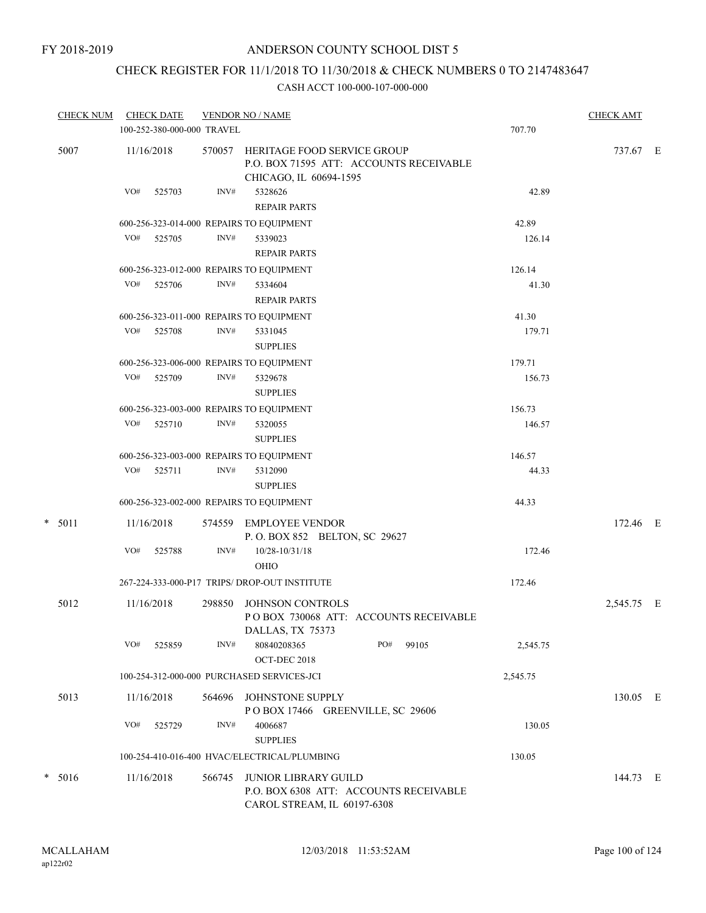# CHECK REGISTER FOR 11/1/2018 TO 11/30/2018 & CHECK NUMBERS 0 TO 2147483647

| <b>CHECK NUM</b> | <b>CHECK DATE</b>                        |        | <b>VENDOR NO / NAME</b>                                                                                 |          | <b>CHECK AMT</b> |  |
|------------------|------------------------------------------|--------|---------------------------------------------------------------------------------------------------------|----------|------------------|--|
|                  | 100-252-380-000-000 TRAVEL               |        |                                                                                                         | 707.70   |                  |  |
| 5007             | 11/16/2018                               |        | 570057 HERITAGE FOOD SERVICE GROUP<br>P.O. BOX 71595 ATT: ACCOUNTS RECEIVABLE<br>CHICAGO, IL 60694-1595 |          | 737.67 E         |  |
|                  | VO#<br>525703                            | INV#   | 5328626<br><b>REPAIR PARTS</b>                                                                          | 42.89    |                  |  |
|                  | 600-256-323-014-000 REPAIRS TO EQUIPMENT |        |                                                                                                         | 42.89    |                  |  |
|                  | VO# 525705                               | INV#   | 5339023<br><b>REPAIR PARTS</b>                                                                          | 126.14   |                  |  |
|                  | 600-256-323-012-000 REPAIRS TO EQUIPMENT |        |                                                                                                         | 126.14   |                  |  |
|                  | VO# 525706                               | INV#   | 5334604<br><b>REPAIR PARTS</b>                                                                          | 41.30    |                  |  |
|                  | 600-256-323-011-000 REPAIRS TO EQUIPMENT |        |                                                                                                         | 41.30    |                  |  |
|                  | VO#<br>525708                            | INV#   | 5331045<br><b>SUPPLIES</b>                                                                              | 179.71   |                  |  |
|                  | 600-256-323-006-000 REPAIRS TO EQUIPMENT |        |                                                                                                         | 179.71   |                  |  |
|                  | VO# 525709                               | INV#   | 5329678<br><b>SUPPLIES</b>                                                                              | 156.73   |                  |  |
|                  | 600-256-323-003-000 REPAIRS TO EQUIPMENT |        |                                                                                                         | 156.73   |                  |  |
|                  | VO# 525710                               | INV#   | 5320055<br><b>SUPPLIES</b>                                                                              | 146.57   |                  |  |
|                  | 600-256-323-003-000 REPAIRS TO EQUIPMENT |        |                                                                                                         | 146.57   |                  |  |
|                  | 525711<br>VO#                            | INV#   | 5312090<br><b>SUPPLIES</b>                                                                              | 44.33    |                  |  |
|                  | 600-256-323-002-000 REPAIRS TO EQUIPMENT |        |                                                                                                         | 44.33    |                  |  |
| $* 5011$         | 11/16/2018                               |        | 574559 EMPLOYEE VENDOR<br>P.O. BOX 852 BELTON, SC 29627                                                 |          | 172.46 E         |  |
|                  | VO#<br>525788                            | INV#   | 10/28-10/31/18<br><b>OHIO</b>                                                                           | 172.46   |                  |  |
|                  |                                          |        | 267-224-333-000-P17 TRIPS/ DROP-OUT INSTITUTE                                                           | 172.46   |                  |  |
| 5012             | 11/16/2018                               | 298850 | <b>JOHNSON CONTROLS</b><br>POBOX 730068 ATT: ACCOUNTS RECEIVABLE<br>DALLAS, TX 75373                    |          | 2,545.75 E       |  |
|                  | VO#<br>525859                            | INV#   | 80840208365<br>99105<br>PO#<br>OCT-DEC 2018                                                             | 2,545.75 |                  |  |
|                  |                                          |        | 100-254-312-000-000 PURCHASED SERVICES-JCI                                                              | 2,545.75 |                  |  |
| 5013             | 11/16/2018                               | 564696 | JOHNSTONE SUPPLY<br>POBOX 17466 GREENVILLE, SC 29606                                                    |          | 130.05 E         |  |
|                  | VO#<br>525729                            | INV#   | 4006687<br><b>SUPPLIES</b>                                                                              | 130.05   |                  |  |
|                  |                                          |        | 100-254-410-016-400 HVAC/ELECTRICAL/PLUMBING                                                            | 130.05   |                  |  |
| $*$ 5016         | 11/16/2018                               | 566745 | JUNIOR LIBRARY GUILD<br>P.O. BOX 6308 ATT: ACCOUNTS RECEIVABLE<br>CAROL STREAM, IL 60197-6308           |          | 144.73 E         |  |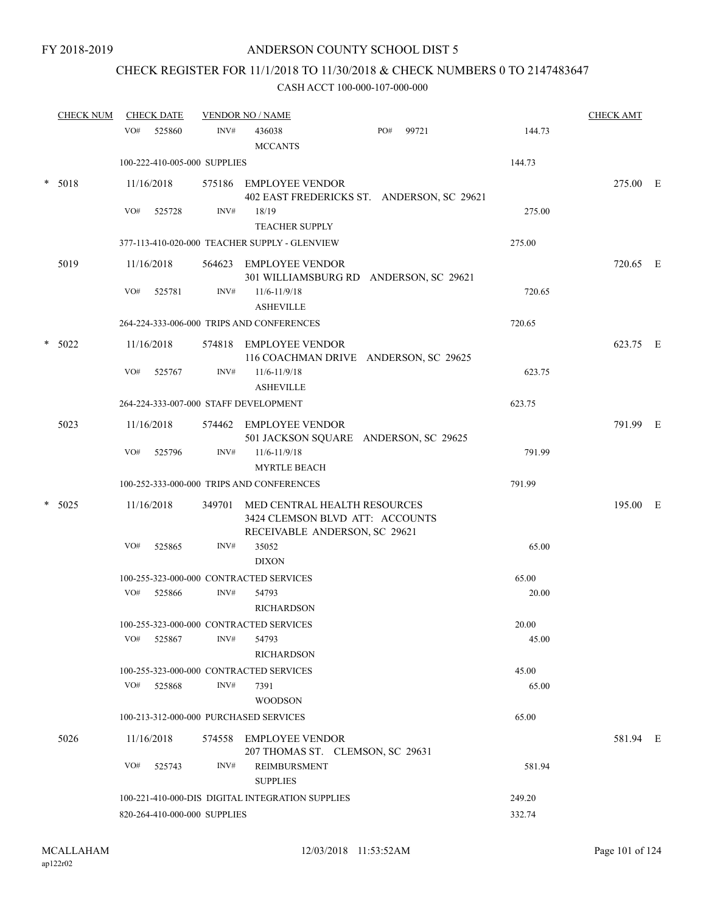# CHECK REGISTER FOR 11/1/2018 TO 11/30/2018 & CHECK NUMBERS 0 TO 2147483647

|        | <b>CHECK NUM</b> | <b>CHECK DATE</b> |                              | <b>VENDOR NO / NAME</b>                                                                                 |              |        | <b>CHECK AMT</b> |  |
|--------|------------------|-------------------|------------------------------|---------------------------------------------------------------------------------------------------------|--------------|--------|------------------|--|
|        |                  | VO#<br>525860     | INV#                         | 436038<br><b>MCCANTS</b>                                                                                | PO#<br>99721 | 144.73 |                  |  |
|        |                  |                   | 100-222-410-005-000 SUPPLIES |                                                                                                         |              | 144.73 |                  |  |
| *      | 5018             | 11/16/2018        |                              | 575186 EMPLOYEE VENDOR<br>402 EAST FREDERICKS ST. ANDERSON, SC 29621                                    |              |        | 275.00 E         |  |
|        |                  | VO#<br>525728     | INV#                         | 18/19<br><b>TEACHER SUPPLY</b>                                                                          |              | 275.00 |                  |  |
|        |                  |                   |                              | 377-113-410-020-000 TEACHER SUPPLY - GLENVIEW                                                           |              | 275.00 |                  |  |
|        | 5019             | 11/16/2018        |                              | 564623 EMPLOYEE VENDOR<br>301 WILLIAMSBURG RD ANDERSON, SC 29621                                        |              |        | 720.65 E         |  |
|        |                  | VO#<br>525781     | INV#                         | $11/6 - 11/9/18$<br><b>ASHEVILLE</b>                                                                    |              | 720.65 |                  |  |
|        |                  |                   |                              | 264-224-333-006-000 TRIPS AND CONFERENCES                                                               |              | 720.65 |                  |  |
| $\ast$ | 5022             | 11/16/2018        | 574818                       | EMPLOYEE VENDOR<br>116 COACHMAN DRIVE ANDERSON, SC 29625                                                |              |        | 623.75 E         |  |
|        |                  | VO#<br>525767     | INV#                         | $11/6 - 11/9/18$<br><b>ASHEVILLE</b>                                                                    |              | 623.75 |                  |  |
|        |                  |                   |                              | 264-224-333-007-000 STAFF DEVELOPMENT                                                                   |              | 623.75 |                  |  |
|        | 5023             | 11/16/2018        |                              | 574462 EMPLOYEE VENDOR<br>501 JACKSON SQUARE ANDERSON, SC 29625                                         |              |        | 791.99 E         |  |
|        |                  | VO#<br>525796     | INV#                         | $11/6 - 11/9/18$<br><b>MYRTLE BEACH</b>                                                                 |              | 791.99 |                  |  |
|        |                  |                   |                              | 100-252-333-000-000 TRIPS AND CONFERENCES                                                               |              | 791.99 |                  |  |
| $\ast$ | 5025             | 11/16/2018        |                              | 349701 MED CENTRAL HEALTH RESOURCES<br>3424 CLEMSON BLVD ATT: ACCOUNTS<br>RECEIVABLE ANDERSON, SC 29621 |              |        | 195.00 E         |  |
|        |                  | VO#<br>525865     | INV#                         | 35052<br><b>DIXON</b>                                                                                   |              | 65.00  |                  |  |
|        |                  |                   |                              | 100-255-323-000-000 CONTRACTED SERVICES                                                                 |              | 65.00  |                  |  |
|        |                  | VO#<br>525866     | INV#                         | 54793<br><b>RICHARDSON</b>                                                                              |              | 20.00  |                  |  |
|        |                  |                   |                              | 100-255-323-000-000 CONTRACTED SERVICES                                                                 |              | 20.00  |                  |  |
|        |                  | VO#<br>525867     | INV#                         | 54793<br>RICHARDSON                                                                                     |              | 45.00  |                  |  |
|        |                  |                   |                              | 100-255-323-000-000 CONTRACTED SERVICES                                                                 |              | 45.00  |                  |  |
|        |                  | VO#<br>525868     | INV#                         | 7391<br><b>WOODSON</b>                                                                                  |              | 65.00  |                  |  |
|        |                  |                   |                              | 100-213-312-000-000 PURCHASED SERVICES                                                                  |              | 65.00  |                  |  |
|        | 5026             | 11/16/2018        |                              | 574558 EMPLOYEE VENDOR<br>207 THOMAS ST. CLEMSON, SC 29631                                              |              |        | 581.94 E         |  |
|        |                  | VO#<br>525743     | INV#                         | REIMBURSMENT<br><b>SUPPLIES</b>                                                                         |              | 581.94 |                  |  |
|        |                  |                   |                              | 100-221-410-000-DIS DIGITAL INTEGRATION SUPPLIES                                                        |              | 249.20 |                  |  |
|        |                  |                   | 820-264-410-000-000 SUPPLIES |                                                                                                         |              | 332.74 |                  |  |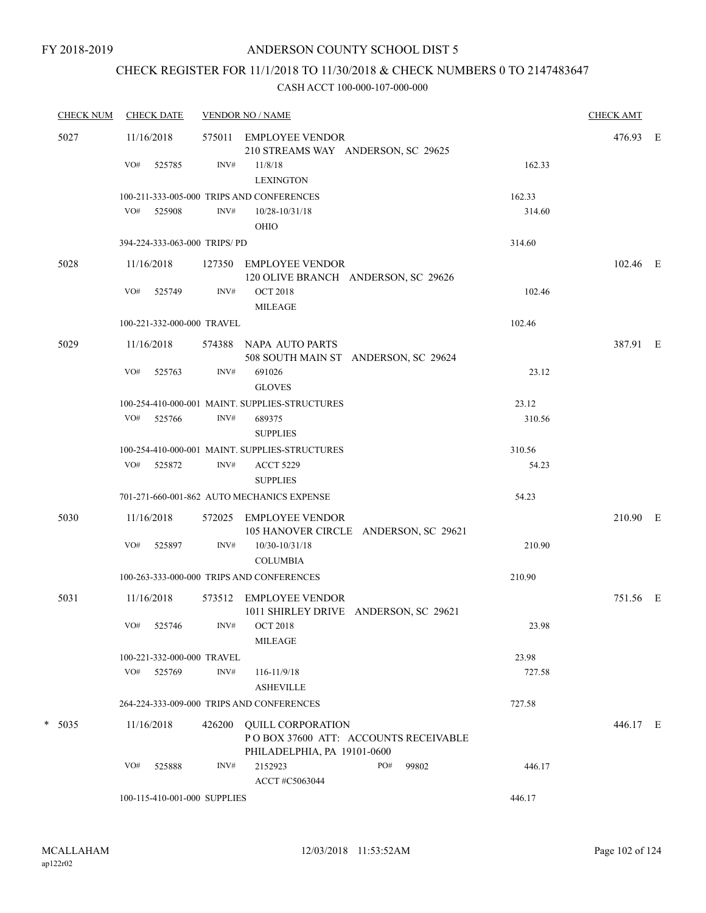# CHECK REGISTER FOR 11/1/2018 TO 11/30/2018 & CHECK NUMBERS 0 TO 2147483647

| <b>CHECK NUM</b> | <b>CHECK DATE</b>            |        | <b>VENDOR NO / NAME</b>                                                  |        | <b>CHECK AMT</b> |  |
|------------------|------------------------------|--------|--------------------------------------------------------------------------|--------|------------------|--|
| 5027             | 11/16/2018                   | 575011 | <b>EMPLOYEE VENDOR</b>                                                   |        | 476.93 E         |  |
|                  | VO#<br>525785                | INV#   | 210 STREAMS WAY ANDERSON, SC 29625<br>11/8/18<br><b>LEXINGTON</b>        | 162.33 |                  |  |
|                  |                              |        | 100-211-333-005-000 TRIPS AND CONFERENCES                                | 162.33 |                  |  |
|                  | VO#<br>525908                | INV#   | 10/28-10/31/18<br>OHIO                                                   | 314.60 |                  |  |
|                  | 394-224-333-063-000 TRIPS/PD |        |                                                                          | 314.60 |                  |  |
| 5028             | 11/16/2018                   | 127350 | <b>EMPLOYEE VENDOR</b><br>120 OLIVE BRANCH ANDERSON, SC 29626            |        | 102.46 E         |  |
|                  | VO#<br>525749                | INV#   | <b>OCT 2018</b><br><b>MILEAGE</b>                                        | 102.46 |                  |  |
|                  | 100-221-332-000-000 TRAVEL   |        |                                                                          | 102.46 |                  |  |
| 5029             | 11/16/2018                   | 574388 | NAPA AUTO PARTS<br>508 SOUTH MAIN ST ANDERSON, SC 29624                  |        | 387.91 E         |  |
|                  | VO#<br>525763                | INV#   | 691026<br><b>GLOVES</b>                                                  | 23.12  |                  |  |
|                  |                              |        | 100-254-410-000-001 MAINT. SUPPLIES-STRUCTURES                           | 23.12  |                  |  |
|                  | VO#<br>525766                | INV#   | 689375<br><b>SUPPLIES</b>                                                | 310.56 |                  |  |
|                  |                              |        | 100-254-410-000-001 MAINT. SUPPLIES-STRUCTURES                           | 310.56 |                  |  |
|                  | VO#<br>525872                | INV#   | <b>ACCT 5229</b><br><b>SUPPLIES</b>                                      | 54.23  |                  |  |
|                  |                              |        | 701-271-660-001-862 AUTO MECHANICS EXPENSE                               | 54.23  |                  |  |
| 5030             | 11/16/2018                   |        | 572025 EMPLOYEE VENDOR<br>105 HANOVER CIRCLE ANDERSON, SC 29621          |        | 210.90 E         |  |
|                  | VO#<br>525897                | INV#   | 10/30-10/31/18<br><b>COLUMBIA</b>                                        | 210.90 |                  |  |
|                  |                              |        | 100-263-333-000-000 TRIPS AND CONFERENCES                                | 210.90 |                  |  |
| 5031             | 11/16/2018                   |        | 573512 EMPLOYEE VENDOR<br>1011 SHIRLEY DRIVE ANDERSON, SC 29621          |        | 751.56 E         |  |
|                  | VO#<br>525746                | INV#   | <b>OCT 2018</b><br>MILEAGE                                               | 23.98  |                  |  |
|                  | 100-221-332-000-000 TRAVEL   |        |                                                                          | 23.98  |                  |  |
|                  | VO#<br>525769                | INV#   | 116-11/9/18<br><b>ASHEVILLE</b>                                          | 727.58 |                  |  |
|                  |                              |        | 264-224-333-009-000 TRIPS AND CONFERENCES                                | 727.58 |                  |  |
| $* 5035$         | 11/16/2018                   |        | 426200 QUILL CORPORATION<br>POBOX 37600 ATT: ACCOUNTS RECEIVABLE         |        | 446.17 E         |  |
|                  | VO#<br>525888                | INV#   | PHILADELPHIA, PA 19101-0600<br>PO#<br>2152923<br>99802<br>ACCT #C5063044 | 446.17 |                  |  |
|                  | 100-115-410-001-000 SUPPLIES |        |                                                                          | 446.17 |                  |  |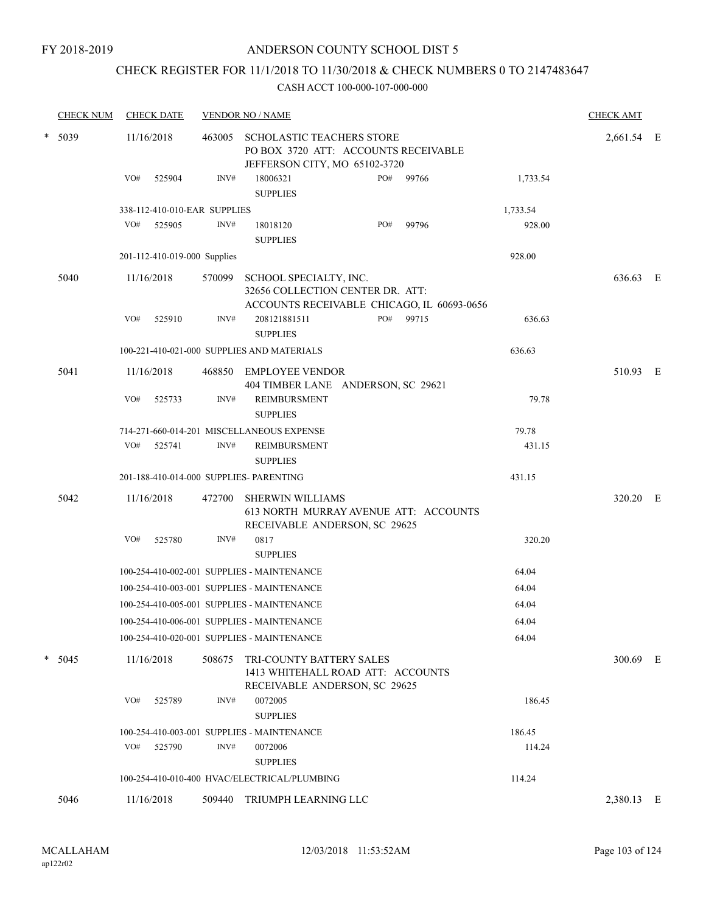# CHECK REGISTER FOR 11/1/2018 TO 11/30/2018 & CHECK NUMBERS 0 TO 2147483647

|  | <b>CHECK NUM</b> | <b>CHECK DATE</b>                       |        | <b>VENDOR NO / NAME</b>                                                                                  |          | <b>CHECK AMT</b> |  |
|--|------------------|-----------------------------------------|--------|----------------------------------------------------------------------------------------------------------|----------|------------------|--|
|  | $*$ 5039         | 11/16/2018                              | 463005 | SCHOLASTIC TEACHERS STORE<br>PO BOX 3720 ATT: ACCOUNTS RECEIVABLE<br>JEFFERSON CITY, MO 65102-3720       |          | 2,661.54 E       |  |
|  |                  | VO#<br>525904                           | INV#   | 18006321<br>PO#<br>99766<br><b>SUPPLIES</b>                                                              | 1,733.54 |                  |  |
|  |                  | 338-112-410-010-EAR SUPPLIES            |        |                                                                                                          | 1,733.54 |                  |  |
|  |                  | VO#<br>525905                           | INV#   | PO#<br>99796<br>18018120<br><b>SUPPLIES</b>                                                              | 928.00   |                  |  |
|  |                  | 201-112-410-019-000 Supplies            |        |                                                                                                          | 928.00   |                  |  |
|  | 5040             | 11/16/2018                              | 570099 | SCHOOL SPECIALTY, INC.<br>32656 COLLECTION CENTER DR. ATT:<br>ACCOUNTS RECEIVABLE CHICAGO, IL 60693-0656 |          | 636.63 E         |  |
|  |                  | VO#<br>525910                           | INV#   | PO#<br>208121881511<br>99715<br><b>SUPPLIES</b>                                                          | 636.63   |                  |  |
|  |                  |                                         |        | 100-221-410-021-000 SUPPLIES AND MATERIALS                                                               | 636.63   |                  |  |
|  | 5041             | 11/16/2018                              | 468850 | <b>EMPLOYEE VENDOR</b><br>404 TIMBER LANE ANDERSON, SC 29621                                             |          | 510.93 E         |  |
|  |                  | VO#<br>525733                           | INV#   | <b>REIMBURSMENT</b><br><b>SUPPLIES</b>                                                                   | 79.78    |                  |  |
|  |                  |                                         |        | 714-271-660-014-201 MISCELLANEOUS EXPENSE                                                                | 79.78    |                  |  |
|  |                  | VO#<br>525741                           | INV#   | REIMBURSMENT<br><b>SUPPLIES</b>                                                                          | 431.15   |                  |  |
|  |                  | 201-188-410-014-000 SUPPLIES- PARENTING |        |                                                                                                          | 431.15   |                  |  |
|  | 5042             | 11/16/2018                              | 472700 | <b>SHERWIN WILLIAMS</b><br>613 NORTH MURRAY AVENUE ATT: ACCOUNTS<br>RECEIVABLE ANDERSON, SC 29625        |          | 320.20 E         |  |
|  |                  | VO#<br>525780                           | INV#   | 0817<br><b>SUPPLIES</b>                                                                                  | 320.20   |                  |  |
|  |                  |                                         |        | 100-254-410-002-001 SUPPLIES - MAINTENANCE                                                               | 64.04    |                  |  |
|  |                  |                                         |        | 100-254-410-003-001 SUPPLIES - MAINTENANCE                                                               | 64.04    |                  |  |
|  |                  |                                         |        | 100-254-410-005-001 SUPPLIES - MAINTENANCE                                                               | 64.04    |                  |  |
|  |                  |                                         |        | 100-254-410-006-001 SUPPLIES - MAINTENANCE                                                               | 64.04    |                  |  |
|  |                  |                                         |        | 100-254-410-020-001 SUPPLIES - MAINTENANCE                                                               | 64.04    |                  |  |
|  | $* 5045$         | 11/16/2018                              | 508675 | TRI-COUNTY BATTERY SALES<br>1413 WHITEHALL ROAD ATT: ACCOUNTS<br>RECEIVABLE ANDERSON, SC 29625           |          | 300.69 E         |  |
|  |                  | VO#<br>525789                           | INV#   | 0072005<br><b>SUPPLIES</b>                                                                               | 186.45   |                  |  |
|  |                  |                                         |        | 100-254-410-003-001 SUPPLIES - MAINTENANCE                                                               | 186.45   |                  |  |
|  |                  | VO#<br>525790                           | INV#   | 0072006<br><b>SUPPLIES</b>                                                                               | 114.24   |                  |  |
|  |                  |                                         |        | 100-254-410-010-400 HVAC/ELECTRICAL/PLUMBING                                                             | 114.24   |                  |  |
|  | 5046             | 11/16/2018                              | 509440 | TRIUMPH LEARNING LLC                                                                                     |          | 2,380.13 E       |  |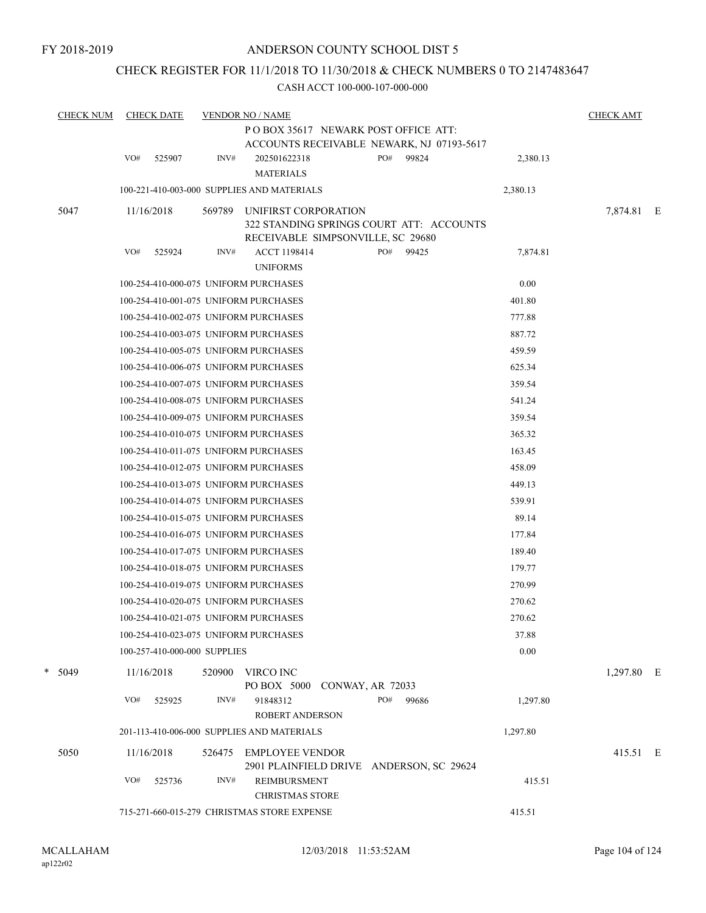# CHECK REGISTER FOR 11/1/2018 TO 11/30/2018 & CHECK NUMBERS 0 TO 2147483647

| <b>CHECK NUM</b> | <b>CHECK DATE</b>                     | <b>VENDOR NO / NAME</b> |                                                                                   |                  |       |          |            |  |  |  |
|------------------|---------------------------------------|-------------------------|-----------------------------------------------------------------------------------|------------------|-------|----------|------------|--|--|--|
|                  |                                       |                         | PO BOX 35617 NEWARK POST OFFICE ATT:<br>ACCOUNTS RECEIVABLE NEWARK, NJ 07193-5617 |                  |       |          |            |  |  |  |
|                  | VO#<br>525907                         | INV#                    | 202501622318                                                                      | PO#              | 99824 | 2,380.13 |            |  |  |  |
|                  |                                       |                         | <b>MATERIALS</b>                                                                  |                  |       |          |            |  |  |  |
|                  |                                       |                         | 100-221-410-003-000 SUPPLIES AND MATERIALS                                        |                  |       | 2,380.13 |            |  |  |  |
| 5047             | 11/16/2018                            | 569789                  | UNIFIRST CORPORATION                                                              |                  |       |          | 7,874.81 E |  |  |  |
|                  |                                       |                         | 322 STANDING SPRINGS COURT ATT: ACCOUNTS                                          |                  |       |          |            |  |  |  |
|                  |                                       |                         | RECEIVABLE SIMPSONVILLE, SC 29680                                                 |                  |       |          |            |  |  |  |
|                  | VO#<br>525924                         | INV#                    | ACCT 1198414<br><b>UNIFORMS</b>                                                   | PO#              | 99425 | 7,874.81 |            |  |  |  |
|                  | 100-254-410-000-075 UNIFORM PURCHASES |                         |                                                                                   |                  |       | 0.00     |            |  |  |  |
|                  | 100-254-410-001-075 UNIFORM PURCHASES |                         |                                                                                   |                  |       | 401.80   |            |  |  |  |
|                  | 100-254-410-002-075 UNIFORM PURCHASES |                         |                                                                                   |                  |       | 777.88   |            |  |  |  |
|                  | 100-254-410-003-075 UNIFORM PURCHASES |                         |                                                                                   |                  |       | 887.72   |            |  |  |  |
|                  | 100-254-410-005-075 UNIFORM PURCHASES |                         |                                                                                   |                  |       | 459.59   |            |  |  |  |
|                  | 100-254-410-006-075 UNIFORM PURCHASES |                         |                                                                                   |                  |       | 625.34   |            |  |  |  |
|                  | 100-254-410-007-075 UNIFORM PURCHASES |                         |                                                                                   |                  |       | 359.54   |            |  |  |  |
|                  | 100-254-410-008-075 UNIFORM PURCHASES |                         |                                                                                   |                  |       | 541.24   |            |  |  |  |
|                  | 100-254-410-009-075 UNIFORM PURCHASES |                         |                                                                                   |                  |       | 359.54   |            |  |  |  |
|                  | 100-254-410-010-075 UNIFORM PURCHASES |                         |                                                                                   |                  |       | 365.32   |            |  |  |  |
|                  | 100-254-410-011-075 UNIFORM PURCHASES |                         |                                                                                   |                  |       | 163.45   |            |  |  |  |
|                  | 100-254-410-012-075 UNIFORM PURCHASES |                         |                                                                                   |                  |       | 458.09   |            |  |  |  |
|                  | 100-254-410-013-075 UNIFORM PURCHASES |                         |                                                                                   |                  |       | 449.13   |            |  |  |  |
|                  | 100-254-410-014-075 UNIFORM PURCHASES |                         |                                                                                   |                  |       | 539.91   |            |  |  |  |
|                  | 100-254-410-015-075 UNIFORM PURCHASES |                         |                                                                                   |                  |       | 89.14    |            |  |  |  |
|                  | 100-254-410-016-075 UNIFORM PURCHASES |                         |                                                                                   |                  |       | 177.84   |            |  |  |  |
|                  | 100-254-410-017-075 UNIFORM PURCHASES |                         |                                                                                   |                  |       | 189.40   |            |  |  |  |
|                  | 100-254-410-018-075 UNIFORM PURCHASES |                         |                                                                                   |                  |       | 179.77   |            |  |  |  |
|                  | 100-254-410-019-075 UNIFORM PURCHASES |                         |                                                                                   |                  |       | 270.99   |            |  |  |  |
|                  | 100-254-410-020-075 UNIFORM PURCHASES |                         |                                                                                   |                  |       | 270.62   |            |  |  |  |
|                  | 100-254-410-021-075 UNIFORM PURCHASES |                         |                                                                                   |                  |       | 270.62   |            |  |  |  |
|                  | 100-254-410-023-075 UNIFORM PURCHASES |                         |                                                                                   |                  |       | 37.88    |            |  |  |  |
|                  | 100-257-410-000-000 SUPPLIES          |                         |                                                                                   |                  |       | 0.00     |            |  |  |  |
| $* 5049$         | 11/16/2018                            | 520900                  | VIRCO INC<br>PO BOX 5000                                                          | CONWAY, AR 72033 |       |          | 1,297.80 E |  |  |  |
|                  | VO#<br>525925                         | INV#                    | 91848312                                                                          | PO#              | 99686 | 1,297.80 |            |  |  |  |
|                  |                                       |                         | ROBERT ANDERSON                                                                   |                  |       |          |            |  |  |  |
|                  |                                       |                         | 201-113-410-006-000 SUPPLIES AND MATERIALS                                        |                  |       | 1,297.80 |            |  |  |  |
| 5050             | 11/16/2018                            | 526475                  | <b>EMPLOYEE VENDOR</b>                                                            |                  |       |          | 415.51 E   |  |  |  |
|                  |                                       |                         | 2901 PLAINFIELD DRIVE ANDERSON, SC 29624                                          |                  |       |          |            |  |  |  |
|                  | VO#<br>525736                         | INV#                    | REIMBURSMENT<br><b>CHRISTMAS STORE</b>                                            |                  |       | 415.51   |            |  |  |  |
|                  |                                       |                         | 715-271-660-015-279 CHRISTMAS STORE EXPENSE                                       |                  |       | 415.51   |            |  |  |  |
|                  |                                       |                         |                                                                                   |                  |       |          |            |  |  |  |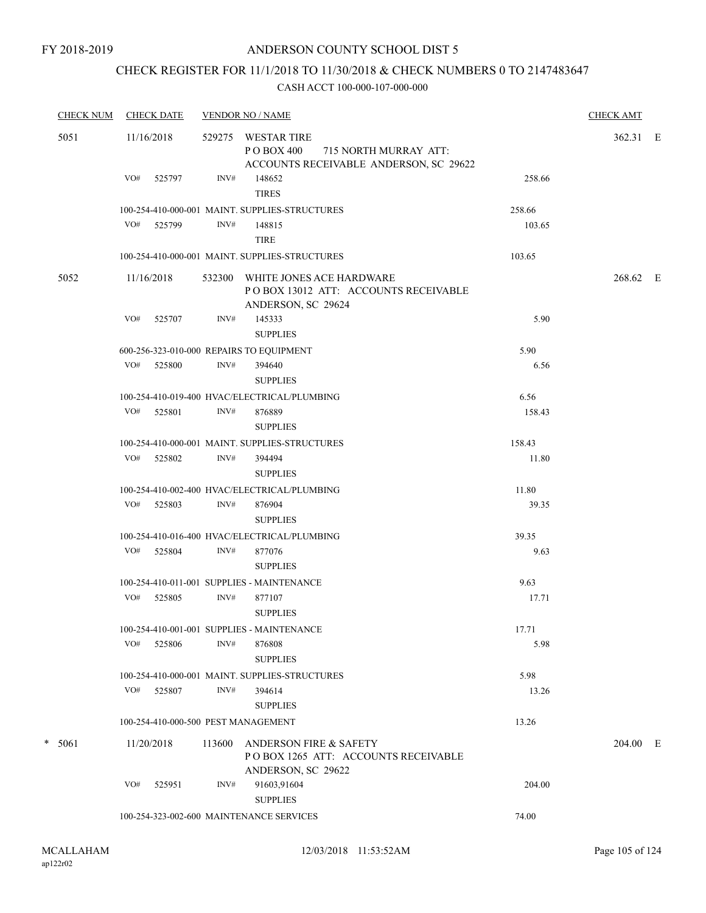# CHECK REGISTER FOR 11/1/2018 TO 11/30/2018 & CHECK NUMBERS 0 TO 2147483647

| <b>CHECK NUM</b> | <b>CHECK DATE</b> | <b>VENDOR NO / NAME</b>                                                                                 | <b>CHECK AMT</b> |
|------------------|-------------------|---------------------------------------------------------------------------------------------------------|------------------|
| 5051             | 11/16/2018        | WESTAR TIRE<br>529275<br>P O BOX 400<br>715 NORTH MURRAY ATT:<br>ACCOUNTS RECEIVABLE ANDERSON, SC 29622 | 362.31 E         |
|                  | VO# 525797        | INV#<br>148652<br>258.66<br><b>TIRES</b>                                                                |                  |
|                  |                   | 100-254-410-000-001 MAINT. SUPPLIES-STRUCTURES<br>258.66                                                |                  |
|                  | VO# 525799        | INV#<br>148815<br>103.65<br><b>TIRE</b>                                                                 |                  |
|                  |                   | 103.65<br>100-254-410-000-001 MAINT. SUPPLIES-STRUCTURES                                                |                  |
| 5052             | 11/16/2018        | WHITE JONES ACE HARDWARE<br>532300<br>POBOX 13012 ATT: ACCOUNTS RECEIVABLE<br>ANDERSON, SC 29624        | 268.62 E         |
|                  | VO#<br>525707     | INV#<br>145333<br>5.90                                                                                  |                  |
|                  |                   | <b>SUPPLIES</b>                                                                                         |                  |
|                  |                   | 5.90<br>600-256-323-010-000 REPAIRS TO EQUIPMENT                                                        |                  |
|                  | VO# 525800        | INV#<br>394640<br>6.56                                                                                  |                  |
|                  |                   | <b>SUPPLIES</b>                                                                                         |                  |
|                  |                   | 6.56<br>100-254-410-019-400 HVAC/ELECTRICAL/PLUMBING                                                    |                  |
|                  | VO# 525801        | INV#<br>876889<br>158.43<br><b>SUPPLIES</b>                                                             |                  |
|                  |                   | 158.43<br>100-254-410-000-001 MAINT. SUPPLIES-STRUCTURES                                                |                  |
|                  | VO#<br>525802     | INV#<br>11.80<br>394494<br><b>SUPPLIES</b>                                                              |                  |
|                  |                   | 100-254-410-002-400 HVAC/ELECTRICAL/PLUMBING<br>11.80                                                   |                  |
|                  | VO# 525803        | INV#<br>876904<br>39.35<br><b>SUPPLIES</b>                                                              |                  |
|                  |                   | 39.35<br>100-254-410-016-400 HVAC/ELECTRICAL/PLUMBING                                                   |                  |
|                  | VO# 525804        | INV#<br>877076<br>9.63<br><b>SUPPLIES</b>                                                               |                  |
|                  |                   | 9.63<br>100-254-410-011-001 SUPPLIES - MAINTENANCE                                                      |                  |
|                  | VO# 525805        | INV#<br>877107<br>17.71<br><b>SUPPLIES</b>                                                              |                  |
|                  |                   | 100-254-410-001-001 SUPPLIES - MAINTENANCE<br>17.71                                                     |                  |
|                  | VO#<br>525806     | INV#<br>5.98<br>876808<br><b>SUPPLIES</b>                                                               |                  |
|                  |                   | 100-254-410-000-001 MAINT. SUPPLIES-STRUCTURES<br>5.98                                                  |                  |
|                  | VO# 525807        | INV#<br>394614<br>13.26                                                                                 |                  |
|                  |                   | <b>SUPPLIES</b>                                                                                         |                  |
|                  |                   | 100-254-410-000-500 PEST MANAGEMENT<br>13.26                                                            |                  |
| $* 5061$         | 11/20/2018        | 113600<br>ANDERSON FIRE & SAFETY<br>POBOX 1265 ATT: ACCOUNTS RECEIVABLE<br>ANDERSON, SC 29622           | 204.00 E         |
|                  | VO#<br>525951     | INV#<br>91603,91604<br>204.00<br><b>SUPPLIES</b>                                                        |                  |
|                  |                   | 100-254-323-002-600 MAINTENANCE SERVICES<br>74.00                                                       |                  |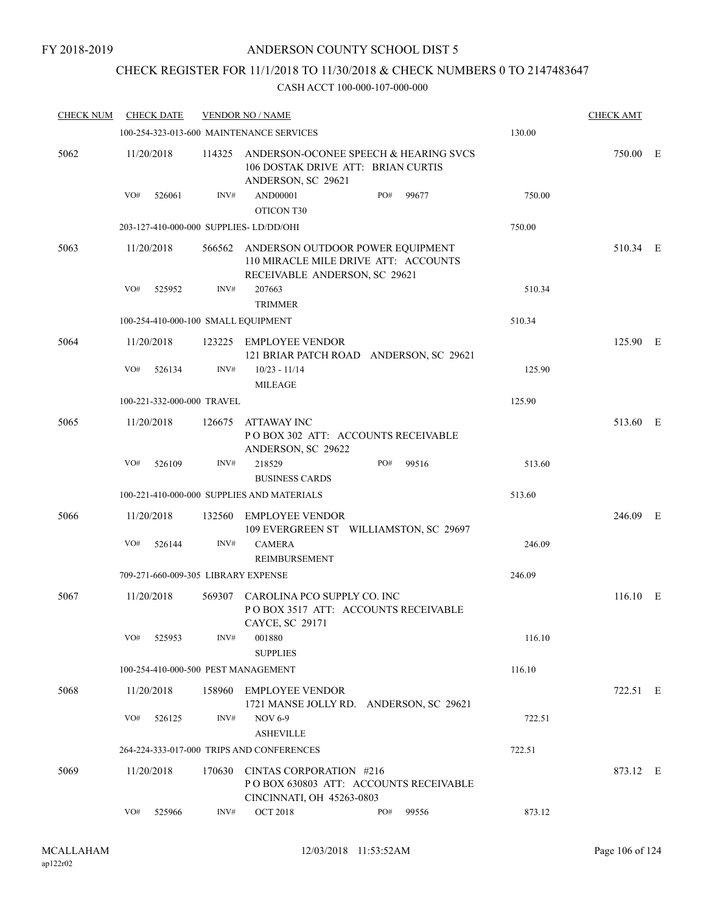# CHECK REGISTER FOR 11/1/2018 TO 11/30/2018 & CHECK NUMBERS 0 TO 2147483647

| <b>CHECK NUM</b> | <b>CHECK DATE</b>                      |        | <b>VENDOR NO / NAME</b>                                                                                          |     |       |        | <b>CHECK AMT</b> |  |
|------------------|----------------------------------------|--------|------------------------------------------------------------------------------------------------------------------|-----|-------|--------|------------------|--|
|                  |                                        |        | 100-254-323-013-600 MAINTENANCE SERVICES                                                                         |     |       | 130.00 |                  |  |
| 5062             | 11/20/2018                             | 114325 | ANDERSON-OCONEE SPEECH & HEARING SVCS<br>106 DOSTAK DRIVE ATT: BRIAN CURTIS<br>ANDERSON, SC 29621                |     |       |        | 750.00 E         |  |
|                  | VO#<br>526061                          | INV#   | <b>AND00001</b><br>OTICON T30                                                                                    | PO# | 99677 | 750.00 |                  |  |
|                  | 203-127-410-000-000 SUPPLIES-LD/DD/OHI |        |                                                                                                                  |     |       | 750.00 |                  |  |
| 5063             | 11/20/2018                             |        | 566562 ANDERSON OUTDOOR POWER EQUIPMENT<br>110 MIRACLE MILE DRIVE ATT: ACCOUNTS<br>RECEIVABLE ANDERSON, SC 29621 |     |       |        | 510.34 E         |  |
|                  | VO#<br>525952                          | INV#   | 207663<br><b>TRIMMER</b>                                                                                         |     |       | 510.34 |                  |  |
|                  | 100-254-410-000-100 SMALL EQUIPMENT    |        |                                                                                                                  |     |       | 510.34 |                  |  |
| 5064             | 11/20/2018                             |        | 123225 EMPLOYEE VENDOR<br>121 BRIAR PATCH ROAD ANDERSON, SC 29621                                                |     |       |        | 125.90 E         |  |
|                  | VO#<br>526134                          | INV#   | $10/23 - 11/14$<br><b>MILEAGE</b>                                                                                |     |       | 125.90 |                  |  |
|                  | 100-221-332-000-000 TRAVEL             |        |                                                                                                                  |     |       | 125.90 |                  |  |
| 5065             | 11/20/2018                             | 126675 | ATTAWAY INC<br>POBOX 302 ATT: ACCOUNTS RECEIVABLE<br>ANDERSON, SC 29622                                          |     |       |        | 513.60 E         |  |
|                  | VO#<br>526109                          | INV#   | 218529<br><b>BUSINESS CARDS</b>                                                                                  | PO# | 99516 | 513.60 |                  |  |
|                  |                                        |        | 100-221-410-000-000 SUPPLIES AND MATERIALS                                                                       |     |       | 513.60 |                  |  |
| 5066             | 11/20/2018                             | 132560 | <b>EMPLOYEE VENDOR</b><br>109 EVERGREEN ST WILLIAMSTON, SC 29697                                                 |     |       |        | 246.09 E         |  |
|                  | VO#<br>526144                          | INV#   | <b>CAMERA</b><br><b>REIMBURSEMENT</b>                                                                            |     |       | 246.09 |                  |  |
|                  | 709-271-660-009-305 LIBRARY EXPENSE    |        |                                                                                                                  |     |       | 246.09 |                  |  |
| 5067             | 11/20/2018                             |        | 569307 CAROLINA PCO SUPPLY CO. INC<br>POBOX 3517 ATT: ACCOUNTS RECEIVABLE                                        |     |       |        | 116.10 E         |  |
|                  | VO#<br>525953                          | INV#   | CAYCE, SC 29171<br>001880<br><b>SUPPLIES</b>                                                                     |     |       | 116.10 |                  |  |
|                  | 100-254-410-000-500 PEST MANAGEMENT    |        |                                                                                                                  |     |       | 116.10 |                  |  |
| 5068             | 11/20/2018                             |        | 158960 EMPLOYEE VENDOR<br>1721 MANSE JOLLY RD. ANDERSON, SC 29621                                                |     |       |        | 722.51 E         |  |
|                  | VO#<br>526125                          | INV#   | <b>NOV 6-9</b><br><b>ASHEVILLE</b>                                                                               |     |       | 722.51 |                  |  |
|                  |                                        |        | 264-224-333-017-000 TRIPS AND CONFERENCES                                                                        |     |       | 722.51 |                  |  |
| 5069             | 11/20/2018                             | 170630 | CINTAS CORPORATION #216                                                                                          |     |       |        | 873.12 E         |  |
|                  |                                        |        | PO BOX 630803 ATT: ACCOUNTS RECEIVABLE<br>CINCINNATI, OH 45263-0803                                              |     |       |        |                  |  |
|                  | VO#<br>525966                          | INV#   | <b>OCT 2018</b>                                                                                                  | PO# | 99556 | 873.12 |                  |  |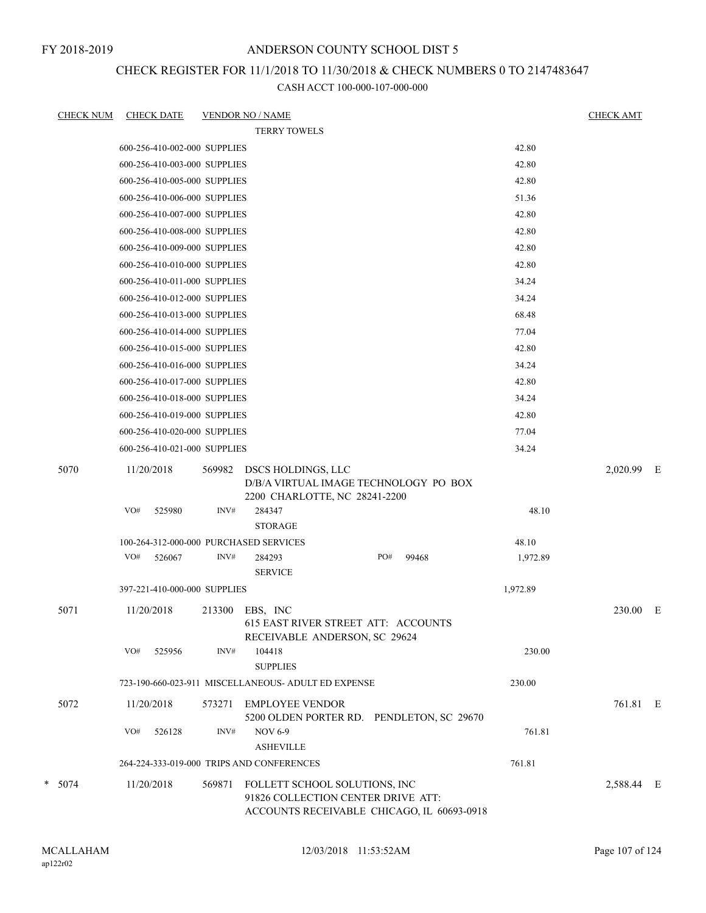FY 2018-2019

# ANDERSON COUNTY SCHOOL DIST 5

# CHECK REGISTER FOR 11/1/2018 TO 11/30/2018 & CHECK NUMBERS 0 TO 2147483647

| <b>CHECK NUM</b> | <b>CHECK DATE</b>                      |                | <b>VENDOR NO / NAME</b>                                                                                           |     |       |          | <b>CHECK AMT</b> |   |
|------------------|----------------------------------------|----------------|-------------------------------------------------------------------------------------------------------------------|-----|-------|----------|------------------|---|
|                  |                                        |                | <b>TERRY TOWELS</b>                                                                                               |     |       |          |                  |   |
|                  | 600-256-410-002-000 SUPPLIES           |                |                                                                                                                   |     |       | 42.80    |                  |   |
|                  | 600-256-410-003-000 SUPPLIES           |                |                                                                                                                   |     |       | 42.80    |                  |   |
|                  | 600-256-410-005-000 SUPPLIES           |                |                                                                                                                   |     |       | 42.80    |                  |   |
|                  | 600-256-410-006-000 SUPPLIES           |                |                                                                                                                   |     |       | 51.36    |                  |   |
|                  | 600-256-410-007-000 SUPPLIES           |                |                                                                                                                   |     |       | 42.80    |                  |   |
|                  | 600-256-410-008-000 SUPPLIES           |                |                                                                                                                   |     |       | 42.80    |                  |   |
|                  | 600-256-410-009-000 SUPPLIES           |                |                                                                                                                   |     |       | 42.80    |                  |   |
|                  | 600-256-410-010-000 SUPPLIES           |                |                                                                                                                   |     |       | 42.80    |                  |   |
|                  | 600-256-410-011-000 SUPPLIES           |                |                                                                                                                   |     |       | 34.24    |                  |   |
|                  | 600-256-410-012-000 SUPPLIES           |                |                                                                                                                   |     |       | 34.24    |                  |   |
|                  | 600-256-410-013-000 SUPPLIES           |                |                                                                                                                   |     |       | 68.48    |                  |   |
|                  | 600-256-410-014-000 SUPPLIES           |                |                                                                                                                   |     |       | 77.04    |                  |   |
|                  | 600-256-410-015-000 SUPPLIES           |                |                                                                                                                   |     |       | 42.80    |                  |   |
|                  | 600-256-410-016-000 SUPPLIES           |                |                                                                                                                   |     |       | 34.24    |                  |   |
|                  | 600-256-410-017-000 SUPPLIES           |                |                                                                                                                   |     |       | 42.80    |                  |   |
|                  | 600-256-410-018-000 SUPPLIES           |                |                                                                                                                   |     |       | 34.24    |                  |   |
|                  | 600-256-410-019-000 SUPPLIES           |                |                                                                                                                   |     |       | 42.80    |                  |   |
|                  | 600-256-410-020-000 SUPPLIES           |                |                                                                                                                   |     |       | 77.04    |                  |   |
|                  | 600-256-410-021-000 SUPPLIES           |                |                                                                                                                   |     |       | 34.24    |                  |   |
| 5070             | 11/20/2018<br>VO#<br>525980            | 569982<br>INV# | DSCS HOLDINGS, LLC<br>D/B/A VIRTUAL IMAGE TECHNOLOGY PO BOX<br>2200 CHARLOTTE, NC 28241-2200<br>284347            |     |       | 48.10    | 2,020.99         | E |
|                  |                                        |                | <b>STORAGE</b>                                                                                                    |     |       |          |                  |   |
|                  | 100-264-312-000-000 PURCHASED SERVICES |                |                                                                                                                   |     |       | 48.10    |                  |   |
|                  | VO#<br>526067                          | INV#           | 284293<br><b>SERVICE</b>                                                                                          | PO# | 99468 | 1,972.89 |                  |   |
|                  | 397-221-410-000-000 SUPPLIES           |                |                                                                                                                   |     |       | 1,972.89 |                  |   |
| 5071             | 11/20/2018                             |                | 213300 EBS, INC<br>615 EAST RIVER STREET ATT: ACCOUNTS<br>RECEIVABLE ANDERSON, SC 29624                           |     |       |          | 230.00 E         |   |
|                  | VO#<br>525956                          | INV#           | 104418<br><b>SUPPLIES</b>                                                                                         |     |       | 230.00   |                  |   |
|                  |                                        |                | 723-190-660-023-911 MISCELLANEOUS- ADULT ED EXPENSE                                                               |     |       | 230.00   |                  |   |
| 5072             | 11/20/2018                             | 573271         | EMPLOYEE VENDOR<br>5200 OLDEN PORTER RD. PENDLETON, SC 29670                                                      |     |       |          | 761.81 E         |   |
|                  | VO#<br>526128                          | INV#           | <b>NOV 6-9</b><br><b>ASHEVILLE</b>                                                                                |     |       | 761.81   |                  |   |
|                  |                                        |                | 264-224-333-019-000 TRIPS AND CONFERENCES                                                                         |     |       | 761.81   |                  |   |
| $* 5074$         | 11/20/2018                             | 569871         | FOLLETT SCHOOL SOLUTIONS, INC<br>91826 COLLECTION CENTER DRIVE ATT:<br>ACCOUNTS RECEIVABLE CHICAGO, IL 60693-0918 |     |       |          | 2,588.44 E       |   |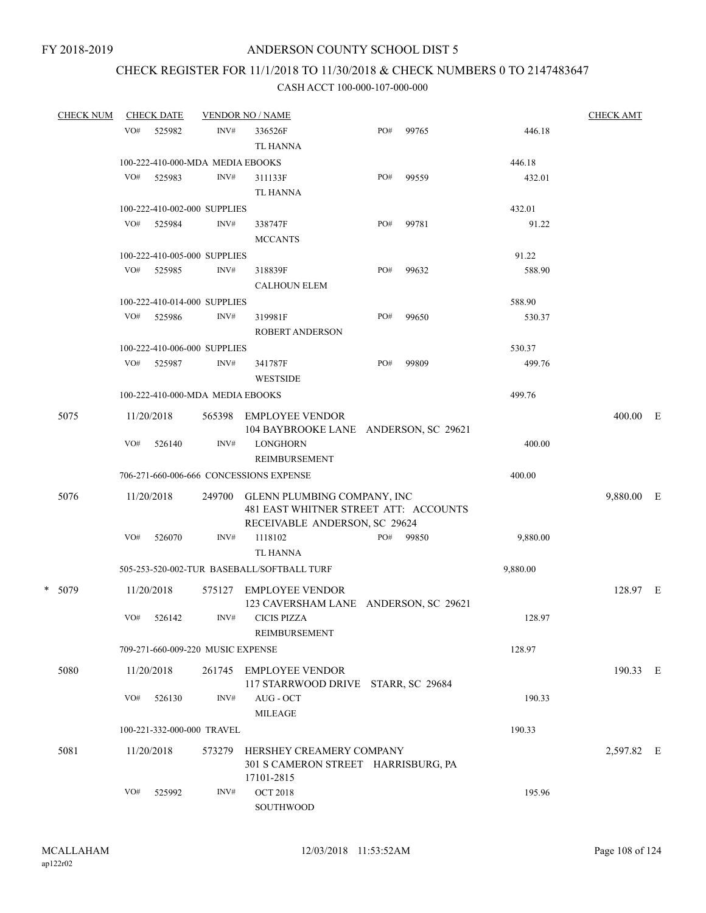# CHECK REGISTER FOR 11/1/2018 TO 11/30/2018 & CHECK NUMBERS 0 TO 2147483647

| <b>CHECK NUM</b> |     | <b>CHECK DATE</b>                 | <b>VENDOR NO / NAME</b> |                                                                                                       |     |       |          | <b>CHECK AMT</b> |     |
|------------------|-----|-----------------------------------|-------------------------|-------------------------------------------------------------------------------------------------------|-----|-------|----------|------------------|-----|
|                  | VO# | 525982                            | INV#                    | 336526F<br><b>TL HANNA</b>                                                                            | PO# | 99765 | 446.18   |                  |     |
|                  |     | 100-222-410-000-MDA MEDIA EBOOKS  |                         |                                                                                                       |     |       | 446.18   |                  |     |
|                  | VO# | 525983                            | INV#                    | 311133F<br><b>TL HANNA</b>                                                                            | PO# | 99559 | 432.01   |                  |     |
|                  |     | 100-222-410-002-000 SUPPLIES      |                         |                                                                                                       |     |       | 432.01   |                  |     |
|                  | VO# | 525984                            | INV#                    | 338747F<br><b>MCCANTS</b>                                                                             | PO# | 99781 | 91.22    |                  |     |
|                  |     | 100-222-410-005-000 SUPPLIES      |                         |                                                                                                       |     |       | 91.22    |                  |     |
|                  | VO# | 525985                            | INV#                    | 318839F<br><b>CALHOUN ELEM</b>                                                                        | PO# | 99632 | 588.90   |                  |     |
|                  |     | 100-222-410-014-000 SUPPLIES      |                         |                                                                                                       |     |       | 588.90   |                  |     |
|                  | VO# | 525986                            | INV#                    | 319981F<br><b>ROBERT ANDERSON</b>                                                                     | PO# | 99650 | 530.37   |                  |     |
|                  |     | 100-222-410-006-000 SUPPLIES      |                         |                                                                                                       |     |       | 530.37   |                  |     |
|                  |     | VO# 525987                        | INV#                    | 341787F<br><b>WESTSIDE</b>                                                                            | PO# | 99809 | 499.76   |                  |     |
|                  |     | 100-222-410-000-MDA MEDIA EBOOKS  |                         |                                                                                                       |     |       | 499.76   |                  |     |
| 5075             |     | 11/20/2018                        | 565398                  | EMPLOYEE VENDOR<br>104 BAYBROOKE LANE ANDERSON, SC 29621                                              |     |       |          | $400.00$ E       |     |
|                  | VO# | 526140                            | INV#                    | <b>LONGHORN</b><br>REIMBURSEMENT                                                                      |     |       | 400.00   |                  |     |
|                  |     |                                   |                         | 706-271-660-006-666 CONCESSIONS EXPENSE                                                               |     |       | 400.00   |                  |     |
| 5076             |     | 11/20/2018                        | 249700                  | GLENN PLUMBING COMPANY, INC<br>481 EAST WHITNER STREET ATT: ACCOUNTS<br>RECEIVABLE ANDERSON, SC 29624 |     |       |          | 9,880.00         | – E |
|                  | VO# | 526070                            | INV#                    | 1118102<br><b>TL HANNA</b>                                                                            | PO# | 99850 | 9,880.00 |                  |     |
|                  |     |                                   |                         | 505-253-520-002-TUR BASEBALL/SOFTBALL TURF                                                            |     |       | 9,880.00 |                  |     |
| * 5079           |     | 11/20/2018                        | 575127                  | <b>EMPLOYEE VENDOR</b><br>123 CAVERSHAM LANE ANDERSON, SC 29621                                       |     |       |          | 128.97 E         |     |
|                  | VO# | 526142                            | INV#                    | <b>CICIS PIZZA</b><br>REIMBURSEMENT                                                                   |     |       | 128.97   |                  |     |
|                  |     | 709-271-660-009-220 MUSIC EXPENSE |                         |                                                                                                       |     |       | 128.97   |                  |     |
| 5080             |     | 11/20/2018                        | 261745                  | EMPLOYEE VENDOR<br>117 STARRWOOD DRIVE STARR, SC 29684                                                |     |       |          | 190.33 E         |     |
|                  | VO# | 526130                            | INV#                    | AUG - OCT<br><b>MILEAGE</b>                                                                           |     |       | 190.33   |                  |     |
|                  |     | 100-221-332-000-000 TRAVEL        |                         |                                                                                                       |     |       | 190.33   |                  |     |
| 5081             |     | 11/20/2018                        | 573279                  | HERSHEY CREAMERY COMPANY<br>301 S CAMERON STREET HARRISBURG, PA<br>17101-2815                         |     |       |          | 2,597.82 E       |     |
|                  | VO# | 525992                            | INV#                    | <b>OCT 2018</b><br>SOUTHWOOD                                                                          |     |       | 195.96   |                  |     |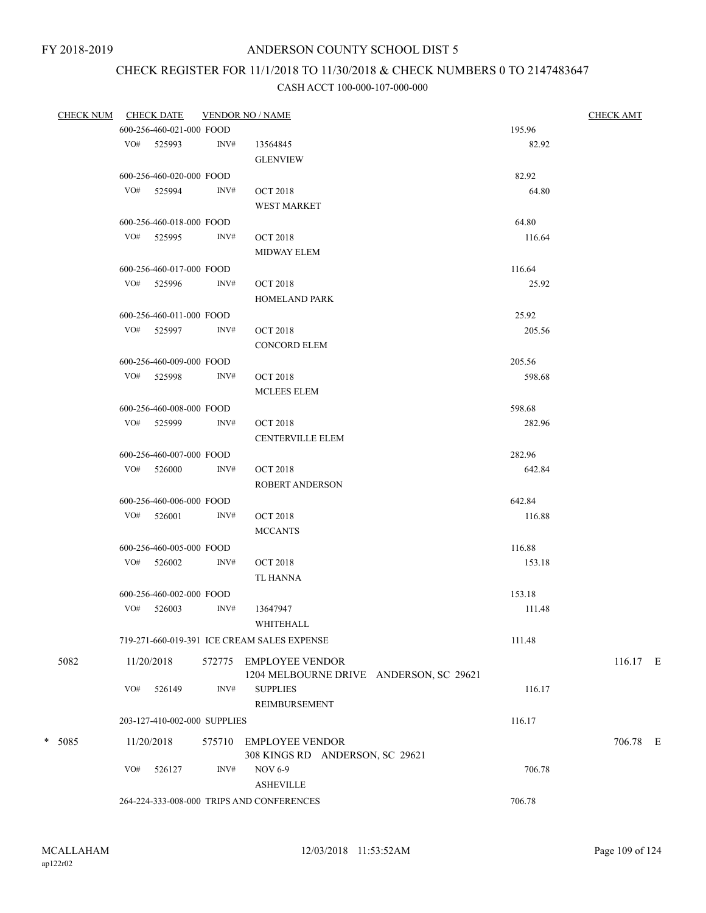# CHECK REGISTER FOR 11/1/2018 TO 11/30/2018 & CHECK NUMBERS 0 TO 2147483647

| CHECK NUM CHECK DATE |     |                              |      | <b>VENDOR NO / NAME</b>                     |        | <b>CHECK AMT</b> |
|----------------------|-----|------------------------------|------|---------------------------------------------|--------|------------------|
|                      |     | 600-256-460-021-000 FOOD     |      |                                             | 195.96 |                  |
|                      |     | VO# 525993                   | INV# | 13564845                                    | 82.92  |                  |
|                      |     |                              |      | <b>GLENVIEW</b>                             |        |                  |
|                      |     | 600-256-460-020-000 FOOD     |      |                                             | 82.92  |                  |
|                      |     | VO# 525994                   | INV# | <b>OCT 2018</b>                             | 64.80  |                  |
|                      |     |                              |      | <b>WEST MARKET</b>                          |        |                  |
|                      |     | 600-256-460-018-000 FOOD     |      |                                             | 64.80  |                  |
|                      |     | VO# 525995                   | INV# | <b>OCT 2018</b>                             | 116.64 |                  |
|                      |     |                              |      | <b>MIDWAY ELEM</b>                          |        |                  |
|                      |     |                              |      |                                             |        |                  |
|                      |     | 600-256-460-017-000 FOOD     |      |                                             | 116.64 |                  |
|                      |     | VO# 525996                   | INV# | <b>OCT 2018</b>                             | 25.92  |                  |
|                      |     |                              |      | <b>HOMELAND PARK</b>                        |        |                  |
|                      |     | 600-256-460-011-000 FOOD     |      |                                             | 25.92  |                  |
|                      |     | VO# 525997                   | INV# | <b>OCT 2018</b>                             | 205.56 |                  |
|                      |     |                              |      | <b>CONCORD ELEM</b>                         |        |                  |
|                      |     | 600-256-460-009-000 FOOD     |      |                                             | 205.56 |                  |
|                      |     | VO# 525998                   | INV# | <b>OCT 2018</b>                             | 598.68 |                  |
|                      |     |                              |      | MCLEES ELEM                                 |        |                  |
|                      |     | 600-256-460-008-000 FOOD     |      |                                             | 598.68 |                  |
|                      |     | VO# 525999                   | INV# | <b>OCT 2018</b>                             | 282.96 |                  |
|                      |     |                              |      | <b>CENTERVILLE ELEM</b>                     |        |                  |
|                      |     | 600-256-460-007-000 FOOD     |      |                                             | 282.96 |                  |
|                      |     | $VO#$ 526000                 | INV# | <b>OCT 2018</b>                             | 642.84 |                  |
|                      |     |                              |      | <b>ROBERT ANDERSON</b>                      |        |                  |
|                      |     | 600-256-460-006-000 FOOD     |      |                                             | 642.84 |                  |
|                      |     | VO# 526001                   | INV# | <b>OCT 2018</b>                             | 116.88 |                  |
|                      |     |                              |      | <b>MCCANTS</b>                              |        |                  |
|                      |     | 600-256-460-005-000 FOOD     |      |                                             | 116.88 |                  |
|                      |     | $VO#$ 526002                 | INV# | <b>OCT 2018</b>                             | 153.18 |                  |
|                      |     |                              |      | TL HANNA                                    |        |                  |
|                      |     | 600-256-460-002-000 FOOD     |      |                                             | 153.18 |                  |
|                      |     | VO# 526003                   | INV# | 13647947                                    | 111.48 |                  |
|                      |     |                              |      | WHITEHALL                                   |        |                  |
|                      |     |                              |      | 719-271-660-019-391 ICE CREAM SALES EXPENSE | 111.48 |                  |
|                      |     |                              |      |                                             |        |                  |
| 5082                 |     | 11/20/2018                   |      | 572775 EMPLOYEE VENDOR                      |        | $116.17$ E       |
|                      |     |                              |      | 1204 MELBOURNE DRIVE ANDERSON, SC 29621     |        |                  |
|                      | VO# | 526149                       | INV# | <b>SUPPLIES</b>                             | 116.17 |                  |
|                      |     |                              |      | <b>REIMBURSEMENT</b>                        |        |                  |
|                      |     | 203-127-410-002-000 SUPPLIES |      |                                             | 116.17 |                  |
| * 5085               |     | 11/20/2018                   |      | 575710 EMPLOYEE VENDOR                      |        | 706.78 E         |
|                      |     |                              |      | 308 KINGS RD ANDERSON, SC 29621             |        |                  |
|                      | VO# | 526127                       | INV# | <b>NOV 6-9</b>                              | 706.78 |                  |
|                      |     |                              |      | <b>ASHEVILLE</b>                            |        |                  |
|                      |     |                              |      | 264-224-333-008-000 TRIPS AND CONFERENCES   | 706.78 |                  |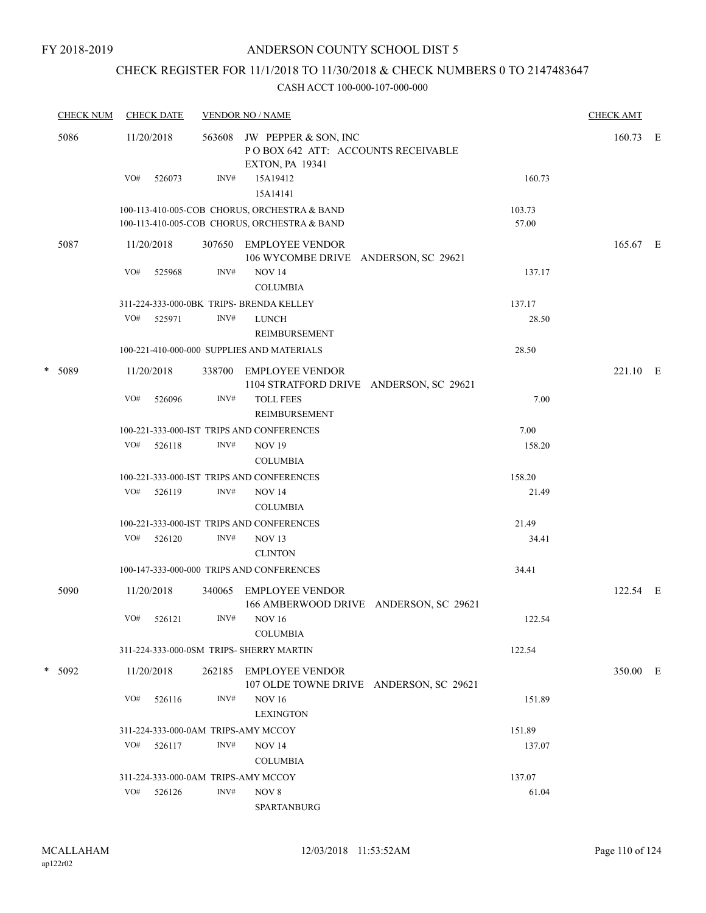# CHECK REGISTER FOR 11/1/2018 TO 11/30/2018 & CHECK NUMBERS 0 TO 2147483647

| <b>CHECK NUM</b> |          | <b>CHECK DATE</b>                        |        | <b>VENDOR NO / NAME</b>                                                                      |                 |            |  |  |  |
|------------------|----------|------------------------------------------|--------|----------------------------------------------------------------------------------------------|-----------------|------------|--|--|--|
|                  | 5086     | 11/20/2018                               | 563608 | JW PEPPER & SON, INC<br>POBOX 642 ATT: ACCOUNTS RECEIVABLE<br><b>EXTON, PA 19341</b>         |                 | $160.73$ E |  |  |  |
|                  |          | VO#<br>526073                            | INV#   | 15A19412<br>15A14141                                                                         | 160.73          |            |  |  |  |
|                  |          |                                          |        | 100-113-410-005-COB CHORUS, ORCHESTRA & BAND<br>100-113-410-005-COB CHORUS, ORCHESTRA & BAND | 103.73<br>57.00 |            |  |  |  |
|                  | 5087     | 11/20/2018                               |        | 307650 EMPLOYEE VENDOR<br>106 WYCOMBE DRIVE ANDERSON, SC 29621                               |                 | 165.67 E   |  |  |  |
|                  |          | VO#<br>525968                            | INV#   | <b>NOV 14</b><br><b>COLUMBIA</b>                                                             | 137.17          |            |  |  |  |
|                  |          |                                          |        | 311-224-333-000-0BK TRIPS- BRENDA KELLEY                                                     | 137.17          |            |  |  |  |
|                  |          | VO#<br>525971                            | INV#   | <b>LUNCH</b><br>REIMBURSEMENT                                                                | 28.50           |            |  |  |  |
|                  |          |                                          |        | 100-221-410-000-000 SUPPLIES AND MATERIALS                                                   | 28.50           |            |  |  |  |
|                  | * 5089   | 11/20/2018                               | 338700 | EMPLOYEE VENDOR                                                                              |                 | 221.10 E   |  |  |  |
|                  |          | VO#<br>526096                            | INV#   | 1104 STRATFORD DRIVE ANDERSON, SC 29621<br><b>TOLL FEES</b><br>REIMBURSEMENT                 | 7.00            |            |  |  |  |
|                  |          |                                          |        | 100-221-333-000-IST TRIPS AND CONFERENCES                                                    | 7.00            |            |  |  |  |
|                  |          | VO#<br>526118                            | INV#   | <b>NOV 19</b><br><b>COLUMBIA</b>                                                             | 158.20          |            |  |  |  |
|                  |          |                                          |        | 100-221-333-000-IST TRIPS AND CONFERENCES                                                    | 158.20          |            |  |  |  |
|                  |          | VO#<br>526119                            | INV#   | <b>NOV 14</b><br><b>COLUMBIA</b>                                                             | 21.49           |            |  |  |  |
|                  |          |                                          |        | 100-221-333-000-IST TRIPS AND CONFERENCES                                                    | 21.49           |            |  |  |  |
|                  |          | VO#<br>526120                            | INV#   | NOV <sub>13</sub><br><b>CLINTON</b>                                                          | 34.41           |            |  |  |  |
|                  |          |                                          |        | 100-147-333-000-000 TRIPS AND CONFERENCES                                                    | 34.41           |            |  |  |  |
|                  | 5090     | 11/20/2018                               | 340065 | EMPLOYEE VENDOR<br>166 AMBERWOOD DRIVE ANDERSON, SC 29621                                    |                 | 122.54 E   |  |  |  |
|                  |          | VO#<br>526121                            | INV#   | <b>NOV 16</b><br><b>COLUMBIA</b>                                                             | 122.54          |            |  |  |  |
|                  |          | 311-224-333-000-0SM TRIPS- SHERRY MARTIN |        |                                                                                              | 122.54          |            |  |  |  |
|                  | $* 5092$ | 11/20/2018                               | 262185 | <b>EMPLOYEE VENDOR</b><br>107 OLDE TOWNE DRIVE ANDERSON, SC 29621                            |                 | 350.00 E   |  |  |  |
|                  |          | VO#<br>526116                            | INV#   | <b>NOV 16</b><br><b>LEXINGTON</b>                                                            | 151.89          |            |  |  |  |
|                  |          | 311-224-333-000-0AM TRIPS-AMY MCCOY      |        |                                                                                              | 151.89          |            |  |  |  |
|                  |          | VO#<br>526117                            | INV#   | <b>NOV 14</b>                                                                                | 137.07          |            |  |  |  |
|                  |          |                                          |        | <b>COLUMBIA</b>                                                                              |                 |            |  |  |  |
|                  |          | 311-224-333-000-0AM TRIPS-AMY MCCOY      |        |                                                                                              | 137.07          |            |  |  |  |
|                  |          | VO#<br>526126                            | INV#   | NOV 8<br>SPARTANBURG                                                                         | 61.04           |            |  |  |  |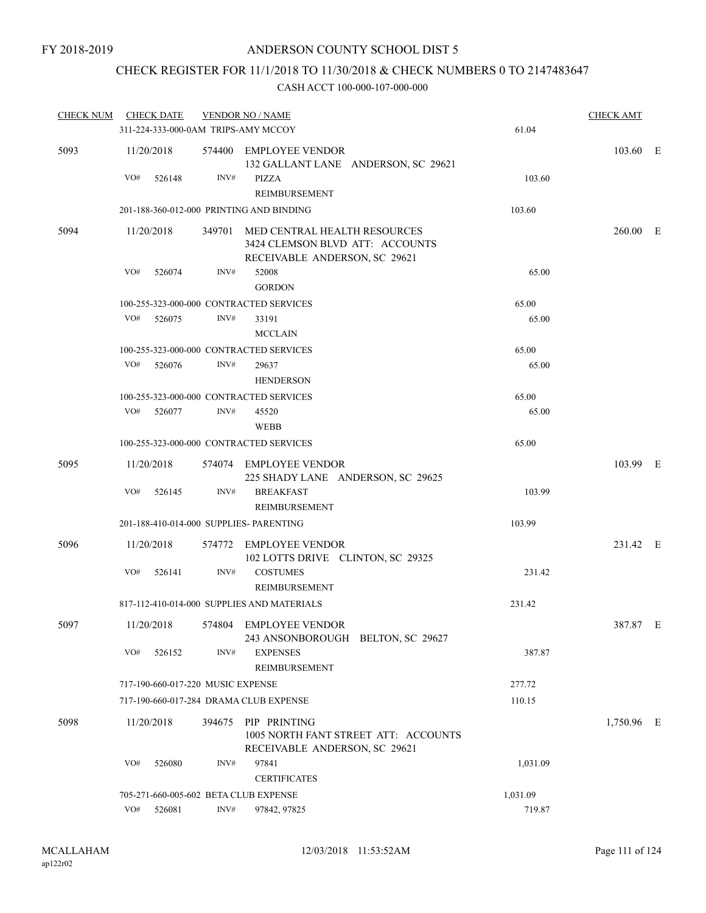# CHECK REGISTER FOR 11/1/2018 TO 11/30/2018 & CHECK NUMBERS 0 TO 2147483647

| <b>CHECK NUM</b> | <b>CHECK DATE</b>                       |      | <b>VENDOR NO / NAME</b>                                                                                 |          | <b>CHECK AMT</b> |  |
|------------------|-----------------------------------------|------|---------------------------------------------------------------------------------------------------------|----------|------------------|--|
|                  | 311-224-333-000-0AM TRIPS-AMY MCCOY     |      |                                                                                                         | 61.04    |                  |  |
| 5093             | 11/20/2018                              |      | 574400 EMPLOYEE VENDOR<br>132 GALLANT LANE ANDERSON, SC 29621                                           |          | 103.60 E         |  |
|                  | VO#<br>526148                           | INV# | PIZZA<br>REIMBURSEMENT                                                                                  | 103.60   |                  |  |
|                  |                                         |      | 201-188-360-012-000 PRINTING AND BINDING                                                                | 103.60   |                  |  |
| 5094             | 11/20/2018                              |      | 349701 MED CENTRAL HEALTH RESOURCES<br>3424 CLEMSON BLVD ATT: ACCOUNTS<br>RECEIVABLE ANDERSON, SC 29621 |          | 260.00 E         |  |
|                  | VO#<br>526074                           | INV# | 52008<br><b>GORDON</b>                                                                                  | 65.00    |                  |  |
|                  |                                         |      | 100-255-323-000-000 CONTRACTED SERVICES                                                                 | 65.00    |                  |  |
|                  | VO#<br>526075                           | INV# | 33191<br><b>MCCLAIN</b>                                                                                 | 65.00    |                  |  |
|                  |                                         |      | 100-255-323-000-000 CONTRACTED SERVICES                                                                 | 65.00    |                  |  |
|                  | VO# 526076                              | INV# | 29637<br><b>HENDERSON</b>                                                                               | 65.00    |                  |  |
|                  |                                         |      | 100-255-323-000-000 CONTRACTED SERVICES                                                                 | 65.00    |                  |  |
|                  | VO#<br>526077                           | INV# | 45520<br><b>WEBB</b>                                                                                    | 65.00    |                  |  |
|                  |                                         |      | 100-255-323-000-000 CONTRACTED SERVICES                                                                 | 65.00    |                  |  |
| 5095             | 11/20/2018                              |      | 574074 EMPLOYEE VENDOR<br>225 SHADY LANE ANDERSON, SC 29625                                             |          | 103.99 E         |  |
|                  | VO#<br>526145                           | INV# | <b>BREAKFAST</b><br>REIMBURSEMENT                                                                       | 103.99   |                  |  |
|                  | 201-188-410-014-000 SUPPLIES- PARENTING |      |                                                                                                         | 103.99   |                  |  |
| 5096             | 11/20/2018                              |      | 574772 EMPLOYEE VENDOR<br>102 LOTTS DRIVE CLINTON, SC 29325                                             |          | 231.42 E         |  |
|                  | VO#<br>526141                           | INV# | <b>COSTUMES</b><br><b>REIMBURSEMENT</b>                                                                 | 231.42   |                  |  |
|                  |                                         |      | 817-112-410-014-000 SUPPLIES AND MATERIALS                                                              | 231.42   |                  |  |
| 5097             | 11/20/2018                              |      | 574804 EMPLOYEE VENDOR<br>243 ANSONBOROUGH BELTON, SC 29627                                             |          | 387.87 E         |  |
|                  | VO#<br>526152                           | INV# | <b>EXPENSES</b><br>REIMBURSEMENT                                                                        | 387.87   |                  |  |
|                  | 717-190-660-017-220 MUSIC EXPENSE       |      |                                                                                                         | 277.72   |                  |  |
|                  | 717-190-660-017-284 DRAMA CLUB EXPENSE  |      |                                                                                                         | 110.15   |                  |  |
| 5098             | 11/20/2018                              |      | 394675 PIP PRINTING<br>1005 NORTH FANT STREET ATT: ACCOUNTS<br>RECEIVABLE ANDERSON, SC 29621            |          | 1,750.96 E       |  |
|                  | VO#<br>526080                           | INV# | 97841<br><b>CERTIFICATES</b>                                                                            | 1,031.09 |                  |  |
|                  | 705-271-660-005-602 BETA CLUB EXPENSE   |      |                                                                                                         | 1,031.09 |                  |  |
|                  | VO#<br>526081                           | INV# | 97842, 97825                                                                                            | 719.87   |                  |  |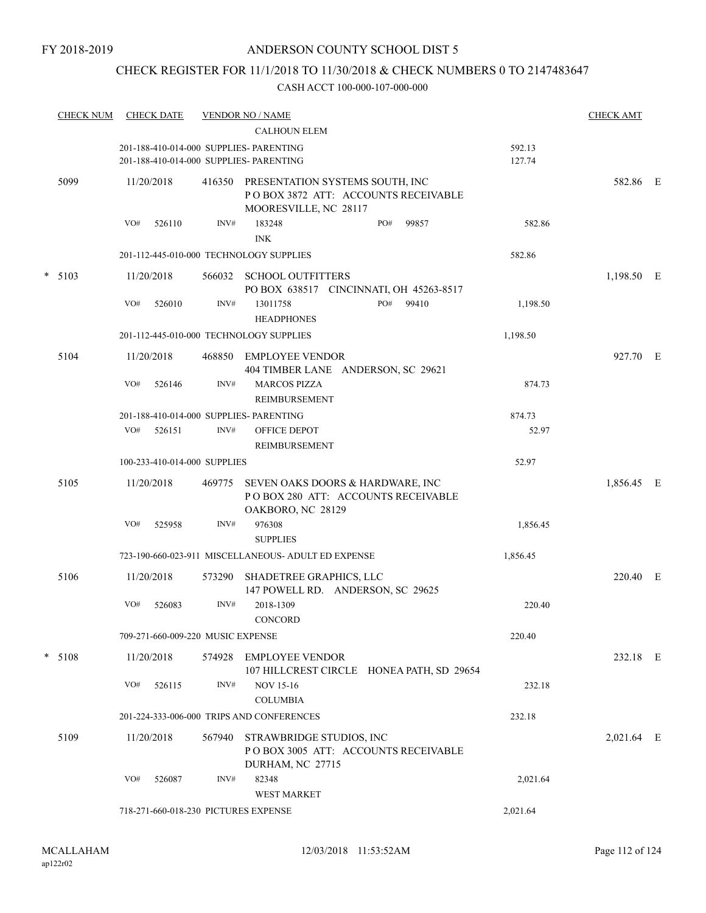# CHECK REGISTER FOR 11/1/2018 TO 11/30/2018 & CHECK NUMBERS 0 TO 2147483647

| <b>CHECK NUM</b> |            | <b>CHECK DATE</b> |                                   | <b>VENDOR NO / NAME</b><br><b>CALHOUN ELEM</b>                                                   |                  | <b>CHECK AMT</b> |  |
|------------------|------------|-------------------|-----------------------------------|--------------------------------------------------------------------------------------------------|------------------|------------------|--|
|                  |            |                   |                                   | 201-188-410-014-000 SUPPLIES- PARENTING<br>201-188-410-014-000 SUPPLIES- PARENTING               | 592.13<br>127.74 |                  |  |
| 5099             | 11/20/2018 |                   | 416350                            | PRESENTATION SYSTEMS SOUTH, INC<br>PO BOX 3872 ATT: ACCOUNTS RECEIVABLE<br>MOORESVILLE, NC 28117 |                  | 582.86 E         |  |
|                  | VO#        | 526110            | INV#                              | 183248<br>PO#<br>99857<br><b>INK</b>                                                             | 582.86           |                  |  |
|                  |            |                   |                                   | 201-112-445-010-000 TECHNOLOGY SUPPLIES                                                          | 582.86           |                  |  |
| $* 5103$         | 11/20/2018 |                   | 566032                            | <b>SCHOOL OUTFITTERS</b><br>PO BOX 638517 CINCINNATI, OH 45263-8517                              |                  | 1,198.50 E       |  |
|                  | VO#        | 526010            | INV#                              | 13011758<br>PO#<br>99410<br><b>HEADPHONES</b>                                                    | 1,198.50         |                  |  |
|                  |            |                   |                                   | 201-112-445-010-000 TECHNOLOGY SUPPLIES                                                          | 1,198.50         |                  |  |
| 5104             | 11/20/2018 |                   | 468850                            | <b>EMPLOYEE VENDOR</b><br>404 TIMBER LANE ANDERSON, SC 29621                                     |                  | 927.70 E         |  |
|                  | VO#        | 526146            | INV#                              | <b>MARCOS PIZZA</b><br>REIMBURSEMENT                                                             | 874.73           |                  |  |
|                  |            |                   |                                   | 201-188-410-014-000 SUPPLIES- PARENTING                                                          | 874.73           |                  |  |
|                  | VO#        | 526151            | INV#                              | <b>OFFICE DEPOT</b><br>REIMBURSEMENT                                                             | 52.97            |                  |  |
|                  |            |                   | 100-233-410-014-000 SUPPLIES      |                                                                                                  | 52.97            |                  |  |
| 5105             | 11/20/2018 |                   | 469775                            | SEVEN OAKS DOORS & HARDWARE, INC<br>POBOX 280 ATT: ACCOUNTS RECEIVABLE<br>OAKBORO, NC 28129      |                  | 1,856.45 E       |  |
|                  | VO#        | 525958            | INV#                              | 976308<br><b>SUPPLIES</b>                                                                        | 1,856.45         |                  |  |
|                  |            |                   |                                   | 723-190-660-023-911 MISCELLANEOUS- ADULT ED EXPENSE                                              | 1,856.45         |                  |  |
| 5106             | 11/20/2018 |                   | 573290                            | SHADETREE GRAPHICS, LLC<br>147 POWELL RD. ANDERSON, SC 29625                                     |                  | 220.40 E         |  |
|                  | VO#        | 526083            | INV#                              | 2018-1309<br><b>CONCORD</b>                                                                      | 220.40           |                  |  |
|                  |            |                   | 709-271-660-009-220 MUSIC EXPENSE |                                                                                                  | 220.40           |                  |  |
| $* 5108$         | 11/20/2018 |                   |                                   | 574928 EMPLOYEE VENDOR<br>107 HILLCREST CIRCLE HONEA PATH, SD 29654                              |                  | 232.18 E         |  |
|                  | VO#        | 526115            | INV#                              | <b>NOV 15-16</b><br><b>COLUMBIA</b>                                                              | 232.18           |                  |  |
|                  |            |                   |                                   | 201-224-333-006-000 TRIPS AND CONFERENCES                                                        | 232.18           |                  |  |
| 5109             | 11/20/2018 |                   | 567940                            | STRAWBRIDGE STUDIOS, INC<br>POBOX 3005 ATT: ACCOUNTS RECEIVABLE<br>DURHAM, NC 27715              |                  | 2,021.64 E       |  |
|                  | VO#        | 526087            | INV#                              | 82348<br><b>WEST MARKET</b>                                                                      | 2,021.64         |                  |  |
|                  |            |                   |                                   | 718-271-660-018-230 PICTURES EXPENSE                                                             | 2,021.64         |                  |  |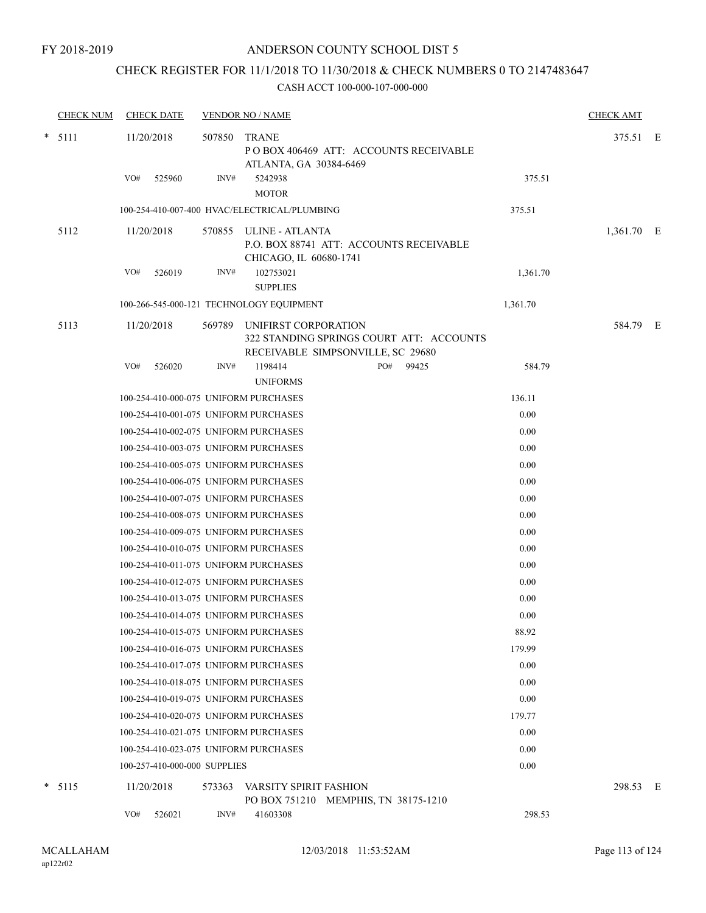# CHECK REGISTER FOR 11/1/2018 TO 11/30/2018 & CHECK NUMBERS 0 TO 2147483647

| <b>CHECK NUM</b> |     | <b>CHECK DATE</b>            |        | <b>VENDOR NO / NAME</b>                          |                                                                               |          | <b>CHECK AMT</b> |  |
|------------------|-----|------------------------------|--------|--------------------------------------------------|-------------------------------------------------------------------------------|----------|------------------|--|
| $* 5111$         |     | 11/20/2018                   | 507850 | <b>TRANE</b><br>ATLANTA, GA 30384-6469           | POBOX 406469 ATT: ACCOUNTS RECEIVABLE                                         |          | 375.51 E         |  |
|                  | VO# | 525960                       | INV#   | 5242938<br><b>MOTOR</b>                          |                                                                               | 375.51   |                  |  |
|                  |     |                              |        | 100-254-410-007-400 HVAC/ELECTRICAL/PLUMBING     |                                                                               | 375.51   |                  |  |
| 5112             |     | 11/20/2018                   |        | 570855 ULINE - ATLANTA<br>CHICAGO, IL 60680-1741 | P.O. BOX 88741 ATT: ACCOUNTS RECEIVABLE                                       |          | 1,361.70 E       |  |
|                  | VO# | 526019                       | INV#   | 102753021                                        |                                                                               | 1,361.70 |                  |  |
|                  |     |                              |        | <b>SUPPLIES</b>                                  |                                                                               |          |                  |  |
|                  |     |                              |        | 100-266-545-000-121 TECHNOLOGY EQUIPMENT         |                                                                               | 1,361.70 |                  |  |
| 5113             |     | 11/20/2018                   | 569789 | UNIFIRST CORPORATION                             | 322 STANDING SPRINGS COURT ATT: ACCOUNTS<br>RECEIVABLE SIMPSONVILLE, SC 29680 |          | 584.79 E         |  |
|                  | VO# | 526020                       | INV#   | 1198414<br><b>UNIFORMS</b>                       | PO#<br>99425                                                                  | 584.79   |                  |  |
|                  |     |                              |        | 100-254-410-000-075 UNIFORM PURCHASES            |                                                                               | 136.11   |                  |  |
|                  |     |                              |        | 100-254-410-001-075 UNIFORM PURCHASES            |                                                                               | 0.00     |                  |  |
|                  |     |                              |        | 100-254-410-002-075 UNIFORM PURCHASES            |                                                                               | 0.00     |                  |  |
|                  |     |                              |        | 100-254-410-003-075 UNIFORM PURCHASES            |                                                                               | 0.00     |                  |  |
|                  |     |                              |        | 100-254-410-005-075 UNIFORM PURCHASES            |                                                                               | 0.00     |                  |  |
|                  |     |                              |        | 100-254-410-006-075 UNIFORM PURCHASES            |                                                                               | 0.00     |                  |  |
|                  |     |                              |        | 100-254-410-007-075 UNIFORM PURCHASES            |                                                                               | 0.00     |                  |  |
|                  |     |                              |        | 100-254-410-008-075 UNIFORM PURCHASES            |                                                                               | 0.00     |                  |  |
|                  |     |                              |        | 100-254-410-009-075 UNIFORM PURCHASES            |                                                                               | 0.00     |                  |  |
|                  |     |                              |        | 100-254-410-010-075 UNIFORM PURCHASES            |                                                                               | 0.00     |                  |  |
|                  |     |                              |        | 100-254-410-011-075 UNIFORM PURCHASES            |                                                                               | 0.00     |                  |  |
|                  |     |                              |        | 100-254-410-012-075 UNIFORM PURCHASES            |                                                                               | 0.00     |                  |  |
|                  |     |                              |        | 100-254-410-013-075 UNIFORM PURCHASES            |                                                                               | 0.00     |                  |  |
|                  |     |                              |        | 100-254-410-014-075 UNIFORM PURCHASES            |                                                                               | 0.00     |                  |  |
|                  |     |                              |        | 100-254-410-015-075 UNIFORM PURCHASES            |                                                                               | 88.92    |                  |  |
|                  |     |                              |        | 100-254-410-016-075 UNIFORM PURCHASES            |                                                                               | 179.99   |                  |  |
|                  |     |                              |        | 100-254-410-017-075 UNIFORM PURCHASES            |                                                                               | 0.00     |                  |  |
|                  |     |                              |        | 100-254-410-018-075 UNIFORM PURCHASES            |                                                                               | 0.00     |                  |  |
|                  |     |                              |        | 100-254-410-019-075 UNIFORM PURCHASES            |                                                                               | 0.00     |                  |  |
|                  |     |                              |        | 100-254-410-020-075 UNIFORM PURCHASES            |                                                                               | 179.77   |                  |  |
|                  |     |                              |        | 100-254-410-021-075 UNIFORM PURCHASES            |                                                                               | 0.00     |                  |  |
|                  |     |                              |        | 100-254-410-023-075 UNIFORM PURCHASES            |                                                                               | 0.00     |                  |  |
|                  |     | 100-257-410-000-000 SUPPLIES |        |                                                  |                                                                               | 0.00     |                  |  |
| $*$ 5115         |     | 11/20/2018                   | 573363 | VARSITY SPIRIT FASHION                           | PO BOX 751210 MEMPHIS, TN 38175-1210                                          |          | 298.53 E         |  |
|                  | VO# | 526021                       | INV#   | 41603308                                         |                                                                               | 298.53   |                  |  |
|                  |     |                              |        |                                                  |                                                                               |          |                  |  |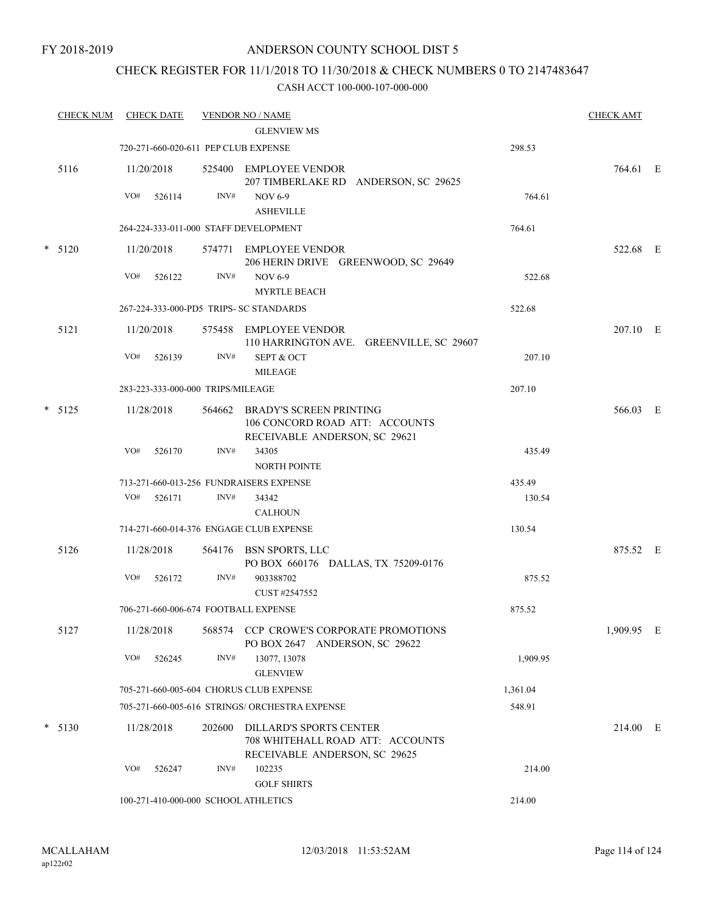# CHECK REGISTER FOR 11/1/2018 TO 11/30/2018 & CHECK NUMBERS 0 TO 2147483647

| <b>CHECK NUM</b> |            | <b>CHECK DATE</b> |                                   | <b>VENDOR NO / NAME</b><br><b>GLENVIEW MS</b>                                                     |          | <b>CHECK AMT</b> |  |
|------------------|------------|-------------------|-----------------------------------|---------------------------------------------------------------------------------------------------|----------|------------------|--|
|                  |            |                   |                                   | 720-271-660-020-611 PEP CLUB EXPENSE                                                              | 298.53   |                  |  |
| 5116             | 11/20/2018 |                   |                                   | 525400 EMPLOYEE VENDOR<br>207 TIMBERLAKE RD ANDERSON, SC 29625                                    |          | 764.61 E         |  |
|                  | VO#        | 526114            | INV#                              | <b>NOV 6-9</b><br><b>ASHEVILLE</b>                                                                | 764.61   |                  |  |
|                  |            |                   |                                   | 264-224-333-011-000 STAFF DEVELOPMENT                                                             | 764.61   |                  |  |
| $* 5120$         | 11/20/2018 |                   |                                   | 574771 EMPLOYEE VENDOR<br>206 HERIN DRIVE GREENWOOD, SC 29649                                     |          | 522.68 E         |  |
|                  | VO#        | 526122            | INV#                              | <b>NOV 6-9</b><br><b>MYRTLE BEACH</b>                                                             | 522.68   |                  |  |
|                  |            |                   |                                   | 267-224-333-000-PD5 TRIPS- SC STANDARDS                                                           | 522.68   |                  |  |
| 5121             | 11/20/2018 |                   |                                   | 575458 EMPLOYEE VENDOR<br>110 HARRINGTON AVE. GREENVILLE, SC 29607                                |          | 207.10 E         |  |
|                  | VO#        | 526139            | INV#                              | <b>SEPT &amp; OCT</b><br><b>MILEAGE</b>                                                           | 207.10   |                  |  |
|                  |            |                   | 283-223-333-000-000 TRIPS/MILEAGE |                                                                                                   | 207.10   |                  |  |
| $*$ 5125         | 11/28/2018 |                   |                                   | 564662 BRADY'S SCREEN PRINTING<br>106 CONCORD ROAD ATT: ACCOUNTS<br>RECEIVABLE ANDERSON, SC 29621 |          | 566.03 E         |  |
|                  | VO#        | 526170            | INV#                              | 34305<br><b>NORTH POINTE</b>                                                                      | 435.49   |                  |  |
|                  |            |                   |                                   | 713-271-660-013-256 FUNDRAISERS EXPENSE                                                           | 435.49   |                  |  |
|                  | VO#        | 526171            | INV#                              | 34342<br><b>CALHOUN</b>                                                                           | 130.54   |                  |  |
|                  |            |                   |                                   | 714-271-660-014-376 ENGAGE CLUB EXPENSE                                                           | 130.54   |                  |  |
| 5126             | 11/28/2018 |                   |                                   | 564176 BSN SPORTS, LLC<br>PO BOX 660176 DALLAS, TX 75209-0176                                     |          | 875.52 E         |  |
|                  | VO#        | 526172            | INV#                              | 903388702<br>CUST #2547552                                                                        | 875.52   |                  |  |
|                  |            |                   |                                   | 706-271-660-006-674 FOOTBALL EXPENSE                                                              | 875.52   |                  |  |
| 5127             | 11/28/2018 |                   | 568574                            | CCP CROWE'S CORPORATE PROMOTIONS<br>PO BOX 2647 ANDERSON, SC 29622                                |          | 1,909.95 E       |  |
|                  | VO#        | 526245            | INV#                              | 13077, 13078<br><b>GLENVIEW</b>                                                                   | 1,909.95 |                  |  |
|                  |            |                   |                                   | 705-271-660-005-604 CHORUS CLUB EXPENSE                                                           | 1,361.04 |                  |  |
|                  |            |                   |                                   | 705-271-660-005-616 STRINGS/ ORCHESTRA EXPENSE                                                    | 548.91   |                  |  |
| $* 5130$         | 11/28/2018 |                   | 202600                            | DILLARD'S SPORTS CENTER<br>708 WHITEHALL ROAD ATT: ACCOUNTS<br>RECEIVABLE ANDERSON, SC 29625      |          | 214.00 E         |  |
|                  | VO#        | 526247            | INV#                              | 102235<br><b>GOLF SHIRTS</b>                                                                      | 214.00   |                  |  |
|                  |            |                   |                                   | 100-271-410-000-000 SCHOOL ATHLETICS                                                              | 214.00   |                  |  |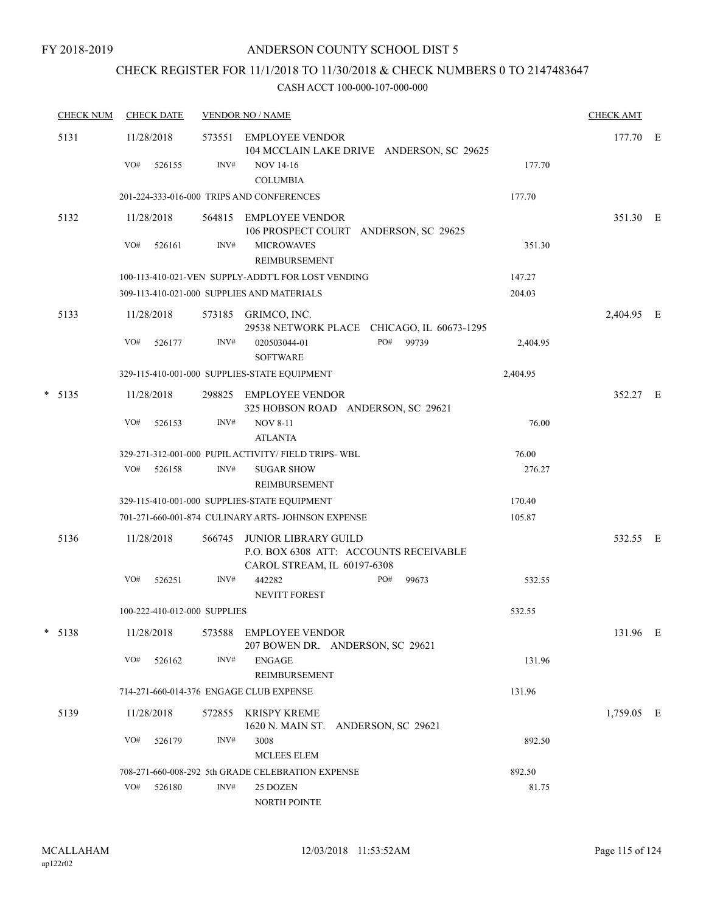# CHECK REGISTER FOR 11/1/2018 TO 11/30/2018 & CHECK NUMBERS 0 TO 2147483647

|   | <b>CHECK NUM</b> | <b>CHECK DATE</b>                       |        | <b>VENDOR NO / NAME</b>                                                                              |          | <b>CHECK AMT</b> |  |
|---|------------------|-----------------------------------------|--------|------------------------------------------------------------------------------------------------------|----------|------------------|--|
|   | 5131             | 11/28/2018                              | 573551 | EMPLOYEE VENDOR<br>104 MCCLAIN LAKE DRIVE ANDERSON, SC 29625                                         |          | 177.70 E         |  |
|   |                  | VO#<br>526155                           | INV#   | <b>NOV 14-16</b><br><b>COLUMBIA</b>                                                                  | 177.70   |                  |  |
|   |                  |                                         |        | 201-224-333-016-000 TRIPS AND CONFERENCES                                                            | 177.70   |                  |  |
|   | 5132             | 11/28/2018                              |        | 564815 EMPLOYEE VENDOR<br>106 PROSPECT COURT ANDERSON, SC 29625                                      |          | 351.30 E         |  |
|   |                  | VO#<br>526161                           | INV#   | <b>MICROWAVES</b><br>REIMBURSEMENT                                                                   | 351.30   |                  |  |
|   |                  |                                         |        | 100-113-410-021-VEN SUPPLY-ADDT'L FOR LOST VENDING                                                   | 147.27   |                  |  |
|   |                  |                                         |        | 309-113-410-021-000 SUPPLIES AND MATERIALS                                                           | 204.03   |                  |  |
|   | 5133             | 11/28/2018                              |        | 573185 GRIMCO, INC.<br>29538 NETWORK PLACE CHICAGO, IL 60673-1295                                    |          | 2,404.95 E       |  |
|   |                  | VO#<br>526177                           | INV#   | PO#<br>99739<br>020503044-01<br><b>SOFTWARE</b>                                                      | 2,404.95 |                  |  |
|   |                  |                                         |        | 329-115-410-001-000 SUPPLIES-STATE EQUIPMENT                                                         | 2,404.95 |                  |  |
|   | $*$ 5135         | 11/28/2018                              | 298825 | EMPLOYEE VENDOR<br>325 HOBSON ROAD ANDERSON, SC 29621                                                |          | 352.27 E         |  |
|   |                  | VO#<br>526153                           | INV#   | <b>NOV 8-11</b><br><b>ATLANTA</b>                                                                    | 76.00    |                  |  |
|   |                  |                                         |        | 329-271-312-001-000 PUPIL ACTIVITY/ FIELD TRIPS- WBL                                                 | 76.00    |                  |  |
|   |                  | VO#<br>526158                           | INV#   | <b>SUGAR SHOW</b>                                                                                    | 276.27   |                  |  |
|   |                  |                                         |        | REIMBURSEMENT                                                                                        |          |                  |  |
|   |                  |                                         |        | 329-115-410-001-000 SUPPLIES-STATE EQUIPMENT                                                         | 170.40   |                  |  |
|   |                  |                                         |        | 701-271-660-001-874 CULINARY ARTS- JOHNSON EXPENSE                                                   | 105.87   |                  |  |
|   | 5136             | 11/28/2018                              | 566745 | <b>JUNIOR LIBRARY GUILD</b><br>P.O. BOX 6308 ATT: ACCOUNTS RECEIVABLE<br>CAROL STREAM, IL 60197-6308 |          | 532.55 E         |  |
|   |                  | VO#<br>526251                           | INV#   | 442282<br>PO#<br>99673<br><b>NEVITT FOREST</b>                                                       | 532.55   |                  |  |
|   |                  | 100-222-410-012-000 SUPPLIES            |        |                                                                                                      | 532.55   |                  |  |
| * | 5138             | 11/28/2018                              | 573588 | EMPLOYEE VENDOR<br>207 BOWEN DR. ANDERSON, SC 29621                                                  |          | 131.96 E         |  |
|   |                  | VO#<br>526162                           | INV#   | <b>ENGAGE</b><br>REIMBURSEMENT                                                                       | 131.96   |                  |  |
|   |                  | 714-271-660-014-376 ENGAGE CLUB EXPENSE |        |                                                                                                      | 131.96   |                  |  |
|   | 5139             | 11/28/2018                              | 572855 | KRISPY KREME<br>1620 N. MAIN ST. ANDERSON, SC 29621                                                  |          | 1,759.05 E       |  |
|   |                  | VO#<br>526179                           | INV#   | 3008<br>MCLEES ELEM                                                                                  | 892.50   |                  |  |
|   |                  |                                         |        | 708-271-660-008-292 5th GRADE CELEBRATION EXPENSE                                                    | 892.50   |                  |  |
|   |                  | VO#<br>526180                           | INV#   | 25 DOZEN<br>NORTH POINTE                                                                             | 81.75    |                  |  |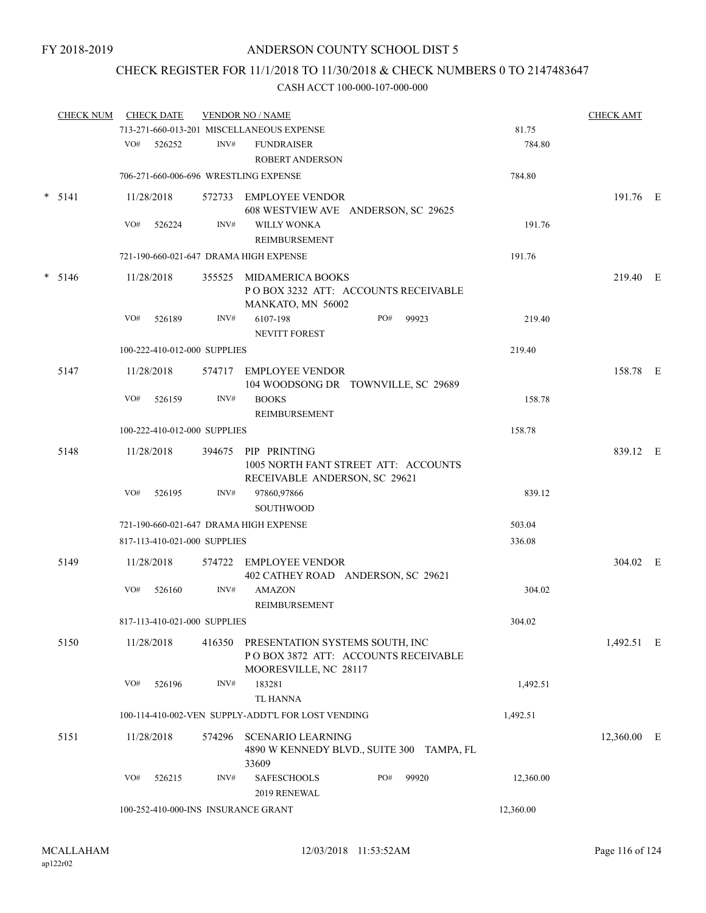# CHECK REGISTER FOR 11/1/2018 TO 11/30/2018 & CHECK NUMBERS 0 TO 2147483647

|          | <b>CHECK NUM</b> |            | <b>CHECK DATE</b>            |                                                                                     | <b>VENDOR NO / NAME</b>                                                                                |     |       |           | <b>CHECK AMT</b> |  |
|----------|------------------|------------|------------------------------|-------------------------------------------------------------------------------------|--------------------------------------------------------------------------------------------------------|-----|-------|-----------|------------------|--|
|          |                  |            |                              |                                                                                     | 713-271-660-013-201 MISCELLANEOUS EXPENSE                                                              |     |       | 81.75     |                  |  |
|          |                  | VO#        | 526252                       | INV#                                                                                | <b>FUNDRAISER</b><br><b>ROBERT ANDERSON</b>                                                            |     |       | 784.80    |                  |  |
|          |                  |            |                              |                                                                                     | 706-271-660-006-696 WRESTLING EXPENSE                                                                  |     |       | 784.80    |                  |  |
|          | $* 5141$         |            | 11/28/2018                   |                                                                                     | 572733 EMPLOYEE VENDOR<br>608 WESTVIEW AVE ANDERSON, SC 29625                                          |     |       |           | 191.76 E         |  |
|          |                  | VO#        | 526224                       | INV#                                                                                | <b>WILLY WONKA</b><br>REIMBURSEMENT                                                                    |     |       | 191.76    |                  |  |
|          |                  |            |                              |                                                                                     | 721-190-660-021-647 DRAMA HIGH EXPENSE                                                                 |     |       | 191.76    |                  |  |
| $* 5146$ |                  | 11/28/2018 |                              | 355525 MIDAMERICA BOOKS<br>POBOX 3232 ATT: ACCOUNTS RECEIVABLE<br>MANKATO, MN 56002 |                                                                                                        |     |       | 219.40 E  |                  |  |
|          |                  | VO#        | 526189                       | INV#                                                                                | 6107-198<br><b>NEVITT FOREST</b>                                                                       | PO# | 99923 | 219.40    |                  |  |
|          |                  |            | 100-222-410-012-000 SUPPLIES |                                                                                     |                                                                                                        |     |       | 219.40    |                  |  |
|          | 5147             |            | 11/28/2018                   |                                                                                     | 574717 EMPLOYEE VENDOR<br>104 WOODSONG DR TOWNVILLE, SC 29689                                          |     |       |           | 158.78 E         |  |
|          |                  | VO#        | 526159                       | INV#                                                                                | <b>BOOKS</b><br><b>REIMBURSEMENT</b>                                                                   |     |       | 158.78    |                  |  |
|          |                  |            | 100-222-410-012-000 SUPPLIES |                                                                                     |                                                                                                        |     |       | 158.78    |                  |  |
|          | 5148             |            | 11/28/2018                   |                                                                                     | 394675 PIP PRINTING<br>1005 NORTH FANT STREET ATT: ACCOUNTS<br>RECEIVABLE ANDERSON, SC 29621           |     |       |           | 839.12 E         |  |
|          |                  | VO#        | 526195                       | INV#                                                                                | 97860,97866<br><b>SOUTHWOOD</b>                                                                        |     |       | 839.12    |                  |  |
|          |                  |            |                              |                                                                                     | 721-190-660-021-647 DRAMA HIGH EXPENSE                                                                 |     |       | 503.04    |                  |  |
|          |                  |            | 817-113-410-021-000 SUPPLIES |                                                                                     |                                                                                                        |     |       | 336.08    |                  |  |
|          | 5149             |            | 11/28/2018                   |                                                                                     | 574722 EMPLOYEE VENDOR<br>402 CATHEY ROAD ANDERSON, SC 29621                                           |     |       |           | 304.02 E         |  |
|          |                  | VO#        | 526160                       | INV#                                                                                | <b>AMAZON</b><br>REIMBURSEMENT                                                                         |     |       | 304.02    |                  |  |
|          |                  |            | 817-113-410-021-000 SUPPLIES |                                                                                     |                                                                                                        |     |       | 304.02    |                  |  |
|          | 5150             |            | 11/28/2018                   |                                                                                     | 416350 PRESENTATION SYSTEMS SOUTH, INC<br>POBOX 3872 ATT: ACCOUNTS RECEIVABLE<br>MOORESVILLE, NC 28117 |     |       |           | 1,492.51 E       |  |
|          |                  | VO#        | 526196                       | INV#                                                                                | 183281<br><b>TL HANNA</b>                                                                              |     |       | 1,492.51  |                  |  |
|          |                  |            |                              |                                                                                     | 100-114-410-002-VEN SUPPLY-ADDT'L FOR LOST VENDING                                                     |     |       | 1,492.51  |                  |  |
|          | 5151             |            | 11/28/2018                   | 574296                                                                              | <b>SCENARIO LEARNING</b><br>4890 W KENNEDY BLVD., SUITE 300 TAMPA, FL<br>33609                         |     |       |           | 12,360.00 E      |  |
|          |                  | VO#        | 526215                       | INV#                                                                                | <b>SAFESCHOOLS</b><br>2019 RENEWAL                                                                     | PO# | 99920 | 12,360.00 |                  |  |
|          |                  |            |                              |                                                                                     | 100-252-410-000-INS INSURANCE GRANT                                                                    |     |       | 12,360.00 |                  |  |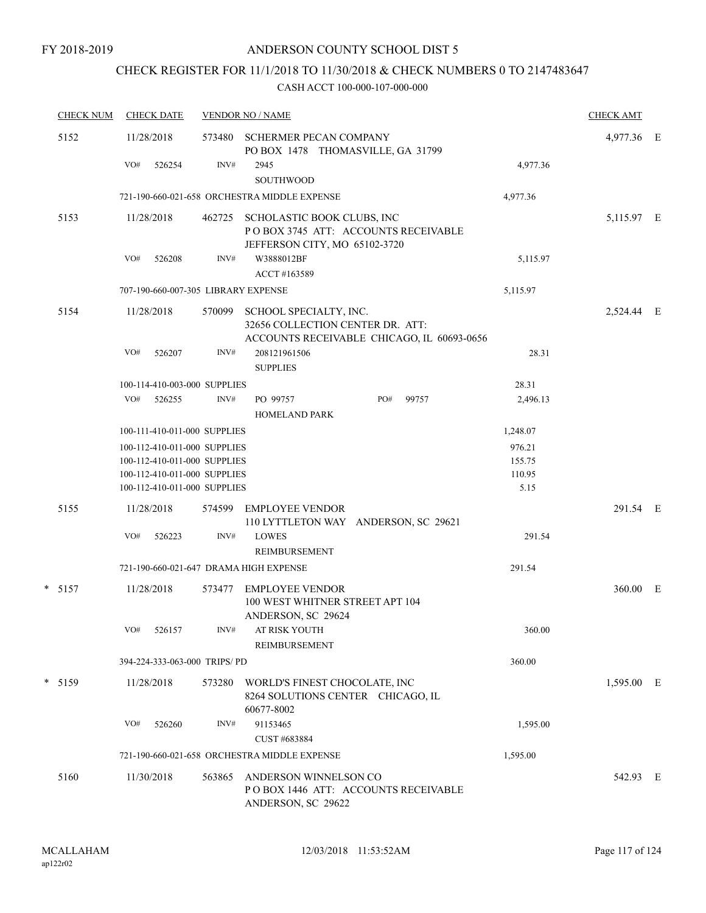# CHECK REGISTER FOR 11/1/2018 TO 11/30/2018 & CHECK NUMBERS 0 TO 2147483647

|  | <b>CHECK NUM</b> | <b>CHECK DATE</b>                   |                                                              |                                                                       | <b>VENDOR NO / NAME</b>                                                                                  |          |       |                  |            |  |
|--|------------------|-------------------------------------|--------------------------------------------------------------|-----------------------------------------------------------------------|----------------------------------------------------------------------------------------------------------|----------|-------|------------------|------------|--|
|  | 5152             | 11/28/2018                          |                                                              | 573480<br>SCHERMER PECAN COMPANY<br>PO BOX 1478 THOMASVILLE, GA 31799 |                                                                                                          |          |       |                  | 4,977.36 E |  |
|  |                  | VO#                                 | 526254                                                       | INV#                                                                  | 2945<br>SOUTHWOOD                                                                                        |          |       | 4,977.36         |            |  |
|  |                  |                                     |                                                              |                                                                       | 721-190-660-021-658 ORCHESTRA MIDDLE EXPENSE                                                             |          |       | 4,977.36         |            |  |
|  | 5153             | 11/28/2018                          |                                                              | 462725                                                                | SCHOLASTIC BOOK CLUBS, INC<br>POBOX 3745 ATT: ACCOUNTS RECEIVABLE<br>JEFFERSON CITY, MO 65102-3720       |          |       |                  | 5,115.97 E |  |
|  |                  | VO#                                 | 526208                                                       | INV#                                                                  | W3888012BF<br>ACCT #163589                                                                               | 5,115.97 |       |                  |            |  |
|  |                  | 707-190-660-007-305 LIBRARY EXPENSE |                                                              |                                                                       |                                                                                                          |          |       |                  |            |  |
|  | 5154             | 11/28/2018                          |                                                              | 570099                                                                | SCHOOL SPECIALTY, INC.<br>32656 COLLECTION CENTER DR. ATT:<br>ACCOUNTS RECEIVABLE CHICAGO, IL 60693-0656 |          |       |                  | 2,524.44 E |  |
|  |                  | VO#                                 | 526207                                                       | INV#                                                                  | 208121961506<br><b>SUPPLIES</b>                                                                          |          |       | 28.31            |            |  |
|  |                  |                                     | 100-114-410-003-000 SUPPLIES                                 |                                                                       |                                                                                                          |          |       | 28.31            |            |  |
|  |                  | VO#                                 | 526255                                                       | INV#                                                                  | PO 99757<br><b>HOMELAND PARK</b>                                                                         | PO#      | 99757 | 2,496.13         |            |  |
|  |                  |                                     | 100-111-410-011-000 SUPPLIES                                 |                                                                       |                                                                                                          |          |       | 1,248.07         |            |  |
|  |                  |                                     | 100-112-410-011-000 SUPPLIES                                 |                                                                       |                                                                                                          |          |       | 976.21           |            |  |
|  |                  |                                     | 100-112-410-011-000 SUPPLIES<br>100-112-410-011-000 SUPPLIES |                                                                       |                                                                                                          |          |       | 155.75<br>110.95 |            |  |
|  |                  |                                     | 100-112-410-011-000 SUPPLIES                                 |                                                                       |                                                                                                          |          |       | 5.15             |            |  |
|  | 5155             | 11/28/2018                          |                                                              | 574599                                                                | <b>EMPLOYEE VENDOR</b><br>110 LYTTLETON WAY ANDERSON, SC 29621                                           |          |       |                  | 291.54 E   |  |
|  |                  | VO#                                 | 526223                                                       | INV#                                                                  | <b>LOWES</b><br>REIMBURSEMENT                                                                            |          |       | 291.54           |            |  |
|  |                  |                                     |                                                              |                                                                       | 721-190-660-021-647 DRAMA HIGH EXPENSE                                                                   |          |       | 291.54           |            |  |
|  | $* 5157$         | 11/28/2018                          |                                                              |                                                                       | 573477 EMPLOYEE VENDOR<br>100 WEST WHITNER STREET APT 104                                                |          |       |                  | 360.00 E   |  |
|  |                  |                                     |                                                              |                                                                       | ANDERSON, SC 29624                                                                                       |          |       |                  |            |  |
|  |                  | VO#                                 | 526157                                                       | $\text{INV}\#$                                                        | AT RISK YOUTH<br><b>REIMBURSEMENT</b>                                                                    |          |       | 360.00           |            |  |
|  |                  |                                     | 394-224-333-063-000 TRIPS/PD                                 |                                                                       |                                                                                                          |          |       | 360.00           |            |  |
|  | $*$ 5159         | 11/28/2018                          |                                                              | 573280                                                                | WORLD'S FINEST CHOCOLATE, INC<br>8264 SOLUTIONS CENTER CHICAGO, IL<br>60677-8002                         |          |       |                  | 1,595.00 E |  |
|  |                  | VO#                                 | 526260                                                       | INV#                                                                  | 91153465<br>CUST #683884                                                                                 |          |       | 1,595.00         |            |  |
|  |                  |                                     |                                                              |                                                                       | 721-190-660-021-658 ORCHESTRA MIDDLE EXPENSE                                                             |          |       | 1,595.00         |            |  |
|  | 5160             | 11/30/2018                          |                                                              | 563865                                                                | ANDERSON WINNELSON CO<br>POBOX 1446 ATT: ACCOUNTS RECEIVABLE<br>ANDERSON, SC 29622                       |          |       |                  | 542.93 E   |  |
|  |                  |                                     |                                                              |                                                                       |                                                                                                          |          |       |                  |            |  |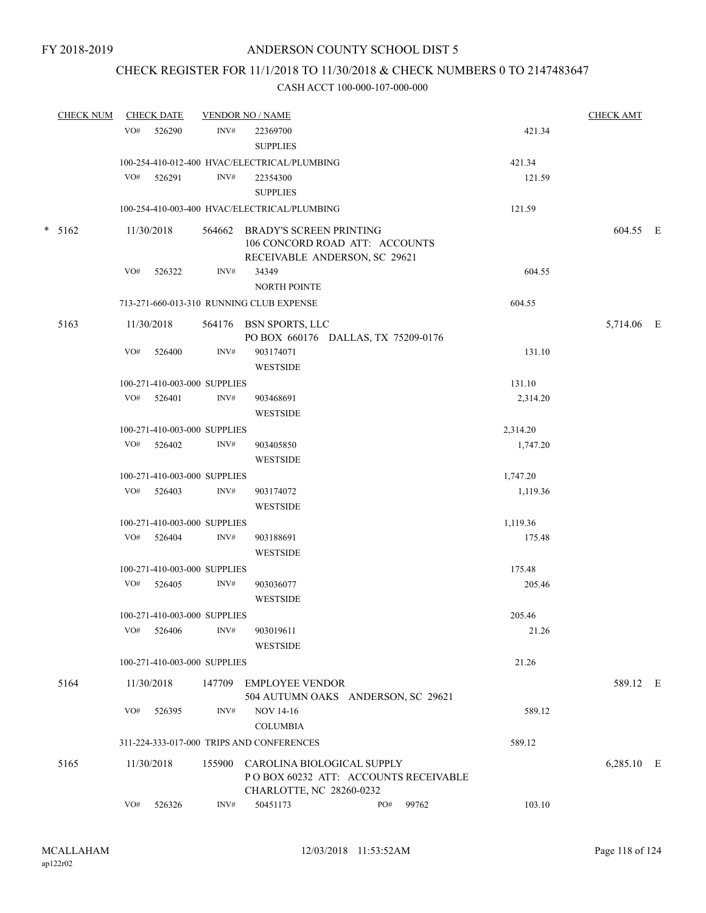# CHECK REGISTER FOR 11/1/2018 TO 11/30/2018 & CHECK NUMBERS 0 TO 2147483647

| <b>CHECK NUM</b> |     | <b>CHECK DATE</b> |                              | <b>VENDOR NO / NAME</b>                                                                           |     |       |          | <b>CHECK AMT</b> |  |
|------------------|-----|-------------------|------------------------------|---------------------------------------------------------------------------------------------------|-----|-------|----------|------------------|--|
|                  | VO# | 526290            | INV#                         | 22369700<br><b>SUPPLIES</b>                                                                       |     |       | 421.34   |                  |  |
|                  |     |                   |                              | 100-254-410-012-400 HVAC/ELECTRICAL/PLUMBING                                                      |     |       | 421.34   |                  |  |
|                  | VO# | 526291            | INV#                         | 22354300                                                                                          |     |       | 121.59   |                  |  |
|                  |     |                   |                              | <b>SUPPLIES</b>                                                                                   |     |       |          |                  |  |
|                  |     |                   |                              | 100-254-410-003-400 HVAC/ELECTRICAL/PLUMBING                                                      |     |       | 121.59   |                  |  |
| $* 5162$         |     | 11/30/2018        |                              | 564662 BRADY'S SCREEN PRINTING<br>106 CONCORD ROAD ATT: ACCOUNTS<br>RECEIVABLE ANDERSON, SC 29621 |     |       |          | 604.55 E         |  |
|                  | VO# | 526322            | INV#                         | 34349                                                                                             |     |       | 604.55   |                  |  |
|                  |     |                   |                              | <b>NORTH POINTE</b>                                                                               |     |       |          |                  |  |
|                  |     |                   |                              | 713-271-660-013-310 RUNNING CLUB EXPENSE                                                          |     |       | 604.55   |                  |  |
| 5163             |     | 11/30/2018        |                              | 564176 BSN SPORTS, LLC<br>PO BOX 660176 DALLAS, TX 75209-0176                                     |     |       |          | 5,714.06 E       |  |
|                  | VO# | 526400            | INV#                         | 903174071<br><b>WESTSIDE</b>                                                                      |     |       | 131.10   |                  |  |
|                  |     |                   | 100-271-410-003-000 SUPPLIES |                                                                                                   |     |       | 131.10   |                  |  |
|                  | VO# | 526401            | INV#                         | 903468691                                                                                         |     |       | 2,314.20 |                  |  |
|                  |     |                   |                              | <b>WESTSIDE</b>                                                                                   |     |       |          |                  |  |
|                  |     |                   | 100-271-410-003-000 SUPPLIES |                                                                                                   |     |       | 2,314.20 |                  |  |
|                  |     | VO# 526402        | INV#                         | 903405850<br><b>WESTSIDE</b>                                                                      |     |       | 1,747.20 |                  |  |
|                  |     |                   | 100-271-410-003-000 SUPPLIES |                                                                                                   |     |       | 1,747.20 |                  |  |
|                  |     | VO# 526403        | INV#                         | 903174072<br><b>WESTSIDE</b>                                                                      |     |       | 1,119.36 |                  |  |
|                  |     |                   | 100-271-410-003-000 SUPPLIES |                                                                                                   |     |       | 1,119.36 |                  |  |
|                  | VO# | 526404            | INV#                         | 903188691<br><b>WESTSIDE</b>                                                                      |     |       | 175.48   |                  |  |
|                  |     |                   | 100-271-410-003-000 SUPPLIES |                                                                                                   |     |       | 175.48   |                  |  |
|                  |     | VO# 526405        | INV#                         | 903036077<br><b>WESTSIDE</b>                                                                      |     |       | 205.46   |                  |  |
|                  |     |                   | 100-271-410-003-000 SUPPLIES |                                                                                                   |     |       | 205.46   |                  |  |
|                  | VO# | 526406            | INV#                         | 903019611<br><b>WESTSIDE</b>                                                                      |     |       | 21.26    |                  |  |
|                  |     |                   | 100-271-410-003-000 SUPPLIES |                                                                                                   |     |       | 21.26    |                  |  |
| 5164             |     | 11/30/2018        | 147709                       | <b>EMPLOYEE VENDOR</b><br>504 AUTUMN OAKS ANDERSON, SC 29621                                      |     |       |          | 589.12 E         |  |
|                  | VO# | 526395            | INV#                         | <b>NOV 14-16</b>                                                                                  |     |       | 589.12   |                  |  |
|                  |     |                   |                              | <b>COLUMBIA</b>                                                                                   |     |       |          |                  |  |
|                  |     |                   |                              | 311-224-333-017-000 TRIPS AND CONFERENCES                                                         |     |       | 589.12   |                  |  |
| 5165             |     | 11/30/2018        | 155900                       | CAROLINA BIOLOGICAL SUPPLY<br>POBOX 60232 ATT: ACCOUNTS RECEIVABLE<br>CHARLOTTE, NC 28260-0232    |     |       |          | 6,285.10 E       |  |
|                  | VO# | 526326            | INV#                         | 50451173                                                                                          | PO# | 99762 | 103.10   |                  |  |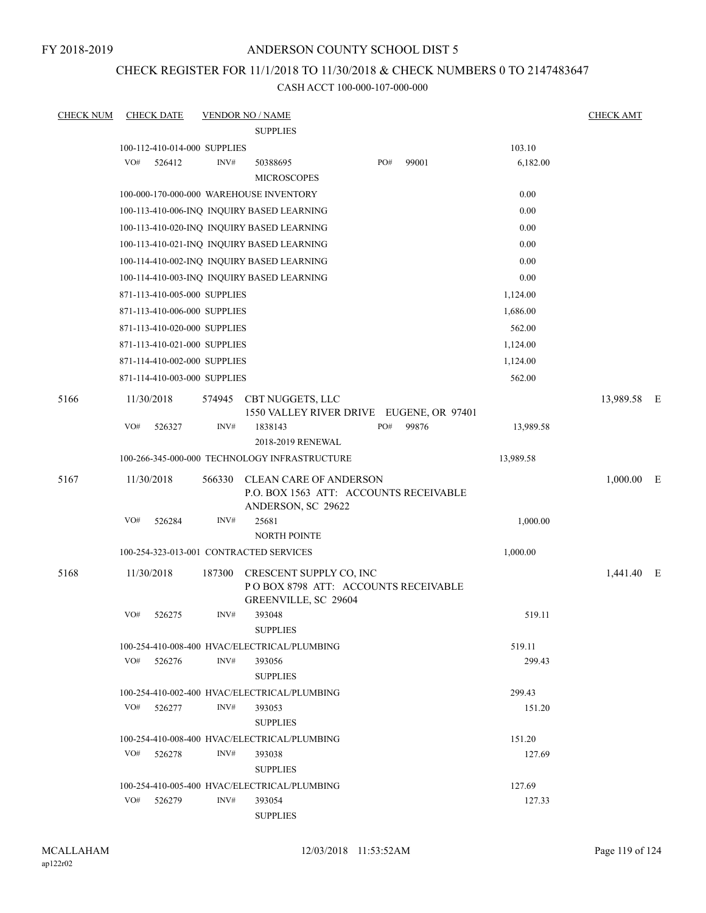FY 2018-2019

## ANDERSON COUNTY SCHOOL DIST 5

# CHECK REGISTER FOR 11/1/2018 TO 11/30/2018 & CHECK NUMBERS 0 TO 2147483647

| <b>CHECK NUM</b> | <b>CHECK DATE</b>                       |        | <b>VENDOR NO / NAME</b>                                                                |     |       |           | <b>CHECK AMT</b> |     |
|------------------|-----------------------------------------|--------|----------------------------------------------------------------------------------------|-----|-------|-----------|------------------|-----|
|                  |                                         |        | <b>SUPPLIES</b>                                                                        |     |       |           |                  |     |
|                  | 100-112-410-014-000 SUPPLIES            |        |                                                                                        |     |       | 103.10    |                  |     |
|                  | VO#<br>526412                           | INV#   | 50388695                                                                               | PO# | 99001 | 6,182.00  |                  |     |
|                  |                                         |        | <b>MICROSCOPES</b>                                                                     |     |       |           |                  |     |
|                  |                                         |        | 100-000-170-000-000 WAREHOUSE INVENTORY                                                |     |       | 0.00      |                  |     |
|                  |                                         |        | 100-113-410-006-INQ INQUIRY BASED LEARNING                                             |     |       | 0.00      |                  |     |
|                  |                                         |        | 100-113-410-020-INQ INQUIRY BASED LEARNING                                             |     |       | 0.00      |                  |     |
|                  |                                         |        | 100-113-410-021-INQ INQUIRY BASED LEARNING                                             |     |       | 0.00      |                  |     |
|                  |                                         |        | 100-114-410-002-INQ INQUIRY BASED LEARNING                                             |     |       | 0.00      |                  |     |
|                  |                                         |        | 100-114-410-003-INQ INQUIRY BASED LEARNING                                             |     |       | 0.00      |                  |     |
|                  | 871-113-410-005-000 SUPPLIES            |        |                                                                                        |     |       | 1,124.00  |                  |     |
|                  | 871-113-410-006-000 SUPPLIES            |        |                                                                                        |     |       | 1,686.00  |                  |     |
|                  | 871-113-410-020-000 SUPPLIES            |        |                                                                                        |     |       | 562.00    |                  |     |
|                  | 871-113-410-021-000 SUPPLIES            |        |                                                                                        |     |       | 1,124.00  |                  |     |
|                  | 871-114-410-002-000 SUPPLIES            |        |                                                                                        |     |       | 1,124.00  |                  |     |
|                  | 871-114-410-003-000 SUPPLIES            |        |                                                                                        |     |       | 562.00    |                  |     |
| 5166             | 11/30/2018                              | 574945 | CBT NUGGETS, LLC                                                                       |     |       |           | 13,989.58        | – E |
|                  |                                         |        | 1550 VALLEY RIVER DRIVE EUGENE, OR 97401                                               |     |       |           |                  |     |
|                  | VO#<br>526327                           | INV#   | 1838143<br>2018-2019 RENEWAL                                                           | PO# | 99876 | 13,989.58 |                  |     |
|                  |                                         |        | 100-266-345-000-000 TECHNOLOGY INFRASTRUCTURE                                          |     |       | 13,989.58 |                  |     |
| 5167             | 11/30/2018                              | 566330 | CLEAN CARE OF ANDERSON<br>P.O. BOX 1563 ATT: ACCOUNTS RECEIVABLE<br>ANDERSON, SC 29622 |     |       |           | $1,000.00$ E     |     |
|                  | VO#<br>526284                           | INV#   | 25681<br><b>NORTH POINTE</b>                                                           |     |       | 1,000.00  |                  |     |
|                  | 100-254-323-013-001 CONTRACTED SERVICES |        |                                                                                        |     |       | 1,000.00  |                  |     |
| 5168             | 11/30/2018                              | 187300 | CRESCENT SUPPLY CO, INC<br>POBOX 8798 ATT: ACCOUNTS RECEIVABLE<br>GREENVILLE, SC 29604 |     |       |           | 1,441.40 E       |     |
|                  | VO#<br>526275                           | INV#   | 393048<br><b>SUPPLIES</b>                                                              |     |       | 519.11    |                  |     |
|                  |                                         |        | 100-254-410-008-400 HVAC/ELECTRICAL/PLUMBING                                           |     |       | 519.11    |                  |     |
|                  | VO# 526276                              | INV#   | 393056<br><b>SUPPLIES</b>                                                              |     |       | 299.43    |                  |     |
|                  |                                         |        | 100-254-410-002-400 HVAC/ELECTRICAL/PLUMBING                                           |     |       | 299.43    |                  |     |
|                  | VO#<br>526277                           | INV#   | 393053<br><b>SUPPLIES</b>                                                              |     |       | 151.20    |                  |     |
|                  |                                         |        | 100-254-410-008-400 HVAC/ELECTRICAL/PLUMBING                                           |     |       | 151.20    |                  |     |
|                  | VO#<br>526278                           | INV#   | 393038<br><b>SUPPLIES</b>                                                              |     |       | 127.69    |                  |     |
|                  |                                         |        | 100-254-410-005-400 HVAC/ELECTRICAL/PLUMBING                                           |     |       | 127.69    |                  |     |
|                  | VO#<br>526279                           | INV#   | 393054                                                                                 |     |       | 127.33    |                  |     |
|                  |                                         |        | <b>SUPPLIES</b>                                                                        |     |       |           |                  |     |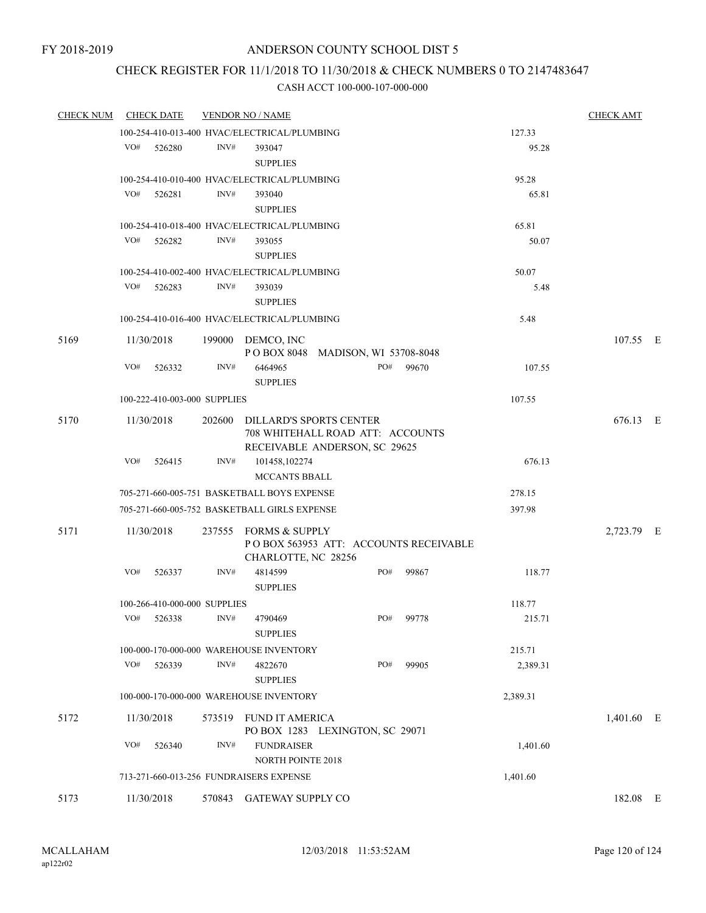# CHECK REGISTER FOR 11/1/2018 TO 11/30/2018 & CHECK NUMBERS 0 TO 2147483647

| <b>CHECK NUM</b> | <b>CHECK DATE</b> |        |                              | <b>VENDOR NO / NAME</b>                                           |     |                                       |          | <b>CHECK AMT</b> |  |
|------------------|-------------------|--------|------------------------------|-------------------------------------------------------------------|-----|---------------------------------------|----------|------------------|--|
|                  |                   |        |                              | 100-254-410-013-400 HVAC/ELECTRICAL/PLUMBING                      |     |                                       | 127.33   |                  |  |
|                  | VO#               | 526280 | INV#                         | 393047                                                            |     |                                       | 95.28    |                  |  |
|                  |                   |        |                              | <b>SUPPLIES</b>                                                   |     |                                       |          |                  |  |
|                  |                   |        |                              | 100-254-410-010-400 HVAC/ELECTRICAL/PLUMBING                      |     |                                       | 95.28    |                  |  |
|                  | VO#               | 526281 | INV#                         | 393040                                                            |     |                                       | 65.81    |                  |  |
|                  |                   |        |                              | <b>SUPPLIES</b>                                                   |     |                                       |          |                  |  |
|                  |                   |        |                              | 100-254-410-018-400 HVAC/ELECTRICAL/PLUMBING                      |     |                                       | 65.81    |                  |  |
|                  | VO#               | 526282 | INV#                         | 393055                                                            |     |                                       | 50.07    |                  |  |
|                  |                   |        |                              | <b>SUPPLIES</b>                                                   |     |                                       |          |                  |  |
|                  |                   |        |                              | 100-254-410-002-400 HVAC/ELECTRICAL/PLUMBING                      |     |                                       | 50.07    |                  |  |
|                  | VO#               | 526283 | INV#                         | 393039                                                            |     |                                       | 5.48     |                  |  |
|                  |                   |        |                              | <b>SUPPLIES</b>                                                   |     |                                       |          |                  |  |
|                  |                   |        |                              | 100-254-410-016-400 HVAC/ELECTRICAL/PLUMBING                      |     |                                       | 5.48     |                  |  |
| 5169             | 11/30/2018        |        |                              | 199000 DEMCO, INC                                                 |     |                                       |          | 107.55 E         |  |
|                  |                   |        |                              | POBOX 8048 MADISON, WI 53708-8048                                 |     |                                       |          |                  |  |
|                  | VO#               | 526332 | INV#                         | 6464965                                                           | PO# | 99670                                 | 107.55   |                  |  |
|                  |                   |        |                              | <b>SUPPLIES</b>                                                   |     |                                       |          |                  |  |
|                  |                   |        | 100-222-410-003-000 SUPPLIES |                                                                   |     |                                       | 107.55   |                  |  |
| 5170             | 11/30/2018        |        |                              | 202600 DILLARD'S SPORTS CENTER                                    |     |                                       |          | 676.13 E         |  |
|                  |                   |        |                              | 708 WHITEHALL ROAD ATT: ACCOUNTS<br>RECEIVABLE ANDERSON, SC 29625 |     |                                       |          |                  |  |
|                  | VO#               | 526415 | INV#                         | 101458,102274                                                     |     |                                       | 676.13   |                  |  |
|                  |                   |        |                              | <b>MCCANTS BBALL</b>                                              |     |                                       |          |                  |  |
|                  |                   |        |                              | 705-271-660-005-751 BASKETBALL BOYS EXPENSE                       |     |                                       | 278.15   |                  |  |
|                  |                   |        |                              | 705-271-660-005-752 BASKETBALL GIRLS EXPENSE                      |     |                                       | 397.98   |                  |  |
|                  |                   |        |                              |                                                                   |     |                                       |          |                  |  |
| 5171             | 11/30/2018        |        |                              | 237555 FORMS & SUPPLY                                             |     | POBOX 563953 ATT: ACCOUNTS RECEIVABLE |          | 2,723.79 E       |  |
|                  |                   |        |                              | CHARLOTTE, NC 28256                                               |     |                                       |          |                  |  |
|                  | VO#               | 526337 | INV#                         | 4814599                                                           | PO# | 99867                                 | 118.77   |                  |  |
|                  |                   |        |                              | <b>SUPPLIES</b>                                                   |     |                                       |          |                  |  |
|                  |                   |        | 100-266-410-000-000 SUPPLIES |                                                                   |     |                                       | 118.77   |                  |  |
|                  | VO# 526338        |        | INV#                         | 4790469                                                           | PO# | 99778                                 | 215.71   |                  |  |
|                  |                   |        |                              | <b>SUPPLIES</b>                                                   |     |                                       |          |                  |  |
|                  |                   |        |                              | 100-000-170-000-000 WAREHOUSE INVENTORY                           |     |                                       | 215.71   |                  |  |
|                  | VO#               | 526339 | INV#                         | 4822670                                                           | PO# | 99905                                 | 2,389.31 |                  |  |
|                  |                   |        |                              | <b>SUPPLIES</b>                                                   |     |                                       |          |                  |  |
|                  |                   |        |                              | 100-000-170-000-000 WAREHOUSE INVENTORY                           |     |                                       | 2,389.31 |                  |  |
| 5172             | 11/30/2018        |        |                              | 573519 FUND IT AMERICA                                            |     |                                       |          | 1,401.60 E       |  |
|                  |                   |        |                              | PO BOX 1283 LEXINGTON, SC 29071                                   |     |                                       |          |                  |  |
|                  | VO#               | 526340 | INV#                         | <b>FUNDRAISER</b>                                                 |     |                                       | 1,401.60 |                  |  |
|                  |                   |        |                              | <b>NORTH POINTE 2018</b>                                          |     |                                       |          |                  |  |
|                  |                   |        |                              | 713-271-660-013-256 FUNDRAISERS EXPENSE                           |     |                                       | 1,401.60 |                  |  |
| 5173             | 11/30/2018        |        |                              | 570843 GATEWAY SUPPLY CO                                          |     |                                       |          | 182.08 E         |  |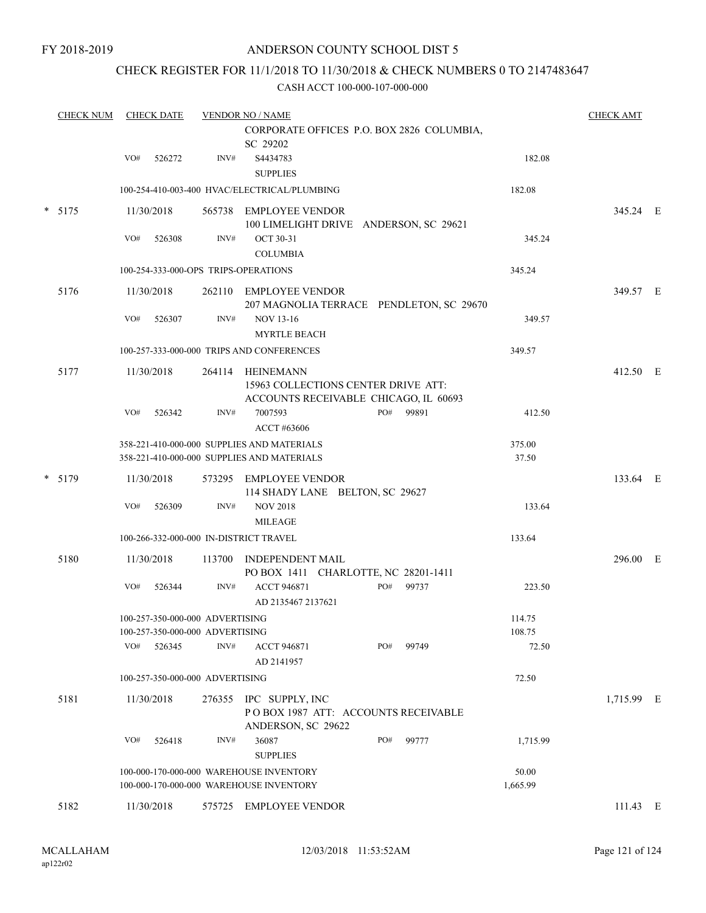# CHECK REGISTER FOR 11/1/2018 TO 11/30/2018 & CHECK NUMBERS 0 TO 2147483647

|  | <b>CHECK NUM</b> | <b>CHECK DATE</b>                        |            | <b>VENDOR NO / NAME</b>                                            |                                                                                           |     |       |                   | <b>CHECK AMT</b> |  |
|--|------------------|------------------------------------------|------------|--------------------------------------------------------------------|-------------------------------------------------------------------------------------------|-----|-------|-------------------|------------------|--|
|  |                  |                                          |            |                                                                    | CORPORATE OFFICES P.O. BOX 2826 COLUMBIA,<br>SC 29202                                     |     |       |                   |                  |  |
|  |                  | VO#                                      | 526272     | INV#                                                               | S4434783<br><b>SUPPLIES</b>                                                               |     |       | 182.08            |                  |  |
|  |                  |                                          |            |                                                                    | 100-254-410-003-400 HVAC/ELECTRICAL/PLUMBING                                              |     |       | 182.08            |                  |  |
|  | $* 5175$         |                                          | 11/30/2018 |                                                                    | 565738 EMPLOYEE VENDOR<br>100 LIMELIGHT DRIVE ANDERSON, SC 29621                          |     |       |                   | 345.24 E         |  |
|  |                  | VO#                                      | 526308     | INV#                                                               | <b>OCT 30-31</b><br><b>COLUMBIA</b>                                                       |     |       | 345.24            |                  |  |
|  |                  |                                          |            |                                                                    | 100-254-333-000-OPS TRIPS-OPERATIONS                                                      |     |       | 345.24            |                  |  |
|  | 5176             |                                          | 11/30/2018 |                                                                    | 262110 EMPLOYEE VENDOR<br>207 MAGNOLIA TERRACE PENDLETON, SC 29670                        |     |       |                   | 349.57 E         |  |
|  |                  | VO#                                      | 526307     | INV#                                                               | <b>NOV 13-16</b><br><b>MYRTLE BEACH</b>                                                   |     |       | 349.57            |                  |  |
|  |                  |                                          |            |                                                                    | 100-257-333-000-000 TRIPS AND CONFERENCES                                                 |     |       | 349.57            |                  |  |
|  | 5177             |                                          | 11/30/2018 | 264114                                                             | HEINEMANN<br>15963 COLLECTIONS CENTER DRIVE ATT:<br>ACCOUNTS RECEIVABLE CHICAGO, IL 60693 |     |       |                   | 412.50 E         |  |
|  |                  | VO#                                      | 526342     | INV#                                                               | 7007593<br>ACCT #63606                                                                    | PO# | 99891 | 412.50            |                  |  |
|  |                  |                                          |            |                                                                    | 358-221-410-000-000 SUPPLIES AND MATERIALS<br>358-221-410-000-000 SUPPLIES AND MATERIALS  |     |       | 375.00<br>37.50   |                  |  |
|  | $*$ 5179         |                                          | 11/30/2018 |                                                                    | 573295 EMPLOYEE VENDOR<br>114 SHADY LANE BELTON, SC 29627                                 |     |       |                   | 133.64 E         |  |
|  |                  | VO#                                      | 526309     | INV#                                                               | <b>NOV 2018</b><br><b>MILEAGE</b>                                                         |     |       | 133.64            |                  |  |
|  |                  |                                          |            |                                                                    | 100-266-332-000-000 IN-DISTRICT TRAVEL                                                    |     |       | 133.64            |                  |  |
|  | 5180             |                                          | 11/30/2018 | 113700                                                             | <b>INDEPENDENT MAIL</b><br>PO BOX 1411 CHARLOTTE, NC 28201-1411                           |     |       |                   | 296.00 E         |  |
|  |                  | VO#                                      | 526344     | INV#                                                               | <b>ACCT 946871</b><br>AD 2135467 2137621                                                  | PO# | 99737 | 223.50            |                  |  |
|  |                  |                                          |            | 100-257-350-000-000 ADVERTISING<br>100-257-350-000-000 ADVERTISING |                                                                                           |     |       | 114.75<br>108.75  |                  |  |
|  |                  | VO#                                      | 526345     | INV#                                                               | <b>ACCT 946871</b><br>AD 2141957                                                          | PO# | 99749 | 72.50             |                  |  |
|  |                  | 72.50<br>100-257-350-000-000 ADVERTISING |            |                                                                    |                                                                                           |     |       |                   |                  |  |
|  | 5181             |                                          | 11/30/2018 |                                                                    | 276355 IPC SUPPLY, INC<br>POBOX 1987 ATT: ACCOUNTS RECEIVABLE<br>ANDERSON, SC 29622       |     |       |                   | 1,715.99 E       |  |
|  |                  | VO#                                      | 526418     | INV#                                                               | 36087<br><b>SUPPLIES</b>                                                                  | PO# | 99777 | 1,715.99          |                  |  |
|  |                  |                                          |            |                                                                    | 100-000-170-000-000 WAREHOUSE INVENTORY<br>100-000-170-000-000 WAREHOUSE INVENTORY        |     |       | 50.00<br>1,665.99 |                  |  |
|  | 5182             |                                          | 11/30/2018 |                                                                    | 575725 EMPLOYEE VENDOR                                                                    |     |       |                   | $111.43 \t E$    |  |
|  |                  |                                          |            |                                                                    |                                                                                           |     |       |                   |                  |  |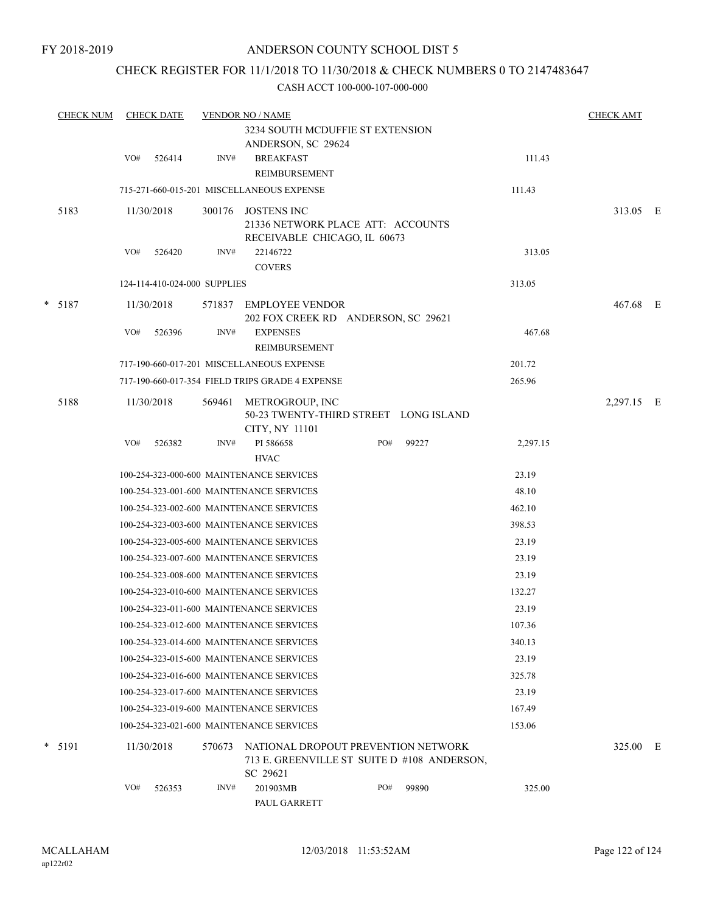## CHECK REGISTER FOR 11/1/2018 TO 11/30/2018 & CHECK NUMBERS 0 TO 2147483647

|  | <b>CHECK NUM</b> | <b>CHECK DATE</b> |            |                              | <b>VENDOR NO / NAME</b>                                                                        |     |       |          |            |  |
|--|------------------|-------------------|------------|------------------------------|------------------------------------------------------------------------------------------------|-----|-------|----------|------------|--|
|  |                  |                   |            |                              | 3234 SOUTH MCDUFFIE ST EXTENSION<br>ANDERSON, SC 29624                                         |     |       |          |            |  |
|  |                  | VO#               | 526414     | INV#                         | <b>BREAKFAST</b><br>REIMBURSEMENT                                                              |     |       | 111.43   |            |  |
|  |                  |                   |            |                              | 715-271-660-015-201 MISCELLANEOUS EXPENSE                                                      |     |       | 111.43   |            |  |
|  | 5183             |                   | 11/30/2018 | 300176                       | <b>JOSTENS INC</b><br>21336 NETWORK PLACE ATT: ACCOUNTS<br>RECEIVABLE CHICAGO, IL 60673        |     |       |          | 313.05 E   |  |
|  |                  | VO#               | 526420     | INV#                         | 22146722                                                                                       |     |       | 313.05   |            |  |
|  |                  |                   |            | 124-114-410-024-000 SUPPLIES | <b>COVERS</b>                                                                                  |     |       | 313.05   |            |  |
|  |                  |                   |            |                              |                                                                                                |     |       |          |            |  |
|  | $* 5187$         |                   | 11/30/2018 |                              | 571837 EMPLOYEE VENDOR<br>202 FOX CREEK RD ANDERSON, SC 29621                                  |     |       |          | 467.68 E   |  |
|  |                  | VO#               | 526396     | INV#                         | <b>EXPENSES</b><br><b>REIMBURSEMENT</b>                                                        |     |       | 467.68   |            |  |
|  |                  |                   |            |                              | 717-190-660-017-201 MISCELLANEOUS EXPENSE                                                      |     |       | 201.72   |            |  |
|  |                  |                   |            |                              | 717-190-660-017-354 FIELD TRIPS GRADE 4 EXPENSE                                                |     |       | 265.96   |            |  |
|  | 5188             |                   | 11/30/2018 | 569461                       | METROGROUP, INC<br>50-23 TWENTY-THIRD STREET LONG ISLAND<br>CITY, NY 11101                     |     |       |          | 2,297.15 E |  |
|  |                  | VO#               | 526382     | INV#                         | PI 586658<br><b>HVAC</b>                                                                       | PO# | 99227 | 2,297.15 |            |  |
|  |                  |                   |            |                              | 100-254-323-000-600 MAINTENANCE SERVICES                                                       |     |       | 23.19    |            |  |
|  |                  |                   |            |                              | 100-254-323-001-600 MAINTENANCE SERVICES                                                       |     |       | 48.10    |            |  |
|  |                  |                   |            |                              | 100-254-323-002-600 MAINTENANCE SERVICES                                                       |     |       | 462.10   |            |  |
|  |                  |                   |            |                              | 100-254-323-003-600 MAINTENANCE SERVICES                                                       |     |       | 398.53   |            |  |
|  |                  |                   |            |                              | 100-254-323-005-600 MAINTENANCE SERVICES                                                       |     |       | 23.19    |            |  |
|  |                  |                   |            |                              | 100-254-323-007-600 MAINTENANCE SERVICES                                                       |     |       | 23.19    |            |  |
|  |                  |                   |            |                              | 100-254-323-008-600 MAINTENANCE SERVICES                                                       |     |       | 23.19    |            |  |
|  |                  |                   |            |                              | 100-254-323-010-600 MAINTENANCE SERVICES                                                       |     |       | 132.27   |            |  |
|  |                  |                   |            |                              | 100-254-323-011-600 MAINTENANCE SERVICES                                                       |     |       | 23.19    |            |  |
|  |                  |                   |            |                              | 100-254-323-012-600 MAINTENANCE SERVICES                                                       |     |       | 107.36   |            |  |
|  |                  |                   |            |                              | 100-254-323-014-600 MAINTENANCE SERVICES                                                       |     |       | 340.13   |            |  |
|  |                  |                   |            |                              | 100-254-323-015-600 MAINTENANCE SERVICES                                                       |     |       | 23.19    |            |  |
|  |                  |                   |            |                              | 100-254-323-016-600 MAINTENANCE SERVICES                                                       |     |       | 325.78   |            |  |
|  |                  |                   |            |                              | 100-254-323-017-600 MAINTENANCE SERVICES                                                       |     |       | 23.19    |            |  |
|  |                  |                   |            |                              | 100-254-323-019-600 MAINTENANCE SERVICES                                                       |     |       | 167.49   |            |  |
|  |                  |                   |            |                              | 100-254-323-021-600 MAINTENANCE SERVICES                                                       |     |       | 153.06   |            |  |
|  | $*$ 5191         |                   | 11/30/2018 | 570673                       | NATIONAL DROPOUT PREVENTION NETWORK<br>713 E. GREENVILLE ST SUITE D #108 ANDERSON,<br>SC 29621 |     |       |          | 325.00 E   |  |
|  |                  | VO#               | 526353     | INV#                         | 201903MB<br>PAUL GARRETT                                                                       | PO# | 99890 | 325.00   |            |  |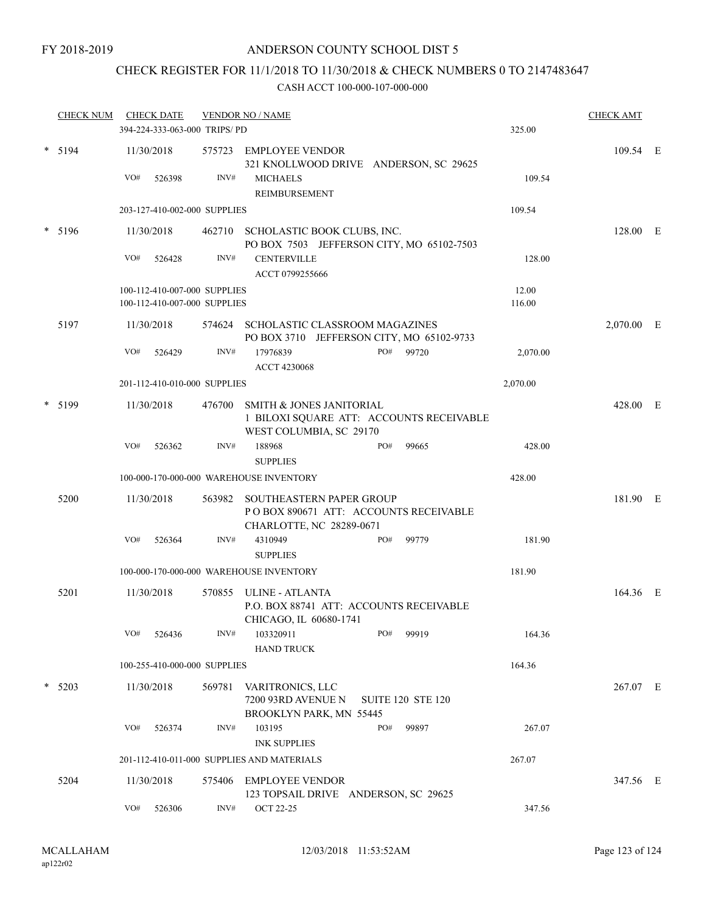# CHECK REGISTER FOR 11/1/2018 TO 11/30/2018 & CHECK NUMBERS 0 TO 2147483647

|   | <b>CHECK NUM</b> | <b>CHECK DATE</b><br><b>VENDOR NO / NAME</b><br>394-224-333-063-000 TRIPS/PD |                                            |        |                                                                                                            |        |                          | 325.00   | <b>CHECK AMT</b> |  |
|---|------------------|------------------------------------------------------------------------------|--------------------------------------------|--------|------------------------------------------------------------------------------------------------------------|--------|--------------------------|----------|------------------|--|
|   | $* 5194$         | VO#                                                                          | 11/30/2018<br>526398                       | INV#   | 575723 EMPLOYEE VENDOR<br>321 KNOLLWOOD DRIVE ANDERSON, SC 29625<br><b>MICHAELS</b>                        |        |                          | 109.54   | 109.54 E         |  |
|   |                  |                                                                              |                                            |        | REIMBURSEMENT                                                                                              |        |                          |          |                  |  |
|   |                  |                                                                              | 203-127-410-002-000 SUPPLIES               |        |                                                                                                            |        |                          | 109.54   |                  |  |
|   | $* 5196$         | 11/30/2018                                                                   |                                            |        | 462710 SCHOLASTIC BOOK CLUBS, INC.<br>PO BOX 7503 JEFFERSON CITY, MO 65102-7503                            |        |                          |          | 128.00 E         |  |
|   |                  | VO#                                                                          | 526428                                     | INV#   | <b>CENTERVILLE</b><br>ACCT 0799255666                                                                      |        |                          | 128.00   |                  |  |
|   |                  |                                                                              | 100-112-410-007-000 SUPPLIES               |        |                                                                                                            |        |                          | 12.00    |                  |  |
|   |                  |                                                                              | 100-112-410-007-000 SUPPLIES               |        |                                                                                                            |        |                          | 116.00   |                  |  |
|   | 5197             |                                                                              | 11/30/2018                                 | 574624 | SCHOLASTIC CLASSROOM MAGAZINES<br>PO BOX 3710 JEFFERSON CITY, MO 65102-9733                                |        | 2,070.00 E               |          |                  |  |
|   |                  | VO#                                                                          | 526429                                     | INV#   | 17976839<br><b>ACCT 4230068</b>                                                                            |        | PO# 99720                | 2,070.00 |                  |  |
|   |                  |                                                                              | 201-112-410-010-000 SUPPLIES               |        |                                                                                                            |        |                          | 2,070.00 |                  |  |
|   | 5199             | 11/30/2018<br>476700                                                         |                                            |        | <b>SMITH &amp; JONES JANITORIAL</b><br>1 BILOXI SQUARE ATT: ACCOUNTS RECEIVABLE<br>WEST COLUMBIA, SC 29170 |        |                          |          | 428.00 E         |  |
|   |                  | VO#                                                                          | 526362                                     | INV#   | 188968<br><b>SUPPLIES</b>                                                                                  | PO#    | 99665                    | 428.00   |                  |  |
|   |                  |                                                                              |                                            |        | 100-000-170-000-000 WAREHOUSE INVENTORY                                                                    |        |                          | 428.00   |                  |  |
|   | 5200             | 11/30/2018                                                                   |                                            |        | 563982 SOUTHEASTERN PAPER GROUP<br>PO BOX 890671 ATT: ACCOUNTS RECEIVABLE<br>CHARLOTTE, NC 28289-0671      |        |                          |          | 181.90 E         |  |
|   |                  | VO#                                                                          | 526364                                     | INV#   | 4310949<br><b>SUPPLIES</b>                                                                                 | PO#    | 99779                    | 181.90   |                  |  |
|   |                  |                                                                              |                                            |        | 100-000-170-000-000 WAREHOUSE INVENTORY                                                                    |        |                          | 181.90   |                  |  |
|   | 5201             |                                                                              | 11/30/2018                                 |        | 570855 ULINE - ATLANTA<br>P.O. BOX 88741 ATT: ACCOUNTS RECEIVABLE<br>CHICAGO, IL 60680-1741                |        |                          |          | 164.36 E         |  |
|   |                  | VO#                                                                          | 526436                                     | INV#   | 103320911<br><b>HAND TRUCK</b>                                                                             | PO#    | 99919                    | 164.36   |                  |  |
|   |                  |                                                                              | 100-255-410-000-000 SUPPLIES               |        |                                                                                                            |        |                          | 164.36   |                  |  |
| * | 5203             |                                                                              | 11/30/2018                                 | 569781 | VARITRONICS, LLC<br>7200 93RD AVENUE N<br>BROOKLYN PARK, MN 55445                                          |        | <b>SUITE 120 STE 120</b> |          | 267.07 E         |  |
|   |                  | VO#                                                                          | 526374                                     | INV#   | 103195<br><b>INK SUPPLIES</b>                                                                              | PO#    | 99897                    | 267.07   |                  |  |
|   |                  |                                                                              | 201-112-410-011-000 SUPPLIES AND MATERIALS |        |                                                                                                            | 267.07 |                          |          |                  |  |
|   | 5204             |                                                                              | 11/30/2018                                 |        | 575406 EMPLOYEE VENDOR<br>123 TOPSAIL DRIVE ANDERSON, SC 29625                                             |        |                          |          | 347.56 E         |  |
|   |                  | VO#                                                                          | 526306                                     | INV#   | <b>OCT 22-25</b>                                                                                           |        |                          | 347.56   |                  |  |